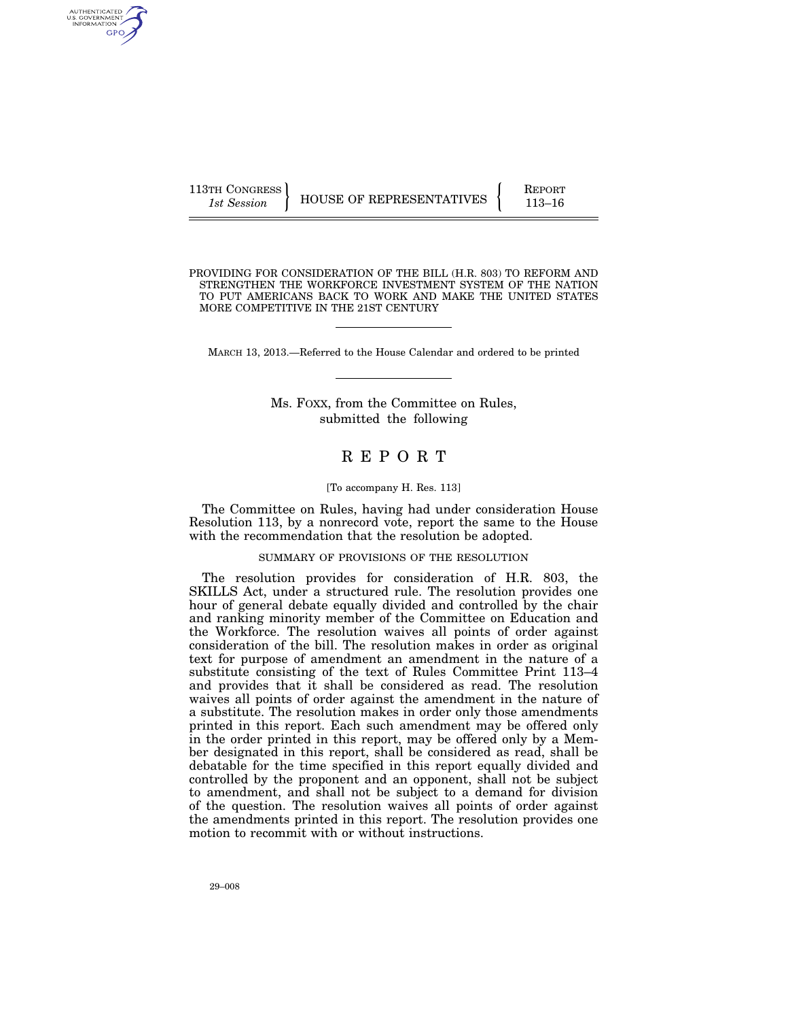| 113TH CONGRESS | HOUSE OF REPRESENTATIVES | <b>REPORT</b> |
|----------------|--------------------------|---------------|
| 1st Session    |                          | 113–16        |

PROVIDING FOR CONSIDERATION OF THE BILL (H.R. 803) TO REFORM AND STRENGTHEN THE WORKFORCE INVESTMENT SYSTEM OF THE NATION TO PUT AMERICANS BACK TO WORK AND MAKE THE UNITED STATES MORE COMPETITIVE IN THE 21ST CENTURY

MARCH 13, 2013.—Referred to the House Calendar and ordered to be printed

Ms. FOXX, from the Committee on Rules, submitted the following

# R E P O R T

## [To accompany H. Res. 113]

The Committee on Rules, having had under consideration House Resolution 113, by a nonrecord vote, report the same to the House with the recommendation that the resolution be adopted.

## SUMMARY OF PROVISIONS OF THE RESOLUTION

The resolution provides for consideration of H.R. 803, the SKILLS Act, under a structured rule. The resolution provides one hour of general debate equally divided and controlled by the chair and ranking minority member of the Committee on Education and the Workforce. The resolution waives all points of order against consideration of the bill. The resolution makes in order as original text for purpose of amendment an amendment in the nature of a substitute consisting of the text of Rules Committee Print 113–4 and provides that it shall be considered as read. The resolution waives all points of order against the amendment in the nature of a substitute. The resolution makes in order only those amendments printed in this report. Each such amendment may be offered only in the order printed in this report, may be offered only by a Member designated in this report, shall be considered as read, shall be debatable for the time specified in this report equally divided and controlled by the proponent and an opponent, shall not be subject to amendment, and shall not be subject to a demand for division of the question. The resolution waives all points of order against the amendments printed in this report. The resolution provides one motion to recommit with or without instructions.

AUTHENTICATED<br>U.S. GOVERNMENT<br>INFORMATION GPO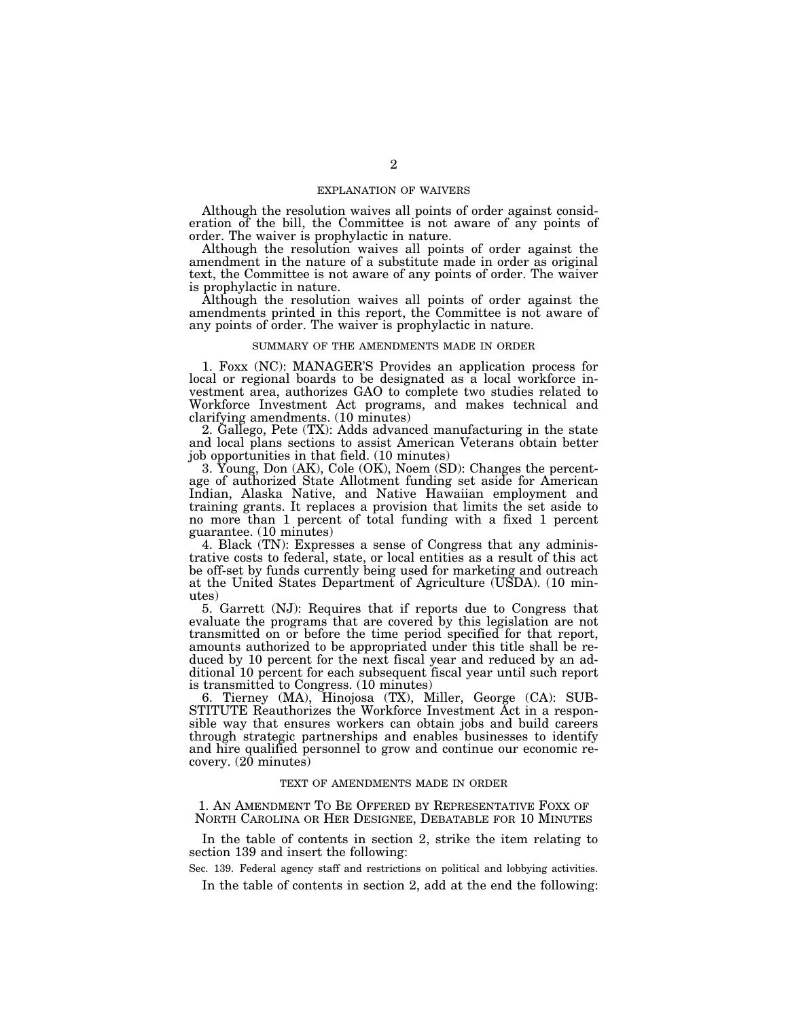# EXPLANATION OF WAIVERS

Although the resolution waives all points of order against consideration of the bill, the Committee is not aware of any points of order. The waiver is prophylactic in nature.

Although the resolution waives all points of order against the amendment in the nature of a substitute made in order as original text, the Committee is not aware of any points of order. The waiver is prophylactic in nature.

Although the resolution waives all points of order against the amendments printed in this report, the Committee is not aware of any points of order. The waiver is prophylactic in nature.

## SUMMARY OF THE AMENDMENTS MADE IN ORDER

1. Foxx (NC): MANAGER'S Provides an application process for local or regional boards to be designated as a local workforce investment area, authorizes GAO to complete two studies related to Workforce Investment Act programs, and makes technical and clarifying amendments. (10 minutes)

2. Gallego, Pete (TX): Adds advanced manufacturing in the state and local plans sections to assist American Veterans obtain better job opportunities in that field. (10 minutes)

3. Young, Don (AK), Cole (OK), Noem (SD): Changes the percentage of authorized State Allotment funding set aside for American Indian, Alaska Native, and Native Hawaiian employment and training grants. It replaces a provision that limits the set aside to no more than 1 percent of total funding with a fixed 1 percent guarantee. (10 minutes)

4. Black (TN): Expresses a sense of Congress that any administrative costs to federal, state, or local entities as a result of this act be off-set by funds currently being used for marketing and outreach at the United States Department of Agriculture (USDA). (10 minutes)

5. Garrett (NJ): Requires that if reports due to Congress that evaluate the programs that are covered by this legislation are not transmitted on or before the time period specified for that report, amounts authorized to be appropriated under this title shall be reduced by 10 percent for the next fiscal year and reduced by an additional 10 percent for each subsequent fiscal year until such report is transmitted to Congress. (10 minutes)

6. Tierney (MA), Hinojosa (TX), Miller, George (CA): SUB-STITUTE Reauthorizes the Workforce Investment Act in a responsible way that ensures workers can obtain jobs and build careers through strategic partnerships and enables businesses to identify and hire qualified personnel to grow and continue our economic re $coverv. (20 minutes)$ 

## TEXT OF AMENDMENTS MADE IN ORDER

1. AN AMENDMENT TO BE OFFERED BY REPRESENTATIVE FOXX OF NORTH CAROLINA OR HER DESIGNEE, DEBATABLE FOR 10 MINUTES

In the table of contents in section 2, strike the item relating to section 139 and insert the following:

Sec. 139. Federal agency staff and restrictions on political and lobbying activities.

In the table of contents in section 2, add at the end the following: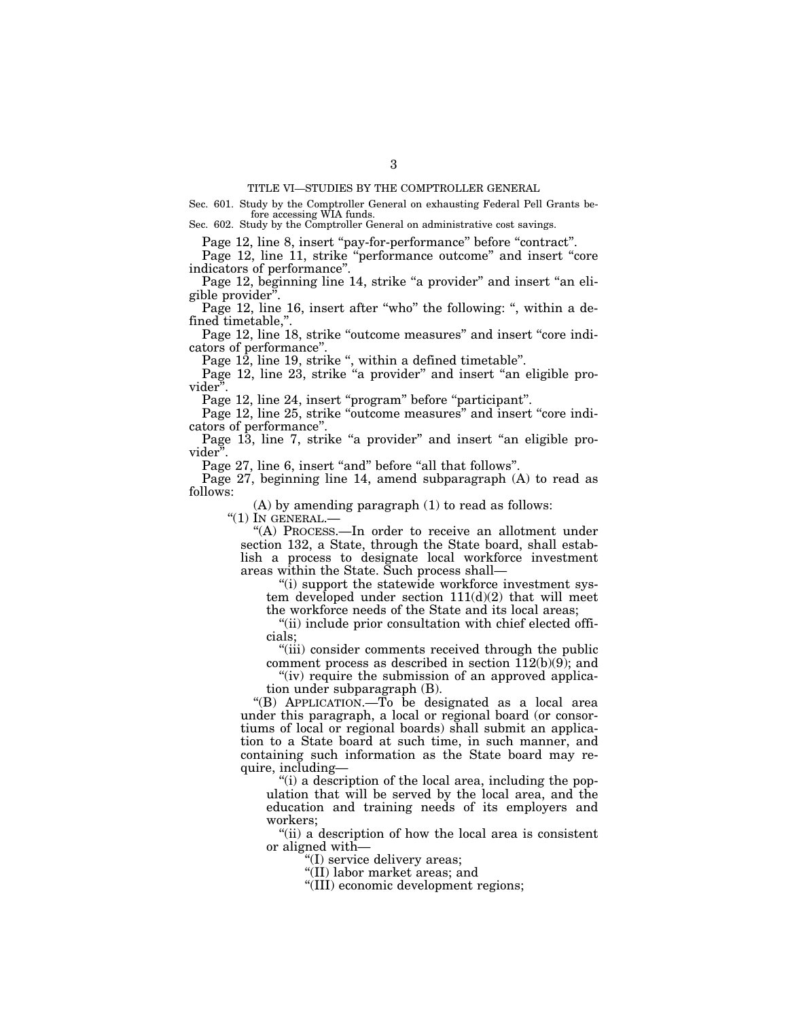Sec. 601. Study by the Comptroller General on exhausting Federal Pell Grants before accessing WIA funds.

Sec. 602. Study by the Comptroller General on administrative cost savings.

Page 12, line 8, insert "pay-for-performance" before "contract".

Page 12, line 11, strike "performance outcome" and insert "core indicators of performance''.

Page 12, beginning line 14, strike "a provider" and insert "an eligible provider''.

Page 12, line 16, insert after "who" the following: ", within a defined timetable,''.

Page 12, line 18, strike "outcome measures" and insert "core indicators of performance''.

Page 12, line 19, strike ", within a defined timetable".

Page 12, line 23, strike "a provider" and insert "an eligible provider''.

Page 12, line 24, insert "program" before "participant".

Page 12, line 25, strike "outcome measures" and insert "core indicators of performance''.

Page 13, line 7, strike "a provider" and insert "an eligible provider''.

Page 27, line 6, insert "and" before "all that follows".

Page 27, beginning line 14, amend subparagraph (A) to read as follows:

(A) by amending paragraph (1) to read as follows:

 $"(1)$  In GENERAL. $-$ 

''(A) PROCESS.—In order to receive an allotment under section 132, a State, through the State board, shall establish a process to designate local workforce investment areas within the State. Such process shall—

''(i) support the statewide workforce investment system developed under section  $111(d)(2)$  that will meet the workforce needs of the State and its local areas;

''(ii) include prior consultation with chief elected officials;

''(iii) consider comments received through the public comment process as described in section 112(b)(9); and

"(iv) require the submission of an approved application under subparagraph (B).

''(B) APPLICATION.—To be designated as a local area under this paragraph, a local or regional board (or consortiums of local or regional boards) shall submit an application to a State board at such time, in such manner, and containing such information as the State board may require, including—

''(i) a description of the local area, including the population that will be served by the local area, and the education and training needs of its employers and workers;

''(ii) a description of how the local area is consistent or aligned with—

''(I) service delivery areas;

''(II) labor market areas; and

''(III) economic development regions;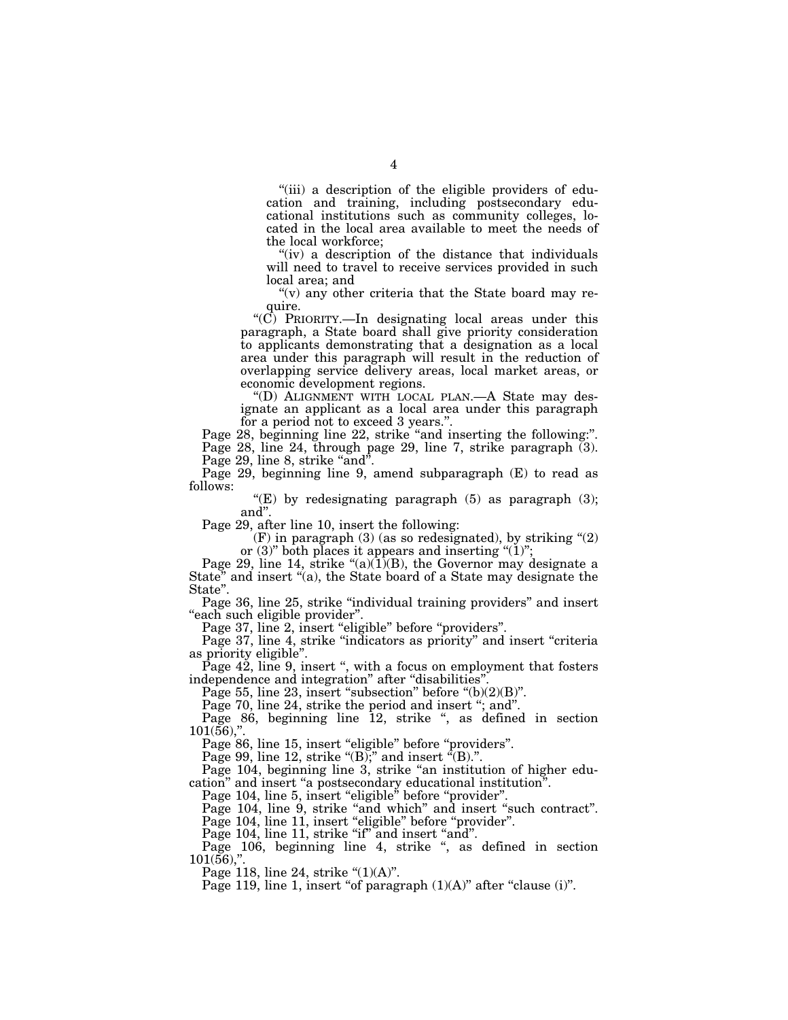"(iii) a description of the eligible providers of education and training, including postsecondary educational institutions such as community colleges, located in the local area available to meet the needs of the local workforce;

"(iv) a description of the distance that individuals will need to travel to receive services provided in such local area; and

" $(v)$  any other criteria that the State board may require.

" $(C)$  PRIORITY.—In designating local areas under this paragraph, a State board shall give priority consideration to applicants demonstrating that a designation as a local area under this paragraph will result in the reduction of overlapping service delivery areas, local market areas, or economic development regions.

''(D) ALIGNMENT WITH LOCAL PLAN.—A State may designate an applicant as a local area under this paragraph for a period not to exceed 3 years.''.

Page 28, beginning line 22, strike "and inserting the following:". Page 28, line 24, through page 29, line 7, strike paragraph (3). Page 29, line 8, strike "and".

Page 29, beginning line 9, amend subparagraph (E) to read as follows:

"(E) by redesignating paragraph  $(5)$  as paragraph  $(3)$ ; and''.

Page 29, after line 10, insert the following:

 $(F)$  in paragraph  $(3)$  (as so redesignated), by striking " $(2)$ or  $(3)$ " both places it appears and inserting " $(1)$ ";

Page 29, line 14, strike  $\lq( a)(1)(B)$ , the Governor may designate a State" and insert "(a), the State board of a State may designate the State".

Page 36, line 25, strike "individual training providers" and insert "each such eligible provider".

Page 37, line 2, insert "eligible" before "providers".

Page 37, line 4, strike "indicators as priority" and insert "criteria as priority eligible''.

Page 42, line 9, insert ", with a focus on employment that fosters independence and integration'' after ''disabilities''.

Page 55, line 23, insert "subsection" before " $(b)(2)(B)$ ".

Page 70, line 24, strike the period and insert "; and".

Page 86, beginning line 12, strike ", as defined in section  $101(56)$ ,"

Page 86, line 15, insert "eligible" before "providers".

Page 99, line 12, strike " $(B)$ ;" and insert " $(B)$ .".

Page 104, beginning line 3, strike "an institution of higher education'' and insert ''a postsecondary educational institution''.

Page 104, line 5, insert "eligible" before "provider".

Page 104, line 9, strike "and which" and insert "such contract".

Page 104, line 11, insert "eligible" before "provider".

Page 104, line 11, strike "if" and insert "and".

Page 104, line 11, strike in and moore and .  $101(56)$ ,"

Page 118, line 24, strike " $(1)(A)$ ".

Page 119, line 1, insert "of paragraph  $(1)(A)$ " after "clause  $(i)$ ".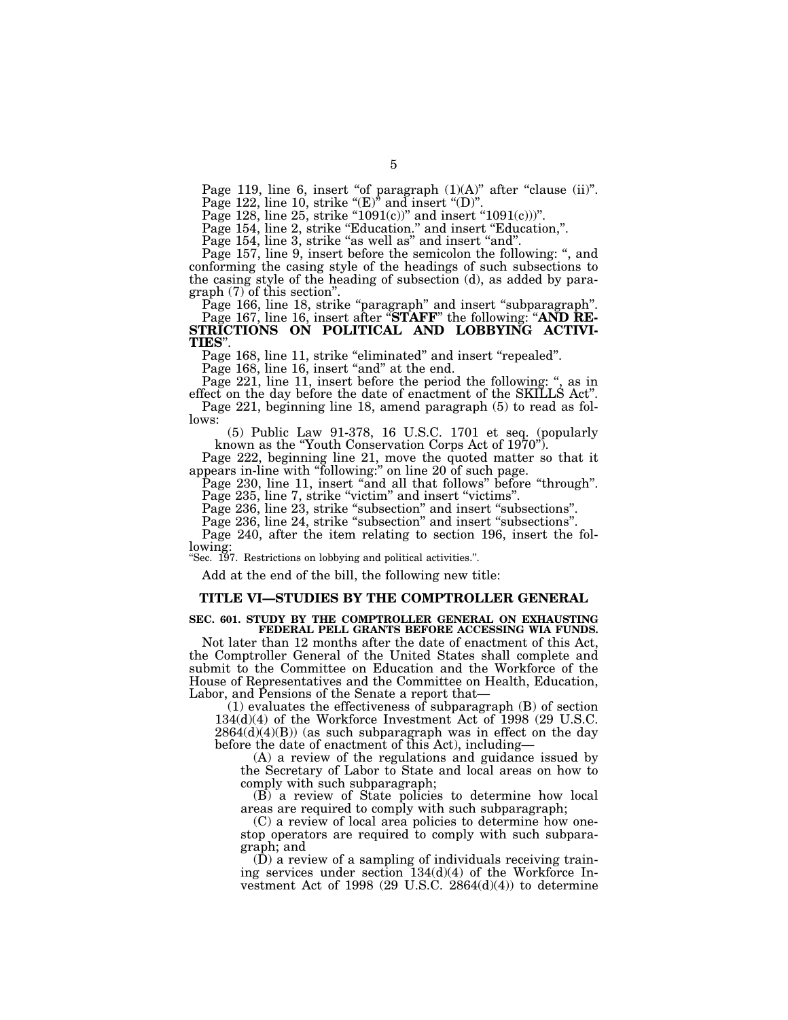Page 119, line 6, insert "of paragraph  $(1)(A)$ " after "clause  $(ii)$ ".

Page 122, line 10, strike " $(E)$ " and insert " $(D)$ ".

Page 128, line 25, strike "1091 $(c)$ " and insert "1091 $(c)$ )".

Page 154, line 2, strike "Education." and insert "Education,".

Page 154, line 3, strike "as well as" and insert "and".

Page 157, line 9, insert before the semicolon the following: '', and conforming the casing style of the headings of such subsections to the casing style of the heading of subsection (d), as added by paragraph (7) of this section''.

Page 166, line 18, strike "paragraph" and insert "subparagraph".

Page 167, line 16, insert after "**STAFF**" the following: "AND RE-**STRICTIONS ON POLITICAL AND LOBBYING ACTIVI-TIES**''.

Page 168, line 11, strike "eliminated" and insert "repealed".

Page 168, line 16, insert "and" at the end.

Page 221, line 11, insert before the period the following: ", as in

effect on the day before the date of enactment of the SKILLS Act''. Page 221, beginning line 18, amend paragraph (5) to read as follows:

(5) Public Law 91-378, 16 U.S.C. 1701 et seq. (popularly known as the "Youth Conservation Corps Act of 1970".

Page 222, beginning line 21, move the quoted matter so that it appears in-line with ''following:'' on line 20 of such page.

Page 230, line 11, insert "and all that follows" before "through". Page 235, line 7, strike "victim" and insert "victims".

Page 236, line 23, strike "subsection" and insert "subsections".

Page 236, line 24, strike "subsection" and insert "subsections".

Page 240, after the item relating to section 196, insert the following:

''Sec. 197. Restrictions on lobbying and political activities.''.

Add at the end of the bill, the following new title:

# **TITLE VI—STUDIES BY THE COMPTROLLER GENERAL**

### **SEC. 601. STUDY BY THE COMPTROLLER GENERAL ON EXHAUSTING FEDERAL PELL GRANTS BEFORE ACCESSING WIA FUNDS.**

Not later than 12 months after the date of enactment of this Act, the Comptroller General of the United States shall complete and submit to the Committee on Education and the Workforce of the House of Representatives and the Committee on Health, Education, Labor, and Pensions of the Senate a report that—

(1) evaluates the effectiveness of subparagraph (B) of section 134(d)(4) of the Workforce Investment Act of 1998 (29 U.S.C.  $2864(d)(4)(B)$  (as such subparagraph was in effect on the day before the date of enactment of this Act), including—

(A) a review of the regulations and guidance issued by the Secretary of Labor to State and local areas on how to comply with such subparagraph;

(B) a review of State policies to determine how local areas are required to comply with such subparagraph;

(C) a review of local area policies to determine how onestop operators are required to comply with such subparagraph; and

(D) a review of a sampling of individuals receiving training services under section 134(d)(4) of the Workforce Investment Act of 1998 (29 U.S.C. 2864(d)(4)) to determine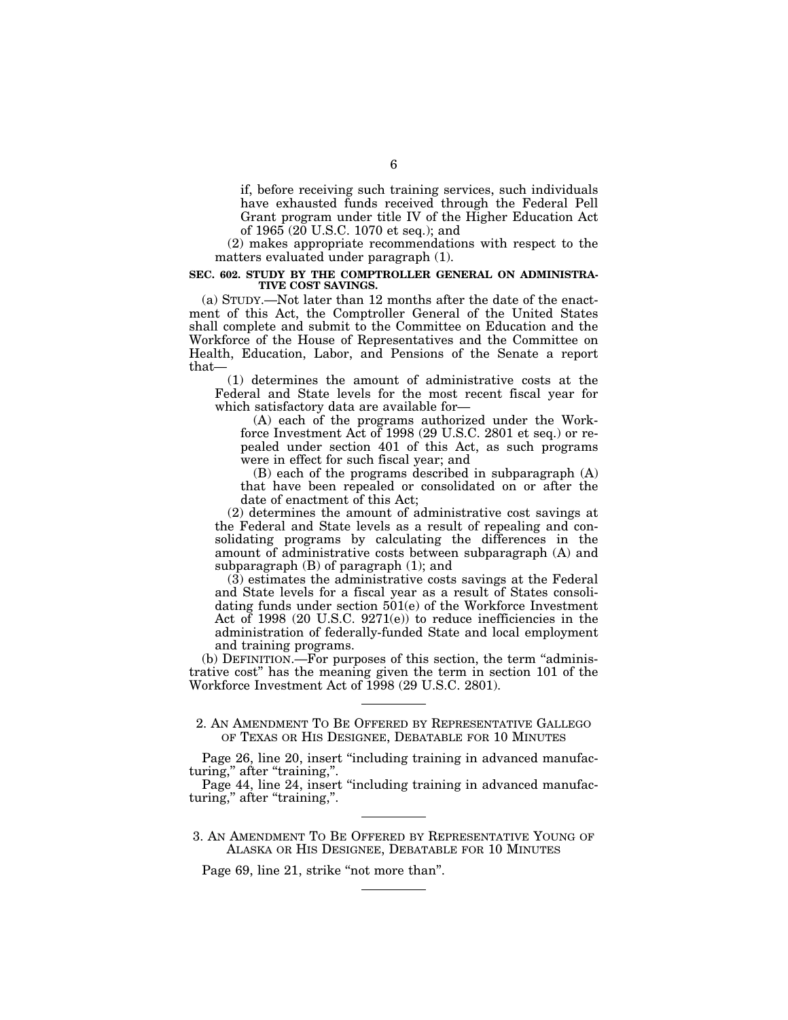if, before receiving such training services, such individuals have exhausted funds received through the Federal Pell Grant program under title IV of the Higher Education Act of 1965 (20 U.S.C. 1070 et seq.); and

(2) makes appropriate recommendations with respect to the matters evaluated under paragraph (1).

# **SEC. 602. STUDY BY THE COMPTROLLER GENERAL ON ADMINISTRA-TIVE COST SAVINGS.**

(a) STUDY.—Not later than 12 months after the date of the enactment of this Act, the Comptroller General of the United States shall complete and submit to the Committee on Education and the Workforce of the House of Representatives and the Committee on Health, Education, Labor, and Pensions of the Senate a report that—

(1) determines the amount of administrative costs at the Federal and State levels for the most recent fiscal year for which satisfactory data are available for—

(A) each of the programs authorized under the Workforce Investment Act of 1998 (29 U.S.C. 2801 et seq.) or repealed under section 401 of this Act, as such programs were in effect for such fiscal year; and

(B) each of the programs described in subparagraph (A) that have been repealed or consolidated on or after the date of enactment of this Act;

(2) determines the amount of administrative cost savings at the Federal and State levels as a result of repealing and consolidating programs by calculating the differences in the amount of administrative costs between subparagraph (A) and subparagraph (B) of paragraph (1); and

(3) estimates the administrative costs savings at the Federal and State levels for a fiscal year as a result of States consolidating funds under section 501(e) of the Workforce Investment Act of 1998 (20 U.S.C. 9271(e)) to reduce inefficiencies in the administration of federally-funded State and local employment and training programs.

(b) DEFINITION.—For purposes of this section, the term ''administrative cost'' has the meaning given the term in section 101 of the Workforce Investment Act of 1998 (29 U.S.C. 2801).

# 2. AN AMENDMENT TO BE OFFERED BY REPRESENTATIVE GALLEGO OF TEXAS OR HIS DESIGNEE, DEBATABLE FOR 10 MINUTES

Page 26, line 20, insert "including training in advanced manufacturing," after "training,".

Page 44, line 24, insert "including training in advanced manufacturing," after "training,".

3. AN AMENDMENT TO BE OFFERED BY REPRESENTATIVE YOUNG OF ALASKA OR HIS DESIGNEE, DEBATABLE FOR 10 MINUTES

Page 69, line 21, strike "not more than".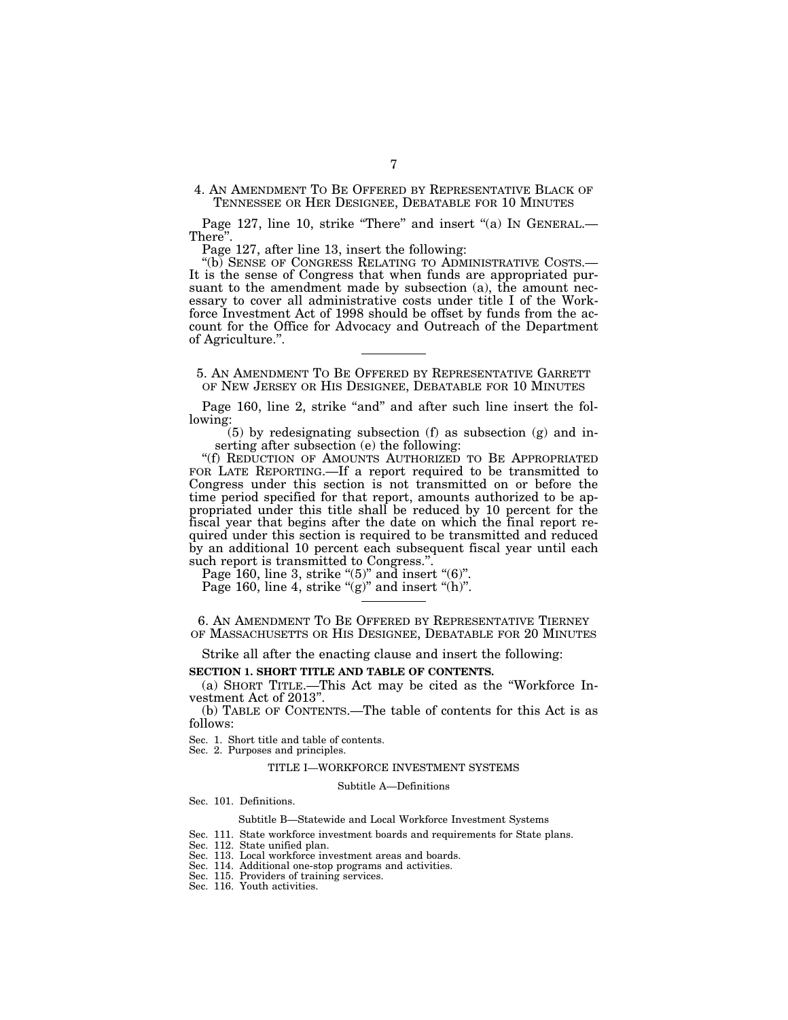4. AN AMENDMENT TO BE OFFERED BY REPRESENTATIVE BLACK OF TENNESSEE OR HER DESIGNEE, DEBATABLE FOR 10 MINUTES

Page 127, line 10, strike "There" and insert "(a) IN GENERAL.— There''.

Page 127, after line 13, insert the following:

''(b) SENSE OF CONGRESS RELATING TO ADMINISTRATIVE COSTS.— It is the sense of Congress that when funds are appropriated pursuant to the amendment made by subsection (a), the amount necessary to cover all administrative costs under title I of the Workforce Investment Act of 1998 should be offset by funds from the account for the Office for Advocacy and Outreach of the Department of Agriculture.''.

5. AN AMENDMENT TO BE OFFERED BY REPRESENTATIVE GARRETT OF NEW JERSEY OR HIS DESIGNEE, DEBATABLE FOR 10 MINUTES

Page 160, line 2, strike "and" and after such line insert the following:

 $(5)$  by redesignating subsection  $(f)$  as subsection  $(g)$  and inserting after subsection (e) the following:

''(f) REDUCTION OF AMOUNTS AUTHORIZED TO BE APPROPRIATED FOR LATE REPORTING.—If a report required to be transmitted to Congress under this section is not transmitted on or before the time period specified for that report, amounts authorized to be appropriated under this title shall be reduced by 10 percent for the fiscal year that begins after the date on which the final report required under this section is required to be transmitted and reduced by an additional 10 percent each subsequent fiscal year until each such report is transmitted to Congress.".

Page 160, line 3, strike " $(5)$ " and insert " $(6)$ ".

Page 160, line 4, strike " $(g)$ " and insert " $(h)$ ".

6. AN AMENDMENT TO BE OFFERED BY REPRESENTATIVE TIERNEY OF MASSACHUSETTS OR HIS DESIGNEE, DEBATABLE FOR 20 MINUTES

Strike all after the enacting clause and insert the following:

# **SECTION 1. SHORT TITLE AND TABLE OF CONTENTS.**

(a) SHORT TITLE.—This Act may be cited as the ''Workforce Investment Act of 2013''.

(b) TABLE OF CONTENTS.—The table of contents for this Act is as follows:

Sec. 1. Short title and table of contents.

Sec. 2. Purposes and principles.

## TITLE I—WORKFORCE INVESTMENT SYSTEMS

Subtitle A—Definitions

Sec. 101. Definitions.

## Subtitle B—Statewide and Local Workforce Investment Systems

Sec. 111. State workforce investment boards and requirements for State plans.

Sec. 112. State unified plan.

Sec. 113. Local workforce investment areas and boards.

Sec. 114. Additional one-stop programs and activities.

Sec. 115. Providers of training services.

Sec. 116. Youth activities.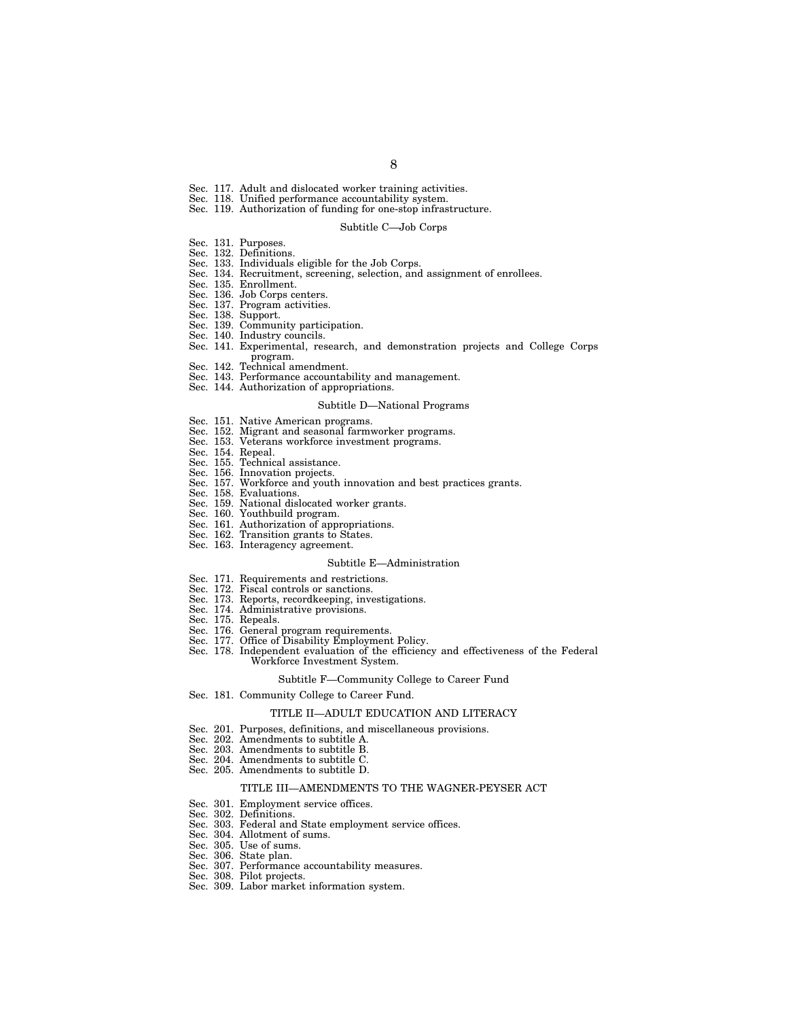- Sec. 117. Adult and dislocated worker training activities.
- Sec. 118. Unified performance accountability system.
- Sec. 119. Authorization of funding for one-stop infrastructure.

### Subtitle C—Job Corps

- Sec. 131. Purposes.
- Sec. 132. Definitions.
- Sec. 133. Individuals eligible for the Job Corps.
- Sec. 134. Recruitment, screening, selection, and assignment of enrollees.
- Sec. 135. Enrollment.
- Sec. 136. Job Corps centers.<br>Sec. 137. Program activities
- Program activities.
- Sec. 138. Support.
- Sec. 139. Community participation.
- Sec. 140. Industry councils.
- Sec. 141. Experimental, research, and demonstration projects and College Corps program.
- Sec. 142. Technical amendment.
- Sec. 143. Performance accountability and management.
- Sec. 144. Authorization of appropriations.

#### Subtitle D—National Programs

- Sec. 151. Native American programs.<br>Sec. 152. Migrant and seasonal farmy
- Sec. 152. Migrant and seasonal farmworker programs.
- Veterans workforce investment programs.<br>Repeal.
- 
- Sec. 154.<br>Sec. 155. Sec. 155. Technical assistance.<br>Sec. 156. Innovation projects.
- 
- Sec. 156. Innovation projects.<br>Sec. 157. Workforce and yout<br>Sec. 158. Evaluations. Workforce and youth innovation and best practices grants.
- Sec. 158. Evaluations.<br>Sec. 159. National dis
- National dislocated worker grants.
- Sec. 160. Youthbuild program.
- Sec. 161. Authorization of appropriations.
- Sec. 162. Transition grants to States.
- Sec. 163. Interagency agreement.

#### Subtitle E—Administration

- Sec. 171. Requirements and restrictions.
- Sec. 172. Fiscal controls or sanctions.
- Sec. 173. Reports, recordkeeping, investigations.
- Sec. 174. Administrative provisions.
- Sec. 175. Repeals.
- Sec. 176. General program requirements.
- Sec. 177. Office of Disability Employment Policy.
- Sec. 178. Independent evaluation of the efficiency and effectiveness of the Federal Workforce Investment System.

### Subtitle F—Community College to Career Fund

Sec. 181. Community College to Career Fund.

#### TITLE II—ADULT EDUCATION AND LITERACY

- Sec. 201. Purposes, definitions, and miscellaneous provisions.
- Sec. 202. Amendments to subtitle A.
- Sec. 203. Amendments to subtitle B.
- Sec. 204. Amendments to subtitle C.
- Sec. 205. Amendments to subtitle D.

#### TITLE III—AMENDMENTS TO THE WAGNER-PEYSER ACT

- Sec. 301. Employment service offices.<br>Sec. 302. Definitions.
- Definitions.
- Sec. 303. Federal and State employment service offices.
- Sec. 304. Allotment of sums.
- Sec. 305. Use of sums.
- Sec. 306. State plan.
- Sec. 307. Performance accountability measures.
- Sec. 308. Pilot projects.
- Sec. 309. Labor market information system.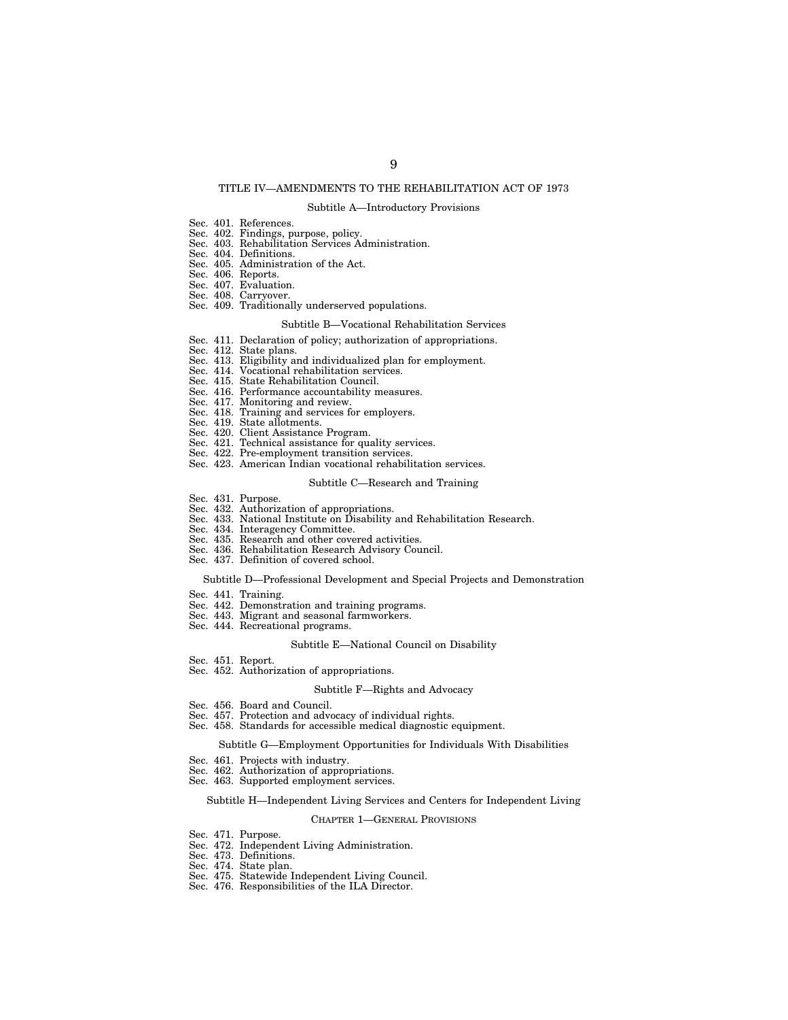# TITLE IV—AMENDMENTS TO THE REHABILITATION ACT OF 1973

#### Subtitle A—Introductory Provisions

- Sec. 401. References.
- Sec. 402. Findings, purpose, policy.
- Sec. 403. Rehabilitation Services Administration. Sec. 404. Definitions.
- Sec. 405. Administration of the Act.
- Sec. 406. Reports.
- Sec. 407. Evaluation.
- Sec. 408. Carryover.
- Sec. 409. Traditionally underserved populations.

### Subtitle B—Vocational Rehabilitation Services

- Sec. 411. Declaration of policy; authorization of appropriations.<br>Sec. 412. State plans.
- Sec. 412. State plans.<br>Sec. 413. Eligibility a
- Sec. 413. Eligibility and individualized plan for employment.<br>Sec. 414. Vocational rehabilitation services.
- Sec. 414. Vocational rehabilitation services.<br>Sec. 415. State Rehabilitation Council.
- State Rehabilitation Council.
- Sec. 416. Performance accountability measures.
- Sec. 417. Monitoring and review.
- Sec. 418. Training and services for employers.
- Sec. 419. State allotments.
- Sec. 420. Client Assistance Program.
- Sec. 421. Technical assistance for quality services.
- Sec. 422. Pre-employment transition services.
- Sec. 423. American Indian vocational rehabilitation services.

### Subtitle C—Research and Training

- Sec. 431. Purpose.
- Sec. 432. Authorization of appropriations.
- Sec. 433. National Institute on Disability and Rehabilitation Research.
- Sec. 434. Interagency Committee.
- Sec. 435. Research and other covered activities.
- Sec. 436. Rehabilitation Research Advisory Council.
- Sec. 437. Definition of covered school.

## Subtitle D—Professional Development and Special Projects and Demonstration

- Sec. 441. Training.
- Sec. 442. Demonstration and training programs.
- Sec. 443. Migrant and seasonal farmworkers.
- Sec. 444. Recreational programs.

### Subtitle E—National Council on Disability

- Sec. 451. Report.
- Sec. 452. Authorization of appropriations.

#### Subtitle F—Rights and Advocacy

- Sec. 456. Board and Council.
- Sec. 457. Protection and advocacy of individual rights.
- Sec. 458. Standards for accessible medical diagnostic equipment.

# Subtitle G—Employment Opportunities for Individuals With Disabilities

- Sec. 461. Projects with industry.
- Sec. 462. Authorization of appropriations.
- Sec. 463. Supported employment services.

## Subtitle H—Independent Living Services and Centers for Independent Living

#### CHAPTER 1—GENERAL PROVISIONS

- Sec. 471. Purpose.
- Sec. 472. Independent Living Administration.
- Sec. 473. Definitions.
- Sec. 474. State plan.
- Sec. 475. Statewide Independent Living Council.
- Sec. 476. Responsibilities of the ILA Director.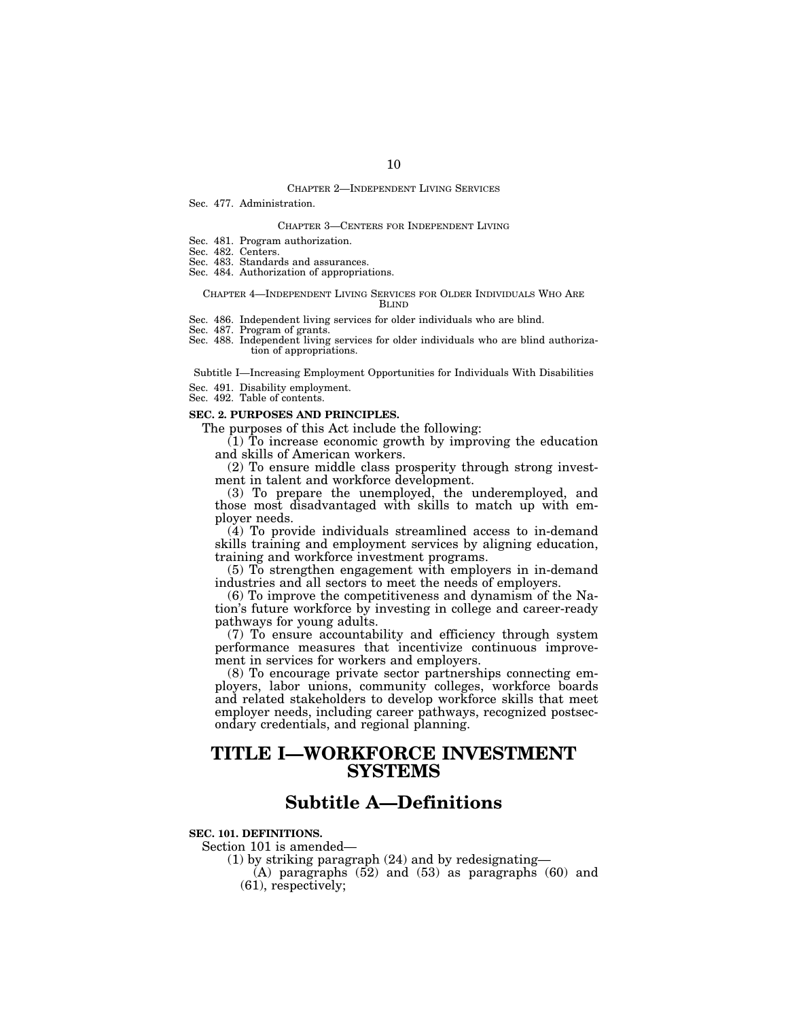## CHAPTER 2—INDEPENDENT LIVING SERVICES

# Sec. 477. Administration.

# CHAPTER 3—CENTERS FOR INDEPENDENT LIVING

- Sec. 481. Program authorization.
- Sec. 482. Centers.
- Sec. 483. Standards and assurances. Sec. 484. Authorization of appropriations.
- 

#### CHAPTER 4—INDEPENDENT LIVING SERVICES FOR OLDER INDIVIDUALS WHO ARE BLIND

- Sec. 486. Independent living services for older individuals who are blind.
- Sec. 487. Program of grants. Sec. 488. Independent living services for older individuals who are blind authorization of appropriations.

Subtitle I—Increasing Employment Opportunities for Individuals With Disabilities

- Sec. 491. Disability employment.
- Sec. 492. Table of contents.

#### **SEC. 2. PURPOSES AND PRINCIPLES.**

The purposes of this Act include the following:

 $(1)$  To increase economic growth by improving the education and skills of American workers.

(2) To ensure middle class prosperity through strong investment in talent and workforce development.

(3) To prepare the unemployed, the underemployed, and those most disadvantaged with skills to match up with employer needs.

(4) To provide individuals streamlined access to in-demand skills training and employment services by aligning education, training and workforce investment programs.

(5) To strengthen engagement with employers in in-demand industries and all sectors to meet the needs of employers.

(6) To improve the competitiveness and dynamism of the Nation's future workforce by investing in college and career-ready pathways for young adults.

(7) To ensure accountability and efficiency through system performance measures that incentivize continuous improvement in services for workers and employers.

(8) To encourage private sector partnerships connecting employers, labor unions, community colleges, workforce boards and related stakeholders to develop workforce skills that meet employer needs, including career pathways, recognized postsecondary credentials, and regional planning.

# **TITLE I—WORKFORCE INVESTMENT SYSTEMS**

# **Subtitle A—Definitions**

**SEC. 101. DEFINITIONS.** 

Section 101 is amended—

(1) by striking paragraph (24) and by redesignating—

 $(A)$  paragraphs  $(52)$  and  $(53)$  as paragraphs  $(60)$  and (61), respectively;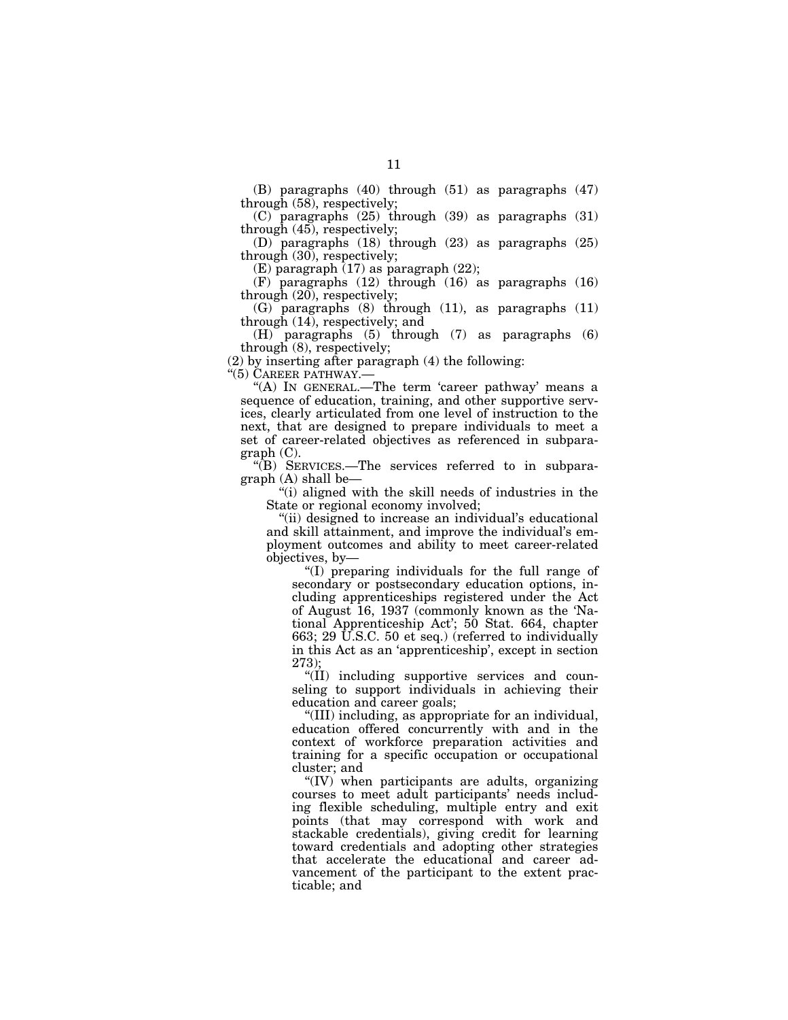(B) paragraphs (40) through (51) as paragraphs (47) through (58), respectively;

(C) paragraphs (25) through (39) as paragraphs (31) through (45), respectively;

(D) paragraphs (18) through (23) as paragraphs (25) through (30), respectively;

 $(E)$  paragraph  $(17)$  as paragraph  $(22)$ ;

(F) paragraphs (12) through (16) as paragraphs (16) through  $(20)$ , respectively;

(G) paragraphs (8) through (11), as paragraphs (11) through (14), respectively; and

(H) paragraphs (5) through (7) as paragraphs (6) through (8), respectively;

(2) by inserting after paragraph (4) the following:

''(5) CAREER PATHWAY.—

"(A) In GENERAL.—The term 'career pathway' means a sequence of education, training, and other supportive services, clearly articulated from one level of instruction to the next, that are designed to prepare individuals to meet a set of career-related objectives as referenced in subparagraph (C).

''(B) SERVICES.—The services referred to in subparagraph (A) shall be—

''(i) aligned with the skill needs of industries in the State or regional economy involved;

''(ii) designed to increase an individual's educational and skill attainment, and improve the individual's employment outcomes and ability to meet career-related objectives, by—

''(I) preparing individuals for the full range of secondary or postsecondary education options, including apprenticeships registered under the Act of August 16, 1937 (commonly known as the 'National Apprenticeship Act'; 50 Stat. 664, chapter 663; 29 U.S.C. 50 et seq.) (referred to individually in this Act as an 'apprenticeship', except in section 273);

''(II) including supportive services and counseling to support individuals in achieving their education and career goals;

''(III) including, as appropriate for an individual, education offered concurrently with and in the context of workforce preparation activities and training for a specific occupation or occupational cluster; and

''(IV) when participants are adults, organizing courses to meet adult participants' needs including flexible scheduling, multiple entry and exit points (that may correspond with work and stackable credentials), giving credit for learning toward credentials and adopting other strategies that accelerate the educational and career advancement of the participant to the extent practicable; and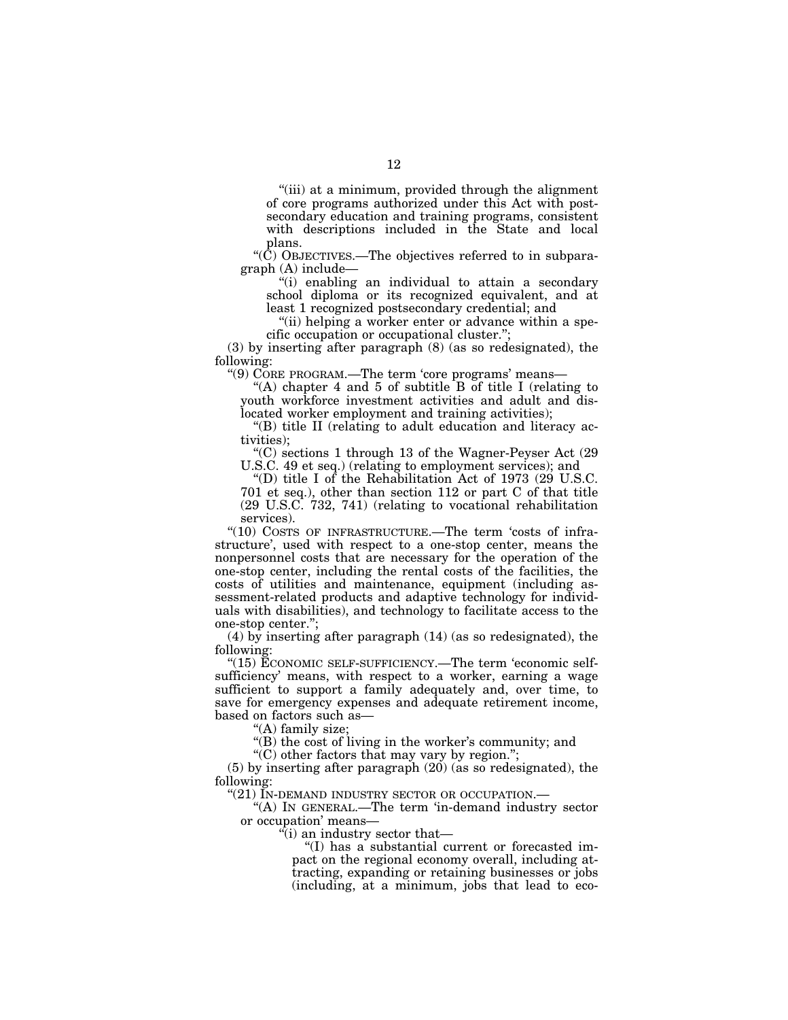''(iii) at a minimum, provided through the alignment of core programs authorized under this Act with postsecondary education and training programs, consistent with descriptions included in the State and local plans.

''(C) OBJECTIVES.—The objectives referred to in subparagraph (A) include—

''(i) enabling an individual to attain a secondary school diploma or its recognized equivalent, and at least 1 recognized postsecondary credential; and

"(ii) helping a worker enter or advance within a specific occupation or occupational cluster.'';

(3) by inserting after paragraph (8) (as so redesignated), the following:

"(9) CORE PROGRAM.—The term 'core programs' means-

"(A) chapter 4 and 5 of subtitle B of title I (relating to youth workforce investment activities and adult and dislocated worker employment and training activities);

''(B) title II (relating to adult education and literacy activities);

''(C) sections 1 through 13 of the Wagner-Peyser Act (29 U.S.C. 49 et seq.) (relating to employment services); and

''(D) title I of the Rehabilitation Act of 1973 (29 U.S.C. 701 et seq.), other than section 112 or part C of that title (29 U.S.C. 732, 741) (relating to vocational rehabilitation services).

"(10) COSTS OF INFRASTRUCTURE.—The term 'costs of infrastructure', used with respect to a one-stop center, means the nonpersonnel costs that are necessary for the operation of the one-stop center, including the rental costs of the facilities, the costs of utilities and maintenance, equipment (including assessment-related products and adaptive technology for individuals with disabilities), and technology to facilitate access to the one-stop center.'';

(4) by inserting after paragraph (14) (as so redesignated), the following:

"(15) ECONOMIC SELF-SUFFICIENCY.—The term 'economic selfsufficiency' means, with respect to a worker, earning a wage sufficient to support a family adequately and, over time, to save for emergency expenses and adequate retirement income, based on factors such as—

"(A) family size;

''(B) the cost of living in the worker's community; and

''(C) other factors that may vary by region.'';

(5) by inserting after paragraph (20) (as so redesignated), the following:

"(21) IN-DEMAND INDUSTRY SECTOR OR OCCUPATION.—

''(A) IN GENERAL.—The term 'in-demand industry sector or occupation' means—

 $\mathbf{u}$ <sup>c</sup>(i) an industry sector that—

''(I) has a substantial current or forecasted impact on the regional economy overall, including attracting, expanding or retaining businesses or jobs (including, at a minimum, jobs that lead to eco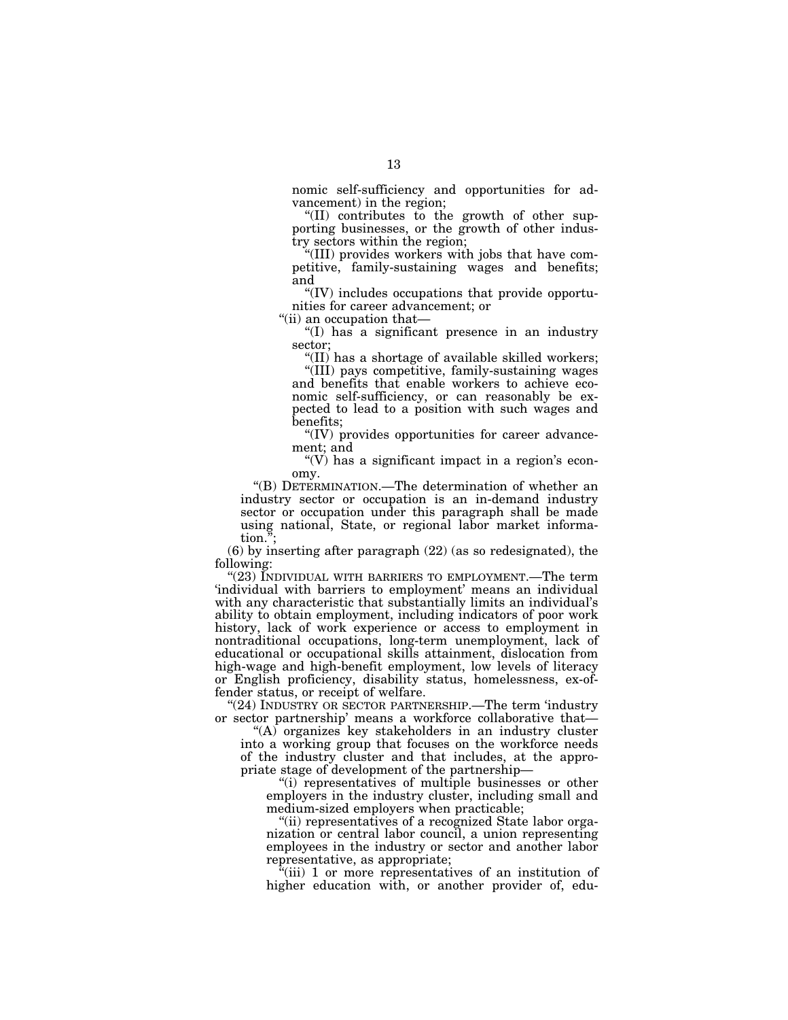nomic self-sufficiency and opportunities for advancement) in the region;

''(II) contributes to the growth of other supporting businesses, or the growth of other industry sectors within the region;

''(III) provides workers with jobs that have competitive, family-sustaining wages and benefits; and

''(IV) includes occupations that provide opportunities for career advancement; or

''(ii) an occupation that—

''(I) has a significant presence in an industry sector;

''(II) has a shortage of available skilled workers; ''(III) pays competitive, family-sustaining wages and benefits that enable workers to achieve economic self-sufficiency, or can reasonably be expected to lead to a position with such wages and benefits;

''(IV) provides opportunities for career advancement; and

" $(V)$  has a significant impact in a region's economy.

''(B) DETERMINATION.—The determination of whether an industry sector or occupation is an in-demand industry sector or occupation under this paragraph shall be made using national, State, or regional labor market information.'';

(6) by inserting after paragraph (22) (as so redesignated), the following:

"(23) INDIVIDUAL WITH BARRIERS TO EMPLOYMENT.—The term 'individual with barriers to employment' means an individual with any characteristic that substantially limits an individual's ability to obtain employment, including indicators of poor work history, lack of work experience or access to employment in nontraditional occupations, long-term unemployment, lack of educational or occupational skills attainment, dislocation from high-wage and high-benefit employment, low levels of literacy or English proficiency, disability status, homelessness, ex-offender status, or receipt of welfare.

"(24) INDUSTRY OR SECTOR PARTNERSHIP.—The term 'industry or sector partnership' means a workforce collaborative that—

 $(A)$  organizes key stakeholders in an industry cluster into a working group that focuses on the workforce needs of the industry cluster and that includes, at the appropriate stage of development of the partnership—

''(i) representatives of multiple businesses or other employers in the industry cluster, including small and medium-sized employers when practicable;

''(ii) representatives of a recognized State labor organization or central labor council, a union representing employees in the industry or sector and another labor representative, as appropriate;

 $\sqrt[n]{i}$  (iii) 1 or more representatives of an institution of higher education with, or another provider of, edu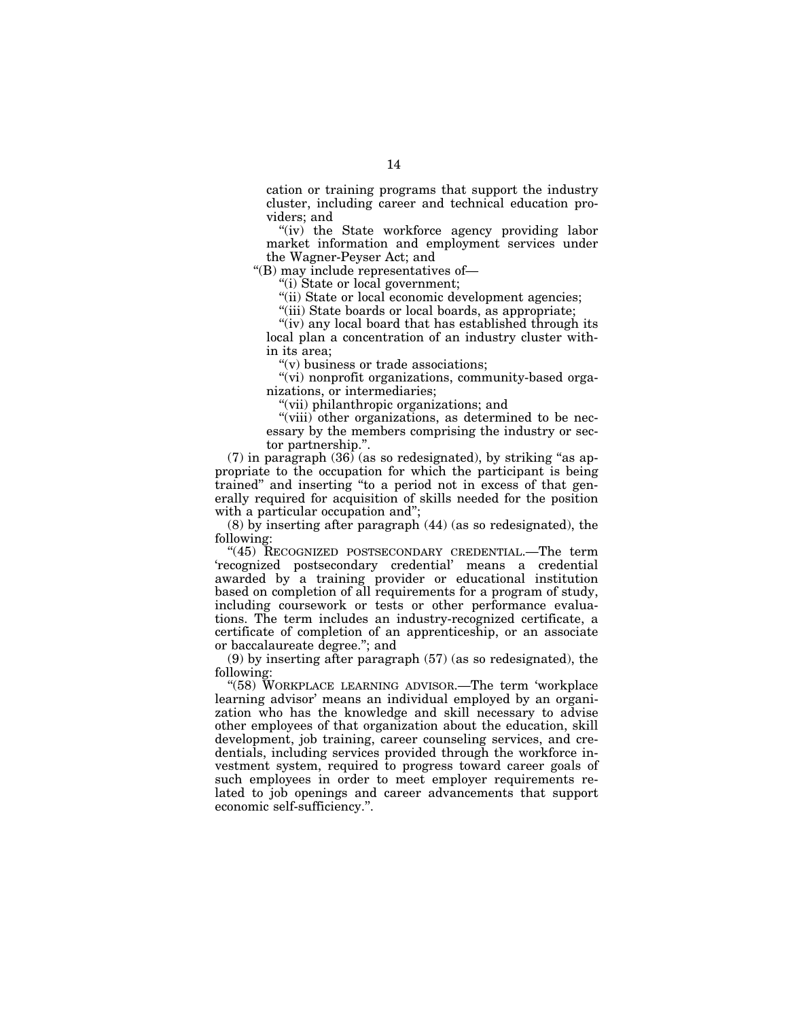cation or training programs that support the industry cluster, including career and technical education providers; and

"(iv) the State workforce agency providing labor market information and employment services under the Wagner-Peyser Act; and

''(B) may include representatives of—

''(i) State or local government;

"(ii) State or local economic development agencies;

"(iii) State boards or local boards, as appropriate;

"(iv) any local board that has established through its local plan a concentration of an industry cluster within its area;

''(v) business or trade associations;

"(vi) nonprofit organizations, community-based organizations, or intermediaries;

''(vii) philanthropic organizations; and

"(viii) other organizations, as determined to be necessary by the members comprising the industry or sector partnership.''.

 $(7)$  in paragraph  $(36)$  (as so redesignated), by striking "as appropriate to the occupation for which the participant is being trained'' and inserting ''to a period not in excess of that generally required for acquisition of skills needed for the position with a particular occupation and";

(8) by inserting after paragraph (44) (as so redesignated), the following:

"(45) RECOGNIZED POSTSECONDARY CREDENTIAL.—The term 'recognized postsecondary credential' means a credential awarded by a training provider or educational institution based on completion of all requirements for a program of study, including coursework or tests or other performance evaluations. The term includes an industry-recognized certificate, a certificate of completion of an apprenticeship, or an associate or baccalaureate degree.''; and

(9) by inserting after paragraph (57) (as so redesignated), the following:

''(58) WORKPLACE LEARNING ADVISOR.—The term 'workplace learning advisor' means an individual employed by an organization who has the knowledge and skill necessary to advise other employees of that organization about the education, skill development, job training, career counseling services, and credentials, including services provided through the workforce investment system, required to progress toward career goals of such employees in order to meet employer requirements related to job openings and career advancements that support economic self-sufficiency.''.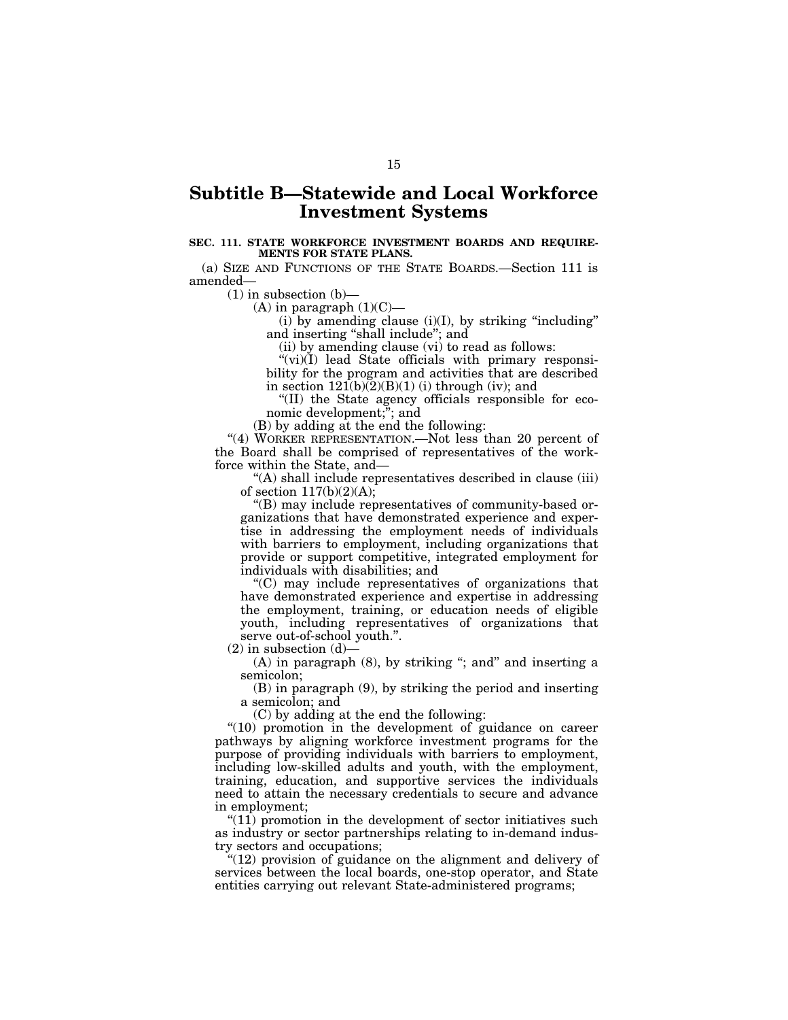# **Subtitle B—Statewide and Local Workforce Investment Systems**

# **SEC. 111. STATE WORKFORCE INVESTMENT BOARDS AND REQUIRE-MENTS FOR STATE PLANS.**

(a) SIZE AND FUNCTIONS OF THE STATE BOARDS.—Section 111 is amended—

 $(1)$  in subsection  $(b)$ —

 $(A)$  in paragraph  $(1)(C)$ —

 $(i)$  by amending clause  $(i)(I)$ , by striking "including" and inserting ''shall include''; and

(ii) by amending clause (vi) to read as follows:

 $(vi)(I)$  lead State officials with primary responsibility for the program and activities that are described in section  $121(b)(2)(B)(1)$  (i) through (iv); and

''(II) the State agency officials responsible for economic development;"; and

(B) by adding at the end the following:

''(4) WORKER REPRESENTATION.—Not less than 20 percent of the Board shall be comprised of representatives of the workforce within the State, and—

''(A) shall include representatives described in clause (iii) of section 117(b)(2)(A);

''(B) may include representatives of community-based organizations that have demonstrated experience and expertise in addressing the employment needs of individuals with barriers to employment, including organizations that provide or support competitive, integrated employment for individuals with disabilities; and

''(C) may include representatives of organizations that have demonstrated experience and expertise in addressing the employment, training, or education needs of eligible youth, including representatives of organizations that serve out-of-school youth.".

 $(2)$  in subsection  $(d)$ -

 $(A)$  in paragraph  $(8)$ , by striking "; and" and inserting a semicolon;

(B) in paragraph (9), by striking the period and inserting a semicolon; and

(C) by adding at the end the following:

"(10) promotion in the development of guidance on career pathways by aligning workforce investment programs for the purpose of providing individuals with barriers to employment, including low-skilled adults and youth, with the employment, training, education, and supportive services the individuals need to attain the necessary credentials to secure and advance in employment;

 $\sqrt[4]{(11)}$  promotion in the development of sector initiatives such as industry or sector partnerships relating to in-demand industry sectors and occupations;

''(12) provision of guidance on the alignment and delivery of services between the local boards, one-stop operator, and State entities carrying out relevant State-administered programs;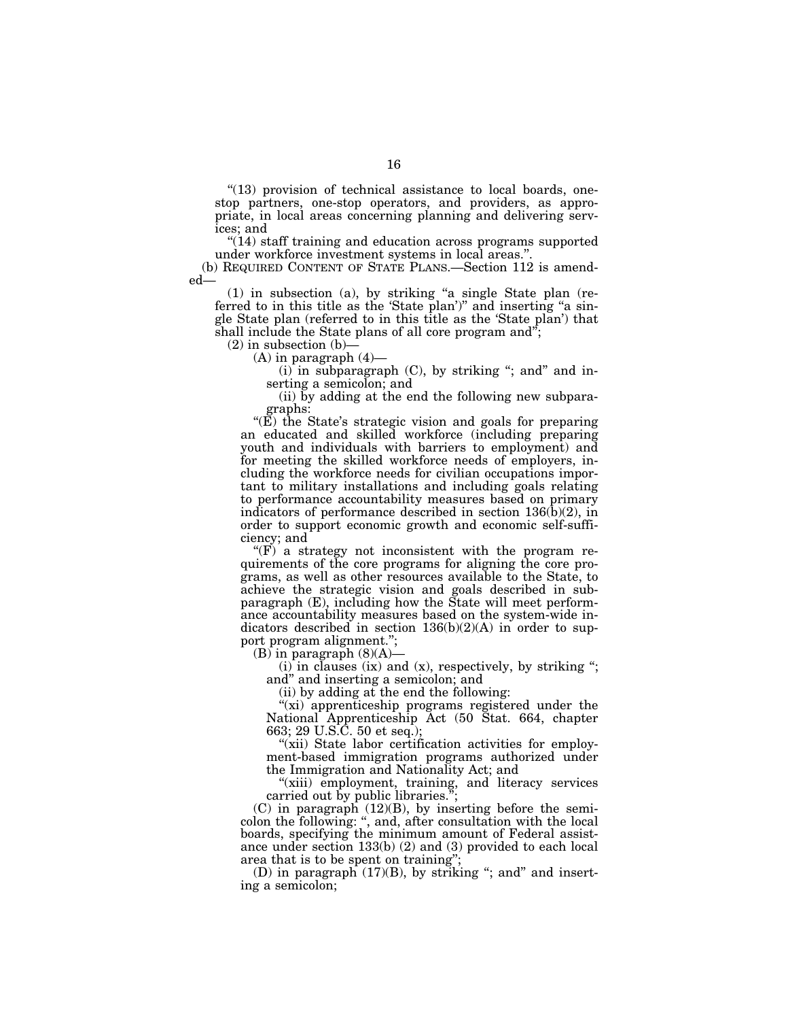$"$ (13) provision of technical assistance to local boards, onestop partners, one-stop operators, and providers, as appropriate, in local areas concerning planning and delivering services; and

''(14) staff training and education across programs supported under workforce investment systems in local areas.''.

(b) REQUIRED CONTENT OF STATE PLANS.—Section 112 is amended—

(1) in subsection (a), by striking ''a single State plan (referred to in this title as the 'State plan')" and inserting "a single State plan (referred to in this title as the 'State plan') that shall include the State plans of all core program and";

 $(2)$  in subsection  $(b)$ 

 $(A)$  in paragraph  $(4)$ —

 $(i)$  in subparagraph  $(C)$ , by striking "; and" and inserting a semicolon; and

(ii) by adding at the end the following new subparagraphs:

" $(E)$  the State's strategic vision and goals for preparing an educated and skilled workforce (including preparing youth and individuals with barriers to employment) and for meeting the skilled workforce needs of employers, including the workforce needs for civilian occupations important to military installations and including goals relating to performance accountability measures based on primary indicators of performance described in section 136(b)(2), in order to support economic growth and economic self-sufficiency; and

" $(F)$  a strategy not inconsistent with the program requirements of the core programs for aligning the core programs, as well as other resources available to the State, to achieve the strategic vision and goals described in subparagraph (E), including how the State will meet performance accountability measures based on the system-wide indicators described in section  $136(b)(2)(A)$  in order to support program alignment.'';

 $(B)$  in paragraph  $(8)(A)$ –

 $(i)$  in clauses (ix) and (x), respectively, by striking "; and'' and inserting a semicolon; and

(ii) by adding at the end the following:

"(xi) apprenticeship programs registered under the National Apprenticeship Act (50 Stat. 664, chapter 663; 29 U.S.C. 50 et seq.);

"(xii) State labor certification activities for employment-based immigration programs authorized under the Immigration and Nationality Act; and

"(xiii) employment, training, and literacy services carried out by public libraries.'';

 $(C)$  in paragraph  $(12)(B)$ , by inserting before the semicolon the following: '', and, after consultation with the local boards, specifying the minimum amount of Federal assistance under section 133(b) (2) and (3) provided to each local area that is to be spent on training'';

(D) in paragraph  $(17)(B)$ , by striking "; and" and inserting a semicolon;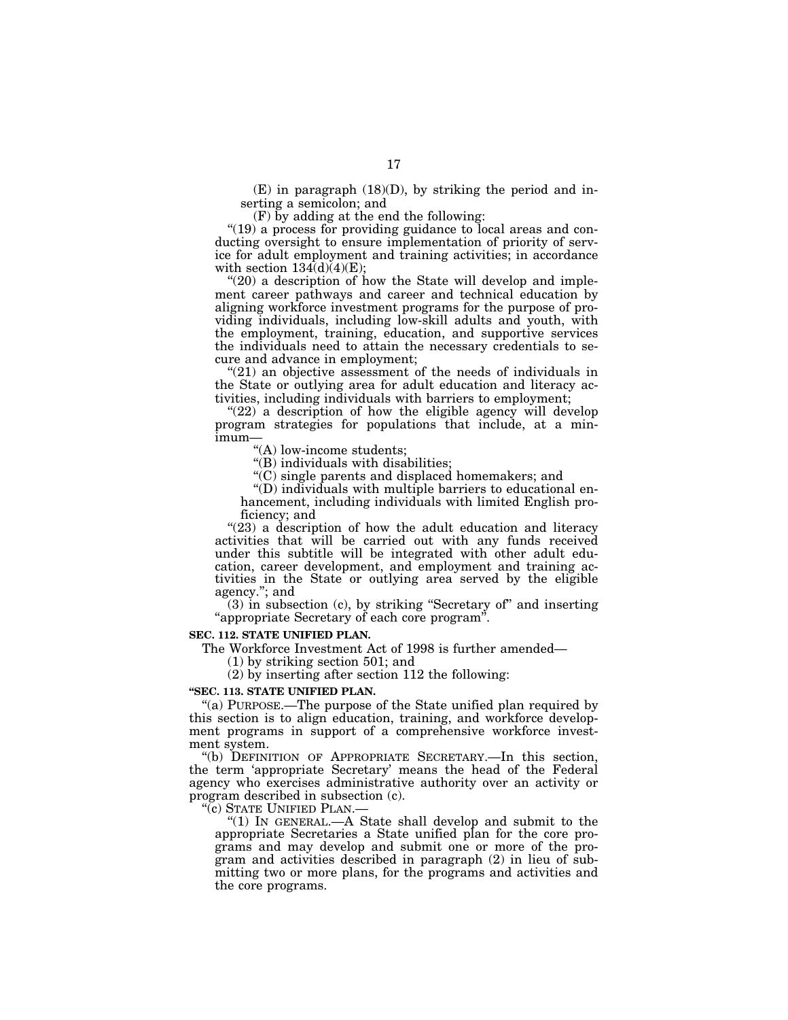$(E)$  in paragraph  $(18)(D)$ , by striking the period and inserting a semicolon; and

(F) by adding at the end the following:

"(19) a process for providing guidance to local areas and conducting oversight to ensure implementation of priority of service for adult employment and training activities; in accordance with section  $134(d)(4)(E)$ ;

" $(20)$  a description of how the State will develop and implement career pathways and career and technical education by aligning workforce investment programs for the purpose of providing individuals, including low-skill adults and youth, with the employment, training, education, and supportive services the individuals need to attain the necessary credentials to secure and advance in employment;

"(21) an objective assessment of the needs of individuals in the State or outlying area for adult education and literacy activities, including individuals with barriers to employment;

 $(22)$  a description of how the eligible agency will develop program strategies for populations that include, at a minimum—

''(A) low-income students;

''(B) individuals with disabilities;

''(C) single parents and displaced homemakers; and

 $\mathrm{``(D)}$  individuals with multiple barriers to educational enhancement, including individuals with limited English proficiency; and

"(23) a description of how the adult education and literacy activities that will be carried out with any funds received under this subtitle will be integrated with other adult education, career development, and employment and training activities in the State or outlying area served by the eligible agency.''; and

(3) in subsection (c), by striking ''Secretary of'' and inserting ''appropriate Secretary of each core program''.

### **SEC. 112. STATE UNIFIED PLAN.**

The Workforce Investment Act of 1998 is further amended—

(1) by striking section 501; and

(2) by inserting after section 112 the following:

# **''SEC. 113. STATE UNIFIED PLAN.**

"(a) PURPOSE.—The purpose of the State unified plan required by this section is to align education, training, and workforce development programs in support of a comprehensive workforce investment system.

''(b) DEFINITION OF APPROPRIATE SECRETARY.—In this section, the term 'appropriate Secretary' means the head of the Federal agency who exercises administrative authority over an activity or program described in subsection (c).

"(c) STATE UNIFIED PLAN.-

''(1) IN GENERAL.—A State shall develop and submit to the appropriate Secretaries a State unified plan for the core programs and may develop and submit one or more of the program and activities described in paragraph (2) in lieu of submitting two or more plans, for the programs and activities and the core programs.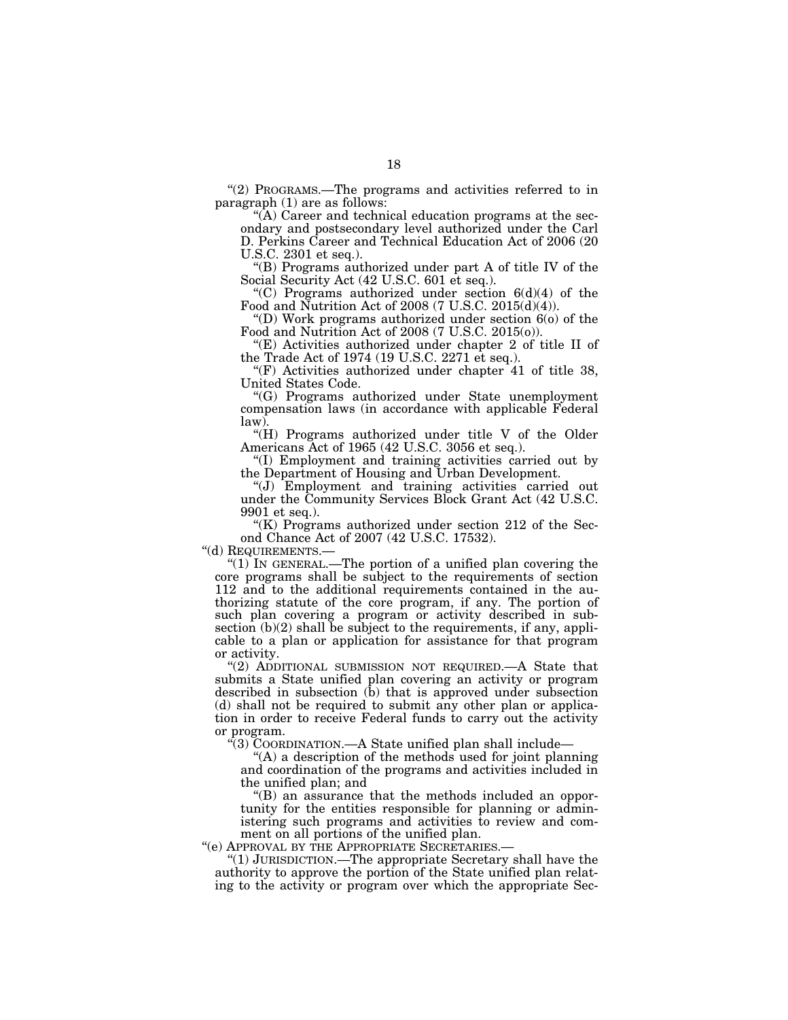''(2) PROGRAMS.—The programs and activities referred to in paragraph (1) are as follows:

''(A) Career and technical education programs at the secondary and postsecondary level authorized under the Carl D. Perkins Career and Technical Education Act of 2006 (20 U.S.C. 2301 et seq.).

''(B) Programs authorized under part A of title IV of the Social Security Act (42 U.S.C. 601 et seq.).

''(C) Programs authorized under section 6(d)(4) of the Food and Nutrition Act of 2008 (7 U.S.C. 2015(d)(4)).

"(D) Work programs authorized under section  $6$ (o) of the Food and Nutrition Act of 2008 (7 U.S.C. 2015(o)).

''(E) Activities authorized under chapter 2 of title II of the Trade Act of 1974 (19 U.S.C. 2271 et seq.).

" $(F)$  Activities authorized under chapter 41 of title 38, United States Code.

''(G) Programs authorized under State unemployment compensation laws (in accordance with applicable Federal law).

" $(H)$  Programs authorized under title V of the Older Americans Act of 1965 (42 U.S.C. 3056 et seq.).

''(I) Employment and training activities carried out by the Department of Housing and Urban Development.

''(J) Employment and training activities carried out under the Community Services Block Grant Act (42 U.S.C. 9901 et seq.).

"(K) Programs authorized under section 212 of the Second Chance Act of 2007 (42 U.S.C. 17532).<br>"(d) REQUIREMENTS.—

"(1) IN GENERAL.—The portion of a unified plan covering the core programs shall be subject to the requirements of section 112 and to the additional requirements contained in the authorizing statute of the core program, if any. The portion of such plan covering a program or activity described in subsection  $(b)(2)$  shall be subject to the requirements, if any, applicable to a plan or application for assistance for that program or activity.

"(2) ADDITIONAL SUBMISSION NOT REQUIRED.—A State that submits a State unified plan covering an activity or program described in subsection (b) that is approved under subsection (d) shall not be required to submit any other plan or application in order to receive Federal funds to carry out the activity or program.

''(3) COORDINATION.—A State unified plan shall include—

''(A) a description of the methods used for joint planning and coordination of the programs and activities included in the unified plan; and

''(B) an assurance that the methods included an opportunity for the entities responsible for planning or administering such programs and activities to review and com-

ment on all portions of the unified plan.<br>"(e) APPROVAL BY THE APPROPRIATE SECRETARIES.-

"(1) JURISDICTION.—The appropriate Secretary shall have the authority to approve the portion of the State unified plan relating to the activity or program over which the appropriate Sec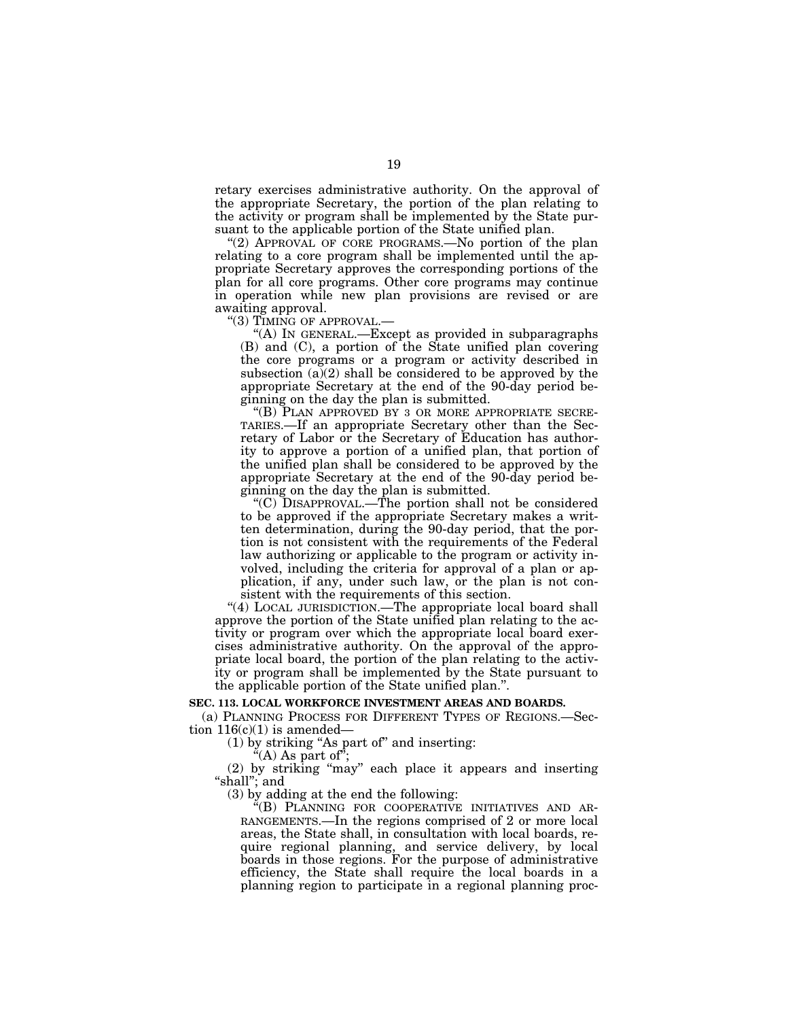retary exercises administrative authority. On the approval of the appropriate Secretary, the portion of the plan relating to the activity or program shall be implemented by the State pursuant to the applicable portion of the State unified plan.

"(2) APPROVAL OF CORE PROGRAMS.—No portion of the plan relating to a core program shall be implemented until the appropriate Secretary approves the corresponding portions of the plan for all core programs. Other core programs may continue in operation while new plan provisions are revised or are awaiting approval.

''(3) TIMING OF APPROVAL.—

''(A) IN GENERAL.—Except as provided in subparagraphs (B) and (C), a portion of the State unified plan covering the core programs or a program or activity described in subsection  $(a)(2)$  shall be considered to be approved by the appropriate Secretary at the end of the 90-day period beginning on the day the plan is submitted.

''(B) PLAN APPROVED BY 3 OR MORE APPROPRIATE SECRE-TARIES.—If an appropriate Secretary other than the Secretary of Labor or the Secretary of Education has authority to approve a portion of a unified plan, that portion of the unified plan shall be considered to be approved by the appropriate Secretary at the end of the 90-day period beginning on the day the plan is submitted.

''(C) DISAPPROVAL.—The portion shall not be considered to be approved if the appropriate Secretary makes a written determination, during the 90-day period, that the portion is not consistent with the requirements of the Federal law authorizing or applicable to the program or activity involved, including the criteria for approval of a plan or application, if any, under such law, or the plan is not consistent with the requirements of this section.

"(4) LOCAL JURISDICTION.—The appropriate local board shall approve the portion of the State unified plan relating to the activity or program over which the appropriate local board exercises administrative authority. On the approval of the appropriate local board, the portion of the plan relating to the activity or program shall be implemented by the State pursuant to the applicable portion of the State unified plan.''.

# **SEC. 113. LOCAL WORKFORCE INVESTMENT AREAS AND BOARDS.**

(a) PLANNING PROCESS FOR DIFFERENT TYPES OF REGIONS.—Section  $116(c)(1)$  is amended-

(1) by striking ''As part of'' and inserting:

"(A) As part of";

(2) by striking ''may'' each place it appears and inserting ''shall''; and

(3) by adding at the end the following:

"(B) PLANNING FOR COOPERATIVE INITIATIVES AND AR-RANGEMENTS.—In the regions comprised of 2 or more local areas, the State shall, in consultation with local boards, require regional planning, and service delivery, by local boards in those regions. For the purpose of administrative efficiency, the State shall require the local boards in a planning region to participate in a regional planning proc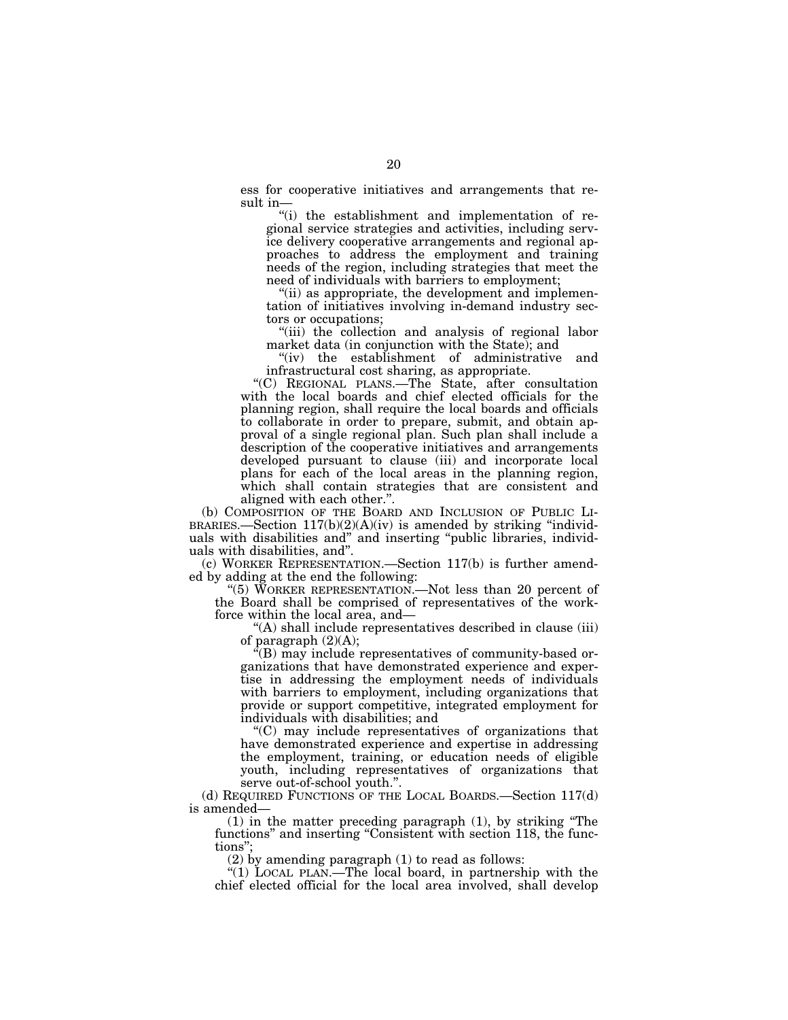ess for cooperative initiatives and arrangements that result in-

''(i) the establishment and implementation of regional service strategies and activities, including service delivery cooperative arrangements and regional approaches to address the employment and training needs of the region, including strategies that meet the need of individuals with barriers to employment;

 $(iii)$  as appropriate, the development and implementation of initiatives involving in-demand industry sectors or occupations;

"(iii) the collection and analysis of regional labor market data (in conjunction with the State); and

''(iv) the establishment of administrative and infrastructural cost sharing, as appropriate.

''(C) REGIONAL PLANS.—The State, after consultation with the local boards and chief elected officials for the planning region, shall require the local boards and officials to collaborate in order to prepare, submit, and obtain approval of a single regional plan. Such plan shall include a description of the cooperative initiatives and arrangements developed pursuant to clause (iii) and incorporate local plans for each of the local areas in the planning region, which shall contain strategies that are consistent and aligned with each other.''.

(b) COMPOSITION OF THE BOARD AND INCLUSION OF PUBLIC LIBRARIES.—Section  $117(b)(2)(A)(iv)$  is amended by striking "individuals with disabilities and'' and inserting ''public libraries, individuals with disabilities, and''.

(c) WORKER REPRESENTATION.—Section 117(b) is further amended by adding at the end the following:

''(5) WORKER REPRESENTATION.—Not less than 20 percent of the Board shall be comprised of representatives of the workforce within the local area, and—

''(A) shall include representatives described in clause (iii) of paragraph  $(2)(A)$ ;

 $\tilde{f}(B)$  may include representatives of community-based organizations that have demonstrated experience and expertise in addressing the employment needs of individuals with barriers to employment, including organizations that provide or support competitive, integrated employment for individuals with disabilities; and

''(C) may include representatives of organizations that have demonstrated experience and expertise in addressing the employment, training, or education needs of eligible youth, including representatives of organizations that serve out-of-school youth.''.

(d) REQUIRED FUNCTIONS OF THE LOCAL BOARDS.—Section 117(d) is amended—

(1) in the matter preceding paragraph (1), by striking ''The functions" and inserting "Consistent with section 118, the functions'';

(2) by amending paragraph (1) to read as follows:

''(1) LOCAL PLAN.—The local board, in partnership with the chief elected official for the local area involved, shall develop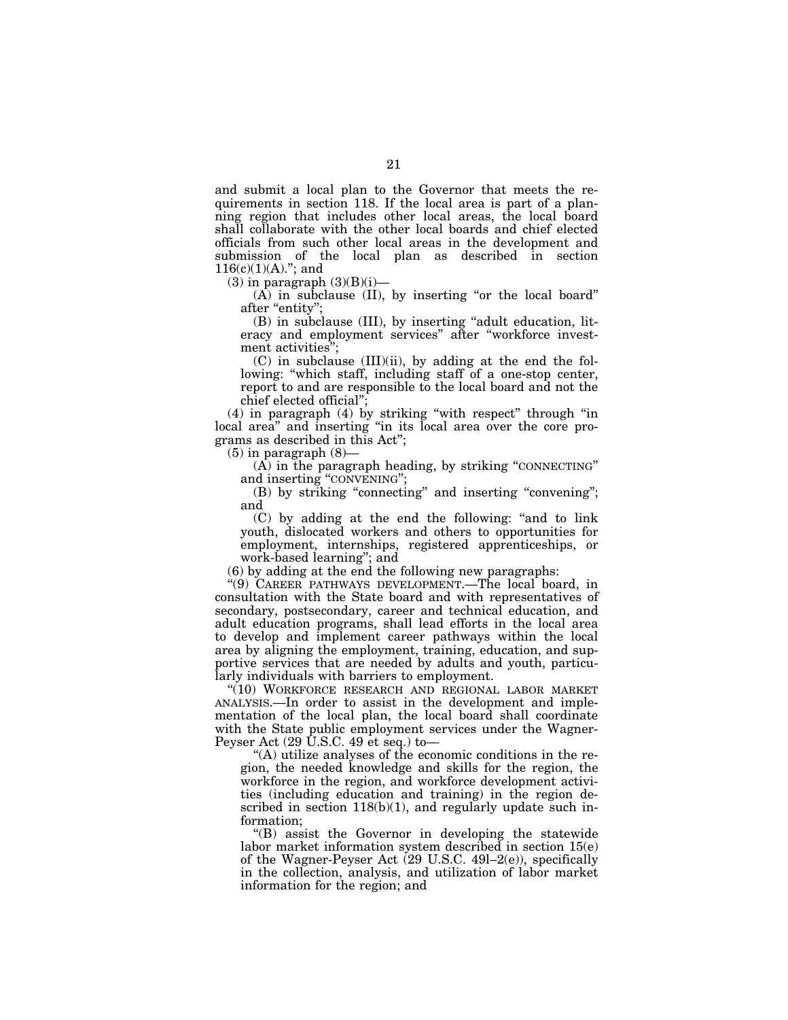and submit a local plan to the Governor that meets the requirements in section 118. If the local area is part of a planning region that includes other local areas, the local board shall collaborate with the other local boards and chief elected officials from such other local areas in the development and submission of the local plan as described in section  $116(c)(1)(A)$ ."; and

 $(3)$  in paragraph  $(3)(B)(i)$ —

 $(A)$  in subclause  $(II)$ , by inserting "or the local board" after "entity";

(B) in subclause (III), by inserting ''adult education, literacy and employment services'' after ''workforce investment activities'';

 $(C)$  in subclause  $(III)(ii)$ , by adding at the end the following: ''which staff, including staff of a one-stop center, report to and are responsible to the local board and not the chief elected official'';

(4) in paragraph (4) by striking ''with respect'' through ''in local area'' and inserting ''in its local area over the core programs as described in this Act'';

 $(5)$  in paragraph  $(8)$ —

(A) in the paragraph heading, by striking ''CONNECTING'' and inserting ''CONVENING'';

(B) by striking "connecting" and inserting "convening"; and

(C) by adding at the end the following: ''and to link youth, dislocated workers and others to opportunities for employment, internships, registered apprenticeships, or work-based learning''; and

(6) by adding at the end the following new paragraphs:

''(9) CAREER PATHWAYS DEVELOPMENT.—The local board, in consultation with the State board and with representatives of secondary, postsecondary, career and technical education, and adult education programs, shall lead efforts in the local area to develop and implement career pathways within the local area by aligning the employment, training, education, and supportive services that are needed by adults and youth, particularly individuals with barriers to employment.

''(10) WORKFORCE RESEARCH AND REGIONAL LABOR MARKET ANALYSIS.—In order to assist in the development and implementation of the local plan, the local board shall coordinate with the State public employment services under the Wagner-Peyser Act (29 U.S.C. 49 et seq.) to—

''(A) utilize analyses of the economic conditions in the region, the needed knowledge and skills for the region, the workforce in the region, and workforce development activities (including education and training) in the region described in section  $118(b)(1)$ , and regularly update such information;

''(B) assist the Governor in developing the statewide labor market information system described in section 15(e) of the Wagner-Peyser Act (29 U.S.C. 49l–2(e)), specifically in the collection, analysis, and utilization of labor market information for the region; and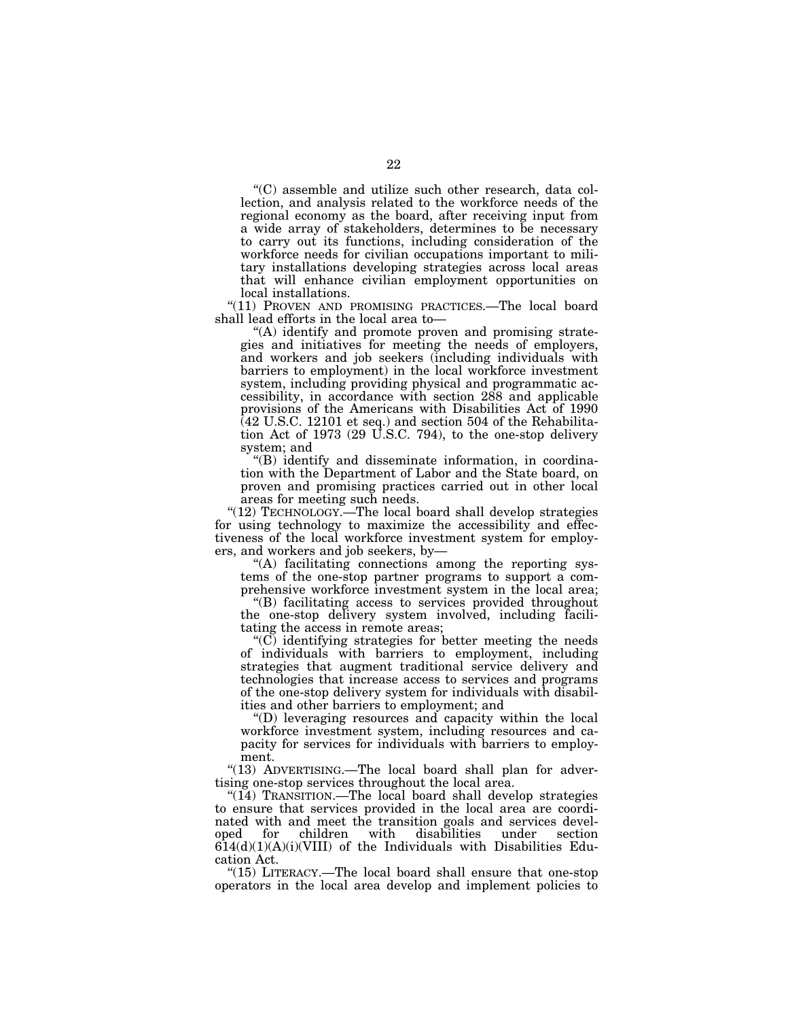''(C) assemble and utilize such other research, data collection, and analysis related to the workforce needs of the regional economy as the board, after receiving input from a wide array of stakeholders, determines to be necessary to carry out its functions, including consideration of the workforce needs for civilian occupations important to military installations developing strategies across local areas that will enhance civilian employment opportunities on local installations.

''(11) PROVEN AND PROMISING PRACTICES.—The local board shall lead efforts in the local area to—

''(A) identify and promote proven and promising strategies and initiatives for meeting the needs of employers, and workers and job seekers (including individuals with barriers to employment) in the local workforce investment system, including providing physical and programmatic accessibility, in accordance with section 288 and applicable provisions of the Americans with Disabilities Act of 1990 (42 U.S.C. 12101 et seq.) and section 504 of the Rehabilitation Act of 1973 (29 U.S.C. 794), to the one-stop delivery system; and

''(B) identify and disseminate information, in coordination with the Department of Labor and the State board, on proven and promising practices carried out in other local areas for meeting such needs.

"(12) TECHNOLOGY.—The local board shall develop strategies for using technology to maximize the accessibility and effectiveness of the local workforce investment system for employers, and workers and job seekers, by—

''(A) facilitating connections among the reporting systems of the one-stop partner programs to support a comprehensive workforce investment system in the local area;

''(B) facilitating access to services provided throughout the one-stop delivery system involved, including facilitating the access in remote areas;

 $(C)$  identifying strategies for better meeting the needs of individuals with barriers to employment, including strategies that augment traditional service delivery and technologies that increase access to services and programs of the one-stop delivery system for individuals with disabilities and other barriers to employment; and

''(D) leveraging resources and capacity within the local workforce investment system, including resources and capacity for services for individuals with barriers to employment.

"(13) ADVERTISING.—The local board shall plan for advertising one-stop services throughout the local area.

"(14) TRANSITION.—The local board shall develop strategies to ensure that services provided in the local area are coordinated with and meet the transition goals and services devel-<br>oped for children with disabilities under section for children with disabilities under section  $614(d)(1)(A)(i)(VIII)$  of the Individuals with Disabilities Education Act.

''(15) LITERACY.—The local board shall ensure that one-stop operators in the local area develop and implement policies to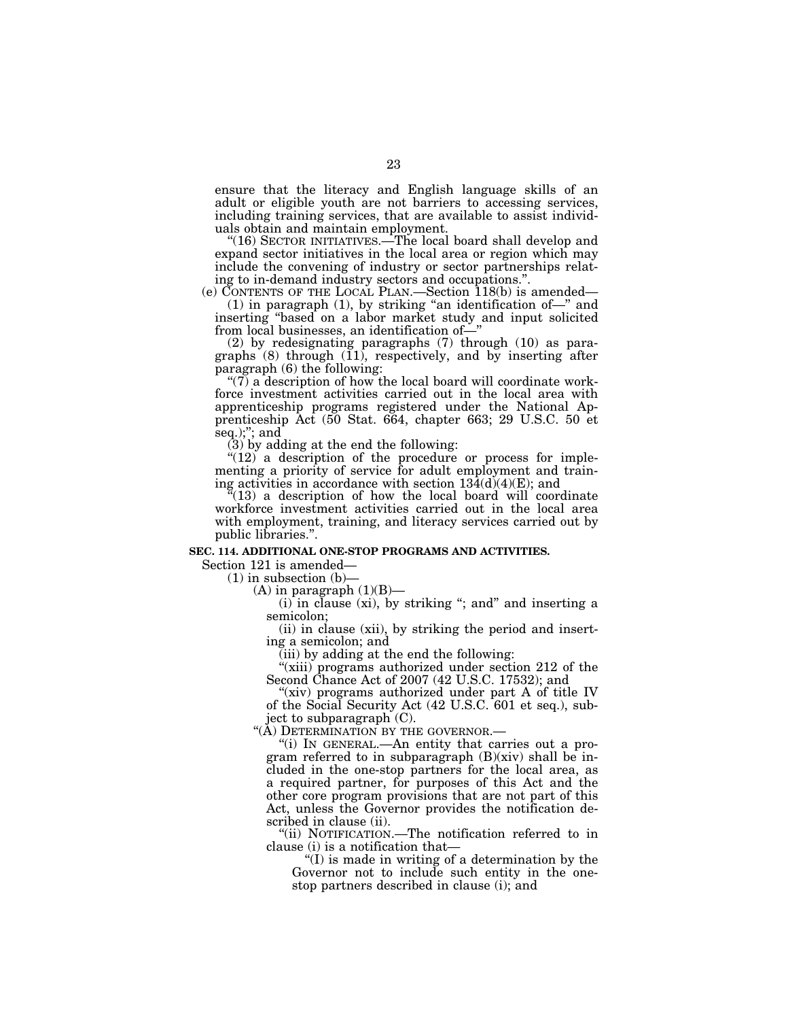ensure that the literacy and English language skills of an adult or eligible youth are not barriers to accessing services, including training services, that are available to assist individuals obtain and maintain employment.

"(16) SECTOR INITIATIVES.—The local board shall develop and expand sector initiatives in the local area or region which may include the convening of industry or sector partnerships relating to in-demand industry sectors and occupations.''.

(e) CONTENTS OF THE LOCAL PLAN.—Section 118(b) is amended—

(1) in paragraph (1), by striking ''an identification of—'' and inserting ''based on a labor market study and input solicited from local businesses, an identification of—''

(2) by redesignating paragraphs (7) through (10) as paragraphs (8) through (11), respectively, and by inserting after paragraph (6) the following:

" $(7)$  a description of how the local board will coordinate workforce investment activities carried out in the local area with apprenticeship programs registered under the National Apprenticeship Act (50 Stat. 664, chapter 663; 29 U.S.C. 50 et seq.);"; and

(3) by adding at the end the following:

" $(12)$  a description of the procedure or process for implementing a priority of service for adult employment and training activities in accordance with section  $134(d)(4)(E)$ ; and

 $(13)$  a description of how the local board will coordinate workforce investment activities carried out in the local area with employment, training, and literacy services carried out by public libraries.''.

# **SEC. 114. ADDITIONAL ONE-STOP PROGRAMS AND ACTIVITIES.**

Section 121 is amended—

 $(1)$  in subsection  $(b)$ -

 $(A)$  in paragraph  $(1)(B)$ —

(i) in clause  $(xi)$ , by striking "; and" and inserting a semicolon;

(ii) in clause (xii), by striking the period and inserting a semicolon; and

(iii) by adding at the end the following:

"(xiii) programs authorized under section 212 of the Second Chance Act of 2007 (42 U.S.C. 17532); and

"(xiv) programs authorized under part A of title IV of the Social Security Act (42 U.S.C. 601 et seq.), subject to subparagraph (C).

"(A) DETERMINATION BY THE GOVERNOR.-

''(i) IN GENERAL.—An entity that carries out a program referred to in subparagraph  $(B)(xiv)$  shall be included in the one-stop partners for the local area, as a required partner, for purposes of this Act and the other core program provisions that are not part of this Act, unless the Governor provides the notification described in clause (ii).

''(ii) NOTIFICATION.—The notification referred to in clause (i) is a notification that—

 $'(I)$  is made in writing of a determination by the Governor not to include such entity in the onestop partners described in clause (i); and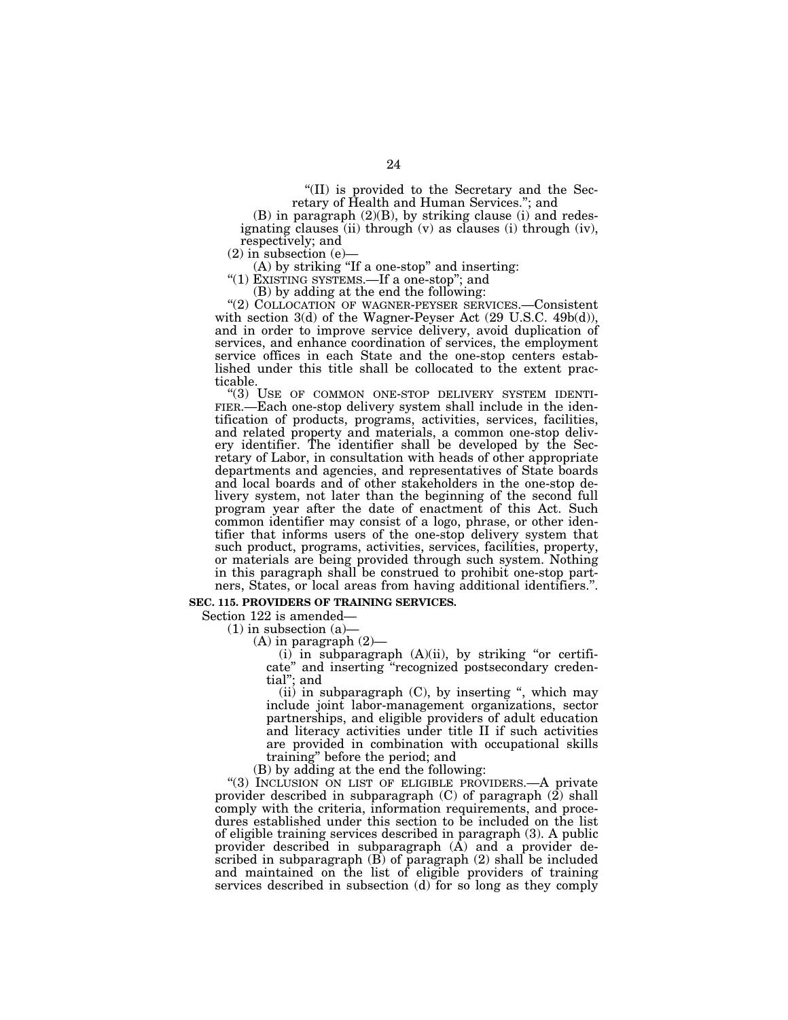''(II) is provided to the Secretary and the Secretary of Health and Human Services.''; and

(B) in paragraph (2)(B), by striking clause (i) and redesignating clauses (ii) through (v) as clauses (i) through (iv), respectively; and

(2) in subsection (e)—

(A) by striking ''If a one-stop'' and inserting:

"(1) EXISTING SYSTEMS.—If a one-stop"; and

(B) by adding at the end the following:

''(2) COLLOCATION OF WAGNER-PEYSER SERVICES.—Consistent with section 3(d) of the Wagner-Peyser Act (29 U.S.C. 49b(d)), and in order to improve service delivery, avoid duplication of services, and enhance coordination of services, the employment service offices in each State and the one-stop centers established under this title shall be collocated to the extent practicable.<br>"(3) USE OF COMMON ONE-STOP DELIVERY SYSTEM IDENTI-

FIER.—Each one-stop delivery system shall include in the identification of products, programs, activities, services, facilities, and related property and materials, a common one-stop delivery identifier. The identifier shall be developed by the Secretary of Labor, in consultation with heads of other appropriate departments and agencies, and representatives of State boards and local boards and of other stakeholders in the one-stop delivery system, not later than the beginning of the second full program year after the date of enactment of this Act. Such common identifier may consist of a logo, phrase, or other identifier that informs users of the one-stop delivery system that such product, programs, activities, services, facilities, property, or materials are being provided through such system. Nothing in this paragraph shall be construed to prohibit one-stop partners, States, or local areas from having additional identifiers.''.

# **SEC. 115. PROVIDERS OF TRAINING SERVICES.**

Section 122 is amended—

(1) in subsection (a)—

(A) in paragraph (2)—

(i) in subparagraph (A)(ii), by striking ''or certificate'' and inserting ''recognized postsecondary credential''; and

(ii) in subparagraph  $(C)$ , by inserting ", which may include joint labor-management organizations, sector partnerships, and eligible providers of adult education and literacy activities under title II if such activities are provided in combination with occupational skills training'' before the period; and

(B) by adding at the end the following:

''(3) INCLUSION ON LIST OF ELIGIBLE PROVIDERS.—A private provider described in subparagraph  $(C)$  of paragraph  $(2)$  shall comply with the criteria, information requirements, and procedures established under this section to be included on the list of eligible training services described in paragraph (3). A public provider described in subparagraph (A) and a provider described in subparagraph (B) of paragraph (2) shall be included and maintained on the list of eligible providers of training services described in subsection (d) for so long as they comply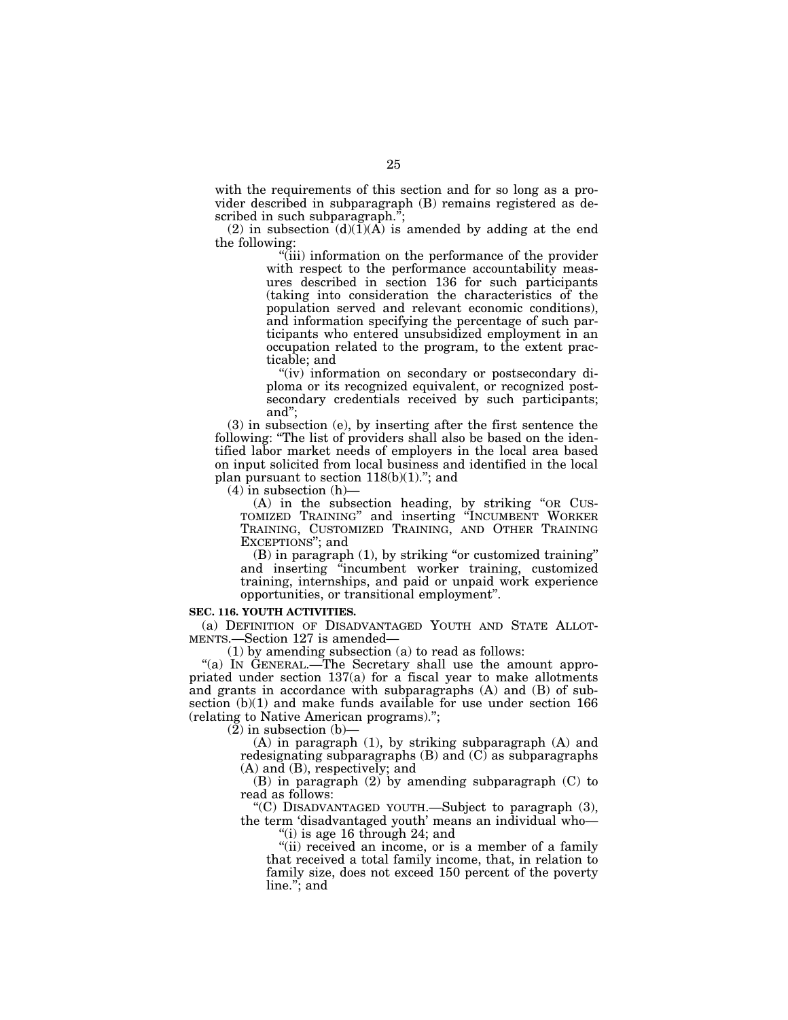with the requirements of this section and for so long as a provider described in subparagraph (B) remains registered as described in such subparagraph.";

(2) in subsection  $(d)(1)(A)$  is amended by adding at the end the following:

''(iii) information on the performance of the provider with respect to the performance accountability measures described in section 136 for such participants (taking into consideration the characteristics of the population served and relevant economic conditions), and information specifying the percentage of such participants who entered unsubsidized employment in an occupation related to the program, to the extent practicable; and

"(iv) information on secondary or postsecondary diploma or its recognized equivalent, or recognized postsecondary credentials received by such participants; and'';

(3) in subsection (e), by inserting after the first sentence the following: ''The list of providers shall also be based on the identified labor market needs of employers in the local area based on input solicited from local business and identified in the local plan pursuant to section  $118(b)(1)$ ."; and

 $(4)$  in subsection  $(h)$ —

(A) in the subsection heading, by striking ''OR CUS-TOMIZED TRAINING'' and inserting ''INCUMBENT WORKER TRAINING, CUSTOMIZED TRAINING, AND OTHER TRAINING EXCEPTIONS''; and

(B) in paragraph (1), by striking "or customized training" and inserting "incumbent worker training, customized training, internships, and paid or unpaid work experience opportunities, or transitional employment''.

#### **SEC. 116. YOUTH ACTIVITIES.**

(a) DEFINITION OF DISADVANTAGED YOUTH AND STATE ALLOT-MENTS.—Section 127 is amended—

(1) by amending subsection (a) to read as follows:

"(a) IN GENERAL.—The Secretary shall use the amount appropriated under section 137(a) for a fiscal year to make allotments and grants in accordance with subparagraphs (A) and (B) of subsection (b)(1) and make funds available for use under section 166 (relating to Native American programs).'';

 $(2)$  in subsection  $(b)$ —

(A) in paragraph (1), by striking subparagraph (A) and redesignating subparagraphs (B) and (C) as subparagraphs (A) and (B), respectively; and

(B) in paragraph (2) by amending subparagraph (C) to read as follows:

''(C) DISADVANTAGED YOUTH.—Subject to paragraph (3), the term 'disadvantaged youth' means an individual who—

''(i) is age 16 through 24; and

"(ii) received an income, or is a member of a family that received a total family income, that, in relation to family size, does not exceed 150 percent of the poverty line.''; and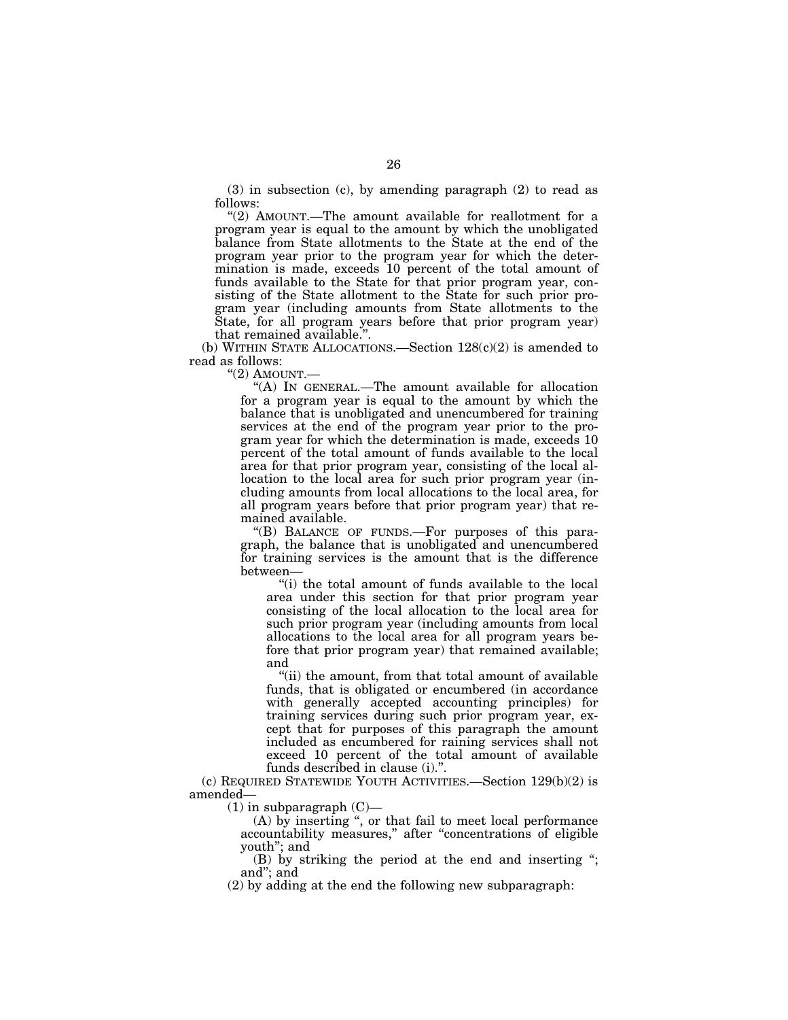(3) in subsection (c), by amending paragraph (2) to read as follows:

"(2) AMOUNT.—The amount available for reallotment for a program year is equal to the amount by which the unobligated balance from State allotments to the State at the end of the program year prior to the program year for which the determination is made, exceeds 10 percent of the total amount of funds available to the State for that prior program year, consisting of the State allotment to the State for such prior program year (including amounts from State allotments to the State, for all program years before that prior program year) that remained available.''.

(b) WITHIN STATE ALLOCATIONS.—Section 128(c)(2) is amended to read as follows:

''(2) AMOUNT.—

''(A) IN GENERAL.—The amount available for allocation for a program year is equal to the amount by which the balance that is unobligated and unencumbered for training services at the end of the program year prior to the program year for which the determination is made, exceeds 10 percent of the total amount of funds available to the local area for that prior program year, consisting of the local allocation to the local area for such prior program year (including amounts from local allocations to the local area, for all program years before that prior program year) that remained available.

"(B) BALANCE OF FUNDS.—For purposes of this paragraph, the balance that is unobligated and unencumbered for training services is the amount that is the difference between—

"(i) the total amount of funds available to the local area under this section for that prior program year consisting of the local allocation to the local area for such prior program year (including amounts from local allocations to the local area for all program years before that prior program year) that remained available; and

"(ii) the amount, from that total amount of available funds, that is obligated or encumbered (in accordance with generally accepted accounting principles) for training services during such prior program year, except that for purposes of this paragraph the amount included as encumbered for raining services shall not exceed 10 percent of the total amount of available funds described in clause (i).''.

(c) REQUIRED STATEWIDE YOUTH ACTIVITIES.—Section 129(b)(2) is amended—

 $(1)$  in subparagraph  $(C)$ —

(A) by inserting '', or that fail to meet local performance accountability measures,'' after ''concentrations of eligible youth''; and

(B) by striking the period at the end and inserting ''; and''; and

(2) by adding at the end the following new subparagraph: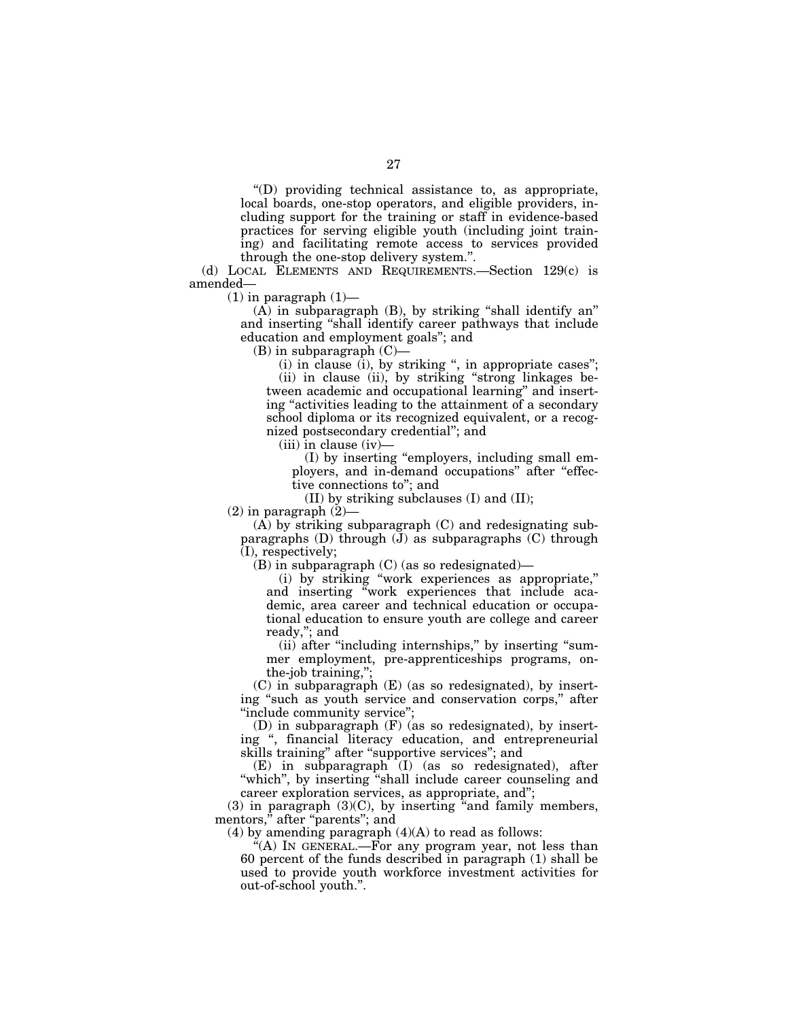$'(D)$  providing technical assistance to, as appropriate, local boards, one-stop operators, and eligible providers, including support for the training or staff in evidence-based practices for serving eligible youth (including joint training) and facilitating remote access to services provided through the one-stop delivery system.''.

(d) LOCAL ELEMENTS AND REQUIREMENTS.—Section 129(c) is amended—

 $(1)$  in paragraph  $(1)$ —

 $(A)$  in subparagraph  $(B)$ , by striking "shall identify an" and inserting ''shall identify career pathways that include education and employment goals''; and

(B) in subparagraph (C)—

 $(i)$  in clause  $(i)$ , by striking ", in appropriate cases"; (ii) in clause (ii), by striking ''strong linkages between academic and occupational learning'' and inserting "activities leading to the attainment of a secondary school diploma or its recognized equivalent, or a recognized postsecondary credential''; and

(iii) in clause (iv)—

(I) by inserting ''employers, including small employers, and in-demand occupations" after "effective connections to''; and

(II) by striking subclauses (I) and (II);

 $(2)$  in paragraph  $(2)$ —

(A) by striking subparagraph (C) and redesignating subparagraphs  $(D)$  through  $(J)$  as subparagraphs  $(C)$  through (I), respectively;

(B) in subparagraph (C) (as so redesignated)—

(i) by striking ''work experiences as appropriate,'' and inserting ''work experiences that include academic, area career and technical education or occupational education to ensure youth are college and career ready,''; and

(ii) after "including internships," by inserting "summer employment, pre-apprenticeships programs, onthe-job training,'';

(C) in subparagraph (E) (as so redesignated), by inserting "such as youth service and conservation corps," after ''include community service'';

(D) in subparagraph (F) (as so redesignated), by inserting '', financial literacy education, and entrepreneurial skills training'' after ''supportive services''; and

(E) in subparagraph (I) (as so redesignated), after "which", by inserting "shall include career counseling and career exploration services, as appropriate, and'';

 $(3)$  in paragraph  $(3)(C)$ , by inserting "and family members, mentors," after "parents"; and

(4) by amending paragraph  $(4)(A)$  to read as follows:

 $f(A)$  In GENERAL.—For any program year, not less than 60 percent of the funds described in paragraph (1) shall be used to provide youth workforce investment activities for out-of-school youth.''.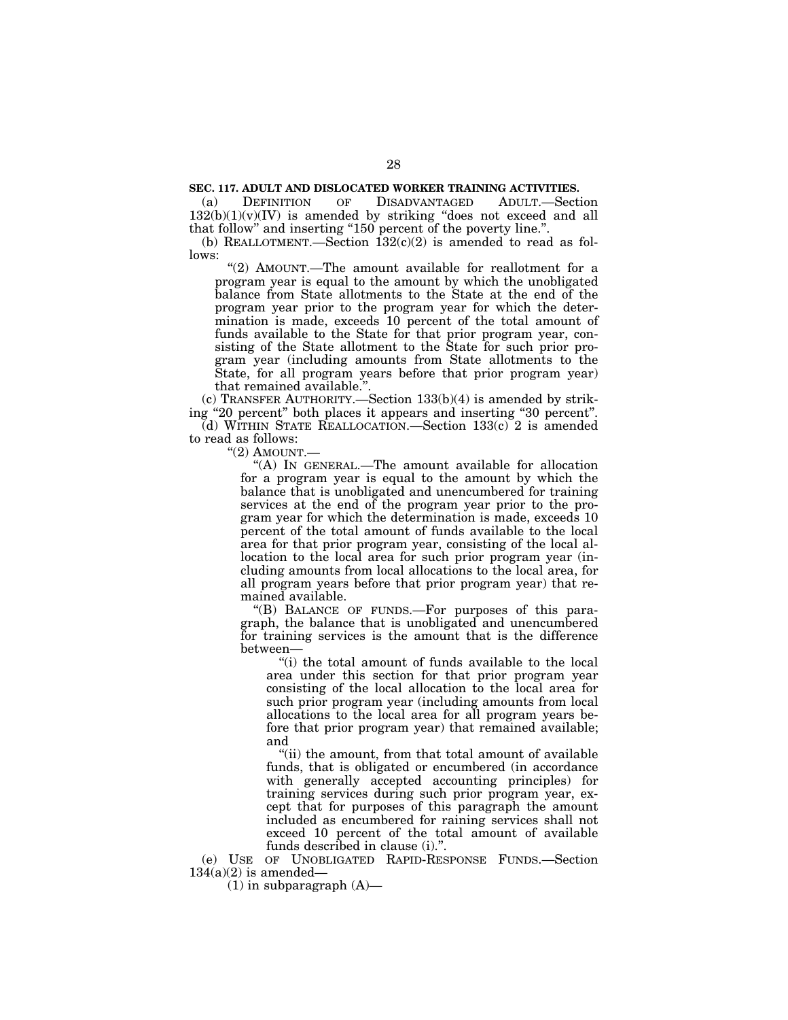# **SEC. 117. ADULT AND DISLOCATED WORKER TRAINING ACTIVITIES.**

(a) DEFINITION OF DISADVANTAGED ADULT.—Section  $132(b)(1)(v)(IV)$  is amended by striking "does not exceed and all that follow" and inserting "150 percent of the poverty line.".

(b) REALLOTMENT.—Section  $132(c)(2)$  is amended to read as follows:

"(2) AMOUNT.—The amount available for reallotment for a program year is equal to the amount by which the unobligated balance from State allotments to the State at the end of the program year prior to the program year for which the determination is made, exceeds 10 percent of the total amount of funds available to the State for that prior program year, consisting of the State allotment to the State for such prior program year (including amounts from State allotments to the State, for all program years before that prior program year) that remained available.

(c) TRANSFER AUTHORITY.—Section  $133(b)(4)$  is amended by striking ''20 percent'' both places it appears and inserting ''30 percent''. (d) WITHIN STATE REALLOCATION.—Section  $133(c)$  2 is amended

to read as follows:

 $"(2)$  AMOUNT.—

''(A) IN GENERAL.—The amount available for allocation for a program year is equal to the amount by which the balance that is unobligated and unencumbered for training services at the end of the program year prior to the program year for which the determination is made, exceeds 10 percent of the total amount of funds available to the local area for that prior program year, consisting of the local allocation to the local area for such prior program year (including amounts from local allocations to the local area, for all program years before that prior program year) that remained available.

"(B) BALANCE OF FUNDS.—For purposes of this paragraph, the balance that is unobligated and unencumbered for training services is the amount that is the difference between—

''(i) the total amount of funds available to the local area under this section for that prior program year consisting of the local allocation to the local area for such prior program year (including amounts from local allocations to the local area for all program years before that prior program year) that remained available; and

"(ii) the amount, from that total amount of available funds, that is obligated or encumbered (in accordance with generally accepted accounting principles) for training services during such prior program year, except that for purposes of this paragraph the amount included as encumbered for raining services shall not exceed 10 percent of the total amount of available funds described in clause (i).''.

(e) USE OF UNOBLIGATED RAPID-RESPONSE FUNDS.—Section  $134(a)(2)$  is amended—

 $(1)$  in subparagraph  $(A)$ —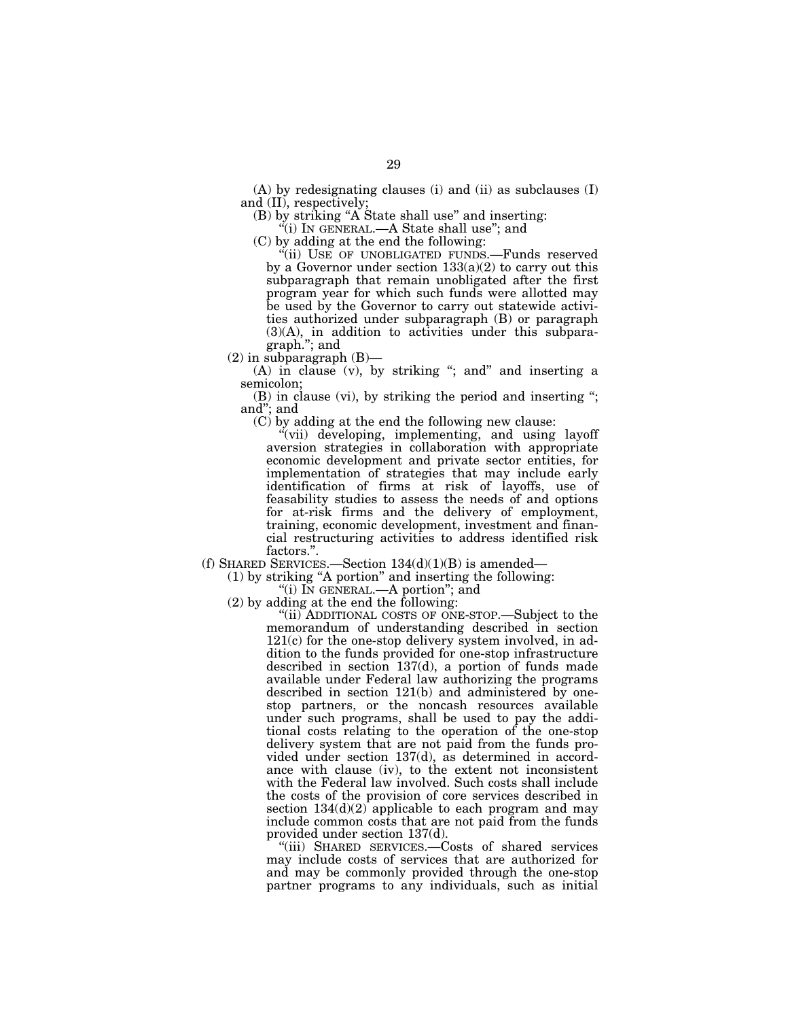(A) by redesignating clauses (i) and (ii) as subclauses (I) and (II), respectively;

(B) by striking ''A State shall use'' and inserting:

''(i) IN GENERAL.—A State shall use''; and

(C) by adding at the end the following:

''(ii) USE OF UNOBLIGATED FUNDS.—Funds reserved by a Governor under section  $133(a)(2)$  to carry out this subparagraph that remain unobligated after the first program year for which such funds were allotted may be used by the Governor to carry out statewide activities authorized under subparagraph (B) or paragraph (3)(A), in addition to activities under this subparagraph.''; and

 $(2)$  in subparagraph  $(B)$ —

 $(A)$  in clause  $(v)$ , by striking "; and" and inserting a semicolon;

(B) in clause (vi), by striking the period and inserting ''; and''; and

(C) by adding at the end the following new clause:

''(vii) developing, implementing, and using layoff aversion strategies in collaboration with appropriate economic development and private sector entities, for implementation of strategies that may include early identification of firms at risk of layoffs, use of feasability studies to assess the needs of and options for at-risk firms and the delivery of employment, training, economic development, investment and financial restructuring activities to address identified risk factors.''.

(f) SHARED SERVICES.—Section  $134(d)(1)(B)$  is amended—

(1) by striking ''A portion'' and inserting the following:

"(i) IN GENERAL.—A portion"; and

(2) by adding at the end the following:

"(ii) ADDITIONAL COSTS OF ONE-STOP.—Subject to the memorandum of understanding described in section 121(c) for the one-stop delivery system involved, in addition to the funds provided for one-stop infrastructure described in section 137(d), a portion of funds made available under Federal law authorizing the programs described in section 121(b) and administered by onestop partners, or the noncash resources available under such programs, shall be used to pay the additional costs relating to the operation of the one-stop delivery system that are not paid from the funds provided under section 137(d), as determined in accordance with clause (iv), to the extent not inconsistent with the Federal law involved. Such costs shall include the costs of the provision of core services described in section  $134(d)(2)$  applicable to each program and may include common costs that are not paid from the funds provided under section 137(d).

''(iii) SHARED SERVICES.—Costs of shared services may include costs of services that are authorized for and may be commonly provided through the one-stop partner programs to any individuals, such as initial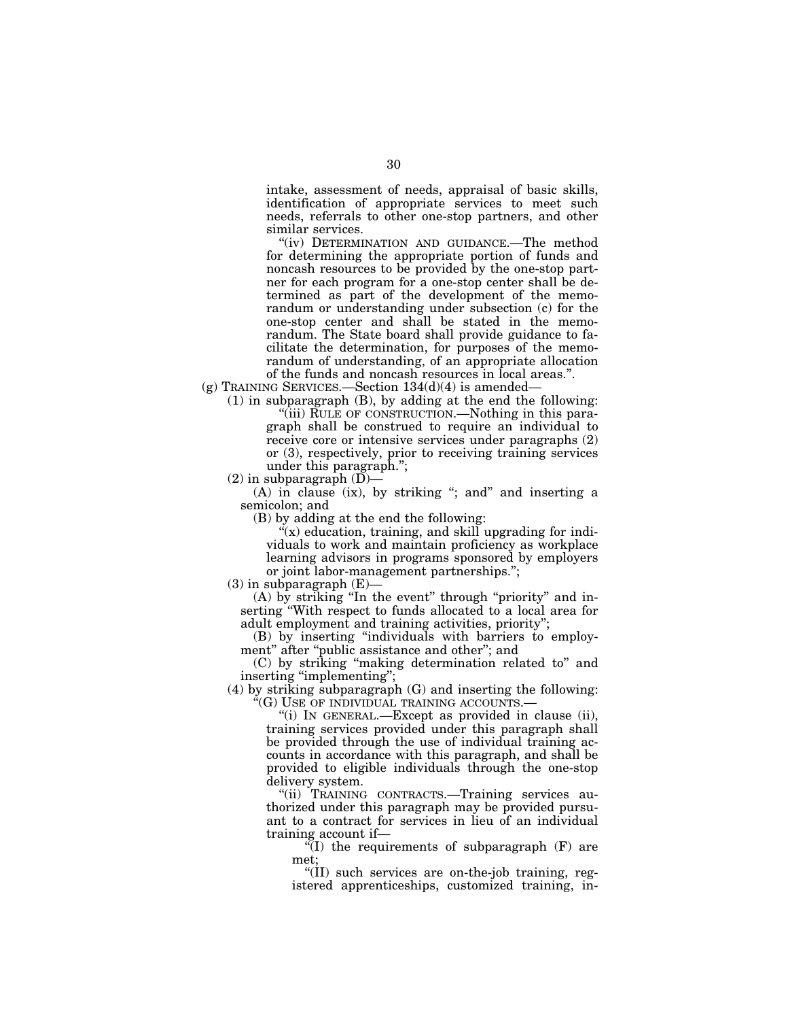intake, assessment of needs, appraisal of basic skills, identification of appropriate services to meet such needs, referrals to other one-stop partners, and other similar services.

"(iv) DETERMINATION AND GUIDANCE.—The method for determining the appropriate portion of funds and noncash resources to be provided by the one-stop partner for each program for a one-stop center shall be determined as part of the development of the memorandum or understanding under subsection (c) for the one-stop center and shall be stated in the memorandum. The State board shall provide guidance to facilitate the determination, for purposes of the memorandum of understanding, of an appropriate allocation of the funds and noncash resources in local areas.''.

 $(g)$  Training SERVICES.—Section 134 $(d)(4)$  is amended—

(1) in subparagraph (B), by adding at the end the following: ''(iii) RULE OF CONSTRUCTION.—Nothing in this paragraph shall be construed to require an individual to receive core or intensive services under paragraphs (2) or (3), respectively, prior to receiving training services under this paragraph.'';

 $(2)$  in subparagraph  $(D)$ —

(A) in clause (ix), by striking "; and" and inserting a semicolon; and

(B) by adding at the end the following:

 $f(x)$  education, training, and skill upgrading for individuals to work and maintain proficiency as workplace learning advisors in programs sponsored by employers or joint labor-management partnerships.'';

 $(3)$  in subparagraph  $(E)$ 

(A) by striking "In the event" through "priority" and inserting "With respect to funds allocated to a local area for adult employment and training activities, priority'';

(B) by inserting ''individuals with barriers to employment" after "public assistance and other"; and

(C) by striking ''making determination related to'' and inserting "implementing";

 $(4)$  by striking subparagraph  $(G)$  and inserting the following: ''(G) USE OF INDIVIDUAL TRAINING ACCOUNTS.—

> ''(i) IN GENERAL.—Except as provided in clause (ii), training services provided under this paragraph shall be provided through the use of individual training accounts in accordance with this paragraph, and shall be provided to eligible individuals through the one-stop delivery system.

> "(ii) TRAINING CONTRACTS.—Training services authorized under this paragraph may be provided pursuant to a contract for services in lieu of an individual training account if—

 $\sqrt{\ }$ (I) the requirements of subparagraph (F) are met;

''(II) such services are on-the-job training, registered apprenticeships, customized training, in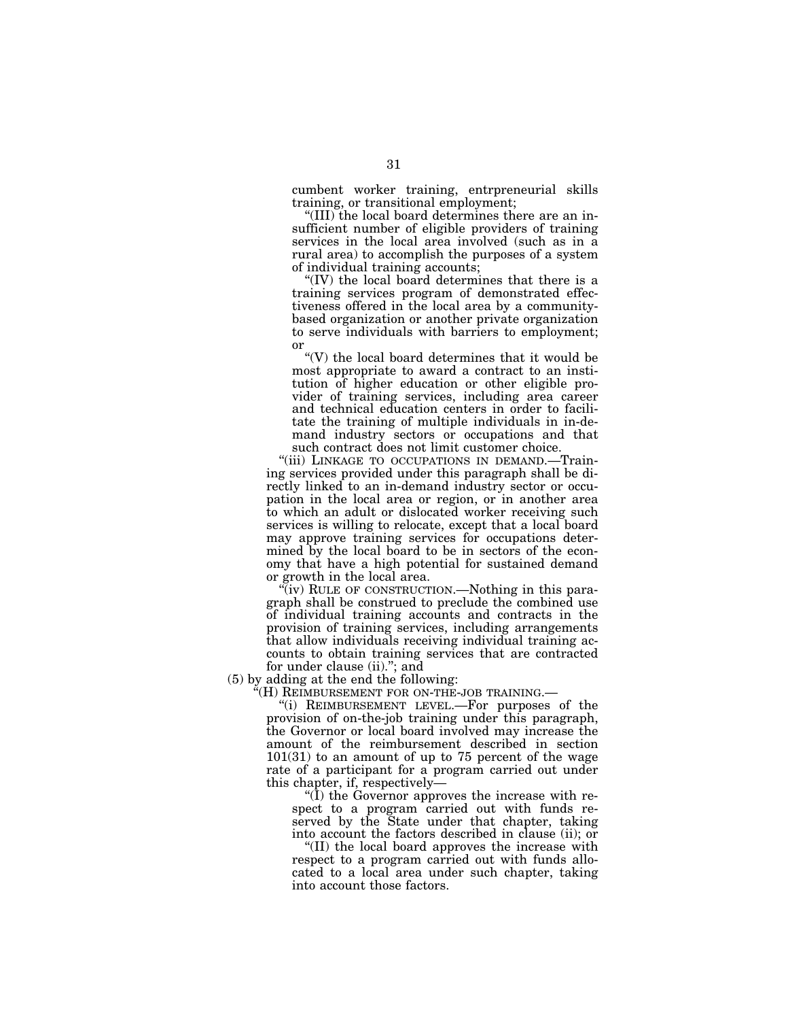cumbent worker training, entrpreneurial skills training, or transitional employment;

''(III) the local board determines there are an insufficient number of eligible providers of training services in the local area involved (such as in a rural area) to accomplish the purposes of a system of individual training accounts;

''(IV) the local board determines that there is a training services program of demonstrated effectiveness offered in the local area by a communitybased organization or another private organization to serve individuals with barriers to employment; or

''(V) the local board determines that it would be most appropriate to award a contract to an institution of higher education or other eligible provider of training services, including area career and technical education centers in order to facilitate the training of multiple individuals in in-demand industry sectors or occupations and that such contract does not limit customer choice.

''(iii) LINKAGE TO OCCUPATIONS IN DEMAND.—Training services provided under this paragraph shall be directly linked to an in-demand industry sector or occupation in the local area or region, or in another area to which an adult or dislocated worker receiving such services is willing to relocate, except that a local board may approve training services for occupations determined by the local board to be in sectors of the economy that have a high potential for sustained demand or growth in the local area.

"(iv) RULE OF CONSTRUCTION.—Nothing in this paragraph shall be construed to preclude the combined use of individual training accounts and contracts in the provision of training services, including arrangements that allow individuals receiving individual training accounts to obtain training services that are contracted for under clause (ii).''; and

(5) by adding at the end the following:

 $\widetilde{H}(\mathrm{H})$  Reimbursement for on-the-job training.—

''(i) REIMBURSEMENT LEVEL.—For purposes of the provision of on-the-job training under this paragraph, the Governor or local board involved may increase the amount of the reimbursement described in section 101(31) to an amount of up to 75 percent of the wage rate of a participant for a program carried out under this chapter, if, respectively—

" $(I)$  the Governor approves the increase with respect to a program carried out with funds reserved by the State under that chapter, taking into account the factors described in clause (ii); or

''(II) the local board approves the increase with respect to a program carried out with funds allocated to a local area under such chapter, taking into account those factors.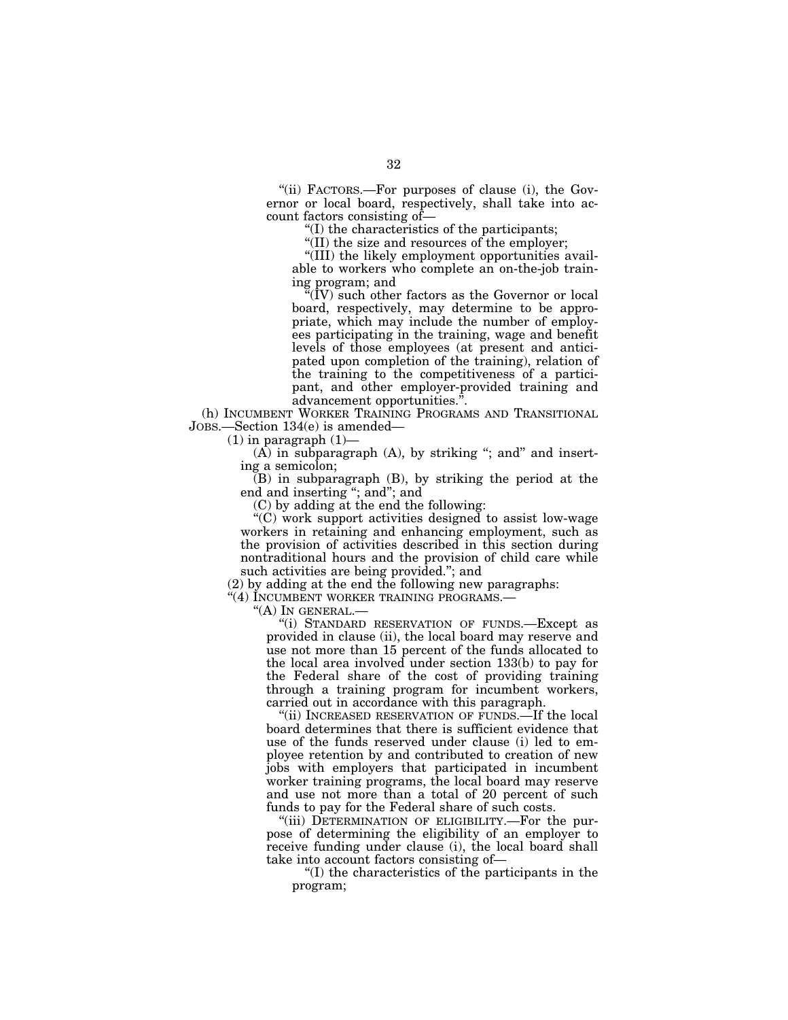''(ii) FACTORS.—For purposes of clause (i), the Governor or local board, respectively, shall take into account factors consisting of—

''(I) the characteristics of the participants;

''(II) the size and resources of the employer;

''(III) the likely employment opportunities available to workers who complete an on-the-job training program; and

''(IV) such other factors as the Governor or local board, respectively, may determine to be appropriate, which may include the number of employees participating in the training, wage and benefit levels of those employees (at present and anticipated upon completion of the training), relation of the training to the competitiveness of a participant, and other employer-provided training and advancement opportunities.''.

(h) INCUMBENT WORKER TRAINING PROGRAMS AND TRANSITIONAL JOBS.—Section 134(e) is amended—

 $(1)$  in paragraph  $(1)$ —

 $(A)$  in subparagraph  $(A)$ , by striking "; and" and inserting a semicolon;

(B) in subparagraph (B), by striking the period at the end and inserting ''; and''; and

(C) by adding at the end the following:

''(C) work support activities designed to assist low-wage workers in retaining and enhancing employment, such as the provision of activities described in this section during nontraditional hours and the provision of child care while such activities are being provided.''; and

(2) by adding at the end the following new paragraphs:

"(4) INCUMBENT WORKER TRAINING PROGRAMS.-

"(A) IN GENERAL.-

''(i) STANDARD RESERVATION OF FUNDS.—Except as provided in clause (ii), the local board may reserve and use not more than 15 percent of the funds allocated to the local area involved under section 133(b) to pay for the Federal share of the cost of providing training through a training program for incumbent workers, carried out in accordance with this paragraph.

''(ii) INCREASED RESERVATION OF FUNDS.—If the local board determines that there is sufficient evidence that use of the funds reserved under clause (i) led to employee retention by and contributed to creation of new jobs with employers that participated in incumbent worker training programs, the local board may reserve and use not more than a total of 20 percent of such funds to pay for the Federal share of such costs.

"(iii) DETERMINATION OF ELIGIBILITY.—For the purpose of determining the eligibility of an employer to receive funding under clause (i), the local board shall take into account factors consisting of—

''(I) the characteristics of the participants in the program;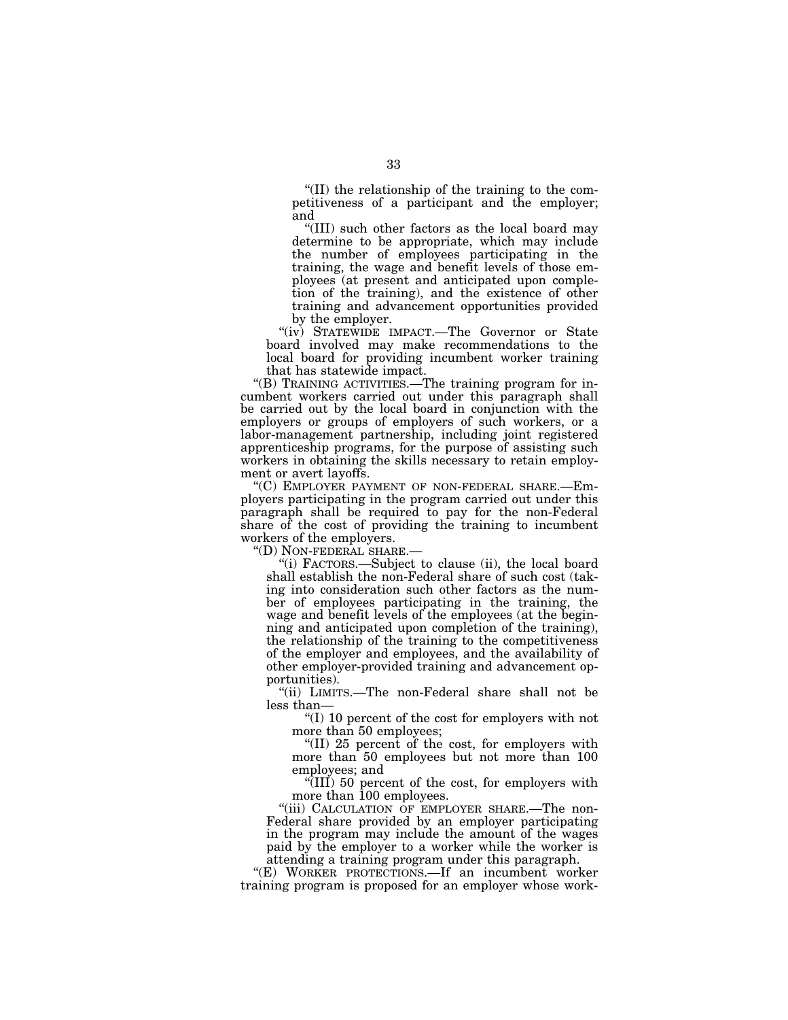''(II) the relationship of the training to the competitiveness of a participant and the employer; and

''(III) such other factors as the local board may determine to be appropriate, which may include the number of employees participating in the training, the wage and benefit levels of those employees (at present and anticipated upon completion of the training), and the existence of other training and advancement opportunities provided by the employer.

"(iv) STATEWIDE IMPACT.—The Governor or State board involved may make recommendations to the local board for providing incumbent worker training that has statewide impact.

''(B) TRAINING ACTIVITIES.—The training program for incumbent workers carried out under this paragraph shall be carried out by the local board in conjunction with the employers or groups of employers of such workers, or a labor-management partnership, including joint registered apprenticeship programs, for the purpose of assisting such workers in obtaining the skills necessary to retain employment or avert layoffs.

''(C) EMPLOYER PAYMENT OF NON-FEDERAL SHARE.—Employers participating in the program carried out under this paragraph shall be required to pay for the non-Federal share of the cost of providing the training to incumbent workers of the employers.<br>"(D) NON-FEDERAL SHARE.-

"(i) FACTORS.—Subject to clause (ii), the local board shall establish the non-Federal share of such cost (taking into consideration such other factors as the number of employees participating in the training, the wage and benefit levels of the employees (at the beginning and anticipated upon completion of the training), the relationship of the training to the competitiveness of the employer and employees, and the availability of other employer-provided training and advancement opportunities).

''(ii) LIMITS.—The non-Federal share shall not be less than—

''(I) 10 percent of the cost for employers with not more than 50 employees;

''(II) 25 percent of the cost, for employers with more than 50 employees but not more than 100 employees; and

''(III) 50 percent of the cost, for employers with more than 100 employees.

"(iii) CALCULATION OF EMPLOYER SHARE.-The non-Federal share provided by an employer participating in the program may include the amount of the wages paid by the employer to a worker while the worker is attending a training program under this paragraph.

"(E) WORKER PROTECTIONS.—If an incumbent worker training program is proposed for an employer whose work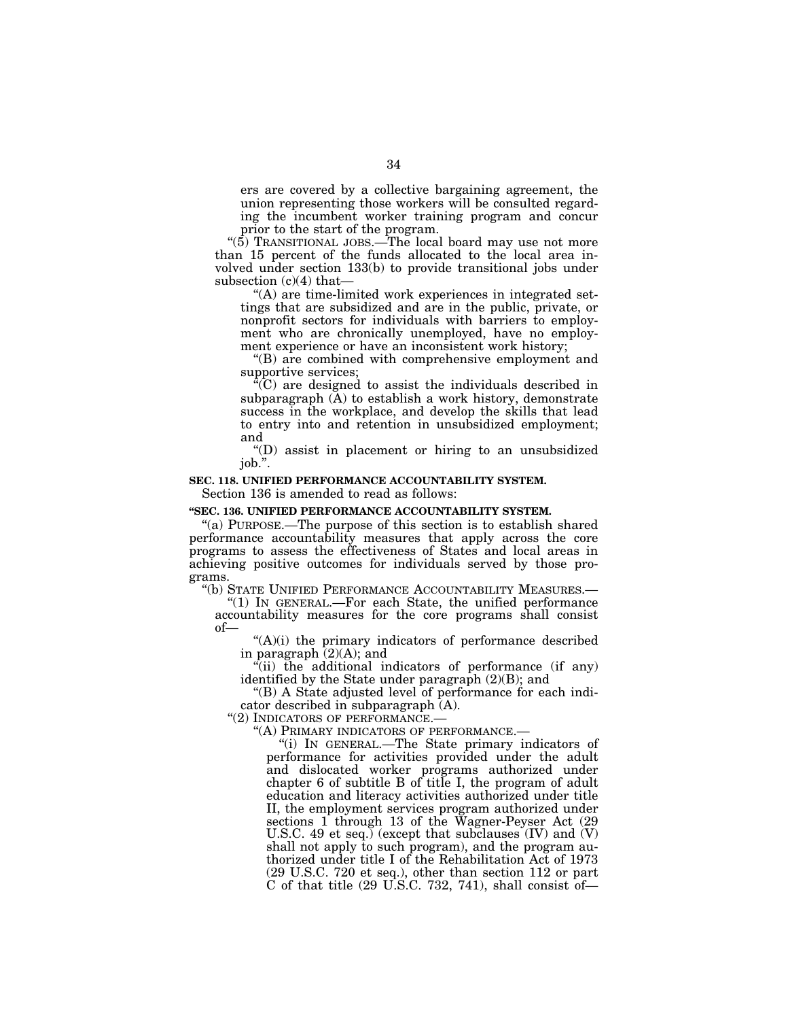ers are covered by a collective bargaining agreement, the union representing those workers will be consulted regarding the incumbent worker training program and concur prior to the start of the program.

''(5) TRANSITIONAL JOBS.—The local board may use not more than 15 percent of the funds allocated to the local area involved under section 133(b) to provide transitional jobs under subsection (c)(4) that—

''(A) are time-limited work experiences in integrated settings that are subsidized and are in the public, private, or nonprofit sectors for individuals with barriers to employment who are chronically unemployed, have no employment experience or have an inconsistent work history;

''(B) are combined with comprehensive employment and supportive services;

 $C^{\text{r}}(C)$  are designed to assist the individuals described in subparagraph  $(\overline{A})$  to establish a work history, demonstrate success in the workplace, and develop the skills that lead to entry into and retention in unsubsidized employment; and

''(D) assist in placement or hiring to an unsubsidized job.''.

# **SEC. 118. UNIFIED PERFORMANCE ACCOUNTABILITY SYSTEM.**

Section 136 is amended to read as follows:

# **''SEC. 136. UNIFIED PERFORMANCE ACCOUNTABILITY SYSTEM.**

''(a) PURPOSE.—The purpose of this section is to establish shared performance accountability measures that apply across the core programs to assess the effectiveness of States and local areas in achieving positive outcomes for individuals served by those programs.

''(b) STATE UNIFIED PERFORMANCE ACCOUNTABILITY MEASURES.—

''(1) IN GENERAL.—For each State, the unified performance accountability measures for the core programs shall consist of—

 $(A)(i)$  the primary indicators of performance described in paragraph  $(2)(A)$ ; and

 $f(ii)$  the additional indicators of performance (if any) identified by the State under paragraph (2)(B); and

''(B) A State adjusted level of performance for each indicator described in subparagraph (A).

''(2) INDICATORS OF PERFORMANCE.—

''(A) PRIMARY INDICATORS OF PERFORMANCE.—

''(i) IN GENERAL.—The State primary indicators of performance for activities provided under the adult and dislocated worker programs authorized under chapter 6 of subtitle B of title I, the program of adult education and literacy activities authorized under title II, the employment services program authorized under sections 1 through 13 of the Wagner-Peyser Act (29 U.S.C. 49 et seq.) (except that subclauses (IV) and (V) shall not apply to such program), and the program authorized under title I of the Rehabilitation Act of 1973 (29 U.S.C. 720 et seq.), other than section 112 or part C of that title  $(29 \text{ U.S.C. } 732, 741)$ , shall consist of-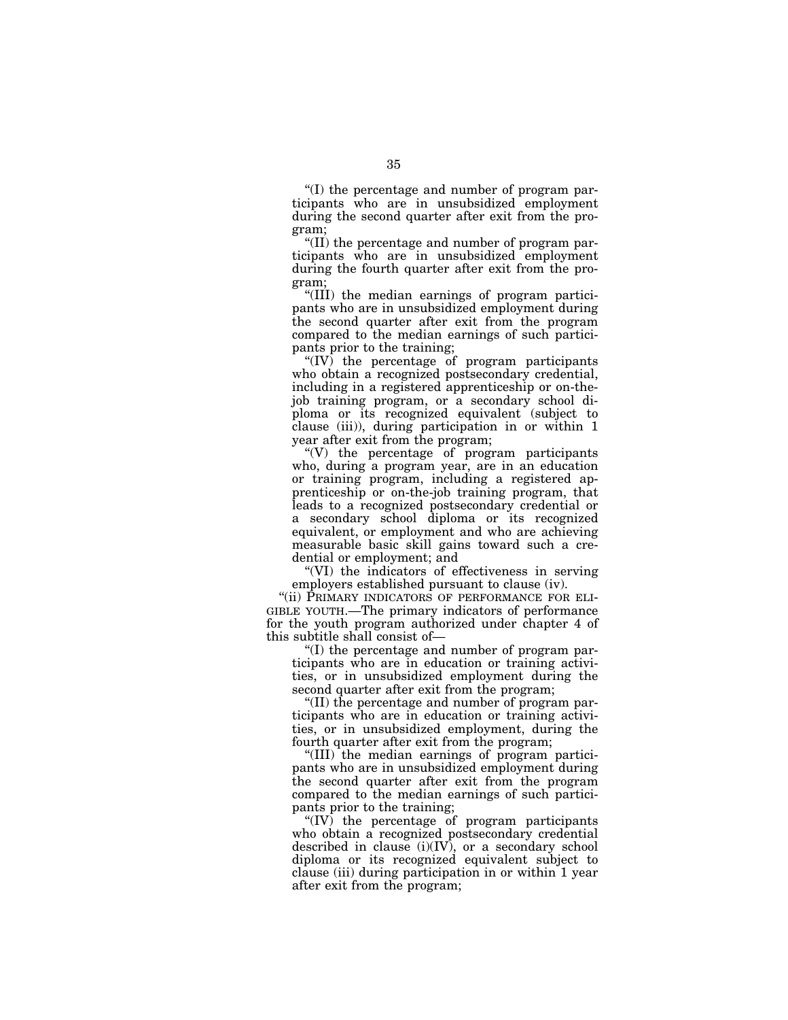''(I) the percentage and number of program participants who are in unsubsidized employment during the second quarter after exit from the program;

''(II) the percentage and number of program participants who are in unsubsidized employment during the fourth quarter after exit from the program;

''(III) the median earnings of program participants who are in unsubsidized employment during the second quarter after exit from the program compared to the median earnings of such participants prior to the training;

"(IV) the percentage of program participants who obtain a recognized postsecondary credential, including in a registered apprenticeship or on-thejob training program, or a secondary school diploma or its recognized equivalent (subject to clause (iii)), during participation in or within 1 year after exit from the program;

''(V) the percentage of program participants who, during a program year, are in an education or training program, including a registered apprenticeship or on-the-job training program, that leads to a recognized postsecondary credential or a secondary school diploma or its recognized equivalent, or employment and who are achieving measurable basic skill gains toward such a credential or employment; and

''(VI) the indicators of effectiveness in serving employers established pursuant to clause (iv).

"(ii) PRIMARY INDICATORS OF PERFORMANCE FOR ELI-GIBLE YOUTH.—The primary indicators of performance for the youth program authorized under chapter 4 of this subtitle shall consist of—

''(I) the percentage and number of program participants who are in education or training activities, or in unsubsidized employment during the second quarter after exit from the program;

''(II) the percentage and number of program participants who are in education or training activities, or in unsubsidized employment, during the fourth quarter after exit from the program;

''(III) the median earnings of program participants who are in unsubsidized employment during the second quarter after exit from the program compared to the median earnings of such participants prior to the training;

" $(IV)$  the percentage of program participants who obtain a recognized postsecondary credential described in clause  $(i)(IV)$ , or a secondary school diploma or its recognized equivalent subject to clause (iii) during participation in or within 1 year after exit from the program;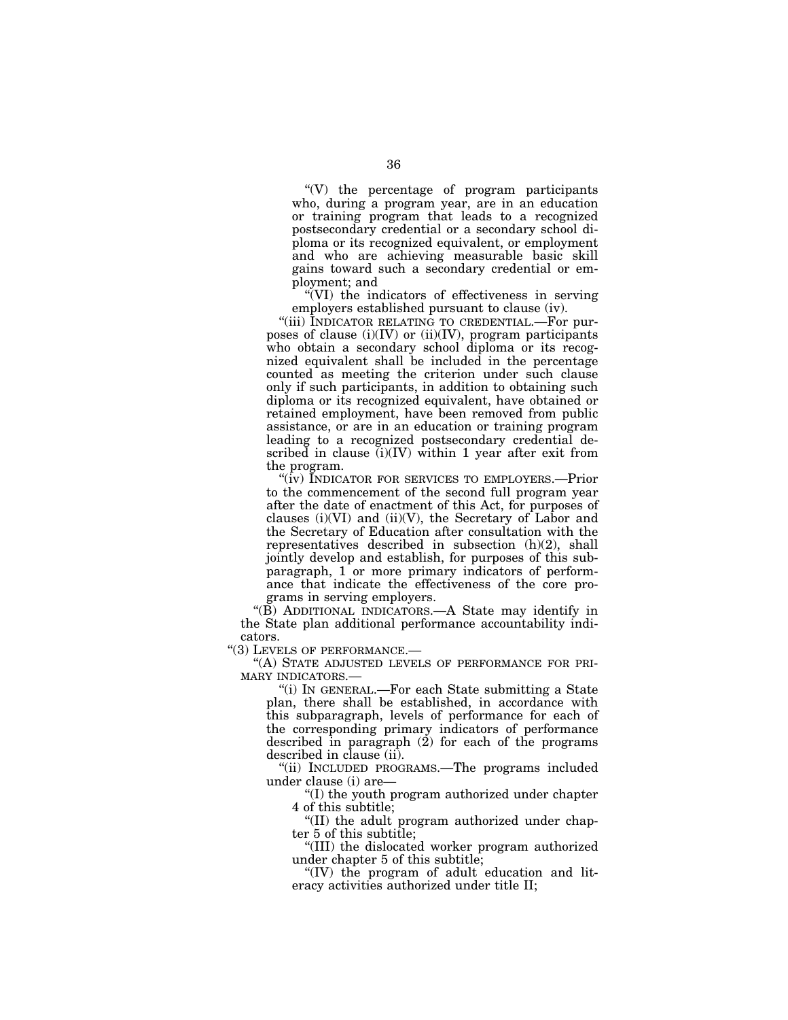''(V) the percentage of program participants who, during a program year, are in an education or training program that leads to a recognized postsecondary credential or a secondary school diploma or its recognized equivalent, or employment and who are achieving measurable basic skill gains toward such a secondary credential or employment; and

 $\sqrt{\rm V}$  the indicators of effectiveness in serving employers established pursuant to clause (iv).

"(iii) INDICATOR RELATING TO CREDENTIAL.—For purposes of clause  $(i)(IV)$  or  $(ii)(IV)$ , program participants who obtain a secondary school diploma or its recognized equivalent shall be included in the percentage counted as meeting the criterion under such clause only if such participants, in addition to obtaining such diploma or its recognized equivalent, have obtained or retained employment, have been removed from public assistance, or are in an education or training program leading to a recognized postsecondary credential described in clause  $(i)(IV)$  within 1 year after exit from the program.

''(iv) INDICATOR FOR SERVICES TO EMPLOYERS.—Prior to the commencement of the second full program year after the date of enactment of this Act, for purposes of clauses  $(i)(VI)$  and  $(ii)(V)$ , the Secretary of Labor and the Secretary of Education after consultation with the representatives described in subsection (h)(2), shall jointly develop and establish, for purposes of this subparagraph, 1 or more primary indicators of performance that indicate the effectiveness of the core programs in serving employers.

"(B) ADDITIONAL INDICATORS.—A State may identify in the State plan additional performance accountability indicators.

''(3) LEVELS OF PERFORMANCE.—

''(A) STATE ADJUSTED LEVELS OF PERFORMANCE FOR PRI-MARY INDICATORS.—

''(i) IN GENERAL.—For each State submitting a State plan, there shall be established, in accordance with this subparagraph, levels of performance for each of the corresponding primary indicators of performance described in paragraph  $(2)$  for each of the programs described in clause (ii).

''(ii) INCLUDED PROGRAMS.—The programs included under clause (i) are—

''(I) the youth program authorized under chapter 4 of this subtitle;

''(II) the adult program authorized under chapter 5 of this subtitle;

''(III) the dislocated worker program authorized under chapter 5 of this subtitle;

''(IV) the program of adult education and literacy activities authorized under title II;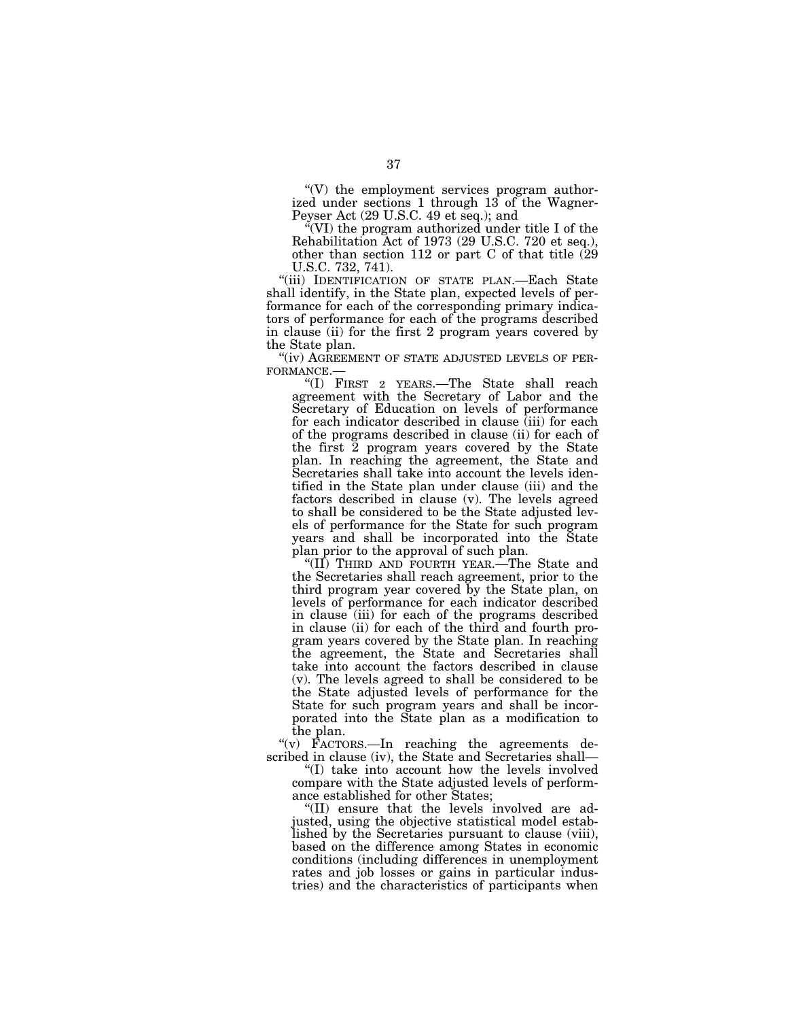$\degree$ (V) the employment services program authorized under sections 1 through 13 of the Wagner-Peyser Act (29 U.S.C. 49 et seq.); and

 $\sqrt{\text{V}}$  (VI) the program authorized under title I of the Rehabilitation Act of 1973 (29 U.S.C. 720 et seq.), other than section 112 or part C of that title (29 U.S.C. 732, 741).

"(iii) IDENTIFICATION OF STATE PLAN.—Each State shall identify, in the State plan, expected levels of performance for each of the corresponding primary indicators of performance for each of the programs described in clause (ii) for the first 2 program years covered by the State plan.<br>"(iv) AGREEMENT OF STATE ADJUSTED LEVELS OF PER-

FORMANCE.—<br>"(I) FIRST 2 YEARS.—The State shall reach

agreement with the Secretary of Labor and the Secretary of Education on levels of performance for each indicator described in clause (iii) for each of the programs described in clause (ii) for each of the first 2 program years covered by the State plan. In reaching the agreement, the State and Secretaries shall take into account the levels identified in the State plan under clause (iii) and the factors described in clause (v). The levels agreed to shall be considered to be the State adjusted levels of performance for the State for such program years and shall be incorporated into the State plan prior to the approval of such plan.

''(II) THIRD AND FOURTH YEAR.—The State and the Secretaries shall reach agreement, prior to the third program year covered by the State plan, on levels of performance for each indicator described in clause (iii) for each of the programs described in clause (ii) for each of the third and fourth program years covered by the State plan. In reaching the agreement, the State and Secretaries shall take into account the factors described in clause (v). The levels agreed to shall be considered to be the State adjusted levels of performance for the State for such program years and shall be incorporated into the State plan as a modification to the plan.

''(v) FACTORS.—In reaching the agreements described in clause (iv), the State and Secretaries shall—

''(I) take into account how the levels involved compare with the State adjusted levels of performance established for other States;

''(II) ensure that the levels involved are adjusted, using the objective statistical model established by the Secretaries pursuant to clause (viii), based on the difference among States in economic conditions (including differences in unemployment rates and job losses or gains in particular industries) and the characteristics of participants when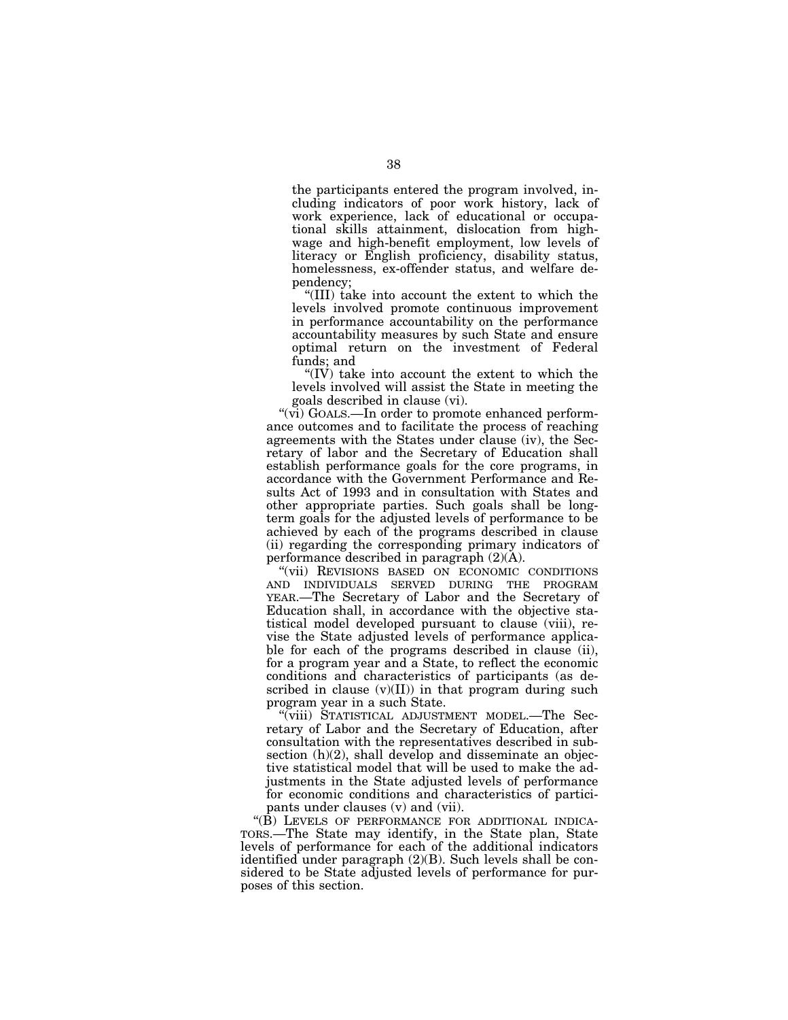the participants entered the program involved, including indicators of poor work history, lack of work experience, lack of educational or occupational skills attainment, dislocation from highwage and high-benefit employment, low levels of literacy or English proficiency, disability status, homelessness, ex-offender status, and welfare dependency;

''(III) take into account the extent to which the levels involved promote continuous improvement in performance accountability on the performance accountability measures by such State and ensure optimal return on the investment of Federal funds; and

''(IV) take into account the extent to which the levels involved will assist the State in meeting the goals described in clause (vi).

"(vi) GOALS.—In order to promote enhanced performance outcomes and to facilitate the process of reaching agreements with the States under clause (iv), the Secretary of labor and the Secretary of Education shall establish performance goals for the core programs, in accordance with the Government Performance and Results Act of 1993 and in consultation with States and other appropriate parties. Such goals shall be longterm goals for the adjusted levels of performance to be achieved by each of the programs described in clause (ii) regarding the corresponding primary indicators of performance described in paragraph (2)(A).

''(vii) REVISIONS BASED ON ECONOMIC CONDITIONS AND INDIVIDUALS SERVED DURING THE PROGRAM YEAR.—The Secretary of Labor and the Secretary of Education shall, in accordance with the objective statistical model developed pursuant to clause (viii), revise the State adjusted levels of performance applicable for each of the programs described in clause (ii), for a program year and a State, to reflect the economic conditions and characteristics of participants (as described in clause  $(v)(II)$  in that program during such program year in a such State.

''(viii) STATISTICAL ADJUSTMENT MODEL.—The Secretary of Labor and the Secretary of Education, after consultation with the representatives described in subsection (h)(2), shall develop and disseminate an objective statistical model that will be used to make the adjustments in the State adjusted levels of performance for economic conditions and characteristics of participants under clauses (v) and (vii).

"(B) LEVELS OF PERFORMANCE FOR ADDITIONAL INDICA-TORS.—The State may identify, in the State plan, State levels of performance for each of the additional indicators identified under paragraph (2)(B). Such levels shall be considered to be State adjusted levels of performance for purposes of this section.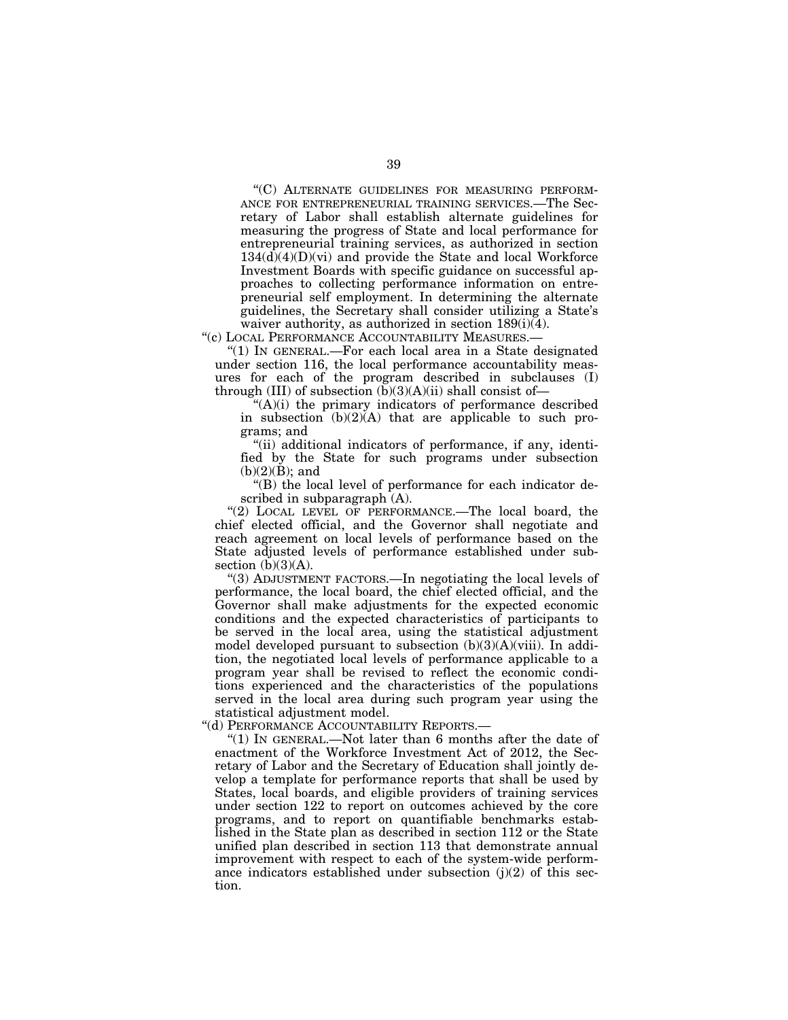''(C) ALTERNATE GUIDELINES FOR MEASURING PERFORM-ANCE FOR ENTREPRENEURIAL TRAINING SERVICES.—The Secretary of Labor shall establish alternate guidelines for measuring the progress of State and local performance for entrepreneurial training services, as authorized in section  $134(d)(4)(D)(vi)$  and provide the State and local Workforce Investment Boards with specific guidance on successful approaches to collecting performance information on entrepreneurial self employment. In determining the alternate guidelines, the Secretary shall consider utilizing a State's waiver authority, as authorized in section 189(i)(4).

"(c) LOCAL PERFORMANCE ACCOUNTABILITY MEASURES.-

''(1) IN GENERAL.—For each local area in a State designated under section 116, the local performance accountability measures for each of the program described in subclauses (I) through (III) of subsection  $(b)(3)(A)(ii)$  shall consist of-

 $(A)(i)$  the primary indicators of performance described in subsection  $(b)(2)(A)$  that are applicable to such programs; and

''(ii) additional indicators of performance, if any, identified by the State for such programs under subsection  $(b)(2)(B)$ ; and

''(B) the local level of performance for each indicator described in subparagraph (A).

"(2) LOCAL LEVEL OF PERFORMANCE.—The local board, the chief elected official, and the Governor shall negotiate and reach agreement on local levels of performance based on the State adjusted levels of performance established under subsection  $(b)(3)(A)$ .

''(3) ADJUSTMENT FACTORS.—In negotiating the local levels of performance, the local board, the chief elected official, and the Governor shall make adjustments for the expected economic conditions and the expected characteristics of participants to be served in the local area, using the statistical adjustment model developed pursuant to subsection  $(b)(3)(A)(viii)$ . In addition, the negotiated local levels of performance applicable to a program year shall be revised to reflect the economic conditions experienced and the characteristics of the populations served in the local area during such program year using the statistical adjustment model.

''(d) PERFORMANCE ACCOUNTABILITY REPORTS.—

" $(1)$  In GENERAL.—Not later than 6 months after the date of enactment of the Workforce Investment Act of 2012, the Secretary of Labor and the Secretary of Education shall jointly develop a template for performance reports that shall be used by States, local boards, and eligible providers of training services under section 122 to report on outcomes achieved by the core programs, and to report on quantifiable benchmarks established in the State plan as described in section 112 or the State unified plan described in section 113 that demonstrate annual improvement with respect to each of the system-wide performance indicators established under subsection  $(j)(2)$  of this section.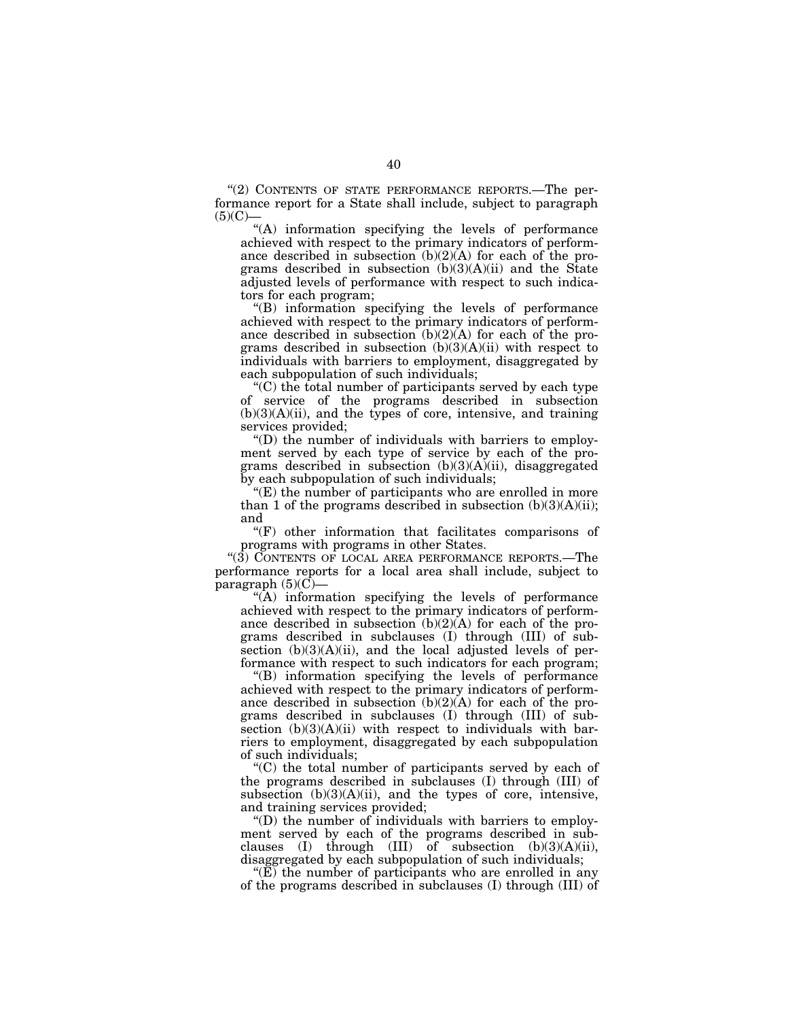''(2) CONTENTS OF STATE PERFORMANCE REPORTS.—The performance report for a State shall include, subject to paragraph  $(5)(C)$ —

''(A) information specifying the levels of performance achieved with respect to the primary indicators of performance described in subsection  $(b)(2)(A)$  for each of the programs described in subsection  $(b)(3)(A)(ii)$  and the State adjusted levels of performance with respect to such indicators for each program;

''(B) information specifying the levels of performance achieved with respect to the primary indicators of performance described in subsection  $(b)(2)(A)$  for each of the programs described in subsection  $(b)(3)(A)(ii)$  with respect to individuals with barriers to employment, disaggregated by each subpopulation of such individuals;

''(C) the total number of participants served by each type of service of the programs described in subsection  $(b)(3)(A)(ii)$ , and the types of core, intensive, and training services provided;

''(D) the number of individuals with barriers to employment served by each type of service by each of the programs described in subsection (b)(3)(A)(ii), disaggregated by each subpopulation of such individuals;

''(E) the number of participants who are enrolled in more than 1 of the programs described in subsection  $(b)(3)(A)(ii)$ ; and

''(F) other information that facilitates comparisons of programs with programs in other States.

''(3) CONTENTS OF LOCAL AREA PERFORMANCE REPORTS.—The performance reports for a local area shall include, subject to paragraph  $(5)(C)$ —

 $\mathcal{A}(\mathbf{A})$  information specifying the levels of performance achieved with respect to the primary indicators of performance described in subsection  $(b)(2)(A)$  for each of the programs described in subclauses (I) through (III) of subsection (b)(3)(A)(ii), and the local adjusted levels of performance with respect to such indicators for each program;

''(B) information specifying the levels of performance achieved with respect to the primary indicators of performance described in subsection  $(b)(2)(A)$  for each of the programs described in subclauses (I) through (III) of subsection  $(b)(3)(A)(ii)$  with respect to individuals with barriers to employment, disaggregated by each subpopulation of such individuals;

''(C) the total number of participants served by each of the programs described in subclauses (I) through (III) of subsection  $(b)(3)(A)(ii)$ , and the types of core, intensive, and training services provided;

''(D) the number of individuals with barriers to employment served by each of the programs described in subclauses (I) through (III) of subsection  $(b)(3)(A)(ii)$ , disaggregated by each subpopulation of such individuals;

 $E(E)$  the number of participants who are enrolled in any of the programs described in subclauses (I) through (III) of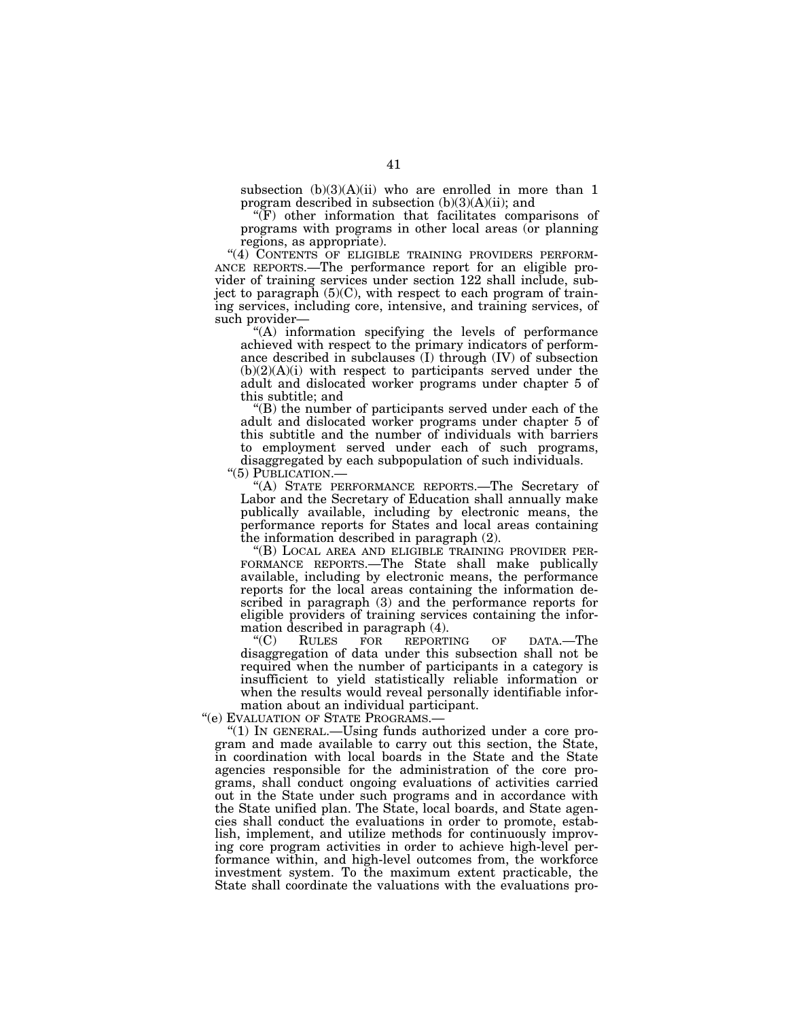subsection  $(b)(3)(A)(ii)$  who are enrolled in more than 1 program described in subsection  $(b)(3)(A)(ii)$ ; and

''(F) other information that facilitates comparisons of programs with programs in other local areas (or planning

regions, as appropriate).<br>"(4) CONTENTS OF ELIGIBLE TRAINING PROVIDERS PERFORM-ANCE REPORTS.—The performance report for an eligible provider of training services under section 122 shall include, subject to paragraph (5)(C), with respect to each program of training services, including core, intensive, and training services, of such provider—

''(A) information specifying the levels of performance achieved with respect to the primary indicators of performance described in subclauses (I) through (IV) of subsection  $(b)(2)(A)(i)$  with respect to participants served under the adult and dislocated worker programs under chapter 5 of this subtitle; and

''(B) the number of participants served under each of the adult and dislocated worker programs under chapter 5 of this subtitle and the number of individuals with barriers to employment served under each of such programs, disaggregated by each subpopulation of such individuals.

''(5) PUBLICATION.— ''(A) STATE PERFORMANCE REPORTS.—The Secretary of Labor and the Secretary of Education shall annually make publically available, including by electronic means, the performance reports for States and local areas containing the information described in paragraph (2).<br>"(B) LOCAL AREA AND ELIGIBLE TRAINING PROVIDER PER-

FORMANCE REPORTS.—The State shall make publically available, including by electronic means, the performance reports for the local areas containing the information described in paragraph (3) and the performance reports for eligible providers of training services containing the information described in paragraph (4).

"(C) RULES FOR REPORTING OF DATA.—The disaggregation of data under this subsection shall not be required when the number of participants in a category is insufficient to yield statistically reliable information or when the results would reveal personally identifiable information about an individual participant.

"(e) EVALUATION OF STATE PROGRAMS.-

''(1) IN GENERAL.—Using funds authorized under a core program and made available to carry out this section, the State, in coordination with local boards in the State and the State agencies responsible for the administration of the core programs, shall conduct ongoing evaluations of activities carried out in the State under such programs and in accordance with the State unified plan. The State, local boards, and State agencies shall conduct the evaluations in order to promote, establish, implement, and utilize methods for continuously improving core program activities in order to achieve high-level performance within, and high-level outcomes from, the workforce investment system. To the maximum extent practicable, the State shall coordinate the valuations with the evaluations pro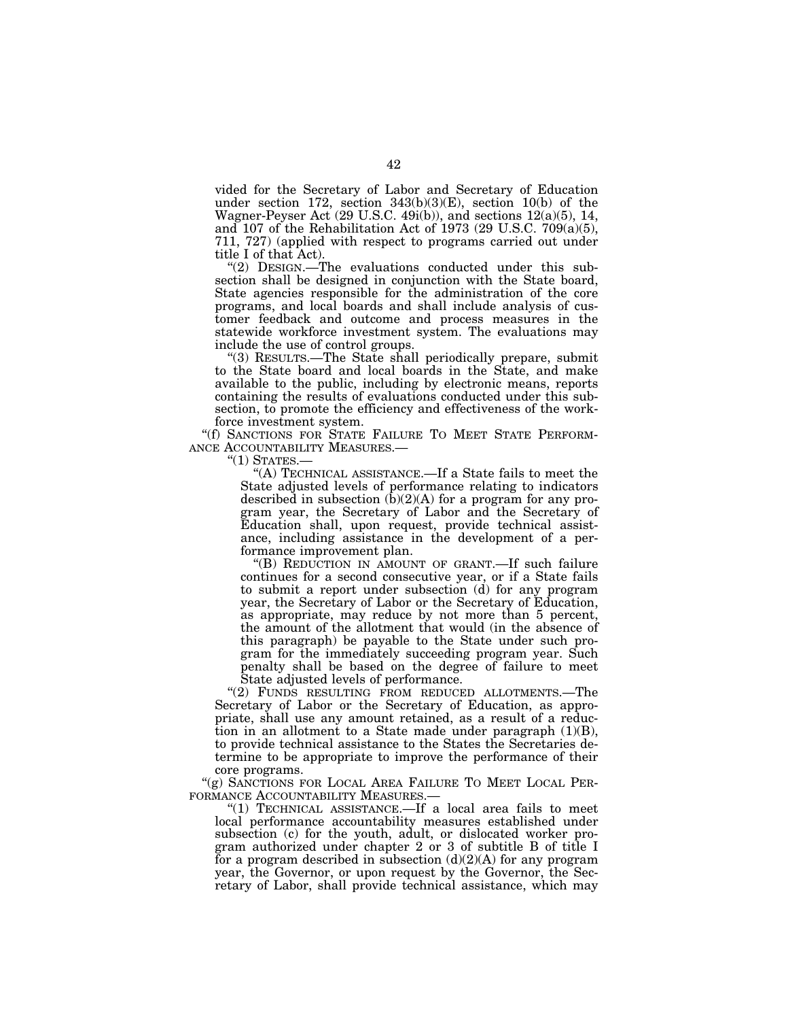vided for the Secretary of Labor and Secretary of Education under section 172, section 343(b)(3)(E), section 10(b) of the Wagner-Peyser Act (29 U.S.C. 49i(b)), and sections 12(a)(5), 14, and 107 of the Rehabilitation Act of 1973 (29 U.S.C.  $709(a)(5)$ , 711, 727) (applied with respect to programs carried out under title I of that Act).

"(2) DESIGN.—The evaluations conducted under this subsection shall be designed in conjunction with the State board, State agencies responsible for the administration of the core programs, and local boards and shall include analysis of customer feedback and outcome and process measures in the statewide workforce investment system. The evaluations may include the use of control groups.

''(3) RESULTS.—The State shall periodically prepare, submit to the State board and local boards in the State, and make available to the public, including by electronic means, reports containing the results of evaluations conducted under this subsection, to promote the efficiency and effectiveness of the workforce investment system.

"(f) SANCTIONS FOR STATE FAILURE TO MEET STATE PERFORM-<br>ANCE ACCOUNTABILITY MEASURES.—

"(1) STATES.—<br>"(A) TECHNICAL ASSISTANCE.—If a State fails to meet the State adjusted levels of performance relating to indicators described in subsection  $(b)(2)(A)$  for a program for any program year, the Secretary of Labor and the Secretary of Education shall, upon request, provide technical assistance, including assistance in the development of a performance improvement plan.

''(B) REDUCTION IN AMOUNT OF GRANT.—If such failure continues for a second consecutive year, or if a State fails to submit a report under subsection (d) for any program year, the Secretary of Labor or the Secretary of Education, as appropriate, may reduce by not more than 5 percent, the amount of the allotment that would (in the absence of this paragraph) be payable to the State under such program for the immediately succeeding program year. Such penalty shall be based on the degree of failure to meet State adjusted levels of performance.

"(2) FUNDS RESULTING FROM REDUCED ALLOTMENTS.-The Secretary of Labor or the Secretary of Education, as appropriate, shall use any amount retained, as a result of a reduction in an allotment to a State made under paragraph  $(1)(B)$ , to provide technical assistance to the States the Secretaries determine to be appropriate to improve the performance of their core programs.

"(g) SANCTIONS FOR LOCAL AREA FAILURE TO MEET LOCAL PER-FORMANCE ACCOUNTABILITY MEASURES.—

''(1) TECHNICAL ASSISTANCE.—If a local area fails to meet local performance accountability measures established under subsection (c) for the youth, adult, or dislocated worker program authorized under chapter 2 or 3 of subtitle B of title I for a program described in subsection  $(d)(2)(A)$  for any program year, the Governor, or upon request by the Governor, the Secretary of Labor, shall provide technical assistance, which may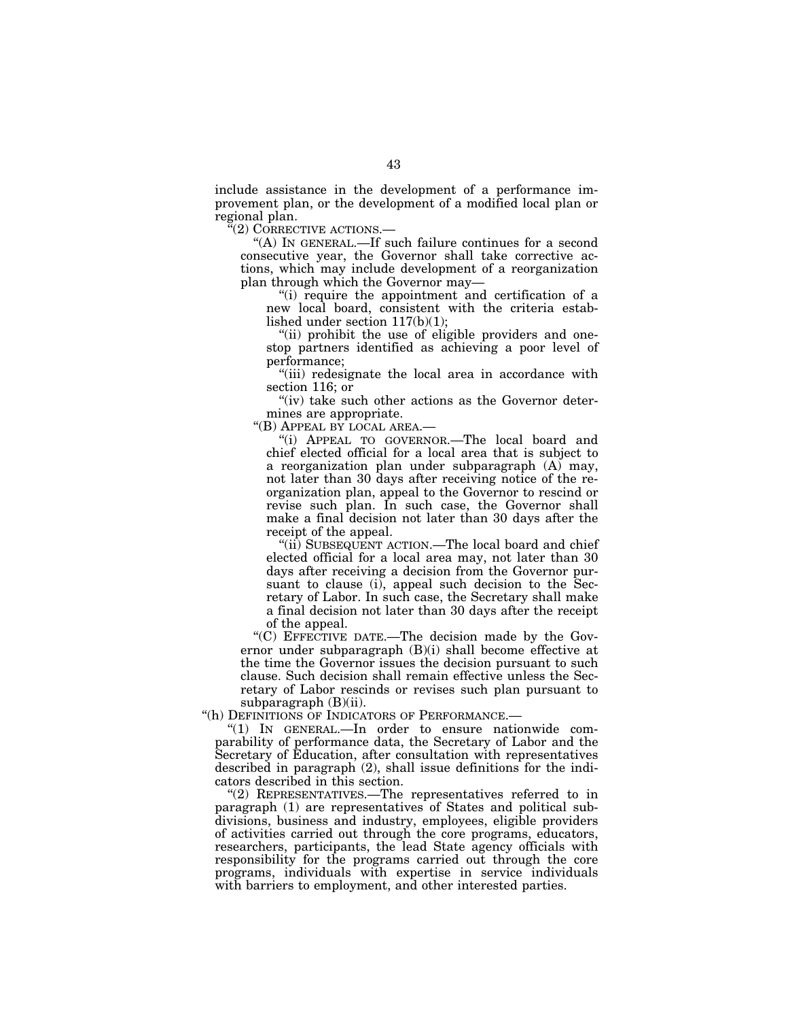include assistance in the development of a performance improvement plan, or the development of a modified local plan or regional plan.

''(2) CORRECTIVE ACTIONS.—

"(A) IN GENERAL.—If such failure continues for a second consecutive year, the Governor shall take corrective actions, which may include development of a reorganization plan through which the Governor may—

''(i) require the appointment and certification of a new local board, consistent with the criteria established under section 117(b)(1);

"(ii) prohibit the use of eligible providers and onestop partners identified as achieving a poor level of performance;

''(iii) redesignate the local area in accordance with section 116; or

"(iv) take such other actions as the Governor determines are appropriate.

''(B) APPEAL BY LOCAL AREA.—

''(i) APPEAL TO GOVERNOR.—The local board and chief elected official for a local area that is subject to a reorganization plan under subparagraph (A) may, not later than 30 days after receiving notice of the reorganization plan, appeal to the Governor to rescind or revise such plan. In such case, the Governor shall make a final decision not later than 30 days after the receipt of the appeal.

"(ii) SUBSEQUENT ACTION.—The local board and chief elected official for a local area may, not later than 30 days after receiving a decision from the Governor pursuant to clause (i), appeal such decision to the Secretary of Labor. In such case, the Secretary shall make a final decision not later than 30 days after the receipt of the appeal.

''(C) EFFECTIVE DATE.—The decision made by the Governor under subparagraph (B)(i) shall become effective at the time the Governor issues the decision pursuant to such clause. Such decision shall remain effective unless the Secretary of Labor rescinds or revises such plan pursuant to subparagraph (B)(ii).

''(h) DEFINITIONS OF INDICATORS OF PERFORMANCE.—

''(1) IN GENERAL.—In order to ensure nationwide comparability of performance data, the Secretary of Labor and the Secretary of Education, after consultation with representatives described in paragraph (2), shall issue definitions for the indicators described in this section.

''(2) REPRESENTATIVES.—The representatives referred to in paragraph (1) are representatives of States and political subdivisions, business and industry, employees, eligible providers of activities carried out through the core programs, educators, researchers, participants, the lead State agency officials with responsibility for the programs carried out through the core programs, individuals with expertise in service individuals with barriers to employment, and other interested parties.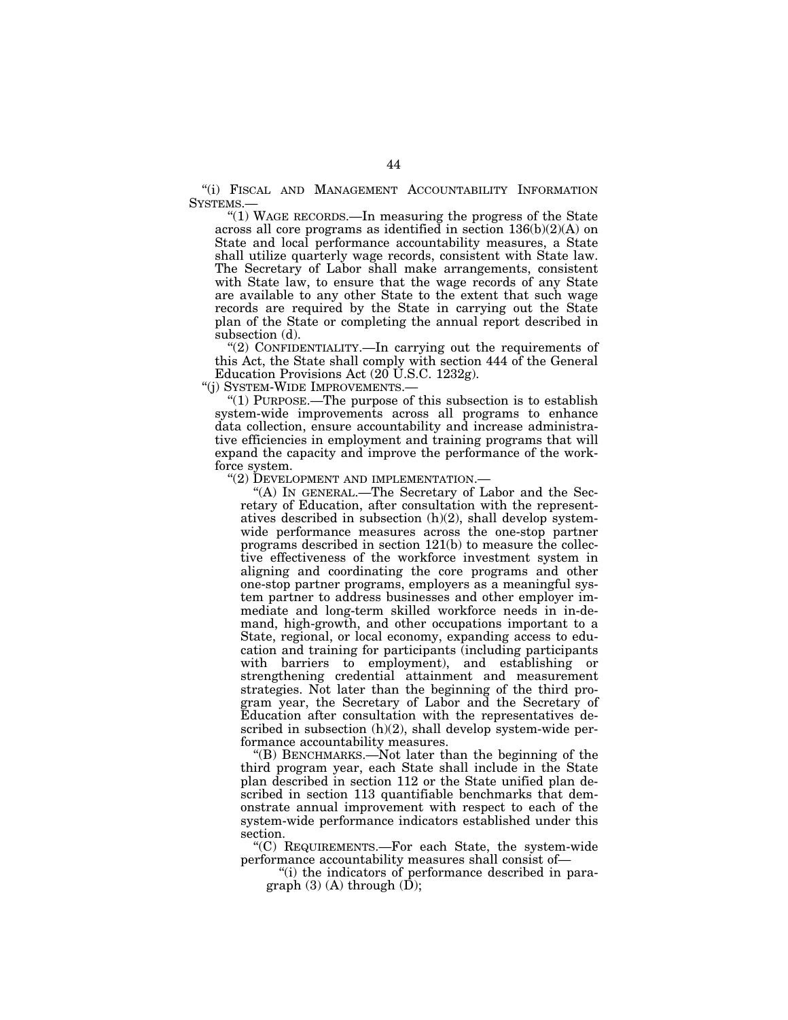"(i) FISCAL AND MANAGEMENT ACCOUNTABILITY INFORMATION SYSTEMS.—

''(1) WAGE RECORDS.—In measuring the progress of the State across all core programs as identified in section 136(b)(2)(A) on State and local performance accountability measures, a State shall utilize quarterly wage records, consistent with State law. The Secretary of Labor shall make arrangements, consistent with State law, to ensure that the wage records of any State are available to any other State to the extent that such wage records are required by the State in carrying out the State plan of the State or completing the annual report described in subsection (d).

''(2) CONFIDENTIALITY.—In carrying out the requirements of this Act, the State shall comply with section 444 of the General Education Provisions Act (20 U.S.C. 1232g).

''(j) SYSTEM-WIDE IMPROVEMENTS.—

''(1) PURPOSE.—The purpose of this subsection is to establish system-wide improvements across all programs to enhance data collection, ensure accountability and increase administrative efficiencies in employment and training programs that will expand the capacity and improve the performance of the workforce system.

"(2) DEVELOPMENT AND IMPLEMENTATION.-

''(A) IN GENERAL.—The Secretary of Labor and the Secretary of Education, after consultation with the representatives described in subsection (h)(2), shall develop systemwide performance measures across the one-stop partner programs described in section 121(b) to measure the collective effectiveness of the workforce investment system in aligning and coordinating the core programs and other one-stop partner programs, employers as a meaningful system partner to address businesses and other employer immediate and long-term skilled workforce needs in in-demand, high-growth, and other occupations important to a State, regional, or local economy, expanding access to education and training for participants (including participants with barriers to employment), and establishing or strengthening credential attainment and measurement strategies. Not later than the beginning of the third program year, the Secretary of Labor and the Secretary of Education after consultation with the representatives described in subsection (h)(2), shall develop system-wide performance accountability measures.

''(B) BENCHMARKS.—Not later than the beginning of the third program year, each State shall include in the State plan described in section 112 or the State unified plan described in section 113 quantifiable benchmarks that demonstrate annual improvement with respect to each of the system-wide performance indicators established under this section.

''(C) REQUIREMENTS.—For each State, the system-wide performance accountability measures shall consist of—

''(i) the indicators of performance described in paragraph  $(3)$  (A) through  $(\bar{D})$ ;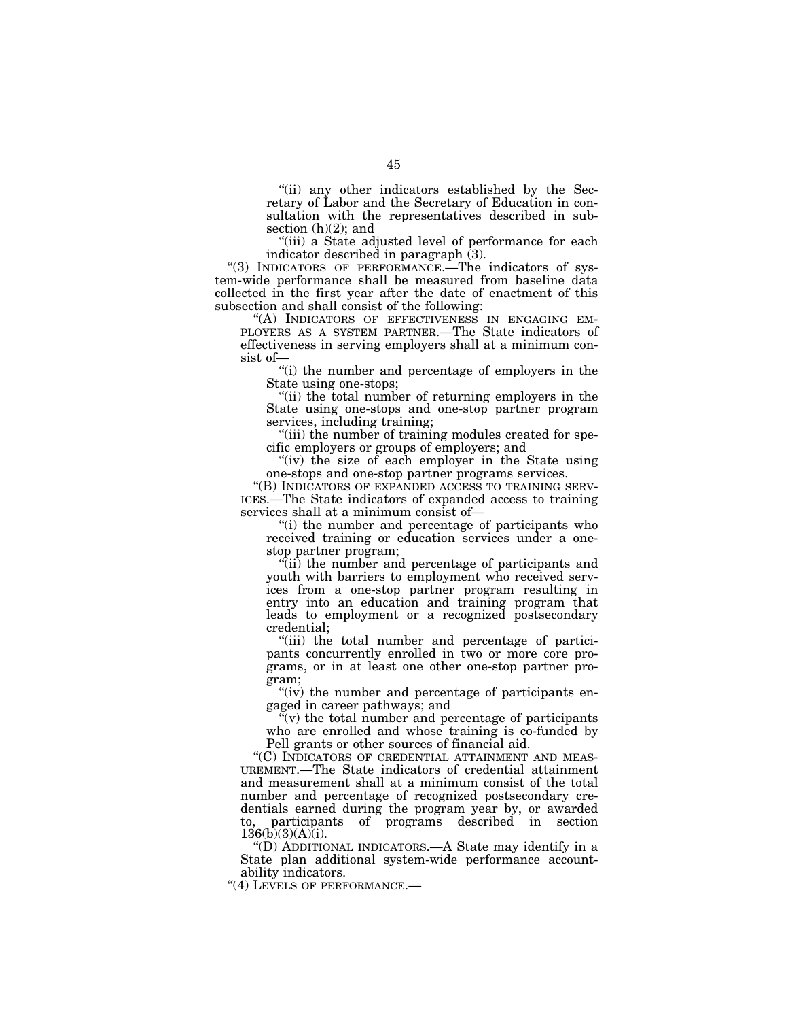"(ii) any other indicators established by the Secretary of Labor and the Secretary of Education in consultation with the representatives described in subsection  $(h)(2)$ ; and

"(iii) a State adjusted level of performance for each indicator described in paragraph (3).

"(3) INDICATORS OF PERFORMANCE.—The indicators of system-wide performance shall be measured from baseline data collected in the first year after the date of enactment of this subsection and shall consist of the following:

''(A) INDICATORS OF EFFECTIVENESS IN ENGAGING EM- PLOYERS AS A SYSTEM PARTNER.—The State indicators of effectiveness in serving employers shall at a minimum consist of—

''(i) the number and percentage of employers in the State using one-stops;

''(ii) the total number of returning employers in the State using one-stops and one-stop partner program services, including training;

"(iii) the number of training modules created for specific employers or groups of employers; and

"(iv) the size of each employer in the State using one-stops and one-stop partner programs services.

''(B) INDICATORS OF EXPANDED ACCESS TO TRAINING SERV- ICES.—The State indicators of expanded access to training services shall at a minimum consist of—

''(i) the number and percentage of participants who received training or education services under a onestop partner program;

 $\hat{f}$ (ii) the number and percentage of participants and youth with barriers to employment who received services from a one-stop partner program resulting in entry into an education and training program that leads to employment or a recognized postsecondary credential;

"(iii) the total number and percentage of participants concurrently enrolled in two or more core programs, or in at least one other one-stop partner program;

"(iv) the number and percentage of participants engaged in career pathways; and

 $\tilde{f}(v)$  the total number and percentage of participants who are enrolled and whose training is co-funded by Pell grants or other sources of financial aid.

''(C) INDICATORS OF CREDENTIAL ATTAINMENT AND MEAS-UREMENT.—The State indicators of credential attainment and measurement shall at a minimum consist of the total number and percentage of recognized postsecondary credentials earned during the program year by, or awarded to, participants of programs described in section  $136(b)(3)(A)(i)$ .

''(D) ADDITIONAL INDICATORS.—A State may identify in a State plan additional system-wide performance accountability indicators.

"(4) LEVELS OF PERFORMANCE.-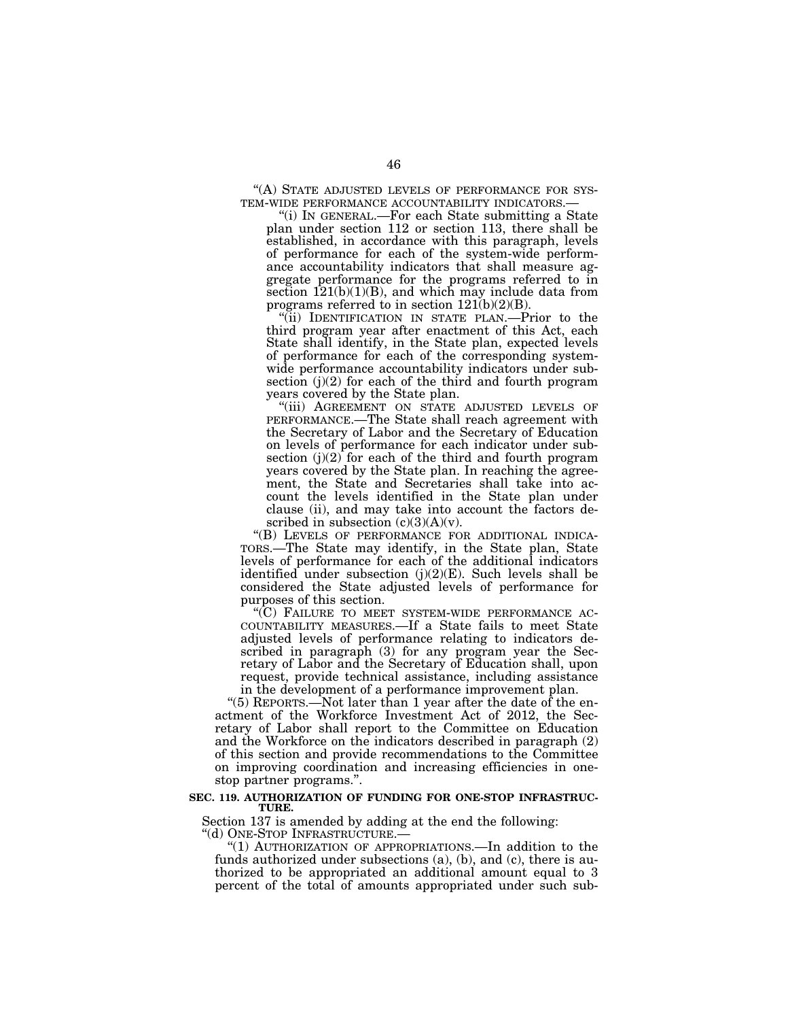''(A) STATE ADJUSTED LEVELS OF PERFORMANCE FOR SYS- TEM-WIDE PERFORMANCE ACCOUNTABILITY INDICATORS.— ''(i) IN GENERAL.—For each State submitting a State

plan under section 112 or section 113, there shall be established, in accordance with this paragraph, levels of performance for each of the system-wide performance accountability indicators that shall measure aggregate performance for the programs referred to in section  $121(b)(1)(B)$ , and which may include data from programs referred to in section  $121(b)(2)(B)$ .

''(ii) IDENTIFICATION IN STATE PLAN.—Prior to the third program year after enactment of this Act, each State shall identify, in the State plan, expected levels of performance for each of the corresponding systemwide performance accountability indicators under subsection  $(j)(2)$  for each of the third and fourth program years covered by the State plan.

''(iii) AGREEMENT ON STATE ADJUSTED LEVELS OF PERFORMANCE.—The State shall reach agreement with the Secretary of Labor and the Secretary of Education on levels of performance for each indicator under subsection  $(j)(2)$  for each of the third and fourth program years covered by the State plan. In reaching the agreement, the State and Secretaries shall take into account the levels identified in the State plan under clause (ii), and may take into account the factors described in subsection  $(c)(3)(A)(v)$ .

''(B) LEVELS OF PERFORMANCE FOR ADDITIONAL INDICA-TORS.—The State may identify, in the State plan, State levels of performance for each of the additional indicators identified under subsection  $(j)(2)(E)$ . Such levels shall be considered the State adjusted levels of performance for purposes of this section.

''(C) FAILURE TO MEET SYSTEM-WIDE PERFORMANCE AC- COUNTABILITY MEASURES.—If a State fails to meet State adjusted levels of performance relating to indicators described in paragraph (3) for any program year the Secretary of Labor and the Secretary of Education shall, upon request, provide technical assistance, including assistance in the development of a performance improvement plan.

"(5) REPORTS.—Not later than 1 year after the date of the enactment of the Workforce Investment Act of 2012, the Secretary of Labor shall report to the Committee on Education and the Workforce on the indicators described in paragraph (2) of this section and provide recommendations to the Committee on improving coordination and increasing efficiencies in onestop partner programs.''.

#### **SEC. 119. AUTHORIZATION OF FUNDING FOR ONE-STOP INFRASTRUC-TURE.**

Section 137 is amended by adding at the end the following:

''(d) ONE-STOP INFRASTRUCTURE.—

''(1) AUTHORIZATION OF APPROPRIATIONS.—In addition to the funds authorized under subsections (a), (b), and (c), there is authorized to be appropriated an additional amount equal to 3 percent of the total of amounts appropriated under such sub-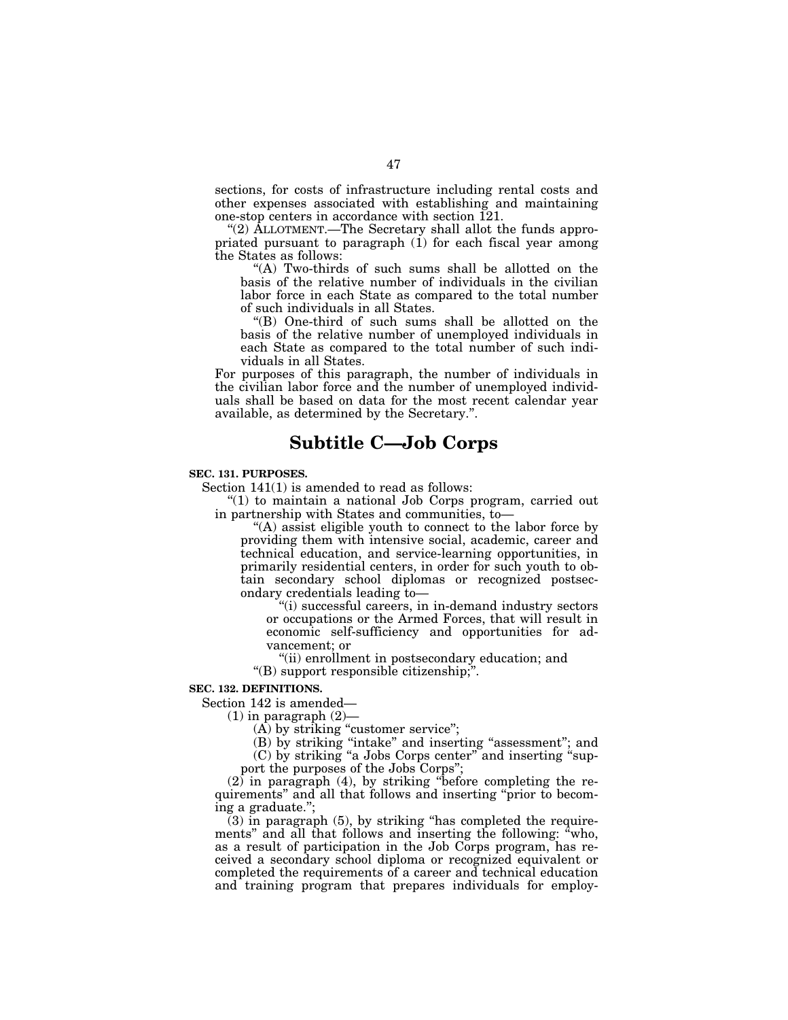sections, for costs of infrastructure including rental costs and other expenses associated with establishing and maintaining one-stop centers in accordance with section 121.

"(2) ALLOTMENT.—The Secretary shall allot the funds appropriated pursuant to paragraph  $(i)$  for each fiscal year among the States as follows:

"(A) Two-thirds of such sums shall be allotted on the basis of the relative number of individuals in the civilian labor force in each State as compared to the total number of such individuals in all States.

''(B) One-third of such sums shall be allotted on the basis of the relative number of unemployed individuals in each State as compared to the total number of such individuals in all States.

For purposes of this paragraph, the number of individuals in the civilian labor force and the number of unemployed individuals shall be based on data for the most recent calendar year available, as determined by the Secretary.''.

# **Subtitle C—Job Corps**

## **SEC. 131. PURPOSES.**

Section 141(1) is amended to read as follows:

" $(1)$  to maintain a national Job Corps program, carried out in partnership with States and communities, to—

''(A) assist eligible youth to connect to the labor force by providing them with intensive social, academic, career and technical education, and service-learning opportunities, in primarily residential centers, in order for such youth to obtain secondary school diplomas or recognized postsecondary credentials leading to—

''(i) successful careers, in in-demand industry sectors or occupations or the Armed Forces, that will result in economic self-sufficiency and opportunities for advancement; or

''(ii) enrollment in postsecondary education; and ''(B) support responsible citizenship;''.

# **SEC. 132. DEFINITIONS.**

Section 142 is amended—

 $(1)$  in paragraph  $(2)$ —

(A) by striking "customer service";

(B) by striking ''intake'' and inserting ''assessment''; and

(C) by striking ''a Jobs Corps center'' and inserting ''support the purposes of the Jobs Corps'';

(2) in paragraph (4), by striking ''before completing the requirements'' and all that follows and inserting ''prior to becoming a graduate.'';

 $(3)$  in paragraph  $(5)$ , by striking "has completed the requirements" and all that follows and inserting the following: "who, as a result of participation in the Job Corps program, has received a secondary school diploma or recognized equivalent or completed the requirements of a career and technical education and training program that prepares individuals for employ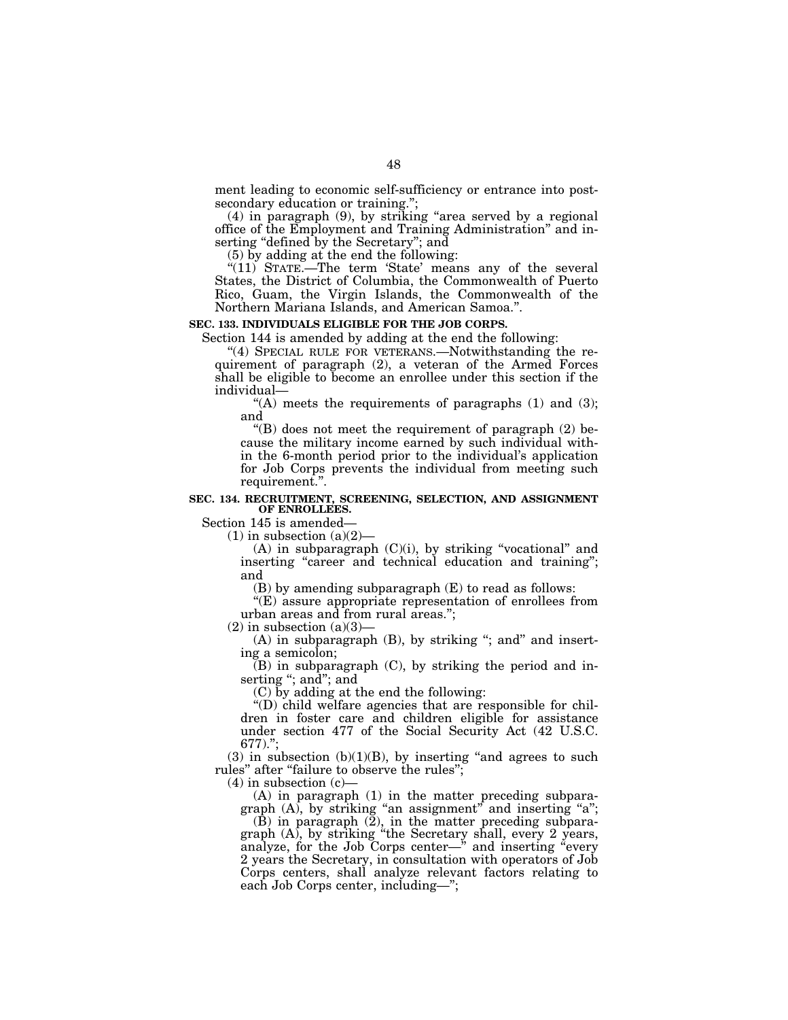ment leading to economic self-sufficiency or entrance into postsecondary education or training.'';

(4) in paragraph (9), by striking ''area served by a regional office of the Employment and Training Administration'' and inserting "defined by the Secretary"; and

(5) by adding at the end the following:

"(11) STATE.—The term 'State' means any of the several States, the District of Columbia, the Commonwealth of Puerto Rico, Guam, the Virgin Islands, the Commonwealth of the Northern Mariana Islands, and American Samoa.''.

### **SEC. 133. INDIVIDUALS ELIGIBLE FOR THE JOB CORPS.**

Section 144 is amended by adding at the end the following:

"(4) SPECIAL RULE FOR VETERANS.—Notwithstanding the requirement of paragraph (2), a veteran of the Armed Forces shall be eligible to become an enrollee under this section if the individual—

"(A) meets the requirements of paragraphs  $(1)$  and  $(3)$ ; and

"(B) does not meet the requirement of paragraph  $(2)$  because the military income earned by such individual within the 6-month period prior to the individual's application for Job Corps prevents the individual from meeting such requirement."

#### **SEC. 134. RECRUITMENT, SCREENING, SELECTION, AND ASSIGNMENT OF ENROLLEES.**

Section 145 is amended—

 $(1)$  in subsection  $(a)(2)$ —

 $(A)$  in subparagraph  $(C)(i)$ , by striking "vocational" and inserting "career and technical education and training"; and

(B) by amending subparagraph (E) to read as follows:

''(E) assure appropriate representation of enrollees from urban areas and from rural areas.'';

 $(2)$  in subsection  $(a)(3)$ —

 $(A)$  in subparagraph  $(B)$ , by striking "; and" and inserting a semicolon;

 $(B)$  in subparagraph  $(C)$ , by striking the period and inserting ''; and''; and

(C) by adding at the end the following:

''(D) child welfare agencies that are responsible for children in foster care and children eligible for assistance under section 477 of the Social Security Act (42 U.S.C. 677).'';

 $(3)$  in subsection  $(b)(1)(B)$ , by inserting "and agrees to such rules" after "failure to observe the rules";

 $(4)$  in subsection  $(c)$ 

(A) in paragraph (1) in the matter preceding subparagraph  $(A)$ , by striking "an assignment" and inserting "a";

 $(B)$  in paragraph  $(2)$ , in the matter preceding subparagraph (A), by striking ''the Secretary shall, every 2 years, analyze, for the Job Corps center—" and inserting "every 2 years the Secretary, in consultation with operators of Job Corps centers, shall analyze relevant factors relating to each Job Corps center, including—'';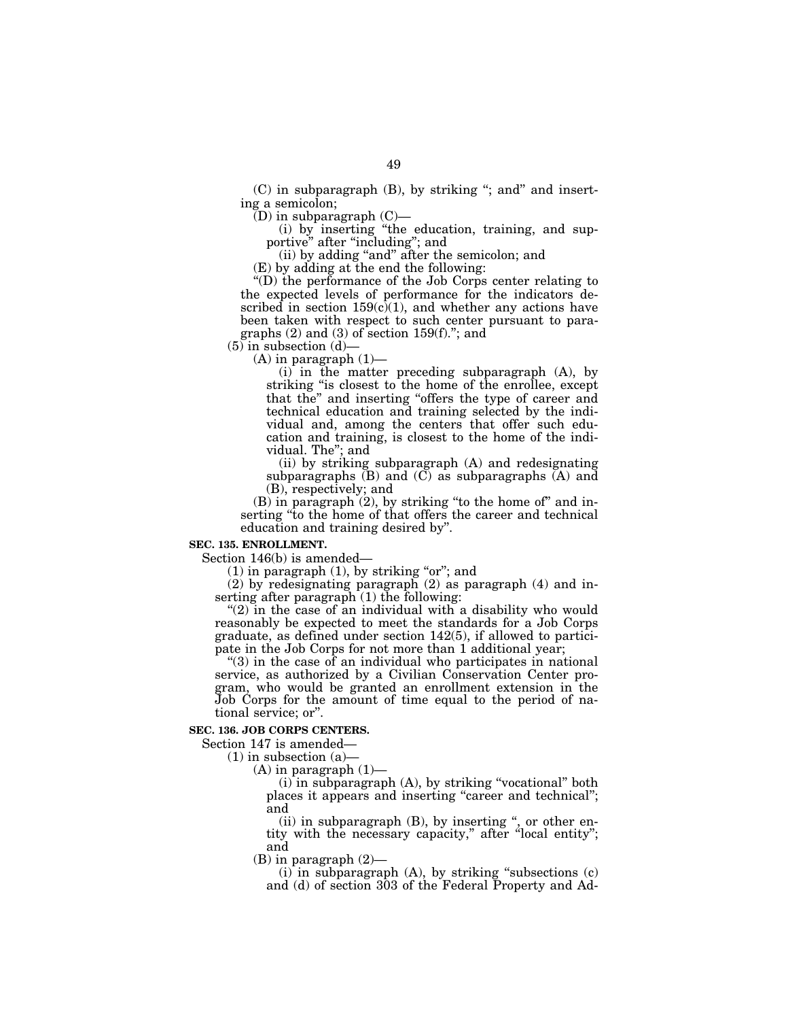$(C)$  in subparagraph  $(B)$ , by striking "; and and inserting a semicolon;

 $(D)$  in subparagraph  $(C)$ —

(i) by inserting ''the education, training, and supportive'' after ''including''; and

(ii) by adding ''and'' after the semicolon; and

(E) by adding at the end the following:

''(D) the performance of the Job Corps center relating to the expected levels of performance for the indicators described in section  $159(c)(1)$ , and whether any actions have been taken with respect to such center pursuant to paragraphs  $(2)$  and  $(3)$  of section 159 $(f)$ ."; and

 $(5)$  in subsection  $(d)$ —

 $(A)$  in paragraph  $(1)$ —

(i) in the matter preceding subparagraph (A), by striking "is closest to the home of the enrollee, except that the'' and inserting ''offers the type of career and technical education and training selected by the individual and, among the centers that offer such education and training, is closest to the home of the individual. The''; and

(ii) by striking subparagraph (A) and redesignating subparagraphs  $(B)$  and  $(C)$  as subparagraphs  $(A)$  and (B), respectively; and

 $(B)$  in paragraph  $(2)$ , by striking "to the home of" and inserting "to the home of that offers the career and technical education and training desired by''.

### **SEC. 135. ENROLLMENT.**

Section 146(b) is amended—

 $(1)$  in paragraph  $(1)$ , by striking "or"; and

(2) by redesignating paragraph (2) as paragraph (4) and inserting after paragraph (1) the following:

" $(2)$  in the case of an individual with a disability who would reasonably be expected to meet the standards for a Job Corps graduate, as defined under section 142(5), if allowed to participate in the Job Corps for not more than 1 additional year;

 $(3)$  in the case of an individual who participates in national service, as authorized by a Civilian Conservation Center program, who would be granted an enrollment extension in the Job Corps for the amount of time equal to the period of national service; or''.

# **SEC. 136. JOB CORPS CENTERS.**

Section 147 is amended—

 $(1)$  in subsection  $(a)$ —

(A) in paragraph (1)—

 $(i)$  in subparagraph  $(A)$ , by striking "vocational" both places it appears and inserting ''career and technical''; and

(ii) in subparagraph (B), by inserting '', or other entity with the necessary capacity,'' after ''local entity''; and

(B) in paragraph (2)—

 $(i)$  in subparagraph  $(A)$ , by striking "subsections  $(c)$ and (d) of section 303 of the Federal Property and Ad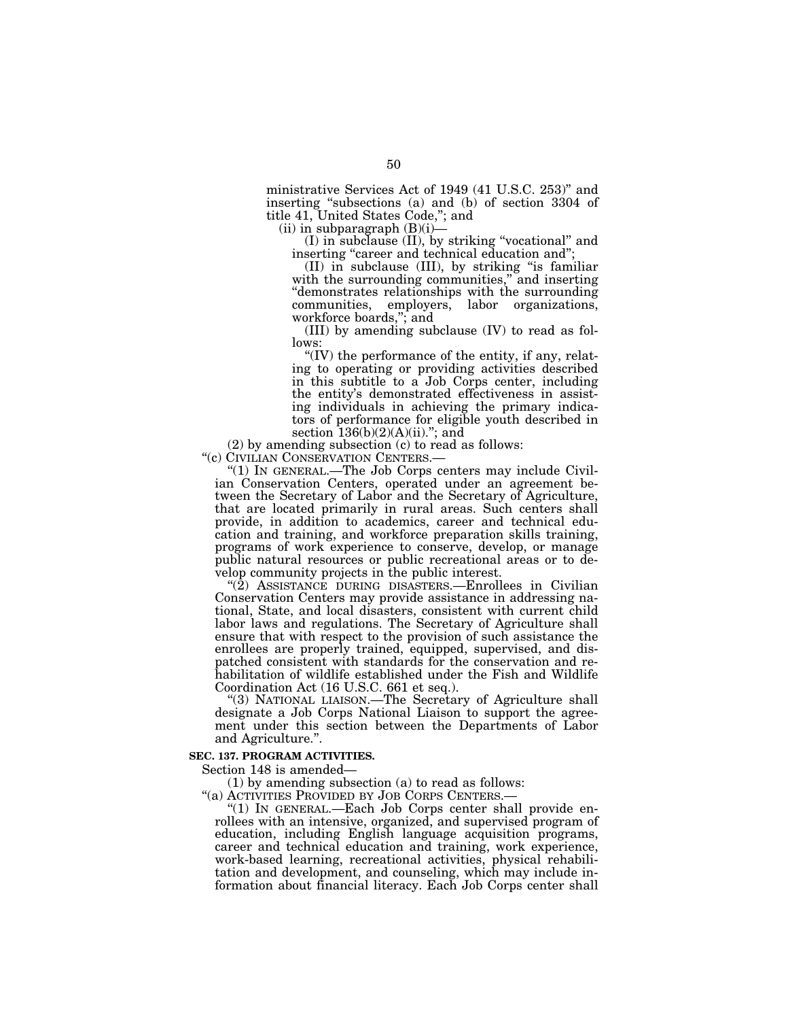ministrative Services Act of 1949 (41 U.S.C. 253)'' and inserting ''subsections (a) and (b) of section 3304 of title 41, United States Code,''; and

 $(ii)$  in subparagraph  $(B)(i)$ –

(I) in subclause (II), by striking ''vocational'' and inserting "career and technical education and";

(II) in subclause (III), by striking ''is familiar with the surrounding communities," and inserting ''demonstrates relationships with the surrounding communities, employers, labor organizations, workforce boards,''; and

(III) by amending subclause (IV) to read as follows:

" $(IV)$  the performance of the entity, if any, relating to operating or providing activities described in this subtitle to a Job Corps center, including the entity's demonstrated effectiveness in assisting individuals in achieving the primary indicators of performance for eligible youth described in section  $136(b)(2)(A)(ii)$ ."; and

(2) by amending subsection (c) to read as follows: "(c)  $CIVILLAN CONSERVATION CENTERS.$ —

"(1) IN GENERAL.—The Job Corps centers may include Civilian Conservation Centers, operated under an agreement between the Secretary of Labor and the Secretary of Agriculture, that are located primarily in rural areas. Such centers shall provide, in addition to academics, career and technical education and training, and workforce preparation skills training, programs of work experience to conserve, develop, or manage public natural resources or public recreational areas or to develop community projects in the public interest.

''(2) ASSISTANCE DURING DISASTERS.—Enrollees in Civilian Conservation Centers may provide assistance in addressing national, State, and local disasters, consistent with current child labor laws and regulations. The Secretary of Agriculture shall ensure that with respect to the provision of such assistance the enrollees are properly trained, equipped, supervised, and dispatched consistent with standards for the conservation and rehabilitation of wildlife established under the Fish and Wildlife Coordination Act (16 U.S.C. 661 et seq.).

''(3) NATIONAL LIAISON.—The Secretary of Agriculture shall designate a Job Corps National Liaison to support the agreement under this section between the Departments of Labor and Agriculture.''.

# **SEC. 137. PROGRAM ACTIVITIES.**

Section 148 is amended—

(1) by amending subsection (a) to read as follows:

''(a) ACTIVITIES PROVIDED BY JOB CORPS CENTERS.—

''(1) IN GENERAL.—Each Job Corps center shall provide enrollees with an intensive, organized, and supervised program of education, including English language acquisition programs, career and technical education and training, work experience, work-based learning, recreational activities, physical rehabilitation and development, and counseling, which may include information about financial literacy. Each Job Corps center shall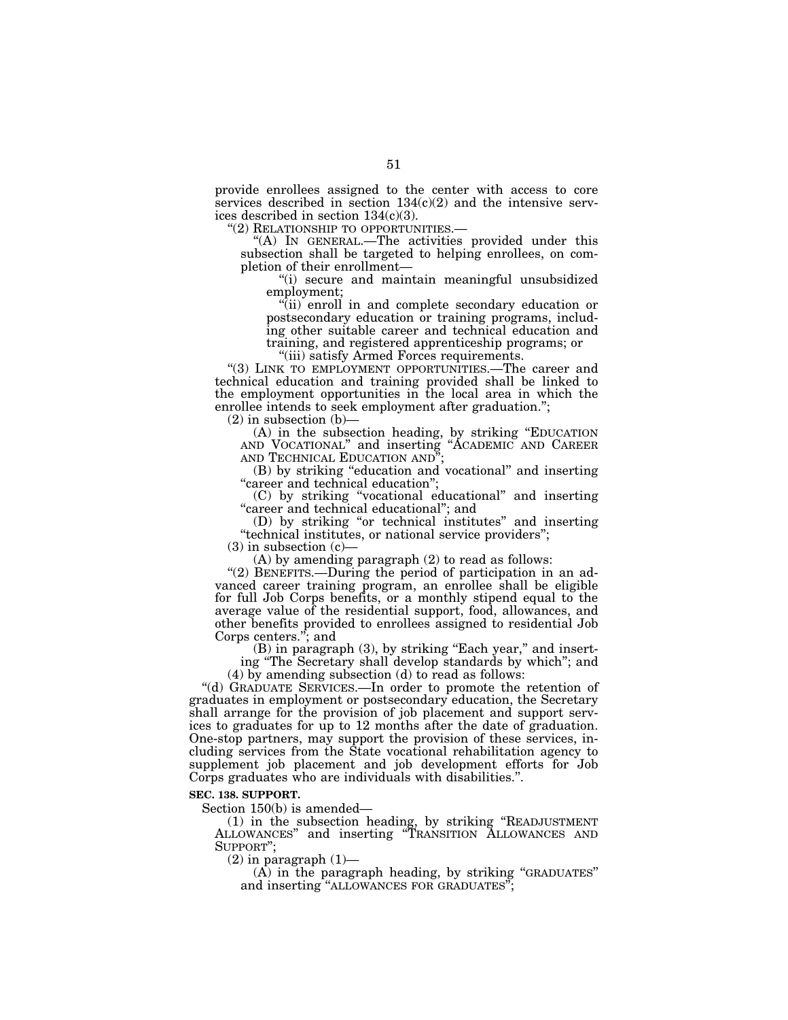provide enrollees assigned to the center with access to core services described in section  $134(c)(2)$  and the intensive services described in section 134(c)(3).<br>"(2) RELATIONSHIP TO OPPORTUNITIES.—

"(A) IN GENERAL.—The activities provided under this subsection shall be targeted to helping enrollees, on completion of their enrollment—

''(i) secure and maintain meaningful unsubsidized employment;

''(ii) enroll in and complete secondary education or postsecondary education or training programs, including other suitable career and technical education and training, and registered apprenticeship programs; or

''(iii) satisfy Armed Forces requirements.

"(3) LINK TO EMPLOYMENT OPPORTUNITIES.—The career and technical education and training provided shall be linked to the employment opportunities in the local area in which the enrollee intends to seek employment after graduation.'';

 $(2)$  in subsection  $(b)$ —

(A) in the subsection heading, by striking ''EDUCATION AND VOCATIONAL'' and inserting ''ACADEMIC AND CAREER AND TECHNICAL EDUCATION AND"

(B) by striking ''education and vocational'' and inserting "career and technical education";

(C) by striking ''vocational educational'' and inserting "career and technical educational"; and

(D) by striking ''or technical institutes'' and inserting ''technical institutes, or national service providers'';

 $(3)$  in subsection  $(c)$ —

(A) by amending paragraph (2) to read as follows:

"(2) BENEFITS.—During the period of participation in an advanced career training program, an enrollee shall be eligible for full Job Corps benefits, or a monthly stipend equal to the average value of the residential support, food, allowances, and other benefits provided to enrollees assigned to residential Job Corps centers.''; and

 $(B)$  in paragraph  $(3)$ , by striking "Each year," and inserting ''The Secretary shall develop standards by which''; and (4) by amending subsection (d) to read as follows:

''(d) GRADUATE SERVICES.—In order to promote the retention of graduates in employment or postsecondary education, the Secretary shall arrange for the provision of job placement and support services to graduates for up to 12 months after the date of graduation. One-stop partners, may support the provision of these services, including services from the State vocational rehabilitation agency to supplement job placement and job development efforts for Job Corps graduates who are individuals with disabilities.''.

#### **SEC. 138. SUPPORT.**

Section 150(b) is amended—

(1) in the subsection heading, by striking ''READJUSTMENT ALLOWANCES'' and inserting ''TRANSITION ALLOWANCES AND SUPPORT'';

 $(2)$  in paragraph  $(1)$ —

 $(A)$  in the paragraph heading, by striking "GRADUATES" and inserting ''ALLOWANCES FOR GRADUATES'';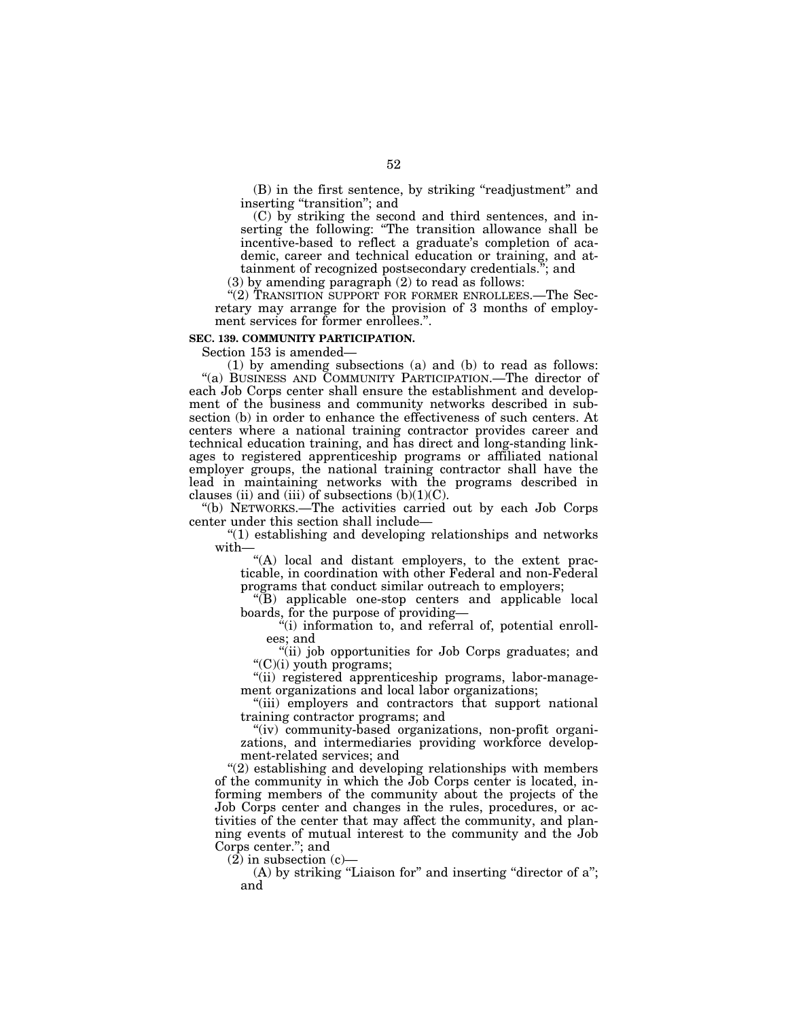(B) in the first sentence, by striking ''readjustment'' and inserting "transition"; and

(C) by striking the second and third sentences, and inserting the following: "The transition allowance shall be incentive-based to reflect a graduate's completion of academic, career and technical education or training, and attainment of recognized postsecondary credentials.''; and

(3) by amending paragraph (2) to read as follows:

"(2) TRANSITION SUPPORT FOR FORMER ENROLLEES.—The Secretary may arrange for the provision of 3 months of employment services for former enrollees.''.

#### **SEC. 139. COMMUNITY PARTICIPATION.**

Section 153 is amended—

(1) by amending subsections (a) and (b) to read as follows: ''(a) BUSINESS AND COMMUNITY PARTICIPATION.—The director of each Job Corps center shall ensure the establishment and development of the business and community networks described in subsection (b) in order to enhance the effectiveness of such centers. At centers where a national training contractor provides career and technical education training, and has direct and long-standing linkages to registered apprenticeship programs or affiliated national employer groups, the national training contractor shall have the lead in maintaining networks with the programs described in clauses (ii) and (iii) of subsections  $(b)(1)(C)$ .

''(b) NETWORKS.—The activities carried out by each Job Corps center under this section shall include—

''(1) establishing and developing relationships and networks with—

"(A) local and distant employers, to the extent practicable, in coordination with other Federal and non-Federal programs that conduct similar outreach to employers;

''(B) applicable one-stop centers and applicable local boards, for the purpose of providing—

''(i) information to, and referral of, potential enrollees; and

"(ii) job opportunities for Job Corps graduates; and ''(C)(i) youth programs;

''(ii) registered apprenticeship programs, labor-management organizations and local labor organizations;

''(iii) employers and contractors that support national training contractor programs; and

"(iv) community-based organizations, non-profit organizations, and intermediaries providing workforce development-related services; and

''(2) establishing and developing relationships with members of the community in which the Job Corps center is located, informing members of the community about the projects of the Job Corps center and changes in the rules, procedures, or activities of the center that may affect the community, and planning events of mutual interest to the community and the Job Corps center.''; and

 $(2)$  in subsection  $(c)$ —

(A) by striking "Liaison for" and inserting "director of a"; and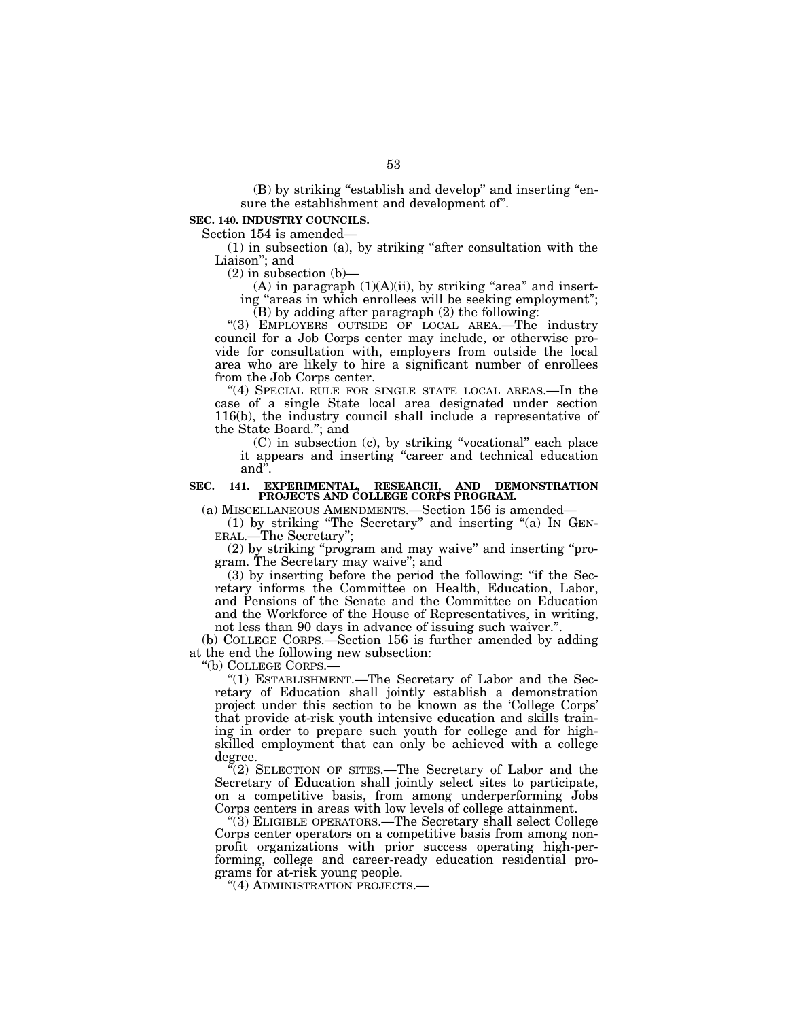(B) by striking "establish and develop" and inserting "ensure the establishment and development of''.

# **SEC. 140. INDUSTRY COUNCILS.**

Section 154 is amended—

(1) in subsection (a), by striking ''after consultation with the Liaison''; and

(2) in subsection (b)—

(A) in paragraph  $(1)(A)(ii)$ , by striking "area" and inserting "areas in which enrollees will be seeking employment"; (B) by adding after paragraph (2) the following:

''(3) EMPLOYERS OUTSIDE OF LOCAL AREA.—The industry council for a Job Corps center may include, or otherwise provide for consultation with, employers from outside the local area who are likely to hire a significant number of enrollees from the Job Corps center.

"(4) SPECIAL RULE FOR SINGLE STATE LOCAL AREAS.—In the case of a single State local area designated under section 116(b), the industry council shall include a representative of the State Board.''; and

(C) in subsection (c), by striking ''vocational'' each place it appears and inserting ''career and technical education and''.

#### **SEC. 141. EXPERIMENTAL, RESEARCH, AND DEMONSTRATION PROJECTS AND COLLEGE CORPS PROGRAM.**

(a) MISCELLANEOUS AMENDMENTS.—Section 156 is amended—

(1) by striking ''The Secretary'' and inserting ''(a) IN GEN-ERAL.—The Secretary'';

(2) by striking ''program and may waive'' and inserting ''program. The Secretary may waive''; and

(3) by inserting before the period the following: ''if the Secretary informs the Committee on Health, Education, Labor, and Pensions of the Senate and the Committee on Education and the Workforce of the House of Representatives, in writing, not less than 90 days in advance of issuing such waiver.''.

(b) COLLEGE CORPS.—Section 156 is further amended by adding at the end the following new subsection:

''(b) COLLEGE CORPS.—

"(1) ESTABLISHMENT.-The Secretary of Labor and the Secretary of Education shall jointly establish a demonstration project under this section to be known as the 'College Corps' that provide at-risk youth intensive education and skills training in order to prepare such youth for college and for highskilled employment that can only be achieved with a college degree.

 $\sqrt{2}$ ) SELECTION OF SITES.—The Secretary of Labor and the Secretary of Education shall jointly select sites to participate, on a competitive basis, from among underperforming Jobs Corps centers in areas with low levels of college attainment.

''(3) ELIGIBLE OPERATORS.—The Secretary shall select College Corps center operators on a competitive basis from among nonprofit organizations with prior success operating high-performing, college and career-ready education residential programs for at-risk young people.

''(4) ADMINISTRATION PROJECTS.—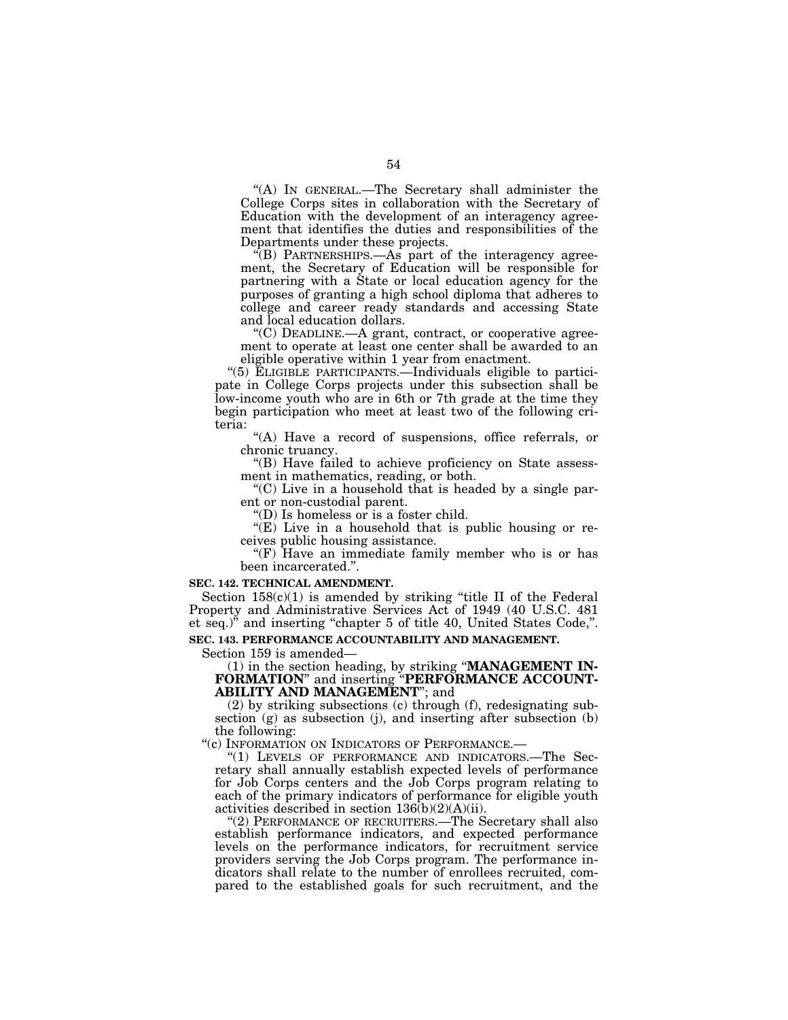''(A) IN GENERAL.—The Secretary shall administer the College Corps sites in collaboration with the Secretary of Education with the development of an interagency agreement that identifies the duties and responsibilities of the Departments under these projects.

 $\sqrt{'}$ (B) PARTNERSHIPS.—As part of the interagency agreement, the Secretary of Education will be responsible for partnering with a State or local education agency for the purposes of granting a high school diploma that adheres to college and career ready standards and accessing State and local education dollars.

 $C$ ) DEADLINE.—A grant, contract, or cooperative agreement to operate at least one center shall be awarded to an eligible operative within 1 year from enactment.

''(5) ELIGIBLE PARTICIPANTS.—Individuals eligible to participate in College Corps projects under this subsection shall be low-income youth who are in 6th or 7th grade at the time they begin participation who meet at least two of the following criteria:

''(A) Have a record of suspensions, office referrals, or chronic truancy.

''(B) Have failed to achieve proficiency on State assessment in mathematics, reading, or both.

 $C$ ) Live in a household that is headed by a single parent or non-custodial parent.

''(D) Is homeless or is a foster child.

"(E) Live in a household that is public housing or receives public housing assistance.

" $(F)$  Have an immediate family member who is or has been incarcerated.''.

#### **SEC. 142. TECHNICAL AMENDMENT.**

Section  $158(c)(1)$  is amended by striking "title II of the Federal Property and Administrative Services Act of 1949 (40 U.S.C. 481 et seq.)'' and inserting ''chapter 5 of title 40, United States Code,''.

# **SEC. 143. PERFORMANCE ACCOUNTABILITY AND MANAGEMENT.**

Section 159 is amended—

(1) in the section heading, by striking ''**MANAGEMENT IN-FORMATION**'' and inserting ''**PERFORMANCE ACCOUNT-ABILITY AND MANAGEMENT**''; and

(2) by striking subsections (c) through (f), redesignating subsection (g) as subsection (j), and inserting after subsection (b) the following:<br>"(c) INFORMATION ON INDICATORS OF PERFORMANCE.—

"(1) LEVELS OF PERFORMANCE AND INDICATORS.—The Secretary shall annually establish expected levels of performance for Job Corps centers and the Job Corps program relating to each of the primary indicators of performance for eligible youth activities described in section  $136(b)(2)(A)(ii)$ .

''(2) PERFORMANCE OF RECRUITERS.—The Secretary shall also establish performance indicators, and expected performance levels on the performance indicators, for recruitment service providers serving the Job Corps program. The performance indicators shall relate to the number of enrollees recruited, compared to the established goals for such recruitment, and the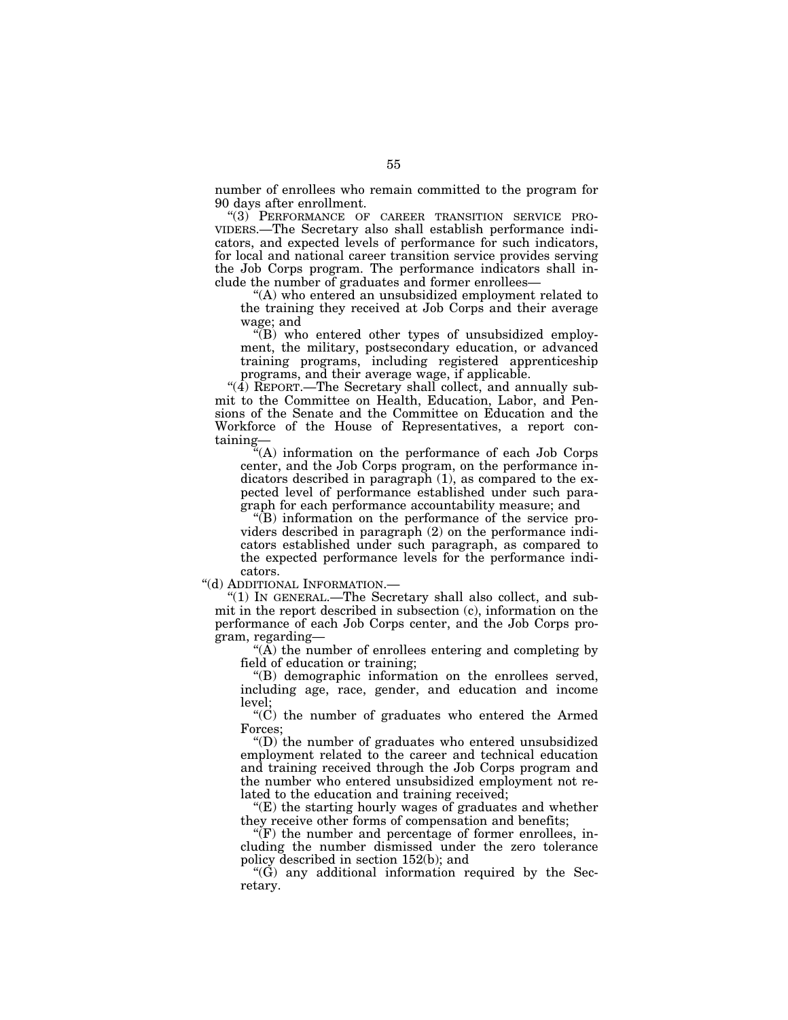number of enrollees who remain committed to the program for 90 days after enrollment.

''(3) PERFORMANCE OF CAREER TRANSITION SERVICE PRO-VIDERS.—The Secretary also shall establish performance indicators, and expected levels of performance for such indicators, for local and national career transition service provides serving the Job Corps program. The performance indicators shall include the number of graduates and former enrollees—

''(A) who entered an unsubsidized employment related to the training they received at Job Corps and their average wage; and

 $\mathcal{F}(B)$  who entered other types of unsubsidized employment, the military, postsecondary education, or advanced training programs, including registered apprenticeship programs, and their average wage, if applicable.

"(4) REPORT.—The Secretary shall collect, and annually submit to the Committee on Health, Education, Labor, and Pensions of the Senate and the Committee on Education and the Workforce of the House of Representatives, a report containing—

''(A) information on the performance of each Job Corps center, and the Job Corps program, on the performance indicators described in paragraph (1), as compared to the expected level of performance established under such paragraph for each performance accountability measure; and

 $\sqrt{\text{B}}$  information on the performance of the service providers described in paragraph (2) on the performance indicators established under such paragraph, as compared to the expected performance levels for the performance indicators.

''(d) ADDITIONAL INFORMATION.—

''(1) IN GENERAL.—The Secretary shall also collect, and submit in the report described in subsection (c), information on the performance of each Job Corps center, and the Job Corps program, regarding—

 $\mathcal{H}(\overline{A})$  the number of enrollees entering and completing by field of education or training;

''(B) demographic information on the enrollees served, including age, race, gender, and education and income level;

" $(C)$  the number of graduates who entered the Armed Forces;

''(D) the number of graduates who entered unsubsidized employment related to the career and technical education and training received through the Job Corps program and the number who entered unsubsidized employment not related to the education and training received;

''(E) the starting hourly wages of graduates and whether they receive other forms of compensation and benefits;

 $\sqrt{\text{F}}$  the number and percentage of former enrollees, including the number dismissed under the zero tolerance policy described in section 152(b); and

 $(G)$  any additional information required by the Secretary.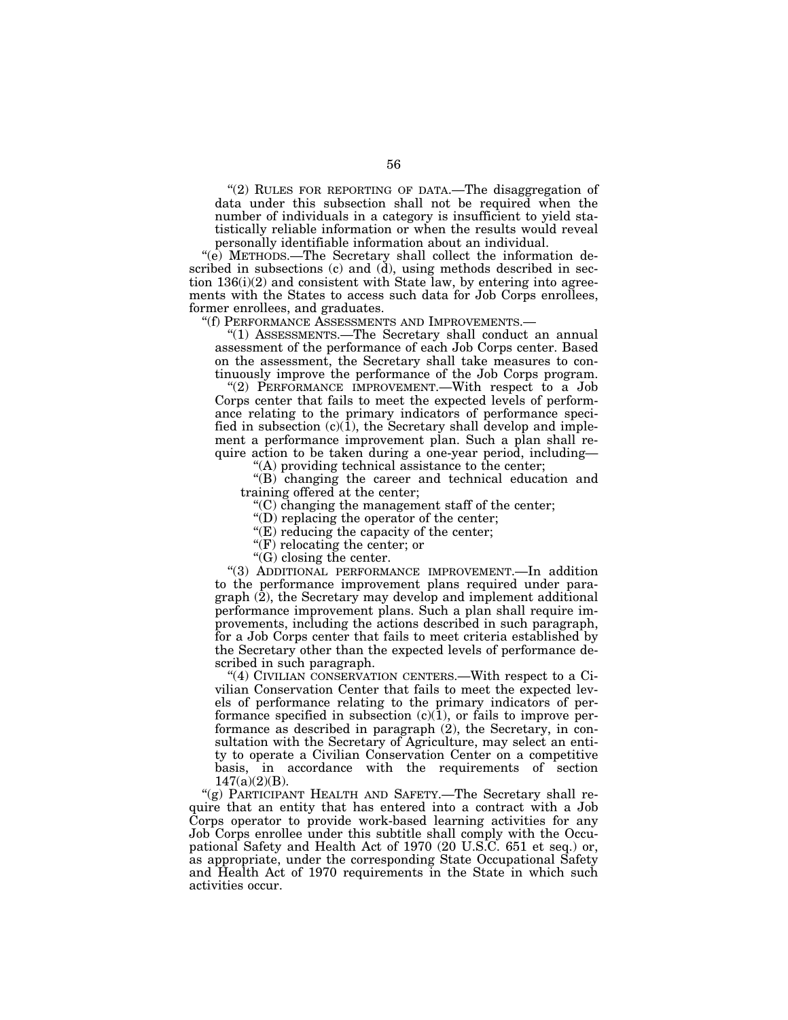"(2) RULES FOR REPORTING OF DATA.—The disaggregation of data under this subsection shall not be required when the number of individuals in a category is insufficient to yield statistically reliable information or when the results would reveal personally identifiable information about an individual.

''(e) METHODS.—The Secretary shall collect the information described in subsections (c) and (d), using methods described in section  $136(i)(2)$  and consistent with State law, by entering into agreements with the States to access such data for Job Corps enrollees, former enrollees, and graduates.

''(f) PERFORMANCE ASSESSMENTS AND IMPROVEMENTS.—

''(1) ASSESSMENTS.—The Secretary shall conduct an annual assessment of the performance of each Job Corps center. Based on the assessment, the Secretary shall take measures to continuously improve the performance of the Job Corps program.

''(2) PERFORMANCE IMPROVEMENT.—With respect to a Job Corps center that fails to meet the expected levels of performance relating to the primary indicators of performance specified in subsection (c)(1), the Secretary shall develop and implement a performance improvement plan. Such a plan shall require action to be taken during a one-year period, including—

''(A) providing technical assistance to the center;

''(B) changing the career and technical education and training offered at the center;

 $C$ ) changing the management staff of the center;

''(D) replacing the operator of the center;

''(E) reducing the capacity of the center;

''(F) relocating the center; or

''(G) closing the center.

''(3) ADDITIONAL PERFORMANCE IMPROVEMENT.—In addition to the performance improvement plans required under paragraph  $(2)$ , the Secretary may develop and implement additional performance improvement plans. Such a plan shall require improvements, including the actions described in such paragraph, for a Job Corps center that fails to meet criteria established by the Secretary other than the expected levels of performance described in such paragraph.

''(4) CIVILIAN CONSERVATION CENTERS.—With respect to a Civilian Conservation Center that fails to meet the expected levels of performance relating to the primary indicators of performance specified in subsection  $(c)(1)$ , or fails to improve performance as described in paragraph (2), the Secretary, in consultation with the Secretary of Agriculture, may select an entity to operate a Civilian Conservation Center on a competitive basis, in accordance with the requirements of section  $147(a)(2)(B)$ .

"(g) PARTICIPANT HEALTH AND SAFETY.—The Secretary shall require that an entity that has entered into a contract with a Job Corps operator to provide work-based learning activities for any Job Corps enrollee under this subtitle shall comply with the Occupational Safety and Health Act of 1970 (20 U.S.C. 651 et seq.) or, as appropriate, under the corresponding State Occupational Safety and Health Act of 1970 requirements in the State in which such activities occur.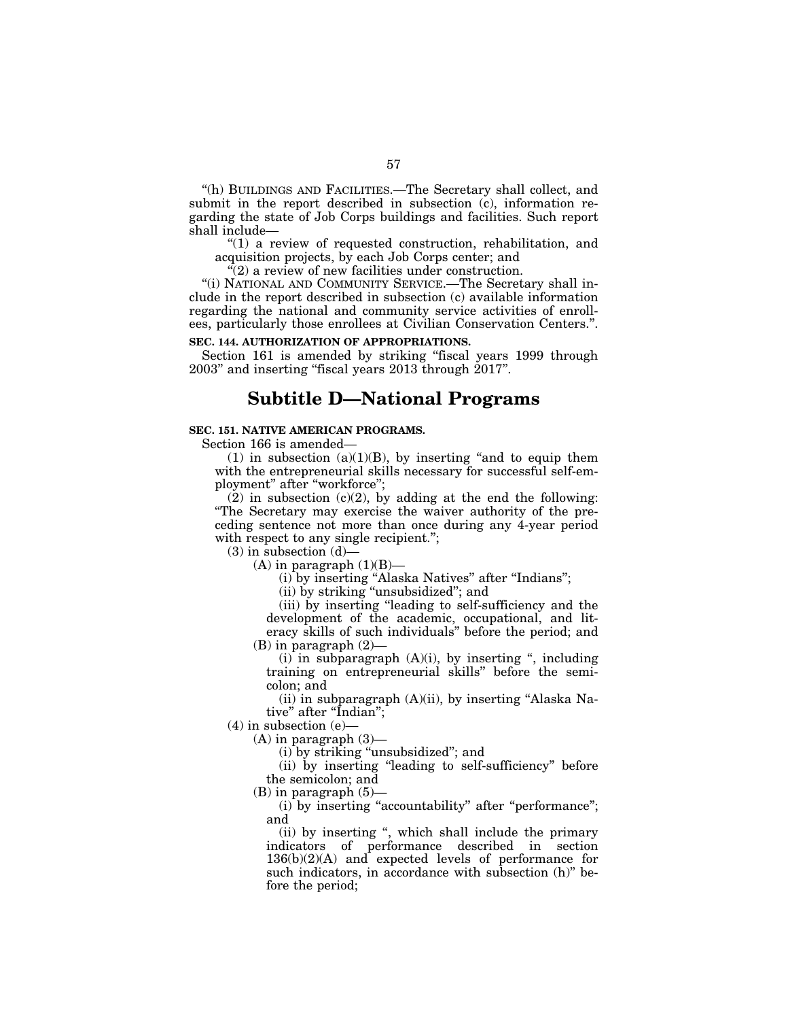''(h) BUILDINGS AND FACILITIES.—The Secretary shall collect, and submit in the report described in subsection (c), information regarding the state of Job Corps buildings and facilities. Such report shall include—

" $(1)$  a review of requested construction, rehabilitation, and acquisition projects, by each Job Corps center; and

"(2) a review of new facilities under construction.

''(i) NATIONAL AND COMMUNITY SERVICE.—The Secretary shall include in the report described in subsection (c) available information regarding the national and community service activities of enrollees, particularly those enrollees at Civilian Conservation Centers.''.

# **SEC. 144. AUTHORIZATION OF APPROPRIATIONS.**

Section 161 is amended by striking "fiscal years 1999 through 2003'' and inserting ''fiscal years 2013 through 2017''.

# **Subtitle D—National Programs**

# **SEC. 151. NATIVE AMERICAN PROGRAMS.**

Section 166 is amended—

(1) in subsection  $(a)(1)(B)$ , by inserting "and to equip them with the entrepreneurial skills necessary for successful self-employment'' after ''workforce'';

(2) in subsection  $(c)(2)$ , by adding at the end the following: ''The Secretary may exercise the waiver authority of the preceding sentence not more than once during any 4-year period with respect to any single recipient.";

 $(3)$  in subsection  $(d)$ —

(A) in paragraph  $(1)(B)$ —

(i) by inserting ''Alaska Natives'' after ''Indians'';

(ii) by striking ''unsubsidized''; and

(iii) by inserting ''leading to self-sufficiency and the development of the academic, occupational, and literacy skills of such individuals'' before the period; and (B) in paragraph (2)—

 $(i)$  in subparagraph  $(A)(i)$ , by inserting ", including training on entrepreneurial skills'' before the semicolon; and

 $(ii)$  in subparagraph  $(A)(ii)$ , by inserting "Alaska Native" after "Indian";

 $(4)$  in subsection  $(e)$ 

 $(A)$  in paragraph  $(3)$ —

(i) by striking ''unsubsidized''; and

(ii) by inserting ''leading to self-sufficiency'' before the semicolon; and

 $(B)$  in paragraph  $(5)$ —

(i) by inserting "accountability" after "performance"; and

(ii) by inserting '', which shall include the primary indicators of performance described in section  $136(b)(2)(A)$  and expected levels of performance for such indicators, in accordance with subsection (h)'' before the period;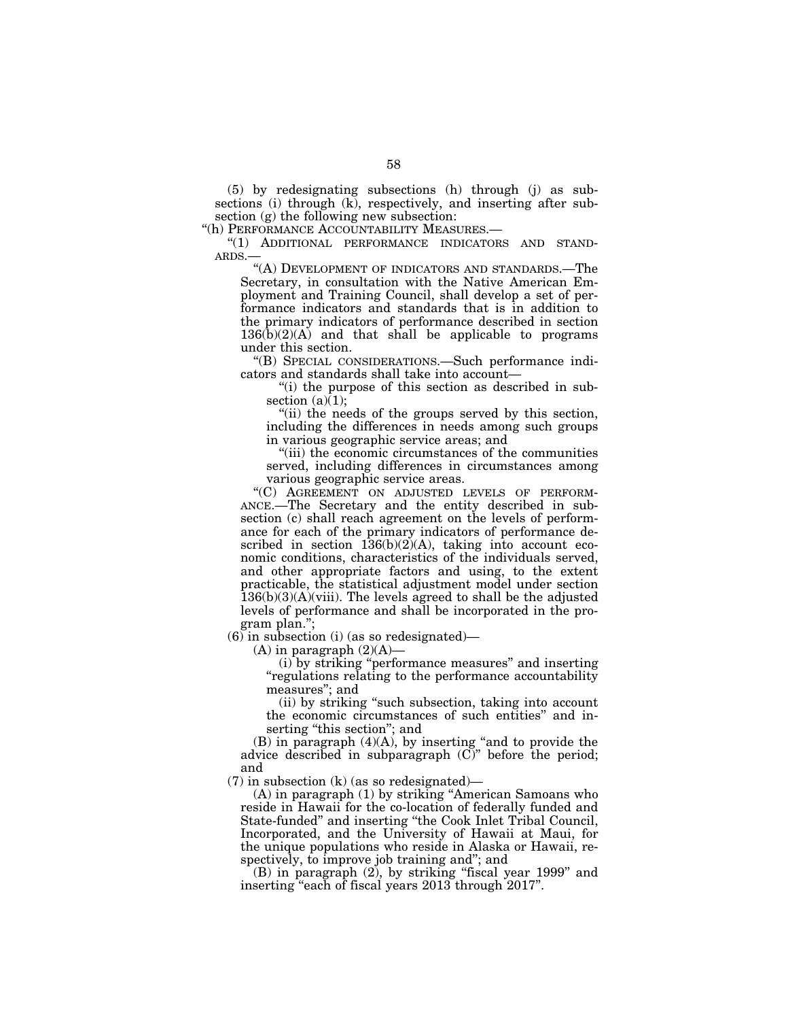(5) by redesignating subsections (h) through (j) as subsections (i) through (k), respectively, and inserting after subsection (g) the following new subsection:

"(h) PERFORMANCE ACCOUNTABILITY MEASURES.-

''(1) ADDITIONAL PERFORMANCE INDICATORS AND STAND-ARDS.—

''(A) DEVELOPMENT OF INDICATORS AND STANDARDS.—The Secretary, in consultation with the Native American Employment and Training Council, shall develop a set of performance indicators and standards that is in addition to the primary indicators of performance described in section  $136(b)(2)(A)$  and that shall be applicable to programs under this section.

''(B) SPECIAL CONSIDERATIONS.—Such performance indicators and standards shall take into account—

''(i) the purpose of this section as described in subsection  $(a)(1)$ ;

''(ii) the needs of the groups served by this section, including the differences in needs among such groups in various geographic service areas; and

''(iii) the economic circumstances of the communities served, including differences in circumstances among various geographic service areas.

''(C) AGREEMENT ON ADJUSTED LEVELS OF PERFORM-ANCE.—The Secretary and the entity described in subsection (c) shall reach agreement on the levels of performance for each of the primary indicators of performance described in section  $136(b)(2)(A)$ , taking into account economic conditions, characteristics of the individuals served, and other appropriate factors and using, to the extent practicable, the statistical adjustment model under section  $136(b)(3)(A)(viii)$ . The levels agreed to shall be the adjusted levels of performance and shall be incorporated in the program plan.'';

(6) in subsection (i) (as so redesignated)—

 $(A)$  in paragraph  $(2)(A)$ –

(i) by striking ''performance measures'' and inserting ''regulations relating to the performance accountability measures''; and

(ii) by striking ''such subsection, taking into account the economic circumstances of such entities'' and inserting "this section"; and

(B) in paragraph (4)(A), by inserting ''and to provide the advice described in subparagraph (C)'' before the period; and

(7) in subsection (k) (as so redesignated)—

(A) in paragraph (1) by striking ''American Samoans who reside in Hawaii for the co-location of federally funded and State-funded'' and inserting ''the Cook Inlet Tribal Council, Incorporated, and the University of Hawaii at Maui, for the unique populations who reside in Alaska or Hawaii, respectively, to improve job training and''; and

(B) in paragraph (2), by striking ''fiscal year 1999'' and inserting "each of fiscal years 2013 through 2017".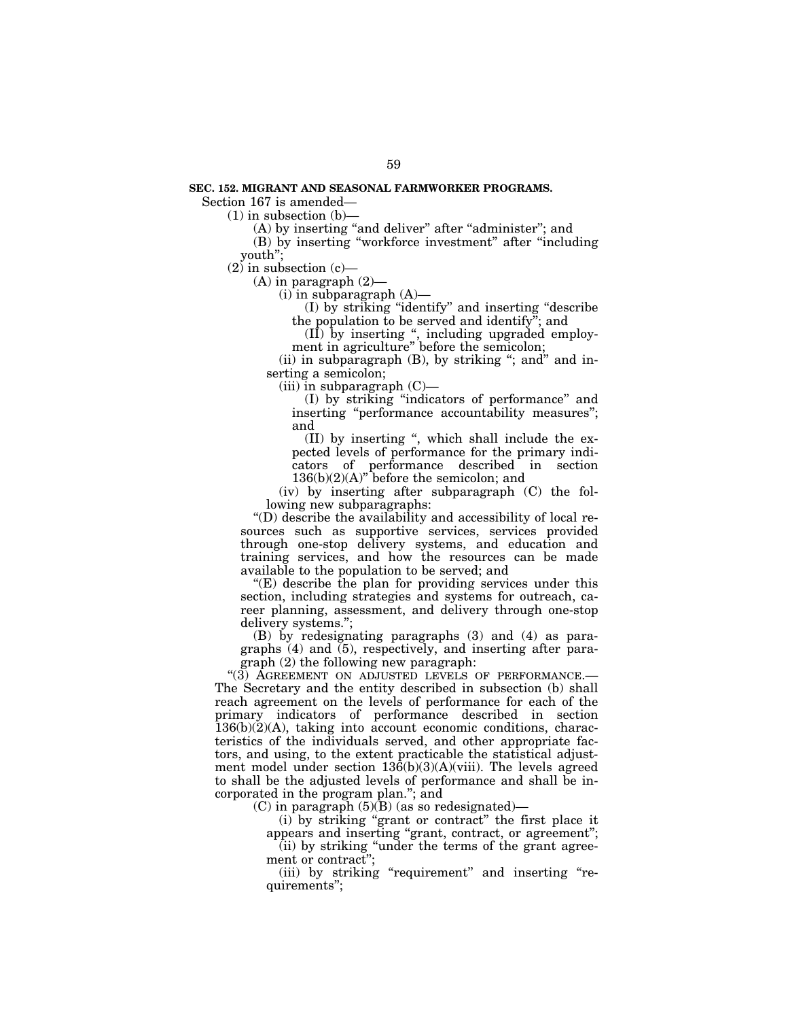#### **SEC. 152. MIGRANT AND SEASONAL FARMWORKER PROGRAMS.**

Section 167 is amended—

(1) in subsection (b)—

(A) by inserting "and deliver" after "administer"; and

(B) by inserting ''workforce investment'' after ''including youth'';

 $(2)$  in subsection  $(c)$ —

(A) in paragraph (2)—

 $(i)$  in subparagraph  $(A)$ —

(I) by striking ''identify'' and inserting ''describe the population to be served and identify"; and

(II) by inserting '', including upgraded employment in agriculture'' before the semicolon;

(ii) in subparagraph (B), by striking "; and" and inserting a semicolon;

 $(iii)$  in subparagraph  $(C)$ —

(I) by striking ''indicators of performance'' and inserting "performance accountability measures"; and

(II) by inserting '', which shall include the expected levels of performance for the primary indicators of performance described in section  $136(b)(2)(A)$ <sup>"</sup> before the semicolon; and

(iv) by inserting after subparagraph (C) the following new subparagraphs:

''(D) describe the availability and accessibility of local resources such as supportive services, services provided through one-stop delivery systems, and education and training services, and how the resources can be made available to the population to be served; and

 $E(E)$  describe the plan for providing services under this section, including strategies and systems for outreach, career planning, assessment, and delivery through one-stop delivery systems.'';

(B) by redesignating paragraphs (3) and (4) as paragraphs (4) and (5), respectively, and inserting after paragraph (2) the following new paragraph:

"(3) AGREEMENT ON ADJUSTED LEVELS OF PERFORMANCE.-The Secretary and the entity described in subsection (b) shall reach agreement on the levels of performance for each of the primary indicators of performance described in section 136(b)(2)(A), taking into account economic conditions, characteristics of the individuals served, and other appropriate factors, and using, to the extent practicable the statistical adjustment model under section  $136(b)(3)(A)(viii)$ . The levels agreed to shall be the adjusted levels of performance and shall be incorporated in the program plan.''; and

(C) in paragraph  $(5)(\overline{B})$  (as so redesignated)-

(i) by striking ''grant or contract'' the first place it appears and inserting "grant, contract, or agreement";

(ii) by striking ''under the terms of the grant agreement or contract";

(iii) by striking "requirement" and inserting "requirements'';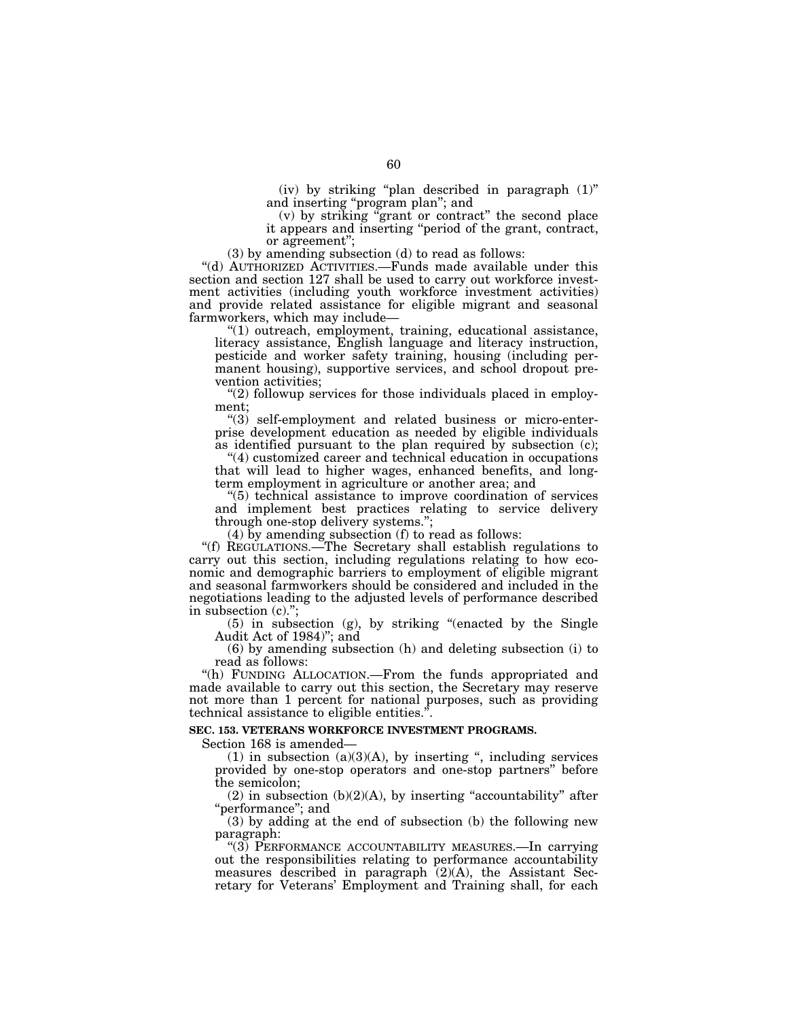(iv) by striking "plan described in paragraph  $(1)$ " and inserting ''program plan''; and

(v) by striking ''grant or contract'' the second place it appears and inserting ''period of the grant, contract, or agreement'';

(3) by amending subsection (d) to read as follows:

''(d) AUTHORIZED ACTIVITIES.—Funds made available under this section and section 127 shall be used to carry out workforce investment activities (including youth workforce investment activities) and provide related assistance for eligible migrant and seasonal farmworkers, which may include—

''(1) outreach, employment, training, educational assistance, literacy assistance, English language and literacy instruction, pesticide and worker safety training, housing (including permanent housing), supportive services, and school dropout prevention activities;

"(2) followup services for those individuals placed in employment;

 $\degree$ (3) self-employment and related business or micro-enterprise development education as needed by eligible individuals as identified pursuant to the plan required by subsection (c);

''(4) customized career and technical education in occupations that will lead to higher wages, enhanced benefits, and longterm employment in agriculture or another area; and

''(5) technical assistance to improve coordination of services and implement best practices relating to service delivery through one-stop delivery systems.'';

(4) by amending subsection (f) to read as follows:

''(f) REGULATIONS.—The Secretary shall establish regulations to carry out this section, including regulations relating to how economic and demographic barriers to employment of eligible migrant and seasonal farmworkers should be considered and included in the negotiations leading to the adjusted levels of performance described in subsection (c).'';

(5) in subsection (g), by striking ''(enacted by the Single Audit Act of 1984)''; and

(6) by amending subsection (h) and deleting subsection (i) to read as follows:

''(h) FUNDING ALLOCATION.—From the funds appropriated and made available to carry out this section, the Secretary may reserve not more than 1 percent for national purposes, such as providing technical assistance to eligible entities.''.

## **SEC. 153. VETERANS WORKFORCE INVESTMENT PROGRAMS.**

Section 168 is amended—

 $(1)$  in subsection  $(a)(3)(A)$ , by inserting ", including services provided by one-stop operators and one-stop partners'' before the semicolon;

 $(2)$  in subsection  $(b)(2)(A)$ , by inserting "accountability" after "performance"; and

(3) by adding at the end of subsection (b) the following new paragraph:

''(3) PERFORMANCE ACCOUNTABILITY MEASURES.—In carrying out the responsibilities relating to performance accountability measures described in paragraph  $(2)(A)$ , the Assistant Secretary for Veterans' Employment and Training shall, for each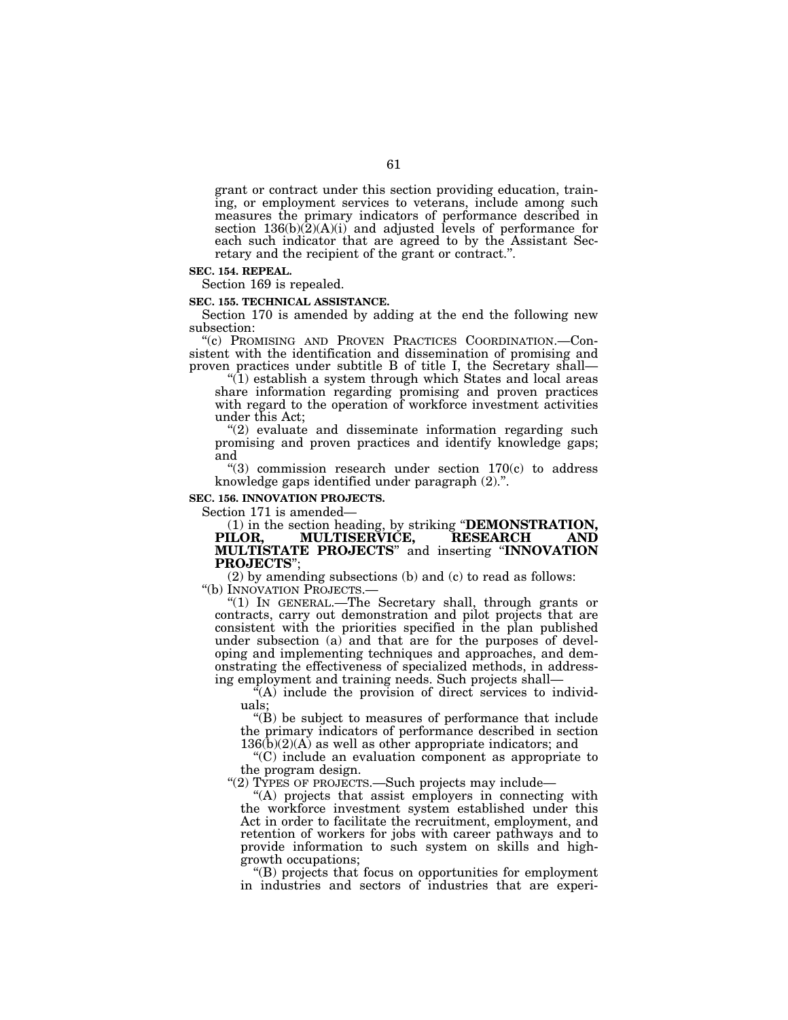grant or contract under this section providing education, training, or employment services to veterans, include among such measures the primary indicators of performance described in section 136(b)(2)(A)(i) and adjusted levels of performance for each such indicator that are agreed to by the Assistant Secretary and the recipient of the grant or contract.''.

#### **SEC. 154. REPEAL.**

Section 169 is repealed.

#### **SEC. 155. TECHNICAL ASSISTANCE.**

Section 170 is amended by adding at the end the following new subsection:

''(c) PROMISING AND PROVEN PRACTICES COORDINATION.—Consistent with the identification and dissemination of promising and proven practices under subtitle B of title I, the Secretary shall—

 $!(1)$  establish a system through which States and local areas share information regarding promising and proven practices with regard to the operation of workforce investment activities under this Act;

"(2) evaluate and disseminate information regarding such promising and proven practices and identify knowledge gaps; and

" $(3)$  commission research under section 170 $(c)$  to address knowledge gaps identified under paragraph (2).''.

#### **SEC. 156. INNOVATION PROJECTS.**

Section 171 is amended—

(1) in the section heading, by striking "**DEMONSTRATION, PILOR, MULTISERVICE, RESEARCH AND MULTISERVICE, MULTISTATE PROJECTS**'' and inserting ''**INNOVATION PROJECTS**'';

(2) by amending subsections (b) and (c) to read as follows: ''(b) INNOVATION PROJECTS.—

''(1) IN GENERAL.—The Secretary shall, through grants or contracts, carry out demonstration and pilot projects that are consistent with the priorities specified in the plan published under subsection (a) and that are for the purposes of developing and implementing techniques and approaches, and demonstrating the effectiveness of specialized methods, in addressing employment and training needs. Such projects shall—

 $\mathcal{F}(A)$  include the provision of direct services to individuals;

''(B) be subject to measures of performance that include the primary indicators of performance described in section  $136(b)(2)(A)$  as well as other appropriate indicators; and

''(C) include an evaluation component as appropriate to the program design.

''(2) TYPES OF PROJECTS.—Such projects may include—

''(A) projects that assist employers in connecting with the workforce investment system established under this Act in order to facilitate the recruitment, employment, and retention of workers for jobs with career pathways and to provide information to such system on skills and highgrowth occupations;

''(B) projects that focus on opportunities for employment in industries and sectors of industries that are experi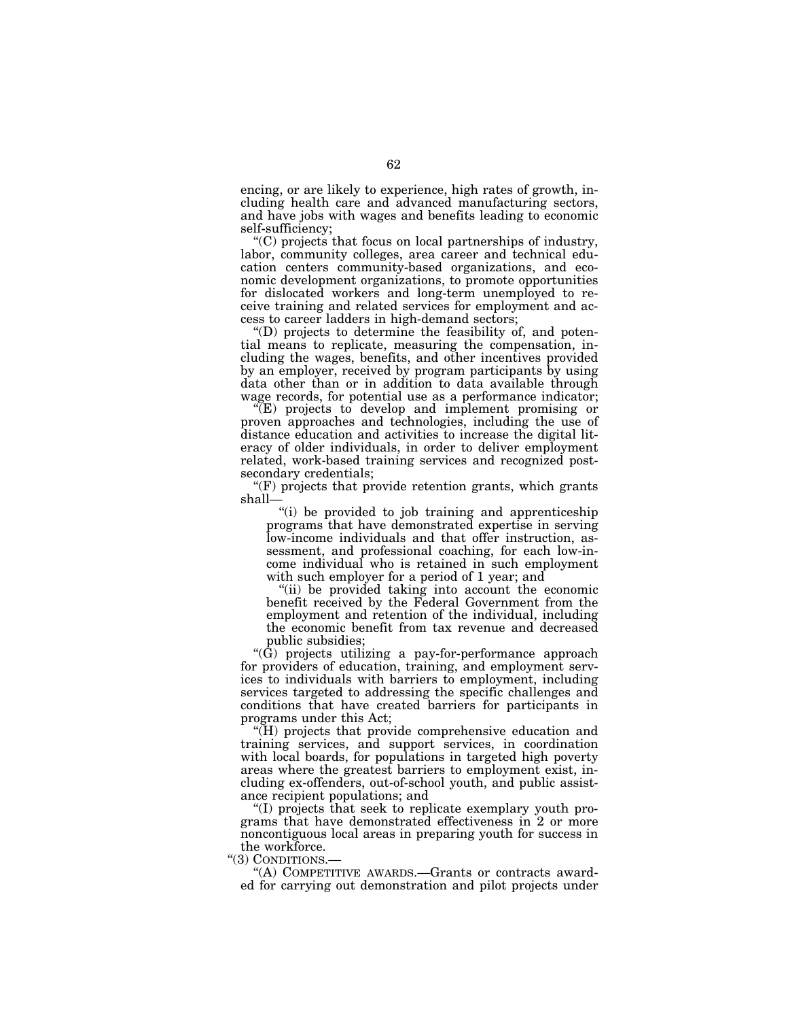encing, or are likely to experience, high rates of growth, including health care and advanced manufacturing sectors, and have jobs with wages and benefits leading to economic self-sufficiency;

''(C) projects that focus on local partnerships of industry, labor, community colleges, area career and technical education centers community-based organizations, and economic development organizations, to promote opportunities for dislocated workers and long-term unemployed to receive training and related services for employment and access to career ladders in high-demand sectors;

''(D) projects to determine the feasibility of, and potential means to replicate, measuring the compensation, including the wages, benefits, and other incentives provided by an employer, received by program participants by using data other than or in addition to data available through wage records, for potential use as a performance indicator;

''(E) projects to develop and implement promising or proven approaches and technologies, including the use of distance education and activities to increase the digital literacy of older individuals, in order to deliver employment related, work-based training services and recognized postsecondary credentials;

''(F) projects that provide retention grants, which grants shall—

''(i) be provided to job training and apprenticeship programs that have demonstrated expertise in serving low-income individuals and that offer instruction, assessment, and professional coaching, for each low-income individual who is retained in such employment with such employer for a period of 1 year; and

''(ii) be provided taking into account the economic benefit received by the Federal Government from the employment and retention of the individual, including the economic benefit from tax revenue and decreased public subsidies;

''(G) projects utilizing a pay-for-performance approach for providers of education, training, and employment services to individuals with barriers to employment, including services targeted to addressing the specific challenges and conditions that have created barriers for participants in programs under this Act;

''(H) projects that provide comprehensive education and training services, and support services, in coordination with local boards, for populations in targeted high poverty areas where the greatest barriers to employment exist, including ex-offenders, out-of-school youth, and public assistance recipient populations; and

''(I) projects that seek to replicate exemplary youth programs that have demonstrated effectiveness in 2 or more noncontiguous local areas in preparing youth for success in the workforce.

''(3) CONDITIONS.—

''(A) COMPETITIVE AWARDS.—Grants or contracts awarded for carrying out demonstration and pilot projects under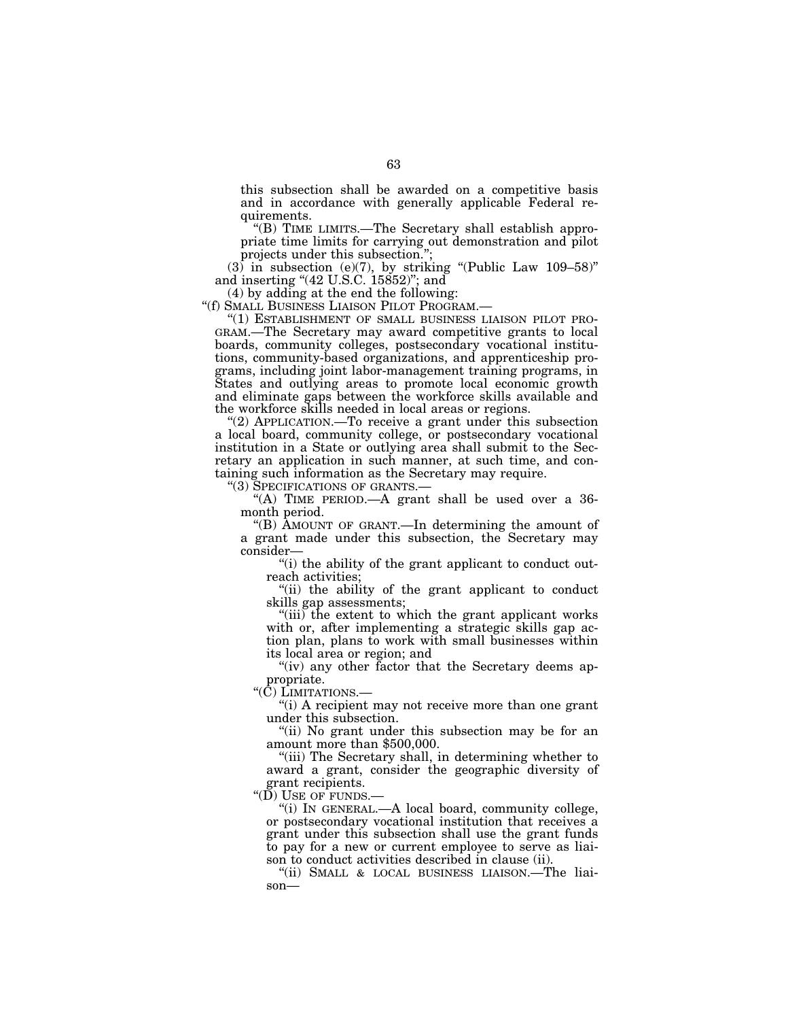this subsection shall be awarded on a competitive basis and in accordance with generally applicable Federal requirements.

''(B) TIME LIMITS.—The Secretary shall establish appropriate time limits for carrying out demonstration and pilot projects under this subsection.'';

 $(3)$  in subsection (e)(7), by striking "(Public Law 109-58)" and inserting "(42 U.S.C. 15852)"; and

(4) by adding at the end the following:<br>"(f) SMALL BUSINESS LIAISON PILOT PROGRAM.—

''(f) SMALL BUSINESS LIAISON PILOT PROGRAM.— ''(1) ESTABLISHMENT OF SMALL BUSINESS LIAISON PILOT PRO- GRAM.—The Secretary may award competitive grants to local boards, community colleges, postsecondary vocational institutions, community-based organizations, and apprenticeship programs, including joint labor-management training programs, in States and outlying areas to promote local economic growth and eliminate gaps between the workforce skills available and the workforce skills needed in local areas or regions.

"(2) APPLICATION.—To receive a grant under this subsection a local board, community college, or postsecondary vocational institution in a State or outlying area shall submit to the Secretary an application in such manner, at such time, and containing such information as the Secretary may require.<br>"(3) SPECIFICATIONS OF GRANTS.—

"(A) TIME PERIOD.—A grant shall be used over a  $36$ month period.

''(B) AMOUNT OF GRANT.—In determining the amount of a grant made under this subsection, the Secretary may consider—

''(i) the ability of the grant applicant to conduct outreach activities;

''(ii) the ability of the grant applicant to conduct skills gap assessments;

''(iii) the extent to which the grant applicant works with or, after implementing a strategic skills gap action plan, plans to work with small businesses within its local area or region; and

"(iv) any other factor that the Secretary deems appropriate.

"(C) LIMITATIONS.

"(i) A recipient may not receive more than one grant under this subsection.

''(ii) No grant under this subsection may be for an amount more than \$500,000.

''(iii) The Secretary shall, in determining whether to award a grant, consider the geographic diversity of grant recipients.

" $(D)$  USE OF FUNDS.

''(i) IN GENERAL.—A local board, community college, or postsecondary vocational institution that receives a grant under this subsection shall use the grant funds to pay for a new or current employee to serve as liaison to conduct activities described in clause (ii).

''(ii) SMALL & LOCAL BUSINESS LIAISON.—The liaison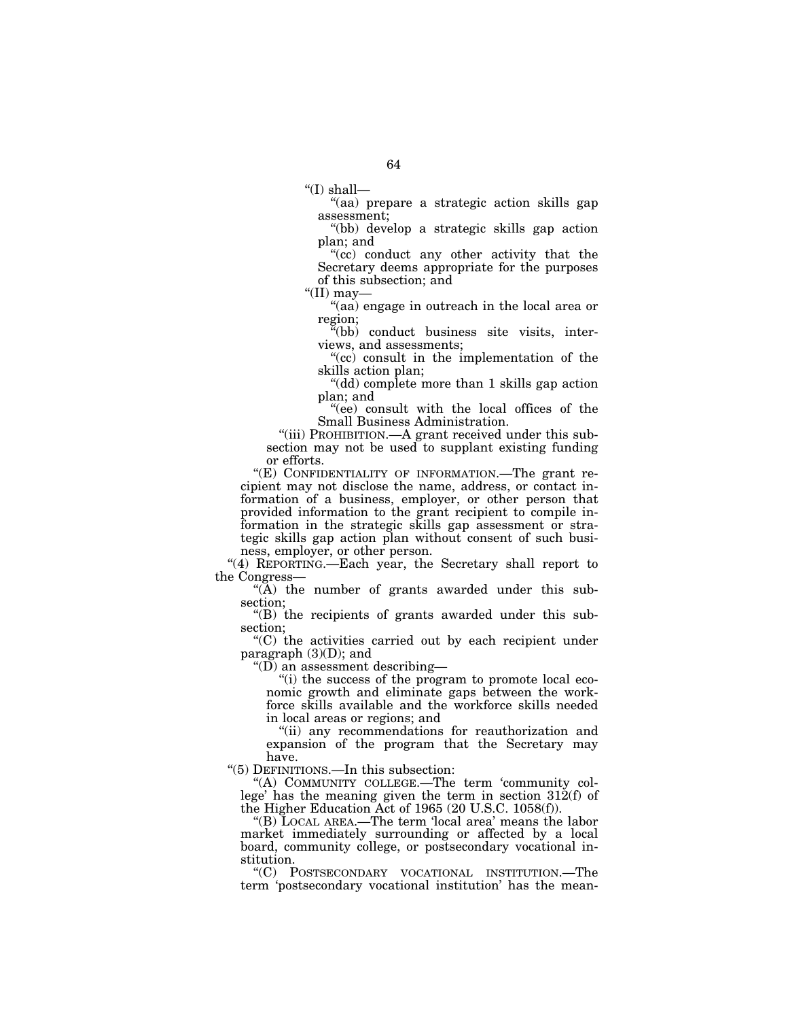''(I) shall—

''(aa) prepare a strategic action skills gap assessment;

''(bb) develop a strategic skills gap action plan; and

''(cc) conduct any other activity that the Secretary deems appropriate for the purposes of this subsection; and

" $(II)$  may—

''(aa) engage in outreach in the local area or region;

''(bb) conduct business site visits, interviews, and assessments;

"(cc) consult in the implementation of the skills action plan;

''(dd) complete more than 1 skills gap action plan; and

''(ee) consult with the local offices of the Small Business Administration.

''(iii) PROHIBITION.—A grant received under this subsection may not be used to supplant existing funding or efforts.

"(E) CONFIDENTIALITY OF INFORMATION.—The grant recipient may not disclose the name, address, or contact information of a business, employer, or other person that provided information to the grant recipient to compile information in the strategic skills gap assessment or strategic skills gap action plan without consent of such business, employer, or other person.

''(4) REPORTING.—Each year, the Secretary shall report to the Congress—

"(A) the number of grants awarded under this subsection;

''(B) the recipients of grants awarded under this subsection;

''(C) the activities carried out by each recipient under paragraph (3)(D); and

''(D) an assessment describing—

"(i) the success of the program to promote local economic growth and eliminate gaps between the workforce skills available and the workforce skills needed in local areas or regions; and

"(ii) any recommendations for reauthorization and expansion of the program that the Secretary may have.

''(5) DEFINITIONS.—In this subsection:

''(A) COMMUNITY COLLEGE.—The term 'community college' has the meaning given the term in section 312(f) of the Higher Education Act of 1965 (20 U.S.C. 1058(f)).

''(B) LOCAL AREA.—The term 'local area' means the labor market immediately surrounding or affected by a local board, community college, or postsecondary vocational institution.

''(C) POSTSECONDARY VOCATIONAL INSTITUTION.—The term 'postsecondary vocational institution' has the mean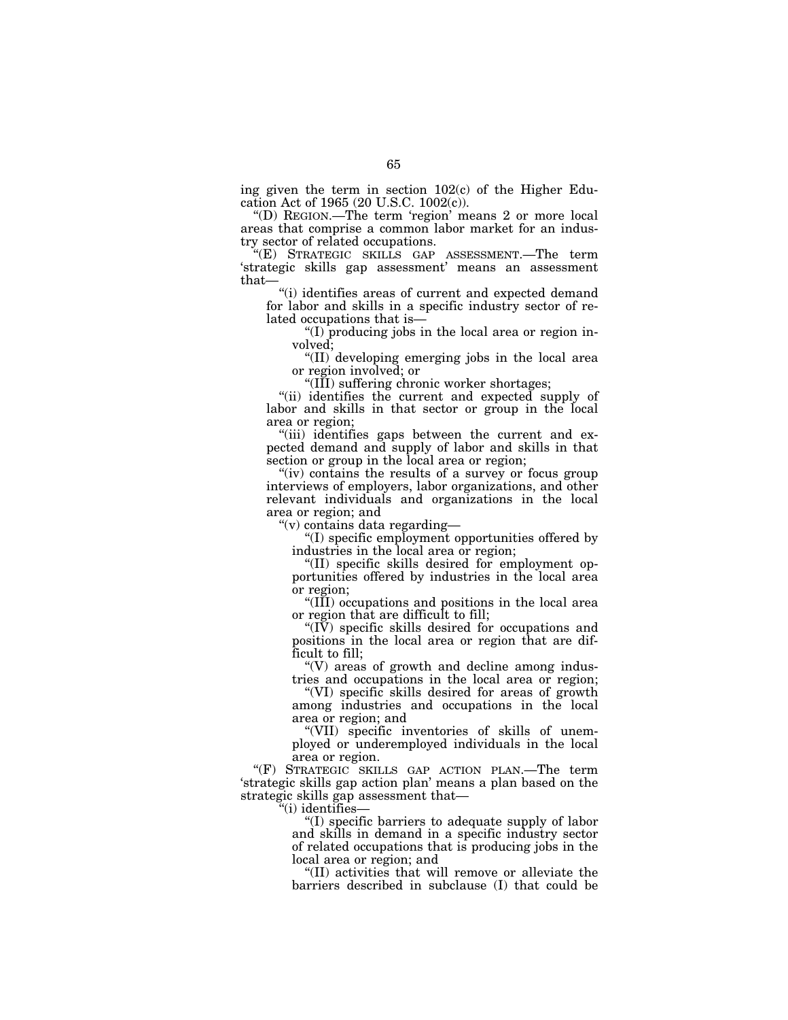ing given the term in section  $102(c)$  of the Higher Education Act of 1965 (20 U.S.C. 1002(c)).

''(D) REGION.—The term 'region' means 2 or more local areas that comprise a common labor market for an industry sector of related occupations.

''(E) STRATEGIC SKILLS GAP ASSESSMENT.—The term 'strategic skills gap assessment' means an assessment that—

"(i) identifies areas of current and expected demand for labor and skills in a specific industry sector of related occupations that is—

''(I) producing jobs in the local area or region involved;

''(II) developing emerging jobs in the local area or region involved; or

''(III) suffering chronic worker shortages;

"(ii) identifies the current and expected supply of labor and skills in that sector or group in the local area or region;

"(iii) identifies gaps between the current and expected demand and supply of labor and skills in that section or group in the local area or region;

"(iv) contains the results of a survey or focus group interviews of employers, labor organizations, and other relevant individuals and organizations in the local area or region; and

''(v) contains data regarding—

''(I) specific employment opportunities offered by industries in the local area or region;

''(II) specific skills desired for employment opportunities offered by industries in the local area or region;

''(III) occupations and positions in the local area or region that are difficult to fill;

''(IV) specific skills desired for occupations and positions in the local area or region that are difficult to fill;

 $\degree$ (V) areas of growth and decline among industries and occupations in the local area or region;

''(VI) specific skills desired for areas of growth among industries and occupations in the local area or region; and

''(VII) specific inventories of skills of unemployed or underemployed individuals in the local area or region.

''(F) STRATEGIC SKILLS GAP ACTION PLAN.—The term 'strategic skills gap action plan' means a plan based on the strategic skills gap assessment that—

''(i) identifies—

''(I) specific barriers to adequate supply of labor and skills in demand in a specific industry sector of related occupations that is producing jobs in the local area or region; and

''(II) activities that will remove or alleviate the barriers described in subclause (I) that could be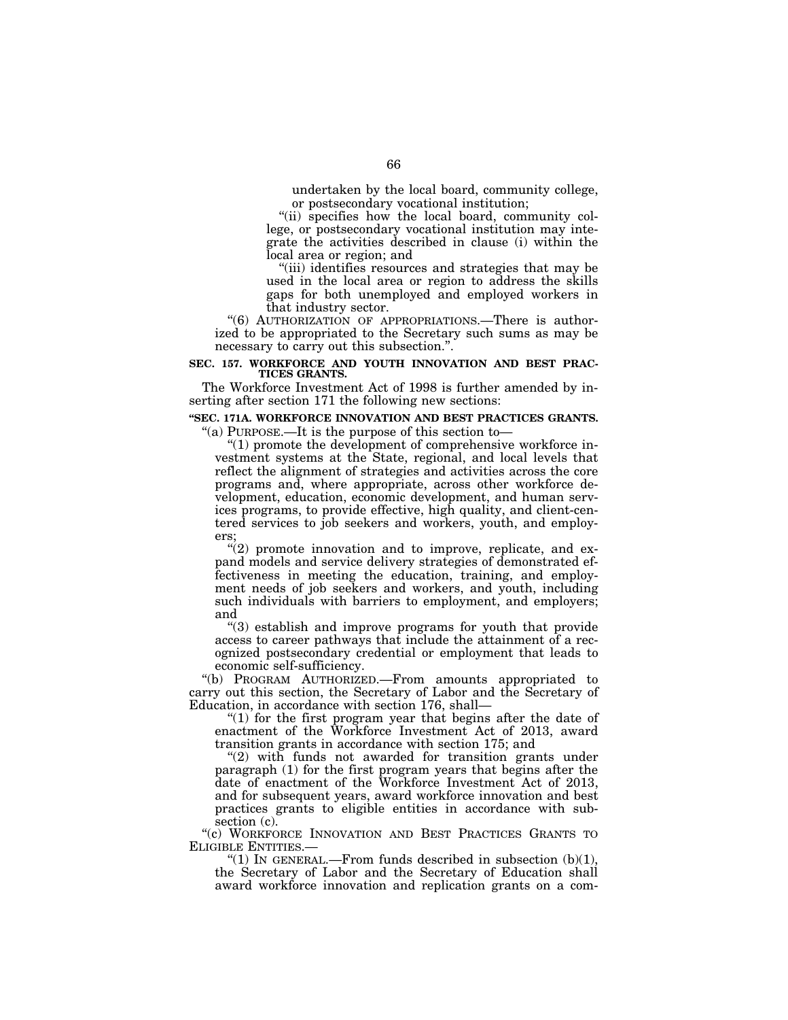undertaken by the local board, community college, or postsecondary vocational institution;

"(ii) specifies how the local board, community college, or postsecondary vocational institution may integrate the activities described in clause (i) within the local area or region; and

''(iii) identifies resources and strategies that may be used in the local area or region to address the skills gaps for both unemployed and employed workers in that industry sector.

"(6) AUTHORIZATION OF APPROPRIATIONS.—There is authorized to be appropriated to the Secretary such sums as may be necessary to carry out this subsection.''.

#### **SEC. 157. WORKFORCE AND YOUTH INNOVATION AND BEST PRAC-TICES GRANTS.**

The Workforce Investment Act of 1998 is further amended by inserting after section 171 the following new sections:

# **''SEC. 171A. WORKFORCE INNOVATION AND BEST PRACTICES GRANTS.**  "(a) PURPOSE.—It is the purpose of this section to-

''(1) promote the development of comprehensive workforce investment systems at the State, regional, and local levels that reflect the alignment of strategies and activities across the core programs and, where appropriate, across other workforce development, education, economic development, and human services programs, to provide effective, high quality, and client-centered services to job seekers and workers, youth, and employers;

 $''(2)$  promote innovation and to improve, replicate, and expand models and service delivery strategies of demonstrated effectiveness in meeting the education, training, and employment needs of job seekers and workers, and youth, including such individuals with barriers to employment, and employers; and

''(3) establish and improve programs for youth that provide access to career pathways that include the attainment of a recognized postsecondary credential or employment that leads to economic self-sufficiency.

''(b) PROGRAM AUTHORIZED.—From amounts appropriated to carry out this section, the Secretary of Labor and the Secretary of Education, in accordance with section 176, shall—

" $(1)$  for the first program year that begins after the date of enactment of the Workforce Investment Act of 2013, award transition grants in accordance with section 175; and

"(2) with funds not awarded for transition grants under paragraph (1) for the first program years that begins after the date of enactment of the Workforce Investment Act of 2013, and for subsequent years, award workforce innovation and best practices grants to eligible entities in accordance with subsection (c).

''(c) WORKFORCE INNOVATION AND BEST PRACTICES GRANTS TO ELIGIBLE ENTITIES.— $(1)$  In GENERAL.—From funds described in subsection (b)(1),

the Secretary of Labor and the Secretary of Education shall award workforce innovation and replication grants on a com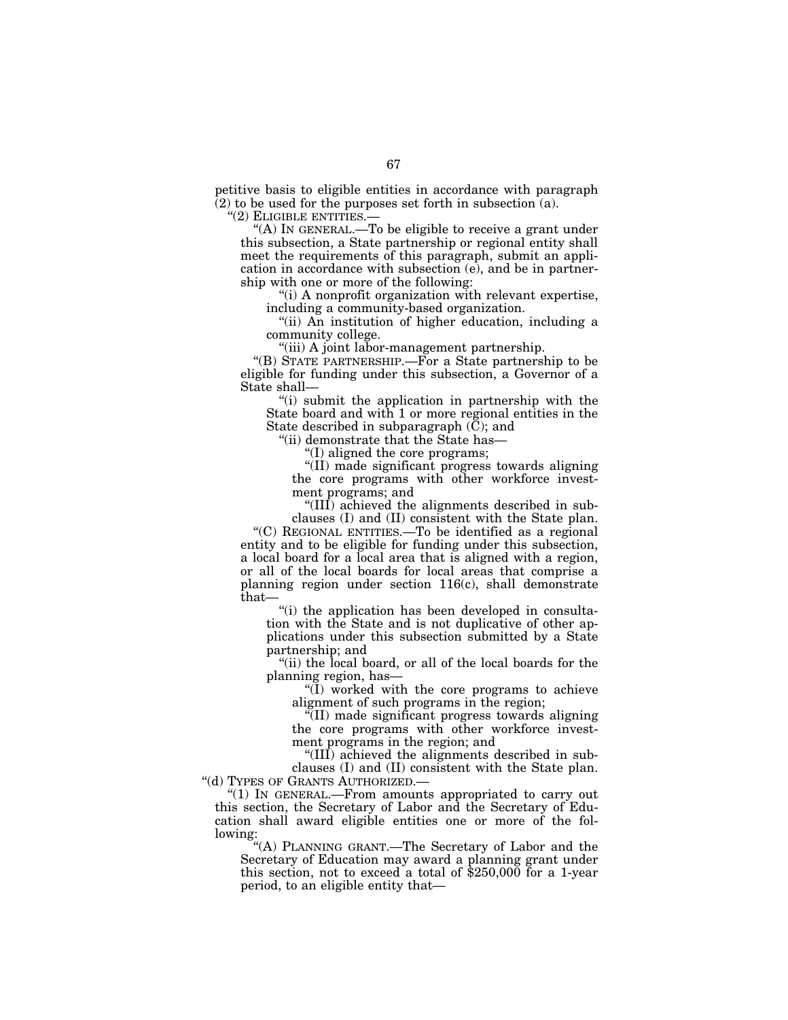petitive basis to eligible entities in accordance with paragraph  $(2)$  to be used for the purposes set forth in subsection (a).

''(2) ELIGIBLE ENTITIES.—

"(A) IN GENERAL.—To be eligible to receive a grant under this subsection, a State partnership or regional entity shall meet the requirements of this paragraph, submit an application in accordance with subsection (e), and be in partnership with one or more of the following:

''(i) A nonprofit organization with relevant expertise, including a community-based organization.

''(ii) An institution of higher education, including a community college.

''(iii) A joint labor-management partnership.

"(B) STATE PARTNERSHIP.—For a State partnership to be eligible for funding under this subsection, a Governor of a State shall—

''(i) submit the application in partnership with the State board and with 1 or more regional entities in the State described in subparagraph (C); and

''(ii) demonstrate that the State has—

''(I) aligned the core programs;

''(II) made significant progress towards aligning the core programs with other workforce investment programs; and

''(III) achieved the alignments described in subclauses (I) and (II) consistent with the State plan.

''(C) REGIONAL ENTITIES.—To be identified as a regional entity and to be eligible for funding under this subsection, a local board for a local area that is aligned with a region, or all of the local boards for local areas that comprise a planning region under section 116(c), shall demonstrate that—

"(i) the application has been developed in consultation with the State and is not duplicative of other applications under this subsection submitted by a State partnership; and

"(ii) the local board, or all of the local boards for the planning region, has—

''(I) worked with the core programs to achieve alignment of such programs in the region;

''(II) made significant progress towards aligning the core programs with other workforce investment programs in the region; and

''(III) achieved the alignments described in subclauses (I) and (II) consistent with the State plan. ''(d) TYPES OF GRANTS AUTHORIZED.—

 $''(1)$  In GENERAL.—From amounts appropriated to carry out this section, the Secretary of Labor and the Secretary of Education shall award eligible entities one or more of the fol-

lowing:

''(A) PLANNING GRANT.—The Secretary of Labor and the Secretary of Education may award a planning grant under this section, not to exceed a total of \$250,000 for a 1-year period, to an eligible entity that—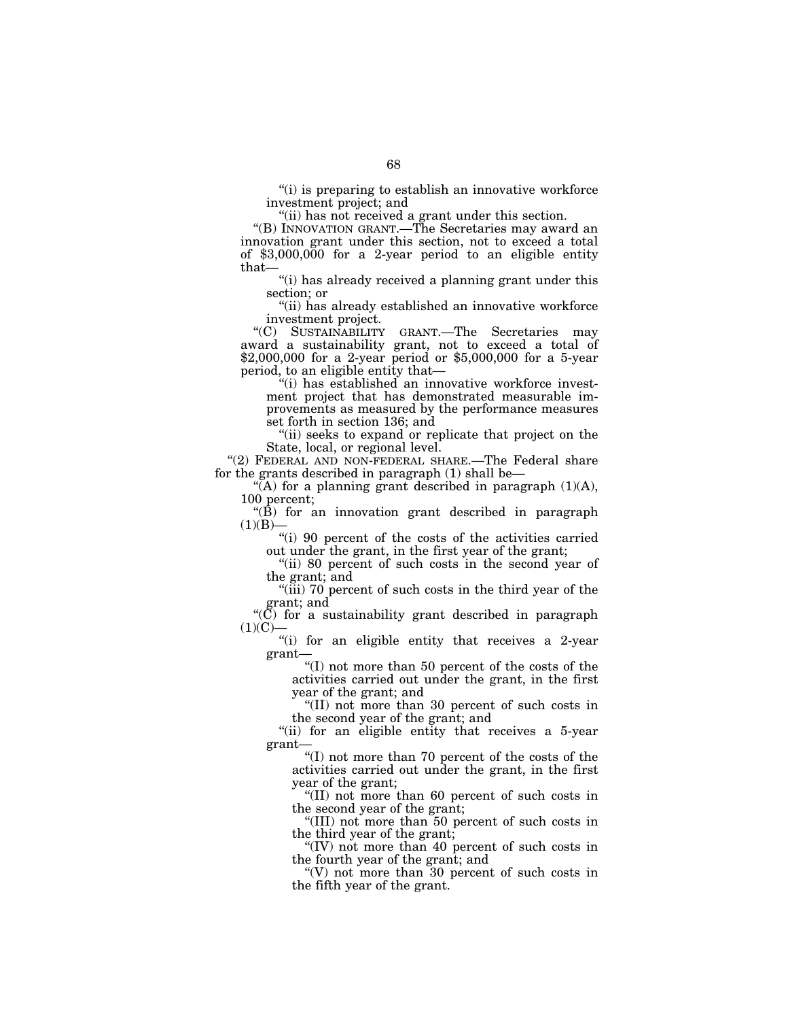''(i) is preparing to establish an innovative workforce investment project; and

"(ii) has not received a grant under this section.

''(B) INNOVATION GRANT.—The Secretaries may award an innovation grant under this section, not to exceed a total of \$3,000,000 for a 2-year period to an eligible entity that—

''(i) has already received a planning grant under this section; or

''(ii) has already established an innovative workforce investment project.

''(C) SUSTAINABILITY GRANT.—The Secretaries may award a sustainability grant, not to exceed a total of \$2,000,000 for a 2-year period or \$5,000,000 for a 5-year period, to an eligible entity that—

''(i) has established an innovative workforce investment project that has demonstrated measurable improvements as measured by the performance measures set forth in section 136; and

"(ii) seeks to expand or replicate that project on the State, local, or regional level.

"(2) FEDERAL AND NON-FEDERAL SHARE.—The Federal share for the grants described in paragraph (1) shall be—

 $\mathcal{H}(A)$  for a planning grant described in paragraph  $(1)(A)$ , 100 percent;

 $\mathcal{L}(\hat{B})$  for an innovation grant described in paragraph  $(1)(B)$ —

"(i) 90 percent of the costs of the activities carried out under the grant, in the first year of the grant;

"(ii) 80 percent of such costs in the second year of the grant; and

"(iii) 70 percent of such costs in the third year of the grant; and

" $(\overline{C})$  for a sustainability grant described in paragraph  $(1)(C)$ 

"(i) for an eligible entity that receives a 2-year grant—

''(I) not more than 50 percent of the costs of the activities carried out under the grant, in the first year of the grant; and

''(II) not more than 30 percent of such costs in the second year of the grant; and

"(ii) for an eligible entity that receives a 5-year grant—

''(I) not more than 70 percent of the costs of the activities carried out under the grant, in the first year of the grant;

''(II) not more than 60 percent of such costs in the second year of the grant;

''(III) not more than 50 percent of such costs in the third year of the grant;

''(IV) not more than 40 percent of such costs in the fourth year of the grant; and

''(V) not more than 30 percent of such costs in the fifth year of the grant.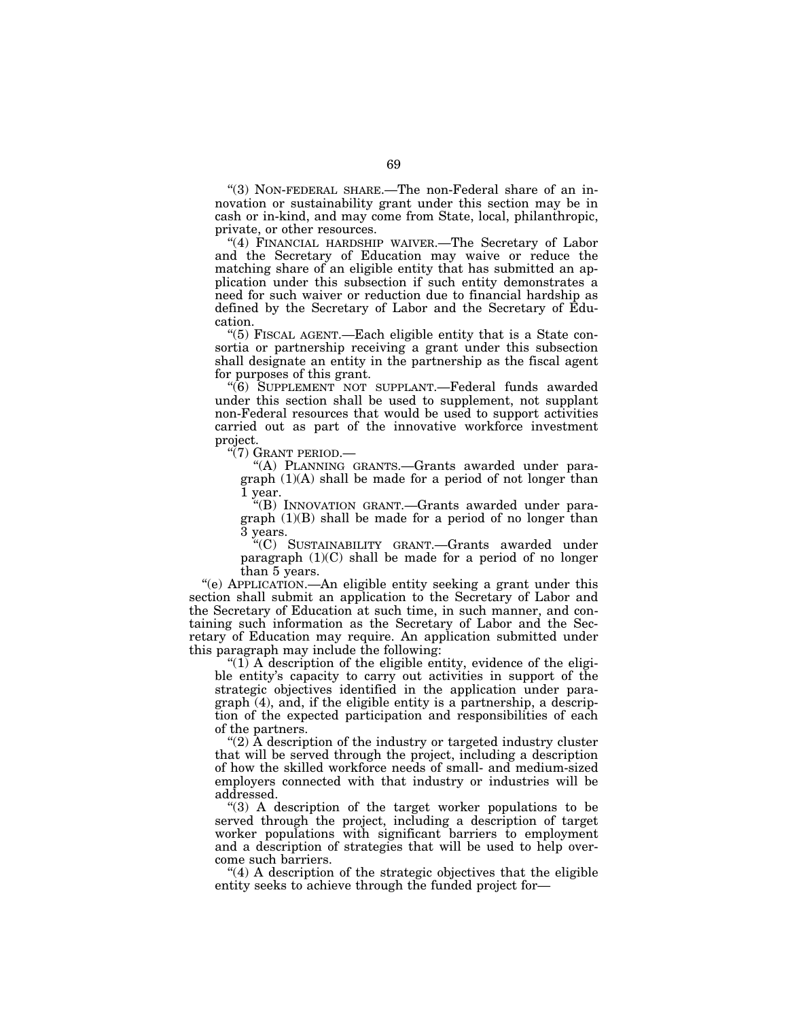''(3) NON-FEDERAL SHARE.—The non-Federal share of an innovation or sustainability grant under this section may be in cash or in-kind, and may come from State, local, philanthropic, private, or other resources.

"(4) FINANCIAL HARDSHIP WAIVER.-The Secretary of Labor and the Secretary of Education may waive or reduce the matching share of an eligible entity that has submitted an application under this subsection if such entity demonstrates a need for such waiver or reduction due to financial hardship as defined by the Secretary of Labor and the Secretary of Education.

''(5) FISCAL AGENT.—Each eligible entity that is a State consortia or partnership receiving a grant under this subsection shall designate an entity in the partnership as the fiscal agent for purposes of this grant.

"(6) SUPPLEMENT NOT SUPPLANT.—Federal funds awarded under this section shall be used to supplement, not supplant non-Federal resources that would be used to support activities carried out as part of the innovative workforce investment project.

''(7) GRANT PERIOD.—

''(A) PLANNING GRANTS.—Grants awarded under paragraph (1)(A) shall be made for a period of not longer than 1 year.

''(B) INNOVATION GRANT.—Grants awarded under paragraph (1)(B) shall be made for a period of no longer than 3 years.

''(C) SUSTAINABILITY GRANT.—Grants awarded under paragraph  $(1)(C)$  shall be made for a period of no longer than 5 years.

''(e) APPLICATION.—An eligible entity seeking a grant under this section shall submit an application to the Secretary of Labor and the Secretary of Education at such time, in such manner, and containing such information as the Secretary of Labor and the Secretary of Education may require. An application submitted under this paragraph may include the following:

" $(1)$  A description of the eligible entity, evidence of the eligible entity's capacity to carry out activities in support of the strategic objectives identified in the application under paragraph (4), and, if the eligible entity is a partnership, a description of the expected participation and responsibilities of each of the partners.

"(2) A description of the industry or targeted industry cluster that will be served through the project, including a description of how the skilled workforce needs of small- and medium-sized employers connected with that industry or industries will be addressed.

''(3) A description of the target worker populations to be served through the project, including a description of target worker populations with significant barriers to employment and a description of strategies that will be used to help overcome such barriers.

''(4) A description of the strategic objectives that the eligible entity seeks to achieve through the funded project for—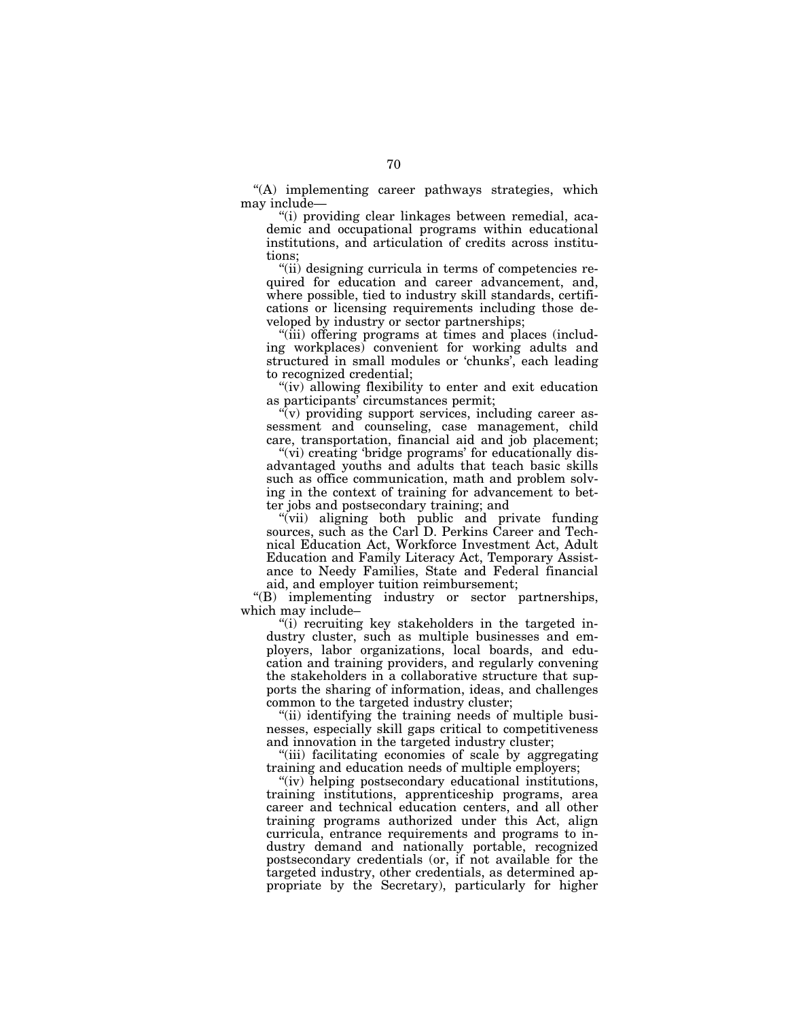''(A) implementing career pathways strategies, which may include—

''(i) providing clear linkages between remedial, academic and occupational programs within educational institutions, and articulation of credits across institutions;

''(ii) designing curricula in terms of competencies required for education and career advancement, and, where possible, tied to industry skill standards, certifications or licensing requirements including those developed by industry or sector partnerships;

"(iii) offering programs at times and places (including workplaces) convenient for working adults and structured in small modules or 'chunks', each leading to recognized credential;

"(iv) allowing flexibility to enter and exit education as participants' circumstances permit;

''(v) providing support services, including career assessment and counseling, case management, child care, transportation, financial aid and job placement;

"(vi) creating 'bridge programs' for educationally disadvantaged youths and adults that teach basic skills such as office communication, math and problem solving in the context of training for advancement to better jobs and postsecondary training; and

''(vii) aligning both public and private funding sources, such as the Carl D. Perkins Career and Technical Education Act, Workforce Investment Act, Adult Education and Family Literacy Act, Temporary Assistance to Needy Families, State and Federal financial aid, and employer tuition reimbursement;

''(B) implementing industry or sector partnerships, which may include–

"(i) recruiting key stakeholders in the targeted industry cluster, such as multiple businesses and employers, labor organizations, local boards, and education and training providers, and regularly convening the stakeholders in a collaborative structure that supports the sharing of information, ideas, and challenges common to the targeted industry cluster;

"(ii) identifying the training needs of multiple businesses, especially skill gaps critical to competitiveness and innovation in the targeted industry cluster;

''(iii) facilitating economies of scale by aggregating training and education needs of multiple employers;

"(iv) helping postsecondary educational institutions, training institutions, apprenticeship programs, area career and technical education centers, and all other training programs authorized under this Act, align curricula, entrance requirements and programs to industry demand and nationally portable, recognized postsecondary credentials (or, if not available for the targeted industry, other credentials, as determined appropriate by the Secretary), particularly for higher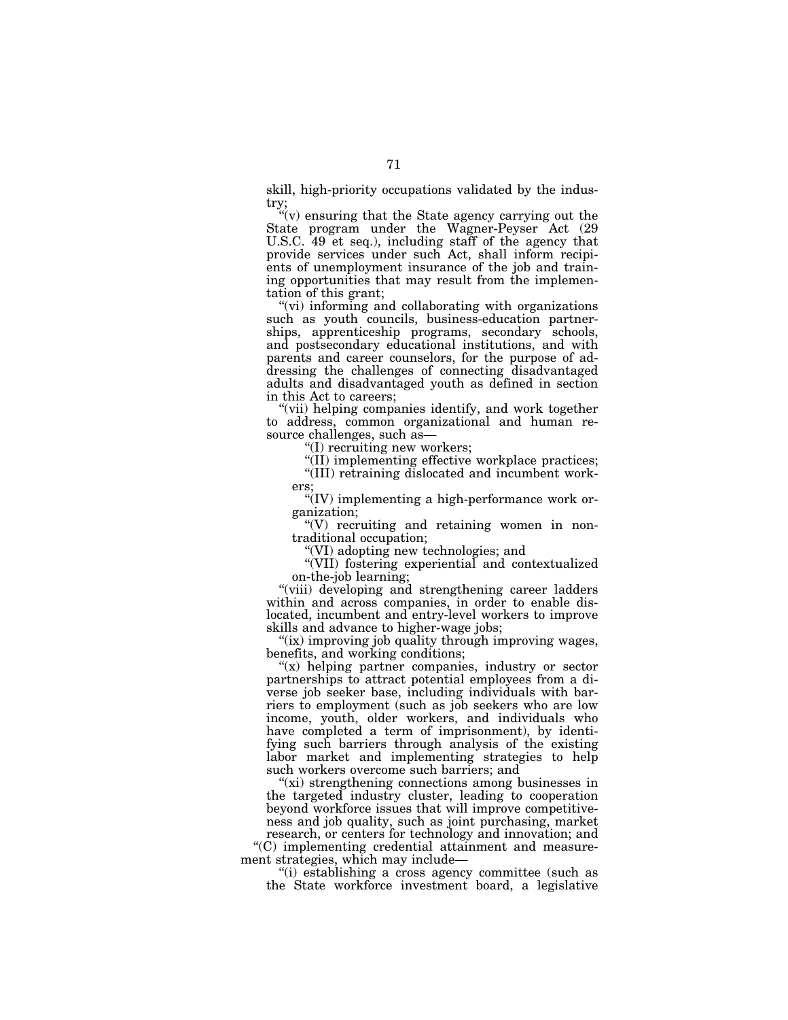skill, high-priority occupations validated by the industry;

''(v) ensuring that the State agency carrying out the State program under the Wagner-Peyser Act (29 U.S.C. 49 et seq.), including staff of the agency that provide services under such Act, shall inform recipients of unemployment insurance of the job and training opportunities that may result from the implementation of this grant;

''(vi) informing and collaborating with organizations such as youth councils, business-education partnerships, apprenticeship programs, secondary schools, and postsecondary educational institutions, and with parents and career counselors, for the purpose of addressing the challenges of connecting disadvantaged adults and disadvantaged youth as defined in section in this Act to careers;

"(vii) helping companies identify, and work together to address, common organizational and human resource challenges, such as—

''(I) recruiting new workers;

"(II) implementing effective workplace practices;

''(III) retraining dislocated and incumbent workers;

''(IV) implementing a high-performance work organization;

''(V) recruiting and retaining women in nontraditional occupation;

''(VI) adopting new technologies; and

''(VII) fostering experiential and contextualized on-the-job learning;

"(viii) developing and strengthening career ladders within and across companies, in order to enable dislocated, incumbent and entry-level workers to improve skills and advance to higher-wage jobs;

"(ix) improving job quality through improving wages, benefits, and working conditions;

"(x) helping partner companies, industry or sector partnerships to attract potential employees from a diverse job seeker base, including individuals with barriers to employment (such as job seekers who are low income, youth, older workers, and individuals who have completed a term of imprisonment), by identifying such barriers through analysis of the existing labor market and implementing strategies to help such workers overcome such barriers; and

"(xi) strengthening connections among businesses in the targeted industry cluster, leading to cooperation beyond workforce issues that will improve competitiveness and job quality, such as joint purchasing, market

research, or centers for technology and innovation; and ''(C) implementing credential attainment and measurement strategies, which may include—

''(i) establishing a cross agency committee (such as the State workforce investment board, a legislative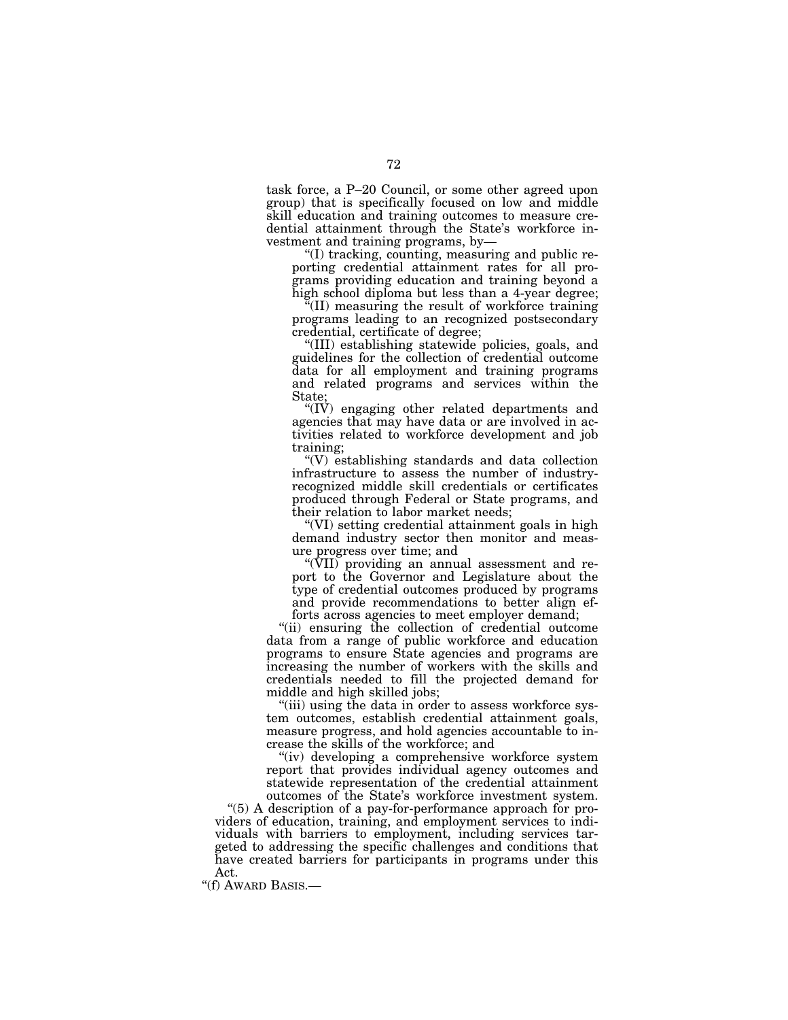task force, a P–20 Council, or some other agreed upon group) that is specifically focused on low and middle skill education and training outcomes to measure credential attainment through the State's workforce investment and training programs, by—

''(I) tracking, counting, measuring and public reporting credential attainment rates for all programs providing education and training beyond a high school diploma but less than a 4-year degree;

 $\sqrt{m}$ (II) measuring the result of workforce training programs leading to an recognized postsecondary credential, certificate of degree;

''(III) establishing statewide policies, goals, and guidelines for the collection of credential outcome data for all employment and training programs and related programs and services within the State;

''(IV) engaging other related departments and agencies that may have data or are involved in activities related to workforce development and job training;

 $\sqrt{\rm v}$  establishing standards and data collection infrastructure to assess the number of industryrecognized middle skill credentials or certificates produced through Federal or State programs, and their relation to labor market needs;

''(VI) setting credential attainment goals in high demand industry sector then monitor and measure progress over time; and

''(VII) providing an annual assessment and report to the Governor and Legislature about the type of credential outcomes produced by programs and provide recommendations to better align efforts across agencies to meet employer demand;

''(ii) ensuring the collection of credential outcome data from a range of public workforce and education programs to ensure State agencies and programs are increasing the number of workers with the skills and credentials needed to fill the projected demand for middle and high skilled jobs;

''(iii) using the data in order to assess workforce system outcomes, establish credential attainment goals, measure progress, and hold agencies accountable to increase the skills of the workforce; and

"(iv) developing a comprehensive workforce system report that provides individual agency outcomes and statewide representation of the credential attainment outcomes of the State's workforce investment system.

''(5) A description of a pay-for-performance approach for providers of education, training, and employment services to individuals with barriers to employment, including services targeted to addressing the specific challenges and conditions that have created barriers for participants in programs under this Act.

"(f) AWARD BASIS.-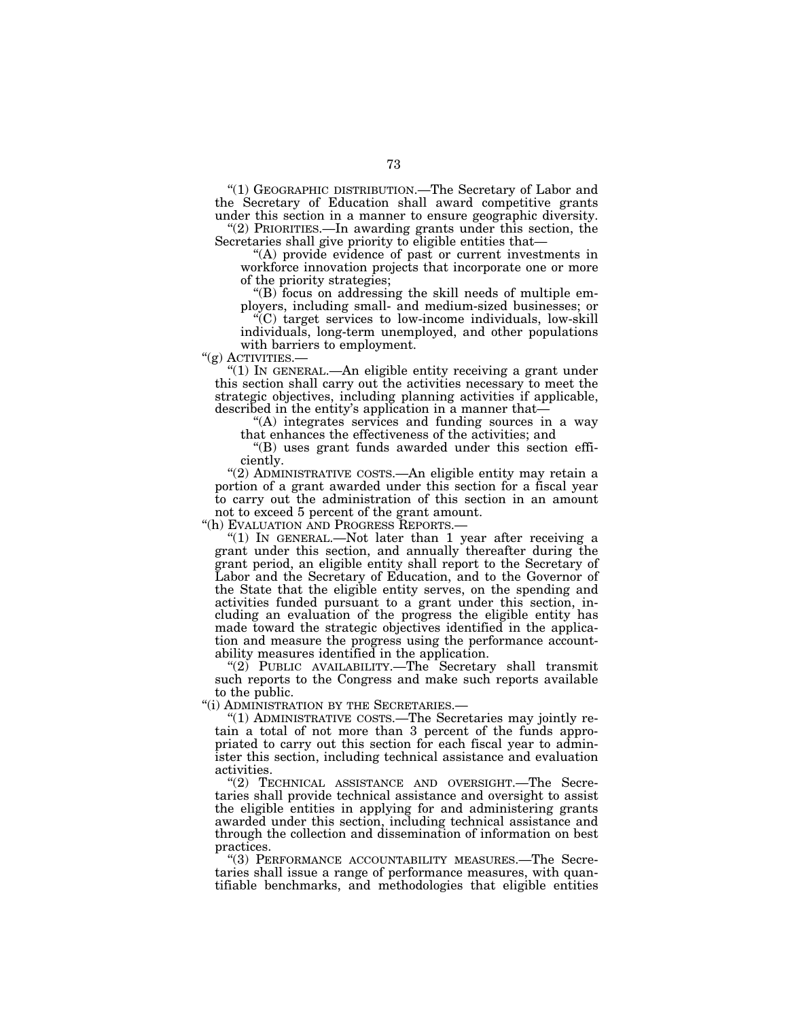''(1) GEOGRAPHIC DISTRIBUTION.—The Secretary of Labor and the Secretary of Education shall award competitive grants under this section in a manner to ensure geographic diversity.

''(2) PRIORITIES.—In awarding grants under this section, the Secretaries shall give priority to eligible entities that-

''(A) provide evidence of past or current investments in workforce innovation projects that incorporate one or more of the priority strategies;

''(B) focus on addressing the skill needs of multiple employers, including small- and medium-sized businesses; or

''(C) target services to low-income individuals, low-skill individuals, long-term unemployed, and other populations with barriers to employment.<br>" $(g)$  ACTIVITIES.—

"(1) In GENERAL.—An eligible entity receiving a grant under this section shall carry out the activities necessary to meet the strategic objectives, including planning activities if applicable, described in the entity's application in a manner that—

''(A) integrates services and funding sources in a way that enhances the effectiveness of the activities; and

''(B) uses grant funds awarded under this section efficiently.

"(2) ADMINISTRATIVE COSTS.—An eligible entity may retain a portion of a grant awarded under this section for a fiscal year to carry out the administration of this section in an amount

not to exceed 5 percent of the grant amount.<br>"(h) EVALUATION AND PROGRESS REPORTS.—

"(1) IN GENERAL.—Not later than 1 year after receiving a grant under this section, and annually thereafter during the grant period, an eligible entity shall report to the Secretary of Labor and the Secretary of Education, and to the Governor of the State that the eligible entity serves, on the spending and activities funded pursuant to a grant under this section, including an evaluation of the progress the eligible entity has made toward the strategic objectives identified in the application and measure the progress using the performance accountability measures identified in the application.

''(2) PUBLIC AVAILABILITY.—The Secretary shall transmit such reports to the Congress and make such reports available to the public.

''(i) ADMINISTRATION BY THE SECRETARIES.—

''(1) ADMINISTRATIVE COSTS.—The Secretaries may jointly retain a total of not more than 3 percent of the funds appropriated to carry out this section for each fiscal year to administer this section, including technical assistance and evaluation activities.

''(2) TECHNICAL ASSISTANCE AND OVERSIGHT.—The Secretaries shall provide technical assistance and oversight to assist the eligible entities in applying for and administering grants awarded under this section, including technical assistance and through the collection and dissemination of information on best practices.

''(3) PERFORMANCE ACCOUNTABILITY MEASURES.—The Secretaries shall issue a range of performance measures, with quantifiable benchmarks, and methodologies that eligible entities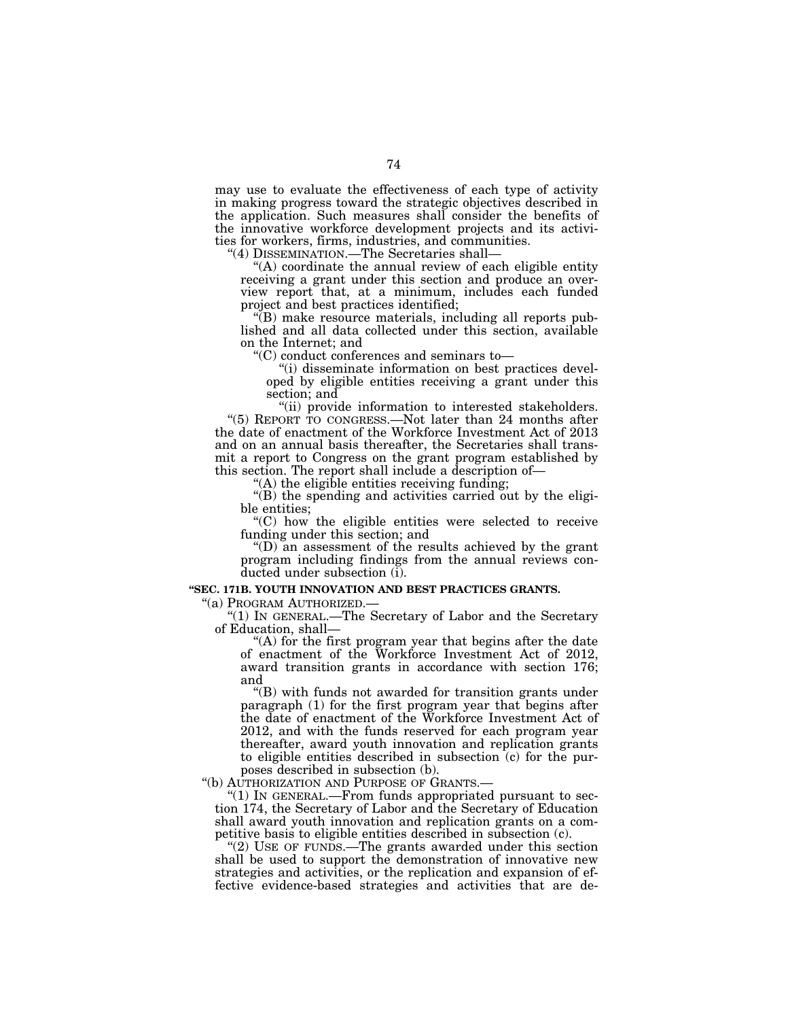may use to evaluate the effectiveness of each type of activity in making progress toward the strategic objectives described in the application. Such measures shall consider the benefits of the innovative workforce development projects and its activities for workers, firms, industries, and communities.

''(4) DISSEMINATION.—The Secretaries shall—

''(A) coordinate the annual review of each eligible entity receiving a grant under this section and produce an overview report that, at a minimum, includes each funded project and best practices identified;

 $\sqrt{\rm E}$ ) make resource materials, including all reports published and all data collected under this section, available on the Internet; and

 $\rm ^{\rm ^{\rm {sc}}}$ (C) conduct conferences and seminars to—

''(i) disseminate information on best practices developed by eligible entities receiving a grant under this section; and

''(ii) provide information to interested stakeholders. ''(5) REPORT TO CONGRESS.—Not later than 24 months after the date of enactment of the Workforce Investment Act of 2013 and on an annual basis thereafter, the Secretaries shall transmit a report to Congress on the grant program established by this section. The report shall include a description of—

 $(A)$  the eligible entities receiving funding;

''(B) the spending and activities carried out by the eligible entities;

''(C) how the eligible entities were selected to receive funding under this section; and

''(D) an assessment of the results achieved by the grant program including findings from the annual reviews conducted under subsection (i).

#### **''SEC. 171B. YOUTH INNOVATION AND BEST PRACTICES GRANTS.**

''(a) PROGRAM AUTHORIZED.— ''(1) IN GENERAL.—The Secretary of Labor and the Secretary of Education, shall—

"(A) for the first program year that begins after the date of enactment of the Workforce Investment Act of 2012, award transition grants in accordance with section 176; and

''(B) with funds not awarded for transition grants under paragraph (1) for the first program year that begins after the date of enactment of the Workforce Investment Act of 2012, and with the funds reserved for each program year thereafter, award youth innovation and replication grants to eligible entities described in subsection (c) for the purposes described in subsection (b).

''(b) AUTHORIZATION AND PURPOSE OF GRANTS.—

''(1) IN GENERAL.—From funds appropriated pursuant to section 174, the Secretary of Labor and the Secretary of Education shall award youth innovation and replication grants on a competitive basis to eligible entities described in subsection (c).

" $(2)$  USE OF FUNDS.—The grants awarded under this section shall be used to support the demonstration of innovative new strategies and activities, or the replication and expansion of effective evidence-based strategies and activities that are de-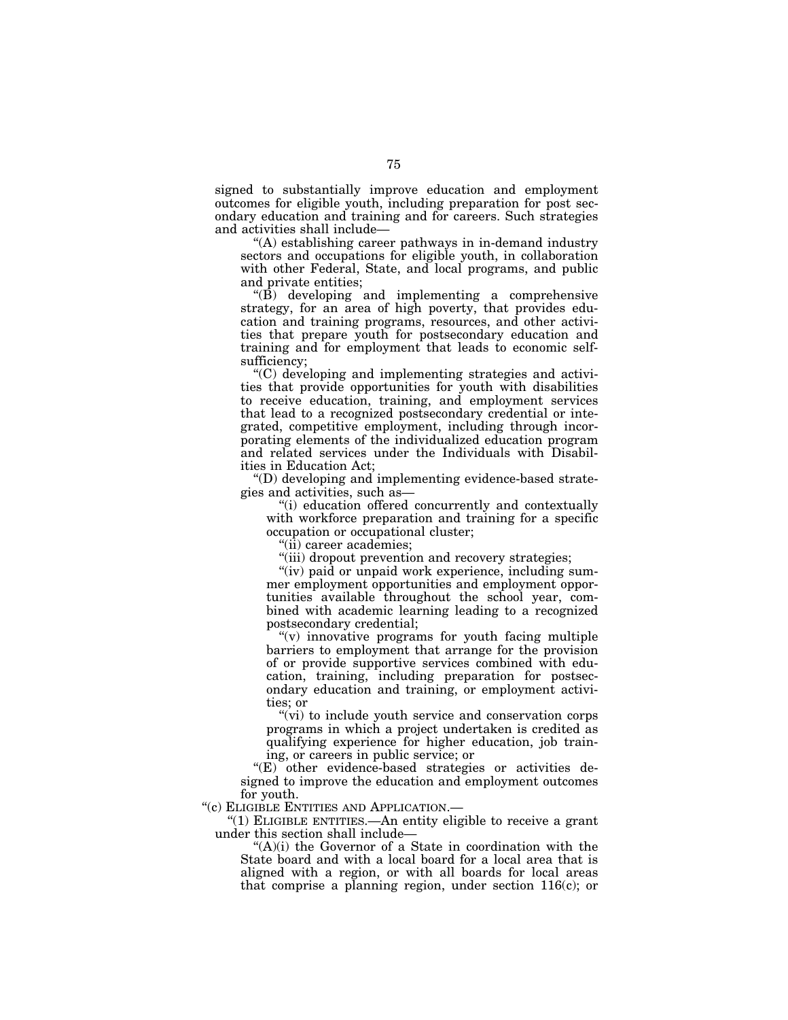signed to substantially improve education and employment outcomes for eligible youth, including preparation for post secondary education and training and for careers. Such strategies and activities shall include—

''(A) establishing career pathways in in-demand industry sectors and occupations for eligible youth, in collaboration with other Federal, State, and local programs, and public and private entities;

 $\angle$ <sup>"(B)</sup> developing and implementing a comprehensive strategy, for an area of high poverty, that provides education and training programs, resources, and other activities that prepare youth for postsecondary education and training and for employment that leads to economic selfsufficiency;

''(C) developing and implementing strategies and activities that provide opportunities for youth with disabilities to receive education, training, and employment services that lead to a recognized postsecondary credential or integrated, competitive employment, including through incorporating elements of the individualized education program and related services under the Individuals with Disabilities in Education Act;

''(D) developing and implementing evidence-based strategies and activities, such as—

''(i) education offered concurrently and contextually with workforce preparation and training for a specific occupation or occupational cluster;

''(ii) career academies;

"(iii) dropout prevention and recovery strategies;

"(iv) paid or unpaid work experience, including summer employment opportunities and employment opportunities available throughout the school year, combined with academic learning leading to a recognized postsecondary credential;

"(v) innovative programs for youth facing multiple barriers to employment that arrange for the provision of or provide supportive services combined with education, training, including preparation for postsecondary education and training, or employment activities; or

''(vi) to include youth service and conservation corps programs in which a project undertaken is credited as qualifying experience for higher education, job training, or careers in public service; or

''(E) other evidence-based strategies or activities designed to improve the education and employment outcomes for youth.

''(c) ELIGIBLE ENTITIES AND APPLICATION.—

''(1) ELIGIBLE ENTITIES.—An entity eligible to receive a grant under this section shall include—

"(A)(i) the Governor of a State in coordination with the State board and with a local board for a local area that is aligned with a region, or with all boards for local areas that comprise a planning region, under section 116(c); or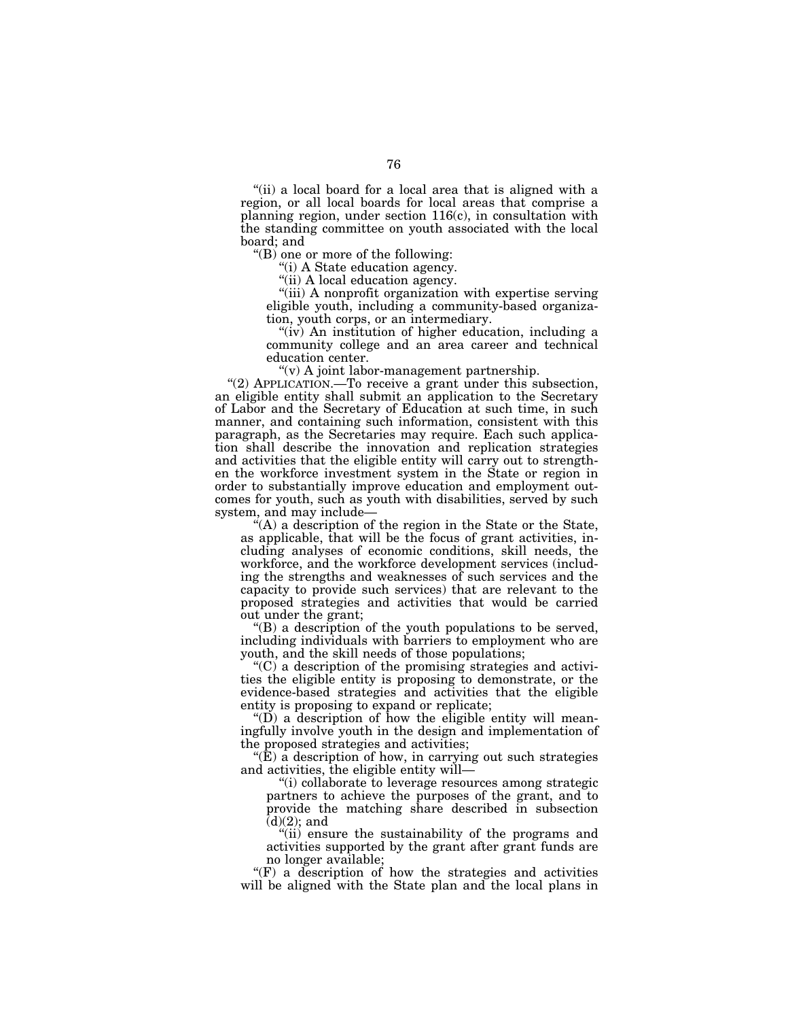"(ii) a local board for a local area that is aligned with a region, or all local boards for local areas that comprise a planning region, under section 116(c), in consultation with the standing committee on youth associated with the local board; and

''(B) one or more of the following:

''(i) A State education agency.

"(ii) A local education agency.

"(iii) A nonprofit organization with expertise serving eligible youth, including a community-based organization, youth corps, or an intermediary.

"(iv) An institution of higher education, including a community college and an area career and technical education center.

 $(v)$  A joint labor-management partnership.

"(2) APPLICATION.—To receive a grant under this subsection, an eligible entity shall submit an application to the Secretary of Labor and the Secretary of Education at such time, in such manner, and containing such information, consistent with this paragraph, as the Secretaries may require. Each such application shall describe the innovation and replication strategies and activities that the eligible entity will carry out to strengthen the workforce investment system in the State or region in order to substantially improve education and employment outcomes for youth, such as youth with disabilities, served by such system, and may include—

''(A) a description of the region in the State or the State, as applicable, that will be the focus of grant activities, including analyses of economic conditions, skill needs, the workforce, and the workforce development services (including the strengths and weaknesses of such services and the capacity to provide such services) that are relevant to the proposed strategies and activities that would be carried out under the grant;

''(B) a description of the youth populations to be served, including individuals with barriers to employment who are youth, and the skill needs of those populations;

 $C$ ) a description of the promising strategies and activities the eligible entity is proposing to demonstrate, or the evidence-based strategies and activities that the eligible entity is proposing to expand or replicate;

" $(D)$  a description of how the eligible entity will meaningfully involve youth in the design and implementation of the proposed strategies and activities;

 $\mathcal{F}(\mathbf{\hat{E}})$  a description of how, in carrying out such strategies and activities, the eligible entity will—

''(i) collaborate to leverage resources among strategic partners to achieve the purposes of the grant, and to provide the matching share described in subsection  $(d)(2)$ ; and

"(ii) ensure the sustainability of the programs and activities supported by the grant after grant funds are no longer available;

"(F) a description of how the strategies and activities will be aligned with the State plan and the local plans in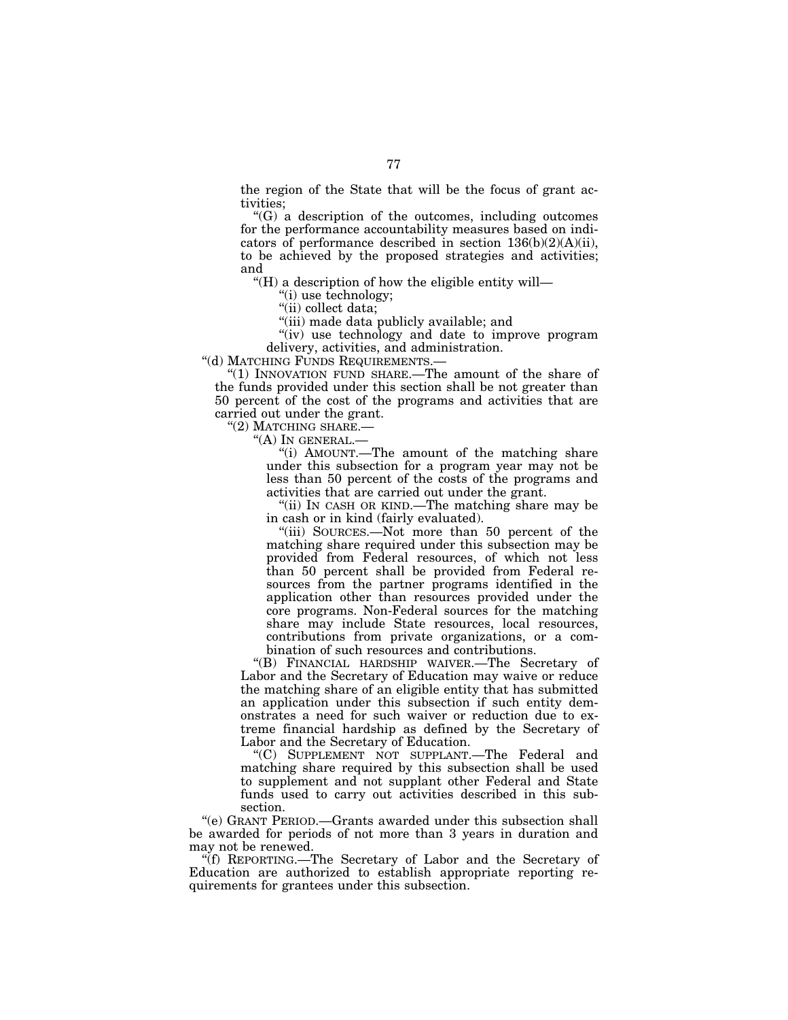the region of the State that will be the focus of grant activities;

''(G) a description of the outcomes, including outcomes for the performance accountability measures based on indicators of performance described in section 136(b)(2)(A)(ii), to be achieved by the proposed strategies and activities; and

''(H) a description of how the eligible entity will—

''(i) use technology;

"(ii) collect data;

''(iii) made data publicly available; and

"(iv) use technology and date to improve program delivery, activities, and administration.

''(d) MATCHING FUNDS REQUIREMENTS.—

"(1) INNOVATION FUND SHARE.—The amount of the share of the funds provided under this section shall be not greater than 50 percent of the cost of the programs and activities that are carried out under the grant.

''(2) MATCHING SHARE.—

"(A) IN GENERAL.-

''(i) AMOUNT.—The amount of the matching share under this subsection for a program year may not be less than 50 percent of the costs of the programs and activities that are carried out under the grant.

"(ii) In CASH OR KIND.—The matching share may be in cash or in kind (fairly evaluated).

''(iii) SOURCES.—Not more than 50 percent of the matching share required under this subsection may be provided from Federal resources, of which not less than 50 percent shall be provided from Federal resources from the partner programs identified in the application other than resources provided under the core programs. Non-Federal sources for the matching share may include State resources, local resources, contributions from private organizations, or a combination of such resources and contributions.

''(B) FINANCIAL HARDSHIP WAIVER.—The Secretary of Labor and the Secretary of Education may waive or reduce the matching share of an eligible entity that has submitted an application under this subsection if such entity demonstrates a need for such waiver or reduction due to extreme financial hardship as defined by the Secretary of Labor and the Secretary of Education.

''(C) SUPPLEMENT NOT SUPPLANT.—The Federal and matching share required by this subsection shall be used to supplement and not supplant other Federal and State funds used to carry out activities described in this subsection.

''(e) GRANT PERIOD.—Grants awarded under this subsection shall be awarded for periods of not more than 3 years in duration and may not be renewed.

''(f) REPORTING.—The Secretary of Labor and the Secretary of Education are authorized to establish appropriate reporting requirements for grantees under this subsection.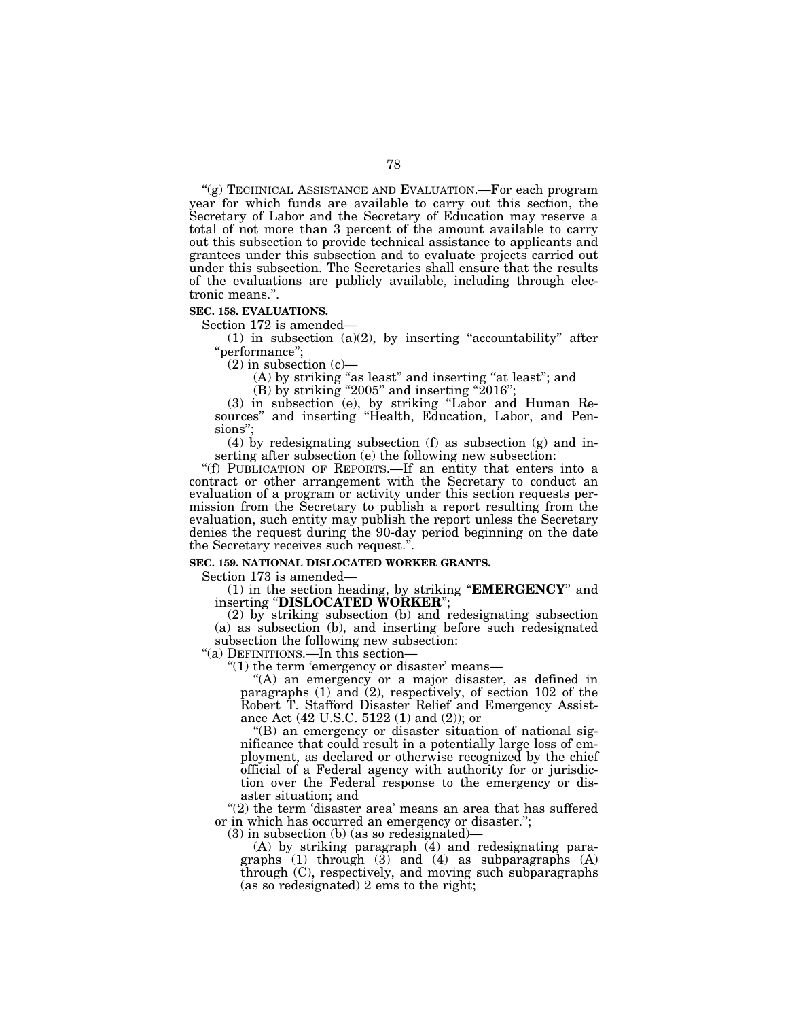''(g) TECHNICAL ASSISTANCE AND EVALUATION.—For each program year for which funds are available to carry out this section, the Secretary of Labor and the Secretary of Education may reserve a total of not more than 3 percent of the amount available to carry out this subsection to provide technical assistance to applicants and grantees under this subsection and to evaluate projects carried out under this subsection. The Secretaries shall ensure that the results of the evaluations are publicly available, including through electronic means.''.

#### **SEC. 158. EVALUATIONS.**

Section 172 is amended—

(1) in subsection (a)(2), by inserting "accountability" after ''performance'';

 $(2)$  in subsection  $(c)$ —

(A) by striking ''as least'' and inserting ''at least''; and

(B) by striking "2005" and inserting " $2016$ ";

(3) in subsection (e), by striking ''Labor and Human Resources'' and inserting ''Health, Education, Labor, and Pensions'';

(4) by redesignating subsection (f) as subsection (g) and inserting after subsection (e) the following new subsection:

''(f) PUBLICATION OF REPORTS.—If an entity that enters into a contract or other arrangement with the Secretary to conduct an evaluation of a program or activity under this section requests permission from the Secretary to publish a report resulting from the evaluation, such entity may publish the report unless the Secretary denies the request during the 90-day period beginning on the date the Secretary receives such request.''.

## **SEC. 159. NATIONAL DISLOCATED WORKER GRANTS.**

Section 173 is amended—

(1) in the section heading, by striking ''**EMERGENCY**'' and inserting ''**DISLOCATED WORKER**'';

(2) by striking subsection (b) and redesignating subsection (a) as subsection (b), and inserting before such redesignated subsection the following new subsection:

"(a) DEFINITIONS.—In this section-

" $(1)$  the term 'emergency or disaster' means—

''(A) an emergency or a major disaster, as defined in paragraphs (1) and (2), respectively, of section 102 of the Robert T. Stafford Disaster Relief and Emergency Assistance Act (42 U.S.C. 5122 (1) and (2)); or

''(B) an emergency or disaster situation of national significance that could result in a potentially large loss of employment, as declared or otherwise recognized by the chief official of a Federal agency with authority for or jurisdiction over the Federal response to the emergency or disaster situation; and

"(2) the term 'disaster area' means an area that has suffered or in which has occurred an emergency or disaster.'';

(3) in subsection (b) (as so redesignated)—

(A) by striking paragraph  $(4)$  and redesignating paragraphs  $(1)$  through  $(3)$  and  $(4)$  as subparagraphs  $(A)$ through (C), respectively, and moving such subparagraphs (as so redesignated) 2 ems to the right;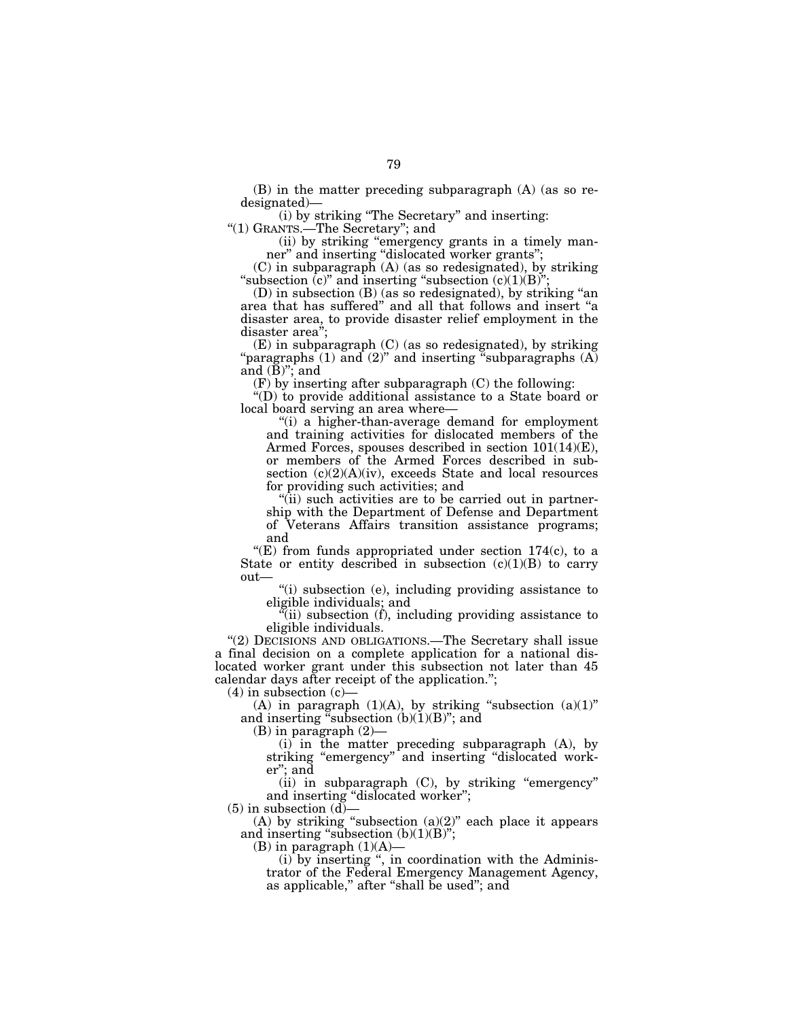(B) in the matter preceding subparagraph (A) (as so redesignated)—

(i) by striking ''The Secretary'' and inserting:

''(1) GRANTS.—The Secretary''; and

(ii) by striking ''emergency grants in a timely manner" and inserting "dislocated worker grants";

(C) in subparagraph (A) (as so redesignated), by striking "subsection  $(c)$ " and inserting "subsection  $(c)(1)(B)$ ";

(D) in subsection (B) (as so redesignated), by striking ''an area that has suffered'' and all that follows and insert ''a disaster area, to provide disaster relief employment in the disaster area'';

(E) in subparagraph (C) (as so redesignated), by striking "paragraphs  $(1)$  and  $(2)$ " and inserting "subparagraphs  $(A)$ " and  $(\bar{B})$ "; and

(F) by inserting after subparagraph (C) the following:

''(D) to provide additional assistance to a State board or local board serving an area where—

''(i) a higher-than-average demand for employment and training activities for dislocated members of the Armed Forces, spouses described in section 101(14)(E), or members of the Armed Forces described in subsection (c)(2)(A)(iv), exceeds State and local resources for providing such activities; and

"(ii) such activities are to be carried out in partnership with the Department of Defense and Department of Veterans Affairs transition assistance programs; and

"(E) from funds appropriated under section  $174(c)$ , to a State or entity described in subsection  $(c)(1)(B)$  to carry out—

''(i) subsection (e), including providing assistance to eligible individuals; and

 $\tilde{f}$ (ii) subsection (f), including providing assistance to eligible individuals.

"(2) DECISIONS AND OBLIGATIONS.—The Secretary shall issue a final decision on a complete application for a national dislocated worker grant under this subsection not later than 45 calendar days after receipt of the application.'';

 $(4)$  in subsection  $(c)$ 

(A) in paragraph  $(1)(A)$ , by striking "subsection  $(a)(1)$ " and inserting "subsection  $(b)(1)(B)$ "; and

(B) in paragraph (2)—

(i) in the matter preceding subparagraph (A), by striking "emergency" and inserting "dislocated worker''; and

(ii) in subparagraph (C), by striking "emergency" and inserting ''dislocated worker'';

 $(5)$  in subsection  $(d)$ 

(A) by striking "subsection  $(a)(2)$ " each place it appears and inserting "subsection  $(b)(1)(B)$ ";

(B) in paragraph  $(1)(A)$ —

(i) by inserting '', in coordination with the Administrator of the Federal Emergency Management Agency, as applicable," after "shall be used"; and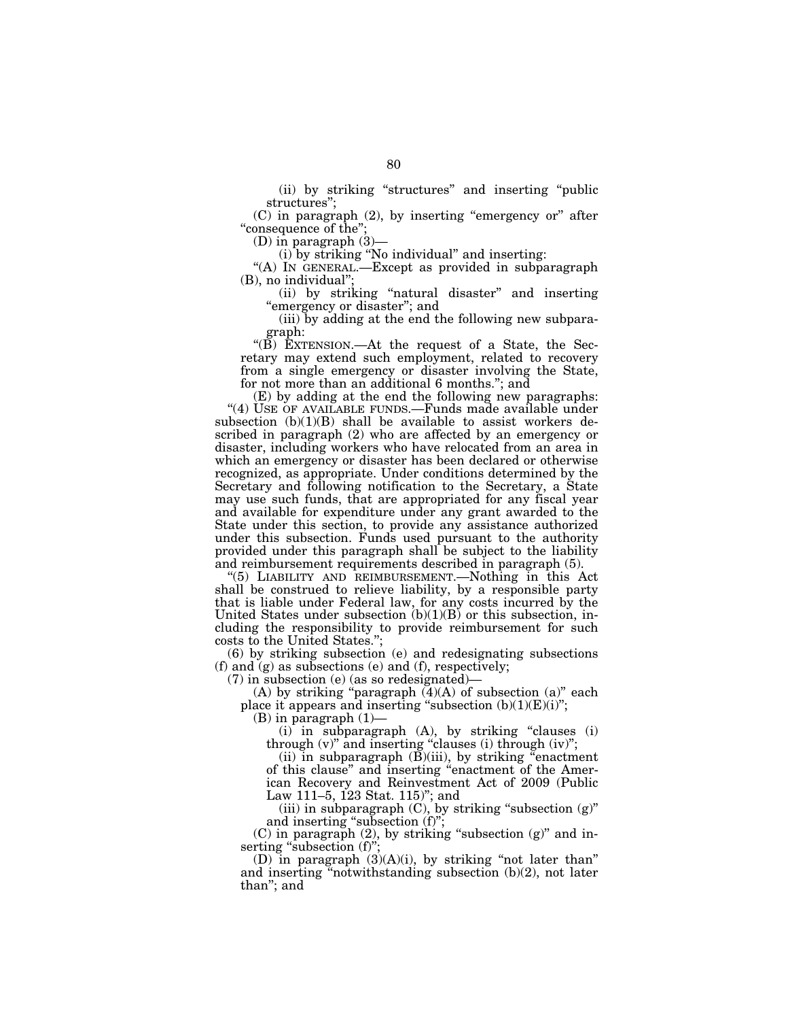(ii) by striking ''structures'' and inserting ''public structures'';

 $(C)$  in paragraph  $(2)$ , by inserting "emergency or" after "consequence of the";

(D) in paragraph (3)—

 $\left( \underline{\textbf{i}} \right)$  by striking "No individual" and inserting:

"(A) IN GENERAL.-Except as provided in subparagraph (B), no individual'';

(ii) by striking ''natural disaster'' and inserting "emergency or disaster"; and

(iii) by adding at the end the following new subparagraph:

''(B) EXTENSION.—At the request of a State, the Secretary may extend such employment, related to recovery from a single emergency or disaster involving the State, for not more than an additional 6 months.''; and

(E) by adding at the end the following new paragraphs: "(4) USE OF AVAILABLE FUNDS.—Funds made available under subsection  $(b)(1)(B)$  shall be available to assist workers described in paragraph (2) who are affected by an emergency or disaster, including workers who have relocated from an area in which an emergency or disaster has been declared or otherwise recognized, as appropriate. Under conditions determined by the Secretary and following notification to the Secretary, a State may use such funds, that are appropriated for any fiscal year and available for expenditure under any grant awarded to the State under this section, to provide any assistance authorized under this subsection. Funds used pursuant to the authority provided under this paragraph shall be subject to the liability and reimbursement requirements described in paragraph (5).

''(5) LIABILITY AND REIMBURSEMENT.—Nothing in this Act shall be construed to relieve liability, by a responsible party that is liable under Federal law, for any costs incurred by the United States under subsection  $(b)(1)(B)$  or this subsection, including the responsibility to provide reimbursement for such costs to the United States.'';

(6) by striking subsection (e) and redesignating subsections (f) and (g) as subsections (e) and (f), respectively;

(7) in subsection (e) (as so redesignated)—

(A) by striking "paragraph  $(4)(A)$  of subsection (a)" each place it appears and inserting "subsection  $(b)(1)(E)(i)$ ";

(B) in paragraph (1)—

 $(i)$  in subparagraph  $(A)$ , by striking "clauses  $(i)$ through (v)'' and inserting ''clauses (i) through (iv)'';

(ii) in subparagraph  $(B)(iii)$ , by striking "enactment" of this clause'' and inserting ''enactment of the American Recovery and Reinvestment Act of 2009 (Public Law 111–5, 123 Stat. 115)''; and

(iii) in subparagraph  $(C)$ , by striking "subsection  $(g)$ " and inserting "subsection (f)";

 $(C)$  in paragraph  $(2)$ , by striking "subsection  $(g)$ " and inserting "subsection (f)";

(D) in paragraph  $(3)(A)(i)$ , by striking "not later than" and inserting ''notwithstanding subsection (b)(2), not later than''; and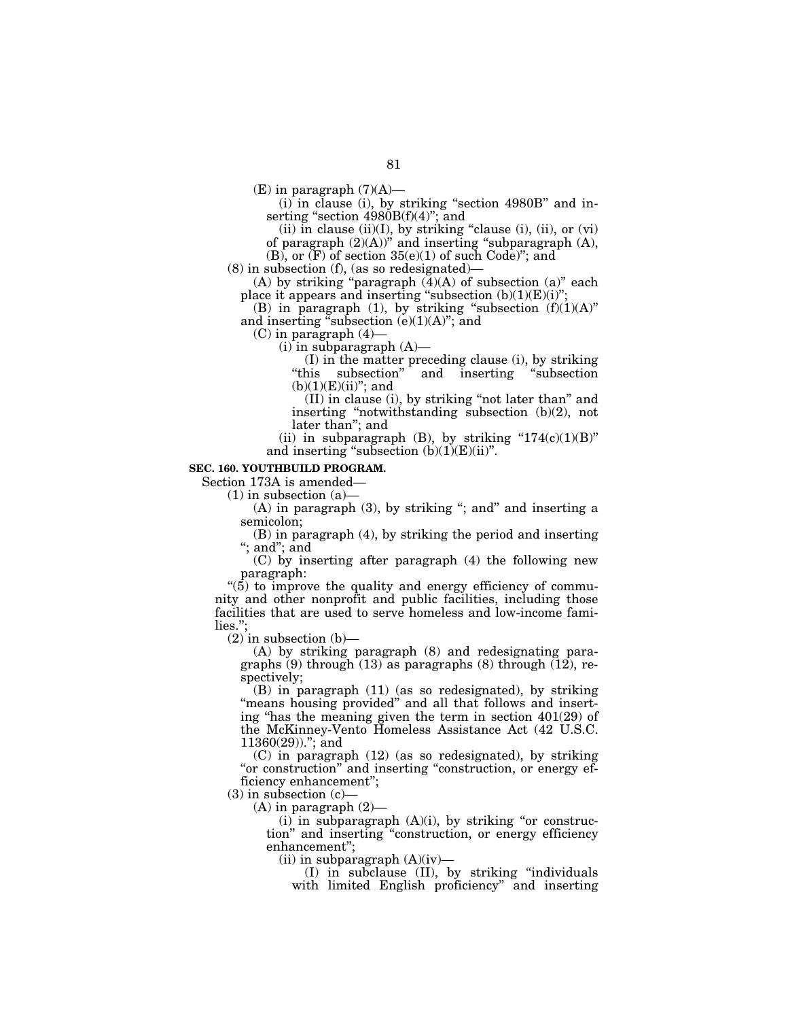$(E)$  in paragraph  $(7)(A)$ —

 $(i)$  in clause (i), by striking "section 4980B" and inserting "section 4980B(f)(4)"; and

(ii) in clause (ii)(I), by striking "clause (i), (ii), or  $(vi)$ 

of paragraph  $(2)(A)$ " and inserting "subparagraph  $(A)$ ,  $(B)$ , or  $(F)$  of section  $35(e)(1)$  of such Code)"; and

(8) in subsection (f), (as so redesignated)—

(A) by striking "paragraph  $(\overline{4})(A)$  of subsection  $(a)$ " each place it appears and inserting "subsection  $(b)(1)(E)(i)$ ";

(B) in paragraph (1), by striking "subsection  $(f)(1)(A)$ " and inserting "subsection  $(e)(1)(A)$ "; and

(C) in paragraph (4)—

 $(i)$  in subparagraph  $(A)$ —

(I) in the matter preceding clause (i), by striking ''this subsection'' and inserting ''subsection  $(b)(1)(E)(ii)$ "; and

(II) in clause (i), by striking ''not later than'' and inserting ''notwithstanding subsection (b)(2), not later than''; and

(ii) in subparagraph (B), by striking " $174(c)(1)(B)$ " and inserting "subsection  $(b)(1)(E)(ii)$ ".

#### **SEC. 160. YOUTHBUILD PROGRAM.**

Section 173A is amended—

 $(1)$  in subsection  $(a)$ —

(A) in paragraph (3), by striking "; and" and inserting a semicolon;

(B) in paragraph (4), by striking the period and inserting ''; and''; and

(C) by inserting after paragraph (4) the following new paragraph:

" $(5)$  to improve the quality and energy efficiency of community and other nonprofit and public facilities, including those facilities that are used to serve homeless and low-income families.'';

 $(2)$  in subsection  $(b)$ —

(A) by striking paragraph (8) and redesignating paragraphs  $(9)$  through  $(13)$  as paragraphs  $(8)$  through  $(12)$ , respectively;

(B) in paragraph (11) (as so redesignated), by striking "means housing provided" and all that follows and inserting "has the meaning given the term in section  $401(29)$  of the McKinney-Vento Homeless Assistance Act (42 U.S.C. 11360(29)).''; and

(C) in paragraph (12) (as so redesignated), by striking "or construction" and inserting "construction, or energy efficiency enhancement'';

 $(3)$  in subsection  $(c)$ –

 $(A)$  in paragraph  $(2)$ —

 $(i)$  in subparagraph  $(A)(i)$ , by striking "or construction'' and inserting ''construction, or energy efficiency enhancement'';

(ii) in subparagraph  $(A)(iv)$ —

(I) in subclause (II), by striking ''individuals with limited English proficiency'' and inserting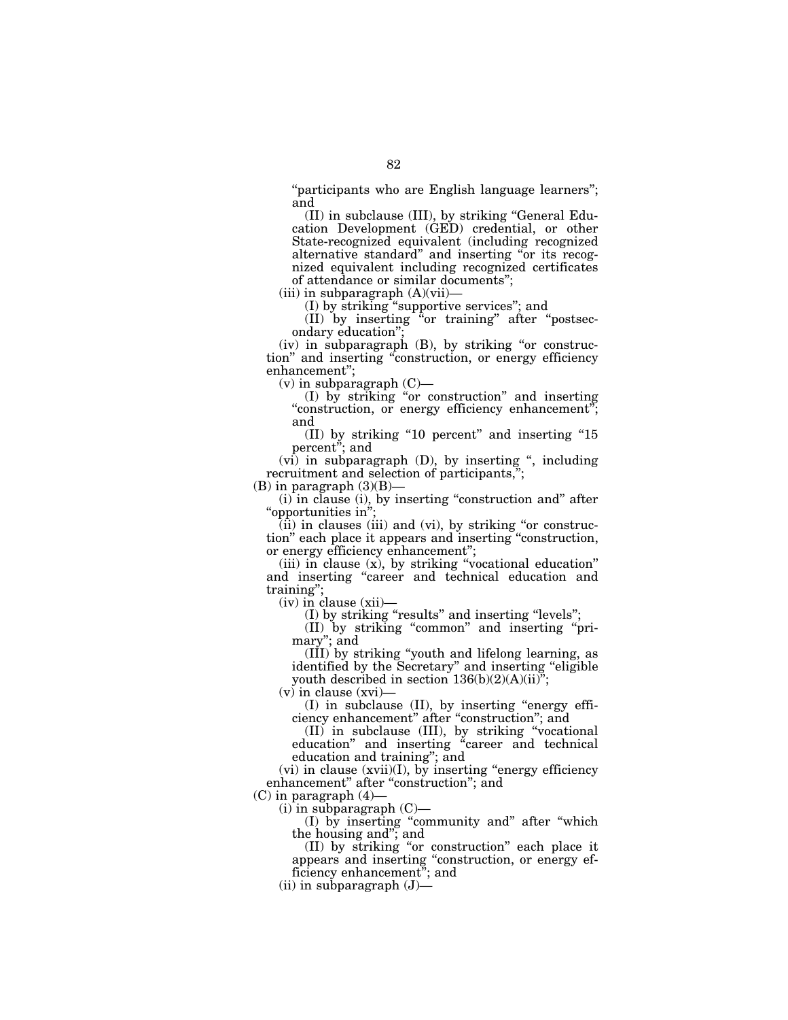''participants who are English language learners''; and

(II) in subclause (III), by striking ''General Education Development (GED) credential, or other State-recognized equivalent (including recognized alternative standard'' and inserting ''or its recognized equivalent including recognized certificates of attendance or similar documents'';

(iii) in subparagraph (A)(vii)—

(I) by striking ''supportive services''; and

(II) by inserting ''or training'' after ''postsecondary education'';

 $(iv)$  in subparagraph  $(B)$ , by striking "or construction'' and inserting ''construction, or energy efficiency enhancement'';

 $(v)$  in subparagraph  $(C)$ —

(I) by striking ''or construction'' and inserting "construction, or energy efficiency enhancement"; and

(II) by striking ''10 percent'' and inserting ''15 percent''; and

 $(vi)$  in subparagraph  $(D)$ , by inserting ", including recruitment and selection of participants,'';

 $(B)$  in paragraph  $(3)(B)$ –

(i) in clause (i), by inserting ''construction and'' after ''opportunities in'';

(ii) in clauses (iii) and (vi), by striking ''or construction'' each place it appears and inserting ''construction, or energy efficiency enhancement'';

(iii) in clause (x), by striking ''vocational education'' and inserting ''career and technical education and training"

(iv) in clause (xii)—

(I) by striking ''results'' and inserting ''levels'';

(II) by striking ''common'' and inserting ''primary''; and

(III) by striking ''youth and lifelong learning, as identified by the Secretary'' and inserting ''eligible youth described in section  $136(b)(2)(A)(ii)^{y}$ ;

(v) in clause (xvi)—

(I) in subclause (II), by inserting ''energy efficiency enhancement'' after ''construction''; and

(II) in subclause (III), by striking ''vocational education'' and inserting ''career and technical education and training''; and

 $(vi)$  in clause  $(xvii)(I)$ , by inserting "energy efficiency" enhancement" after "construction"; and

 $(C)$  in paragraph  $(4)$ -

(i) in subparagraph (C)—

(I) by inserting ''community and'' after ''which the housing and''; and

(II) by striking ''or construction'' each place it appears and inserting ''construction, or energy efficiency enhancement''; and

(ii) in subparagraph (J)—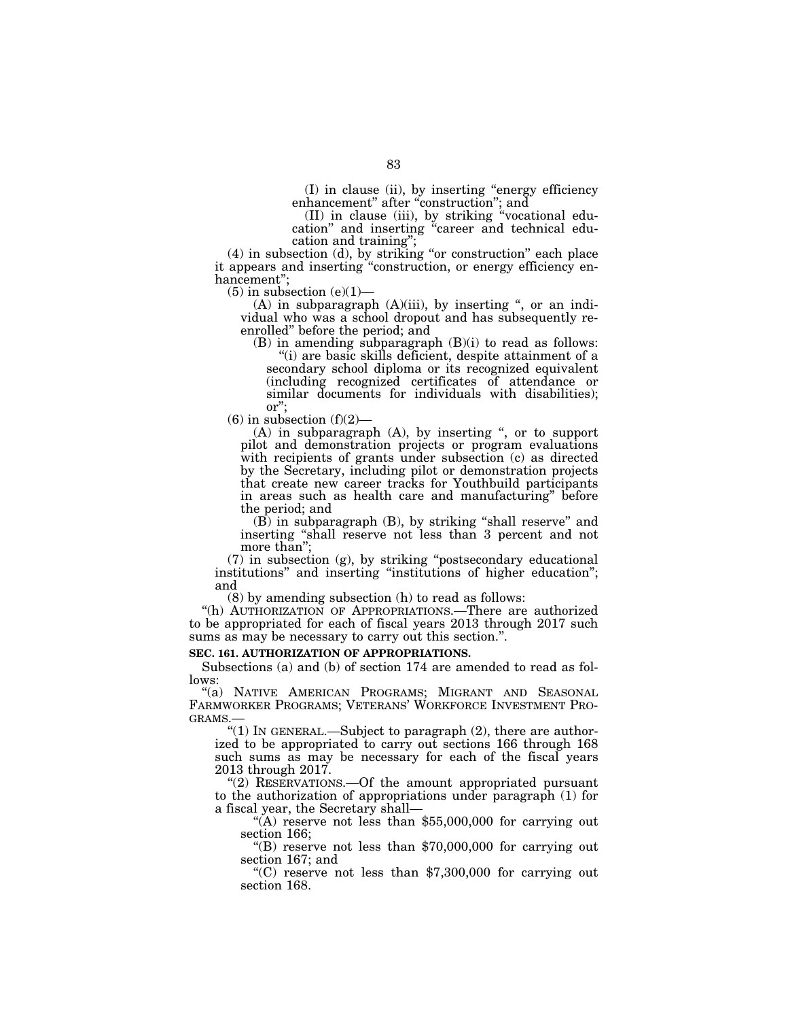(I) in clause (ii), by inserting ''energy efficiency enhancement" after "construction"; and

(II) in clause (iii), by striking ''vocational education'' and inserting ''career and technical education and training'';

(4) in subsection (d), by striking ''or construction'' each place it appears and inserting ''construction, or energy efficiency enhancement'';

 $(5)$  in subsection  $(e)(1)$ —

 $(A)$  in subparagraph  $(A)(iii)$ , by inserting ", or an individual who was a school dropout and has subsequently reenrolled'' before the period; and

(B) in amending subparagraph (B)(i) to read as follows: ''(i) are basic skills deficient, despite attainment of a

secondary school diploma or its recognized equivalent (including recognized certificates of attendance or similar documents for individuals with disabilities); or'';

 $(6)$  in subsection  $(f)(2)$ —

(A) in subparagraph (A), by inserting '', or to support pilot and demonstration projects or program evaluations with recipients of grants under subsection (c) as directed by the Secretary, including pilot or demonstration projects that create new career tracks for Youthbuild participants in areas such as health care and manufacturing'' before the period; and

(B) in subparagraph (B), by striking ''shall reserve'' and inserting ''shall reserve not less than 3 percent and not more than'';

(7) in subsection (g), by striking ''postsecondary educational institutions" and inserting "institutions of higher education"; and

(8) by amending subsection (h) to read as follows:

''(h) AUTHORIZATION OF APPROPRIATIONS.—There are authorized to be appropriated for each of fiscal years 2013 through 2017 such sums as may be necessary to carry out this section.".

## **SEC. 161. AUTHORIZATION OF APPROPRIATIONS.**

Subsections (a) and (b) of section 174 are amended to read as follows:

"(a) NATIVE AMERICAN PROGRAMS; MIGRANT AND SEASONAL FARMWORKER PROGRAMS; VETERANS' WORKFORCE INVESTMENT PRO-GRAMS.—

''(1) IN GENERAL.—Subject to paragraph (2), there are authorized to be appropriated to carry out sections 166 through 168 such sums as may be necessary for each of the fiscal years 2013 through 2017.

"(2) RESERVATIONS.—Of the amount appropriated pursuant to the authorization of appropriations under paragraph (1) for a fiscal year, the Secretary shall—

"(A) reserve not less than  $$55,000,000$  for carrying out section 166;

 $\degree$ (B) reserve not less than \$70,000,000 for carrying out section 167; and

 $(C)$  reserve not less than \$7,300,000 for carrying out section 168.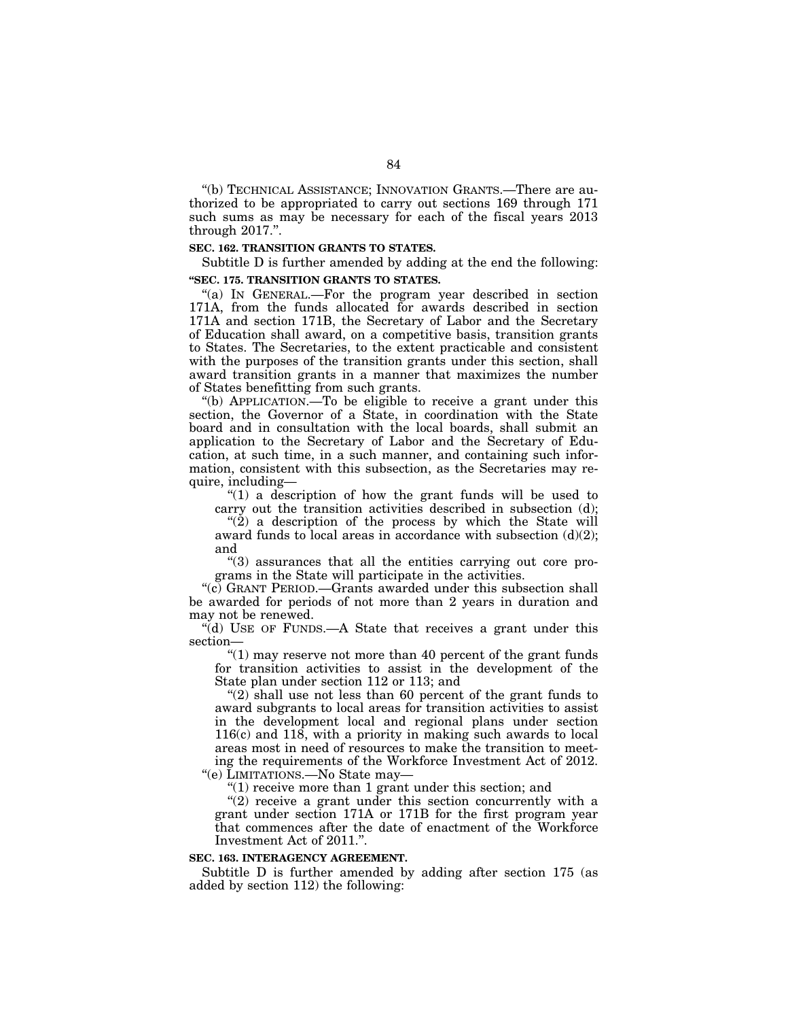''(b) TECHNICAL ASSISTANCE; INNOVATION GRANTS.—There are authorized to be appropriated to carry out sections 169 through 171 such sums as may be necessary for each of the fiscal years 2013 through 2017.''.

## **SEC. 162. TRANSITION GRANTS TO STATES.**

Subtitle D is further amended by adding at the end the following: **''SEC. 175. TRANSITION GRANTS TO STATES.** 

"(a) IN GENERAL.—For the program year described in section 171A, from the funds allocated for awards described in section 171A and section 171B, the Secretary of Labor and the Secretary of Education shall award, on a competitive basis, transition grants to States. The Secretaries, to the extent practicable and consistent with the purposes of the transition grants under this section, shall award transition grants in a manner that maximizes the number of States benefitting from such grants.

''(b) APPLICATION.—To be eligible to receive a grant under this section, the Governor of a State, in coordination with the State board and in consultation with the local boards, shall submit an application to the Secretary of Labor and the Secretary of Education, at such time, in a such manner, and containing such information, consistent with this subsection, as the Secretaries may require, including—

''(1) a description of how the grant funds will be used to carry out the transition activities described in subsection (d);

" $(2)$  a description of the process by which the State will award funds to local areas in accordance with subsection (d)(2); and

''(3) assurances that all the entities carrying out core programs in the State will participate in the activities.

''(c) GRANT PERIOD.—Grants awarded under this subsection shall be awarded for periods of not more than 2 years in duration and may not be renewed.

''(d) USE OF FUNDS.—A State that receives a grant under this section—

" $(1)$  may reserve not more than 40 percent of the grant funds for transition activities to assist in the development of the State plan under section 112 or 113; and

" $(2)$  shall use not less than 60 percent of the grant funds to award subgrants to local areas for transition activities to assist in the development local and regional plans under section 116(c) and 118, with a priority in making such awards to local areas most in need of resources to make the transition to meeting the requirements of the Workforce Investment Act of 2012. ''(e) LIMITATIONS.—No State may—

"(1) receive more than 1 grant under this section; and

 $''(2)$  receive a grant under this section concurrently with a grant under section 171A or 171B for the first program year that commences after the date of enactment of the Workforce Investment Act of 2011.''.

#### **SEC. 163. INTERAGENCY AGREEMENT.**

Subtitle D is further amended by adding after section 175 (as added by section 112) the following: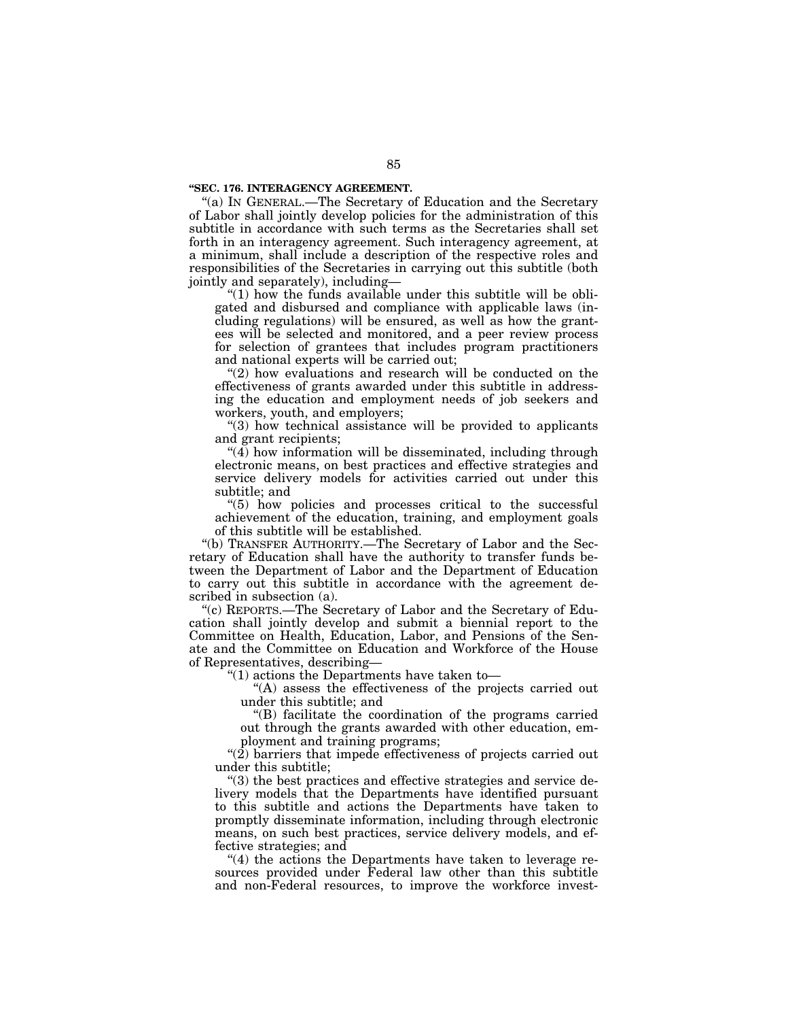#### **''SEC. 176. INTERAGENCY AGREEMENT.**

''(a) IN GENERAL.—The Secretary of Education and the Secretary of Labor shall jointly develop policies for the administration of this subtitle in accordance with such terms as the Secretaries shall set forth in an interagency agreement. Such interagency agreement, at a minimum, shall include a description of the respective roles and responsibilities of the Secretaries in carrying out this subtitle (both jointly and separately), including—

" $(1)$  how the funds available under this subtitle will be obligated and disbursed and compliance with applicable laws (including regulations) will be ensured, as well as how the grantees will be selected and monitored, and a peer review process for selection of grantees that includes program practitioners and national experts will be carried out;

"(2) how evaluations and research will be conducted on the effectiveness of grants awarded under this subtitle in addressing the education and employment needs of job seekers and workers, youth, and employers;

''(3) how technical assistance will be provided to applicants and grant recipients;

 $\mathcal{A}(\overline{4})$  how information will be disseminated, including through electronic means, on best practices and effective strategies and service delivery models for activities carried out under this subtitle; and

''(5) how policies and processes critical to the successful achievement of the education, training, and employment goals of this subtitle will be established.

''(b) TRANSFER AUTHORITY.—The Secretary of Labor and the Secretary of Education shall have the authority to transfer funds between the Department of Labor and the Department of Education to carry out this subtitle in accordance with the agreement described in subsection (a).

''(c) REPORTS.—The Secretary of Labor and the Secretary of Education shall jointly develop and submit a biennial report to the Committee on Health, Education, Labor, and Pensions of the Senate and the Committee on Education and Workforce of the House of Representatives, describing—

''(1) actions the Departments have taken to—

''(A) assess the effectiveness of the projects carried out under this subtitle; and

''(B) facilitate the coordination of the programs carried out through the grants awarded with other education, employment and training programs;

"(2) barriers that impede effectiveness of projects carried out under this subtitle;

''(3) the best practices and effective strategies and service delivery models that the Departments have identified pursuant to this subtitle and actions the Departments have taken to promptly disseminate information, including through electronic means, on such best practices, service delivery models, and effective strategies; and

"(4) the actions the Departments have taken to leverage resources provided under Federal law other than this subtitle and non-Federal resources, to improve the workforce invest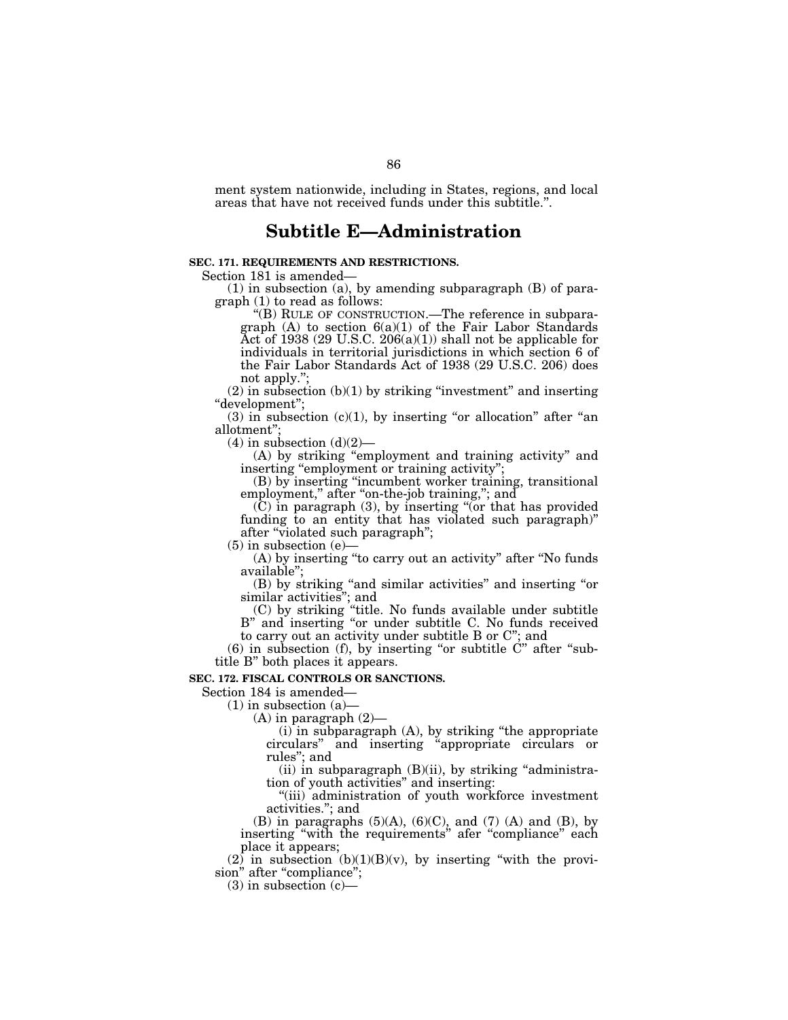ment system nationwide, including in States, regions, and local areas that have not received funds under this subtitle.''.

# **Subtitle E—Administration**

## **SEC. 171. REQUIREMENTS AND RESTRICTIONS.**

Section 181 is amended—

(1) in subsection (a), by amending subparagraph (B) of paragraph (1) to read as follows:

''(B) RULE OF CONSTRUCTION.—The reference in subparagraph  $(A)$  to section  $6(a)(1)$  of the Fair Labor Standards Act of 1938 (29 U.S.C. 206(a)(1)) shall not be applicable for individuals in territorial jurisdictions in which section 6 of the Fair Labor Standards Act of 1938 (29 U.S.C. 206) does not apply."

 $(2)$  in subsection  $(b)(1)$  by striking "investment" and inserting ''development'';

 $(3)$  in subsection  $(c)(1)$ , by inserting "or allocation" after "an allotment'';

 $(4)$  in subsection  $(d)(2)$ —

(A) by striking ''employment and training activity'' and inserting "employment or training activity";

(B) by inserting ''incumbent worker training, transitional employment," after "on-the-job training,"; and

(C) in paragraph (3), by inserting ''(or that has provided funding to an entity that has violated such paragraph)'' after ''violated such paragraph'';

(5) in subsection (e)—

(A) by inserting ''to carry out an activity'' after ''No funds available'';

(B) by striking ''and similar activities'' and inserting ''or similar activities''; and

(C) by striking ''title. No funds available under subtitle B" and inserting "or under subtitle C. No funds received to carry out an activity under subtitle B or C''; and

 $(6)$  in subsection  $(f)$ , by inserting "or subtitle  $\dot{C}$ " after "subtitle B'' both places it appears.

#### **SEC. 172. FISCAL CONTROLS OR SANCTIONS.**

Section 184 is amended—

 $(1)$  in subsection  $(a)$ 

(A) in paragraph (2)—

 $(i)$  in subparagraph  $(A)$ , by striking "the appropriate circulars'' and inserting ''appropriate circulars or rules''; and

(ii) in subparagraph  $(B)(ii)$ , by striking "administration of youth activities'' and inserting:

''(iii) administration of youth workforce investment activities.''; and

(B) in paragraphs  $(5)(A)$ ,  $(6)(C)$ , and  $(7)(A)$  and  $(B)$ , by inserting ''with the requirements'' afer ''compliance'' each place it appears;

 $(2)$  in subsection  $(b)(1)(B)(v)$ , by inserting "with the provision" after "compliance";

(3) in subsection (c)—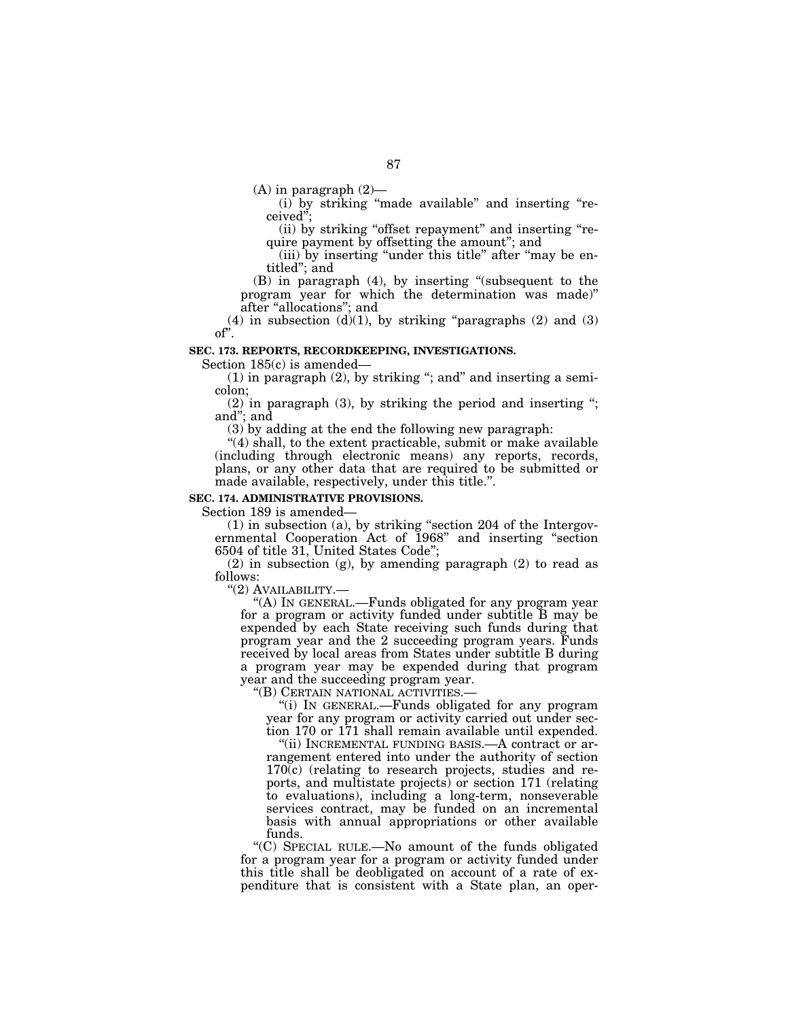$(A)$  in paragraph  $(2)$ —

(i) by striking ''made available'' and inserting ''received'';

(ii) by striking "offset repayment" and inserting "require payment by offsetting the amount''; and

(iii) by inserting "under this title" after "may be entitled''; and

(B) in paragraph (4), by inserting ''(subsequent to the program year for which the determination was made)'' after ''allocations''; and

(4) in subsection (d)(1), by striking "paragraphs (2) and (3)  $\overrightarrow{OP'}$ .

## **SEC. 173. REPORTS, RECORDKEEPING, INVESTIGATIONS.**

Section 185(c) is amended—

 $(1)$  in paragraph  $(2)$ , by striking "; and" and inserting a semicolon;

 $(2)$  in paragraph  $(3)$ , by striking the period and inserting "; and''; and

(3) by adding at the end the following new paragraph:

"(4) shall, to the extent practicable, submit or make available (including through electronic means) any reports, records, plans, or any other data that are required to be submitted or made available, respectively, under this title.''.

## **SEC. 174. ADMINISTRATIVE PROVISIONS.**

Section 189 is amended—

(1) in subsection (a), by striking ''section 204 of the Intergovernmental Cooperation Act of 1968'' and inserting ''section 6504 of title 31, United States Code'';

(2) in subsection (g), by amending paragraph (2) to read as follows:

"(2) AVAILABILITY.-

''(A) IN GENERAL.—Funds obligated for any program year for a program or activity funded under subtitle B may be expended by each State receiving such funds during that program year and the 2 succeeding program years. Funds received by local areas from States under subtitle B during a program year may be expended during that program year and the succeeding program year.<br>"(B) CERTAIN NATIONAL ACTIVITIES.

"(i) IN GENERAL.—Funds obligated for any program year for any program or activity carried out under section 170 or 171 shall remain available until expended.

"(ii) INCREMENTAL FUNDING BASIS.—A contract or arrangement entered into under the authority of section  $170(c)$  (relating to research projects, studies and reports, and multistate projects) or section 171 (relating to evaluations), including a long-term, nonseverable services contract, may be funded on an incremental basis with annual appropriations or other available funds.

''(C) SPECIAL RULE.—No amount of the funds obligated for a program year for a program or activity funded under this title shall be deobligated on account of a rate of expenditure that is consistent with a State plan, an oper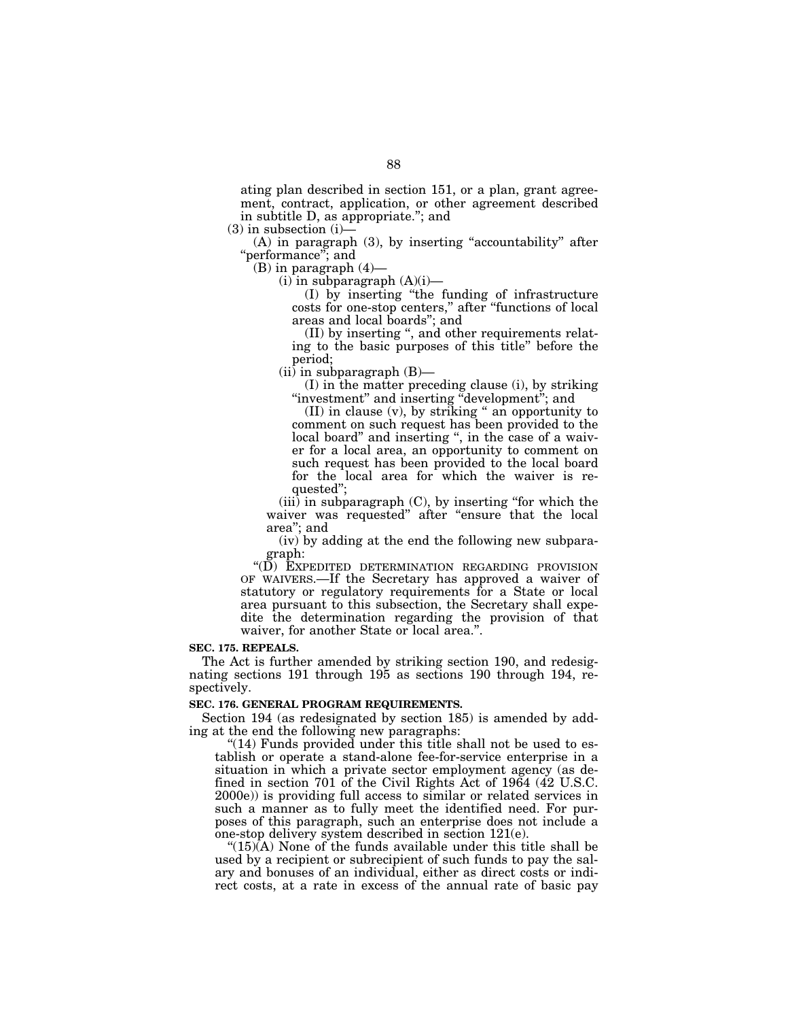ating plan described in section 151, or a plan, grant agreement, contract, application, or other agreement described in subtitle D, as appropriate.''; and

 $(3)$  in subsection  $(i)$ 

 $(A)$  in paragraph  $(3)$ , by inserting "accountability" after ''performance''; and

(B) in paragraph (4)—

 $(i)$  in subparagraph  $(A)(i)$ —

(I) by inserting ''the funding of infrastructure costs for one-stop centers,'' after ''functions of local areas and local boards''; and

(II) by inserting '', and other requirements relating to the basic purposes of this title'' before the period;

(ii) in subparagraph (B)—

(I) in the matter preceding clause (i), by striking "investment" and inserting "development"; and

(II) in clause (v), by striking '' an opportunity to comment on such request has been provided to the local board" and inserting ", in the case of a waiver for a local area, an opportunity to comment on such request has been provided to the local board for the local area for which the waiver is requested'';

 $(iii)$  in subparagraph  $(C)$ , by inserting "for which the waiver was requested" after "ensure that the local area''; and

(iv) by adding at the end the following new subparagraph:

"(D) EXPEDITED DETERMINATION REGARDING PROVISION OF WAIVERS.—If the Secretary has approved a waiver of statutory or regulatory requirements for a State or local area pursuant to this subsection, the Secretary shall expedite the determination regarding the provision of that waiver, for another State or local area.".

#### **SEC. 175. REPEALS.**

The Act is further amended by striking section 190, and redesignating sections 191 through 195 as sections 190 through 194, respectively.

#### **SEC. 176. GENERAL PROGRAM REQUIREMENTS.**

Section 194 (as redesignated by section 185) is amended by adding at the end the following new paragraphs:

" $(14)$  Funds provided under this title shall not be used to establish or operate a stand-alone fee-for-service enterprise in a situation in which a private sector employment agency (as defined in section 701 of the Civil Rights Act of 1964 (42 U.S.C. 2000e)) is providing full access to similar or related services in such a manner as to fully meet the identified need. For purposes of this paragraph, such an enterprise does not include a one-stop delivery system described in section 121(e).

" $(15)(A)$  None of the funds available under this title shall be used by a recipient or subrecipient of such funds to pay the salary and bonuses of an individual, either as direct costs or indirect costs, at a rate in excess of the annual rate of basic pay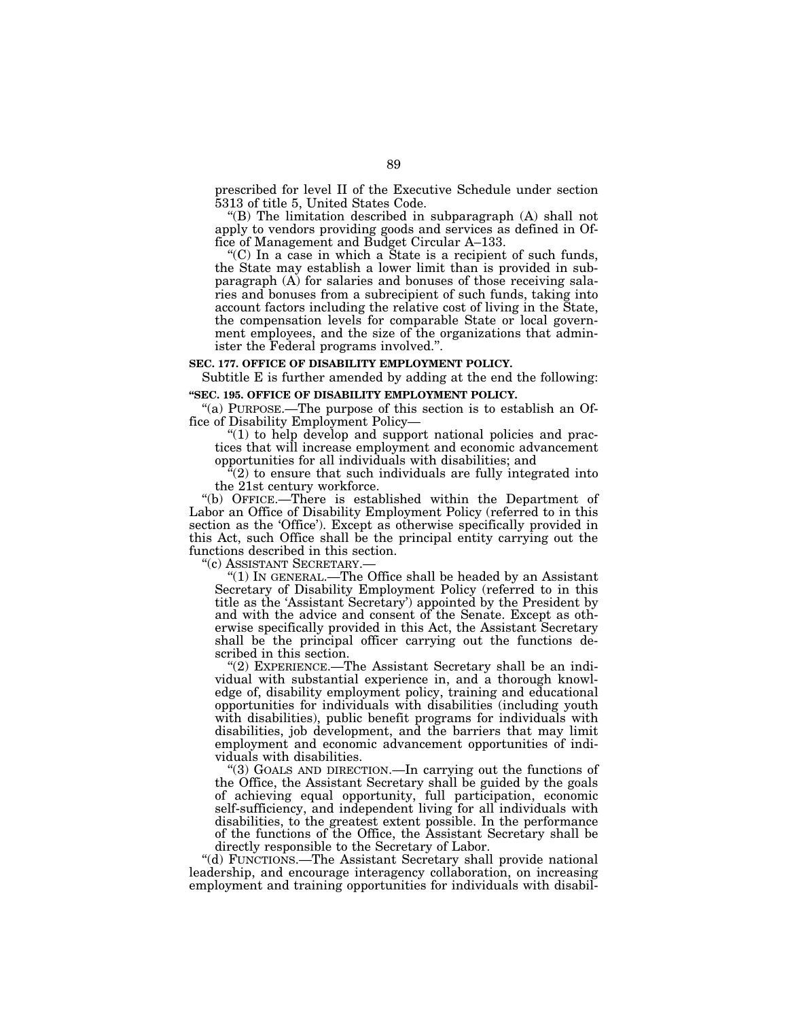prescribed for level II of the Executive Schedule under section 5313 of title 5, United States Code.

''(B) The limitation described in subparagraph (A) shall not apply to vendors providing goods and services as defined in Office of Management and Budget Circular A–133.

"(C) In a case in which a State is a recipient of such funds, the State may establish a lower limit than is provided in subparagraph (A) for salaries and bonuses of those receiving salaries and bonuses from a subrecipient of such funds, taking into account factors including the relative cost of living in the State, the compensation levels for comparable State or local government employees, and the size of the organizations that administer the Federal programs involved.''.

#### **SEC. 177. OFFICE OF DISABILITY EMPLOYMENT POLICY.**

Subtitle E is further amended by adding at the end the following:

## **''SEC. 195. OFFICE OF DISABILITY EMPLOYMENT POLICY.**

''(a) PURPOSE.—The purpose of this section is to establish an Office of Disability Employment Policy—

"(1) to help develop and support national policies and practices that will increase employment and economic advancement opportunities for all individuals with disabilities; and

 $\hat{H}(2)$  to ensure that such individuals are fully integrated into the 21st century workforce.

''(b) OFFICE.—There is established within the Department of Labor an Office of Disability Employment Policy (referred to in this section as the 'Office'). Except as otherwise specifically provided in this Act, such Office shall be the principal entity carrying out the functions described in this section.

''(c) ASSISTANT SECRETARY.—

''(1) IN GENERAL.—The Office shall be headed by an Assistant Secretary of Disability Employment Policy (referred to in this title as the 'Assistant Secretary') appointed by the President by and with the advice and consent of the Senate. Except as otherwise specifically provided in this Act, the Assistant Secretary shall be the principal officer carrying out the functions described in this section.

''(2) EXPERIENCE.—The Assistant Secretary shall be an individual with substantial experience in, and a thorough knowledge of, disability employment policy, training and educational opportunities for individuals with disabilities (including youth with disabilities), public benefit programs for individuals with disabilities, job development, and the barriers that may limit employment and economic advancement opportunities of individuals with disabilities.

''(3) GOALS AND DIRECTION.—In carrying out the functions of the Office, the Assistant Secretary shall be guided by the goals of achieving equal opportunity, full participation, economic self-sufficiency, and independent living for all individuals with disabilities, to the greatest extent possible. In the performance of the functions of the Office, the Assistant Secretary shall be directly responsible to the Secretary of Labor.

"(d) FUNCTIONS.—The Assistant Secretary shall provide national leadership, and encourage interagency collaboration, on increasing employment and training opportunities for individuals with disabil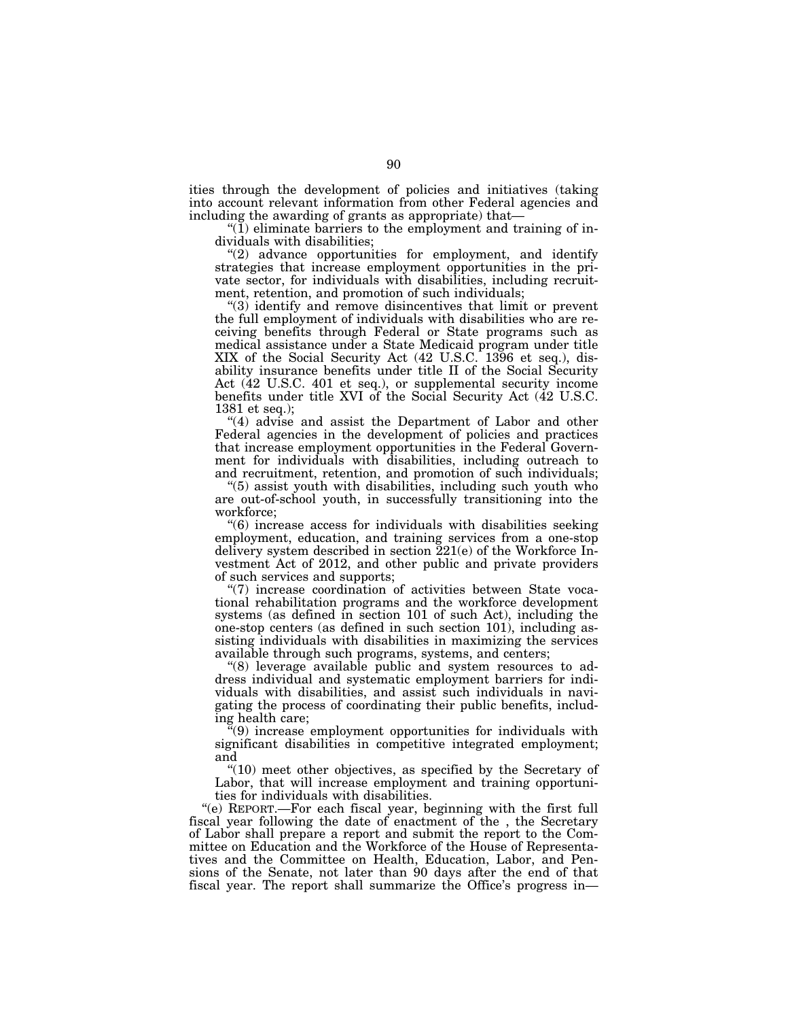ities through the development of policies and initiatives (taking into account relevant information from other Federal agencies and including the awarding of grants as appropriate) that—

 $\mathcal{I}(\tilde{1})$  eliminate barriers to the employment and training of individuals with disabilities;

"(2) advance opportunities for employment, and identify strategies that increase employment opportunities in the private sector, for individuals with disabilities, including recruitment, retention, and promotion of such individuals;

''(3) identify and remove disincentives that limit or prevent the full employment of individuals with disabilities who are receiving benefits through Federal or State programs such as medical assistance under a State Medicaid program under title XIX of the Social Security Act (42 U.S.C. 1396 et seq.), disability insurance benefits under title II of the Social Security Act (42 U.S.C. 401 et seq.), or supplemental security income benefits under title XVI of the Social Security Act (42 U.S.C. 1381 et seq.);

"(4) advise and assist the Department of Labor and other Federal agencies in the development of policies and practices that increase employment opportunities in the Federal Government for individuals with disabilities, including outreach to and recruitment, retention, and promotion of such individuals;

''(5) assist youth with disabilities, including such youth who are out-of-school youth, in successfully transitioning into the workforce;

''(6) increase access for individuals with disabilities seeking employment, education, and training services from a one-stop delivery system described in section 221(e) of the Workforce Investment Act of 2012, and other public and private providers of such services and supports;

"(7) increase coordination of activities between State vocational rehabilitation programs and the workforce development systems (as defined in section 101 of such Act), including the one-stop centers (as defined in such section 101), including assisting individuals with disabilities in maximizing the services available through such programs, systems, and centers;

''(8) leverage available public and system resources to address individual and systematic employment barriers for individuals with disabilities, and assist such individuals in navigating the process of coordinating their public benefits, including health care;

 $\tilde{f}(9)$  increase employment opportunities for individuals with significant disabilities in competitive integrated employment; and

"(10) meet other objectives, as specified by the Secretary of Labor, that will increase employment and training opportunities for individuals with disabilities.

''(e) REPORT.—For each fiscal year, beginning with the first full fiscal year following the date of enactment of the , the Secretary of Labor shall prepare a report and submit the report to the Committee on Education and the Workforce of the House of Representatives and the Committee on Health, Education, Labor, and Pensions of the Senate, not later than 90 days after the end of that fiscal year. The report shall summarize the Office's progress in—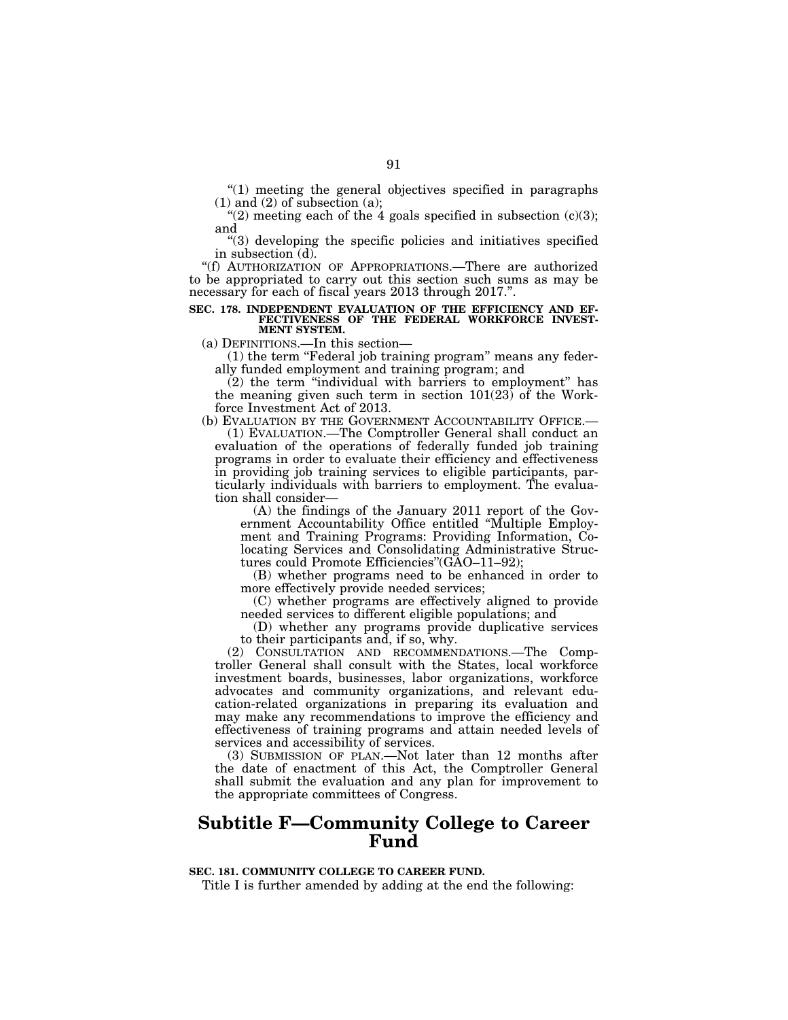$(1)$  meeting the general objectives specified in paragraphs  $(1)$  and  $(2)$  of subsection  $(a)$ ;

" $(2)$  meeting each of the 4 goals specified in subsection  $(c)(3)$ ; and

''(3) developing the specific policies and initiatives specified in subsection (d).

''(f) AUTHORIZATION OF APPROPRIATIONS.—There are authorized to be appropriated to carry out this section such sums as may be necessary for each of fiscal years 2013 through 2017.''.

#### **SEC. 178. INDEPENDENT EVALUATION OF THE EFFICIENCY AND EF-FECTIVENESS OF THE FEDERAL WORKFORCE INVEST-MENT SYSTEM.**

(a) DEFINITIONS.—In this section—

(1) the term "Federal job training program" means any federally funded employment and training program; and

(2) the term ''individual with barriers to employment'' has the meaning given such term in section 101(23) of the Workforce Investment Act of 2013.

(b) EVALUATION BY THE GOVERNMENT ACCOUNTABILITY OFFICE.—

(1) EVALUATION.—The Comptroller General shall conduct an evaluation of the operations of federally funded job training programs in order to evaluate their efficiency and effectiveness in providing job training services to eligible participants, particularly individuals with barriers to employment. The evaluation shall consider—

(A) the findings of the January 2011 report of the Government Accountability Office entitled ''Multiple Employment and Training Programs: Providing Information, Colocating Services and Consolidating Administrative Structures could Promote Efficiencies''(GAO–11–92);

(B) whether programs need to be enhanced in order to more effectively provide needed services;

(C) whether programs are effectively aligned to provide needed services to different eligible populations; and

(D) whether any programs provide duplicative services to their participants and, if so, why.

(2) CONSULTATION AND RECOMMENDATIONS.—The Comptroller General shall consult with the States, local workforce investment boards, businesses, labor organizations, workforce advocates and community organizations, and relevant education-related organizations in preparing its evaluation and may make any recommendations to improve the efficiency and effectiveness of training programs and attain needed levels of services and accessibility of services.

(3) SUBMISSION OF PLAN.—Not later than 12 months after the date of enactment of this Act, the Comptroller General shall submit the evaluation and any plan for improvement to the appropriate committees of Congress.

## **Subtitle F—Community College to Career Fund**

**SEC. 181. COMMUNITY COLLEGE TO CAREER FUND.** 

Title I is further amended by adding at the end the following: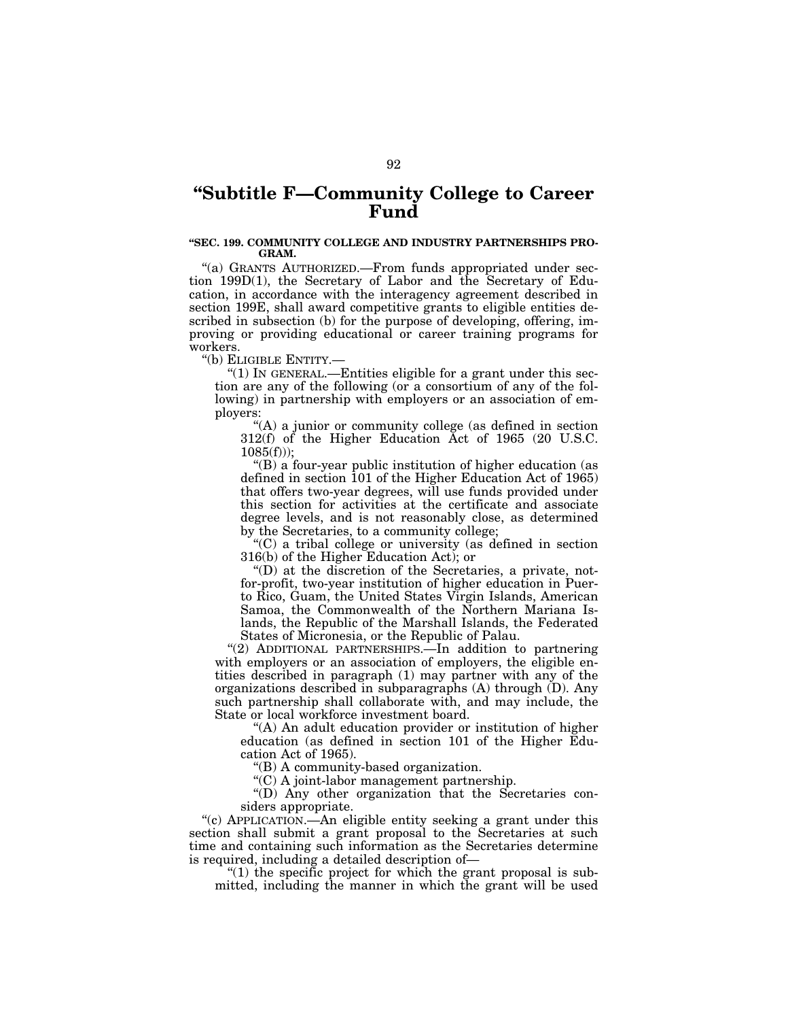# **''Subtitle F—Community College to Career Fund**

## **''SEC. 199. COMMUNITY COLLEGE AND INDUSTRY PARTNERSHIPS PRO-GRAM.**

''(a) GRANTS AUTHORIZED.—From funds appropriated under section 199D(1), the Secretary of Labor and the Secretary of Education, in accordance with the interagency agreement described in section 199E, shall award competitive grants to eligible entities described in subsection (b) for the purpose of developing, offering, improving or providing educational or career training programs for workers.

''(b) ELIGIBLE ENTITY.—

" $(1)$  In GENERAL.—Entities eligible for a grant under this section are any of the following (or a consortium of any of the following) in partnership with employers or an association of employers:

''(A) a junior or community college (as defined in section 312(f) of the Higher Education Act of 1965 (20 U.S.C.  $1085(f))$ ;

''(B) a four-year public institution of higher education (as defined in section 101 of the Higher Education Act of 1965) that offers two-year degrees, will use funds provided under this section for activities at the certificate and associate degree levels, and is not reasonably close, as determined by the Secretaries, to a community college;

''(C) a tribal college or university (as defined in section 316(b) of the Higher Education Act); or

''(D) at the discretion of the Secretaries, a private, notfor-profit, two-year institution of higher education in Puerto Rico, Guam, the United States Virgin Islands, American Samoa, the Commonwealth of the Northern Mariana Islands, the Republic of the Marshall Islands, the Federated States of Micronesia, or the Republic of Palau.

''(2) ADDITIONAL PARTNERSHIPS.—In addition to partnering with employers or an association of employers, the eligible entities described in paragraph (1) may partner with any of the organizations described in subparagraphs (A) through (D). Any such partnership shall collaborate with, and may include, the State or local workforce investment board.

(A) An adult education provider or institution of higher education (as defined in section 101 of the Higher Education Act of 1965).

''(B) A community-based organization.

''(C) A joint-labor management partnership.

''(D) Any other organization that the Secretaries considers appropriate.

''(c) APPLICATION.—An eligible entity seeking a grant under this section shall submit a grant proposal to the Secretaries at such time and containing such information as the Secretaries determine is required, including a detailed description of—

 $(1)$  the specific project for which the grant proposal is submitted, including the manner in which the grant will be used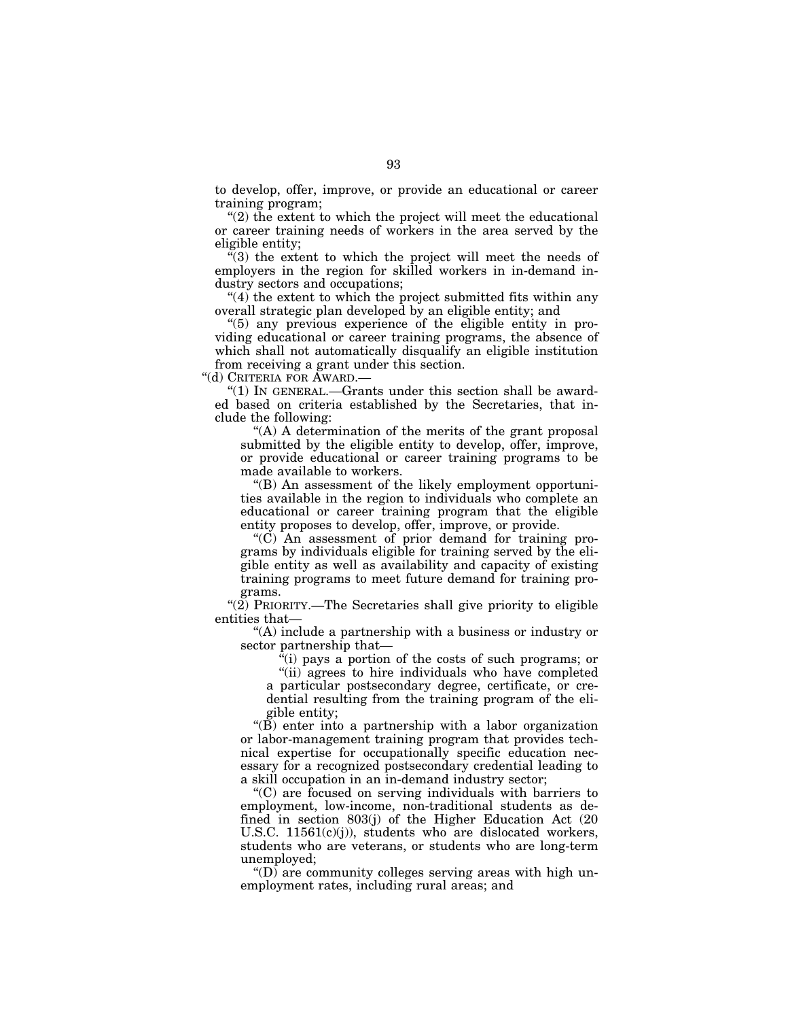to develop, offer, improve, or provide an educational or career training program;

"(2) the extent to which the project will meet the educational or career training needs of workers in the area served by the eligible entity;

''(3) the extent to which the project will meet the needs of employers in the region for skilled workers in in-demand industry sectors and occupations;

 $''(4)$  the extent to which the project submitted fits within any overall strategic plan developed by an eligible entity; and

" $(5)$  any previous experience of the eligible entity in providing educational or career training programs, the absence of which shall not automatically disqualify an eligible institution from receiving a grant under this section.

''(d) CRITERIA FOR AWARD.—

" $(1)$  In GENERAL.—Grants under this section shall be awarded based on criteria established by the Secretaries, that include the following:

''(A) A determination of the merits of the grant proposal submitted by the eligible entity to develop, offer, improve, or provide educational or career training programs to be made available to workers.

''(B) An assessment of the likely employment opportunities available in the region to individuals who complete an educational or career training program that the eligible entity proposes to develop, offer, improve, or provide.

" $(C)$  An assessment of prior demand for training programs by individuals eligible for training served by the eligible entity as well as availability and capacity of existing training programs to meet future demand for training programs.

"(2) PRIORITY.—The Secretaries shall give priority to eligible entities that—

''(A) include a partnership with a business or industry or sector partnership that—

 $\hat{f}(i)$  pays a portion of the costs of such programs; or

"(ii) agrees to hire individuals who have completed a particular postsecondary degree, certificate, or credential resulting from the training program of the eligible entity;

''(B) enter into a partnership with a labor organization or labor-management training program that provides technical expertise for occupationally specific education necessary for a recognized postsecondary credential leading to a skill occupation in an in-demand industry sector;

''(C) are focused on serving individuals with barriers to employment, low-income, non-traditional students as defined in section 803(j) of the Higher Education Act (20 U.S.C. 11561(c)(j)), students who are dislocated workers, students who are veterans, or students who are long-term unemployed;

''(D) are community colleges serving areas with high unemployment rates, including rural areas; and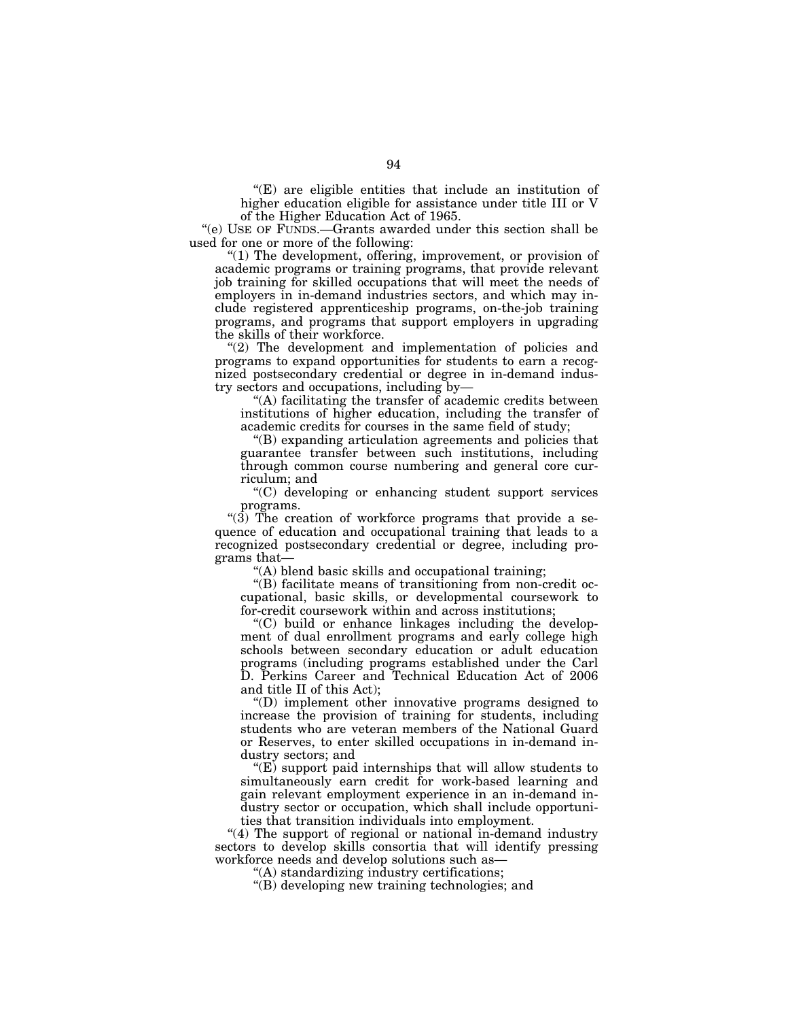$f(E)$  are eligible entities that include an institution of higher education eligible for assistance under title III or V of the Higher Education Act of 1965.

"(e) USE OF FUNDS.—Grants awarded under this section shall be used for one or more of the following:

''(1) The development, offering, improvement, or provision of academic programs or training programs, that provide relevant job training for skilled occupations that will meet the needs of employers in in-demand industries sectors, and which may include registered apprenticeship programs, on-the-job training programs, and programs that support employers in upgrading the skills of their workforce.

"(2) The development and implementation of policies and programs to expand opportunities for students to earn a recognized postsecondary credential or degree in in-demand industry sectors and occupations, including by—

''(A) facilitating the transfer of academic credits between institutions of higher education, including the transfer of academic credits for courses in the same field of study;

''(B) expanding articulation agreements and policies that guarantee transfer between such institutions, including through common course numbering and general core curriculum; and

''(C) developing or enhancing student support services programs.

" $(3)$  The creation of workforce programs that provide a sequence of education and occupational training that leads to a recognized postsecondary credential or degree, including programs that—

''(A) blend basic skills and occupational training;

''(B) facilitate means of transitioning from non-credit occupational, basic skills, or developmental coursework to for-credit coursework within and across institutions;

''(C) build or enhance linkages including the development of dual enrollment programs and early college high schools between secondary education or adult education programs (including programs established under the Carl D. Perkins Career and Technical Education Act of 2006 and title II of this Act);

''(D) implement other innovative programs designed to increase the provision of training for students, including students who are veteran members of the National Guard or Reserves, to enter skilled occupations in in-demand industry sectors; and

''(E) support paid internships that will allow students to simultaneously earn credit for work-based learning and gain relevant employment experience in an in-demand industry sector or occupation, which shall include opportunities that transition individuals into employment.

"(4) The support of regional or national in-demand industry sectors to develop skills consortia that will identify pressing workforce needs and develop solutions such as—

''(A) standardizing industry certifications;

''(B) developing new training technologies; and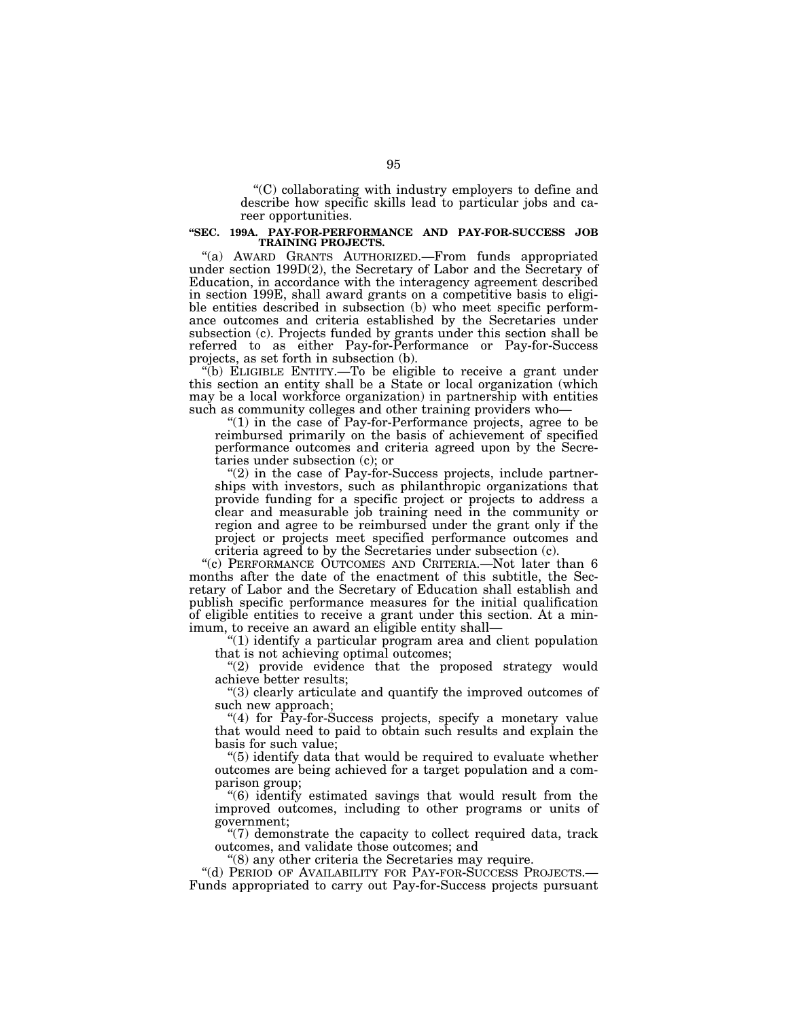''(C) collaborating with industry employers to define and describe how specific skills lead to particular jobs and career opportunities.

# **''SEC. 199A. PAY-FOR-PERFORMANCE AND PAY-FOR-SUCCESS JOB TRAINING PROJECTS.**

''(a) AWARD GRANTS AUTHORIZED.—From funds appropriated under section 199D(2), the Secretary of Labor and the Secretary of Education, in accordance with the interagency agreement described in section 199E, shall award grants on a competitive basis to eligible entities described in subsection (b) who meet specific performance outcomes and criteria established by the Secretaries under subsection (c). Projects funded by grants under this section shall be referred to as either Pay-for-Performance or Pay-for-Success projects, as set forth in subsection (b).

''(b) ELIGIBLE ENTITY.—To be eligible to receive a grant under this section an entity shall be a State or local organization (which may be a local workforce organization) in partnership with entities such as community colleges and other training providers who—

"(1) in the case of Pay-for-Performance projects, agree to be reimbursed primarily on the basis of achievement of specified performance outcomes and criteria agreed upon by the Secretaries under subsection (c); or

 $''(2)$  in the case of Pay-for-Success projects, include partnerships with investors, such as philanthropic organizations that provide funding for a specific project or projects to address a clear and measurable job training need in the community or region and agree to be reimbursed under the grant only if the project or projects meet specified performance outcomes and criteria agreed to by the Secretaries under subsection (c).

''(c) PERFORMANCE OUTCOMES AND CRITERIA.—Not later than 6 months after the date of the enactment of this subtitle, the Secretary of Labor and the Secretary of Education shall establish and publish specific performance measures for the initial qualification of eligible entities to receive a grant under this section. At a minimum, to receive an award an eligible entity shall—

''(1) identify a particular program area and client population that is not achieving optimal outcomes;

"(2) provide evidence that the proposed strategy would achieve better results;

''(3) clearly articulate and quantify the improved outcomes of such new approach;

"(4) for  $\hat{Pay}$ -for-Success projects, specify a monetary value that would need to paid to obtain such results and explain the basis for such value;

''(5) identify data that would be required to evaluate whether outcomes are being achieved for a target population and a comparison group;

''(6) identify estimated savings that would result from the improved outcomes, including to other programs or units of government;

 $\degree$ (7) demonstrate the capacity to collect required data, track outcomes, and validate those outcomes; and

''(8) any other criteria the Secretaries may require.

''(d) PERIOD OF AVAILABILITY FOR PAY-FOR-SUCCESS PROJECTS.— Funds appropriated to carry out Pay-for-Success projects pursuant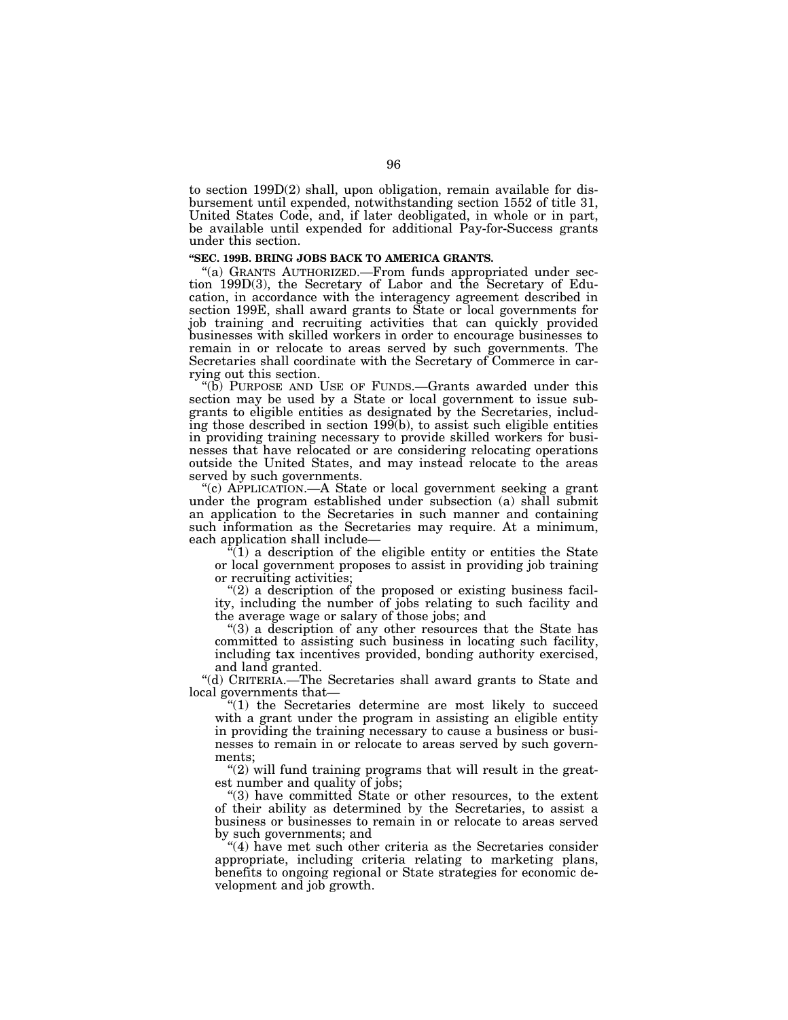to section 199D(2) shall, upon obligation, remain available for disbursement until expended, notwithstanding section 1552 of title 31, United States Code, and, if later deobligated, in whole or in part, be available until expended for additional Pay-for-Success grants under this section.

#### **''SEC. 199B. BRING JOBS BACK TO AMERICA GRANTS.**

''(a) GRANTS AUTHORIZED.—From funds appropriated under section 199D(3), the Secretary of Labor and the Secretary of Education, in accordance with the interagency agreement described in section 199E, shall award grants to State or local governments for job training and recruiting activities that can quickly provided businesses with skilled workers in order to encourage businesses to remain in or relocate to areas served by such governments. The Secretaries shall coordinate with the Secretary of Commerce in carrying out this section.

''(b) PURPOSE AND USE OF FUNDS.—Grants awarded under this section may be used by a State or local government to issue subgrants to eligible entities as designated by the Secretaries, including those described in section 199(b), to assist such eligible entities in providing training necessary to provide skilled workers for businesses that have relocated or are considering relocating operations outside the United States, and may instead relocate to the areas served by such governments.

''(c) APPLICATION.—A State or local government seeking a grant under the program established under subsection (a) shall submit an application to the Secretaries in such manner and containing such information as the Secretaries may require. At a minimum, each application shall include—

 $\sqrt[n]{(1)}$  a description of the eligible entity or entities the State or local government proposes to assist in providing job training or recruiting activities;

" $(2)$  a description of the proposed or existing business facility, including the number of jobs relating to such facility and the average wage or salary of those jobs; and

''(3) a description of any other resources that the State has committed to assisting such business in locating such facility, including tax incentives provided, bonding authority exercised, and land granted.

''(d) CRITERIA.—The Secretaries shall award grants to State and local governments that—

''(1) the Secretaries determine are most likely to succeed with a grant under the program in assisting an eligible entity in providing the training necessary to cause a business or businesses to remain in or relocate to areas served by such governments;

" $(2)$  will fund training programs that will result in the greatest number and quality of jobs;

''(3) have committed State or other resources, to the extent of their ability as determined by the Secretaries, to assist a business or businesses to remain in or relocate to areas served by such governments; and

''(4) have met such other criteria as the Secretaries consider appropriate, including criteria relating to marketing plans, benefits to ongoing regional or State strategies for economic development and job growth.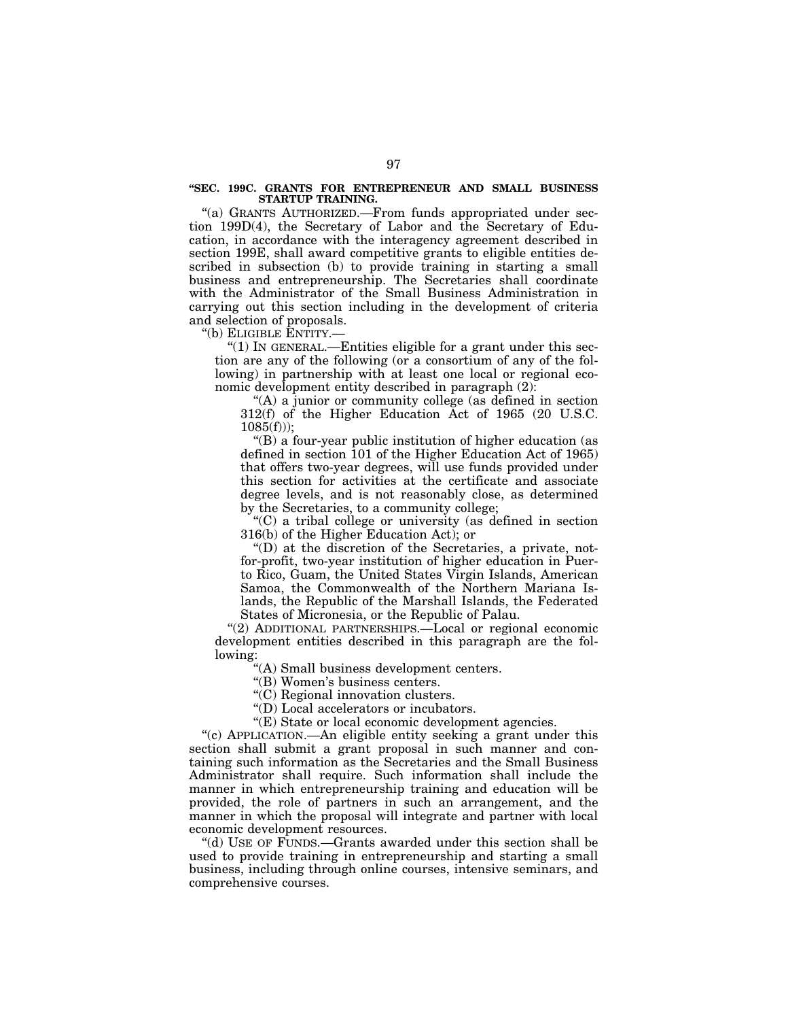#### **''SEC. 199C. GRANTS FOR ENTREPRENEUR AND SMALL BUSINESS STARTUP TRAINING.**

''(a) GRANTS AUTHORIZED.—From funds appropriated under section 199D(4), the Secretary of Labor and the Secretary of Education, in accordance with the interagency agreement described in section 199E, shall award competitive grants to eligible entities described in subsection (b) to provide training in starting a small business and entrepreneurship. The Secretaries shall coordinate with the Administrator of the Small Business Administration in carrying out this section including in the development of criteria and selection of proposals.

''(b) ELIGIBLE ENTITY.—

''(1) IN GENERAL.—Entities eligible for a grant under this section are any of the following (or a consortium of any of the following) in partnership with at least one local or regional economic development entity described in paragraph (2):

''(A) a junior or community college (as defined in section 312(f) of the Higher Education Act of 1965 (20 U.S.C.  $1085(f))$ :

''(B) a four-year public institution of higher education (as defined in section 101 of the Higher Education Act of 1965) that offers two-year degrees, will use funds provided under this section for activities at the certificate and associate degree levels, and is not reasonably close, as determined by the Secretaries, to a community college;

''(C) a tribal college or university (as defined in section 316(b) of the Higher Education Act); or

''(D) at the discretion of the Secretaries, a private, notfor-profit, two-year institution of higher education in Puerto Rico, Guam, the United States Virgin Islands, American Samoa, the Commonwealth of the Northern Mariana Islands, the Republic of the Marshall Islands, the Federated States of Micronesia, or the Republic of Palau.

"(2) ADDITIONAL PARTNERSHIPS.-Local or regional economic development entities described in this paragraph are the following:

''(A) Small business development centers.

''(B) Women's business centers.

''(C) Regional innovation clusters.

''(D) Local accelerators or incubators.

''(E) State or local economic development agencies.

''(c) APPLICATION.—An eligible entity seeking a grant under this section shall submit a grant proposal in such manner and containing such information as the Secretaries and the Small Business Administrator shall require. Such information shall include the manner in which entrepreneurship training and education will be provided, the role of partners in such an arrangement, and the manner in which the proposal will integrate and partner with local economic development resources.

''(d) USE OF FUNDS.—Grants awarded under this section shall be used to provide training in entrepreneurship and starting a small business, including through online courses, intensive seminars, and comprehensive courses.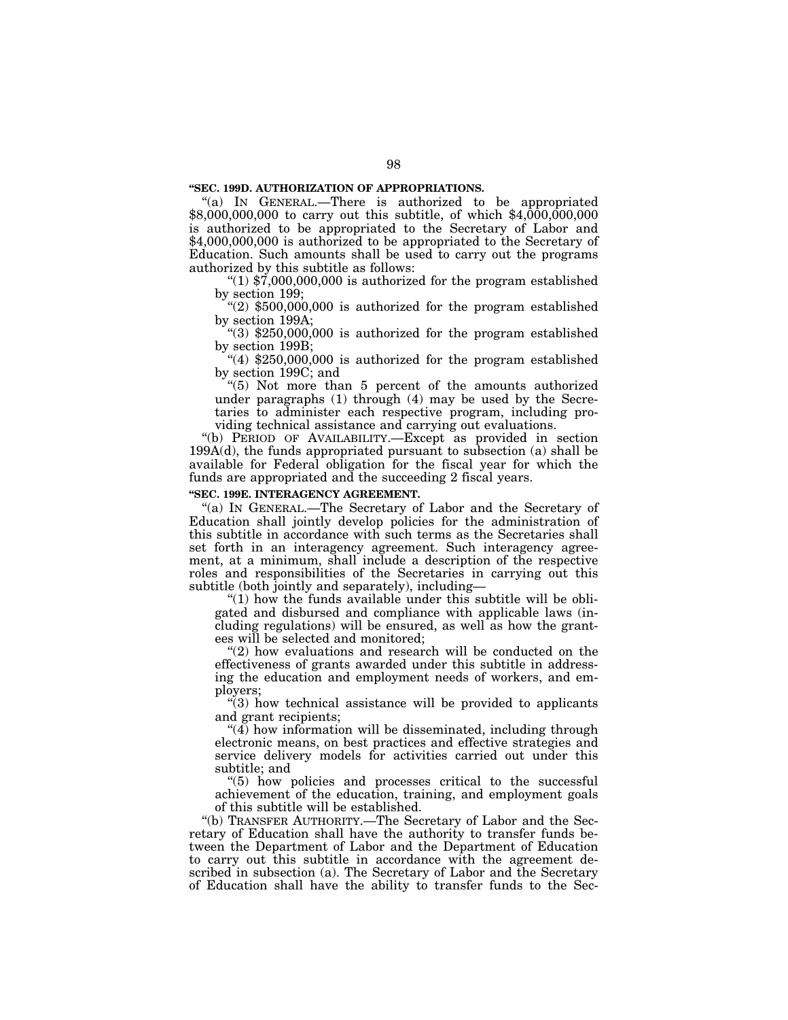## **''SEC. 199D. AUTHORIZATION OF APPROPRIATIONS.**

"(a) IN GENERAL.—There is authorized to be appropriated \$8,000,000,000 to carry out this subtitle, of which \$4,000,000,000 is authorized to be appropriated to the Secretary of Labor and \$4,000,000,000 is authorized to be appropriated to the Secretary of Education. Such amounts shall be used to carry out the programs authorized by this subtitle as follows:

" $(1)$  \$7,000,000,000 is authorized for the program established by section 199;

" $(2)$  \$500,000,000 is authorized for the program established by section 199A;

''(3) \$250,000,000 is authorized for the program established by section 199B;

" $(4)$  \$250,000,000 is authorized for the program established by section 199C; and

''(5) Not more than 5 percent of the amounts authorized under paragraphs (1) through (4) may be used by the Secretaries to administer each respective program, including providing technical assistance and carrying out evaluations.

''(b) PERIOD OF AVAILABILITY.—Except as provided in section 199A(d), the funds appropriated pursuant to subsection (a) shall be available for Federal obligation for the fiscal year for which the funds are appropriated and the succeeding 2 fiscal years.

#### **''SEC. 199E. INTERAGENCY AGREEMENT.**

''(a) IN GENERAL.—The Secretary of Labor and the Secretary of Education shall jointly develop policies for the administration of this subtitle in accordance with such terms as the Secretaries shall set forth in an interagency agreement. Such interagency agreement, at a minimum, shall include a description of the respective roles and responsibilities of the Secretaries in carrying out this subtitle (both jointly and separately), including—

" $(1)$  how the funds available under this subtitle will be obligated and disbursed and compliance with applicable laws (including regulations) will be ensured, as well as how the grantees will be selected and monitored;

"(2) how evaluations and research will be conducted on the effectiveness of grants awarded under this subtitle in addressing the education and employment needs of workers, and employers;

 $\degree$ (3) how technical assistance will be provided to applicants and grant recipients;

 $\mathcal{H}(4)$  how information will be disseminated, including through electronic means, on best practices and effective strategies and service delivery models for activities carried out under this subtitle; and

''(5) how policies and processes critical to the successful achievement of the education, training, and employment goals of this subtitle will be established.

''(b) TRANSFER AUTHORITY.—The Secretary of Labor and the Secretary of Education shall have the authority to transfer funds between the Department of Labor and the Department of Education to carry out this subtitle in accordance with the agreement described in subsection (a). The Secretary of Labor and the Secretary of Education shall have the ability to transfer funds to the Sec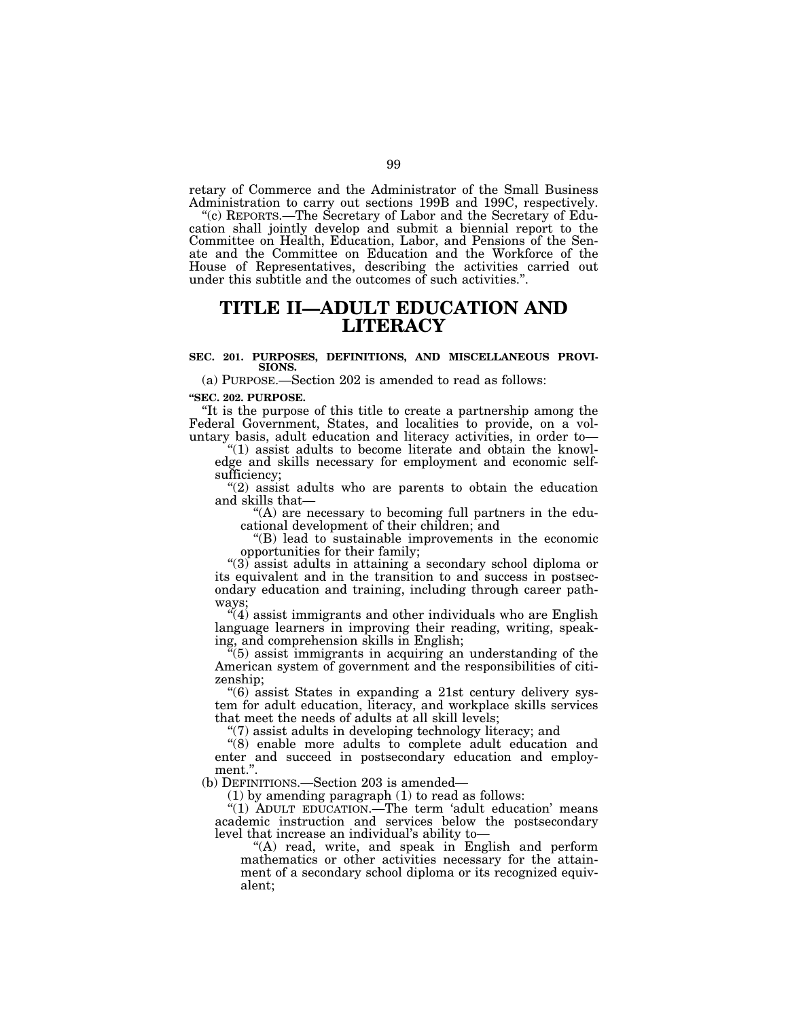retary of Commerce and the Administrator of the Small Business Administration to carry out sections 199B and 199C, respectively.

''(c) REPORTS.—The Secretary of Labor and the Secretary of Education shall jointly develop and submit a biennial report to the Committee on Health, Education, Labor, and Pensions of the Senate and the Committee on Education and the Workforce of the House of Representatives, describing the activities carried out under this subtitle and the outcomes of such activities.''.

# **TITLE II—ADULT EDUCATION AND LITERACY**

#### **SEC. 201. PURPOSES, DEFINITIONS, AND MISCELLANEOUS PROVI-SIONS.**

(a) PURPOSE.—Section 202 is amended to read as follows:

**''SEC. 202. PURPOSE.** 

''It is the purpose of this title to create a partnership among the Federal Government, States, and localities to provide, on a voluntary basis, adult education and literacy activities, in order to—

''(1) assist adults to become literate and obtain the knowledge and skills necessary for employment and economic selfsufficiency;

"(2) assist adults who are parents to obtain the education and skills that—

"(A) are necessary to becoming full partners in the educational development of their children; and

"(B) lead to sustainable improvements in the economic opportunities for their family;

''(3) assist adults in attaining a secondary school diploma or its equivalent and in the transition to and success in postsecondary education and training, including through career pathways;

 $\mathcal{H}(4)$  assist immigrants and other individuals who are English language learners in improving their reading, writing, speaking, and comprehension skills in English;

 $(5)$  assist immigrants in acquiring an understanding of the American system of government and the responsibilities of citizenship;

''(6) assist States in expanding a 21st century delivery system for adult education, literacy, and workplace skills services that meet the needs of adults at all skill levels;

''(7) assist adults in developing technology literacy; and

"(8) enable more adults to complete adult education and enter and succeed in postsecondary education and employment.''.

(b) DEFINITIONS.—Section 203 is amended—

(1) by amending paragraph (1) to read as follows:

"(1) ADULT EDUCATION.—The term 'adult education' means academic instruction and services below the postsecondary level that increase an individual's ability to—

"(A) read, write, and speak in English and perform mathematics or other activities necessary for the attainment of a secondary school diploma or its recognized equivalent;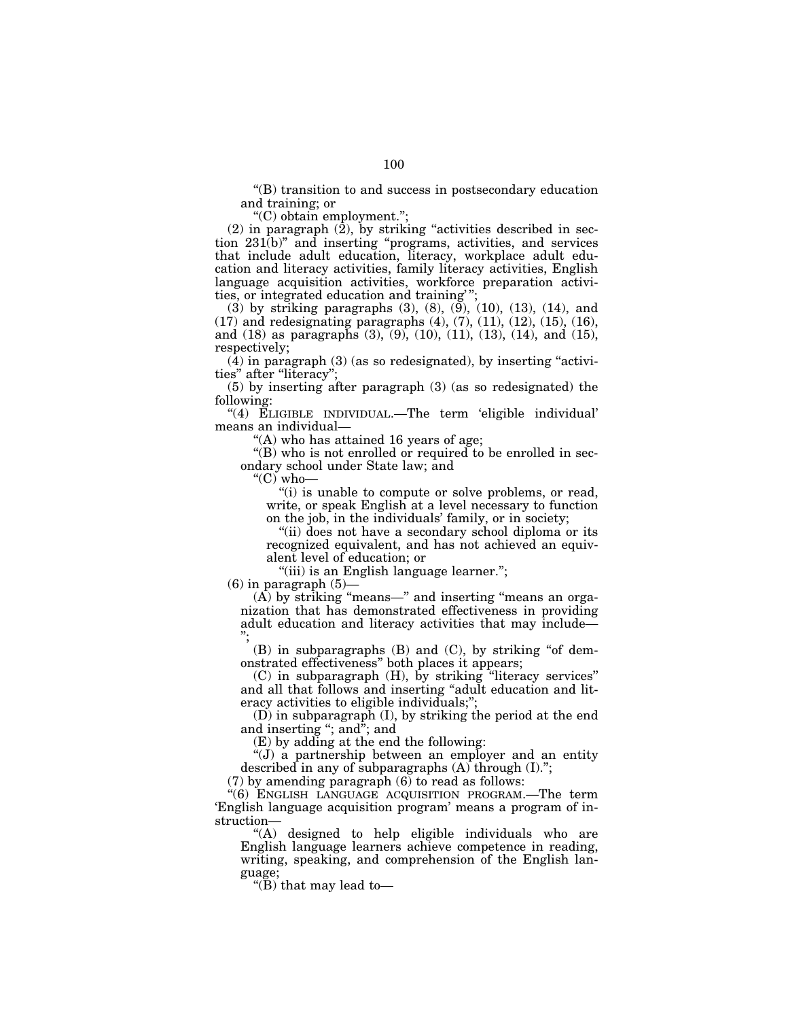''(B) transition to and success in postsecondary education and training; or

''(C) obtain employment.'';

 $(2)$  in paragraph  $(\hat{2})$ , by striking "activities described in section 231(b)'' and inserting ''programs, activities, and services that include adult education, literacy, workplace adult education and literacy activities, family literacy activities, English language acquisition activities, workforce preparation activities, or integrated education and training''

(3) by striking paragraphs  $(3)$ ,  $(8)$ ,  $(9)$ ,  $(10)$ ,  $(13)$ ,  $(14)$ , and  $(17)$  and redesignating paragraphs  $(4)$ ,  $(7)$ ,  $(11)$ ,  $(12)$ ,  $(15)$ ,  $(16)$ , and (18) as paragraphs (3), (9), (10), (11), (13), (14), and (15), respectively;

 $(4)$  in paragraph  $(3)$  (as so redesignated), by inserting "activities" after "literacy"

(5) by inserting after paragraph (3) (as so redesignated) the following:

''(4) ELIGIBLE INDIVIDUAL.—The term 'eligible individual' means an individual—

''(A) who has attained 16 years of age;

''(B) who is not enrolled or required to be enrolled in secondary school under State law; and

" $^{\prime\prime}$ (C) who—

"(i) is unable to compute or solve problems, or read, write, or speak English at a level necessary to function on the job, in the individuals' family, or in society;

"(ii) does not have a secondary school diploma or its recognized equivalent, and has not achieved an equivalent level of education; or

"(iii) is an English language learner.";

 $(6)$  in paragraph  $(5)$ -

(A) by striking ''means—'' and inserting ''means an organization that has demonstrated effectiveness in providing adult education and literacy activities that may include— '';

 $(B)$  in subparagraphs  $(B)$  and  $(C)$ , by striking "of demonstrated effectiveness'' both places it appears;

(C) in subparagraph (H), by striking ''literacy services'' and all that follows and inserting ''adult education and literacy activities to eligible individuals;'';

(D) in subparagraph (I), by striking the period at the end and inserting "; and"; and

(E) by adding at the end the following:

''(J) a partnership between an employer and an entity described in any of subparagraphs (A) through (I).'';

(7) by amending paragraph (6) to read as follows:

''(6) ENGLISH LANGUAGE ACQUISITION PROGRAM.—The term 'English language acquisition program' means a program of instruction—

''(A) designed to help eligible individuals who are English language learners achieve competence in reading, writing, speaking, and comprehension of the English language;

" $(B)$  that may lead to-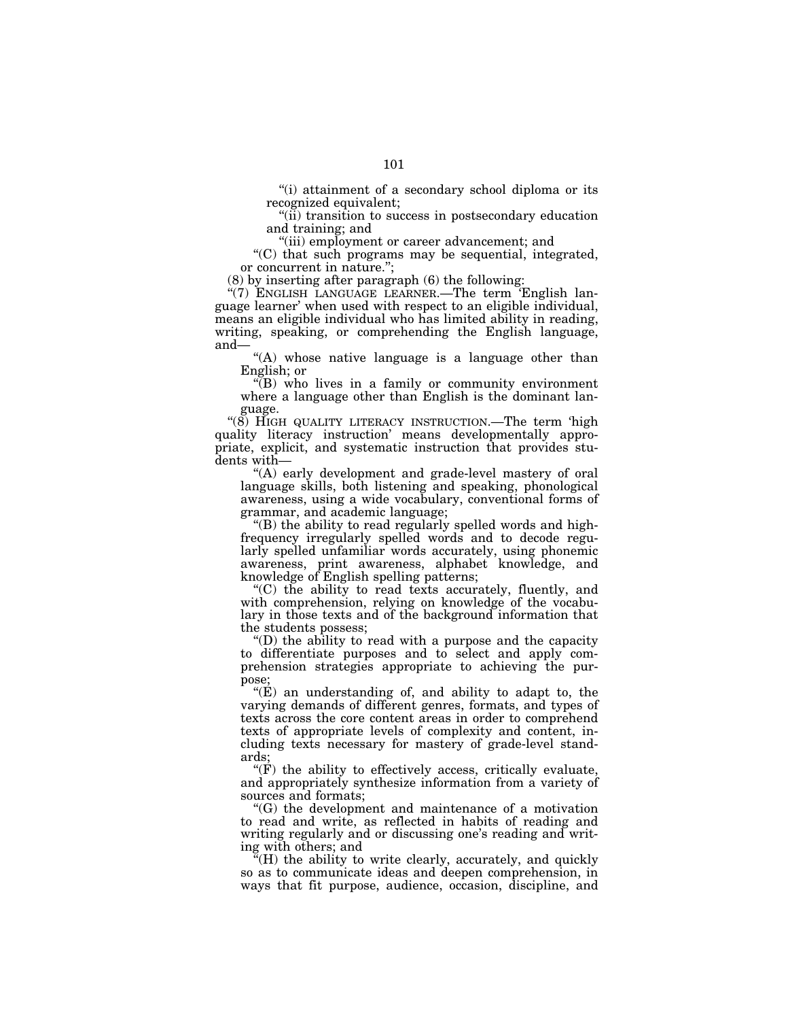''(i) attainment of a secondary school diploma or its recognized equivalent;

''(ii) transition to success in postsecondary education and training; and

''(iii) employment or career advancement; and

''(C) that such programs may be sequential, integrated, or concurrent in nature.'';

(8) by inserting after paragraph (6) the following:

"(7) ENGLISH LANGUAGE LEARNER.—The term 'English language learner' when used with respect to an eligible individual, means an eligible individual who has limited ability in reading, writing, speaking, or comprehending the English language, and—

"(A) whose native language is a language other than English; or

''(B) who lives in a family or community environment where a language other than English is the dominant language.

"(8) HIGH QUALITY LITERACY INSTRUCTION.—The term 'high quality literacy instruction' means developmentally appropriate, explicit, and systematic instruction that provides students with—

"(A) early development and grade-level mastery of oral language skills, both listening and speaking, phonological awareness, using a wide vocabulary, conventional forms of grammar, and academic language;

''(B) the ability to read regularly spelled words and highfrequency irregularly spelled words and to decode regularly spelled unfamiliar words accurately, using phonemic awareness, print awareness, alphabet knowledge, and knowledge of English spelling patterns;

''(C) the ability to read texts accurately, fluently, and with comprehension, relying on knowledge of the vocabulary in those texts and of the background information that the students possess;

''(D) the ability to read with a purpose and the capacity to differentiate purposes and to select and apply comprehension strategies appropriate to achieving the purpose;

 $E$ ) an understanding of, and ability to adapt to, the varying demands of different genres, formats, and types of texts across the core content areas in order to comprehend texts of appropriate levels of complexity and content, including texts necessary for mastery of grade-level standards;

 $\mathcal{F}(\mathbf{F})$  the ability to effectively access, critically evaluate, and appropriately synthesize information from a variety of sources and formats;

''(G) the development and maintenance of a motivation to read and write, as reflected in habits of reading and writing regularly and or discussing one's reading and writing with others; and

"(H) the ability to write clearly, accurately, and quickly so as to communicate ideas and deepen comprehension, in ways that fit purpose, audience, occasion, discipline, and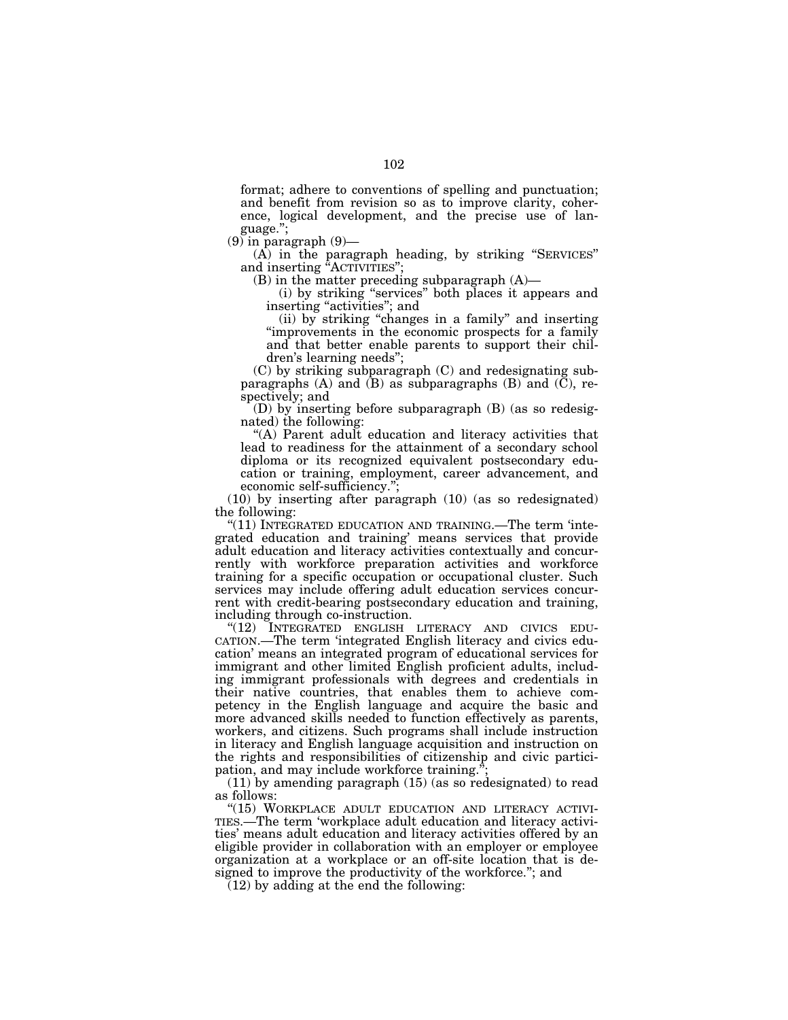format; adhere to conventions of spelling and punctuation; and benefit from revision so as to improve clarity, coherence, logical development, and the precise use of language.'';

 $(9)$  in paragraph  $(9)$ —

(A) in the paragraph heading, by striking ''SERVICES'' and inserting "ACTIVITIES";

(B) in the matter preceding subparagraph (A)—

(i) by striking ''services'' both places it appears and inserting "activities"; and

(ii) by striking ''changes in a family'' and inserting ''improvements in the economic prospects for a family and that better enable parents to support their children's learning needs'';

(C) by striking subparagraph (C) and redesignating subparagraphs  $(A)$  and  $(B)$  as subparagraphs  $(B)$  and  $(C)$ , respectively; and

(D) by inserting before subparagraph (B) (as so redesignated) the following:

"(A) Parent adult education and literacy activities that lead to readiness for the attainment of a secondary school diploma or its recognized equivalent postsecondary education or training, employment, career advancement, and economic self-sufficiency.'';

(10) by inserting after paragraph (10) (as so redesignated) the following:

 $(11)$  INTEGRATED EDUCATION AND TRAINING.—The term 'integrated education and training' means services that provide adult education and literacy activities contextually and concurrently with workforce preparation activities and workforce training for a specific occupation or occupational cluster. Such services may include offering adult education services concurrent with credit-bearing postsecondary education and training, including through co-instruction.<br>
"(12) INTEGRATED ENGLISH LITERACY AND CIVICS EDU-

CATION.—The term 'integrated English literacy and civics education' means an integrated program of educational services for immigrant and other limited English proficient adults, including immigrant professionals with degrees and credentials in their native countries, that enables them to achieve competency in the English language and acquire the basic and more advanced skills needed to function effectively as parents, workers, and citizens. Such programs shall include instruction in literacy and English language acquisition and instruction on the rights and responsibilities of citizenship and civic participation, and may include workforce training."

(11) by amending paragraph (15) (as so redesignated) to read

as follows:<br>"(15) WORKPLACE ADULT EDUCATION AND LITERACY ACTIVI-TIES.—The term 'workplace adult education and literacy activities' means adult education and literacy activities offered by an eligible provider in collaboration with an employer or employee organization at a workplace or an off-site location that is designed to improve the productivity of the workforce.''; and

(12) by adding at the end the following: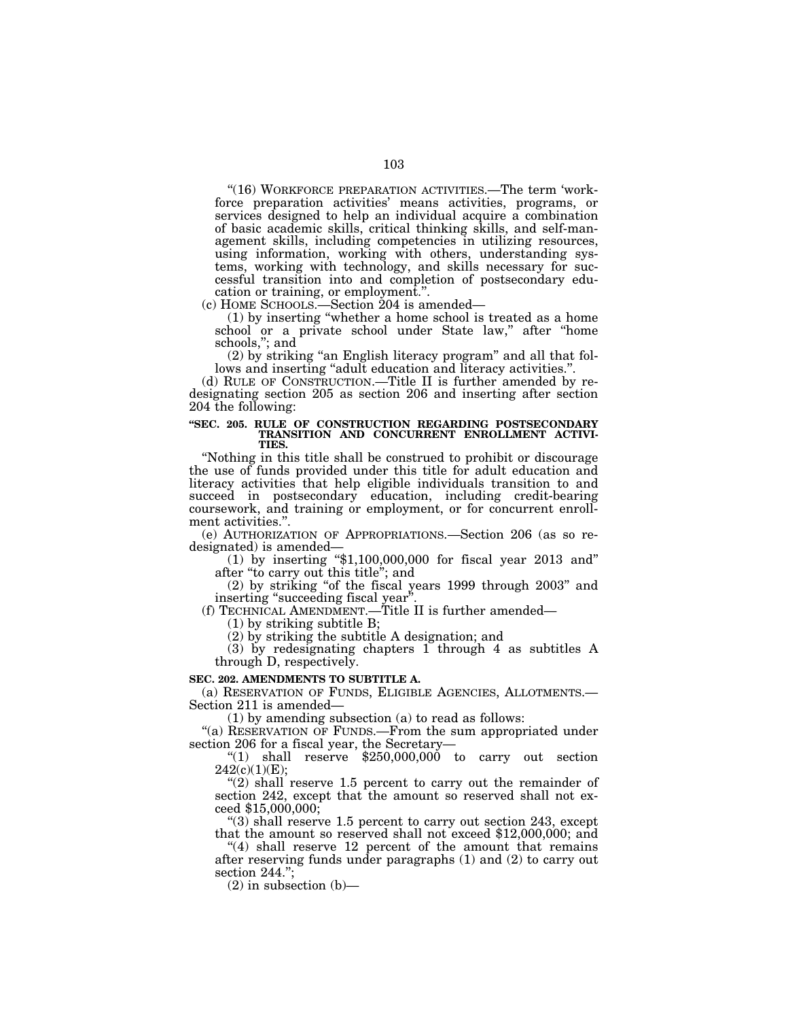"(16) WORKFORCE PREPARATION ACTIVITIES.—The term 'workforce preparation activities' means activities, programs, or services designed to help an individual acquire a combination of basic academic skills, critical thinking skills, and self-management skills, including competencies in utilizing resources, using information, working with others, understanding systems, working with technology, and skills necessary for successful transition into and completion of postsecondary education or training, or employment.''.

(c) HOME SCHOOLS.—Section 204 is amended—

(1) by inserting ''whether a home school is treated as a home school or a private school under State law," after "home schools,''; and

(2) by striking ''an English literacy program'' and all that follows and inserting "adult education and literacy activities.".

(d) RULE OF CONSTRUCTION.—Title II is further amended by redesignating section 205 as section 206 and inserting after section 204 the following:

## **''SEC. 205. RULE OF CONSTRUCTION REGARDING POSTSECONDARY TRANSITION AND CONCURRENT ENROLLMENT ACTIVI-TIES.**

''Nothing in this title shall be construed to prohibit or discourage the use of funds provided under this title for adult education and literacy activities that help eligible individuals transition to and succeed in postsecondary education, including credit-bearing coursework, and training or employment, or for concurrent enrollment activities."

(e) AUTHORIZATION OF APPROPRIATIONS.—Section 206 (as so redesignated) is amended—<br>(1) by inserting "\$1,100,000,000 for fiscal year 2013 and"

after ''to carry out this title''; and

(2) by striking ''of the fiscal years 1999 through 2003'' and inserting "succeeding fiscal year'

(f) TECHNICAL AMENDMENT.—Title II is further amended—

(1) by striking subtitle B;

(2) by striking the subtitle A designation; and

(3) by redesignating chapters 1 through 4 as subtitles A through D, respectively.

#### **SEC. 202. AMENDMENTS TO SUBTITLE A.**

(a) RESERVATION OF FUNDS, ELIGIBLE AGENCIES, ALLOTMENTS.— Section 211 is amended—

(1) by amending subsection (a) to read as follows:

"(a) RESERVATION OF FUNDS.—From the sum appropriated under section 206 for a fiscal year, the Secretary—

" $(1)$  shall reserve \$250,000,000 to carry out section 242(c)(1)(E);

" $(2)$  shall reserve 1.5 percent to carry out the remainder of section 242, except that the amount so reserved shall not exceed \$15,000,000;

"(3) shall reserve 1.5 percent to carry out section 243, except that the amount so reserved shall not exceed \$12,000,000; and

"(4) shall reserve 12 percent of the amount that remains after reserving funds under paragraphs (1) and (2) to carry out section 244.";

 $(2)$  in subsection  $(b)$ —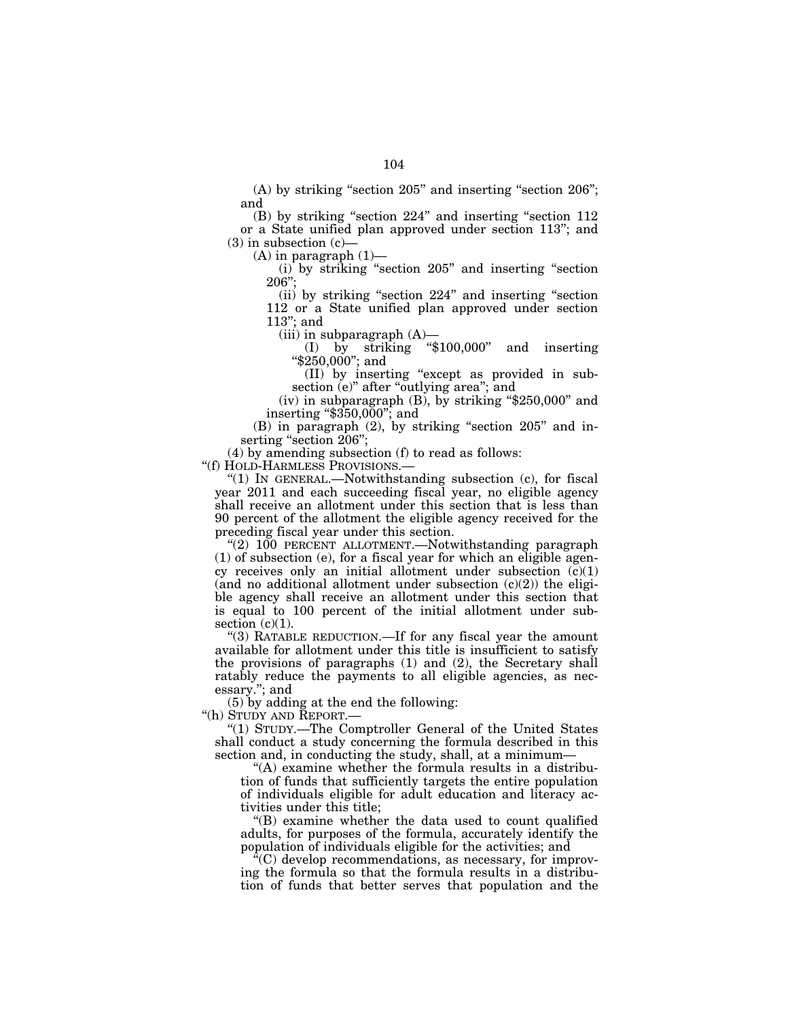(A) by striking "section 205" and inserting "section 206"; and

(B) by striking "section 224" and inserting "section 112 or a State unified plan approved under section 113''; and  $(3)$  in subsection  $(c)$ 

 $(A)$  in paragraph  $(1)$ —

(i) by striking ''section 205'' and inserting ''section  $206"$ :

(ii) by striking ''section 224'' and inserting ''section 112 or a State unified plan approved under section 113''; and

(iii) in subparagraph  $(A)$ —

(I) by striking ''\$100,000'' and inserting ''\$250,000''; and

(II) by inserting ''except as provided in subsection (e)" after "outlying area"; and

(iv) in subparagraph  $(B)$ , by striking "\$250,000" and inserting ''\$350,000''; and

(B) in paragraph (2), by striking ''section 205'' and inserting "section 206";

(4) by amending subsection (f) to read as follows:

''(f) HOLD-HARMLESS PROVISIONS.—

''(1) IN GENERAL.—Notwithstanding subsection (c), for fiscal year 2011 and each succeeding fiscal year, no eligible agency shall receive an allotment under this section that is less than 90 percent of the allotment the eligible agency received for the preceding fiscal year under this section.

"(2) 100 PERCENT ALLOTMENT. Notwithstanding paragraph (1) of subsection (e), for a fiscal year for which an eligible agency receives only an initial allotment under subsection  $(c)(1)$ (and no additional allotment under subsection  $(c)(2)$ ) the eligible agency shall receive an allotment under this section that is equal to 100 percent of the initial allotment under subsection  $(c)(1)$ .

''(3) RATABLE REDUCTION.—If for any fiscal year the amount available for allotment under this title is insufficient to satisfy the provisions of paragraphs (1) and (2), the Secretary shall ratably reduce the payments to all eligible agencies, as necessary.''; and

(5) by adding at the end the following:

''(h) STUDY AND REPORT.—

''(1) STUDY.—The Comptroller General of the United States shall conduct a study concerning the formula described in this section and, in conducting the study, shall, at a minimum—

''(A) examine whether the formula results in a distribution of funds that sufficiently targets the entire population of individuals eligible for adult education and literacy activities under this title;

''(B) examine whether the data used to count qualified adults, for purposes of the formula, accurately identify the population of individuals eligible for the activities; and

''(C) develop recommendations, as necessary, for improving the formula so that the formula results in a distribution of funds that better serves that population and the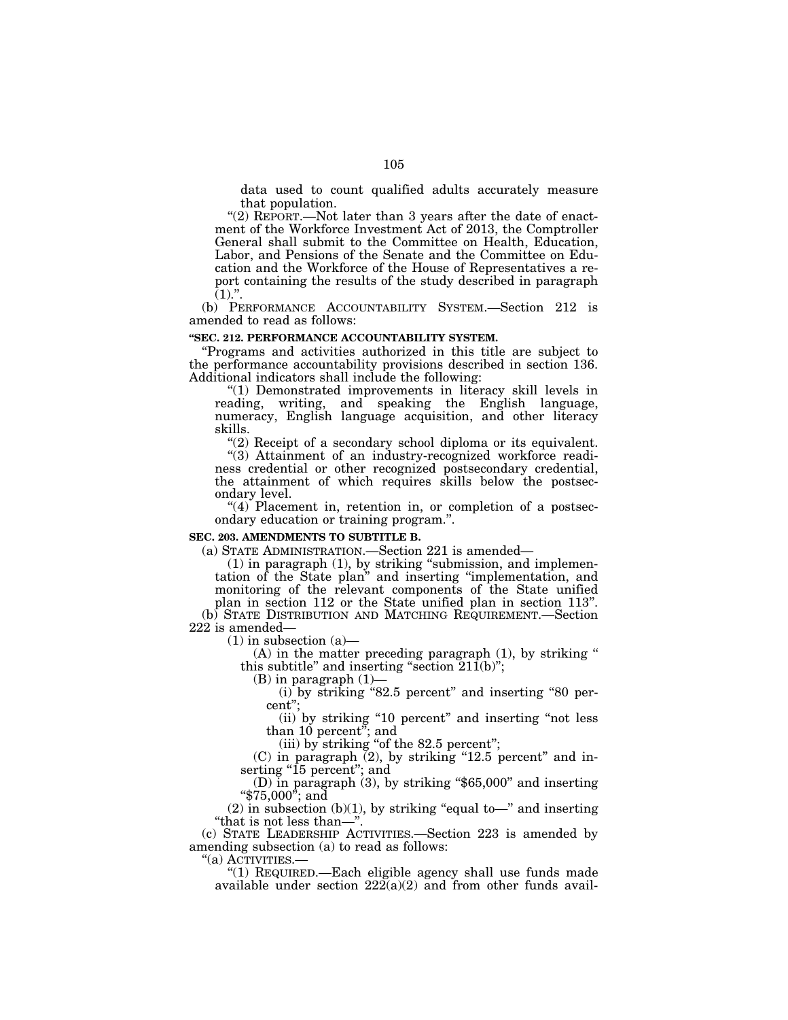data used to count qualified adults accurately measure that population.

"(2) REPORT.—Not later than 3 years after the date of enactment of the Workforce Investment Act of 2013, the Comptroller General shall submit to the Committee on Health, Education, Labor, and Pensions of the Senate and the Committee on Education and the Workforce of the House of Representatives a report containing the results of the study described in paragraph  $(1).$ ".

(b) PERFORMANCE ACCOUNTABILITY SYSTEM.—Section 212 is amended to read as follows:

#### **''SEC. 212. PERFORMANCE ACCOUNTABILITY SYSTEM.**

''Programs and activities authorized in this title are subject to the performance accountability provisions described in section 136. Additional indicators shall include the following:

''(1) Demonstrated improvements in literacy skill levels in reading, writing, and speaking the English language, numeracy, English language acquisition, and other literacy skills.

"(2) Receipt of a secondary school diploma or its equivalent.

''(3) Attainment of an industry-recognized workforce readiness credential or other recognized postsecondary credential, the attainment of which requires skills below the postsecondary level.

 $''(4)$  Placement in, retention in, or completion of a postsecondary education or training program.''.

#### **SEC. 203. AMENDMENTS TO SUBTITLE B.**

(a) STATE ADMINISTRATION.—Section 221 is amended—

(1) in paragraph (1), by striking ''submission, and implementation of the State plan'' and inserting ''implementation, and monitoring of the relevant components of the State unified plan in section 112 or the State unified plan in section 113''.

(b) STATE DISTRIBUTION AND MATCHING REQUIREMENT.—Section 222 is amended—

 $(1)$  in subsection  $(a)$ —

 $(A)$  in the matter preceding paragraph  $(1)$ , by striking " this subtitle" and inserting "section  $21\hat{1}$ (b)";

(B) in paragraph (1)—

(i) by striking "82.5 percent" and inserting "80 percent'';

(ii) by striking ''10 percent'' and inserting ''not less than 10 percent''; and

(iii) by striking "of the  $82.5$  percent";

 $(C)$  in paragraph  $(2)$ , by striking "12.5 percent" and inserting "15 percent"; and

(D) in paragraph (3), by striking ''\$65,000'' and inserting ''\$75,000''; and

 $(2)$  in subsection  $(b)(1)$ , by striking "equal to—" and inserting ''that is not less than—''.

(c) STATE LEADERSHIP ACTIVITIES.—Section 223 is amended by amending subsection (a) to read as follows:

''(a) ACTIVITIES.— ''(1) REQUIRED.—Each eligible agency shall use funds made available under section  $22\tilde{2}(a)(2)$  and from other funds avail-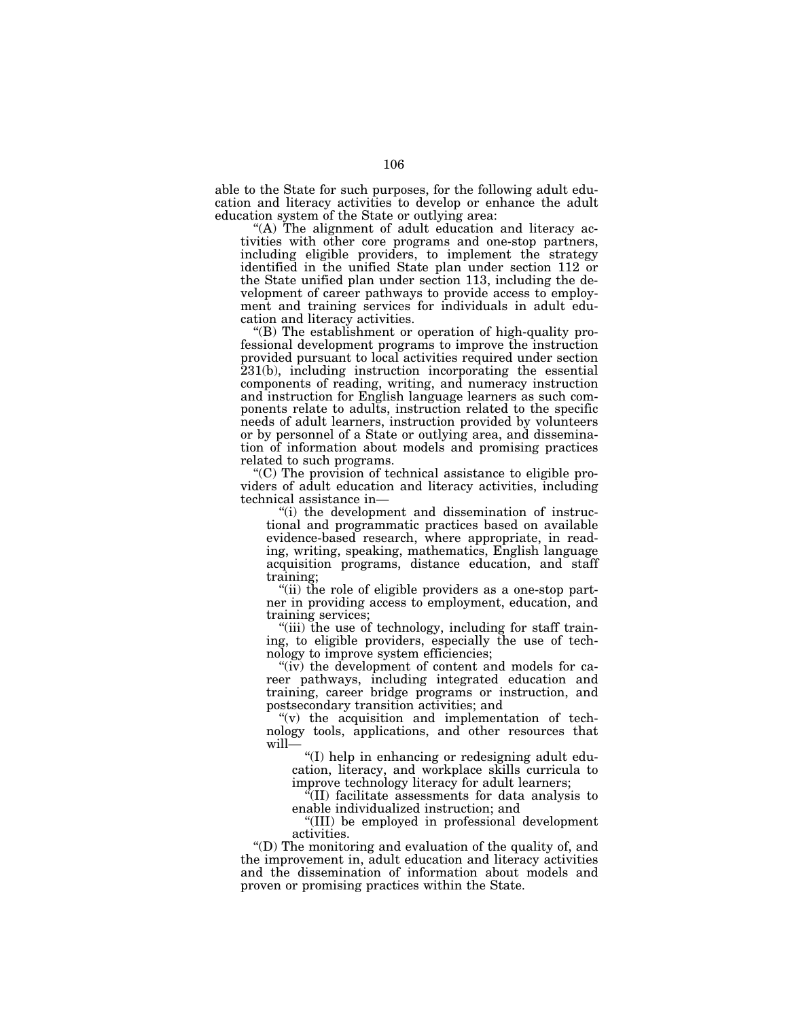able to the State for such purposes, for the following adult education and literacy activities to develop or enhance the adult education system of the State or outlying area:

"(A) The alignment of adult education and literacy activities with other core programs and one-stop partners, including eligible providers, to implement the strategy identified in the unified State plan under section 112 or the State unified plan under section 113, including the development of career pathways to provide access to employment and training services for individuals in adult education and literacy activities.

''(B) The establishment or operation of high-quality professional development programs to improve the instruction provided pursuant to local activities required under section 231(b), including instruction incorporating the essential components of reading, writing, and numeracy instruction and instruction for English language learners as such components relate to adults, instruction related to the specific needs of adult learners, instruction provided by volunteers or by personnel of a State or outlying area, and dissemination of information about models and promising practices related to such programs.

''(C) The provision of technical assistance to eligible providers of adult education and literacy activities, including technical assistance in—

''(i) the development and dissemination of instructional and programmatic practices based on available evidence-based research, where appropriate, in reading, writing, speaking, mathematics, English language acquisition programs, distance education, and staff training;

''(ii) the role of eligible providers as a one-stop partner in providing access to employment, education, and training services;

"(iii) the use of technology, including for staff training, to eligible providers, especially the use of technology to improve system efficiencies;

"(iv) the development of content and models for career pathways, including integrated education and training, career bridge programs or instruction, and postsecondary transition activities; and

" $(v)$  the acquisition and implementation of technology tools, applications, and other resources that will—

''(I) help in enhancing or redesigning adult education, literacy, and workplace skills curricula to improve technology literacy for adult learners;

''(II) facilitate assessments for data analysis to enable individualized instruction; and

''(III) be employed in professional development activities.

''(D) The monitoring and evaluation of the quality of, and the improvement in, adult education and literacy activities and the dissemination of information about models and proven or promising practices within the State.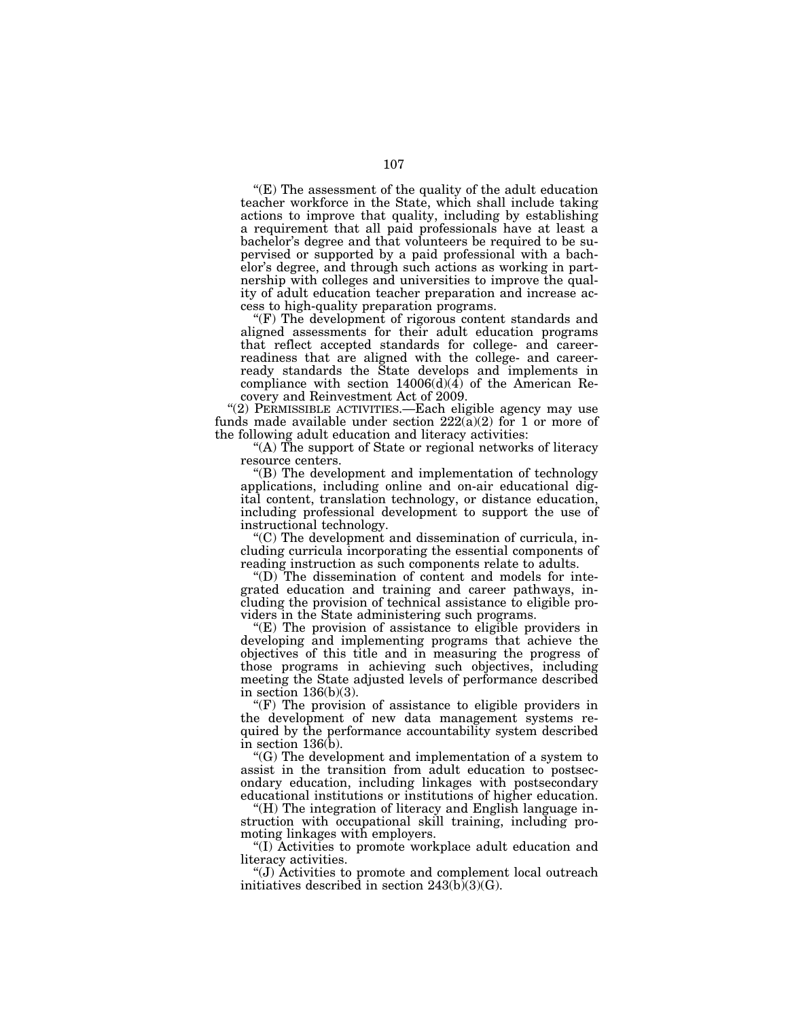$E(E)$  The assessment of the quality of the adult education teacher workforce in the State, which shall include taking actions to improve that quality, including by establishing a requirement that all paid professionals have at least a bachelor's degree and that volunteers be required to be supervised or supported by a paid professional with a bachelor's degree, and through such actions as working in partnership with colleges and universities to improve the quality of adult education teacher preparation and increase access to high-quality preparation programs.

"(F) The development of rigorous content standards and aligned assessments for their adult education programs that reflect accepted standards for college- and careerreadiness that are aligned with the college- and careerready standards the State develops and implements in compliance with section  $14006(d)(\overline{4})$  of the American Recovery and Reinvestment Act of 2009.

"(2) PERMISSIBLE ACTIVITIES.—Each eligible agency may use funds made available under section  $222(a)(2)$  for 1 or more of the following adult education and literacy activities:

''(A) The support of State or regional networks of literacy resource centers.

''(B) The development and implementation of technology applications, including online and on-air educational digital content, translation technology, or distance education, including professional development to support the use of instructional technology.

''(C) The development and dissemination of curricula, including curricula incorporating the essential components of reading instruction as such components relate to adults.

''(D) The dissemination of content and models for integrated education and training and career pathways, including the provision of technical assistance to eligible providers in the State administering such programs.

 $E(E)$  The provision of assistance to eligible providers in developing and implementing programs that achieve the objectives of this title and in measuring the progress of those programs in achieving such objectives, including meeting the State adjusted levels of performance described in section  $136(b)(3)$ .

" $(F)$  The provision of assistance to eligible providers in the development of new data management systems required by the performance accountability system described in section 136(b).

''(G) The development and implementation of a system to assist in the transition from adult education to postsecondary education, including linkages with postsecondary educational institutions or institutions of higher education.

''(H) The integration of literacy and English language instruction with occupational skill training, including promoting linkages with employers.

''(I) Activities to promote workplace adult education and literacy activities.

''(J) Activities to promote and complement local outreach initiatives described in section  $243(b)(3)(G)$ .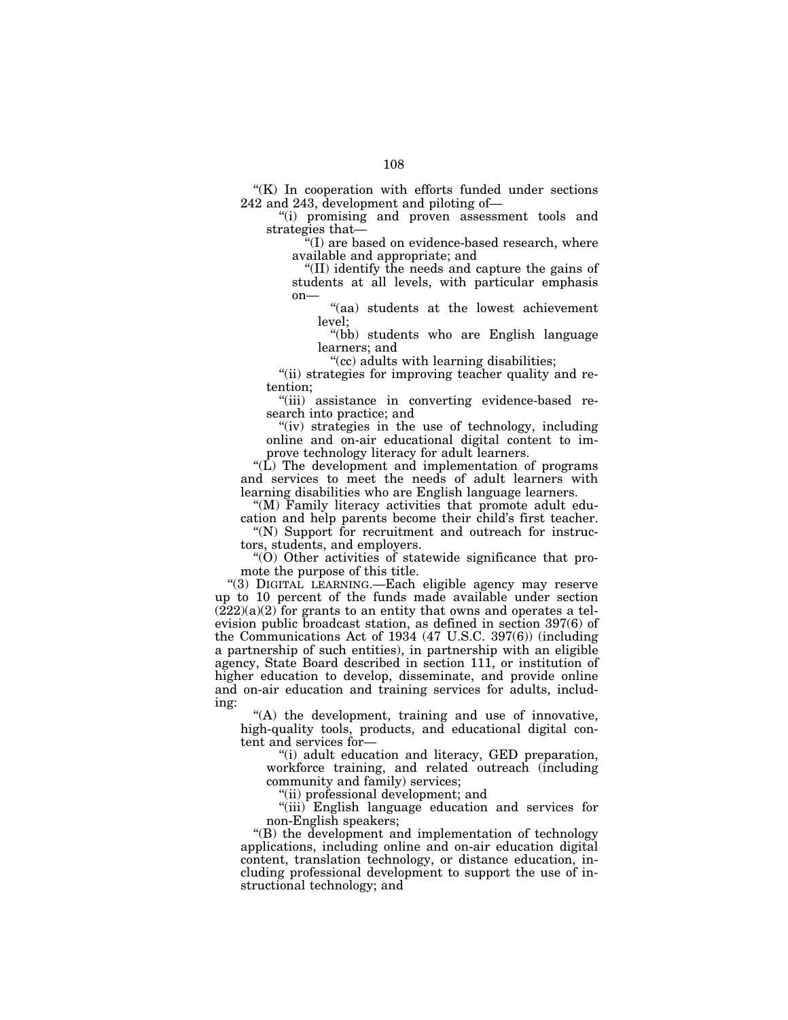$K(K)$  In cooperation with efforts funded under sections 242 and 243, development and piloting of—

''(i) promising and proven assessment tools and strategies that—

''(I) are based on evidence-based research, where available and appropriate; and

''(II) identify the needs and capture the gains of students at all levels, with particular emphasis on—

''(aa) students at the lowest achievement level;

''(bb) students who are English language learners; and

''(cc) adults with learning disabilities;

"(ii) strategies for improving teacher quality and retention;

''(iii) assistance in converting evidence-based research into practice; and

"(iv) strategies in the use of technology, including online and on-air educational digital content to improve technology literacy for adult learners.

" $(L)$  The development and implementation of programs and services to meet the needs of adult learners with learning disabilities who are English language learners.

''(M) Family literacy activities that promote adult education and help parents become their child's first teacher.

"(N) Support for recruitment and outreach for instructors, students, and employers.

''(O) Other activities of statewide significance that promote the purpose of this title.

''(3) DIGITAL LEARNING.—Each eligible agency may reserve up to 10 percent of the funds made available under section  $(222)(a)(2)$  for grants to an entity that owns and operates a television public broadcast station, as defined in section 397(6) of the Communications Act of 1934 (47 U.S.C. 397(6)) (including a partnership of such entities), in partnership with an eligible agency, State Board described in section 111, or institution of higher education to develop, disseminate, and provide online and on-air education and training services for adults, including:

"(A) the development, training and use of innovative, high-quality tools, products, and educational digital content and services for—

''(i) adult education and literacy, GED preparation, workforce training, and related outreach (including community and family) services;

''(ii) professional development; and

"(iii) English language education and services for non-English speakers;

''(B) the development and implementation of technology applications, including online and on-air education digital content, translation technology, or distance education, including professional development to support the use of instructional technology; and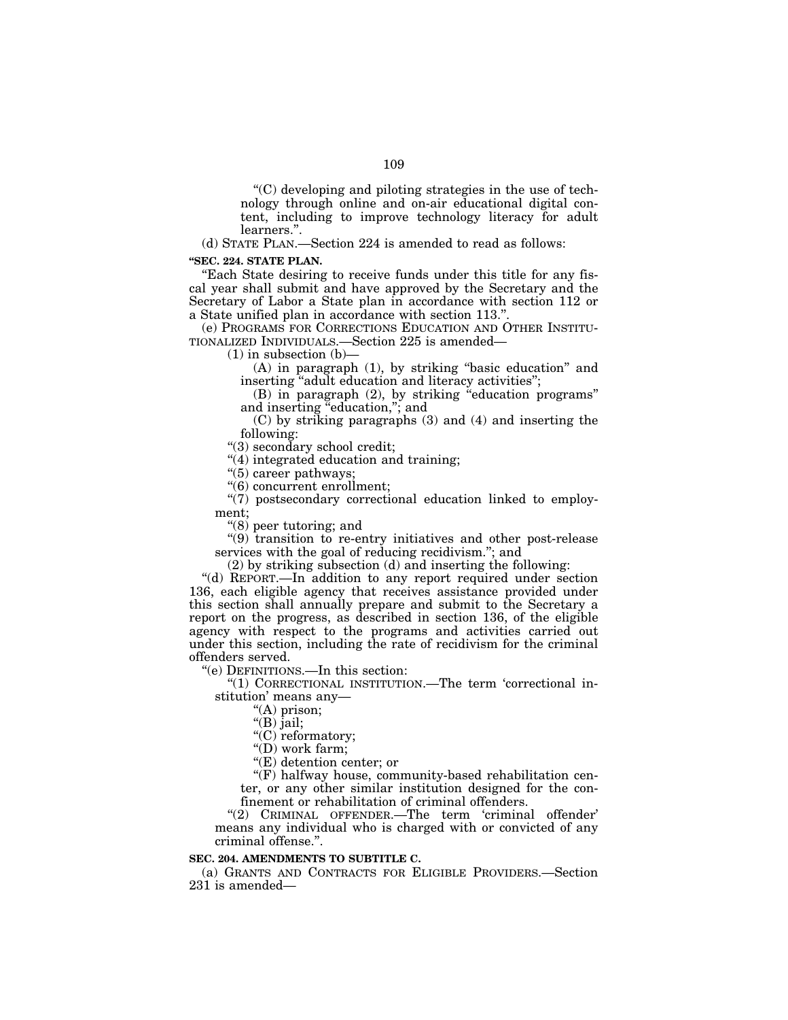$(C)$  developing and piloting strategies in the use of technology through online and on-air educational digital content, including to improve technology literacy for adult learners.''.

(d) STATE PLAN.—Section 224 is amended to read as follows:

### **''SEC. 224. STATE PLAN.**

''Each State desiring to receive funds under this title for any fiscal year shall submit and have approved by the Secretary and the Secretary of Labor a State plan in accordance with section 112 or a State unified plan in accordance with section 113.''.

(e) PROGRAMS FOR CORRECTIONS EDUCATION AND OTHER INSTITU-TIONALIZED INDIVIDUALS.—Section 225 is amended—

 $(1)$  in subsection  $(b)$ —

(A) in paragraph (1), by striking ''basic education'' and inserting ''adult education and literacy activities'';

(B) in paragraph (2), by striking ''education programs'' and inserting "education,"; and

(C) by striking paragraphs (3) and (4) and inserting the following:

''(3) secondary school credit;

"(4) integrated education and training;

''(5) career pathways;

''(6) concurrent enrollment;

''(7) postsecondary correctional education linked to employment;

''(8) peer tutoring; and

 $''(9)$  transition to re-entry initiatives and other post-release services with the goal of reducing recidivism.''; and

(2) by striking subsection (d) and inserting the following:

"(d) REPORT.—In addition to any report required under section 136, each eligible agency that receives assistance provided under this section shall annually prepare and submit to the Secretary a report on the progress, as described in section 136, of the eligible agency with respect to the programs and activities carried out under this section, including the rate of recidivism for the criminal offenders served.

''(e) DEFINITIONS.—In this section:

''(1) CORRECTIONAL INSTITUTION.—The term 'correctional institution' means any—

''(A) prison;

''(B) jail;

"(C) reformatory;

''(D) work farm;

''(E) detention center; or

"(F) halfway house, community-based rehabilitation center, or any other similar institution designed for the confinement or rehabilitation of criminal offenders.

''(2) CRIMINAL OFFENDER.—The term 'criminal offender' means any individual who is charged with or convicted of any criminal offense.''.

# **SEC. 204. AMENDMENTS TO SUBTITLE C.**

(a) GRANTS AND CONTRACTS FOR ELIGIBLE PROVIDERS.—Section 231 is amended—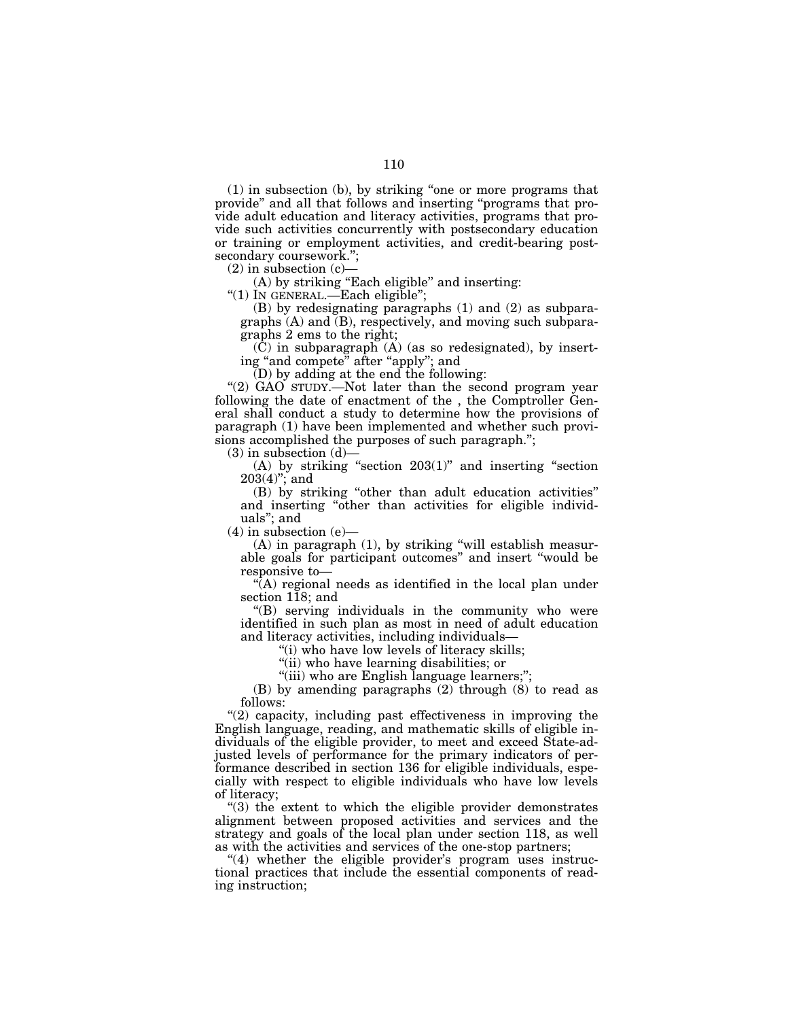(1) in subsection (b), by striking ''one or more programs that provide'' and all that follows and inserting ''programs that provide adult education and literacy activities, programs that provide such activities concurrently with postsecondary education or training or employment activities, and credit-bearing postsecondary coursework.'';

 $(2)$  in subsection  $(c)$ 

(A) by striking "Each eligible" and inserting:

''(1) IN GENERAL.—Each eligible'';

(B) by redesignating paragraphs (1) and (2) as subparagraphs (A) and (B), respectively, and moving such subparagraphs 2 ems to the right;

 $(\tilde{C})$  in subparagraph  $(A)$  (as so redesignated), by inserting "and compete" after "apply"; and

 $(D)$  by adding at the end the following:

"(2) GAO STUDY.—Not later than the second program year following the date of enactment of the , the Comptroller General shall conduct a study to determine how the provisions of paragraph (1) have been implemented and whether such provisions accomplished the purposes of such paragraph.'';

 $(3)$  in subsection  $(d)$ —

(A) by striking "section  $203(1)$ " and inserting "section  $203(4)$ "; and

(B) by striking ''other than adult education activities'' and inserting ''other than activities for eligible individuals''; and

 $(4)$  in subsection  $(e)$ —

(A) in paragraph (1), by striking ''will establish measurable goals for participant outcomes'' and insert ''would be responsive to—

 $\sqrt{\left(\text{A}\right)}$  regional needs as identified in the local plan under section 118; and

''(B) serving individuals in the community who were identified in such plan as most in need of adult education and literacy activities, including individuals—

''(i) who have low levels of literacy skills;

"(ii) who have learning disabilities; or

"(iii) who are English language learners;";

(B) by amending paragraphs (2) through (8) to read as follows:

''(2) capacity, including past effectiveness in improving the English language, reading, and mathematic skills of eligible individuals of the eligible provider, to meet and exceed State-adjusted levels of performance for the primary indicators of performance described in section 136 for eligible individuals, especially with respect to eligible individuals who have low levels of literacy;

''(3) the extent to which the eligible provider demonstrates alignment between proposed activities and services and the strategy and goals of the local plan under section 118, as well as with the activities and services of the one-stop partners;

 $(4)$  whether the eligible provider's program uses instructional practices that include the essential components of reading instruction;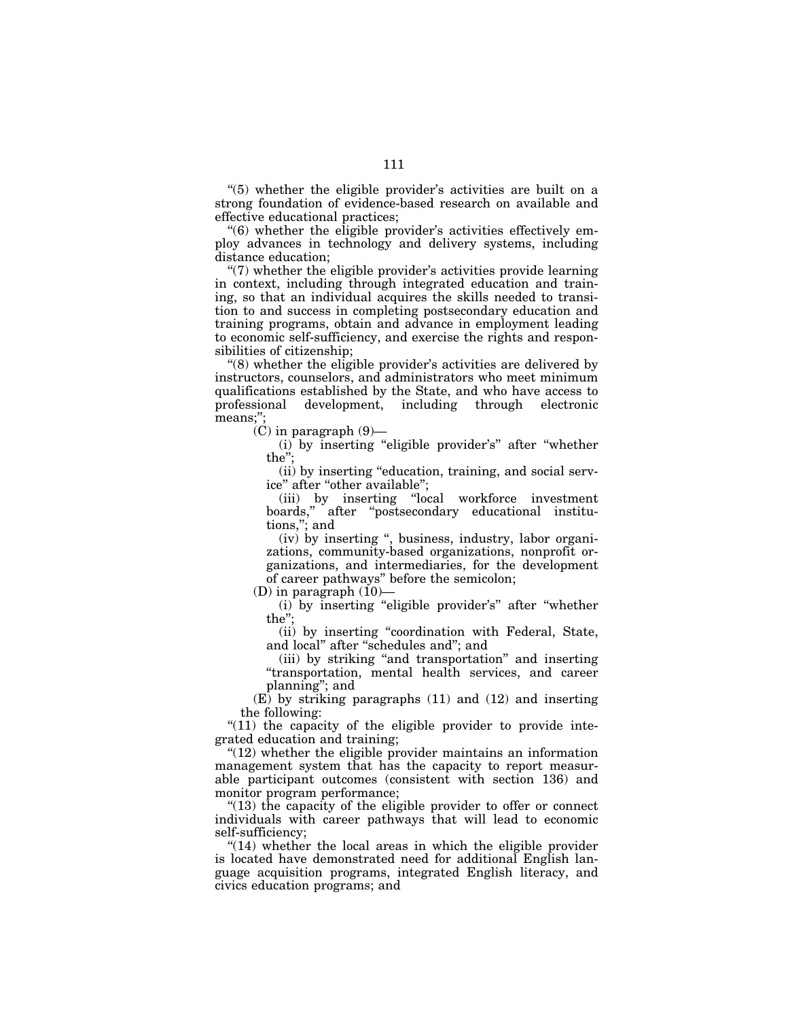''(5) whether the eligible provider's activities are built on a strong foundation of evidence-based research on available and effective educational practices;

''(6) whether the eligible provider's activities effectively employ advances in technology and delivery systems, including distance education;

 $\degree$ (7) whether the eligible provider's activities provide learning in context, including through integrated education and training, so that an individual acquires the skills needed to transition to and success in completing postsecondary education and training programs, obtain and advance in employment leading to economic self-sufficiency, and exercise the rights and responsibilities of citizenship;

 $(8)$  whether the eligible provider's activities are delivered by instructors, counselors, and administrators who meet minimum qualifications established by the State, and who have access to professional development, including through electronic development, including through electronic means;'';

 $(C)$  in paragraph  $(9)$ —

(i) by inserting "eligible provider's" after "whether the'';

(ii) by inserting ''education, training, and social service'' after ''other available'';

(iii) by inserting ''local workforce investment boards,'' after ''postsecondary educational institutions,''; and

(iv) by inserting '', business, industry, labor organizations, community-based organizations, nonprofit organizations, and intermediaries, for the development of career pathways'' before the semicolon;

 $(D)$  in paragraph  $(10)$ —

(i) by inserting ''eligible provider's'' after ''whether the'';

(ii) by inserting ''coordination with Federal, State, and local'' after ''schedules and''; and

(iii) by striking ''and transportation'' and inserting ''transportation, mental health services, and career planning''; and

 $(E)$  by striking paragraphs  $(11)$  and  $(12)$  and inserting the following:

" $(11)$  the capacity of the eligible provider to provide integrated education and training;

 $(12)$  whether the eligible provider maintains an information management system that has the capacity to report measurable participant outcomes (consistent with section 136) and monitor program performance;

" $(13)$  the capacity of the eligible provider to offer or connect individuals with career pathways that will lead to economic self-sufficiency;

"(14) whether the local areas in which the eligible provider is located have demonstrated need for additional English language acquisition programs, integrated English literacy, and civics education programs; and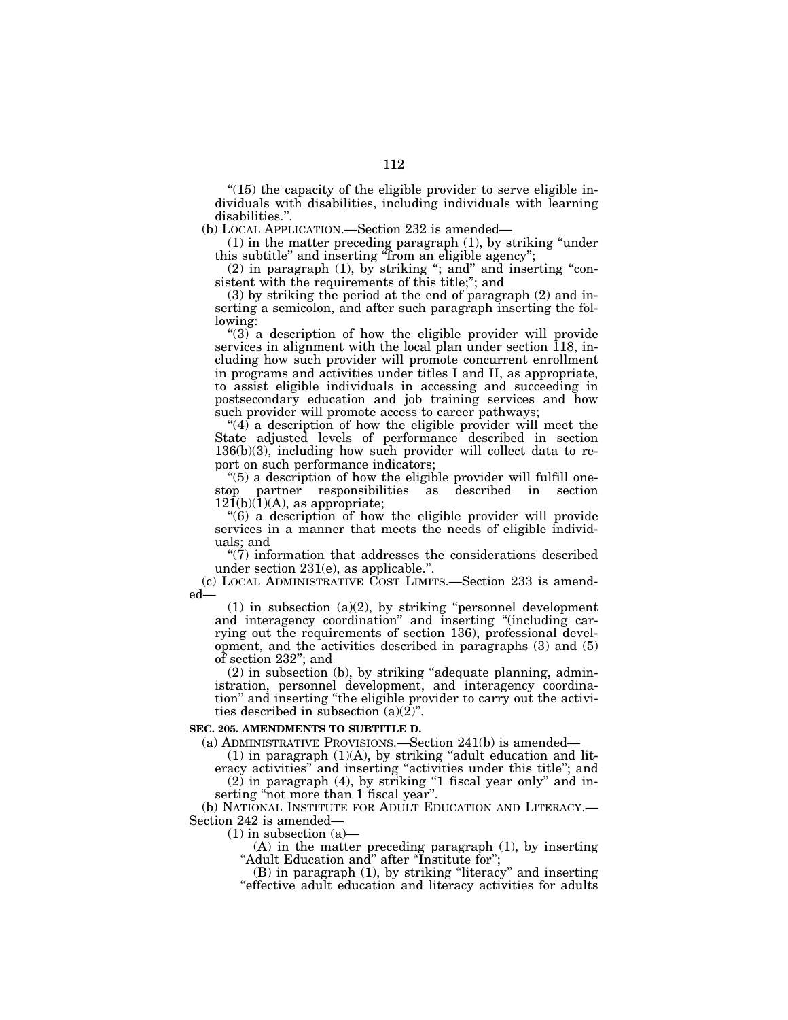$(15)$  the capacity of the eligible provider to serve eligible individuals with disabilities, including individuals with learning disabilities.''.

(b) LOCAL APPLICATION.—Section 232 is amended—

(1) in the matter preceding paragraph (1), by striking ''under this subtitle'' and inserting ''from an eligible agency'';

 $(2)$  in paragraph  $(1)$ , by striking "; and" and inserting "consistent with the requirements of this title;''; and

(3) by striking the period at the end of paragraph (2) and inserting a semicolon, and after such paragraph inserting the following:

" $(3)$ " a description of how the eligible provider will provide services in alignment with the local plan under section 118, including how such provider will promote concurrent enrollment in programs and activities under titles I and II, as appropriate, to assist eligible individuals in accessing and succeeding in postsecondary education and job training services and how such provider will promote access to career pathways;

"(4) a description of how the eligible provider will meet the State adjusted levels of performance described in section 136(b)(3), including how such provider will collect data to report on such performance indicators;

"(5) a description of how the eligible provider will fulfill onestop partner responsibilities as described in section  $12\overline{1}(b)(\overline{1})(A)$ , as appropriate;

''(6) a description of how the eligible provider will provide services in a manner that meets the needs of eligible individuals; and

 $\degree$ (7) information that addresses the considerations described under section 231(e), as applicable.''.

(c) LOCAL ADMINISTRATIVE COST LIMITS.—Section 233 is amended—

 $(1)$  in subsection  $(a)(2)$ , by striking "personnel development and interagency coordination'' and inserting ''(including carrying out the requirements of section 136), professional development, and the activities described in paragraphs (3) and (5) of section 232''; and

(2) in subsection (b), by striking ''adequate planning, administration, personnel development, and interagency coordination'' and inserting ''the eligible provider to carry out the activities described in subsection  $(a)(2)$ ".

# **SEC. 205. AMENDMENTS TO SUBTITLE D.**

(a) ADMINISTRATIVE PROVISIONS.—Section 241(b) is amended—

 $(1)$  in paragraph  $(1)(A)$ , by striking "adult education and literacy activities" and inserting "activities under this title"; and  $(2)$  in paragraph  $(4)$ , by striking "1 fiscal year only" and in-

serting "not more than 1 fiscal year".

(b) NATIONAL INSTITUTE FOR ADULT EDUCATION AND LITERACY.— Section 242 is amended—

 $(1)$  in subsection  $(a)$ —

(A) in the matter preceding paragraph (1), by inserting "Adult Education and" after "Institute for";

(B) in paragraph (1), by striking "literacy" and inserting "effective adult education and literacy activities for adults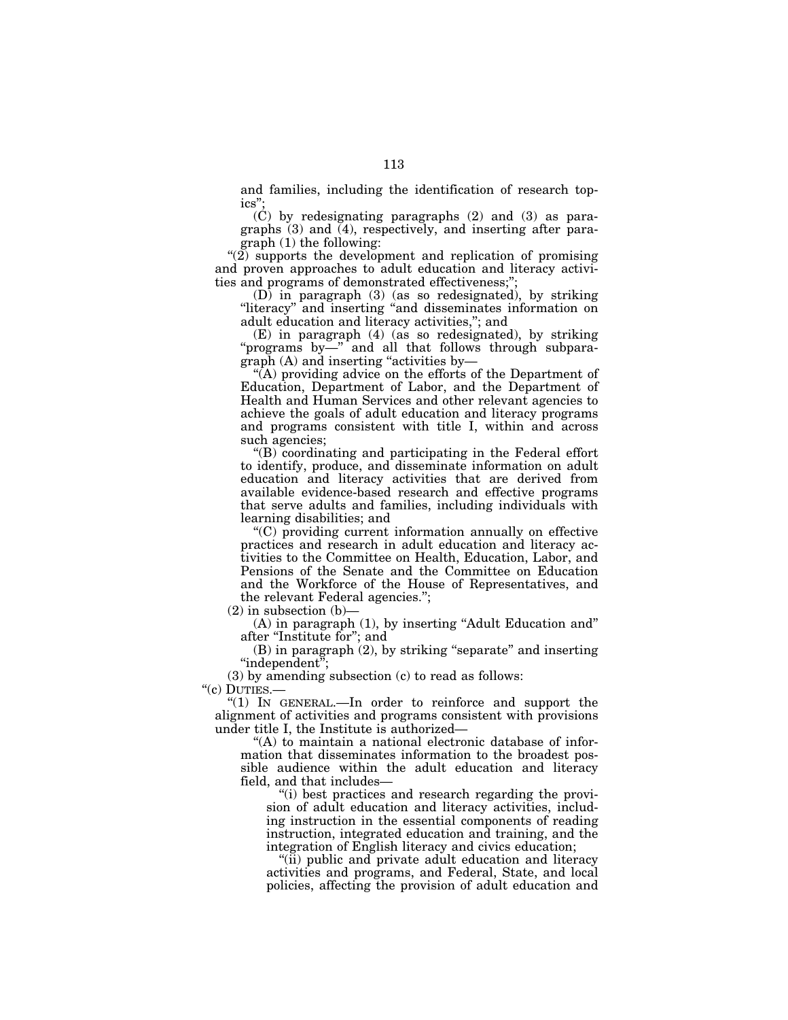and families, including the identification of research topics'';

(C) by redesignating paragraphs (2) and (3) as paragraphs (3) and (4), respectively, and inserting after paragraph (1) the following:

"(2) supports the development and replication of promising and proven approaches to adult education and literacy activities and programs of demonstrated effectiveness;'';

 $(D)$  in paragraph  $(3)$  (as so redesignated), by striking "literacy" and inserting "and disseminates information on adult education and literacy activities,''; and

(E) in paragraph (4) (as so redesignated), by striking "programs by—" and all that follows through subparagraph (A) and inserting "activities by-

"(A) providing advice on the efforts of the Department of Education, Department of Labor, and the Department of Health and Human Services and other relevant agencies to achieve the goals of adult education and literacy programs and programs consistent with title I, within and across such agencies;

''(B) coordinating and participating in the Federal effort to identify, produce, and disseminate information on adult education and literacy activities that are derived from available evidence-based research and effective programs that serve adults and families, including individuals with learning disabilities; and

''(C) providing current information annually on effective practices and research in adult education and literacy activities to the Committee on Health, Education, Labor, and Pensions of the Senate and the Committee on Education and the Workforce of the House of Representatives, and the relevant Federal agencies.'';

 $(2)$  in subsection  $(b)$ 

(A) in paragraph (1), by inserting ''Adult Education and'' after "Institute for"; and

(B) in paragraph (2), by striking "separate" and inserting ''independent'';

(3) by amending subsection (c) to read as follows:

"(c) DUTIES .-

"(1) IN GENERAL.—In order to reinforce and support the alignment of activities and programs consistent with provisions under title I, the Institute is authorized—

''(A) to maintain a national electronic database of information that disseminates information to the broadest possible audience within the adult education and literacy field, and that includes—

"(i) best practices and research regarding the provision of adult education and literacy activities, including instruction in the essential components of reading instruction, integrated education and training, and the integration of English literacy and civics education;

''(ii) public and private adult education and literacy activities and programs, and Federal, State, and local policies, affecting the provision of adult education and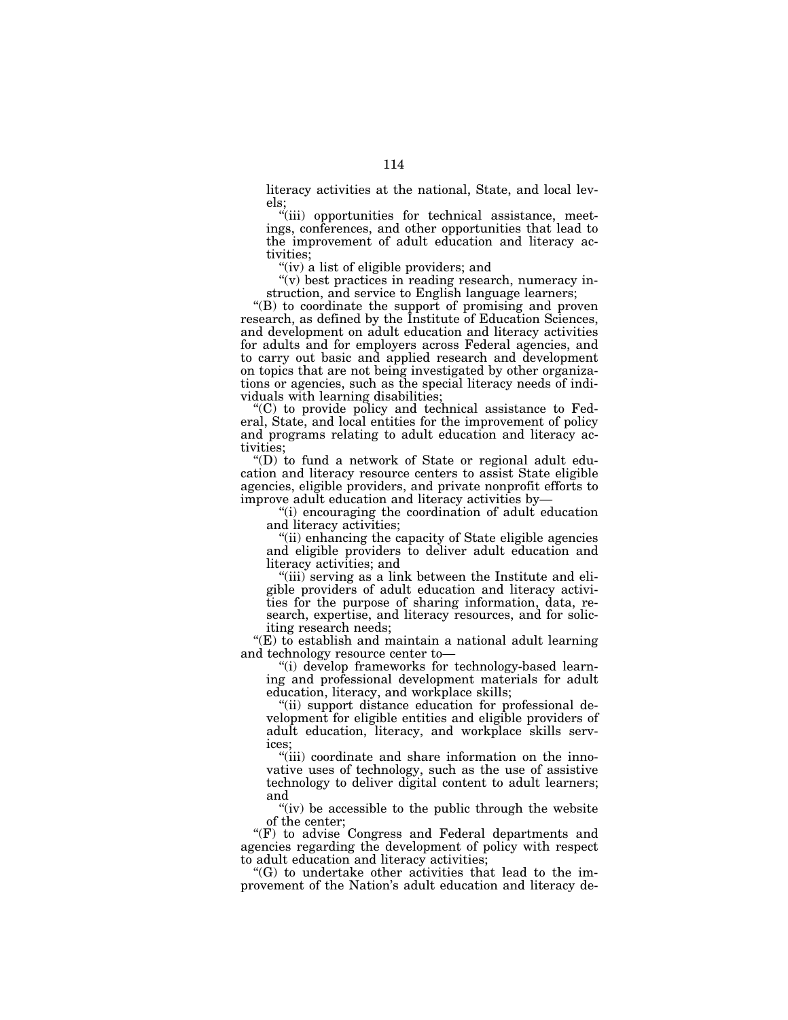literacy activities at the national, State, and local levels;

"(iii) opportunities for technical assistance, meetings, conferences, and other opportunities that lead to the improvement of adult education and literacy activities;

"(iv) a list of eligible providers; and

" $(v)$  best practices in reading research, numeracy instruction, and service to English language learners;

''(B) to coordinate the support of promising and proven research, as defined by the Institute of Education Sciences, and development on adult education and literacy activities for adults and for employers across Federal agencies, and to carry out basic and applied research and development on topics that are not being investigated by other organizations or agencies, such as the special literacy needs of individuals with learning disabilities;

 $(C)$  to provide policy and technical assistance to Federal, State, and local entities for the improvement of policy and programs relating to adult education and literacy activities;

''(D) to fund a network of State or regional adult education and literacy resource centers to assist State eligible agencies, eligible providers, and private nonprofit efforts to improve adult education and literacy activities by—

''(i) encouraging the coordination of adult education and literacy activities;

"(ii) enhancing the capacity of State eligible agencies and eligible providers to deliver adult education and literacy activities; and

"(iii) serving as a link between the Institute and eligible providers of adult education and literacy activities for the purpose of sharing information, data, research, expertise, and literacy resources, and for soliciting research needs;

''(E) to establish and maintain a national adult learning and technology resource center to—

''(i) develop frameworks for technology-based learning and professional development materials for adult education, literacy, and workplace skills;

"(ii) support distance education for professional development for eligible entities and eligible providers of adult education, literacy, and workplace skills services;

"(iii) coordinate and share information on the innovative uses of technology, such as the use of assistive technology to deliver digital content to adult learners; and

" $(iv)$  be accessible to the public through the website of the center;

''(F) to advise Congress and Federal departments and agencies regarding the development of policy with respect to adult education and literacy activities;

''(G) to undertake other activities that lead to the improvement of the Nation's adult education and literacy de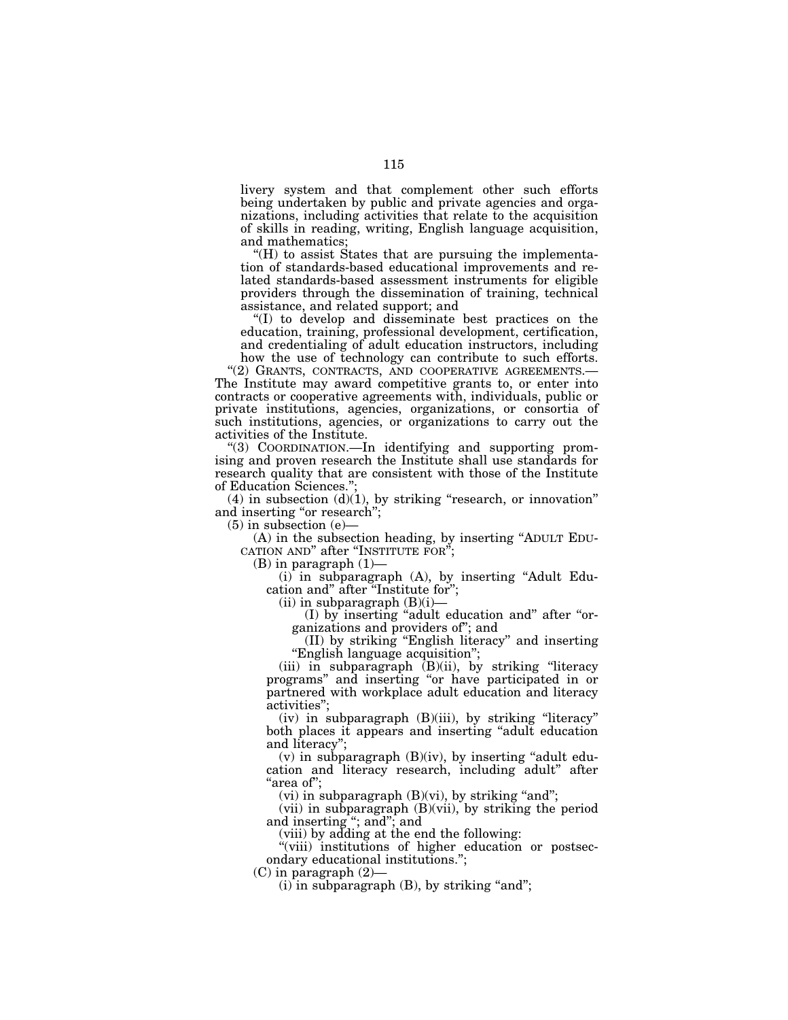livery system and that complement other such efforts being undertaken by public and private agencies and organizations, including activities that relate to the acquisition of skills in reading, writing, English language acquisition, and mathematics;

 $H$ ) to assist States that are pursuing the implementation of standards-based educational improvements and related standards-based assessment instruments for eligible providers through the dissemination of training, technical assistance, and related support; and

''(I) to develop and disseminate best practices on the education, training, professional development, certification, and credentialing of adult education instructors, including how the use of technology can contribute to such efforts.

''(2) GRANTS, CONTRACTS, AND COOPERATIVE AGREEMENTS.— The Institute may award competitive grants to, or enter into contracts or cooperative agreements with, individuals, public or private institutions, agencies, organizations, or consortia of such institutions, agencies, or organizations to carry out the activities of the Institute.

''(3) COORDINATION.—In identifying and supporting promising and proven research the Institute shall use standards for research quality that are consistent with those of the Institute of Education Sciences.'';

 $(4)$  in subsection  $(d)(1)$ , by striking "research, or innovation" and inserting "or research";

 $(5)$  in subsection  $(e)$ 

(A) in the subsection heading, by inserting "ADULT EDU-CATION AND" after "INSTITUTE FOR";

 $(B)$  in paragraph  $(1)$ –

(i) in subparagraph (A), by inserting ''Adult Education and" after "Institute for"

 $(ii)$  in subparagraph  $(B)(i)$ –

(I) by inserting ''adult education and'' after ''organizations and providers of''; and

(II) by striking ''English literacy'' and inserting ''English language acquisition'';

(iii) in subparagraph (B)(ii), by striking ''literacy programs'' and inserting ''or have participated in or partnered with workplace adult education and literacy activities'';

 $(iv)$  in subparagraph  $(B)(iii)$ , by striking "literacy" both places it appears and inserting "adult education and literacy'';

 $(v)$  in subparagraph  $(B)(iv)$ , by inserting "adult education and literacy research, including adult'' after ''area of'';

(vi) in subparagraph  $(B)(vi)$ , by striking "and";

 $(vii)$  in subparagraph  $(B)(vii)$ , by striking the period and inserting ''; and''; and

(viii) by adding at the end the following:

''(viii) institutions of higher education or postsecondary educational institutions.'';

(C) in paragraph (2)—

 $(i)$  in subparagraph  $(B)$ , by striking "and";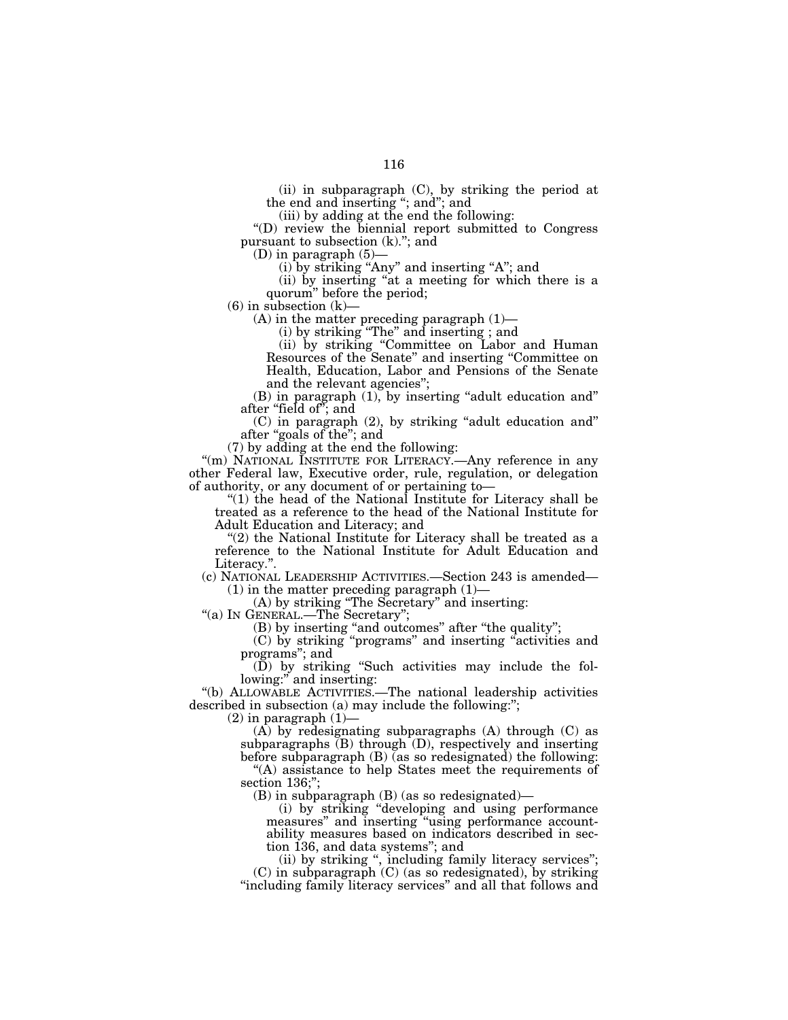the end and inserting ''; and''; and (iii) by adding at the end the following:

''(D) review the biennial report submitted to Congress pursuant to subsection (k).''; and

(D) in paragraph  $(5)$ -

 $(i)$  by striking "Any" and inserting "A"; and

(ii) by inserting ''at a meeting for which there is a quorum'' before the period;

 $(6)$  in subsection  $(k)$ —

 $(A)$  in the matter preceding paragraph  $(1)$ —

(i) by striking ''The'' and inserting ; and

(ii) by striking ''Committee on Labor and Human Resources of the Senate'' and inserting ''Committee on Health, Education, Labor and Pensions of the Senate and the relevant agencies'';

(B) in paragraph (1), by inserting "adult education and" after "field of"; and

(C) in paragraph (2), by striking ''adult education and'' after "goals of the"; and

(7) by adding at the end the following:

"(m) NATIONAL INSTITUTE FOR LITERACY.—Any reference in any other Federal law, Executive order, rule, regulation, or delegation of authority, or any document of or pertaining to—

''(1) the head of the National Institute for Literacy shall be treated as a reference to the head of the National Institute for Adult Education and Literacy; and

"(2) the National Institute for Literacy shall be treated as a reference to the National Institute for Adult Education and Literacy."

(c) NATIONAL LEADERSHIP ACTIVITIES.—Section 243 is amended—  $(1)$  in the matter preceding paragraph  $(1)$ —

(A) by striking ''The Secretary'' and inserting:

''(a) IN GENERAL.—The Secretary'';

(B) by inserting "and outcomes" after "the quality";

(C) by striking ''programs'' and inserting ''activities and programs''; and

(D) by striking ''Such activities may include the following:" and inserting:

''(b) ALLOWABLE ACTIVITIES.—The national leadership activities described in subsection (a) may include the following:";

 $(2)$  in paragraph  $(1)$ 

 $(A)$  by redesignating subparagraphs  $(A)$  through  $(C)$  as subparagraphs (B) through (D), respectively and inserting before subparagraph (B) (as so redesignated) the following: ''(A) assistance to help States meet the requirements of

section 136;";

(B) in subparagraph (B) (as so redesignated)—

(i) by striking ''developing and using performance measures'' and inserting ''using performance accountability measures based on indicators described in section 136, and data systems''; and

(ii) by striking '', including family literacy services''; (C) in subparagraph (C) (as so redesignated), by striking "including family literacy services" and all that follows and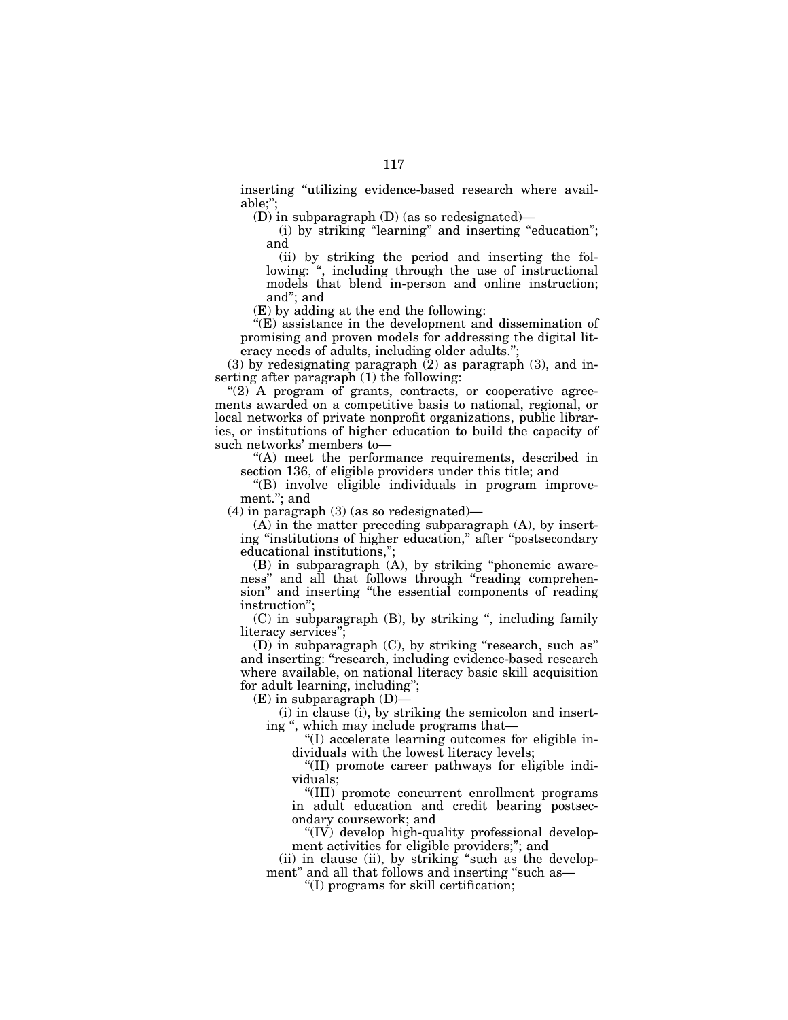inserting "utilizing evidence-based research where available;'';

(D) in subparagraph (D) (as so redesignated)—

(i) by striking "learning" and inserting "education"; and

(ii) by striking the period and inserting the following: ", including through the use of instructional models that blend in-person and online instruction; and''; and

(E) by adding at the end the following:

''(E) assistance in the development and dissemination of promising and proven models for addressing the digital literacy needs of adults, including older adults.'';

(3) by redesignating paragraph (2) as paragraph (3), and inserting after paragraph (1) the following:

 $''(2)$  A program of grants, contracts, or cooperative agreements awarded on a competitive basis to national, regional, or local networks of private nonprofit organizations, public libraries, or institutions of higher education to build the capacity of such networks' members to—

''(A) meet the performance requirements, described in section 136, of eligible providers under this title; and

''(B) involve eligible individuals in program improvement.''; and

(4) in paragraph (3) (as so redesignated)—

(A) in the matter preceding subparagraph (A), by inserting "institutions of higher education," after "postsecondary educational institutions,'';

(B) in subparagraph (A), by striking ''phonemic awareness'' and all that follows through ''reading comprehension'' and inserting ''the essential components of reading instruction'';

(C) in subparagraph (B), by striking '', including family literacy services'';

(D) in subparagraph (C), by striking ''research, such as'' and inserting: "research, including evidence-based research where available, on national literacy basic skill acquisition for adult learning, including'';

 $(E)$  in subparagraph  $(D)$ –

(i) in clause (i), by striking the semicolon and inserting ", which may include programs that-

''(I) accelerate learning outcomes for eligible individuals with the lowest literacy levels;

''(II) promote career pathways for eligible individuals;

''(III) promote concurrent enrollment programs in adult education and credit bearing postsecondary coursework; and

" $(IV)$  develop high-quality professional development activities for eligible providers;''; and

(ii) in clause (ii), by striking ''such as the development" and all that follows and inserting "such as—

''(I) programs for skill certification;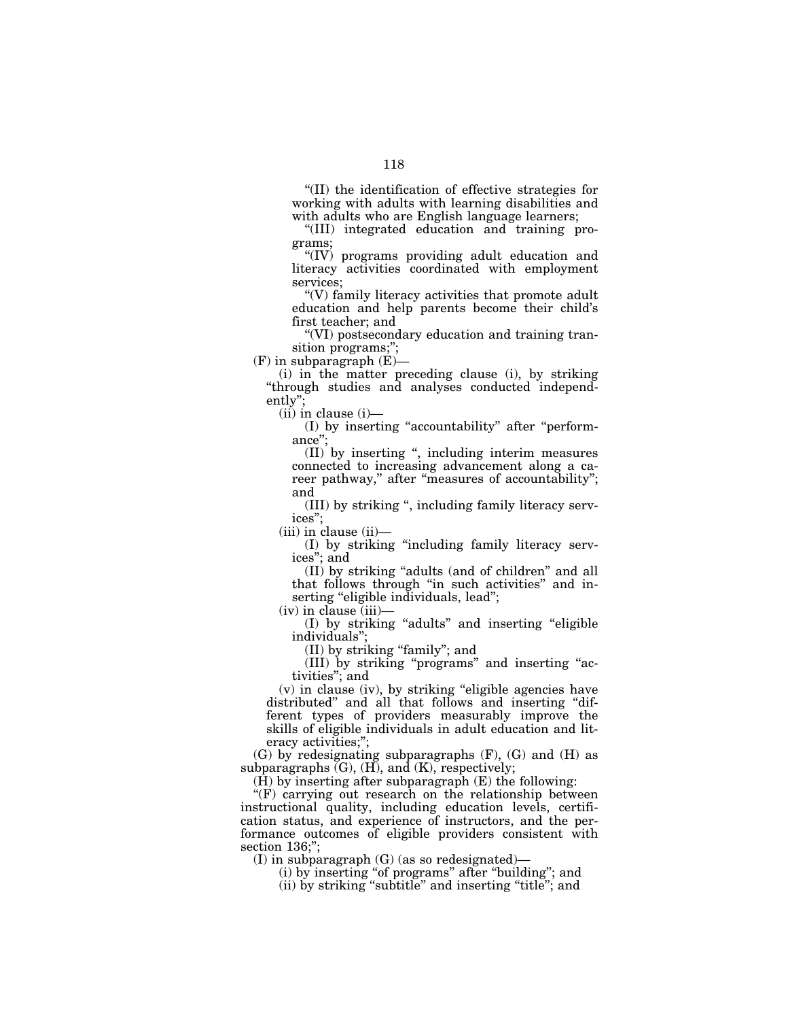''(II) the identification of effective strategies for working with adults with learning disabilities and with adults who are English language learners;

''(III) integrated education and training programs;

''(IV) programs providing adult education and literacy activities coordinated with employment services;

''(V) family literacy activities that promote adult education and help parents become their child's first teacher; and

''(VI) postsecondary education and training transition programs;'';

 $(F)$  in subparagraph  $(E)$ –

(i) in the matter preceding clause (i), by striking ''through studies and analyses conducted independently'';

(ii) in clause (i)—

(I) by inserting ''accountability'' after ''performance'';

(II) by inserting '', including interim measures connected to increasing advancement along a career pathway," after "measures of accountability"; and

(III) by striking '', including family literacy services'';

(iii) in clause (ii)—

(I) by striking ''including family literacy services''; and

(II) by striking ''adults (and of children'' and all that follows through ''in such activities'' and inserting "eligible individuals, lead";

 $(iv)$  in clause  $(iii)$ 

(I) by striking ''adults'' and inserting ''eligible individuals'';

(II) by striking ''family''; and

(III) by striking ''programs'' and inserting ''activities''; and

(v) in clause (iv), by striking ''eligible agencies have distributed'' and all that follows and inserting ''different types of providers measurably improve the skills of eligible individuals in adult education and literacy activities;'';

(G) by redesignating subparagraphs (F), (G) and (H) as subparagraphs  $(G)$ ,  $(H)$ , and  $(K)$ , respectively;

(H) by inserting after subparagraph (E) the following:

"(F) carrying out research on the relationship between instructional quality, including education levels, certification status, and experience of instructors, and the performance outcomes of eligible providers consistent with section 136:":

(I) in subparagraph (G) (as so redesignated)—

(i) by inserting ''of programs'' after ''building''; and

(ii) by striking "subtitle" and inserting "title"; and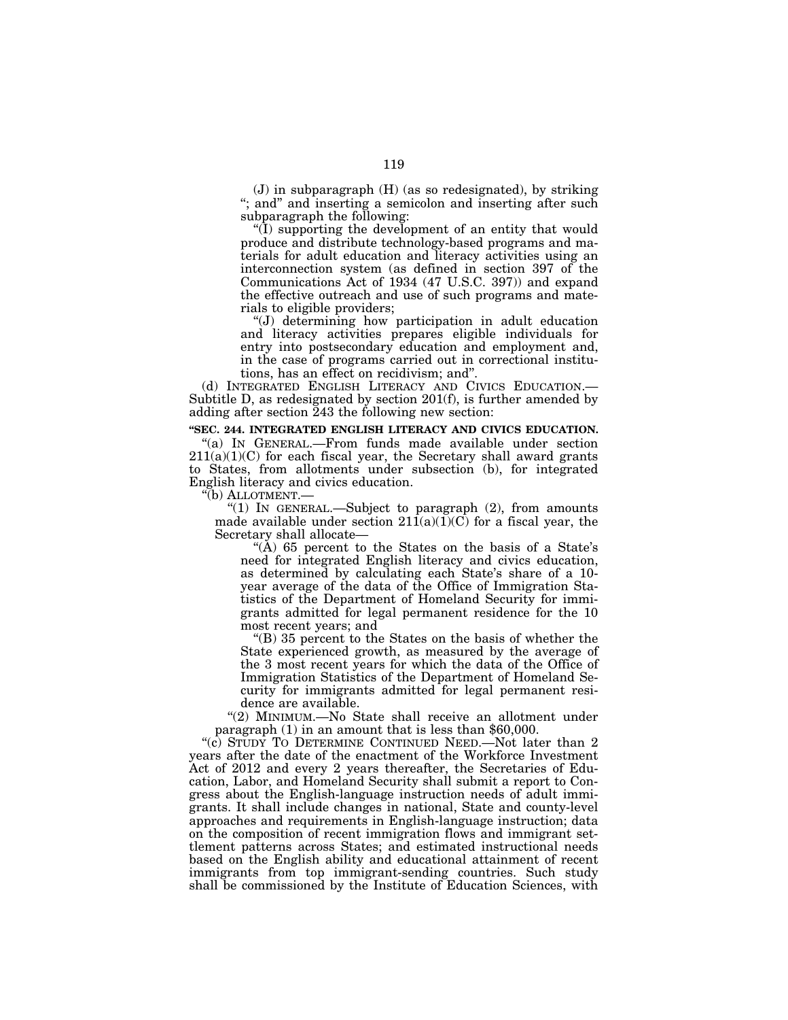(J) in subparagraph (H) (as so redesignated), by striking ''; and'' and inserting a semicolon and inserting after such subparagraph the following:

''(I) supporting the development of an entity that would produce and distribute technology-based programs and materials for adult education and literacy activities using an interconnection system (as defined in section 397 of the Communications Act of 1934 (47 U.S.C. 397)) and expand the effective outreach and use of such programs and materials to eligible providers;

''(J) determining how participation in adult education and literacy activities prepares eligible individuals for entry into postsecondary education and employment and, in the case of programs carried out in correctional institutions, has an effect on recidivism; and''.

(d) INTEGRATED ENGLISH LITERACY AND CIVICS EDUCATION.— Subtitle D, as redesignated by section 201(f), is further amended by adding after section 243 the following new section:

**''SEC. 244. INTEGRATED ENGLISH LITERACY AND CIVICS EDUCATION.** 

''(a) IN GENERAL.—From funds made available under section  $211(a)(1)(C)$  for each fiscal year, the Secretary shall award grants to States, from allotments under subsection (b), for integrated English literacy and civics education.

''(b) ALLOTMENT.—

''(1) IN GENERAL.—Subject to paragraph (2), from amounts made available under section  $21\overline{1}(a)(1)(C)$  for a fiscal year, the Secretary shall allocate—

"(A) 65 percent to the States on the basis of a State's need for integrated English literacy and civics education, as determined by calculating each State's share of a 10 year average of the data of the Office of Immigration Statistics of the Department of Homeland Security for immigrants admitted for legal permanent residence for the 10 most recent years; and

''(B) 35 percent to the States on the basis of whether the State experienced growth, as measured by the average of the 3 most recent years for which the data of the Office of Immigration Statistics of the Department of Homeland Security for immigrants admitted for legal permanent residence are available.

''(2) MINIMUM.—No State shall receive an allotment under paragraph (1) in an amount that is less than \$60,000.

"(c) STUDY TO DETERMINE CONTINUED NEED.—Not later than 2 years after the date of the enactment of the Workforce Investment Act of 2012 and every 2 years thereafter, the Secretaries of Education, Labor, and Homeland Security shall submit a report to Congress about the English-language instruction needs of adult immigrants. It shall include changes in national, State and county-level approaches and requirements in English-language instruction; data on the composition of recent immigration flows and immigrant settlement patterns across States; and estimated instructional needs based on the English ability and educational attainment of recent immigrants from top immigrant-sending countries. Such study shall be commissioned by the Institute of Education Sciences, with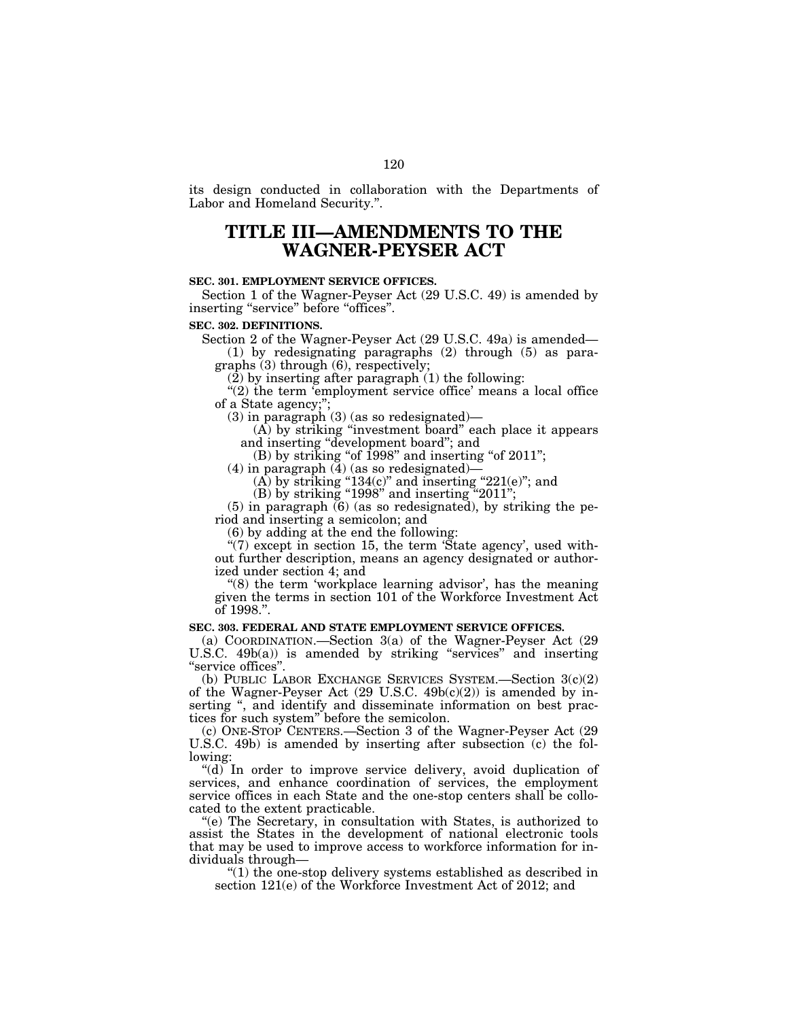its design conducted in collaboration with the Departments of Labor and Homeland Security.''.

# **TITLE III—AMENDMENTS TO THE WAGNER-PEYSER ACT**

### **SEC. 301. EMPLOYMENT SERVICE OFFICES.**

Section 1 of the Wagner-Peyser Act (29 U.S.C. 49) is amended by inserting "service" before "offices".

### **SEC. 302. DEFINITIONS.**

Section 2 of the Wagner-Peyser Act (29 U.S.C. 49a) is amended—

(1) by redesignating paragraphs (2) through (5) as paragraphs (3) through (6), respectively;

 $(2)$  by inserting after paragraph  $(1)$  the following:

"(2) the term 'employment' service office' means a local office of a State agency;'';

(3) in paragraph (3) (as so redesignated)—

(A) by striking ''investment board'' each place it appears and inserting ''development board''; and

 $(B)$  by striking "of 1998" and inserting "of 2011";

(4) in paragraph  $(4)$  (as so redesignated)—

 $(A)$  by striking "134 $(c)$ " and inserting "221 $(e)$ "; and

 $(B)$  by striking "1998" and inserting "2011";

(5) in paragraph (6) (as so redesignated), by striking the period and inserting a semicolon; and

(6) by adding at the end the following:

" $(7)$  except in section 15, the term 'State agency', used without further description, means an agency designated or authorized under section 4; and

 $(8)$  the term 'workplace learning advisor', has the meaning given the terms in section 101 of the Workforce Investment Act of 1998.''.

### **SEC. 303. FEDERAL AND STATE EMPLOYMENT SERVICE OFFICES.**

(a) COORDINATION.—Section 3(a) of the Wagner-Peyser Act (29 U.S.C.  $49b(a)$  is amended by striking "services" and inserting ''service offices''.

(b) PUBLIC LABOR EXCHANGE SERVICES SYSTEM.—Section 3(c)(2) of the Wagner-Peyser Act (29 U.S.C. 49b(c)(2)) is amended by inserting ", and identify and disseminate information on best practices for such system'' before the semicolon.

(c) ONE-STOP CENTERS.—Section 3 of the Wagner-Peyser Act (29 U.S.C. 49b) is amended by inserting after subsection (c) the following:

"(d) In order to improve service delivery, avoid duplication of services, and enhance coordination of services, the employment service offices in each State and the one-stop centers shall be collocated to the extent practicable.

''(e) The Secretary, in consultation with States, is authorized to assist the States in the development of national electronic tools that may be used to improve access to workforce information for individuals through—

''(1) the one-stop delivery systems established as described in section 121(e) of the Workforce Investment Act of 2012; and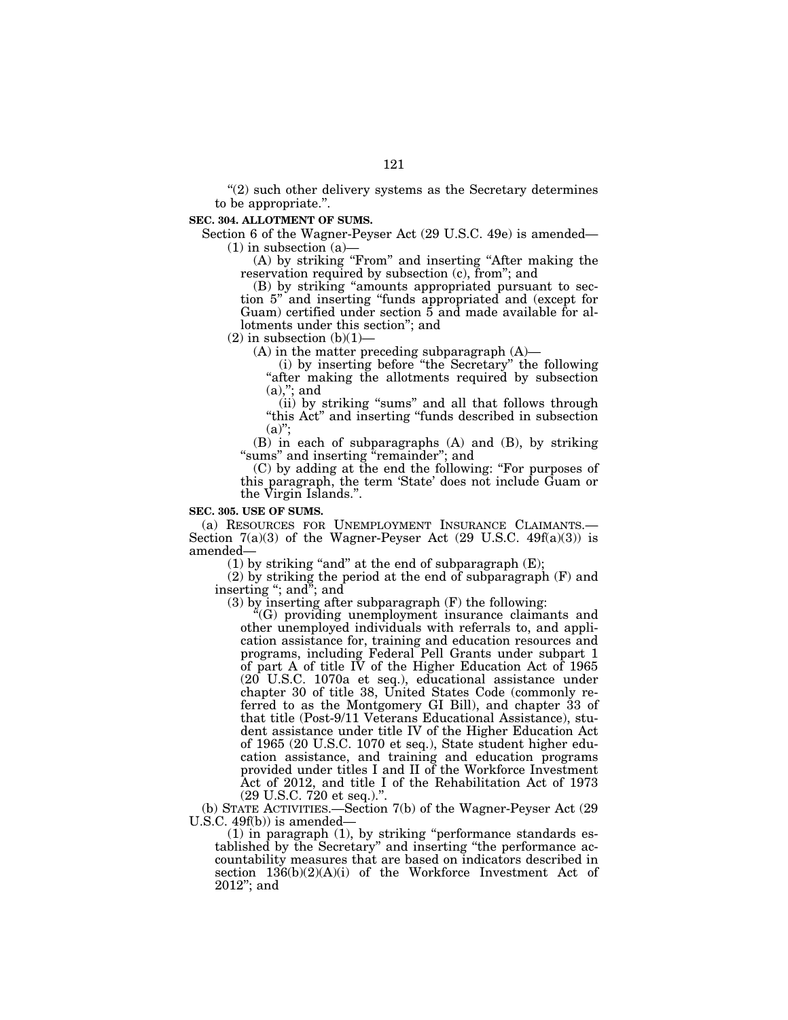$''(2)$  such other delivery systems as the Secretary determines to be appropriate.''.

## **SEC. 304. ALLOTMENT OF SUMS.**

Section 6 of the Wagner-Peyser Act (29 U.S.C. 49e) is amended—  $(1)$  in subsection  $(a)$ 

(A) by striking "From" and inserting "After making the reservation required by subsection (c), from''; and

(B) by striking ''amounts appropriated pursuant to section 5'' and inserting ''funds appropriated and (except for Guam) certified under section 5 and made available for allotments under this section''; and

 $(2)$  in subsection  $(b)(1)$ 

(A) in the matter preceding subparagraph (A)—

(i) by inserting before ''the Secretary'' the following "after making the allotments required by subsection  $(a)$ ,"; and

(ii) by striking "sums" and all that follows through ''this Act'' and inserting ''funds described in subsection  $(a)$ ";

(B) in each of subparagraphs (A) and (B), by striking "sums" and inserting "remainder"; and

(C) by adding at the end the following: ''For purposes of this paragraph, the term 'State' does not include Guam or the Virgin Islands.''.

## **SEC. 305. USE OF SUMS.**

(a) RESOURCES FOR UNEMPLOYMENT INSURANCE CLAIMANTS.— Section  $7(a)(3)$  of the Wagner-Peyser Act (29 U.S.C. 49 $f(a)(3)$ ) is amended—

(1) by striking "and" at the end of subparagraph  $(E)$ ;

(2) by striking the period at the end of subparagraph (F) and inserting "; and"; and

(3) by inserting after subparagraph (F) the following:

 $\mathrm{H}(G)$  providing unemployment insurance claimants and other unemployed individuals with referrals to, and application assistance for, training and education resources and programs, including Federal Pell Grants under subpart 1 of part A of title IV of the Higher Education Act of  $1965$ (20 U.S.C. 1070a et seq.), educational assistance under chapter 30 of title 38, United States Code (commonly referred to as the Montgomery GI Bill), and chapter 33 of that title (Post-9/11 Veterans Educational Assistance), student assistance under title IV of the Higher Education Act of 1965 (20 U.S.C. 1070 et seq.), State student higher education assistance, and training and education programs provided under titles I and II of the Workforce Investment Act of 2012, and title I of the Rehabilitation Act of 1973 (29 U.S.C. 720 et seq.).''.

(b) STATE ACTIVITIES.—Section 7(b) of the Wagner-Peyser Act (29 U.S.C. 49f(b)) is amended-

 $(1)$  in paragraph  $(1)$ , by striking "performance standards established by the Secretary'' and inserting ''the performance accountability measures that are based on indicators described in section  $136(b)(2)(A)(i)$  of the Workforce Investment Act of 2012''; and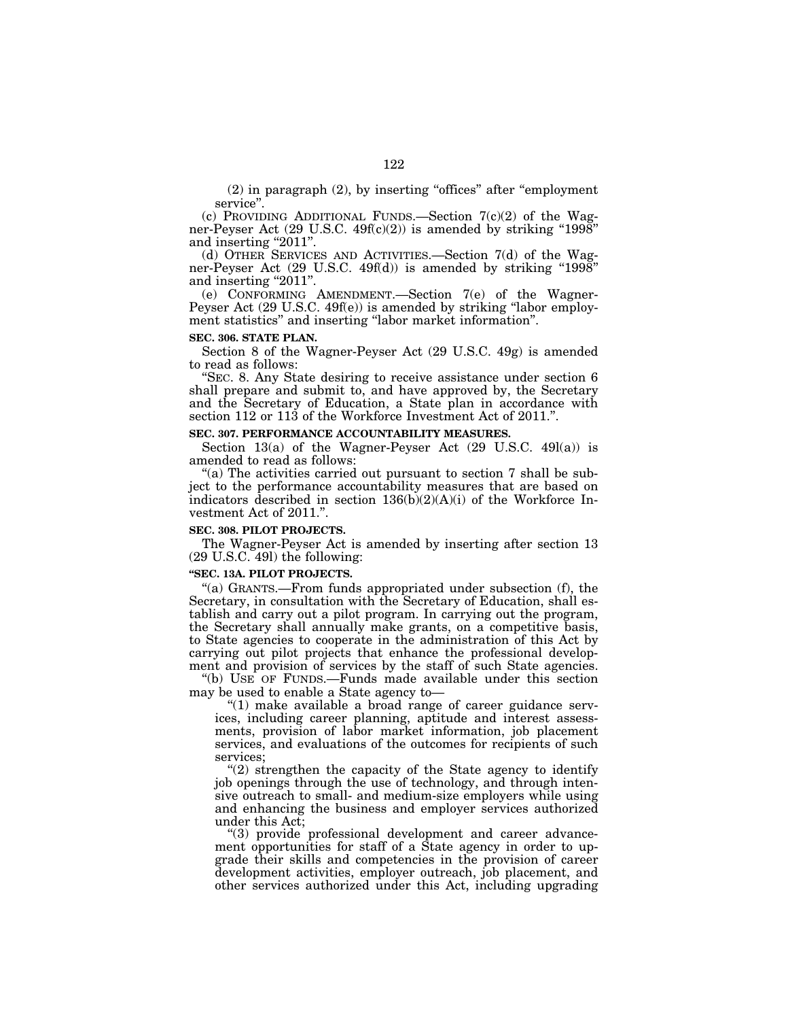(2) in paragraph (2), by inserting ''offices'' after ''employment service''.

(c) PROVIDING ADDITIONAL FUNDS.—Section  $7(c)(2)$  of the Wagner-Peyser Act (29 U.S.C. 49f(c)(2)) is amended by striking ''1998'' and inserting "2011".

(d) OTHER SERVICES AND ACTIVITIES.—Section 7(d) of the Wagner-Peyser Act (29 U.S.C. 49f(d)) is amended by striking "1998" and inserting "2011".

(e) CONFORMING AMENDMENT.—Section 7(e) of the Wagner-Peyser Act (29 U.S.C. 49f(e)) is amended by striking "labor employment statistics'' and inserting ''labor market information''.

### **SEC. 306. STATE PLAN.**

Section 8 of the Wagner-Peyser Act (29 U.S.C. 49g) is amended to read as follows:

''SEC. 8. Any State desiring to receive assistance under section 6 shall prepare and submit to, and have approved by, the Secretary and the Secretary of Education, a State plan in accordance with section 112 or 113 of the Workforce Investment Act of 2011.''.

## **SEC. 307. PERFORMANCE ACCOUNTABILITY MEASURES.**

Section 13(a) of the Wagner-Peyser Act  $(29 \text{ U.S.C. } 49l(a))$  is amended to read as follows:

"(a) The activities carried out pursuant to section 7 shall be subject to the performance accountability measures that are based on indicators described in section  $136(b)(2)(A)(i)$  of the Workforce Investment Act of 2011.''.

### **SEC. 308. PILOT PROJECTS.**

The Wagner-Peyser Act is amended by inserting after section 13 (29 U.S.C. 49l) the following:

#### **''SEC. 13A. PILOT PROJECTS.**

''(a) GRANTS.—From funds appropriated under subsection (f), the Secretary, in consultation with the Secretary of Education, shall establish and carry out a pilot program. In carrying out the program, the Secretary shall annually make grants, on a competitive basis, to State agencies to cooperate in the administration of this Act by carrying out pilot projects that enhance the professional development and provision of services by the staff of such State agencies.

''(b) USE OF FUNDS.—Funds made available under this section may be used to enable a State agency to—

 $''(1)$  make available a broad range of career guidance services, including career planning, aptitude and interest assessments, provision of labor market information, job placement services, and evaluations of the outcomes for recipients of such services;

 $''(2)$  strengthen the capacity of the State agency to identify job openings through the use of technology, and through intensive outreach to small- and medium-size employers while using and enhancing the business and employer services authorized under this Act;

''(3) provide professional development and career advancement opportunities for staff of a State agency in order to upgrade their skills and competencies in the provision of career development activities, employer outreach, job placement, and other services authorized under this Act, including upgrading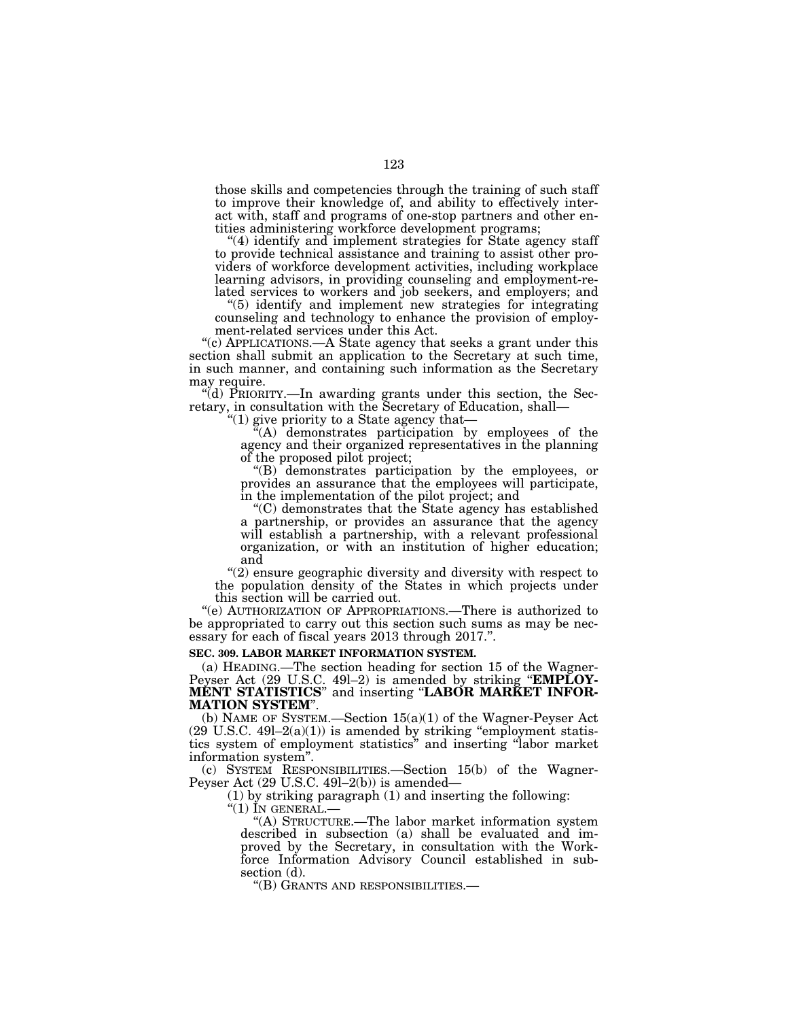those skills and competencies through the training of such staff to improve their knowledge of, and ability to effectively interact with, staff and programs of one-stop partners and other entities administering workforce development programs;

"(4) identify and implement strategies for State agency staff to provide technical assistance and training to assist other providers of workforce development activities, including workplace learning advisors, in providing counseling and employment-related services to workers and job seekers, and employers; and

''(5) identify and implement new strategies for integrating counseling and technology to enhance the provision of employment-related services under this Act.

''(c) APPLICATIONS.—A State agency that seeks a grant under this section shall submit an application to the Secretary at such time, in such manner, and containing such information as the Secretary may require.

''(d) PRIORITY.—In awarding grants under this section, the Secretary, in consultation with the Secretary of Education, shall—

" $(1)$  give priority to a State agency that—

 $\hat{f}(A)$  demonstrates participation by employees of the agency and their organized representatives in the planning of the proposed pilot project;

''(B) demonstrates participation by the employees, or provides an assurance that the employees will participate, in the implementation of the pilot project; and

''(C) demonstrates that the State agency has established a partnership, or provides an assurance that the agency will establish a partnership, with a relevant professional organization, or with an institution of higher education; and

''(2) ensure geographic diversity and diversity with respect to the population density of the States in which projects under this section will be carried out.

''(e) AUTHORIZATION OF APPROPRIATIONS.—There is authorized to be appropriated to carry out this section such sums as may be necessary for each of fiscal years 2013 through 2017.".

### **SEC. 309. LABOR MARKET INFORMATION SYSTEM.**

(a) HEADING.—The section heading for section 15 of the Wagner-Peyser Act (29 U.S.C. 49l–2) is amended by striking ''**EMPLOY-MENT STATISTICS**'' and inserting ''**LABOR MARKET INFOR-MATION SYSTEM**''.

(b) NAME OF SYSTEM.—Section 15(a)(1) of the Wagner-Peyser Act  $(29 \text{ U.S.C. } 49l-2(a)(1))$  is amended by striking "employment statistics system of employment statistics'' and inserting ''labor market information system''.

(c) SYSTEM RESPONSIBILITIES.—Section 15(b) of the Wagner-Peyser Act (29 U.S.C. 49l–2(b)) is amended—

(1) by striking paragraph (1) and inserting the following:

" $(1)$  In GENERAL.—

''(A) STRUCTURE.—The labor market information system described in subsection (a) shall be evaluated and improved by the Secretary, in consultation with the Workforce Information Advisory Council established in subsection (d).

''(B) GRANTS AND RESPONSIBILITIES.—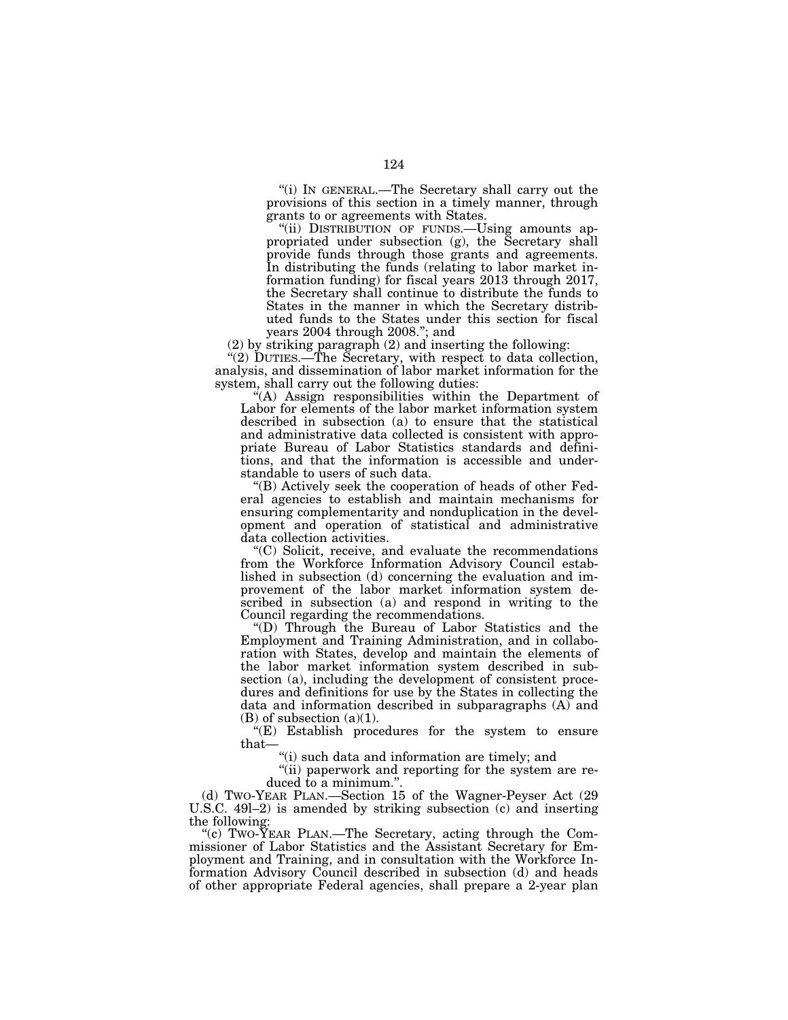''(i) IN GENERAL.—The Secretary shall carry out the provisions of this section in a timely manner, through grants to or agreements with States.

"(ii) DISTRIBUTION OF FUNDS.-Using amounts appropriated under subsection (g), the Secretary shall provide funds through those grants and agreements. In distributing the funds (relating to labor market information funding) for fiscal years 2013 through 2017, the Secretary shall continue to distribute the funds to States in the manner in which the Secretary distributed funds to the States under this section for fiscal years 2004 through 2008.''; and

(2) by striking paragraph (2) and inserting the following:

''(2) DUTIES.—The Secretary, with respect to data collection, analysis, and dissemination of labor market information for the system, shall carry out the following duties:

''(A) Assign responsibilities within the Department of Labor for elements of the labor market information system described in subsection (a) to ensure that the statistical and administrative data collected is consistent with appropriate Bureau of Labor Statistics standards and definitions, and that the information is accessible and understandable to users of such data.

''(B) Actively seek the cooperation of heads of other Federal agencies to establish and maintain mechanisms for ensuring complementarity and nonduplication in the development and operation of statistical and administrative data collection activities.

''(C) Solicit, receive, and evaluate the recommendations from the Workforce Information Advisory Council established in subsection (d) concerning the evaluation and improvement of the labor market information system described in subsection (a) and respond in writing to the Council regarding the recommendations.

''(D) Through the Bureau of Labor Statistics and the Employment and Training Administration, and in collaboration with States, develop and maintain the elements of the labor market information system described in subsection (a), including the development of consistent procedures and definitions for use by the States in collecting the data and information described in subparagraphs (A) and  $(B)$  of subsection  $(a)(1)$ .

''(E) Establish procedures for the system to ensure that—

''(i) such data and information are timely; and

''(ii) paperwork and reporting for the system are reduced to a minimum.".

(d) TWO-YEAR PLAN.—Section 15 of the Wagner-Peyser Act (29 U.S.C. 49l–2) is amended by striking subsection (c) and inserting the following:

"(c) TWO- $\bar{Y}$ EAR PLAN.—The Secretary, acting through the Commissioner of Labor Statistics and the Assistant Secretary for Employment and Training, and in consultation with the Workforce Information Advisory Council described in subsection (d) and heads of other appropriate Federal agencies, shall prepare a 2-year plan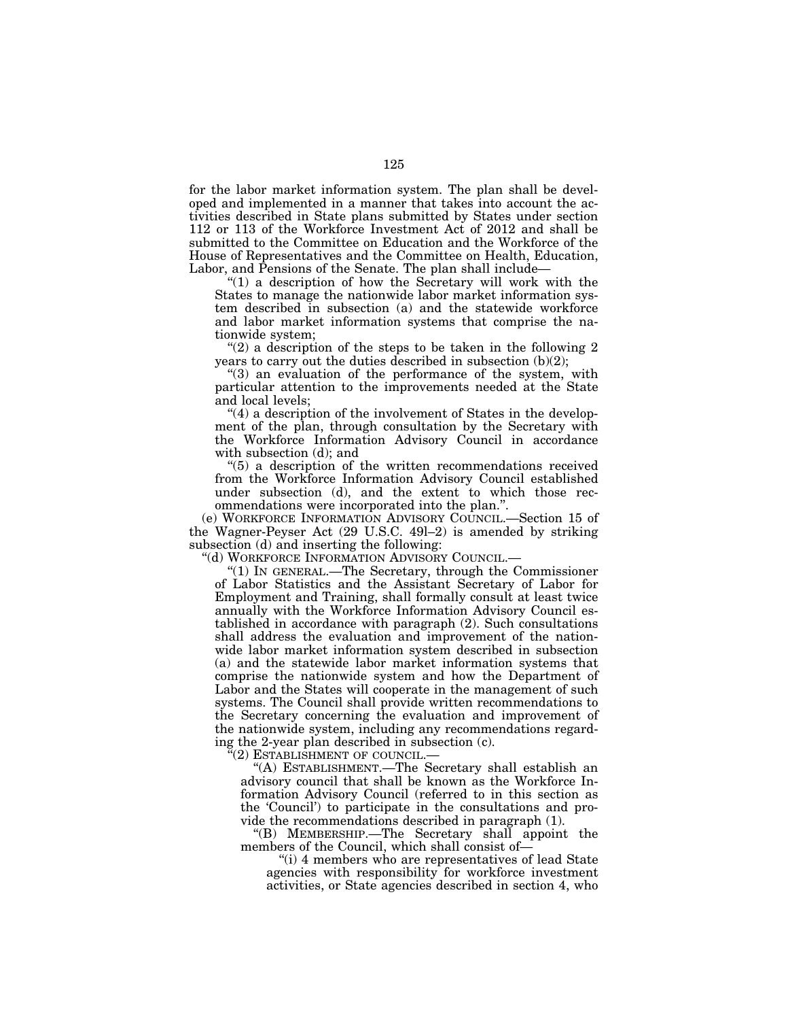for the labor market information system. The plan shall be developed and implemented in a manner that takes into account the activities described in State plans submitted by States under section 112 or 113 of the Workforce Investment Act of 2012 and shall be submitted to the Committee on Education and the Workforce of the House of Representatives and the Committee on Health, Education, Labor, and Pensions of the Senate. The plan shall include-

" $(1)$  a description of how the Secretary will work with the States to manage the nationwide labor market information system described in subsection (a) and the statewide workforce and labor market information systems that comprise the nationwide system;

"(2) a description of the steps to be taken in the following 2 years to carry out the duties described in subsection (b)(2);

"(3) an evaluation of the performance of the system, with particular attention to the improvements needed at the State and local levels;

" $(4)$  a description of the involvement of States in the development of the plan, through consultation by the Secretary with the Workforce Information Advisory Council in accordance with subsection (d); and

''(5) a description of the written recommendations received from the Workforce Information Advisory Council established under subsection (d), and the extent to which those recommendations were incorporated into the plan.''.

(e) WORKFORCE INFORMATION ADVISORY COUNCIL.—Section 15 of the Wagner-Peyser Act (29 U.S.C. 49l–2) is amended by striking subsection (d) and inserting the following:

''(d) WORKFORCE INFORMATION ADVISORY COUNCIL.—

''(1) IN GENERAL.—The Secretary, through the Commissioner of Labor Statistics and the Assistant Secretary of Labor for Employment and Training, shall formally consult at least twice annually with the Workforce Information Advisory Council established in accordance with paragraph (2). Such consultations shall address the evaluation and improvement of the nationwide labor market information system described in subsection (a) and the statewide labor market information systems that comprise the nationwide system and how the Department of Labor and the States will cooperate in the management of such systems. The Council shall provide written recommendations to the Secretary concerning the evaluation and improvement of the nationwide system, including any recommendations regarding the 2-year plan described in subsection (c).

 $\mathcal{C}(2)$  Establishment of council.—

'(A) ESTABLISHMENT.—The Secretary shall establish an advisory council that shall be known as the Workforce Information Advisory Council (referred to in this section as the 'Council') to participate in the consultations and provide the recommendations described in paragraph (1).

''(B) MEMBERSHIP.—The Secretary shall appoint the members of the Council, which shall consist of—

"(i) 4 members who are representatives of lead State" agencies with responsibility for workforce investment activities, or State agencies described in section 4, who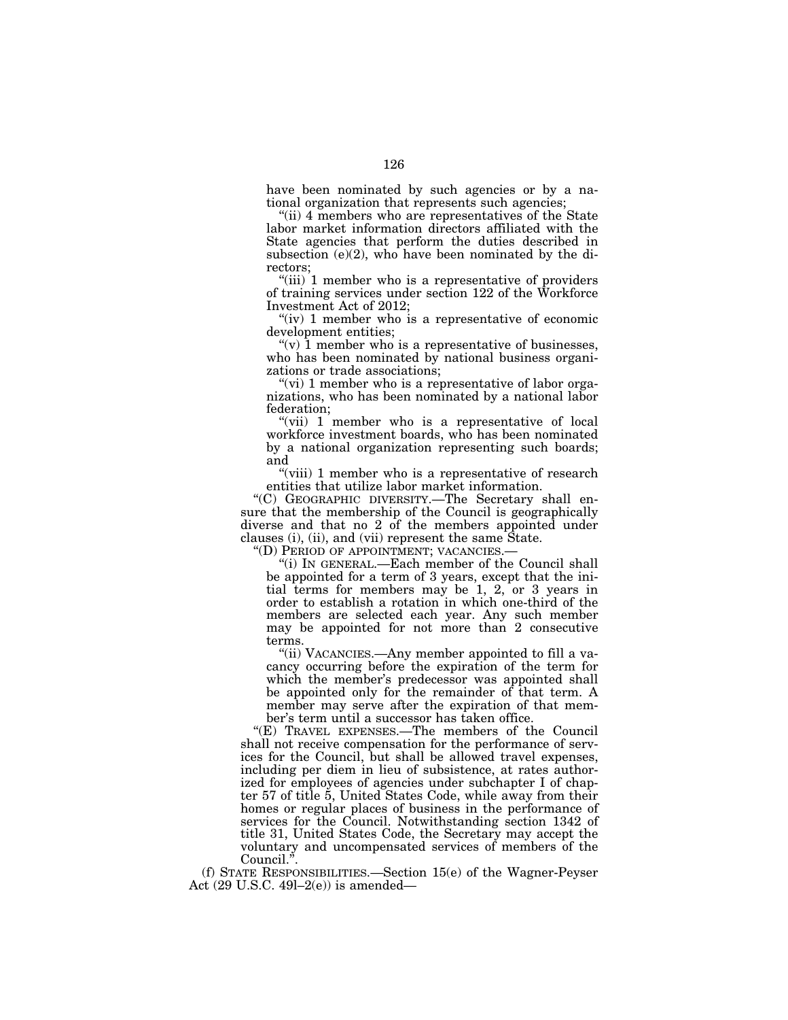have been nominated by such agencies or by a national organization that represents such agencies;

''(ii) 4 members who are representatives of the State labor market information directors affiliated with the State agencies that perform the duties described in subsection (e)(2), who have been nominated by the directors;

"(iii) 1 member who is a representative of providers of training services under section 122 of the Workforce Investment Act of 2012;

" $(iv)$  1 member who is a representative of economic development entities;

"(v)  $\hat{1}$  member who is a representative of businesses, who has been nominated by national business organizations or trade associations;

"(vi) 1 member who is a representative of labor organizations, who has been nominated by a national labor federation;

"(vii) 1 member who is a representative of local workforce investment boards, who has been nominated by a national organization representing such boards; and

"(viii) 1 member who is a representative of research entities that utilize labor market information.

''(C) GEOGRAPHIC DIVERSITY.—The Secretary shall ensure that the membership of the Council is geographically diverse and that no 2 of the members appointed under clauses (i), (ii), and (vii) represent the same State. "(D) PERIOD OF APPOINTMENT; VACANCIES.—

"(i) In GENERAL.—Each member of the Council shall be appointed for a term of 3 years, except that the initial terms for members may be 1, 2, or 3 years in order to establish a rotation in which one-third of the members are selected each year. Any such member may be appointed for not more than 2 consecutive terms.

"(ii) VACANCIES.—Any member appointed to fill a vacancy occurring before the expiration of the term for which the member's predecessor was appointed shall be appointed only for the remainder of that term. A member may serve after the expiration of that member's term until a successor has taken office.

''(E) TRAVEL EXPENSES.—The members of the Council shall not receive compensation for the performance of services for the Council, but shall be allowed travel expenses, including per diem in lieu of subsistence, at rates authorized for employees of agencies under subchapter I of chapter 57 of title 5, United States Code, while away from their homes or regular places of business in the performance of services for the Council. Notwithstanding section 1342 of title 31, United States Code, the Secretary may accept the voluntary and uncompensated services of members of the Council.''.

(f) STATE RESPONSIBILITIES.—Section 15(e) of the Wagner-Peyser Act  $(29 \text{ U.S.C. } 49l-2(e))$  is amended—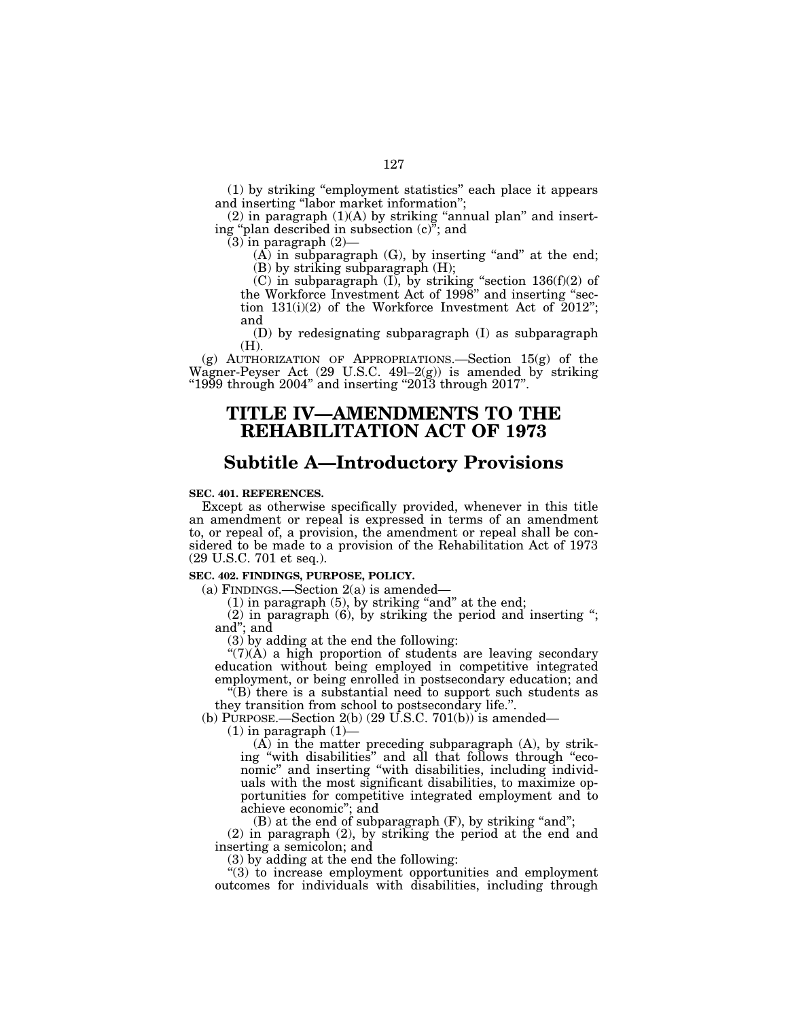(1) by striking ''employment statistics'' each place it appears and inserting ''labor market information'';

 $(2)$  in paragraph  $(1)(A)$  by striking "annual plan" and inserting ''plan described in subsection (c)''; and

 $(3)$  in paragraph  $(2)$ -

 $(A)$  in subparagraph  $(G)$ , by inserting "and" at the end; (B) by striking subparagraph (H);

(C) in subparagraph  $(I)$ , by striking "section 136(f)(2) of the Workforce Investment Act of 1998'' and inserting ''section  $131(i)(2)$  of the Workforce Investment Act of  $2012$ "; and

(D) by redesignating subparagraph (I) as subparagraph (H).

(g) AUTHORIZATION OF APPROPRIATIONS.—Section 15(g) of the Wagner-Peyser Act (29 U.S.C. 49l–2(g)) is amended by striking " $1999$  through  $2004$ " and inserting " $2013$  through  $2017$ ".

# **TITLE IV—AMENDMENTS TO THE REHABILITATION ACT OF 1973**

# **Subtitle A—Introductory Provisions**

# **SEC. 401. REFERENCES.**

Except as otherwise specifically provided, whenever in this title an amendment or repeal is expressed in terms of an amendment to, or repeal of, a provision, the amendment or repeal shall be considered to be made to a provision of the Rehabilitation Act of 1973 (29 U.S.C. 701 et seq.).

## **SEC. 402. FINDINGS, PURPOSE, POLICY.**

(a) FINDINGS.—Section  $2(a)$  is amended—

 $(1)$  in paragraph  $(5)$ , by striking "and" at the end;

(2) in paragraph (6), by striking the period and inserting ''; and''; and

(3) by adding at the end the following:

 $\mathcal{L}(7)(\mathring{A})$  a high proportion of students are leaving secondary education without being employed in competitive integrated employment, or being enrolled in postsecondary education; and

 $\sqrt{\text{B}}$  there is a substantial need to support such students as they transition from school to postsecondary life.''.

(b) PURPOSE.—Section 2(b)  $(29 \text{ U.S.C. } 701(b))$  is amended—

 $(1)$  in paragraph  $(1)$ —

(A) in the matter preceding subparagraph (A), by striking ''with disabilities'' and all that follows through ''economic'' and inserting ''with disabilities, including individuals with the most significant disabilities, to maximize opportunities for competitive integrated employment and to achieve economic''; and

 $(B)$  at the end of subparagraph  $(F)$ , by striking "and";

(2) in paragraph (2), by striking the period at the end and inserting a semicolon; and

(3) by adding at the end the following:

''(3) to increase employment opportunities and employment outcomes for individuals with disabilities, including through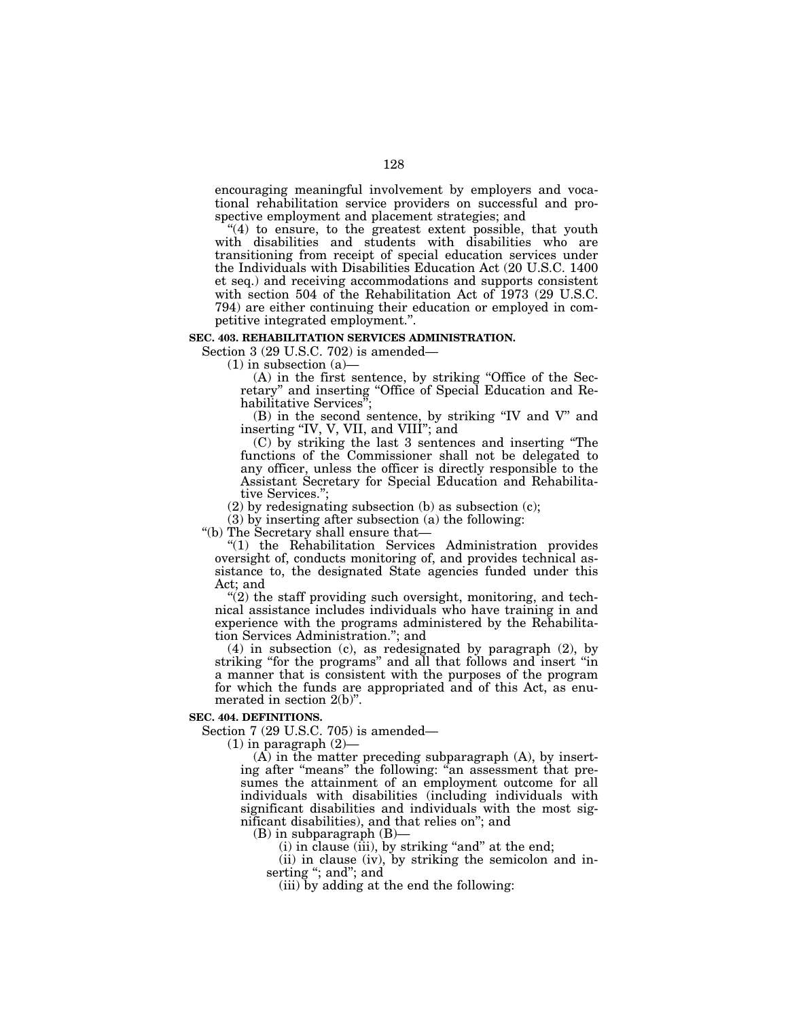encouraging meaningful involvement by employers and vocational rehabilitation service providers on successful and prospective employment and placement strategies; and

 $(4)$  to ensure, to the greatest extent possible, that youth with disabilities and students with disabilities who are transitioning from receipt of special education services under the Individuals with Disabilities Education Act (20 U.S.C. 1400 et seq.) and receiving accommodations and supports consistent with section 504 of the Rehabilitation Act of 1973 (29 U.S.C. 794) are either continuing their education or employed in competitive integrated employment.''.

### **SEC. 403. REHABILITATION SERVICES ADMINISTRATION.**

Section 3 (29 U.S.C. 702) is amended—

 $(1)$  in subsection  $(a)$ 

(A) in the first sentence, by striking ''Office of the Secretary" and inserting "Office of Special Education and Rehabilitative Services'';

(B) in the second sentence, by striking ''IV and V'' and inserting "IV, V, VII, and VIII"; and

(C) by striking the last 3 sentences and inserting ''The functions of the Commissioner shall not be delegated to any officer, unless the officer is directly responsible to the Assistant Secretary for Special Education and Rehabilitative Services.'';

(2) by redesignating subsection (b) as subsection (c);

(3) by inserting after subsection (a) the following:

''(b) The Secretary shall ensure that—

''(1) the Rehabilitation Services Administration provides oversight of, conducts monitoring of, and provides technical assistance to, the designated State agencies funded under this Act; and

" $(2)$  the staff providing such oversight, monitoring, and technical assistance includes individuals who have training in and experience with the programs administered by the Rehabilitation Services Administration.''; and

(4) in subsection (c), as redesignated by paragraph (2), by striking ''for the programs'' and all that follows and insert ''in a manner that is consistent with the purposes of the program for which the funds are appropriated and of this Act, as enumerated in section 2(b)''.

#### **SEC. 404. DEFINITIONS.**

Section 7 (29 U.S.C. 705) is amended—

 $(1)$  in paragraph  $(2)$ —

 $(A)$  in the matter preceding subparagraph  $(A)$ , by inserting after "means" the following: "an assessment that presumes the attainment of an employment outcome for all individuals with disabilities (including individuals with significant disabilities and individuals with the most significant disabilities), and that relies on''; and

(B) in subparagraph (B)—

(i) in clause (iii), by striking "and" at the end;

(ii) in clause (iv), by striking the semicolon and inserting "; and"; and

(iii) by adding at the end the following: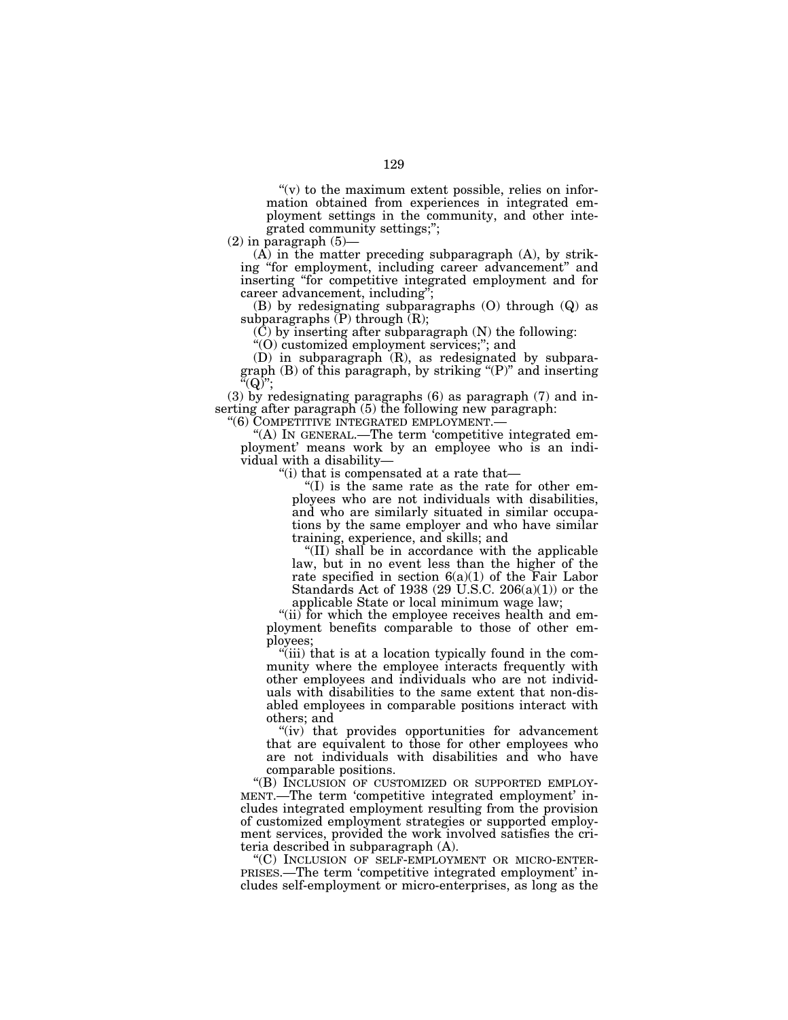" $(v)$  to the maximum extent possible, relies on information obtained from experiences in integrated employment settings in the community, and other integrated community settings;'';

 $(2)$  in paragraph  $(5)$ -

(A) in the matter preceding subparagraph (A), by striking ''for employment, including career advancement'' and inserting ''for competitive integrated employment and for career advancement, including";

(B) by redesignating subparagraphs (O) through (Q) as subparagraphs  $(P)$  through  $(R)$ ;

(C) by inserting after subparagraph (N) the following:

''(O) customized employment services;''; and

(D) in subparagraph (R), as redesignated by subparagraph (B) of this paragraph, by striking ''(P)'' and inserting  $\mathbf{H}^{\tilde{a}}(Q)$ ";

(3) by redesignating paragraphs (6) as paragraph (7) and inserting after paragraph (5) the following new paragraph:

''(6) COMPETITIVE INTEGRATED EMPLOYMENT.— ''(A) IN GENERAL.—The term 'competitive integrated employment' means work by an employee who is an individual with a disability—

''(i) that is compensated at a rate that—

''(I) is the same rate as the rate for other employees who are not individuals with disabilities, and who are similarly situated in similar occupations by the same employer and who have similar training, experience, and skills; and

''(II) shall be in accordance with the applicable law, but in no event less than the higher of the rate specified in section  $6(a)(1)$  of the Fair Labor Standards Act of 1938 (29 U.S.C. 206(a)(1)) or the applicable State or local minimum wage law;

"(ii) for which the employee receives health and employment benefits comparable to those of other employees;

''(iii) that is at a location typically found in the community where the employee interacts frequently with other employees and individuals who are not individuals with disabilities to the same extent that non-disabled employees in comparable positions interact with others; and

"(iv) that provides opportunities for advancement that are equivalent to those for other employees who are not individuals with disabilities and who have

comparable positions.<br>"(B) INCLUSION OF CUSTOMIZED OR SUPPORTED EMPLOY-MENT.—The term 'competitive integrated employment' includes integrated employment resulting from the provision of customized employment strategies or supported employment services, provided the work involved satisfies the criteria described in subparagraph (A).<br>"(C) INCLUSION OF SELF-EMPLOYMENT OR MICRO-ENTER-

 $PRISES$ . The term 'competitive integrated employment' includes self-employment or micro-enterprises, as long as the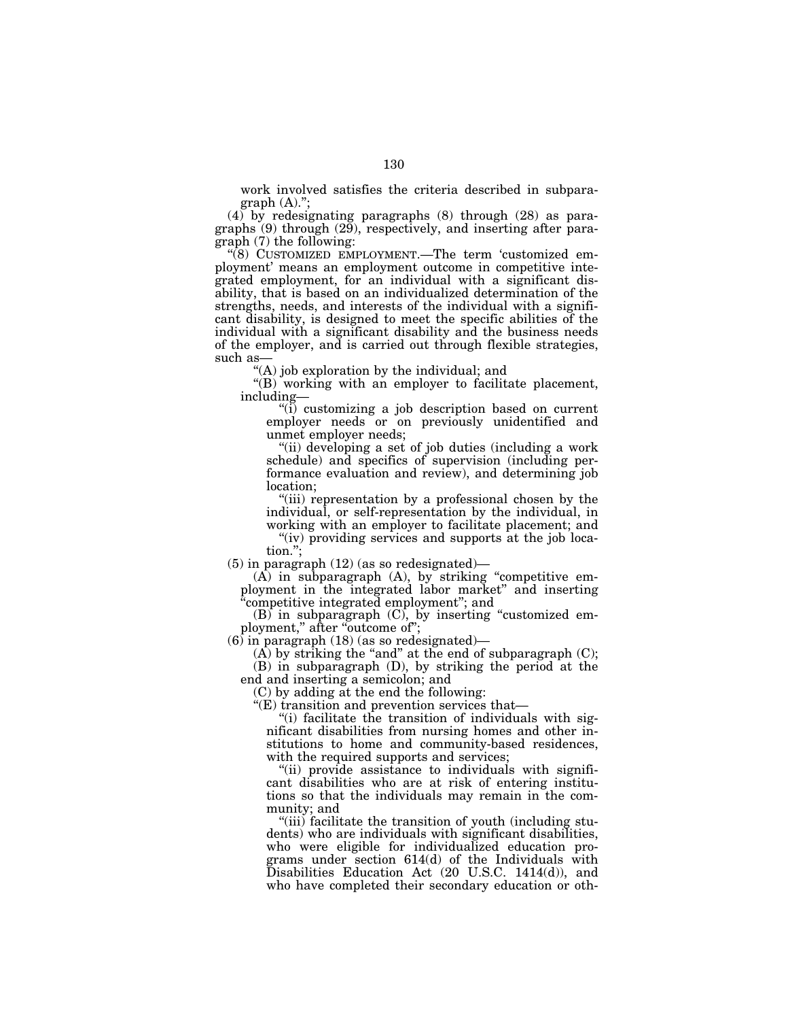work involved satisfies the criteria described in subpara $graph (A).$ ";

(4) by redesignating paragraphs (8) through (28) as paragraphs (9) through (29), respectively, and inserting after paragraph (7) the following:

''(8) CUSTOMIZED EMPLOYMENT.—The term 'customized employment' means an employment outcome in competitive integrated employment, for an individual with a significant disability, that is based on an individualized determination of the strengths, needs, and interests of the individual with a significant disability, is designed to meet the specific abilities of the individual with a significant disability and the business needs of the employer, and is carried out through flexible strategies, such as-

''(A) job exploration by the individual; and

''(B) working with an employer to facilitate placement, including—

''(i) customizing a job description based on current employer needs or on previously unidentified and unmet employer needs;

''(ii) developing a set of job duties (including a work schedule) and specifics of supervision (including performance evaluation and review), and determining job location;

''(iii) representation by a professional chosen by the individual, or self-representation by the individual, in working with an employer to facilitate placement; and

"(iv) providing services and supports at the job location.'';

(5) in paragraph (12) (as so redesignated)—

(A) in subparagraph (A), by striking ''competitive employment in the integrated labor market'' and inserting ''competitive integrated employment''; and

(B) in subparagraph (C), by inserting ''customized employment," after "outcome of";

(6) in paragraph (18) (as so redesignated)—

 $(A)$  by striking the "and" at the end of subparagraph  $(C)$ ;

(B) in subparagraph (D), by striking the period at the end and inserting a semicolon; and

(C) by adding at the end the following:

''(E) transition and prevention services that—

''(i) facilitate the transition of individuals with significant disabilities from nursing homes and other institutions to home and community-based residences, with the required supports and services;

''(ii) provide assistance to individuals with significant disabilities who are at risk of entering institutions so that the individuals may remain in the community; and

''(iii) facilitate the transition of youth (including students) who are individuals with significant disabilities, who were eligible for individualized education programs under section 614(d) of the Individuals with Disabilities Education Act (20 U.S.C. 1414(d)), and who have completed their secondary education or oth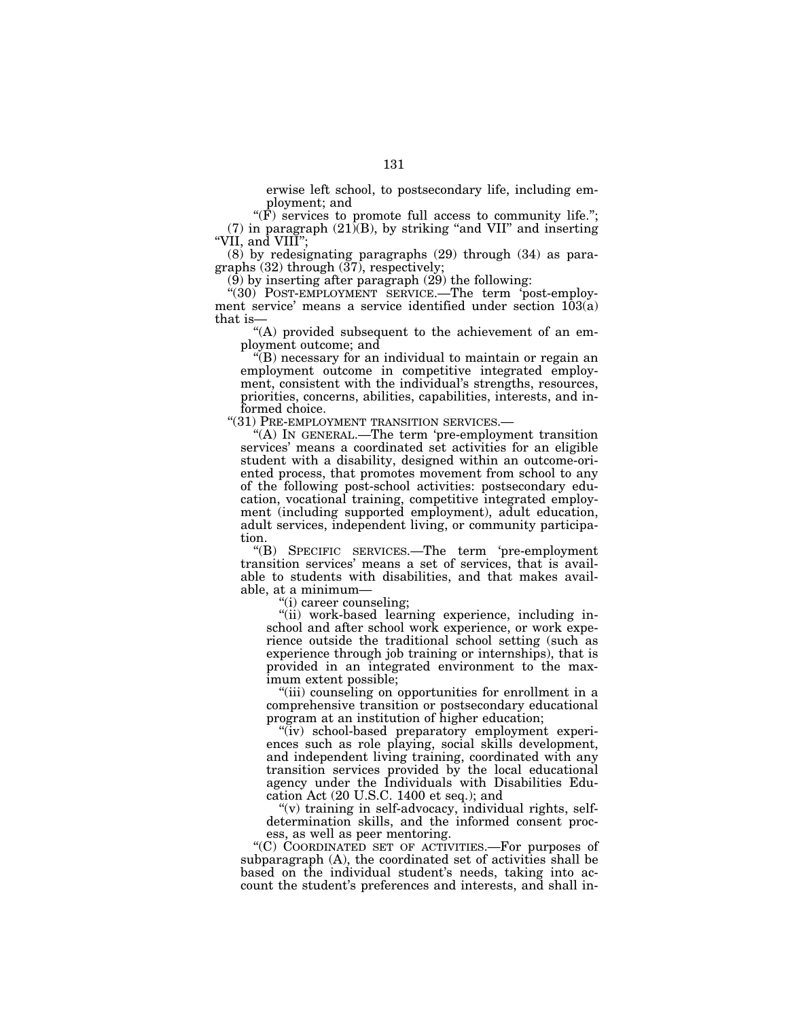erwise left school, to postsecondary life, including employment; and

 $\mathbf{F}(\mathbf{F})$  services to promote full access to community life."; (7) in paragraph  $(21)(B)$ , by striking "and VII" and inserting "VII, and VIII";

(8) by redesignating paragraphs (29) through (34) as paragraphs  $(32)$  through  $(37)$ , respectively;

 $(9)$  by inserting after paragraph  $(29)$  the following:

"(30) POST-EMPLOYMENT SERVICE.—The term 'post-employment service' means a service identified under section  $103(a)$ that is-

"(A) provided subsequent to the achievement of an employment outcome; and

''(B) necessary for an individual to maintain or regain an employment outcome in competitive integrated employment, consistent with the individual's strengths, resources, priorities, concerns, abilities, capabilities, interests, and informed choice.<br>"(31) PRE-EMPLOYMENT TRANSITION SERVICES.—

"(A) In GENERAL.—The term 'pre-employment transition services' means a coordinated set activities for an eligible student with a disability, designed within an outcome-oriented process, that promotes movement from school to any of the following post-school activities: postsecondary education, vocational training, competitive integrated employment (including supported employment), adult education, adult services, independent living, or community participation.

''(B) SPECIFIC SERVICES.—The term 'pre-employment transition services' means a set of services, that is available to students with disabilities, and that makes available, at a minimum—

''(i) career counseling;

''(ii) work-based learning experience, including inschool and after school work experience, or work experience outside the traditional school setting (such as experience through job training or internships), that is provided in an integrated environment to the maximum extent possible;

''(iii) counseling on opportunities for enrollment in a comprehensive transition or postsecondary educational program at an institution of higher education;

"(iv) school-based preparatory employment experiences such as role playing, social skills development, and independent living training, coordinated with any transition services provided by the local educational agency under the Individuals with Disabilities Education Act (20 U.S.C. 1400 et seq.); and

''(v) training in self-advocacy, individual rights, selfdetermination skills, and the informed consent process, as well as peer mentoring.

''(C) COORDINATED SET OF ACTIVITIES.—For purposes of subparagraph (A), the coordinated set of activities shall be based on the individual student's needs, taking into account the student's preferences and interests, and shall in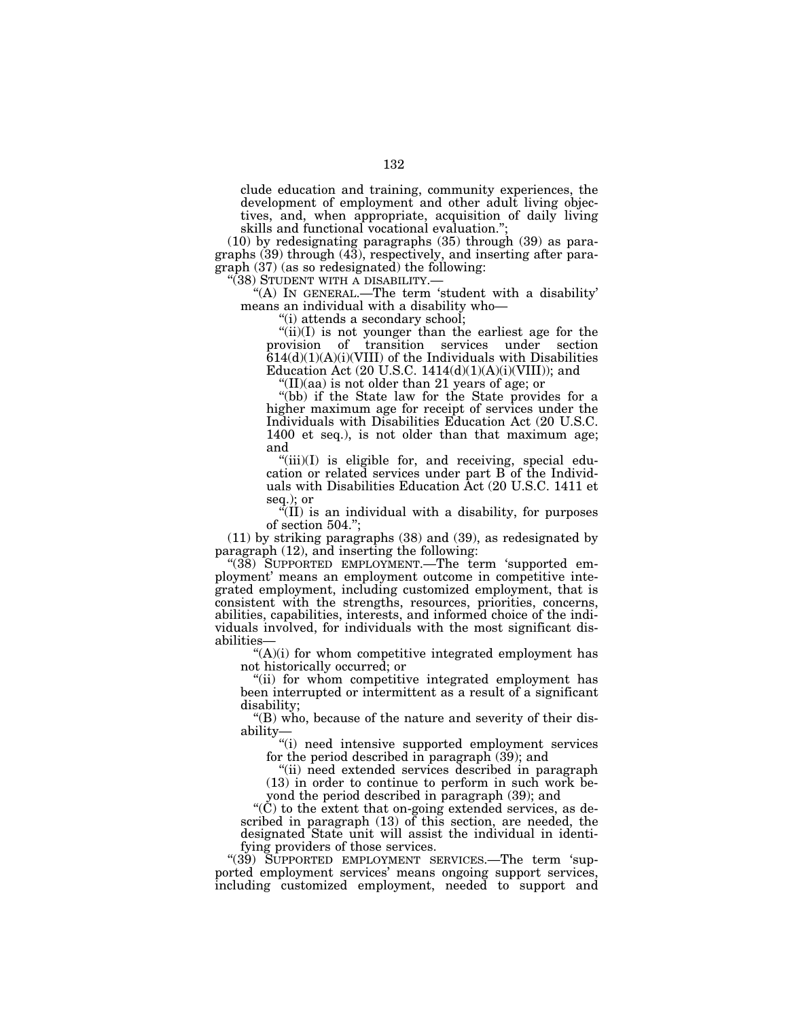clude education and training, community experiences, the development of employment and other adult living objectives, and, when appropriate, acquisition of daily living skills and functional vocational evaluation.'';

(10) by redesignating paragraphs (35) through (39) as paragraphs (39) through (43), respectively, and inserting after paragraph (37) (as so redesignated) the following:<br>"(38) STUDENT WITH A DISABILITY.—

"(A) In GENERAL.—The term 'student with a disability' means an individual with a disability who—

''(i) attends a secondary school;

" $(ii)(I)$  is not younger than the earliest age for the provision of transition services under section  $614(d)(1)(A)(i)(VIII)$  of the Individuals with Disabilities Education Act (20 U.S.C.  $1414(d)(1)(A)(i)(VIII)$ ); and

''(II)(aa) is not older than 21 years of age; or

''(bb) if the State law for the State provides for a higher maximum age for receipt of services under the Individuals with Disabilities Education Act (20 U.S.C. 1400 et seq.), is not older than that maximum age; and

"(iii)(I) is eligible for, and receiving, special education or related services under part B of the Individuals with Disabilities Education Act (20 U.S.C. 1411 et seq.); or

''(II) is an individual with a disability, for purposes of section 504.'';

(11) by striking paragraphs (38) and (39), as redesignated by paragraph (12), and inserting the following:

"(38) SUPPORTED EMPLOYMENT.—The term 'supported employment' means an employment outcome in competitive integrated employment, including customized employment, that is consistent with the strengths, resources, priorities, concerns, abilities, capabilities, interests, and informed choice of the individuals involved, for individuals with the most significant disabilities—

 $(A)(i)$  for whom competitive integrated employment has not historically occurred; or

''(ii) for whom competitive integrated employment has been interrupted or intermittent as a result of a significant disability;

''(B) who, because of the nature and severity of their disability—

''(i) need intensive supported employment services for the period described in paragraph (39); and

''(ii) need extended services described in paragraph (13) in order to continue to perform in such work beyond the period described in paragraph (39); and

''(C) to the extent that on-going extended services, as described in paragraph (13) of this section, are needed, the designated State unit will assist the individual in identifying providers of those services.

"(39) SUPPORTED EMPLOYMENT SERVICES.—The term 'supported employment services' means ongoing support services, including customized employment, needed to support and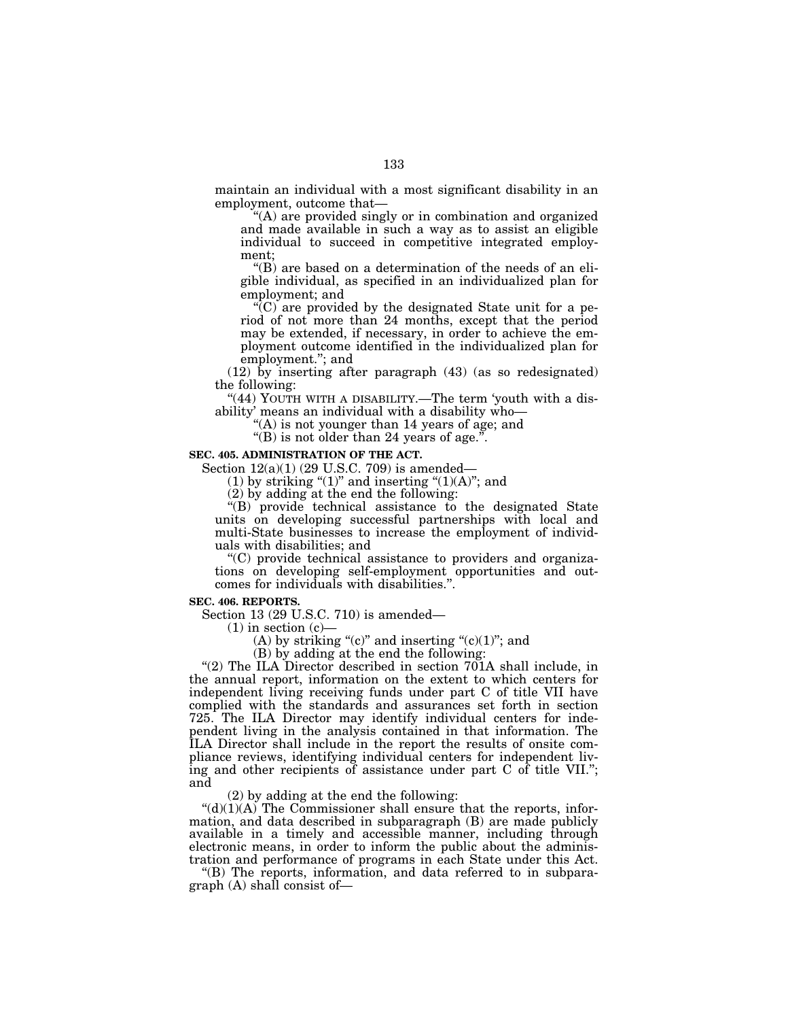maintain an individual with a most significant disability in an employment, outcome that—

''(A) are provided singly or in combination and organized and made available in such a way as to assist an eligible individual to succeed in competitive integrated employment;

''(B) are based on a determination of the needs of an eligible individual, as specified in an individualized plan for employment; and

''(C) are provided by the designated State unit for a period of not more than 24 months, except that the period may be extended, if necessary, in order to achieve the employment outcome identified in the individualized plan for employment.''; and

(12) by inserting after paragraph (43) (as so redesignated) the following:

"(44) YOUTH WITH A DISABILITY.—The term 'youth with a disability' means an individual with a disability who—

''(A) is not younger than 14 years of age; and

''(B) is not older than 24 years of age.''.

# **SEC. 405. ADMINISTRATION OF THE ACT.**

Section 12(a)(1) (29 U.S.C. 709) is amended—

(1) by striking " $(1)$ " and inserting " $(1)(A)$ "; and

(2) by adding at the end the following:

''(B) provide technical assistance to the designated State units on developing successful partnerships with local and multi-State businesses to increase the employment of individuals with disabilities; and

''(C) provide technical assistance to providers and organizations on developing self-employment opportunities and outcomes for individuals with disabilities.''.

## **SEC. 406. REPORTS.**

Section 13 (29 U.S.C. 710) is amended—

 $(1)$  in section  $(c)$ —

(A) by striking " $(c)$ " and inserting " $(c)(1)$ "; and

(B) by adding at the end the following:

"(2) The ILA Director described in section  $701A$  shall include, in the annual report, information on the extent to which centers for independent living receiving funds under part C of title VII have complied with the standards and assurances set forth in section 725. The ILA Director may identify individual centers for independent living in the analysis contained in that information. The ILA Director shall include in the report the results of onsite compliance reviews, identifying individual centers for independent living and other recipients of assistance under part C of title VII.''; and

(2) by adding at the end the following:

 $"(d)(1)(A)$  The Commissioner shall ensure that the reports, information, and data described in subparagraph (B) are made publicly available in a timely and accessible manner, including through electronic means, in order to inform the public about the administration and performance of programs in each State under this Act.

''(B) The reports, information, and data referred to in subpara $graph (A) shall consist of—$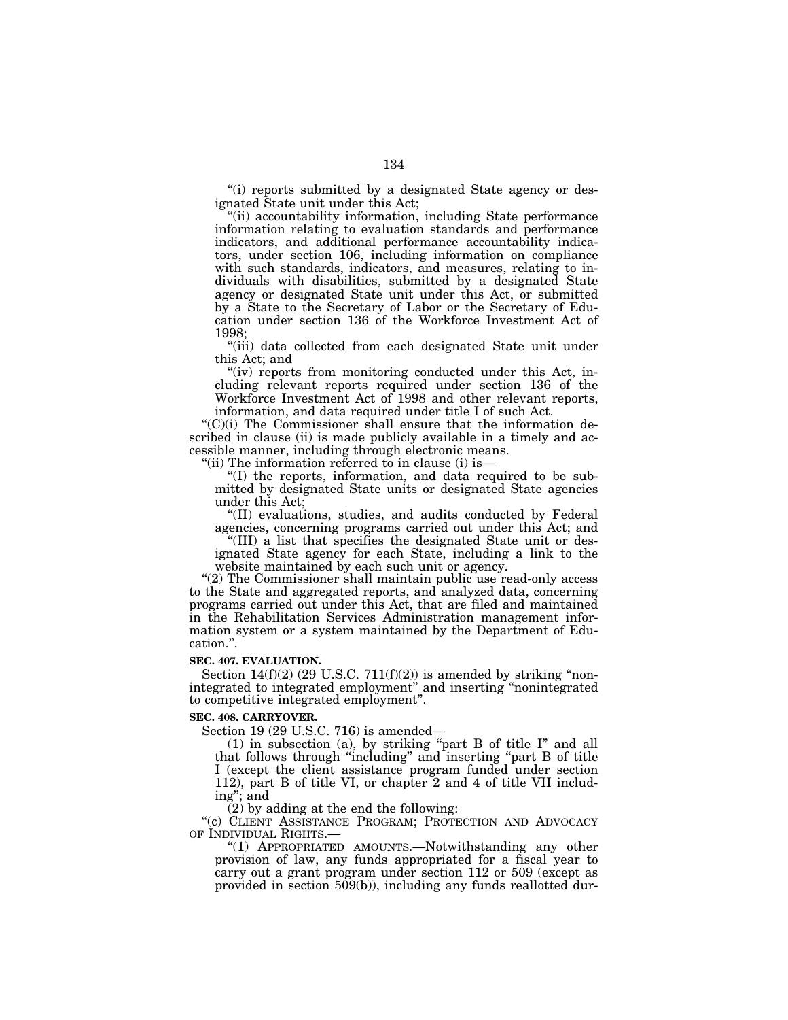''(i) reports submitted by a designated State agency or designated State unit under this Act;

"(ii) accountability information, including State performance information relating to evaluation standards and performance indicators, and additional performance accountability indicators, under section 106, including information on compliance with such standards, indicators, and measures, relating to individuals with disabilities, submitted by a designated State agency or designated State unit under this Act, or submitted by a State to the Secretary of Labor or the Secretary of Education under section 136 of the Workforce Investment Act of 1998;

"(iii) data collected from each designated State unit under this Act; and

"(iv) reports from monitoring conducted under this Act, including relevant reports required under section 136 of the Workforce Investment Act of 1998 and other relevant reports, information, and data required under title I of such Act.

''(C)(i) The Commissioner shall ensure that the information described in clause (ii) is made publicly available in a timely and accessible manner, including through electronic means.

"(ii) The information referred to in clause (i) is-

''(I) the reports, information, and data required to be submitted by designated State units or designated State agencies under this Act;

''(II) evaluations, studies, and audits conducted by Federal agencies, concerning programs carried out under this Act; and

''(III) a list that specifies the designated State unit or designated State agency for each State, including a link to the website maintained by each such unit or agency.

"(2) The Commissioner shall maintain public use read-only access to the State and aggregated reports, and analyzed data, concerning programs carried out under this Act, that are filed and maintained in the Rehabilitation Services Administration management information system or a system maintained by the Department of Education.''.

### **SEC. 407. EVALUATION.**

Section  $14(f)(2)$  (29 U.S.C.  $711(f)(2)$ ) is amended by striking "nonintegrated to integrated employment'' and inserting ''nonintegrated to competitive integrated employment''.

#### **SEC. 408. CARRYOVER.**

Section 19 (29 U.S.C. 716) is amended—

(1) in subsection (a), by striking ''part B of title I'' and all that follows through ''including'' and inserting ''part B of title I (except the client assistance program funded under section 112), part B of title VI, or chapter 2 and 4 of title VII including''; and

 $(2)$  by adding at the end the following:

"(c) CLIENT ASSISTANCE PROGRAM; PROTECTION AND ADVOCACY OF INDIVIDUAL RIGHTS.—

''(1) APPROPRIATED AMOUNTS.—Notwithstanding any other provision of law, any funds appropriated for a fiscal year to carry out a grant program under section 112 or 509 (except as provided in section 509(b)), including any funds reallotted dur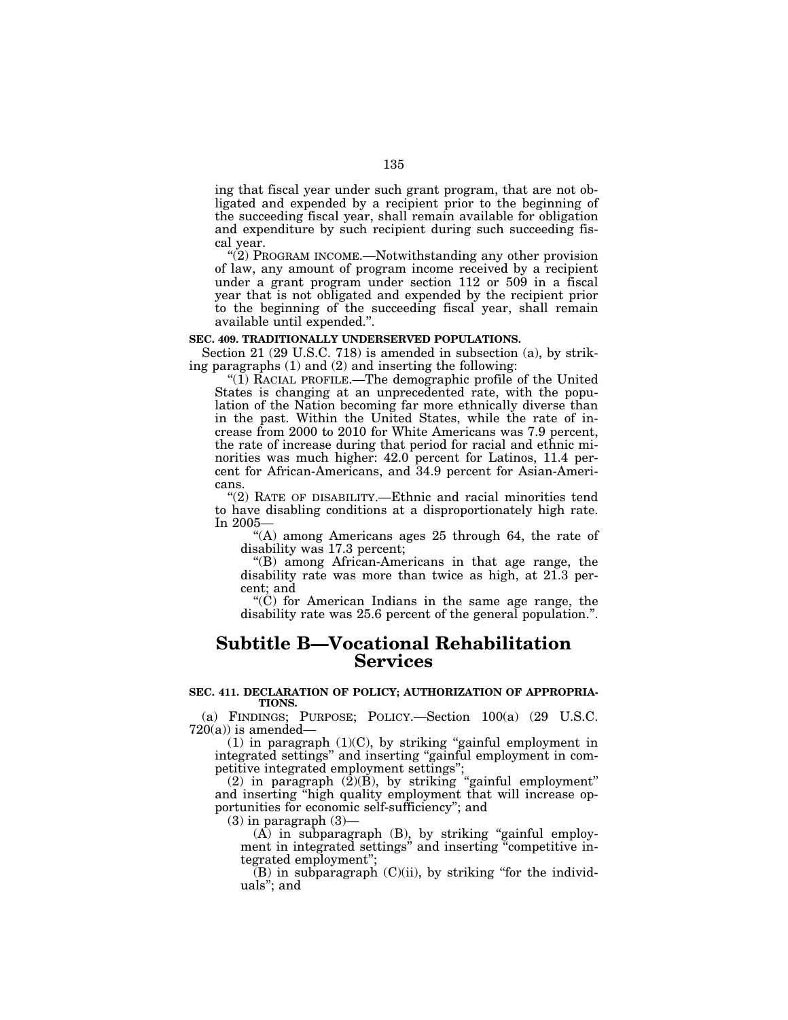ing that fiscal year under such grant program, that are not obligated and expended by a recipient prior to the beginning of the succeeding fiscal year, shall remain available for obligation and expenditure by such recipient during such succeeding fiscal year.

" $(2)$  PROGRAM INCOME.—Notwithstanding any other provision of law, any amount of program income received by a recipient under a grant program under section 112 or 509 in a fiscal year that is not obligated and expended by the recipient prior to the beginning of the succeeding fiscal year, shall remain available until expended.''.

### **SEC. 409. TRADITIONALLY UNDERSERVED POPULATIONS.**

Section 21 (29 U.S.C. 718) is amended in subsection (a), by striking paragraphs (1) and (2) and inserting the following:

" $(1)$  RACIAL PROFILE.—The demographic profile of the United States is changing at an unprecedented rate, with the population of the Nation becoming far more ethnically diverse than in the past. Within the United States, while the rate of increase from 2000 to 2010 for White Americans was 7.9 percent, the rate of increase during that period for racial and ethnic minorities was much higher: 42.0 percent for Latinos, 11.4 percent for African-Americans, and 34.9 percent for Asian-Americans.

''(2) RATE OF DISABILITY.—Ethnic and racial minorities tend to have disabling conditions at a disproportionately high rate. In 2005—

''(A) among Americans ages 25 through 64, the rate of disability was 17.3 percent;

''(B) among African-Americans in that age range, the disability rate was more than twice as high, at 21.3 percent; and

''(C) for American Indians in the same age range, the disability rate was 25.6 percent of the general population.''.

# **Subtitle B—Vocational Rehabilitation Services**

# **SEC. 411. DECLARATION OF POLICY; AUTHORIZATION OF APPROPRIA-TIONS.**

(a) FINDINGS; PURPOSE; POLICY.—Section 100(a) (29 U.S.C.  $720(a)$  is amended—

 $(1)$  in paragraph  $(1)(C)$ , by striking "gainful employment in integrated settings'' and inserting ''gainful employment in competitive integrated employment settings'';

 $(2)$  in paragraph  $(2)(B)$ , by striking "gainful employment" and inserting ''high quality employment that will increase opportunities for economic self-sufficiency''; and

 $(3)$  in paragraph  $(3)$ —

 $(A)$  in subparagraph  $(B)$ , by striking "gainful employment in integrated settings'' and inserting ''competitive integrated employment'';

 $(B)$  in subparagraph  $(C)(ii)$ , by striking "for the individuals''; and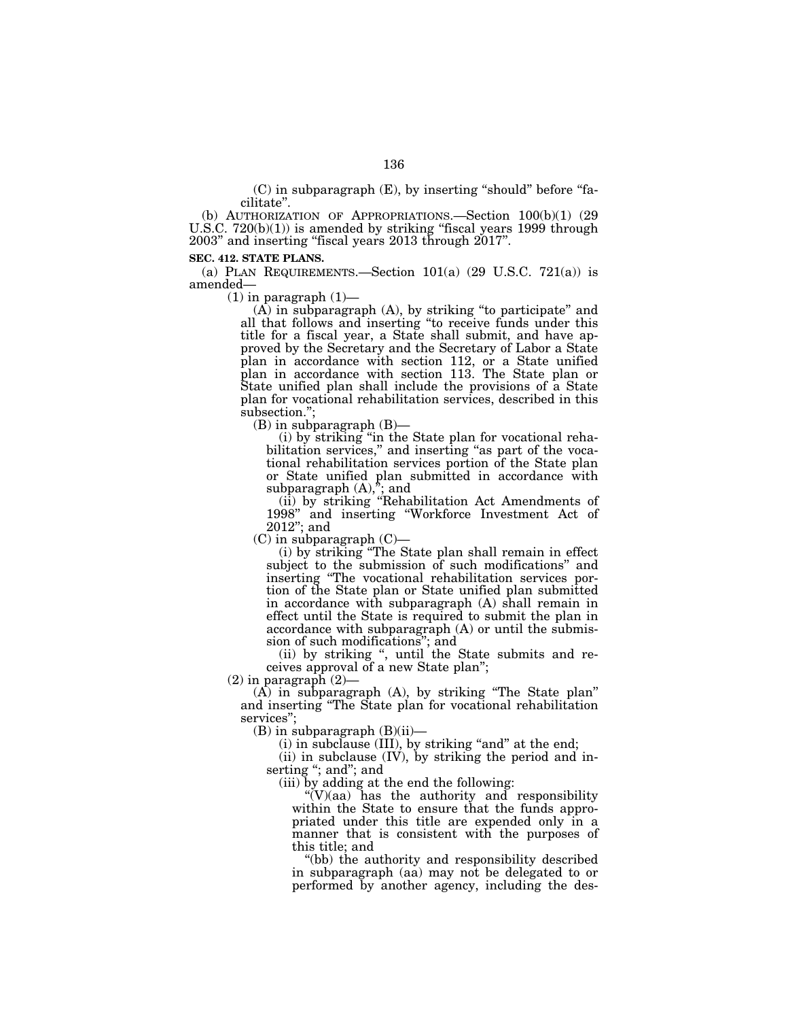$(C)$  in subparagraph  $(E)$ , by inserting "should" before "facilitate''.

(b) AUTHORIZATION OF APPROPRIATIONS.—Section 100(b)(1) (29 U.S.C.  $720(b)(1)$ ) is amended by striking "fiscal years 1999 through 2003'' and inserting ''fiscal years 2013 through 2017''.

### **SEC. 412. STATE PLANS.**

(a) PLAN REQUIREMENTS.—Section  $101(a)$  (29 U.S.C. 721(a)) is amended—

 $(1)$  in paragraph  $(1)$ —

 $(A)$  in subparagraph  $(A)$ , by striking "to participate" and all that follows and inserting ''to receive funds under this title for a fiscal year, a State shall submit, and have approved by the Secretary and the Secretary of Labor a State plan in accordance with section 112, or a State unified plan in accordance with section 113. The State plan or State unified plan shall include the provisions of a State plan for vocational rehabilitation services, described in this subsection.'';

(B) in subparagraph (B)—

(i) by striking ''in the State plan for vocational rehabilitation services," and inserting "as part of the vocational rehabilitation services portion of the State plan or State unified plan submitted in accordance with subparagraph  $(A)$ ,"; and

(ii) by striking ''Rehabilitation Act Amendments of 1998'' and inserting ''Workforce Investment Act of 2012''; and

 $(C)$  in subparagraph  $(C)$ —

(i) by striking ''The State plan shall remain in effect subject to the submission of such modifications'' and inserting ''The vocational rehabilitation services portion of the State plan or State unified plan submitted in accordance with subparagraph (A) shall remain in effect until the State is required to submit the plan in accordance with subparagraph (A) or until the submission of such modifications''; and

(ii) by striking '', until the State submits and receives approval of a new State plan'';

 $(2)$  in paragraph  $(2)$ —

 $(A)$  in subparagraph  $(A)$ , by striking "The State plan" and inserting ''The State plan for vocational rehabilitation services'';

 $(B)$  in subparagraph  $(B)(ii)$ —

(i) in subclause (III), by striking "and" at the end;

 $(ii)$  in subclause  $(IV)$ , by striking the period and inserting "; and"; and

(iii) by adding at the end the following:

 $\mathcal{C}(V)(aa)$  has the authority and responsibility within the State to ensure that the funds appropriated under this title are expended only in a manner that is consistent with the purposes of this title; and

''(bb) the authority and responsibility described in subparagraph (aa) may not be delegated to or performed by another agency, including the des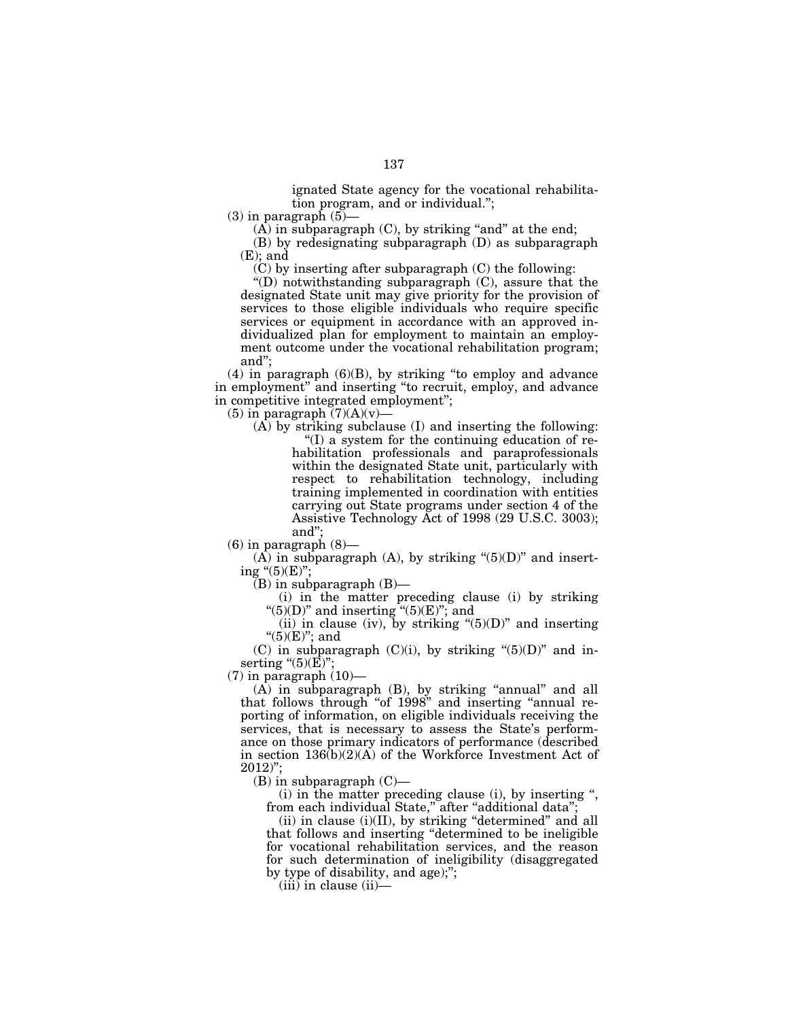ignated State agency for the vocational rehabilitation program, and or individual.'';

 $(3)$  in paragraph  $(5)$ 

 $(A)$  in subparagraph  $(C)$ , by striking "and" at the end;

(B) by redesignating subparagraph (D) as subparagraph  $(E)$ ; and

(C) by inserting after subparagraph (C) the following:

''(D) notwithstanding subparagraph (C), assure that the designated State unit may give priority for the provision of services to those eligible individuals who require specific services or equipment in accordance with an approved individualized plan for employment to maintain an employment outcome under the vocational rehabilitation program; and'';

(4) in paragraph (6)(B), by striking ''to employ and advance in employment'' and inserting ''to recruit, employ, and advance in competitive integrated employment'';

 $(5)$  in paragraph  $(7)(A)(v)$ 

(A) by striking subclause (I) and inserting the following: ''(I) a system for the continuing education of rehabilitation professionals and paraprofessionals within the designated State unit, particularly with respect to rehabilitation technology, including training implemented in coordination with entities

carrying out State programs under section 4 of the Assistive Technology Act of 1998 (29 U.S.C. 3003); and'';

 $(6)$  in paragraph  $(8)$ —

 $(A)$  in subparagraph  $(A)$ , by striking " $(5)(D)$ " and inserting " $(5)(E)$ ";

(B) in subparagraph (B)—

(i) in the matter preceding clause (i) by striking " $(5)(D)$ " and inserting " $(5)(E)$ "; and

(ii) in clause (iv), by striking " $(5)(D)$ " and inserting " $(5)(E)$ "; and

(C) in subparagraph  $(C)(i)$ , by striking " $(5)(D)$ " and inserting " $(5)(\overline{E})$ ";

 $(7)$  in paragraph  $(10)$ —

 $(A)$  in subparagraph  $(B)$ , by striking "annual" and all that follows through "of 1998" and inserting "annual reporting of information, on eligible individuals receiving the services, that is necessary to assess the State's performance on those primary indicators of performance (described in section  $136(b)(2)(A)$  of the Workforce Investment Act of 2012)'';

 $(B)$  in subparagraph  $(C)$ —

(i) in the matter preceding clause (i), by inserting '', from each individual State,'' after ''additional data'';

 $(ii)$  in clause  $(i)(II)$ , by striking "determined" and all that follows and inserting ''determined to be ineligible for vocational rehabilitation services, and the reason for such determination of ineligibility (disaggregated by type of disability, and age);'';

(iii) in clause (ii)—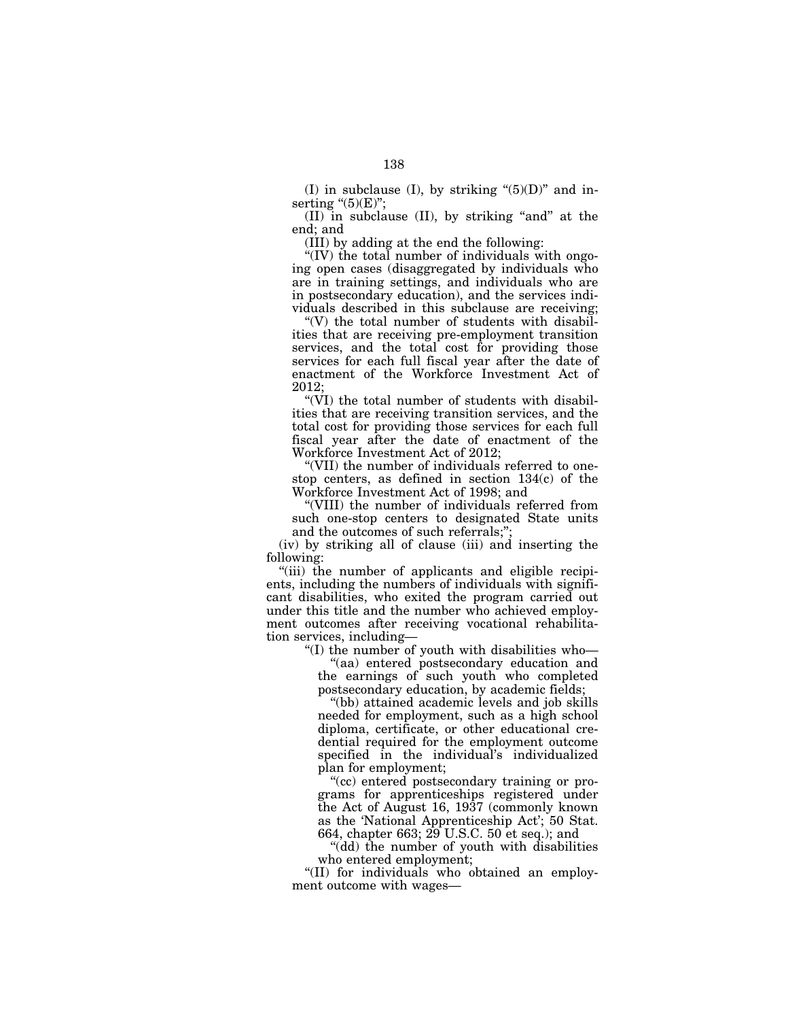(I) in subclause (I), by striking " $(5)(D)$ " and inserting  $\degree(5)$ (E)";

 $(II)$  in subclause  $(II)$ , by striking "and" at the end; and

(III) by adding at the end the following:

" $(IV)$  the total number of individuals with ongoing open cases (disaggregated by individuals who are in training settings, and individuals who are in postsecondary education), and the services individuals described in this subclause are receiving;

" $(V)$  the total number of students with disabilities that are receiving pre-employment transition services, and the total cost for providing those services for each full fiscal year after the date of enactment of the Workforce Investment Act of 2012;

''(VI) the total number of students with disabilities that are receiving transition services, and the total cost for providing those services for each full fiscal year after the date of enactment of the Workforce Investment Act of 2012;

''(VII) the number of individuals referred to onestop centers, as defined in section 134(c) of the Workforce Investment Act of 1998; and

''(VIII) the number of individuals referred from such one-stop centers to designated State units and the outcomes of such referrals;'';

(iv) by striking all of clause (iii) and inserting the following:

''(iii) the number of applicants and eligible recipients, including the numbers of individuals with significant disabilities, who exited the program carried out under this title and the number who achieved employment outcomes after receiving vocational rehabilitation services, including—

''(I) the number of youth with disabilities who—

''(aa) entered postsecondary education and the earnings of such youth who completed postsecondary education, by academic fields;

''(bb) attained academic levels and job skills needed for employment, such as a high school diploma, certificate, or other educational credential required for the employment outcome specified in the individual's individualized plan for employment;

''(cc) entered postsecondary training or programs for apprenticeships registered under the Act of August 16, 1937 (commonly known as the 'National Apprenticeship Act'; 50 Stat. 664, chapter 663; 29 U.S.C. 50 et seq.); and

''(dd) the number of youth with disabilities who entered employment;

''(II) for individuals who obtained an employment outcome with wages—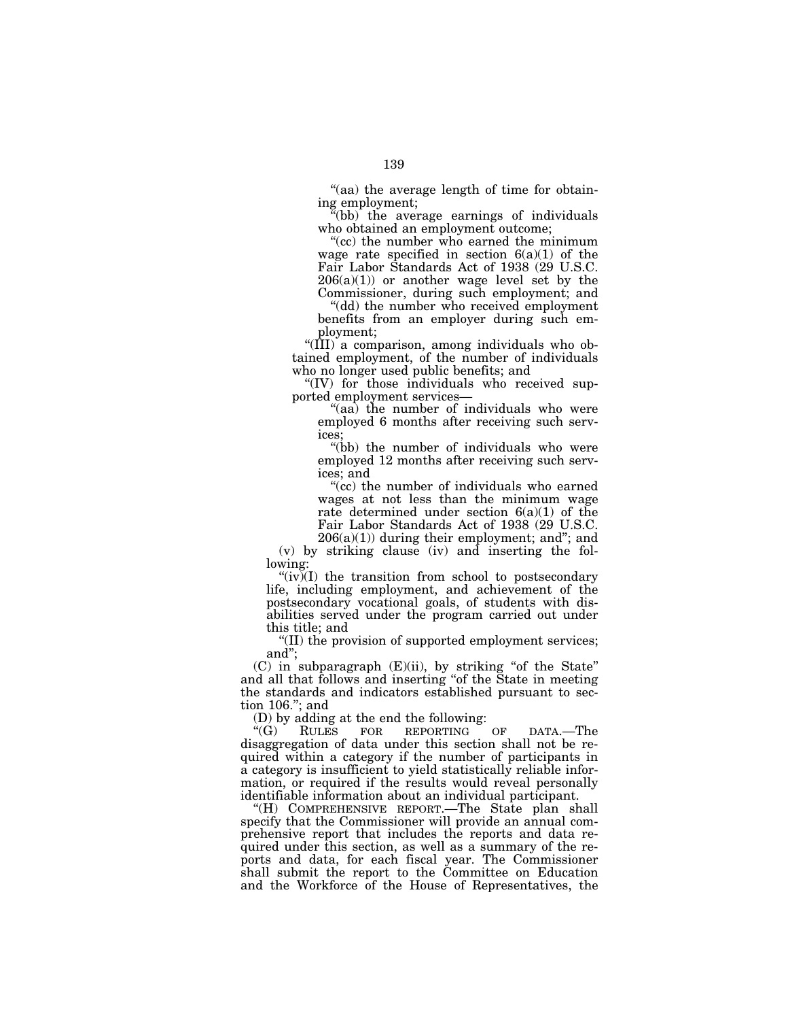''(aa) the average length of time for obtaining employment;

 $\tilde{f}$ (bb) the average earnings of individuals who obtained an employment outcome;

"(cc) the number who earned the minimum wage rate specified in section  $6(a)(1)$  of the Fair Labor Standards Act of 1938 (29 U.S.C.  $206(a)(1)$  or another wage level set by the Commissioner, during such employment; and

''(dd) the number who received employment benefits from an employer during such employment;

''(III) a comparison, among individuals who obtained employment, of the number of individuals who no longer used public benefits; and

''(IV) for those individuals who received supported employment services—

"(aa) the number of individuals who were employed 6 months after receiving such services;

"(bb) the number of individuals who were employed 12 months after receiving such services; and

"(cc) the number of individuals who earned wages at not less than the minimum wage rate determined under section  $6(a)(1)$  of the Fair Labor Standards Act of 1938 (29 U.S.C.  $206(a)(1)$ ) during their employment; and"; and

(v) by striking clause (iv) and inserting the following:

" $(iv)$  (I) the transition from school to postsecondary life, including employment, and achievement of the postsecondary vocational goals, of students with disabilities served under the program carried out under this title; and

''(II) the provision of supported employment services; and'';

 $(C)$  in subparagraph  $(E)(ii)$ , by striking "of the State" and all that follows and inserting ''of the State in meeting the standards and indicators established pursuant to section 106.''; and

(D) by adding at the end the following:<br>" $(G)$  RULES FOR REPORTING

RULES FOR REPORTING OF DATA.-The disaggregation of data under this section shall not be required within a category if the number of participants in a category is insufficient to yield statistically reliable information, or required if the results would reveal personally identifiable information about an individual participant.

''(H) COMPREHENSIVE REPORT.—The State plan shall specify that the Commissioner will provide an annual comprehensive report that includes the reports and data required under this section, as well as a summary of the reports and data, for each fiscal year. The Commissioner shall submit the report to the Committee on Education and the Workforce of the House of Representatives, the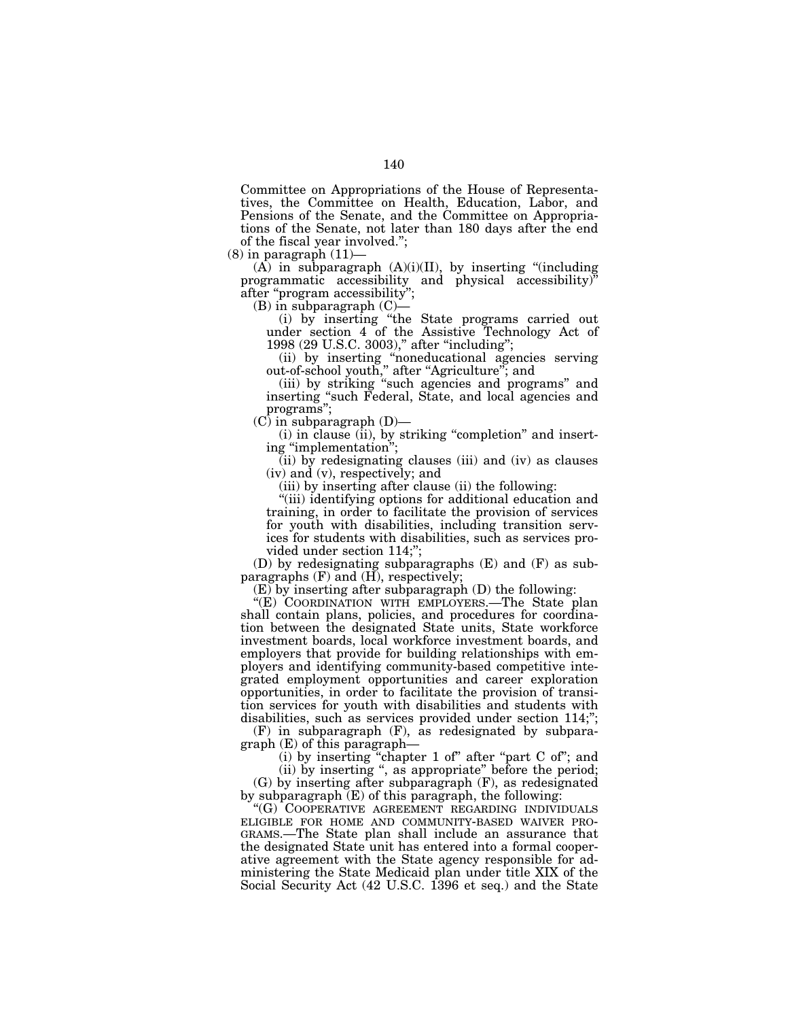Committee on Appropriations of the House of Representatives, the Committee on Health, Education, Labor, and Pensions of the Senate, and the Committee on Appropriations of the Senate, not later than 180 days after the end of the fiscal year involved.'';

 $(8)$  in paragraph  $(11)$ -

 $(A)$  in subparagraph  $(A)(i)(II)$ , by inserting "(including programmatic accessibility and physical accessibility)'' after "program accessibility";

 $(B)$  in subparagraph  $(C)$ –

(i) by inserting ''the State programs carried out under section 4 of the Assistive Technology Act of 1998 (29 U.S.C. 3003)," after "including";

(ii) by inserting ''noneducational agencies serving out-of-school youth,'' after ''Agriculture''; and

(iii) by striking ''such agencies and programs'' and inserting ''such Federal, State, and local agencies and programs'';

 $(C)$  in subparagraph  $(D)$ —

(i) in clause (ii), by striking ''completion'' and inserting ''implementation'';

 $(iii)$  by redesignating clauses (iii) and (iv) as clauses (iv) and (v), respectively; and

(iii) by inserting after clause (ii) the following:

''(iii) identifying options for additional education and training, in order to facilitate the provision of services for youth with disabilities, including transition services for students with disabilities, such as services provided under section 114;'';

(D) by redesignating subparagraphs (E) and (F) as subparagraphs (F) and (H), respectively;

(E) by inserting after subparagraph (D) the following:

"(E) COORDINATION WITH EMPLOYERS.—The State plan shall contain plans, policies, and procedures for coordination between the designated State units, State workforce investment boards, local workforce investment boards, and employers that provide for building relationships with employers and identifying community-based competitive integrated employment opportunities and career exploration opportunities, in order to facilitate the provision of transition services for youth with disabilities and students with disabilities, such as services provided under section 114;";

(F) in subparagraph (F), as redesignated by subparagraph (E) of this paragraph—

(i) by inserting ''chapter 1 of'' after ''part C of''; and

(ii) by inserting '', as appropriate'' before the period; (G) by inserting after subparagraph (F), as redesignated by subparagraph (E) of this paragraph, the following:

"(G) COOPERATIVE AGREEMENT REGARDING INDIVIDUALS<br>ELIGIBLE FOR HOME AND COMMUNITY-BASED WAIVER PRO-GRAMS.—The State plan shall include an assurance that the designated State unit has entered into a formal cooperative agreement with the State agency responsible for administering the State Medicaid plan under title XIX of the Social Security Act (42 U.S.C. 1396 et seq.) and the State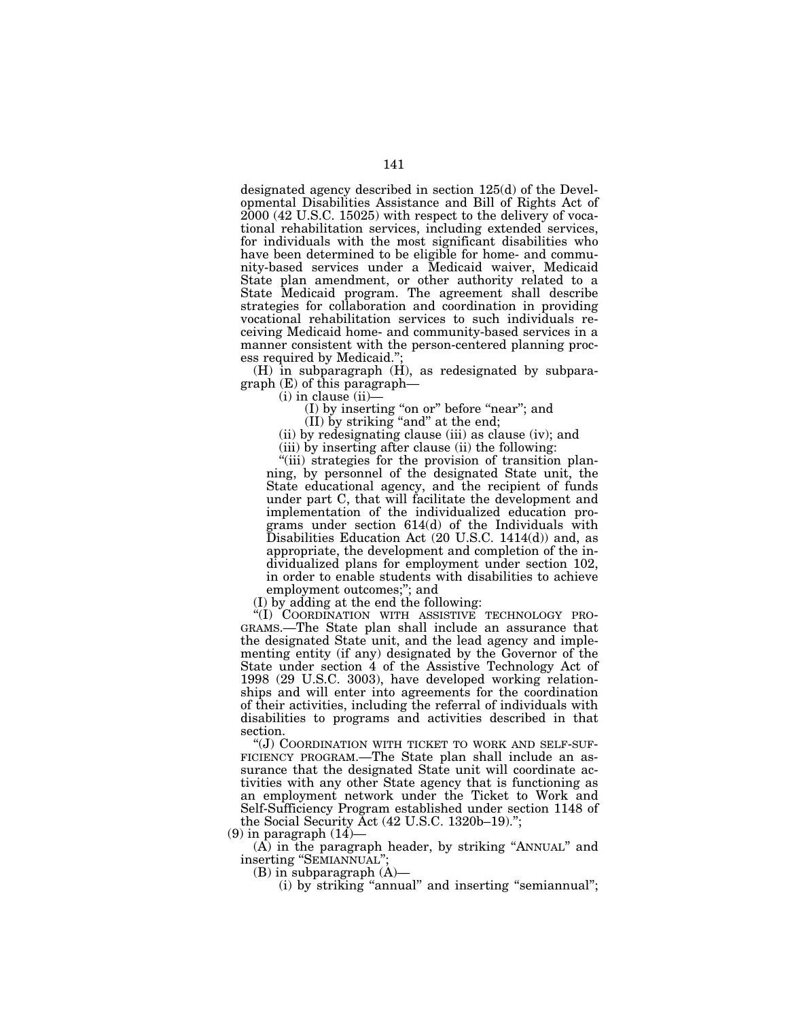designated agency described in section 125(d) of the Developmental Disabilities Assistance and Bill of Rights Act of 2000 (42 U.S.C. 15025) with respect to the delivery of vocational rehabilitation services, including extended services, for individuals with the most significant disabilities who have been determined to be eligible for home- and community-based services under a Medicaid waiver, Medicaid State plan amendment, or other authority related to a State Medicaid program. The agreement shall describe strategies for collaboration and coordination in providing vocational rehabilitation services to such individuals receiving Medicaid home- and community-based services in a manner consistent with the person-centered planning process required by Medicaid.'';

 $(H)$  in subparagraph  $(H)$ , as redesignated by subparagraph (E) of this paragraph—

 $(i)$  in clause  $(ii)$ 

(I) by inserting "on or" before "near"; and

(II) by striking ''and'' at the end;

(ii) by redesignating clause (iii) as clause (iv); and

(iii) by inserting after clause (ii) the following:

"(iii) strategies for the provision of transition planning, by personnel of the designated State unit, the State educational agency, and the recipient of funds under part C, that will facilitate the development and implementation of the individualized education programs under section 614(d) of the Individuals with Disabilities Education Act (20 U.S.C. 1414(d)) and, as appropriate, the development and completion of the individualized plans for employment under section 102, in order to enable students with disabilities to achieve employment outcomes;"; and

(I) by adding at the end the following:

''(I) COORDINATION WITH ASSISTIVE TECHNOLOGY PRO-GRAMS.—The State plan shall include an assurance that the designated State unit, and the lead agency and implementing entity (if any) designated by the Governor of the State under section 4 of the Assistive Technology Act of 1998 (29 U.S.C. 3003), have developed working relationships and will enter into agreements for the coordination of their activities, including the referral of individuals with disabilities to programs and activities described in that section.

''(J) COORDINATION WITH TICKET TO WORK AND SELF-SUF-FICIENCY PROGRAM.—The State plan shall include an assurance that the designated State unit will coordinate activities with any other State agency that is functioning as an employment network under the Ticket to Work and Self-Sufficiency Program established under section 1148 of the Social Security Act (42 U.S.C. 1320b–19).'';

 $(9)$  in paragraph  $(14)$ 

(A) in the paragraph header, by striking ''ANNUAL'' and inserting ''SEMIANNUAL'';

(B) in subparagraph (A)—

(i) by striking ''annual'' and inserting ''semiannual'';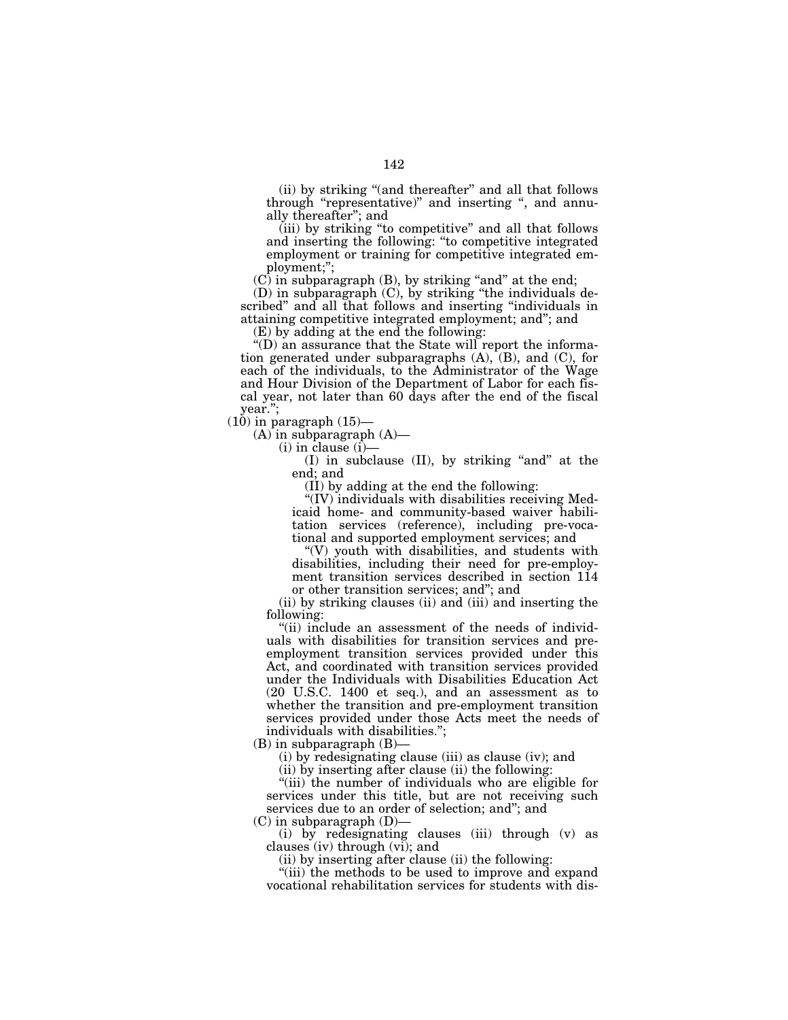(ii) by striking ''(and thereafter'' and all that follows through "representative)" and inserting ", and annually thereafter''; and

(iii) by striking ''to competitive'' and all that follows and inserting the following: ''to competitive integrated employment or training for competitive integrated employment;'';

 $(C)$  in subparagraph  $(B)$ , by striking "and" at the end;

(D) in subparagraph (C), by striking ''the individuals described'' and all that follows and inserting ''individuals in attaining competitive integrated employment; and''; and

(E) by adding at the end the following:

 $\mathrm{``(D)}$  an assurance that the State will report the information generated under subparagraphs  $(A)$ ,  $(B)$ , and  $(C)$ , for each of the individuals, to the Administrator of the Wage and Hour Division of the Department of Labor for each fiscal year, not later than 60 days after the end of the fiscal year.'';

 $(10)$  in paragraph  $(15)$ —

 $(A)$  in subparagraph  $(A)$ —

 $(i)$  in clause  $(i)$ 

(I) in subclause (II), by striking ''and'' at the end; and

(II) by adding at the end the following:

''(IV) individuals with disabilities receiving Medicaid home- and community-based waiver habilitation services (reference), including pre-vocational and supported employment services; and

 $'(V)$  youth with disabilities, and students with disabilities, including their need for pre-employment transition services described in section 114 or other transition services; and''; and

(ii) by striking clauses (ii) and (iii) and inserting the following:

"(ii) include an assessment of the needs of individuals with disabilities for transition services and preemployment transition services provided under this Act, and coordinated with transition services provided under the Individuals with Disabilities Education Act (20 U.S.C. 1400 et seq.), and an assessment as to whether the transition and pre-employment transition services provided under those Acts meet the needs of individuals with disabilities.'';

 $(B)$  in subparagraph  $(B)$ –

(i) by redesignating clause (iii) as clause (iv); and

(ii) by inserting after clause (ii) the following:

''(iii) the number of individuals who are eligible for services under this title, but are not receiving such services due to an order of selection; and''; and

(C) in subparagraph (D)—

(i) by redesignating clauses (iii) through (v) as clauses (iv) through (vi); and

(ii) by inserting after clause (ii) the following:

''(iii) the methods to be used to improve and expand vocational rehabilitation services for students with dis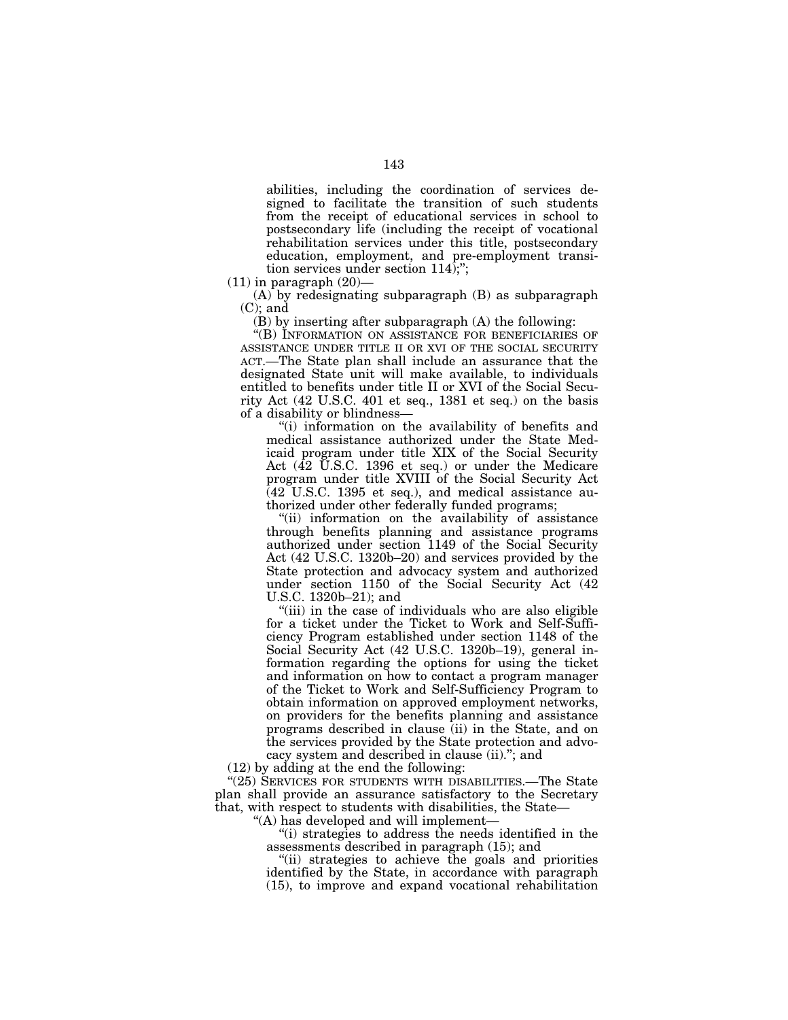abilities, including the coordination of services designed to facilitate the transition of such students from the receipt of educational services in school to postsecondary life (including the receipt of vocational rehabilitation services under this title, postsecondary education, employment, and pre-employment transition services under section 114);'';

 $(11)$  in paragraph  $(20)$ -

(A) by redesignating subparagraph (B) as subparagraph (C); and

(B) by inserting after subparagraph (A) the following:

''(B) INFORMATION ON ASSISTANCE FOR BENEFICIARIES OF ASSISTANCE UNDER TITLE II OR XVI OF THE SOCIAL SECURITY ACT.—The State plan shall include an assurance that the designated State unit will make available, to individuals entitled to benefits under title II or XVI of the Social Security Act (42 U.S.C. 401 et seq., 1381 et seq.) on the basis of a disability or blindness—

''(i) information on the availability of benefits and medical assistance authorized under the State Medicaid program under title XIX of the Social Security Act (42 U.S.C. 1396 et seq.) or under the Medicare program under title XVIII of the Social Security Act (42 U.S.C. 1395 et seq.), and medical assistance authorized under other federally funded programs;

''(ii) information on the availability of assistance through benefits planning and assistance programs authorized under section 1149 of the Social Security Act (42 U.S.C. 1320b–20) and services provided by the State protection and advocacy system and authorized under section 1150 of the Social Security Act (42 U.S.C. 1320b–21); and

''(iii) in the case of individuals who are also eligible for a ticket under the Ticket to Work and Self-Sufficiency Program established under section 1148 of the Social Security Act (42 U.S.C. 1320b–19), general information regarding the options for using the ticket and information on how to contact a program manager of the Ticket to Work and Self-Sufficiency Program to obtain information on approved employment networks, on providers for the benefits planning and assistance programs described in clause (ii) in the State, and on the services provided by the State protection and advocacy system and described in clause (ii).''; and

(12) by adding at the end the following:

"(25) SERVICES FOR STUDENTS WITH DISABILITIES.—The State plan shall provide an assurance satisfactory to the Secretary that, with respect to students with disabilities, the State—

''(A) has developed and will implement—

''(i) strategies to address the needs identified in the assessments described in paragraph (15); and

''(ii) strategies to achieve the goals and priorities identified by the State, in accordance with paragraph (15), to improve and expand vocational rehabilitation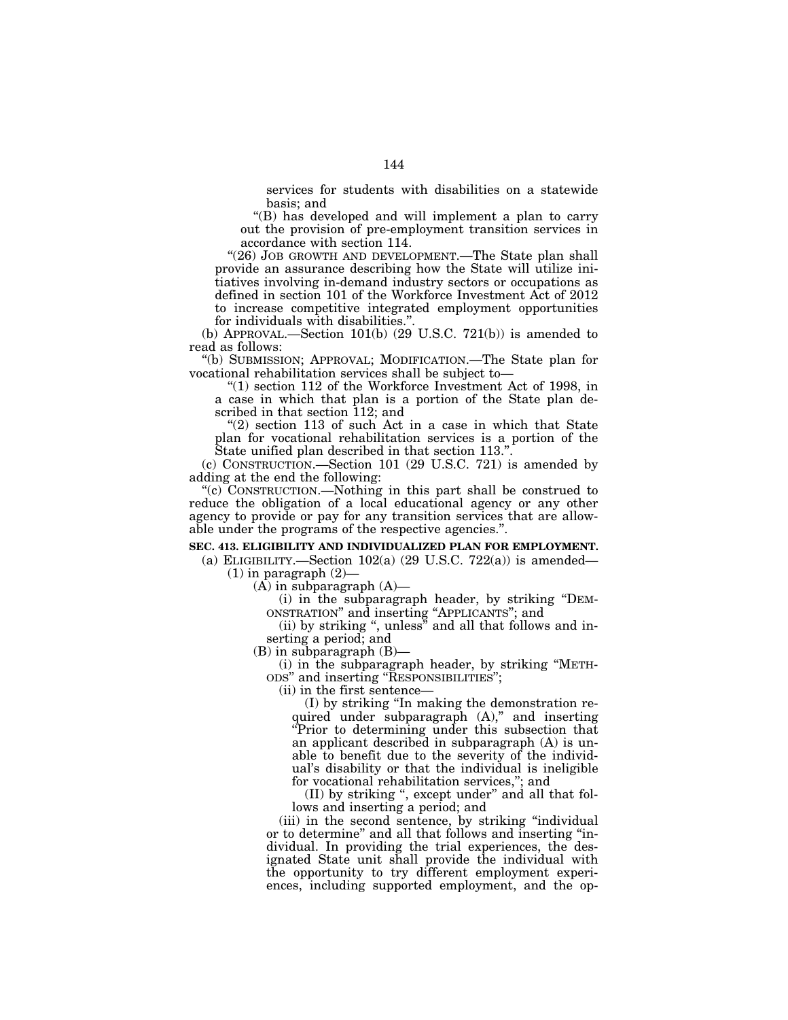services for students with disabilities on a statewide basis; and

''(B) has developed and will implement a plan to carry out the provision of pre-employment transition services in accordance with section 114.

"(26) JOB GROWTH AND DEVELOPMENT.—The State plan shall provide an assurance describing how the State will utilize initiatives involving in-demand industry sectors or occupations as defined in section 101 of the Workforce Investment Act of 2012 to increase competitive integrated employment opportunities for individuals with disabilities.''.

(b) APPROVAL.—Section  $101(b)$  (29 U.S.C. 721(b)) is amended to read as follows:

''(b) SUBMISSION; APPROVAL; MODIFICATION.—The State plan for vocational rehabilitation services shall be subject to—

" $(1)$  section 112 of the Workforce Investment Act of 1998, in a case in which that plan is a portion of the State plan described in that section 112; and

"(2) section 113 of such Act in a case in which that State plan for vocational rehabilitation services is a portion of the State unified plan described in that section 113."

(c) CONSTRUCTION.—Section 101 (29 U.S.C. 721) is amended by adding at the end the following:

''(c) CONSTRUCTION.—Nothing in this part shall be construed to reduce the obligation of a local educational agency or any other agency to provide or pay for any transition services that are allowable under the programs of the respective agencies.''.

### **SEC. 413. ELIGIBILITY AND INDIVIDUALIZED PLAN FOR EMPLOYMENT.**

(a) ELIGIBILITY.—Section  $102(a)$  (29 U.S.C. 722(a)) is amended—  $(1)$  in paragraph  $(2)$ —

 $(A)$  in subparagraph  $(A)$ —

(i) in the subparagraph header, by striking ''DEM-ONSTRATION'' and inserting ''APPLICANTS''; and

(ii) by striking '', unless'' and all that follows and inserting a period; and

(B) in subparagraph (B)—

(i) in the subparagraph header, by striking ''METH-ODS'' and inserting ''RESPONSIBILITIES'';

(ii) in the first sentence—

(I) by striking ''In making the demonstration required under subparagraph  $(A)$ ," and inserting ''Prior to determining under this subsection that an applicant described in subparagraph (A) is unable to benefit due to the severity of the individual's disability or that the individual is ineligible for vocational rehabilitation services,''; and

(II) by striking '', except under'' and all that follows and inserting a period; and

(iii) in the second sentence, by striking "individual or to determine'' and all that follows and inserting ''individual. In providing the trial experiences, the designated State unit shall provide the individual with the opportunity to try different employment experiences, including supported employment, and the op-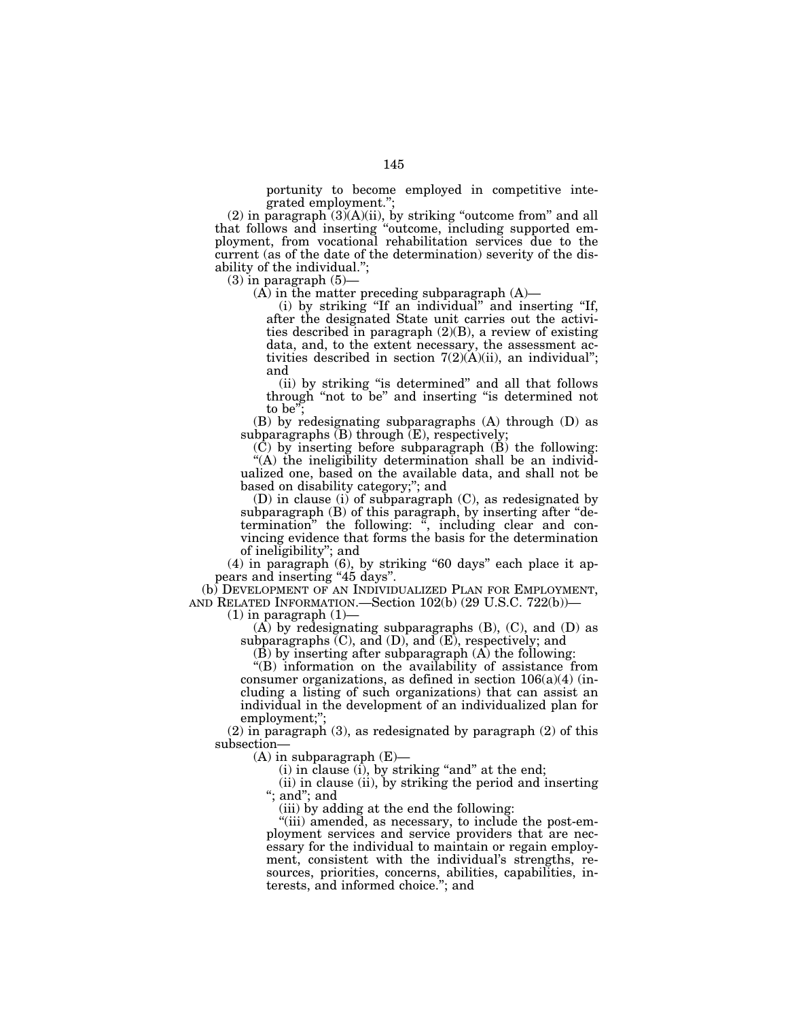portunity to become employed in competitive integrated employment.'';

 $(2)$  in paragraph  $(3)(A)(ii)$ , by striking "outcome from" and all that follows and inserting ''outcome, including supported employment, from vocational rehabilitation services due to the current (as of the date of the determination) severity of the disability of the individual.'';

 $(3)$  in paragraph  $(5)$ —

(A) in the matter preceding subparagraph (A)—

(i) by striking ''If an individual'' and inserting ''If, after the designated State unit carries out the activities described in paragraph (2)(B), a review of existing data, and, to the extent necessary, the assessment activities described in section  $7(2)(A)(ii)$ , an individual"; and

(ii) by striking ''is determined'' and all that follows through ''not to be'' and inserting ''is determined not to be'';

(B) by redesignating subparagraphs (A) through (D) as subparagraphs  $(B)$  through  $(E)$ , respectively;

(C) by inserting before subparagraph (B) the following: ''(A) the ineligibility determination shall be an individualized one, based on the available data, and shall not be based on disability category;''; and

(D) in clause (i) of subparagraph (C), as redesignated by subparagraph (B) of this paragraph, by inserting after "determination'' the following: '', including clear and convincing evidence that forms the basis for the determination of ineligibility''; and

(4) in paragraph (6), by striking ''60 days'' each place it appears and inserting "45 days".

(b) DEVELOPMENT OF AN INDIVIDUALIZED PLAN FOR EMPLOYMENT, AND RELATED INFORMATION.—Section 102(b) (29 U.S.C. 722(b))—

 $(1)$  in paragraph  $(1)$ —

 $(A)$  by redesignating subparagraphs  $(B)$ ,  $(C)$ , and  $(D)$  as subparagraphs  $(C)$ , and  $(D)$ , and  $(E)$ , respectively; and

 $(\overline{B})$  by inserting after subparagraph  $(\overline{A})$  the following:

''(B) information on the availability of assistance from consumer organizations, as defined in section  $106(a)(4)$  (including a listing of such organizations) that can assist an individual in the development of an individualized plan for employment;"

 $(2)$  in paragraph  $(3)$ , as redesignated by paragraph  $(2)$  of this subsection—

 $(A)$  in subparagraph  $(E)$ —

 $(i)$  in clause  $(i)$ , by striking "and" at the end;

(ii) in clause (ii), by striking the period and inserting ''; and''; and

(iii) by adding at the end the following:

"(iii) amended, as necessary, to include the post-employment services and service providers that are necessary for the individual to maintain or regain employment, consistent with the individual's strengths, resources, priorities, concerns, abilities, capabilities, interests, and informed choice.''; and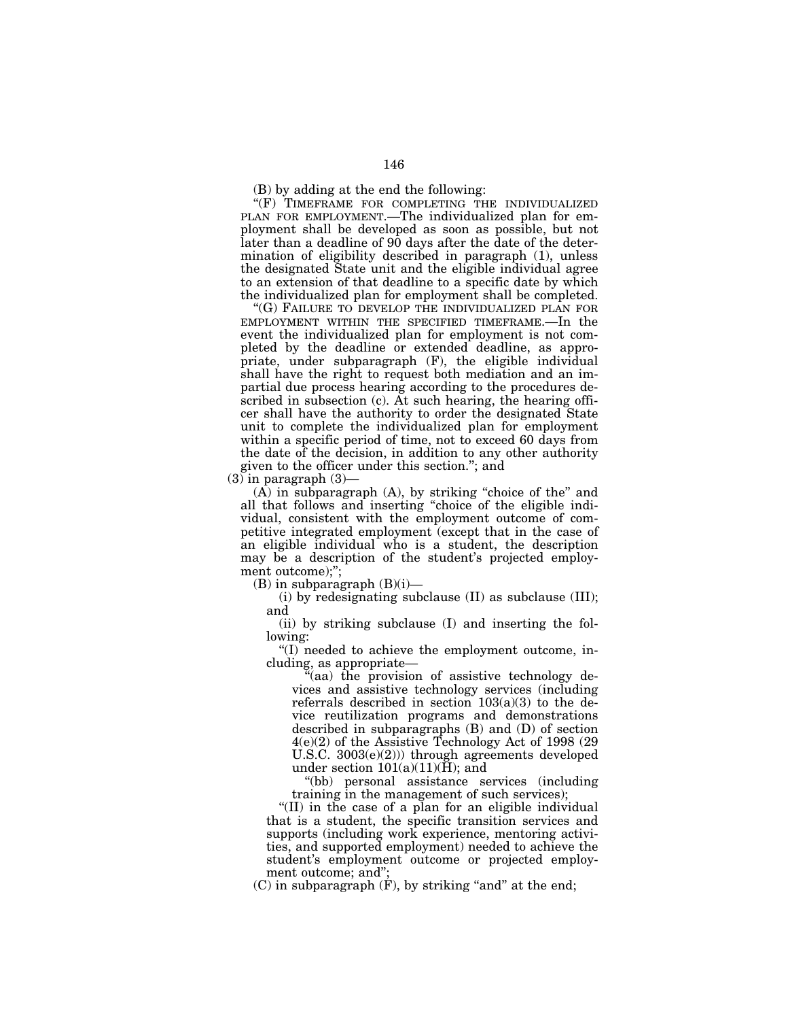"(F) TIMEFRAME FOR COMPLETING THE INDIVIDUALIZED PLAN FOR EMPLOYMENT.—The individualized plan for employment shall be developed as soon as possible, but not later than a deadline of 90 days after the date of the determination of eligibility described in paragraph (1), unless the designated State unit and the eligible individual agree to an extension of that deadline to a specific date by which the individualized plan for employment shall be completed.

''(G) FAILURE TO DEVELOP THE INDIVIDUALIZED PLAN FOR EMPLOYMENT WITHIN THE SPECIFIED TIMEFRAME.—In the event the individualized plan for employment is not completed by the deadline or extended deadline, as appropriate, under subparagraph (F), the eligible individual shall have the right to request both mediation and an impartial due process hearing according to the procedures described in subsection (c). At such hearing, the hearing officer shall have the authority to order the designated State unit to complete the individualized plan for employment within a specific period of time, not to exceed 60 days from the date of the decision, in addition to any other authority given to the officer under this section.''; and

 $(3)$  in paragraph  $(3)$ —

 $(A)$  in subparagraph  $(A)$ , by striking "choice of the" and all that follows and inserting "choice of the eligible individual, consistent with the employment outcome of competitive integrated employment (except that in the case of an eligible individual who is a student, the description may be a description of the student's projected employment outcome);";

 $(B)$  in subparagraph  $(B)(i)$ —

(i) by redesignating subclause (II) as subclause (III); and

(ii) by striking subclause (I) and inserting the following:

''(I) needed to achieve the employment outcome, including, as appropriate—

''(aa) the provision of assistive technology devices and assistive technology services (including referrals described in section  $103(a)(3)$  to the device reutilization programs and demonstrations described in subparagraphs (B) and (D) of section 4(e)(2) of the Assistive Technology Act of 1998 (29 U.S.C. 3003(e)(2))) through agreements developed under section  $101(a)(11)(H)$ ; and

''(bb) personal assistance services (including training in the management of such services);

''(II) in the case of a plan for an eligible individual that is a student, the specific transition services and supports (including work experience, mentoring activities, and supported employment) needed to achieve the student's employment outcome or projected employment outcome; and'';

 $(C)$  in subparagraph  $(F)$ , by striking "and" at the end;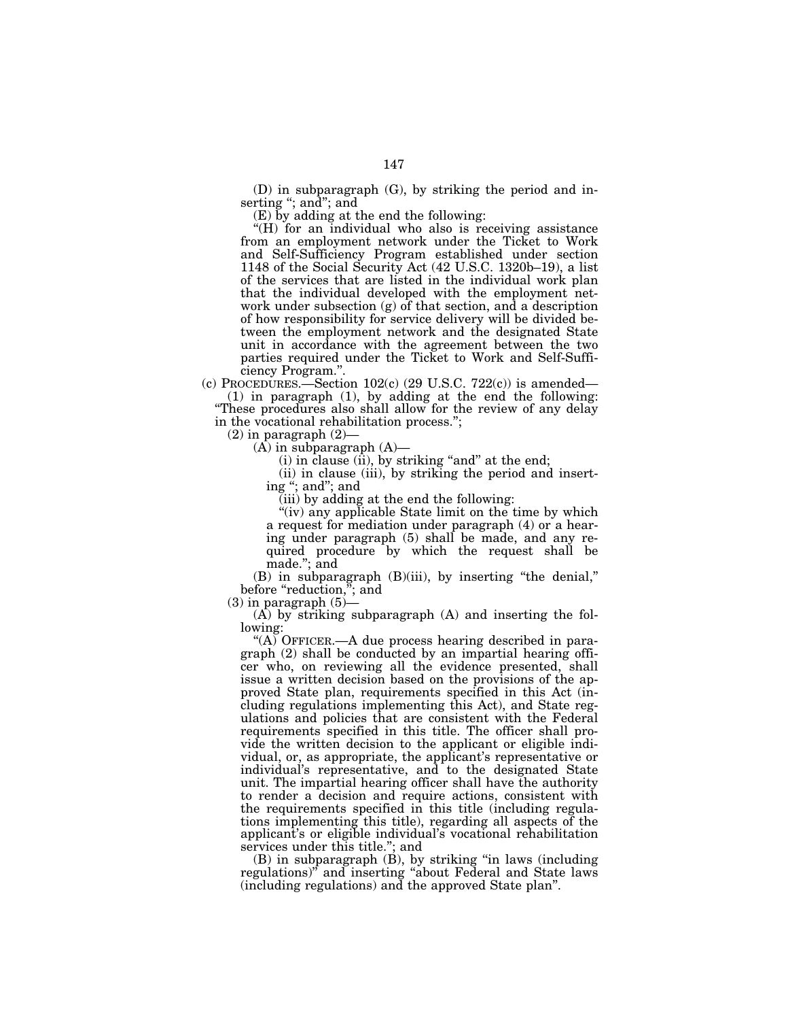(D) in subparagraph (G), by striking the period and inserting ''; and''; and

(E) by adding at the end the following:

"(H) for an individual who also is receiving assistance from an employment network under the Ticket to Work and Self-Sufficiency Program established under section 1148 of the Social Security Act (42 U.S.C. 1320b–19), a list of the services that are listed in the individual work plan that the individual developed with the employment network under subsection (g) of that section, and a description of how responsibility for service delivery will be divided between the employment network and the designated State unit in accordance with the agreement between the two parties required under the Ticket to Work and Self-Sufficiency Program.''.

(c) PROCEDURES.—Section  $102(c)$  (29 U.S.C. 722(c)) is amended— (1) in paragraph (1), by adding at the end the following: ''These procedures also shall allow for the review of any delay in the vocational rehabilitation process.'';

 $(2)$  in paragraph  $(2)$ —

 $(A)$  in subparagraph  $(A)$ 

 $(i)$  in clause  $(ii)$ , by striking "and" at the end;

(ii) in clause (iii), by striking the period and inserting ''; and''; and

(iii) by adding at the end the following:

"(iv) any applicable State limit on the time by which a request for mediation under paragraph (4) or a hearing under paragraph (5) shall be made, and any required procedure by which the request shall be made.''; and

(B) in subparagraph (B)(iii), by inserting ''the denial,'' before "reduction,"; and

 $(3)$  in paragraph  $(5)$ -

(A) by striking subparagraph (A) and inserting the following:

"(A) OFFICER.—A due process hearing described in paragraph (2) shall be conducted by an impartial hearing officer who, on reviewing all the evidence presented, shall issue a written decision based on the provisions of the approved State plan, requirements specified in this Act (including regulations implementing this Act), and State regulations and policies that are consistent with the Federal requirements specified in this title. The officer shall provide the written decision to the applicant or eligible individual, or, as appropriate, the applicant's representative or individual's representative, and to the designated State unit. The impartial hearing officer shall have the authority to render a decision and require actions, consistent with the requirements specified in this title (including regulations implementing this title), regarding all aspects of the applicant's or eligible individual's vocational rehabilitation services under this title.''; and

(B) in subparagraph (B), by striking ''in laws (including regulations)'' and inserting ''about Federal and State laws (including regulations) and the approved State plan''.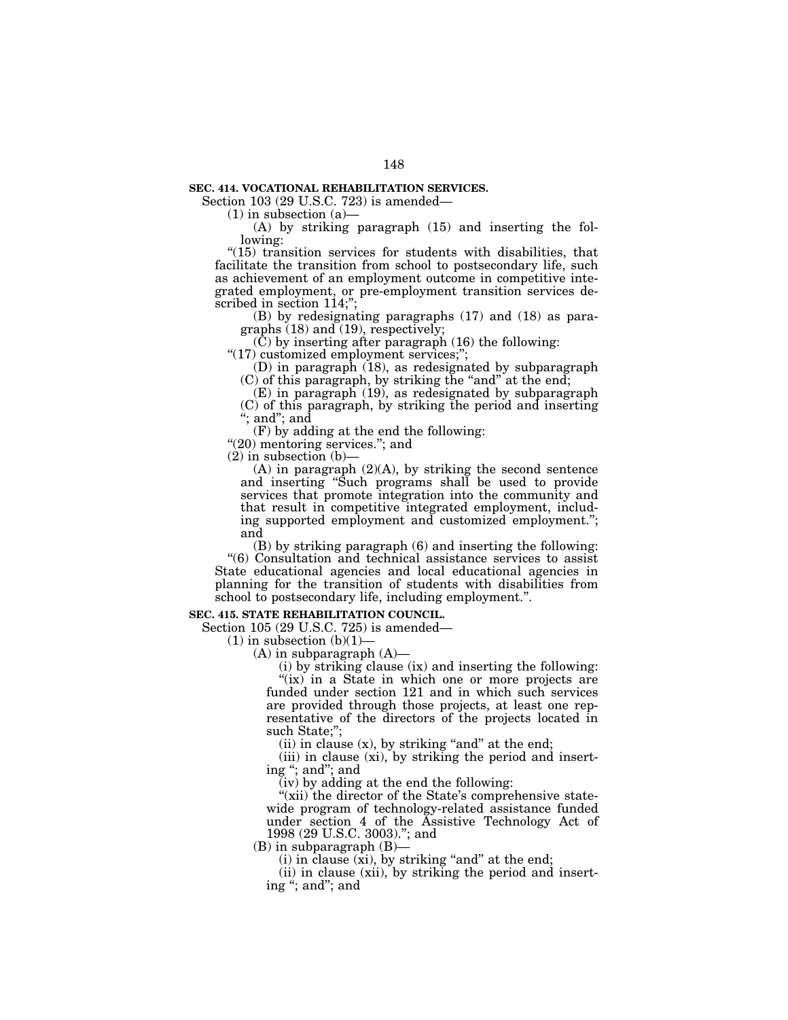### **SEC. 414. VOCATIONAL REHABILITATION SERVICES.**

Section 103 (29 U.S.C. 723) is amended—

 $(1)$  in subsection  $(a)$ —

(A) by striking paragraph (15) and inserting the following:

 $''(15)$  transition services for students with disabilities, that facilitate the transition from school to postsecondary life, such as achievement of an employment outcome in competitive integrated employment, or pre-employment transition services described in section 114;";

(B) by redesignating paragraphs (17) and (18) as paragraphs (18) and (19), respectively;

(C) by inserting after paragraph (16) the following:

"(17) customized employment services;";

(D) in paragraph (18), as redesignated by subparagraph (C) of this paragraph, by striking the ''and'' at the end;

(E) in paragraph (19), as redesignated by subparagraph (C) of this paragraph, by striking the period and inserting ''; and''; and

(F) by adding at the end the following:

"(20) mentoring services."; and

 $(2)$  in subsection  $(b)$ –

(A) in paragraph (2)(A), by striking the second sentence and inserting ''Such programs shall be used to provide services that promote integration into the community and that result in competitive integrated employment, including supported employment and customized employment.''; and

(B) by striking paragraph (6) and inserting the following: ''(6) Consultation and technical assistance services to assist State educational agencies and local educational agencies in planning for the transition of students with disabilities from school to postsecondary life, including employment.''.

### **SEC. 415. STATE REHABILITATION COUNCIL.**

Section 105 (29 U.S.C. 725) is amended—

 $(1)$  in subsection  $(b)(1)$ —

(A) in subparagraph (A)—

(i) by striking clause (ix) and inserting the following: "(ix) in a State in which one or more projects are funded under section 121 and in which such services are provided through those projects, at least one representative of the directors of the projects located in

such State;'';

(ii) in clause  $(x)$ , by striking "and" at the end;

(iii) in clause (xi), by striking the period and inserting ''; and''; and

(iv) by adding at the end the following:

"(xii) the director of the State's comprehensive statewide program of technology-related assistance funded under section 4 of the Assistive Technology Act of 1998 (29 U.S.C. 3003).''; and

(B) in subparagraph (B)—

 $(i)$  in clause  $(xi)$ , by striking "and" at the end;

(ii) in clause (xii), by striking the period and inserting ''; and''; and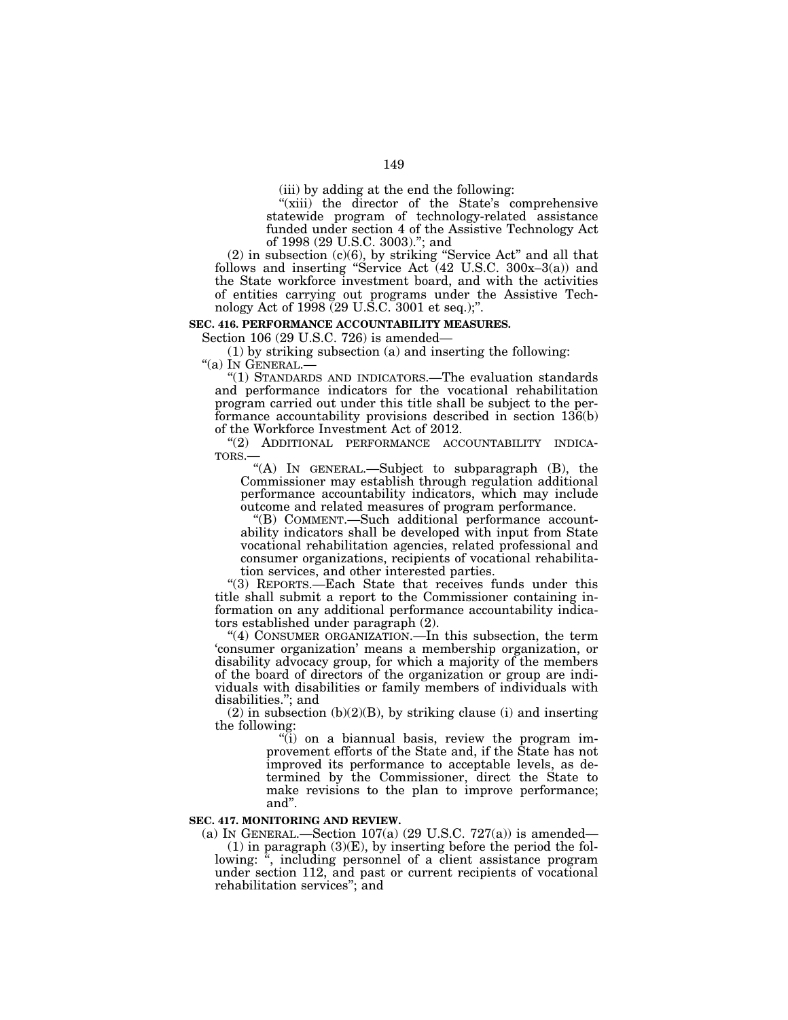(iii) by adding at the end the following:

"(xiii) the director of the State's comprehensive statewide program of technology-related assistance funded under section 4 of the Assistive Technology Act of 1998 (29 U.S.C. 3003).''; and

(2) in subsection (c)(6), by striking ''Service Act'' and all that follows and inserting "Service Act (42 U.S.C. 300x–3(a)) and the State workforce investment board, and with the activities of entities carrying out programs under the Assistive Technology Act of 1998 (29 U.S.C. 3001 et seq.);''.

### **SEC. 416. PERFORMANCE ACCOUNTABILITY MEASURES.**

Section 106 (29 U.S.C. 726) is amended—

(1) by striking subsection (a) and inserting the following: "(a) IN GENERAL.-

''(1) STANDARDS AND INDICATORS.—The evaluation standards and performance indicators for the vocational rehabilitation program carried out under this title shall be subject to the performance accountability provisions described in section 136(b) of the Workforce Investment Act of 2012.

"(2) ADDITIONAL PERFORMANCE ACCOUNTABILITY INDICA-TORS.—

''(A) IN GENERAL.—Subject to subparagraph (B), the Commissioner may establish through regulation additional performance accountability indicators, which may include outcome and related measures of program performance.

''(B) COMMENT.—Such additional performance accountability indicators shall be developed with input from State vocational rehabilitation agencies, related professional and consumer organizations, recipients of vocational rehabilitation services, and other interested parties.

''(3) REPORTS.—Each State that receives funds under this title shall submit a report to the Commissioner containing information on any additional performance accountability indicators established under paragraph (2).

''(4) CONSUMER ORGANIZATION.—In this subsection, the term 'consumer organization' means a membership organization, or disability advocacy group, for which a majority of the members of the board of directors of the organization or group are individuals with disabilities or family members of individuals with disabilities.''; and

 $(2)$  in subsection  $(b)(2)(B)$ , by striking clause  $(i)$  and inserting the following:

 $\tilde{f}$ ) on a biannual basis, review the program improvement efforts of the State and, if the State has not improved its performance to acceptable levels, as determined by the Commissioner, direct the State to make revisions to the plan to improve performance; and''.

## **SEC. 417. MONITORING AND REVIEW.**

(a) IN GENERAL.—Section  $107(a)$  (29 U.S.C. 727(a)) is amended—  $(1)$  in paragraph  $(3)(E)$ , by inserting before the period the following: ", including personnel of a client assistance program under section 112, and past or current recipients of vocational rehabilitation services''; and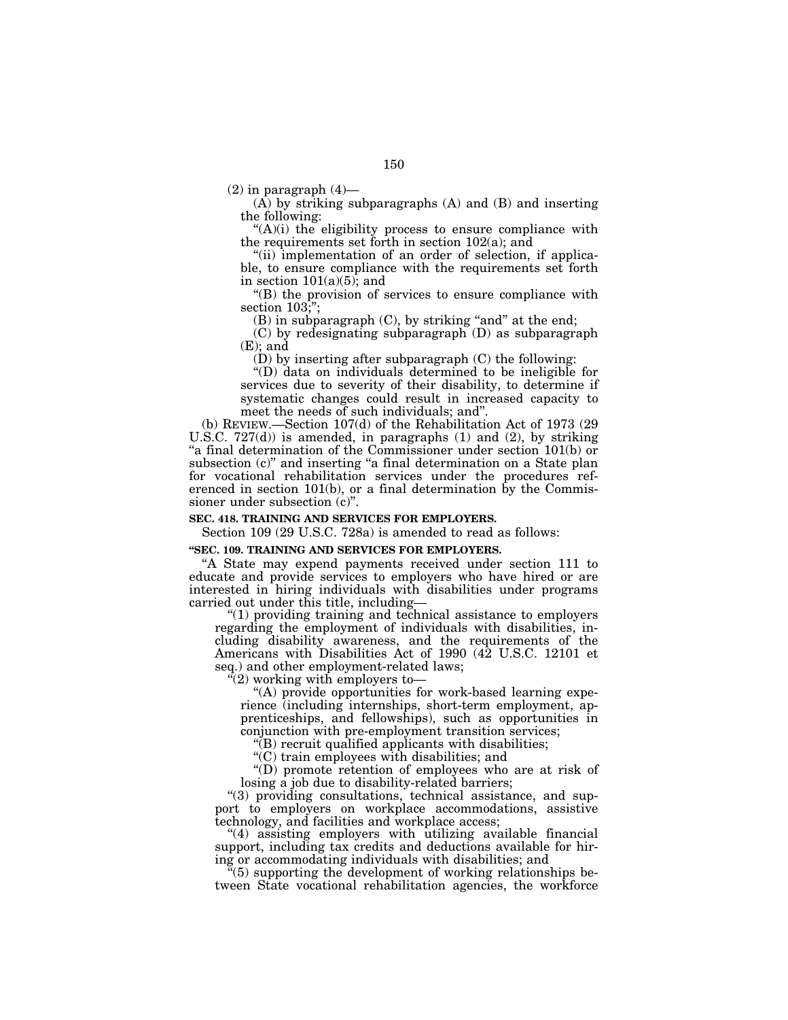$(2)$  in paragraph  $(4)$ —

(A) by striking subparagraphs (A) and (B) and inserting the following:

 $(A)(i)$  the eligibility process to ensure compliance with the requirements set forth in section 102(a); and

"(ii) implementation of an order of selection, if applicable, to ensure compliance with the requirements set forth in section  $101(a)(5)$ ; and

''(B) the provision of services to ensure compliance with section 103;";

 $(B)$  in subparagraph  $(C)$ , by striking "and" at the end;

(C) by redesignating subparagraph (D) as subparagraph (E); and

(D) by inserting after subparagraph (C) the following:

''(D) data on individuals determined to be ineligible for services due to severity of their disability, to determine if systematic changes could result in increased capacity to meet the needs of such individuals; and''.

(b) REVIEW.—Section 107(d) of the Rehabilitation Act of 1973 (29 U.S.C. 727(d)) is amended, in paragraphs (1) and (2), by striking "a final determination of the Commissioner under section 101(b) or subsection (c)" and inserting "a final determination on a State plan for vocational rehabilitation services under the procedures referenced in section 101(b), or a final determination by the Commissioner under subsection (c)''.

## **SEC. 418. TRAINING AND SERVICES FOR EMPLOYERS.**

Section 109 (29 U.S.C. 728a) is amended to read as follows:

#### **''SEC. 109. TRAINING AND SERVICES FOR EMPLOYERS.**

''A State may expend payments received under section 111 to educate and provide services to employers who have hired or are interested in hiring individuals with disabilities under programs carried out under this title, including—

 $''(1)$  providing training and technical assistance to employers regarding the employment of individuals with disabilities, including disability awareness, and the requirements of the Americans with Disabilities Act of 1990 (42 U.S.C. 12101 et seq.) and other employment-related laws;

 $(2)$  working with employers to-

''(A) provide opportunities for work-based learning experience (including internships, short-term employment, apprenticeships, and fellowships), such as opportunities in conjunction with pre-employment transition services;

''(B) recruit qualified applicants with disabilities;

''(C) train employees with disabilities; and

''(D) promote retention of employees who are at risk of losing a job due to disability-related barriers;

''(3) providing consultations, technical assistance, and support to employers on workplace accommodations, assistive technology, and facilities and workplace access;

''(4) assisting employers with utilizing available financial support, including tax credits and deductions available for hiring or accommodating individuals with disabilities; and

''(5) supporting the development of working relationships between State vocational rehabilitation agencies, the workforce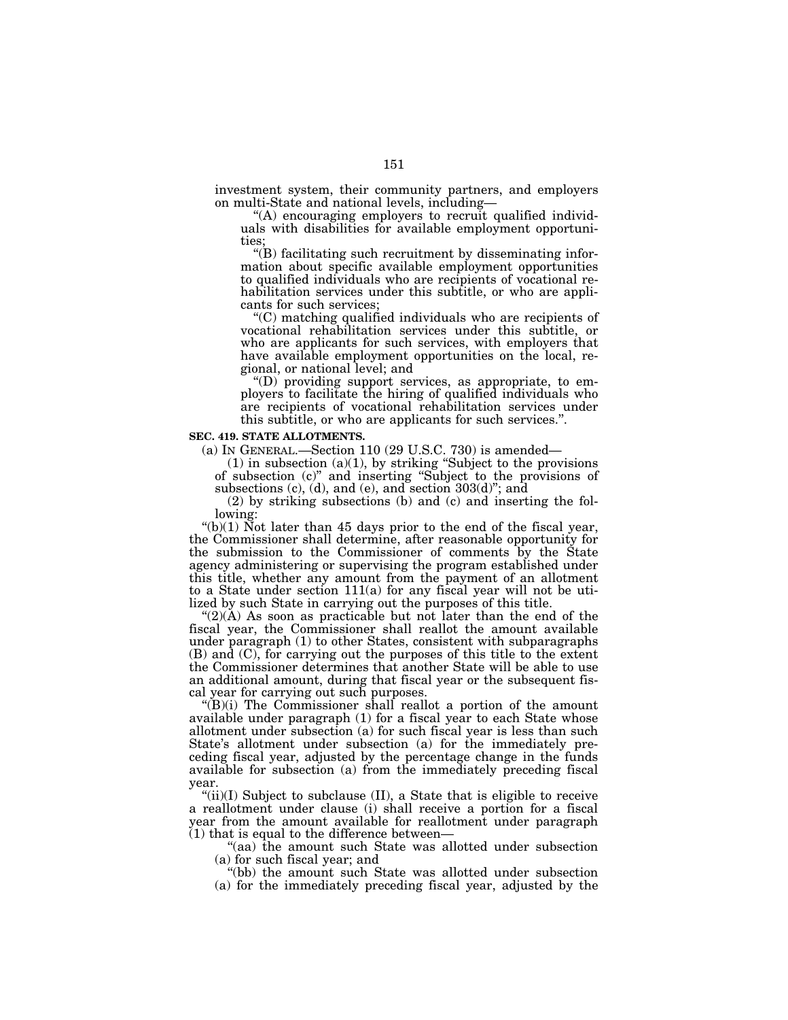investment system, their community partners, and employers on multi-State and national levels, including—

''(A) encouraging employers to recruit qualified individuals with disabilities for available employment opportunities;

 $\mathrm{``(B)}$  facilitating such recruitment by disseminating information about specific available employment opportunities to qualified individuals who are recipients of vocational rehabilitation services under this subtitle, or who are applicants for such services;

''(C) matching qualified individuals who are recipients of vocational rehabilitation services under this subtitle, or who are applicants for such services, with employers that have available employment opportunities on the local, regional, or national level; and

''(D) providing support services, as appropriate, to employers to facilitate the hiring of qualified individuals who are recipients of vocational rehabilitation services under this subtitle, or who are applicants for such services.''.

### **SEC. 419. STATE ALLOTMENTS.**

(a) IN GENERAL.—Section 110 (29 U.S.C. 730) is amended—

 $(1)$  in subsection  $(a)(1)$ , by striking "Subject to the provisions" of subsection (c)'' and inserting ''Subject to the provisions of subsections (c), (d), and (e), and section 303(d)"; and

(2) by striking subsections (b) and (c) and inserting the following:

" $(b)(1)$  Not later than 45 days prior to the end of the fiscal year, the Commissioner shall determine, after reasonable opportunity for the submission to the Commissioner of comments by the State agency administering or supervising the program established under this title, whether any amount from the payment of an allotment to a State under section 111(a) for any fiscal year will not be utilized by such State in carrying out the purposes of this title.

" $(2)(\mathring{A})$  As soon as practicable but not later than the end of the fiscal year, the Commissioner shall reallot the amount available under paragraph (1) to other States, consistent with subparagraphs (B) and (C), for carrying out the purposes of this title to the extent the Commissioner determines that another State will be able to use an additional amount, during that fiscal year or the subsequent fiscal year for carrying out such purposes.

 $\mathcal{L}(B)(i)$  The Commissioner shall reallot a portion of the amount available under paragraph (1) for a fiscal year to each State whose allotment under subsection (a) for such fiscal year is less than such State's allotment under subsection (a) for the immediately preceding fiscal year, adjusted by the percentage change in the funds available for subsection (a) from the immediately preceding fiscal year.

" $(ii)(I)$  Subject to subclause  $(II)$ , a State that is eligible to receive a reallotment under clause (i) shall receive a portion for a fiscal year from the amount available for reallotment under paragraph (1) that is equal to the difference between—

''(aa) the amount such State was allotted under subsection (a) for such fiscal year; and

''(bb) the amount such State was allotted under subsection (a) for the immediately preceding fiscal year, adjusted by the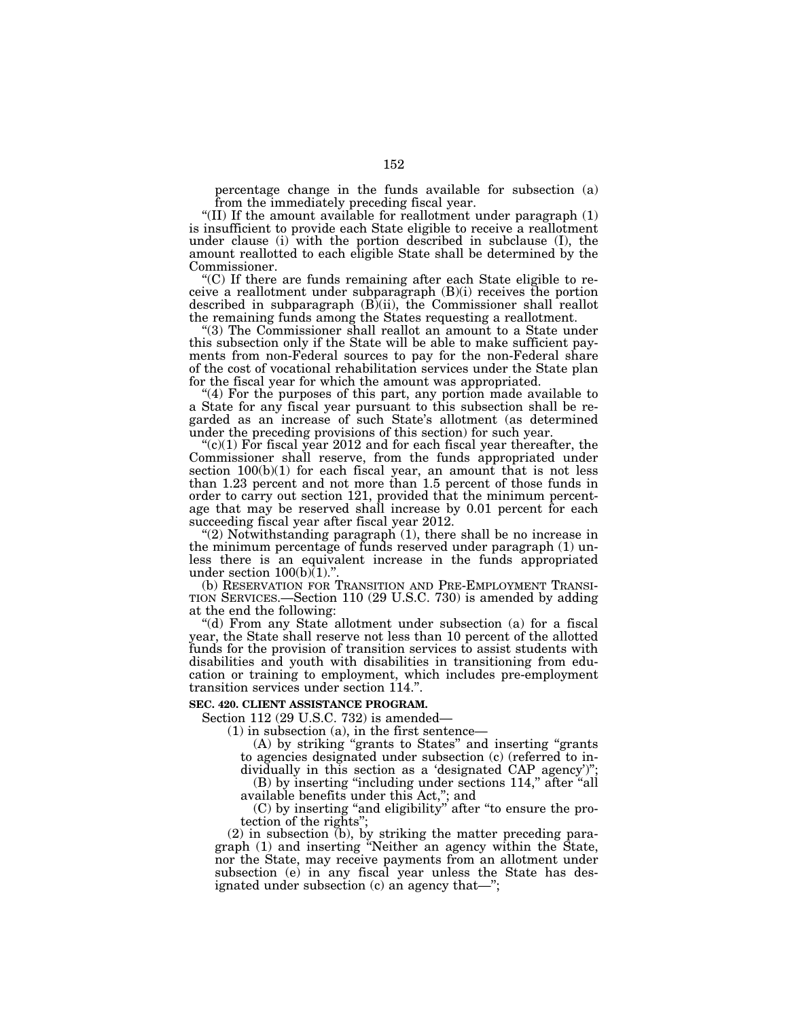percentage change in the funds available for subsection (a) from the immediately preceding fiscal year.

''(II) If the amount available for reallotment under paragraph (1) is insufficient to provide each State eligible to receive a reallotment under clause (i) with the portion described in subclause (I), the amount reallotted to each eligible State shall be determined by the Commissioner.

''(C) If there are funds remaining after each State eligible to receive a reallotment under subparagraph (B)(i) receives the portion described in subparagraph (B)(ii), the Commissioner shall reallot the remaining funds among the States requesting a reallotment.

"(3) The Commissioner shall reallot an amount to a State under this subsection only if the State will be able to make sufficient payments from non-Federal sources to pay for the non-Federal share of the cost of vocational rehabilitation services under the State plan for the fiscal year for which the amount was appropriated.

"(4) For the purposes of this part, any portion made available to a State for any fiscal year pursuant to this subsection shall be regarded as an increase of such State's allotment (as determined under the preceding provisions of this section) for such year.

 $C(1)$  For fiscal year 2012 and for each fiscal year thereafter, the Commissioner shall reserve, from the funds appropriated under section 100(b)(1) for each fiscal year, an amount that is not less than 1.23 percent and not more than 1.5 percent of those funds in order to carry out section 121, provided that the minimum percentage that may be reserved shall increase by 0.01 percent for each succeeding fiscal year after fiscal year 2012.

''(2) Notwithstanding paragraph (1), there shall be no increase in the minimum percentage of funds reserved under paragraph (1) unless there is an equivalent increase in the funds appropriated under section  $100(b)$  $(1)$ ."

(b) RESERVATION FOR TRANSITION AND PRE-EMPLOYMENT TRANSI- TION SERVICES.—Section 110 (29 U.S.C. 730) is amended by adding at the end the following:

"(d) From any State allotment under subsection (a) for a fiscal year, the State shall reserve not less than 10 percent of the allotted funds for the provision of transition services to assist students with disabilities and youth with disabilities in transitioning from education or training to employment, which includes pre-employment transition services under section 114.''.

### **SEC. 420. CLIENT ASSISTANCE PROGRAM.**

Section 112 (29 U.S.C. 732) is amended—

 $(1)$  in subsection  $(a)$ , in the first sentence—

(A) by striking ''grants to States'' and inserting ''grants to agencies designated under subsection (c) (referred to individually in this section as a 'designated CAP agency')'';

(B) by inserting "including under sections 114," after "all available benefits under this Act,''; and

(C) by inserting ''and eligibility'' after ''to ensure the protection of the rights'';

(2) in subsection (b), by striking the matter preceding paragraph (1) and inserting ''Neither an agency within the State, nor the State, may receive payments from an allotment under subsection (e) in any fiscal year unless the State has designated under subsection (c) an agency that—'';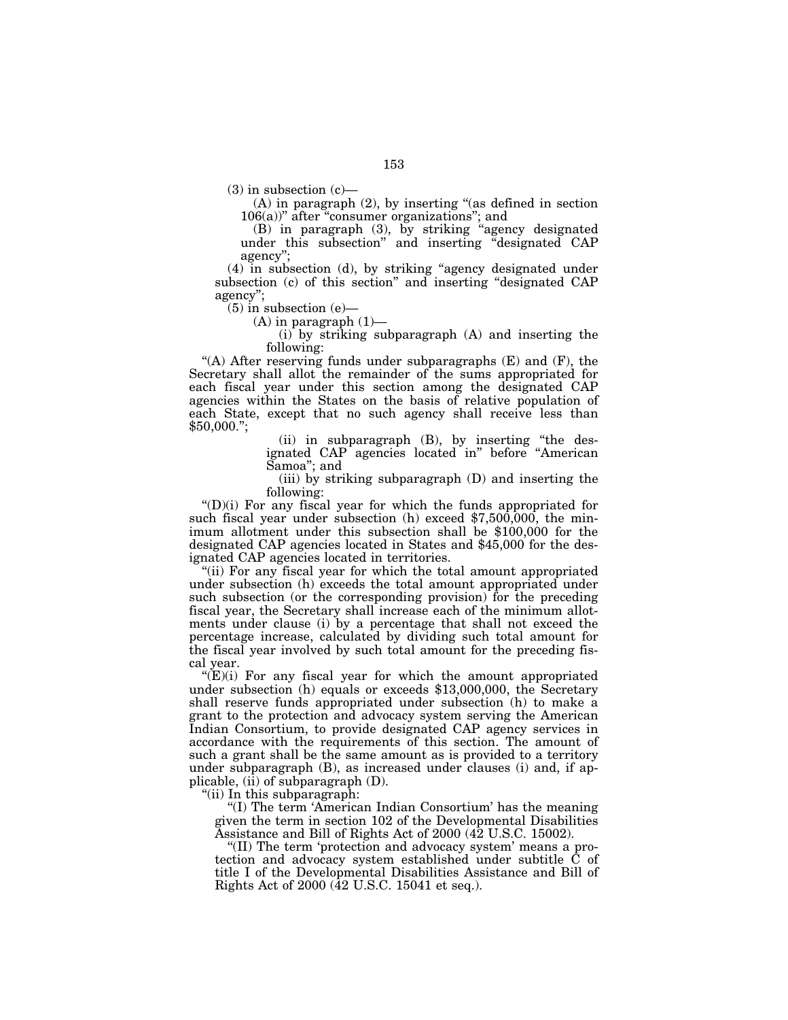$(3)$  in subsection  $(c)$ —

(A) in paragraph (2), by inserting ''(as defined in section  $106(a)$ " after "consumer organizations"; and

(B) in paragraph (3), by striking ''agency designated under this subsection'' and inserting ''designated CAP agency"

(4) in subsection (d), by striking ''agency designated under subsection (c) of this section'' and inserting ''designated CAP agency'';

 $(5)$  in subsection  $(e)$ —

 $(A)$  in paragraph  $(1)$ —

(i) by striking subparagraph (A) and inserting the following:

"(A) After reserving funds under subparagraphs  $(E)$  and  $(F)$ , the Secretary shall allot the remainder of the sums appropriated for each fiscal year under this section among the designated CAP agencies within the States on the basis of relative population of each State, except that no such agency shall receive less than  $$50,000."$ ;

> (ii) in subparagraph (B), by inserting ''the designated CAP agencies located in'' before ''American Samoa''; and

> (iii) by striking subparagraph (D) and inserting the following:

 $'(D)(i)$  For any fiscal year for which the funds appropriated for such fiscal year under subsection (h) exceed \$7,500,000, the minimum allotment under this subsection shall be \$100,000 for the designated CAP agencies located in States and \$45,000 for the designated CAP agencies located in territories.

''(ii) For any fiscal year for which the total amount appropriated under subsection (h) exceeds the total amount appropriated under such subsection (or the corresponding provision) for the preceding fiscal year, the Secretary shall increase each of the minimum allotments under clause (i) by a percentage that shall not exceed the percentage increase, calculated by dividing such total amount for the fiscal year involved by such total amount for the preceding fiscal year.

 $E(E)(i)$  For any fiscal year for which the amount appropriated under subsection (h) equals or exceeds \$13,000,000, the Secretary shall reserve funds appropriated under subsection (h) to make a grant to the protection and advocacy system serving the American Indian Consortium, to provide designated CAP agency services in accordance with the requirements of this section. The amount of such a grant shall be the same amount as is provided to a territory under subparagraph (B), as increased under clauses (i) and, if applicable, (ii) of subparagraph  $(D)$ .

''(ii) In this subparagraph:

"(I) The term 'American Indian Consortium' has the meaning given the term in section 102 of the Developmental Disabilities Assistance and Bill of Rights Act of 2000 (42 U.S.C. 15002).

''(II) The term 'protection and advocacy system' means a protection and advocacy system established under subtitle C of title I of the Developmental Disabilities Assistance and Bill of Rights Act of 2000 (42 U.S.C. 15041 et seq.).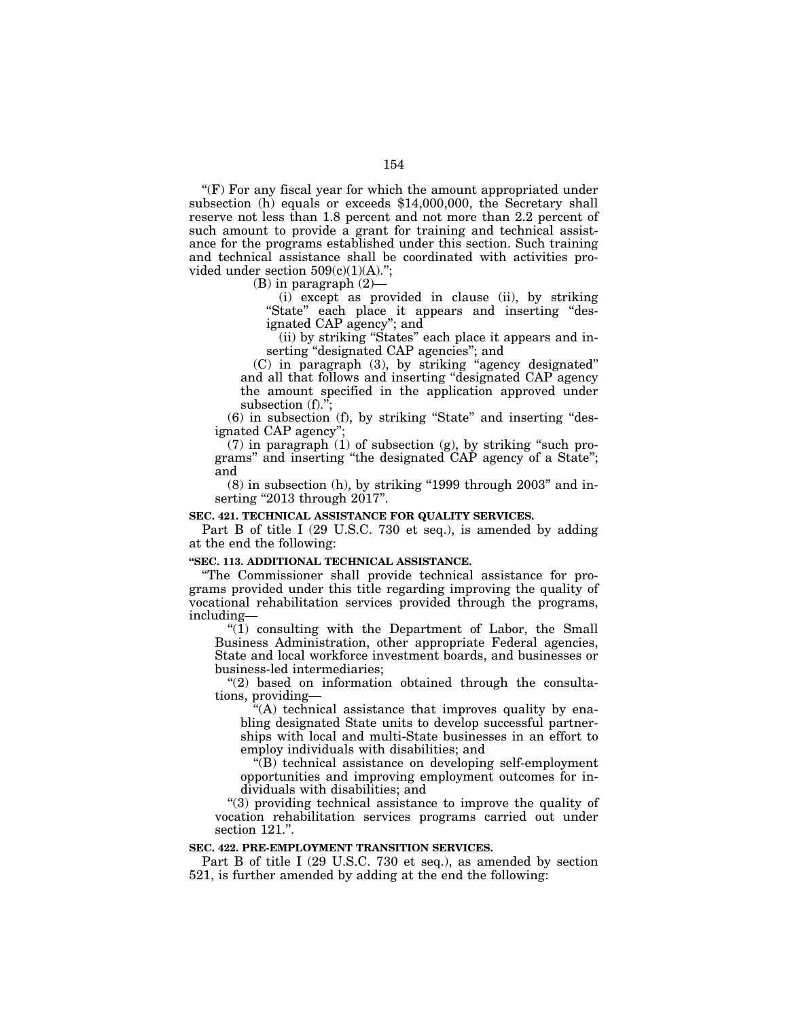$f(F)$  For any fiscal year for which the amount appropriated under subsection (h) equals or exceeds \$14,000,000, the Secretary shall reserve not less than 1.8 percent and not more than 2.2 percent of such amount to provide a grant for training and technical assistance for the programs established under this section. Such training and technical assistance shall be coordinated with activities provided under section  $509(c)(1)(A)$ .";

(B) in paragraph (2)—

(i) except as provided in clause (ii), by striking "State" each place it appears and inserting "designated CAP agency''; and

(ii) by striking ''States'' each place it appears and inserting ''designated CAP agencies''; and

(C) in paragraph (3), by striking ''agency designated'' and all that follows and inserting ''designated CAP agency the amount specified in the application approved under subsection (f)."

(6) in subsection (f), by striking ''State'' and inserting ''designated CAP agency'';

 $(7)$  in paragraph  $(1)$  of subsection  $(g)$ , by striking "such programs'' and inserting ''the designated CAP agency of a State''; and

 $(8)$  in subsection  $(h)$ , by striking "1999 through 2003" and inserting "2013 through 2017".

### **SEC. 421. TECHNICAL ASSISTANCE FOR QUALITY SERVICES.**

Part B of title I (29 U.S.C. 730 et seq.), is amended by adding at the end the following:

### **''SEC. 113. ADDITIONAL TECHNICAL ASSISTANCE.**

''The Commissioner shall provide technical assistance for programs provided under this title regarding improving the quality of vocational rehabilitation services provided through the programs, including—

 $\mathcal{H}(1)$  consulting with the Department of Labor, the Small Business Administration, other appropriate Federal agencies, State and local workforce investment boards, and businesses or business-led intermediaries;

 $(2)$  based on information obtained through the consultations, providing—

"(A) technical assistance that improves quality by enabling designated State units to develop successful partnerships with local and multi-State businesses in an effort to employ individuals with disabilities; and

 $\sqrt[G]{(B)}$  technical assistance on developing self-employment opportunities and improving employment outcomes for individuals with disabilities; and

''(3) providing technical assistance to improve the quality of vocation rehabilitation services programs carried out under section 121.".

### **SEC. 422. PRE-EMPLOYMENT TRANSITION SERVICES.**

Part B of title I (29 U.S.C. 730 et seq.), as amended by section 521, is further amended by adding at the end the following: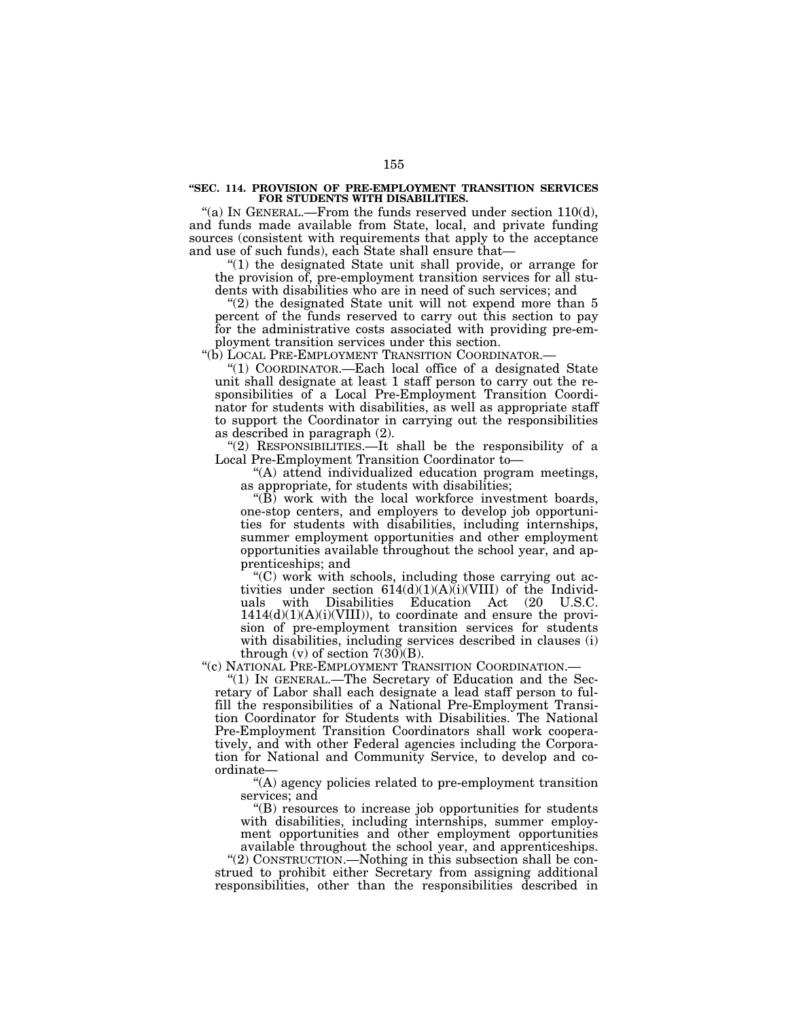#### **''SEC. 114. PROVISION OF PRE-EMPLOYMENT TRANSITION SERVICES FOR STUDENTS WITH DISABILITIES.**

"(a) IN GENERAL.—From the funds reserved under section 110(d), and funds made available from State, local, and private funding sources (consistent with requirements that apply to the acceptance and use of such funds), each State shall ensure that—

"(1) the designated State unit shall provide, or arrange for the provision of, pre-employment transition services for all students with disabilities who are in need of such services; and

"(2) the designated State unit will not expend more than 5 percent of the funds reserved to carry out this section to pay for the administrative costs associated with providing pre-employment transition services under this section.

"(b) LOCAL PRE-EMPLOYMENT TRANSITION COORDINATOR.

''(1) COORDINATOR.—Each local office of a designated State unit shall designate at least 1 staff person to carry out the responsibilities of a Local Pre-Employment Transition Coordinator for students with disabilities, as well as appropriate staff to support the Coordinator in carrying out the responsibilities as described in paragraph (2).

"(2) RESPONSIBILITIES.—It shall be the responsibility of a Local Pre-Employment Transition Coordinator to-

''(A) attend individualized education program meetings, as appropriate, for students with disabilities;

''(B) work with the local workforce investment boards, one-stop centers, and employers to develop job opportunities for students with disabilities, including internships, summer employment opportunities and other employment opportunities available throughout the school year, and apprenticeships; and

''(C) work with schools, including those carrying out activities under section  $614(d)(1)(A)(i)(VIII)$  of the Individuals with Disabilities Education Act (20 U.S.C. uals with Disabilities Education Act (20 U.S.C.  $1414(d)(1)(A)(i)(VIII)$ , to coordinate and ensure the provision of pre-employment transition services for students with disabilities, including services described in clauses (i) through  $(v)$  of section  $7(30)(B)$ .

"(c) NATIONAL PRE-EMPLOYMENT TRANSITION COORDINATION.-

"(1) IN GENERAL.—The Secretary of Education and the Secretary of Labor shall each designate a lead staff person to fulfill the responsibilities of a National Pre-Employment Transition Coordinator for Students with Disabilities. The National Pre-Employment Transition Coordinators shall work cooperatively, and with other Federal agencies including the Corporation for National and Community Service, to develop and coordinate—

''(A) agency policies related to pre-employment transition services; and

''(B) resources to increase job opportunities for students with disabilities, including internships, summer employment opportunities and other employment opportunities available throughout the school year, and apprenticeships.

''(2) CONSTRUCTION.—Nothing in this subsection shall be construed to prohibit either Secretary from assigning additional responsibilities, other than the responsibilities described in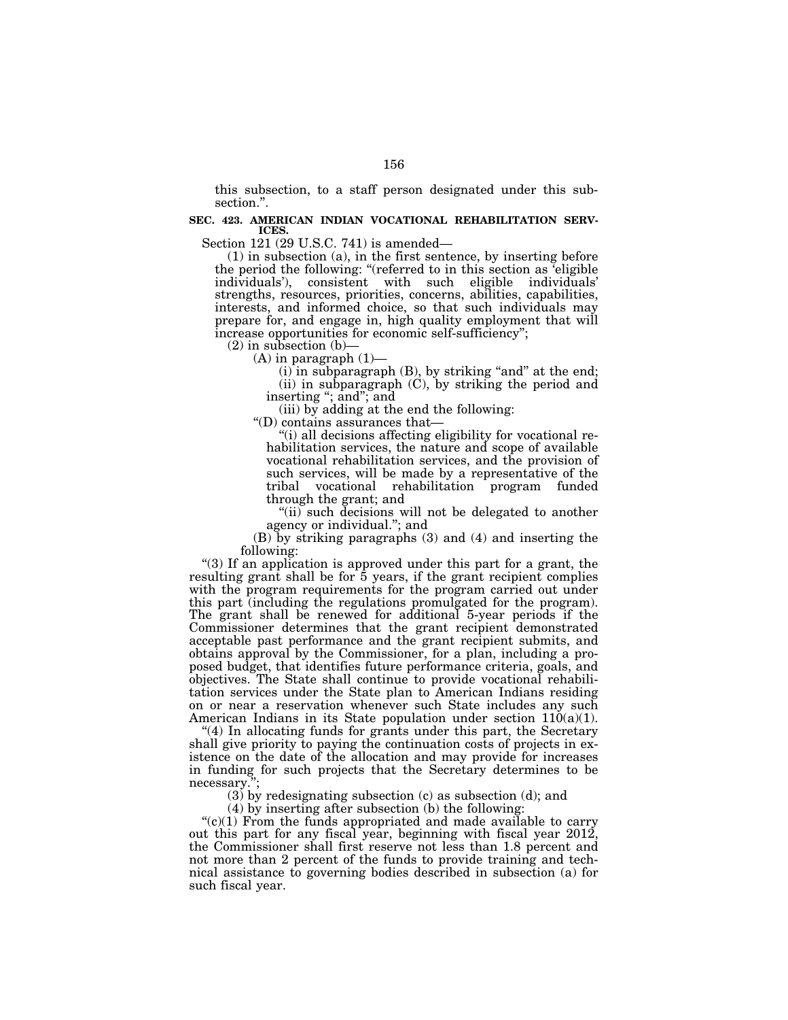this subsection, to a staff person designated under this subsection.''.

### **SEC. 423. AMERICAN INDIAN VOCATIONAL REHABILITATION SERV-ICES.**

Section 121 (29 U.S.C. 741) is amended—

(1) in subsection (a), in the first sentence, by inserting before the period the following: ''(referred to in this section as 'eligible individuals'), consistent with such eligible individuals' strengths, resources, priorities, concerns, abilities, capabilities, interests, and informed choice, so that such individuals may prepare for, and engage in, high quality employment that will increase opportunities for economic self-sufficiency'';

 $(2)$  in subsection  $(b)$ –

 $(A)$  in paragraph  $(1)$ —

 $(i)$  in subparagraph  $(B)$ , by striking "and" at the end; (ii) in subparagraph (C), by striking the period and inserting "; and "; and

(iii) by adding at the end the following:

''(D) contains assurances that—

''(i) all decisions affecting eligibility for vocational rehabilitation services, the nature and scope of available vocational rehabilitation services, and the provision of such services, will be made by a representative of the tribal vocational rehabilitation program funded through the grant; and

"(ii) such decisions will not be delegated to another agency or individual.''; and

(B) by striking paragraphs (3) and (4) and inserting the following:

''(3) If an application is approved under this part for a grant, the resulting grant shall be for 5 years, if the grant recipient complies with the program requirements for the program carried out under this part (including the regulations promulgated for the program). The grant shall be renewed for additional 5-year periods if the Commissioner determines that the grant recipient demonstrated acceptable past performance and the grant recipient submits, and obtains approval by the Commissioner, for a plan, including a proposed budget, that identifies future performance criteria, goals, and objectives. The State shall continue to provide vocational rehabilitation services under the State plan to American Indians residing on or near a reservation whenever such State includes any such American Indians in its State population under section  $110(a)(1)$ .

 $(4)$  In allocating funds for grants under this part, the Secretary shall give priority to paying the continuation costs of projects in existence on the date of the allocation and may provide for increases in funding for such projects that the Secretary determines to be necessary.'';

(3) by redesignating subsection (c) as subsection (d); and

(4) by inserting after subsection (b) the following:

 $C$ (c)(1) From the funds appropriated and made available to carry out this part for any fiscal year, beginning with fiscal year 2012, the Commissioner shall first reserve not less than 1.8 percent and not more than 2 percent of the funds to provide training and technical assistance to governing bodies described in subsection (a) for such fiscal year.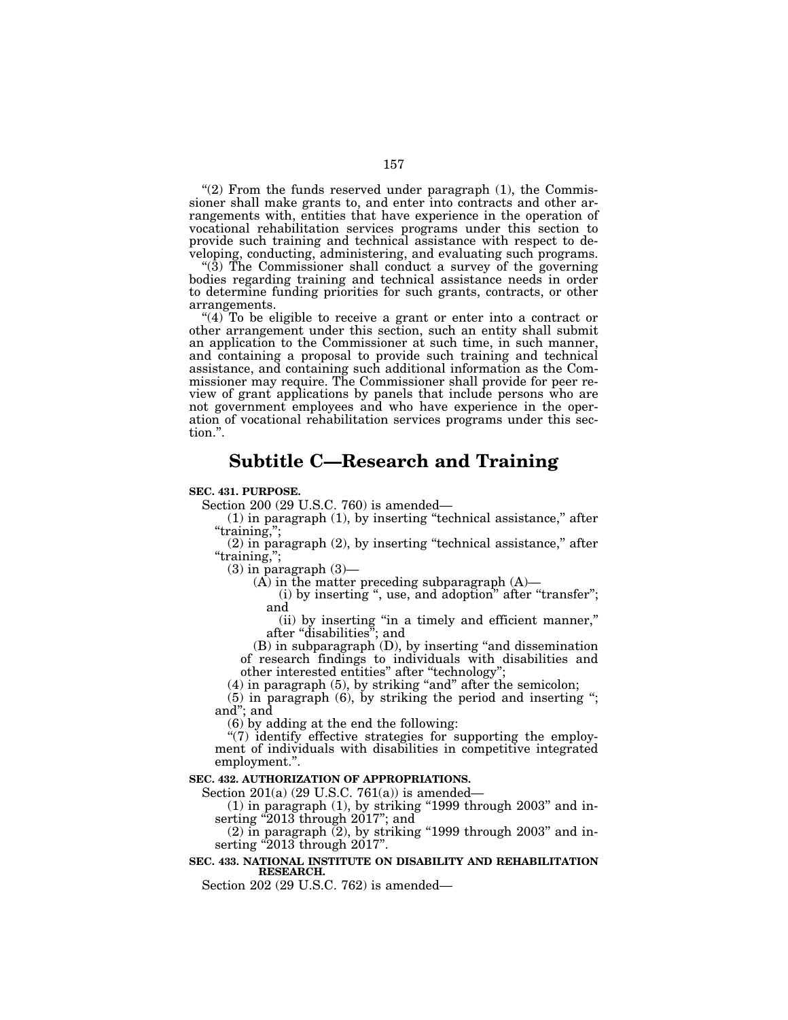" $(2)$  From the funds reserved under paragraph  $(1)$ , the Commissioner shall make grants to, and enter into contracts and other arrangements with, entities that have experience in the operation of vocational rehabilitation services programs under this section to provide such training and technical assistance with respect to developing, conducting, administering, and evaluating such programs.

" $(3)$  The Commissioner shall conduct a survey of the governing bodies regarding training and technical assistance needs in order to determine funding priorities for such grants, contracts, or other arrangements.

" $(4)$  To be eligible to receive a grant or enter into a contract or other arrangement under this section, such an entity shall submit an application to the Commissioner at such time, in such manner, and containing a proposal to provide such training and technical assistance, and containing such additional information as the Commissioner may require. The Commissioner shall provide for peer review of grant applications by panels that include persons who are not government employees and who have experience in the operation of vocational rehabilitation services programs under this section.''.

# **Subtitle C—Research and Training**

### **SEC. 431. PURPOSE.**

Section 200 (29 U.S.C. 760) is amended—

 $(1)$  in paragraph  $(1)$ , by inserting "technical assistance," after "training,";

 $(2)$  in paragraph  $(2)$ , by inserting "technical assistance," after ''training,'';

 $(3)$  in paragraph  $(3)$ —

 $(A)$  in the matter preceding subparagraph  $(A)$ —

(i) by inserting ", use, and adoption" after "transfer"; and

(ii) by inserting ''in a timely and efficient manner,'' after ''disabilities''; and

(B) in subparagraph (D), by inserting ''and dissemination of research findings to individuals with disabilities and other interested entities'' after ''technology'';

(4) in paragraph (5), by striking ''and'' after the semicolon;

(5) in paragraph (6), by striking the period and inserting ''; and''; and

(6) by adding at the end the following:

" $(7)$  identify effective strategies for supporting the employment of individuals with disabilities in competitive integrated employment.''.

### **SEC. 432. AUTHORIZATION OF APPROPRIATIONS.**

Section 201(a) (29 U.S.C. 761(a)) is amended—

 $(1)$  in paragraph  $(1)$ , by striking "1999 through 2003" and inserting "2013 through 2017"; and

 $(2)$  in paragraph  $(2)$ , by striking "1999 through 2003" and inserting  $^{\prime\prime}2013$  through  $2017$ ".

## **SEC. 433. NATIONAL INSTITUTE ON DISABILITY AND REHABILITATION RESEARCH.**

Section 202 (29 U.S.C. 762) is amended—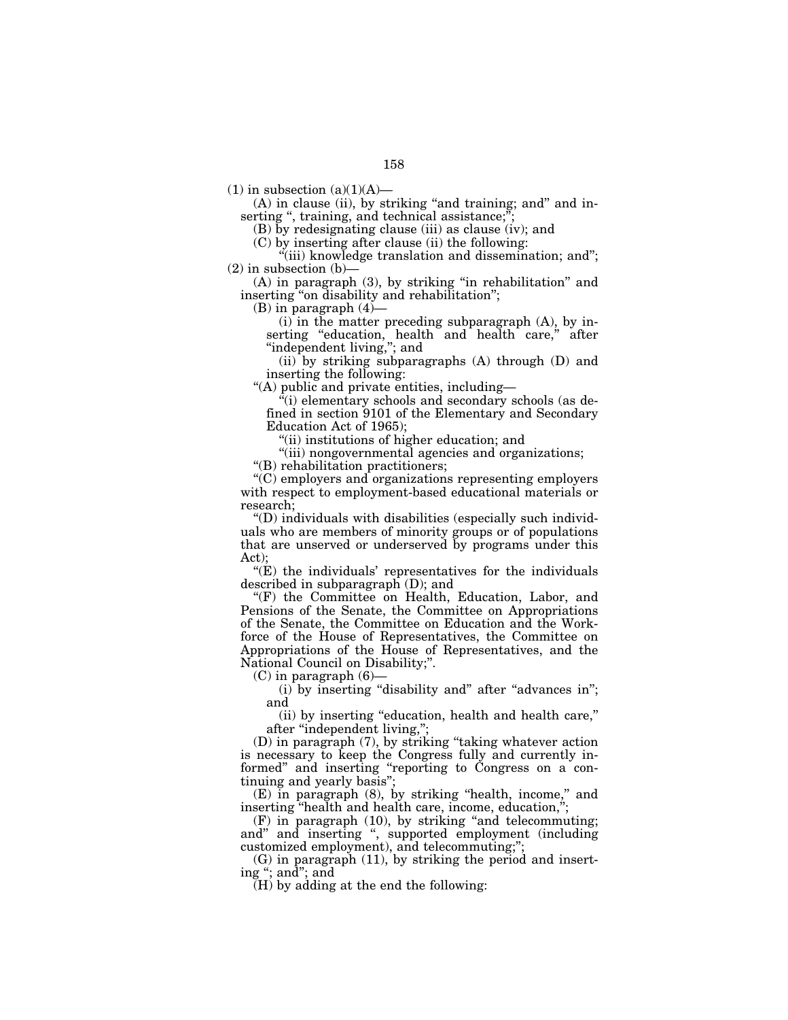$(1)$  in subsection  $(a)(1)(A)$ —

(A) in clause (ii), by striking "and training; and" and inserting ", training, and technical assistance;";

(B) by redesignating clause (iii) as clause (iv); and

(C) by inserting after clause (ii) the following:

"(iii) knowledge translation and dissemination; and";  $(2)$  in subsection  $(b)$ 

(A) in paragraph (3), by striking ''in rehabilitation'' and inserting ''on disability and rehabilitation'';

(B) in paragraph (4)—

 $(i)$  in the matter preceding subparagraph  $(A)$ , by inserting "education, health and health care," after "independent living,"; and

(ii) by striking subparagraphs (A) through (D) and inserting the following:

''(A) public and private entities, including—

''(i) elementary schools and secondary schools (as defined in section 9101 of the Elementary and Secondary Education Act of 1965);

"(ii) institutions of higher education; and

"(iii) nongovernmental agencies and organizations;

''(B) rehabilitation practitioners;

''(C) employers and organizations representing employers with respect to employment-based educational materials or research;

''(D) individuals with disabilities (especially such individuals who are members of minority groups or of populations that are unserved or underserved by programs under this Act);

 $E(E)$  the individuals' representatives for the individuals described in subparagraph (D); and

''(F) the Committee on Health, Education, Labor, and Pensions of the Senate, the Committee on Appropriations of the Senate, the Committee on Education and the Workforce of the House of Representatives, the Committee on Appropriations of the House of Representatives, and the National Council on Disability;''.

(C) in paragraph (6)—

(i) by inserting "disability and" after "advances in"; and

(ii) by inserting ''education, health and health care,'' after "independent living,";

(D) in paragraph (7), by striking ''taking whatever action is necessary to keep the Congress fully and currently informed" and inserting "reporting to Congress on a continuing and yearly basis'';

(E) in paragraph (8), by striking ''health, income,'' and inserting "health and health care, income, education,

 $(F)$  in paragraph  $(10)$ , by striking "and telecommuting; and'' and inserting '', supported employment (including customized employment), and telecommuting;'';

(G) in paragraph (11), by striking the period and inserting ''; and''; and

 $(H)$  by adding at the end the following: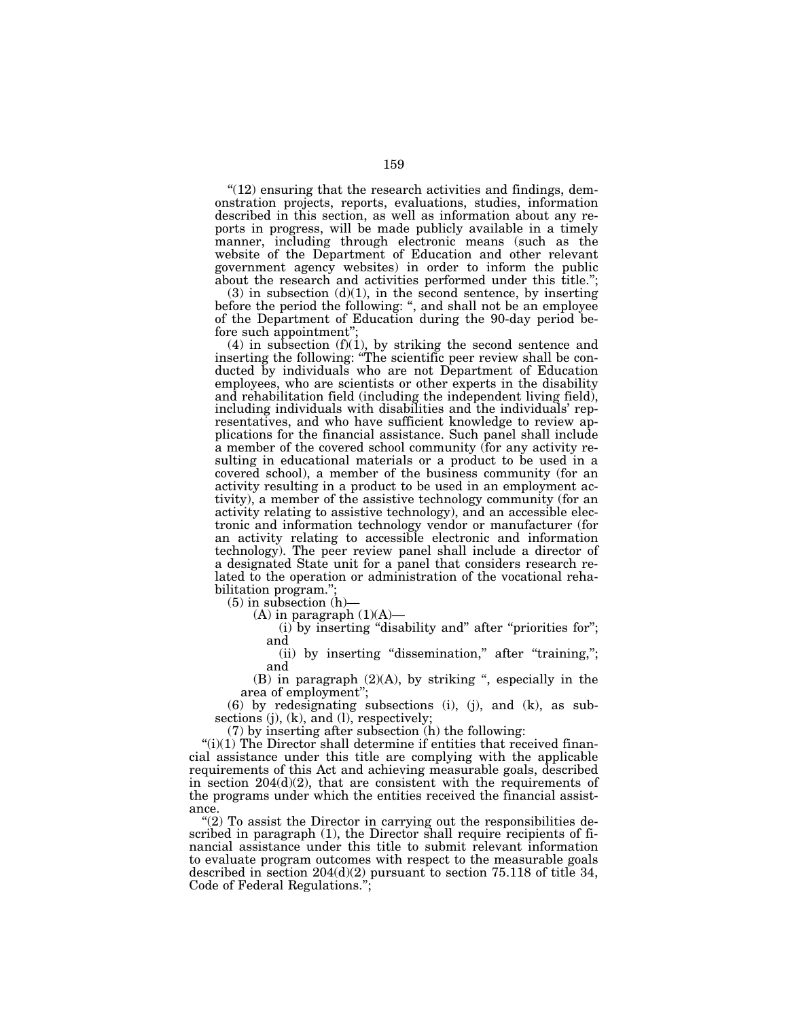$''(12)$  ensuring that the research activities and findings, demonstration projects, reports, evaluations, studies, information described in this section, as well as information about any reports in progress, will be made publicly available in a timely manner, including through electronic means (such as the website of the Department of Education and other relevant government agency websites) in order to inform the public about the research and activities performed under this title.'';

 $(3)$  in subsection  $(d)(1)$ , in the second sentence, by inserting before the period the following: '', and shall not be an employee of the Department of Education during the 90-day period before such appointment'';

(4) in subsection  $(f)(1)$ , by striking the second sentence and inserting the following: ''The scientific peer review shall be conducted by individuals who are not Department of Education employees, who are scientists or other experts in the disability and rehabilitation field (including the independent living field), including individuals with disabilities and the individuals' representatives, and who have sufficient knowledge to review applications for the financial assistance. Such panel shall include a member of the covered school community (for any activity resulting in educational materials or a product to be used in a covered school), a member of the business community (for an activity resulting in a product to be used in an employment activity), a member of the assistive technology community (for an activity relating to assistive technology), and an accessible electronic and information technology vendor or manufacturer (for an activity relating to accessible electronic and information technology). The peer review panel shall include a director of a designated State unit for a panel that considers research related to the operation or administration of the vocational rehabilitation program.'';

(5) in subsection (h)—

 $(A)$  in paragraph  $(1)(A)$ —

 $(i)$  by inserting "disability and" after "priorities for"; and

(ii) by inserting "dissemination," after "training,"; and

(B) in paragraph  $(2)(A)$ , by striking ", especially in the area of employment'';

(6) by redesignating subsections (i), (j), and (k), as subsections (j), (k), and (l), respectively;

(7) by inserting after subsection (h) the following:

" $(i)(1)$  The Director shall determine if entities that received financial assistance under this title are complying with the applicable requirements of this Act and achieving measurable goals, described in section 204(d)(2), that are consistent with the requirements of the programs under which the entities received the financial assistance.

"(2) To assist the Director in carrying out the responsibilities described in paragraph (1), the Director shall require recipients of financial assistance under this title to submit relevant information to evaluate program outcomes with respect to the measurable goals described in section  $204(d)(2)$  pursuant to section 75.118 of title 34, Code of Federal Regulations.'';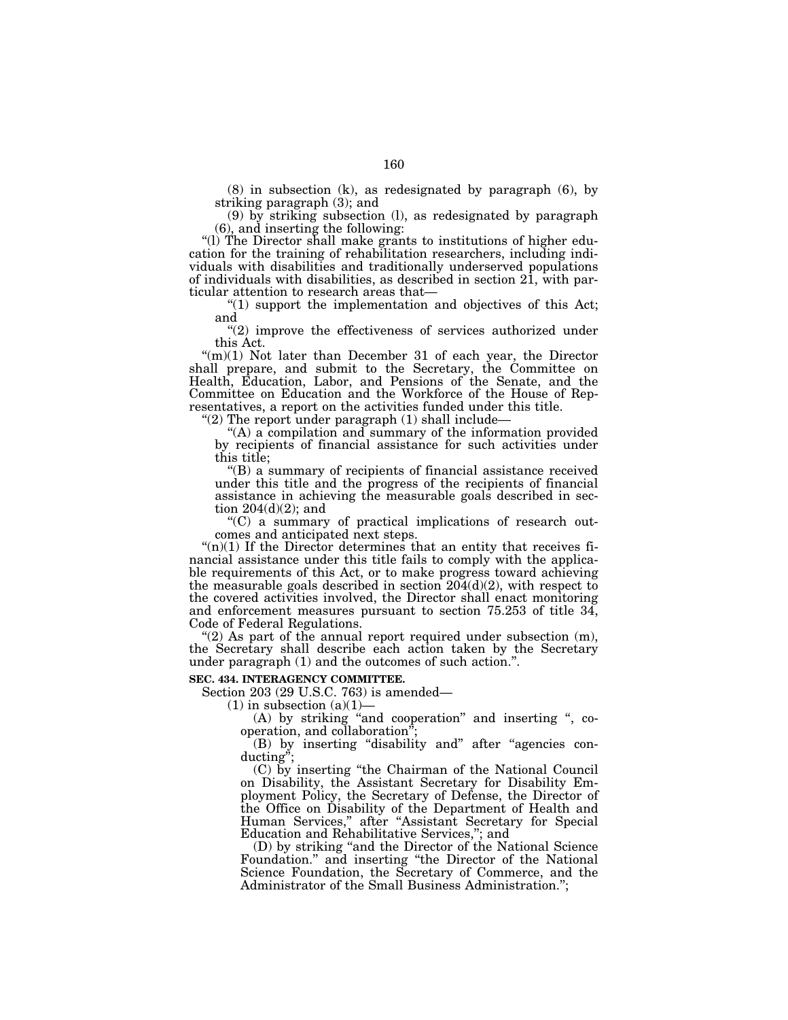(8) in subsection (k), as redesignated by paragraph (6), by striking paragraph (3); and

(9) by striking subsection (l), as redesignated by paragraph (6), and inserting the following:

"(l) The Director shall make grants to institutions of higher education for the training of rehabilitation researchers, including individuals with disabilities and traditionally underserved populations of individuals with disabilities, as described in section 21, with particular attention to research areas that—

''(1) support the implementation and objectives of this Act; and

"(2) improve the effectiveness of services authorized under this Act.

"(m)(1) Not later than December 31 of each year, the Director shall prepare, and submit to the Secretary, the Committee on Health, Education, Labor, and Pensions of the Senate, and the Committee on Education and the Workforce of the House of Representatives, a report on the activities funded under this title.

"(2) The report under paragraph (1) shall include-

''(A) a compilation and summary of the information provided by recipients of financial assistance for such activities under this title;

''(B) a summary of recipients of financial assistance received under this title and the progress of the recipients of financial assistance in achieving the measurable goals described in section  $204(d)(2)$ ; and

''(C) a summary of practical implications of research outcomes and anticipated next steps.

" $(n)(1)$  If the Director determines that an entity that receives financial assistance under this title fails to comply with the applicable requirements of this Act, or to make progress toward achieving the measurable goals described in section  $204(d)(2)$ , with respect to the covered activities involved, the Director shall enact monitoring and enforcement measures pursuant to section 75.253 of title 34, Code of Federal Regulations.

"(2) As part of the annual report required under subsection  $(m)$ , the Secretary shall describe each action taken by the Secretary under paragraph (1) and the outcomes of such action.''.

### **SEC. 434. INTERAGENCY COMMITTEE.**

Section 203 (29 U.S.C. 763) is amended—

 $(1)$  in subsection  $(a)(1)$ 

(A) by striking "and cooperation" and inserting ", cooperation, and collaboration'';

(B) by inserting ''disability and'' after ''agencies conducting'';

(C) by inserting ''the Chairman of the National Council on Disability, the Assistant Secretary for Disability Employment Policy, the Secretary of Defense, the Director of the Office on Disability of the Department of Health and Human Services,'' after ''Assistant Secretary for Special Education and Rehabilitative Services,''; and

(D) by striking ''and the Director of the National Science Foundation.'' and inserting ''the Director of the National Science Foundation, the Secretary of Commerce, and the Administrator of the Small Business Administration.'';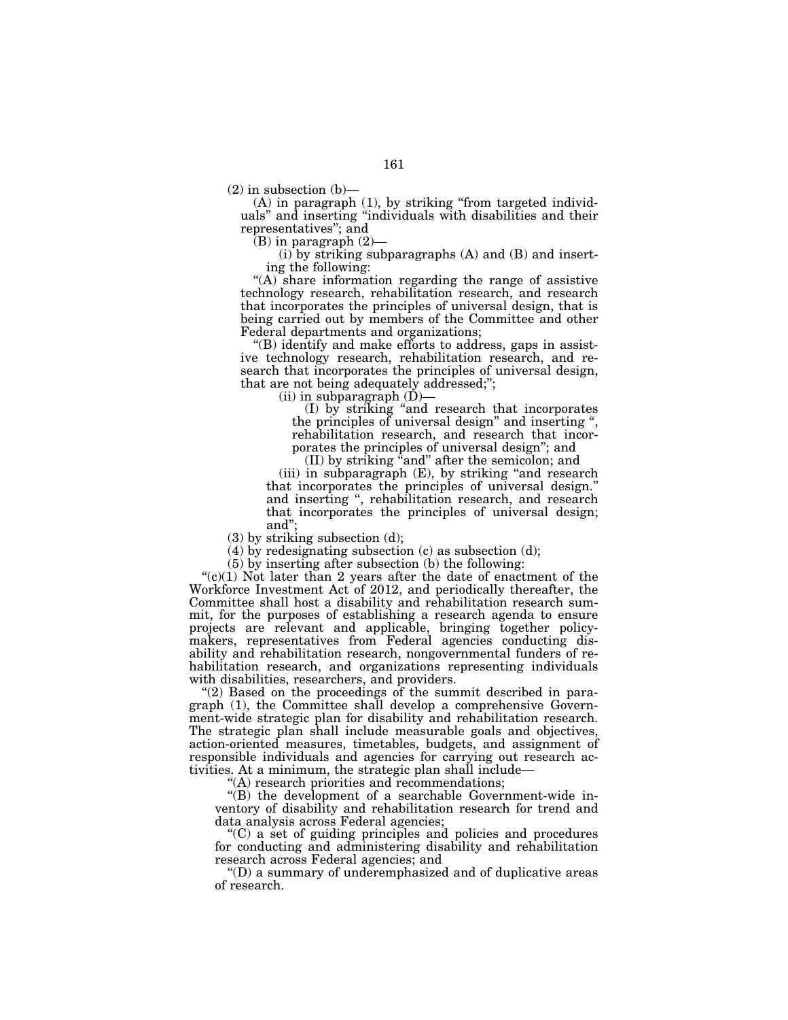$(2)$  in subsection  $(b)$ –

(A) in paragraph (1), by striking ''from targeted individuals'' and inserting ''individuals with disabilities and their representatives''; and

 $(B)$  in paragraph  $(2)$ —

 $(i)$  by striking subparagraphs  $(A)$  and  $(B)$  and inserting the following:

"(A) share information regarding the range of assistive technology research, rehabilitation research, and research that incorporates the principles of universal design, that is being carried out by members of the Committee and other Federal departments and organizations;

''(B) identify and make efforts to address, gaps in assistive technology research, rehabilitation research, and research that incorporates the principles of universal design, that are not being adequately addressed;'';

 $(ii)$  in subparagraph  $(D)$ —

(I) by striking ''and research that incorporates the principles of universal design'' and inserting '', rehabilitation research, and research that incorporates the principles of universal design''; and

(II) by striking ''and'' after the semicolon; and

(iii) in subparagraph (E), by striking "and research that incorporates the principles of universal design.'' and inserting '', rehabilitation research, and research that incorporates the principles of universal design; and'';

(3) by striking subsection (d);

(4) by redesignating subsection (c) as subsection (d);

(5) by inserting after subsection (b) the following:

" $(c)(1)$  Not later than 2 years after the date of enactment of the Workforce Investment Act of 2012, and periodically thereafter, the Committee shall host a disability and rehabilitation research summit, for the purposes of establishing a research agenda to ensure projects are relevant and applicable, bringing together policymakers, representatives from Federal agencies conducting disability and rehabilitation research, nongovernmental funders of rehabilitation research, and organizations representing individuals with disabilities, researchers, and providers.

"(2) Based on the proceedings of the summit described in paragraph (1), the Committee shall develop a comprehensive Government-wide strategic plan for disability and rehabilitation research. The strategic plan shall include measurable goals and objectives, action-oriented measures, timetables, budgets, and assignment of responsible individuals and agencies for carrying out research activities. At a minimum, the strategic plan shall include—

''(A) research priorities and recommendations;

''(B) the development of a searchable Government-wide inventory of disability and rehabilitation research for trend and data analysis across Federal agencies;

''(C) a set of guiding principles and policies and procedures for conducting and administering disability and rehabilitation research across Federal agencies; and

''(D) a summary of underemphasized and of duplicative areas of research.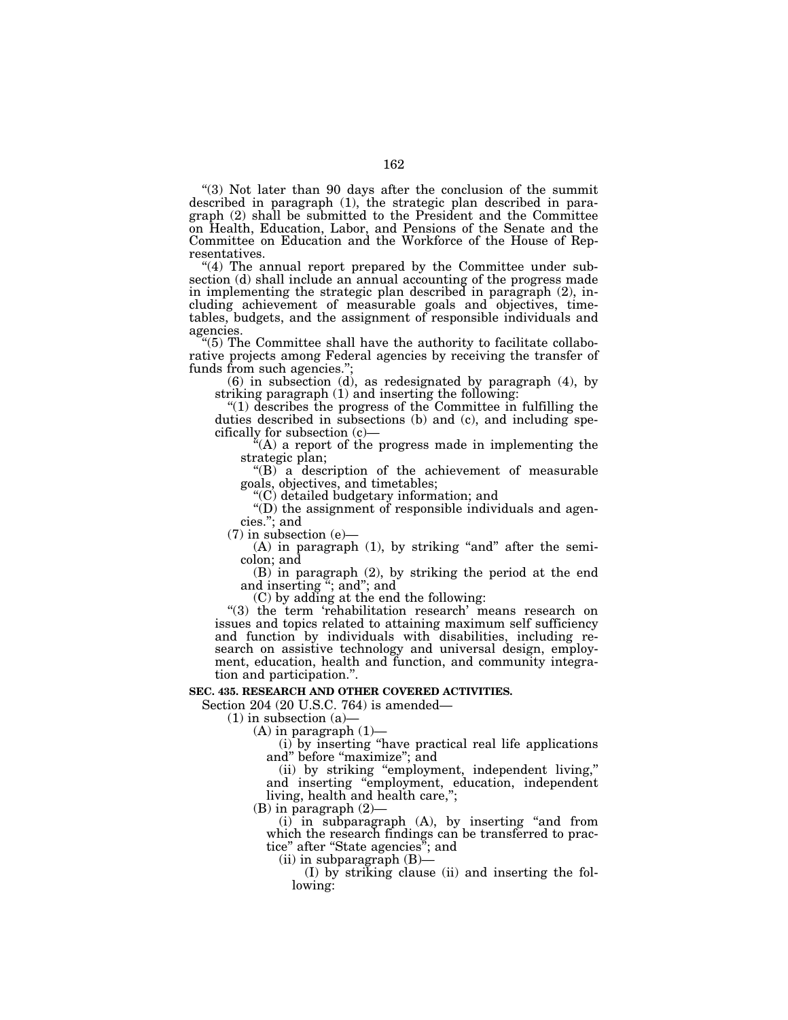''(3) Not later than 90 days after the conclusion of the summit described in paragraph (1), the strategic plan described in paragraph (2) shall be submitted to the President and the Committee on Health, Education, Labor, and Pensions of the Senate and the Committee on Education and the Workforce of the House of Representatives.

"(4) The annual report prepared by the Committee under subsection (d) shall include an annual accounting of the progress made in implementing the strategic plan described in paragraph (2), including achievement of measurable goals and objectives, timetables, budgets, and the assignment of responsible individuals and agencies.

''(5) The Committee shall have the authority to facilitate collaborative projects among Federal agencies by receiving the transfer of funds from such agencies.'';

(6) in subsection (d), as redesignated by paragraph (4), by striking paragraph (1) and inserting the following:

''(1) describes the progress of the Committee in fulfilling the duties described in subsections (b) and (c), and including specifically for subsection (c)—

''(A) a report of the progress made in implementing the strategic plan;

''(B) a description of the achievement of measurable goals, objectives, and timetables;

''(C) detailed budgetary information; and

''(D) the assignment of responsible individuals and agencies.''; and

 $(7)$  in subsection  $(e)$ —

 $(A)$  in paragraph  $(1)$ , by striking "and" after the semicolon; and

(B) in paragraph (2), by striking the period at the end and inserting ''; and''; and

(C) by adding at the end the following:

"(3) the term 'rehabilitation research' means research on issues and topics related to attaining maximum self sufficiency and function by individuals with disabilities, including research on assistive technology and universal design, employment, education, health and function, and community integration and participation.''.

### **SEC. 435. RESEARCH AND OTHER COVERED ACTIVITIES.**

Section 204 (20 U.S.C. 764) is amended—

 $(1)$  in subsection  $(a)$ 

 $(A)$  in paragraph  $(1)$ —

(i) by inserting ''have practical real life applications and" before "maximize"; and

(ii) by striking ''employment, independent living,'' and inserting ''employment, education, independent living, health and health care,'';

 $(B)$  in paragraph  $(2)$ 

(i) in subparagraph (A), by inserting ''and from which the research findings can be transferred to practice'' after ''State agencies''; and

 $(ii)$  in subparagraph  $(B)$ —

(I) by striking clause (ii) and inserting the following: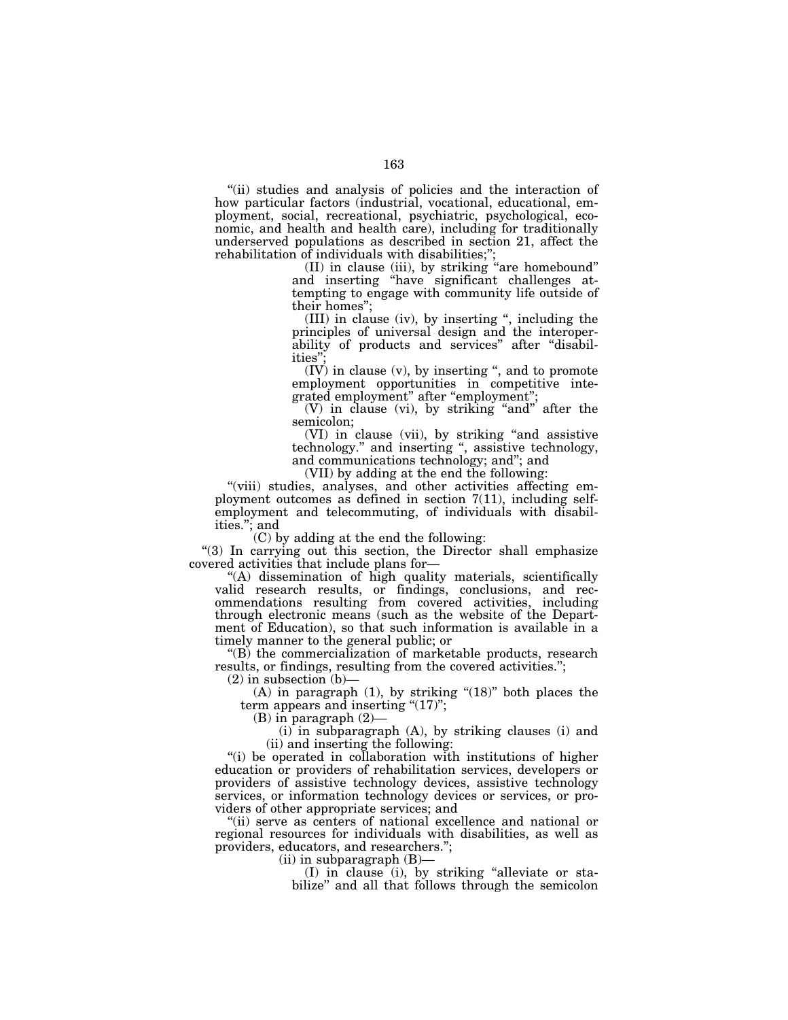"(ii) studies and analysis of policies and the interaction of how particular factors (industrial, vocational, educational, employment, social, recreational, psychiatric, psychological, economic, and health and health care), including for traditionally underserved populations as described in section 21, affect the rehabilitation of individuals with disabilities;'';

(II) in clause (iii), by striking ''are homebound'' and inserting ''have significant challenges attempting to engage with community life outside of their homes'';

(III) in clause (iv), by inserting '', including the principles of universal design and the interoperability of products and services" after "disabilities"

 $(IV)$  in clause  $(v)$ , by inserting ", and to promote employment opportunities in competitive integrated employment" after "employment";

(V) in clause (vi), by striking ''and'' after the semicolon;

(VI) in clause (vii), by striking ''and assistive technology.'' and inserting '', assistive technology, and communications technology; and''; and

(VII) by adding at the end the following:

"(viii) studies, analyses, and other activities affecting employment outcomes as defined in section 7(11), including selfemployment and telecommuting, of individuals with disabilities.''; and

(C) by adding at the end the following:

"(3) In carrying out this section, the Director shall emphasize covered activities that include plans for—

''(A) dissemination of high quality materials, scientifically valid research results, or findings, conclusions, and recommendations resulting from covered activities, including through electronic means (such as the website of the Department of Education), so that such information is available in a timely manner to the general public; or

 $'(B)$  the commercialization of marketable products, research results, or findings, resulting from the covered activities.'';

 $(2)$  in subsection  $(b)$ –

(A) in paragraph  $(1)$ , by striking " $(18)$ " both places the term appears and inserting  $(17)$ ";

(B) in paragraph (2)—

 $(i)$  in subparagraph  $(A)$ , by striking clauses  $(i)$  and (ii) and inserting the following:

"(i) be operated in collaboration with institutions of higher education or providers of rehabilitation services, developers or providers of assistive technology devices, assistive technology services, or information technology devices or services, or providers of other appropriate services; and

"(ii) serve as centers of national excellence and national or regional resources for individuals with disabilities, as well as providers, educators, and researchers.'';

(ii) in subparagraph (B)—

(I) in clause (i), by striking ''alleviate or stabilize'' and all that follows through the semicolon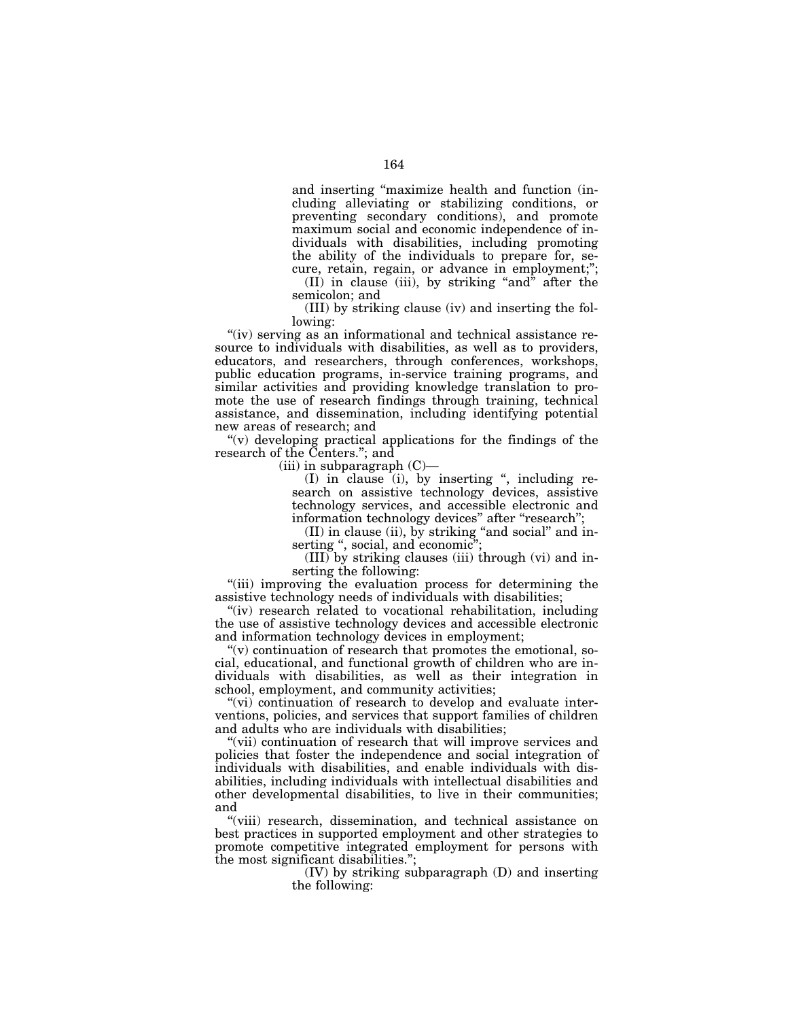and inserting ''maximize health and function (including alleviating or stabilizing conditions, or preventing secondary conditions), and promote maximum social and economic independence of individuals with disabilities, including promoting the ability of the individuals to prepare for, secure, retain, regain, or advance in employment;'';

 $(II)$  in clause (iii), by striking "and" after the semicolon; and

(III) by striking clause (iv) and inserting the following:

"(iv) serving as an informational and technical assistance resource to individuals with disabilities, as well as to providers, educators, and researchers, through conferences, workshops, public education programs, in-service training programs, and similar activities and providing knowledge translation to promote the use of research findings through training, technical assistance, and dissemination, including identifying potential new areas of research; and

"(v) developing practical applications for the findings of the research of the Centers.''; and

 $(iii)$  in subparagraph  $(C)$ —

(I) in clause (i), by inserting '', including research on assistive technology devices, assistive technology services, and accessible electronic and information technology devices" after "research";

 $(II)$  in clause (ii), by striking "and social" and inserting ", social, and economic"

(III) by striking clauses (iii) through (vi) and inserting the following:

"(iii) improving the evaluation process for determining the assistive technology needs of individuals with disabilities;

"(iv) research related to vocational rehabilitation, including the use of assistive technology devices and accessible electronic and information technology devices in employment;

"(v) continuation of research that promotes the emotional, social, educational, and functional growth of children who are individuals with disabilities, as well as their integration in school, employment, and community activities;

"(vi) continuation of research to develop and evaluate interventions, policies, and services that support families of children and adults who are individuals with disabilities;

"(vii) continuation of research that will improve services and policies that foster the independence and social integration of individuals with disabilities, and enable individuals with disabilities, including individuals with intellectual disabilities and other developmental disabilities, to live in their communities; and

"(viii) research, dissemination, and technical assistance on best practices in supported employment and other strategies to promote competitive integrated employment for persons with the most significant disabilities.'';

> (IV) by striking subparagraph (D) and inserting the following: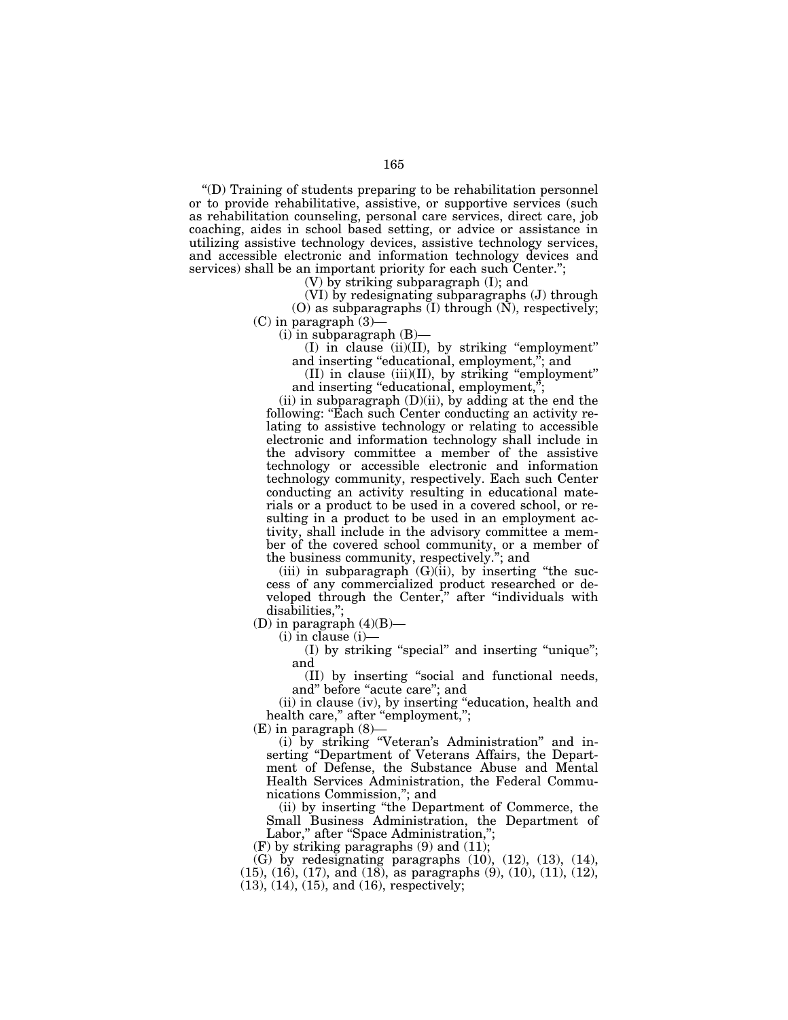''(D) Training of students preparing to be rehabilitation personnel or to provide rehabilitative, assistive, or supportive services (such as rehabilitation counseling, personal care services, direct care, job coaching, aides in school based setting, or advice or assistance in utilizing assistive technology devices, assistive technology services, and accessible electronic and information technology devices and services) shall be an important priority for each such Center.'';

(V) by striking subparagraph (I); and

(VI) by redesignating subparagraphs (J) through (O) as subparagraphs (I) through (N), respectively;  $(C)$  in paragraph  $(3)$ —

 $(i)$  in subparagraph  $(B)$ —

(I) in clause (ii)(II), by striking ''employment'' and inserting "educational, employment,"; and

(II) in clause (iii)(II), by striking ''employment'' and inserting "educational, employment,";

(ii) in subparagraph  $(D)(ii)$ , by adding at the end the following: ''Each such Center conducting an activity relating to assistive technology or relating to accessible electronic and information technology shall include in the advisory committee a member of the assistive technology or accessible electronic and information technology community, respectively. Each such Center conducting an activity resulting in educational materials or a product to be used in a covered school, or resulting in a product to be used in an employment activity, shall include in the advisory committee a member of the covered school community, or a member of the business community, respectively.''; and

(iii) in subparagraph  $(G)(ii)$ , by inserting "the success of any commercialized product researched or developed through the Center,'' after ''individuals with disabilities,'';

(D) in paragraph  $(4)(B)$ —

(i) in clause (i)—

(I) by striking ''special'' and inserting ''unique''; and

(II) by inserting ''social and functional needs, and" before "acute care"; and

(ii) in clause (iv), by inserting ''education, health and health care," after "employment,";

(E) in paragraph (8)—

(i) by striking ''Veteran's Administration'' and inserting ''Department of Veterans Affairs, the Department of Defense, the Substance Abuse and Mental Health Services Administration, the Federal Communications Commission,''; and

(ii) by inserting ''the Department of Commerce, the Small Business Administration, the Department of Labor," after "Space Administration,";

 $(F)$  by striking paragraphs  $(9)$  and  $(11)$ ;

 $(G)$  by redesignating paragraphs  $(10)$ ,  $(12)$ ,  $(13)$ ,  $(14)$ , (15), (16), (17), and (18), as paragraphs (9), (10), (11), (12), (13), (14), (15), and (16), respectively;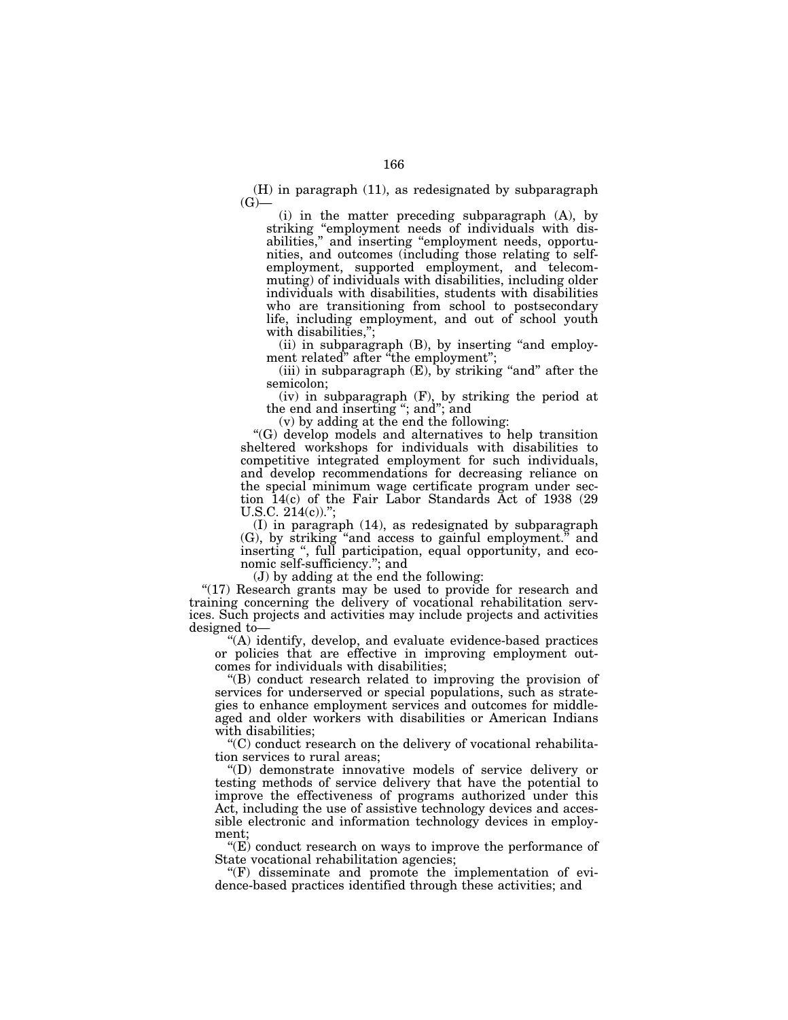(H) in paragraph (11), as redesignated by subparagraph  $(G)$ —

(i) in the matter preceding subparagraph (A), by striking "employment needs of individuals with disabilities,'' and inserting ''employment needs, opportunities, and outcomes (including those relating to selfemployment, supported employment, and telecommuting) of individuals with disabilities, including older individuals with disabilities, students with disabilities who are transitioning from school to postsecondary life, including employment, and out of school youth with disabilities,'';

 $(ii)$  in subparagraph  $(B)$ , by inserting "and employment related" after "the employment";

(iii) in subparagraph  $(E)$ , by striking "and" after the semicolon;

(iv) in subparagraph (F), by striking the period at the end and inserting ''; and''; and

(v) by adding at the end the following:

''(G) develop models and alternatives to help transition sheltered workshops for individuals with disabilities to competitive integrated employment for such individuals, and develop recommendations for decreasing reliance on the special minimum wage certificate program under section 14(c) of the Fair Labor Standards Act of 1938 (29 U.S.C.  $214(c)$ .";

(I) in paragraph (14), as redesignated by subparagraph (G), by striking ''and access to gainful employment.'' and inserting '', full participation, equal opportunity, and economic self-sufficiency.''; and

(J) by adding at the end the following:

" $(17)$  Research grants may be used to provide for research and training concerning the delivery of vocational rehabilitation services. Such projects and activities may include projects and activities designed to—

''(A) identify, develop, and evaluate evidence-based practices or policies that are effective in improving employment outcomes for individuals with disabilities;

''(B) conduct research related to improving the provision of services for underserved or special populations, such as strategies to enhance employment services and outcomes for middleaged and older workers with disabilities or American Indians with disabilities;

''(C) conduct research on the delivery of vocational rehabilitation services to rural areas;

''(D) demonstrate innovative models of service delivery or testing methods of service delivery that have the potential to improve the effectiveness of programs authorized under this Act, including the use of assistive technology devices and accessible electronic and information technology devices in employment;

 $f(E)$  conduct research on ways to improve the performance of State vocational rehabilitation agencies;

 $(F)$  disseminate and promote the implementation of evidence-based practices identified through these activities; and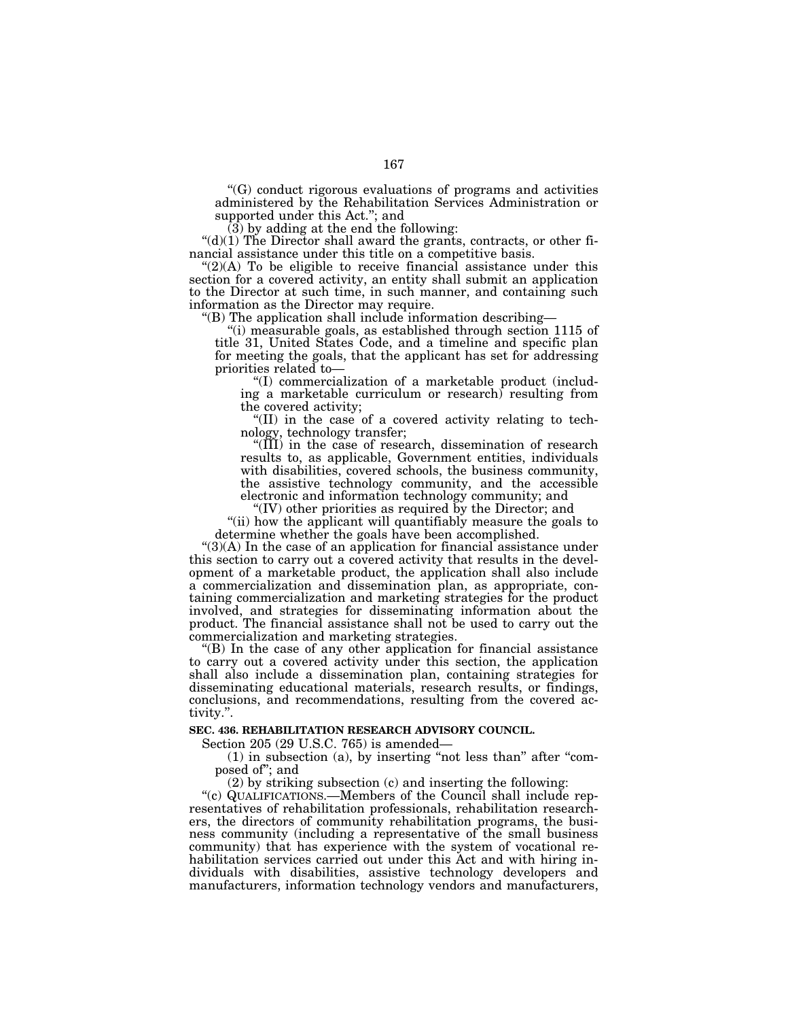''(G) conduct rigorous evaluations of programs and activities administered by the Rehabilitation Services Administration or supported under this Act.''; and

(3) by adding at the end the following:

" $(d)(1)$  The Director shall award the grants, contracts, or other financial assistance under this title on a competitive basis.

" $(2)(A)$  To be eligible to receive financial assistance under this section for a covered activity, an entity shall submit an application to the Director at such time, in such manner, and containing such information as the Director may require.

''(B) The application shall include information describing—

''(i) measurable goals, as established through section 1115 of title 31, United States Code, and a timeline and specific plan for meeting the goals, that the applicant has set for addressing priorities related to—

''(I) commercialization of a marketable product (including a marketable curriculum or research) resulting from the covered activity;

''(II) in the case of a covered activity relating to technology, technology transfer;

 $\sqrt[4]{III}$ ) in the case of research, dissemination of research results to, as applicable, Government entities, individuals with disabilities, covered schools, the business community, the assistive technology community, and the accessible electronic and information technology community; and

"(IV) other priorities as required by the Director; and

"(ii) how the applicant will quantifiably measure the goals to determine whether the goals have been accomplished.

"(3)(A) In the case of an application for financial assistance under this section to carry out a covered activity that results in the development of a marketable product, the application shall also include a commercialization and dissemination plan, as appropriate, containing commercialization and marketing strategies for the product involved, and strategies for disseminating information about the product. The financial assistance shall not be used to carry out the commercialization and marketing strategies.

''(B) In the case of any other application for financial assistance to carry out a covered activity under this section, the application shall also include a dissemination plan, containing strategies for disseminating educational materials, research results, or findings, conclusions, and recommendations, resulting from the covered activity.''.

## **SEC. 436. REHABILITATION RESEARCH ADVISORY COUNCIL.**

Section 205 (29 U.S.C. 765) is amended—

(1) in subsection (a), by inserting ''not less than'' after ''composed of''; and

(2) by striking subsection (c) and inserting the following:

"(c) QUALIFICATIONS.—Members of the Council shall include representatives of rehabilitation professionals, rehabilitation researchers, the directors of community rehabilitation programs, the business community (including a representative of the small business community) that has experience with the system of vocational rehabilitation services carried out under this Act and with hiring individuals with disabilities, assistive technology developers and manufacturers, information technology vendors and manufacturers,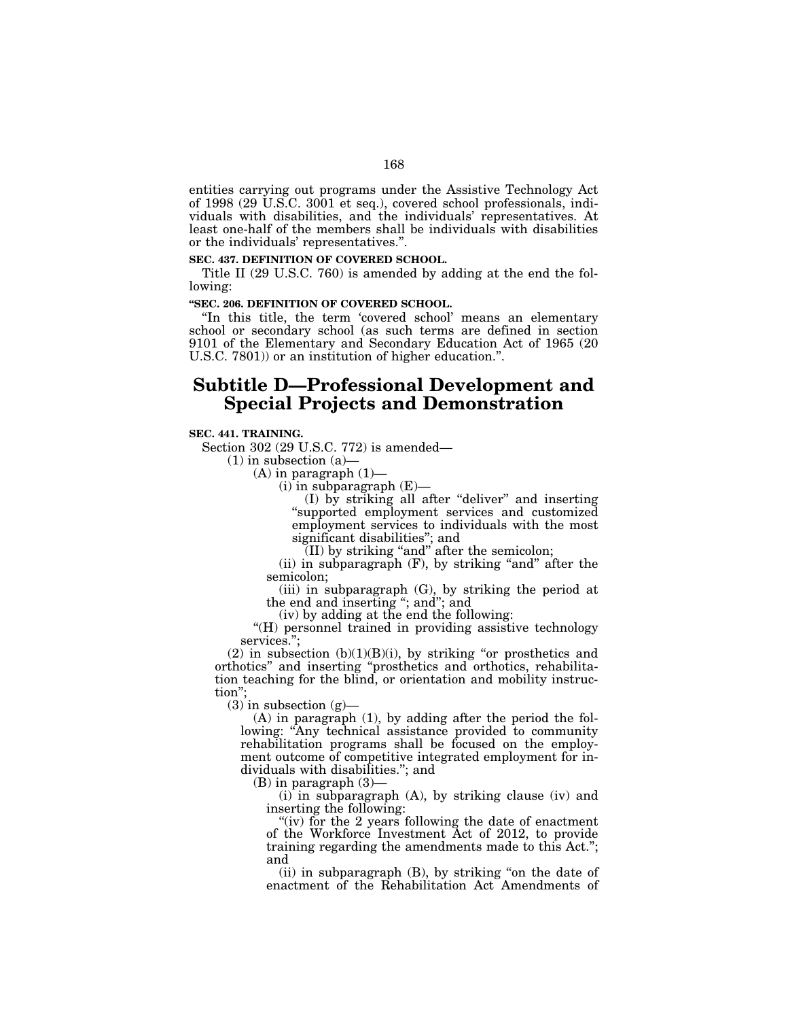entities carrying out programs under the Assistive Technology Act of 1998 (29 U.S.C. 3001 et seq.), covered school professionals, individuals with disabilities, and the individuals' representatives. At least one-half of the members shall be individuals with disabilities or the individuals' representatives.''.

#### **SEC. 437. DEFINITION OF COVERED SCHOOL.**

Title II (29 U.S.C. 760) is amended by adding at the end the following:

### **''SEC. 206. DEFINITION OF COVERED SCHOOL.**

"In this title, the term 'covered school' means an elementary school or secondary school (as such terms are defined in section 9101 of the Elementary and Secondary Education Act of 1965 (20 U.S.C. 7801)) or an institution of higher education.''.

# **Subtitle D—Professional Development and Special Projects and Demonstration**

### **SEC. 441. TRAINING.**

Section 302 (29 U.S.C. 772) is amended—

 $(1)$  in subsection  $(a)$ 

 $(A)$  in paragraph  $(1)$ —

(i) in subparagraph (E)—

(I) by striking all after ''deliver'' and inserting ''supported employment services and customized employment services to individuals with the most significant disabilities''; and

(II) by striking ''and'' after the semicolon;

(ii) in subparagraph  $(F)$ , by striking "and" after the semicolon;

(iii) in subparagraph (G), by striking the period at the end and inserting ''; and''; and

(iv) by adding at the end the following:

"(H) personnel trained in providing assistive technology services.'';

(2) in subsection  $(b)(1)(B)(i)$ , by striking "or prosthetics and orthotics'' and inserting ''prosthetics and orthotics, rehabilitation teaching for the blind, or orientation and mobility instruction'';

 $(3)$  in subsection  $(g)$ 

(A) in paragraph (1), by adding after the period the following: "Any technical assistance provided to community rehabilitation programs shall be focused on the employment outcome of competitive integrated employment for individuals with disabilities.''; and

(B) in paragraph (3)—

(i) in subparagraph (A), by striking clause (iv) and inserting the following:

"(iv) for the 2 years following the date of enactment of the Workforce Investment Act of 2012, to provide training regarding the amendments made to this Act.''; and

(ii) in subparagraph (B), by striking ''on the date of enactment of the Rehabilitation Act Amendments of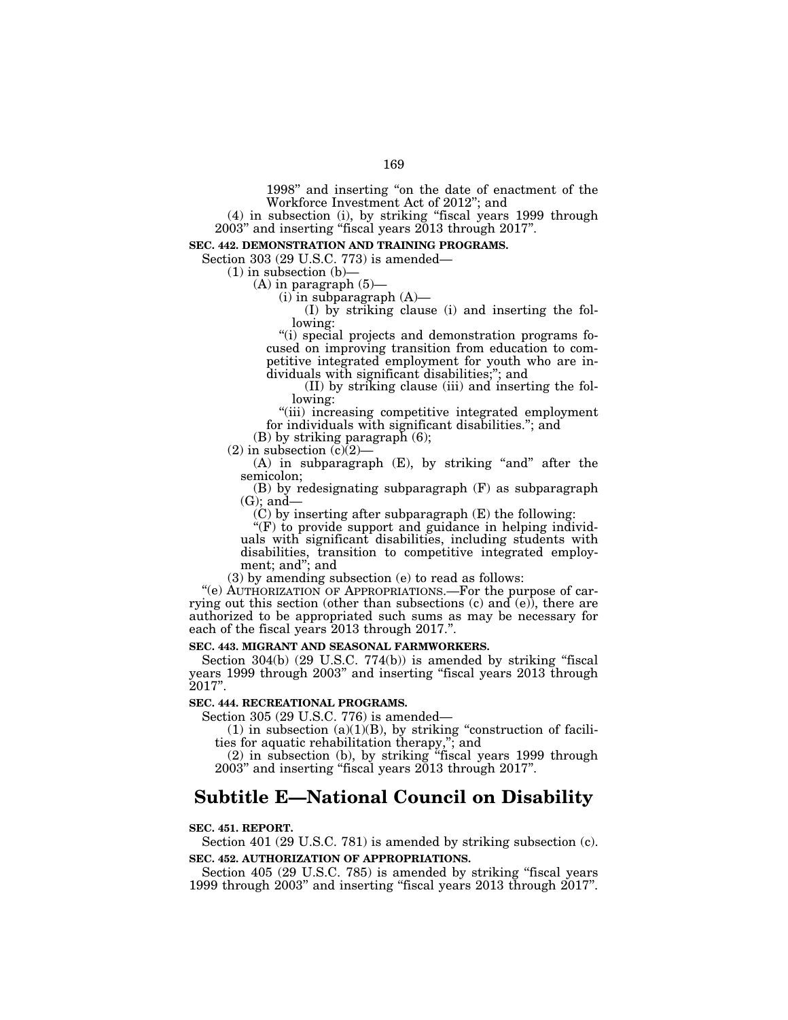1998'' and inserting ''on the date of enactment of the Workforce Investment Act of 2012''; and

(4) in subsection (i), by striking ''fiscal years 1999 through 2003'' and inserting ''fiscal years 2013 through 2017''.

## **SEC. 442. DEMONSTRATION AND TRAINING PROGRAMS.**

Section 303 (29 U.S.C. 773) is amended—

 $(1)$  in subsection  $(b)$ 

 $(A)$  in paragraph  $(5)$ -

 $(i)$  in subparagraph  $(A)$ —

(I) by striking clause (i) and inserting the following:

"(i) special projects and demonstration programs focused on improving transition from education to competitive integrated employment for youth who are individuals with significant disabilities;''; and

(II) by striking clause (iii) and inserting the following:

"(iii) increasing competitive integrated employment for individuals with significant disabilities.''; and

(B) by striking paragraph (6);

 $(2)$  in subsection  $(c)(2)$ 

 $(A)$  in subparagraph  $(E)$ , by striking "and" after the semicolon;

(B) by redesignating subparagraph (F) as subparagraph  $(G)$ ; and-

(C) by inserting after subparagraph (E) the following:

 $f(F)$  to provide support and guidance in helping individuals with significant disabilities, including students with disabilities, transition to competitive integrated employment; and''; and

(3) by amending subsection (e) to read as follows:

"(e) AUTHORIZATION OF APPROPRIATIONS.—For the purpose of carrying out this section (other than subsections (c) and (e)), there are authorized to be appropriated such sums as may be necessary for each of the fiscal years 2013 through 2017.''.

## **SEC. 443. MIGRANT AND SEASONAL FARMWORKERS.**

Section 304(b) (29 U.S.C. 774(b)) is amended by striking "fiscal years 1999 through 2003'' and inserting ''fiscal years 2013 through 2017''.

### **SEC. 444. RECREATIONAL PROGRAMS.**

Section 305 (29 U.S.C. 776) is amended—

(1) in subsection  $(a)(1)(B)$ , by striking "construction of facilities for aquatic rehabilitation therapy,''; and

(2) in subsection (b), by striking ''fiscal years 1999 through 2003'' and inserting ''fiscal years 2013 through 2017''.

# **Subtitle E—National Council on Disability**

### **SEC. 451. REPORT.**

Section 401 (29 U.S.C. 781) is amended by striking subsection (c). **SEC. 452. AUTHORIZATION OF APPROPRIATIONS.** 

Section 405 (29 U.S.C. 785) is amended by striking "fiscal years" 1999 through 2003'' and inserting ''fiscal years 2013 through 2017''.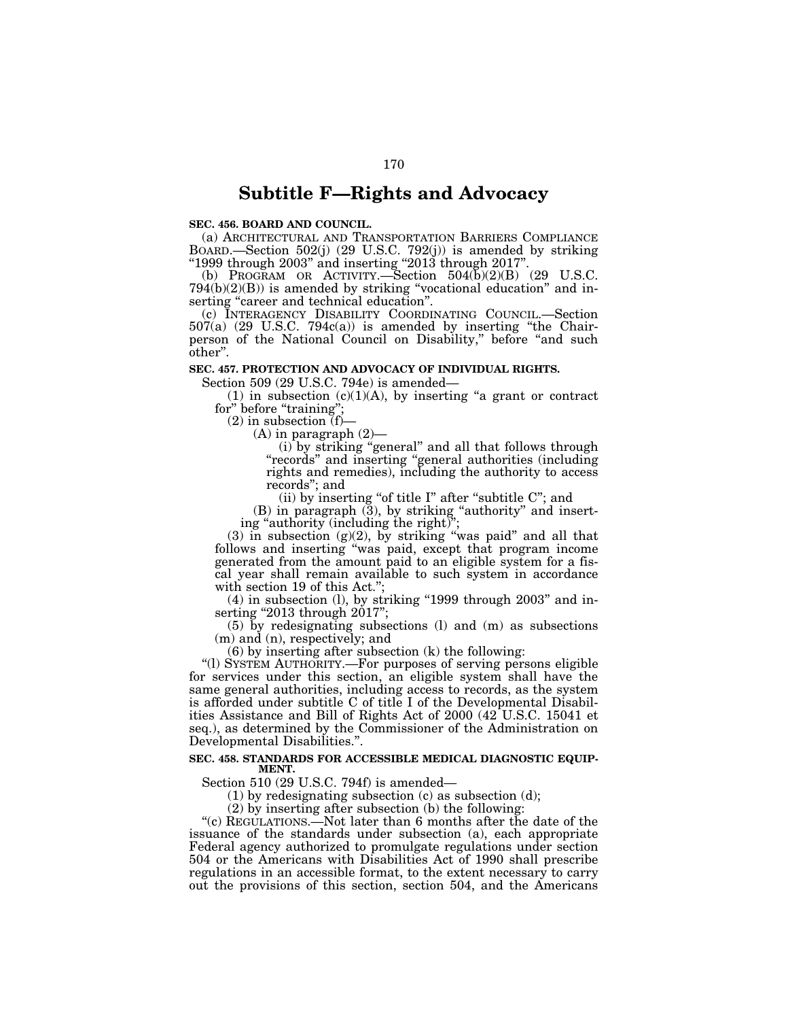# **Subtitle F—Rights and Advocacy**

### **SEC. 456. BOARD AND COUNCIL.**

(a) ARCHITECTURAL AND TRANSPORTATION BARRIERS COMPLIANCE BOARD.—Section 502(j) (29 U.S.C. 792(j)) is amended by striking " $1999$  through  $2003$ " and inserting " $2013$  through  $2017$ ".

(b) PROGRAM OR ACTIVITY.—Section  $504(b)(2)(B)$  (29 U.S.C.  $794(b)(2)(B)$ ) is amended by striking "vocational education" and inserting "career and technical education".

(c) INTERAGENCY DISABILITY COORDINATING COUNCIL.—Section 507(a) (29 U.S.C. 794c(a)) is amended by inserting ''the Chairperson of the National Council on Disability,'' before ''and such other''.

### **SEC. 457. PROTECTION AND ADVOCACY OF INDIVIDUAL RIGHTS.**

Section 509 (29 U.S.C. 794e) is amended—

(1) in subsection  $(c)(1)(A)$ , by inserting "a grant or contract for" before "training";

 $(2)$  in subsection  $(f)$ –

 $(A)$  in paragraph  $(2)$ —

(i) by striking ''general'' and all that follows through ''records'' and inserting ''general authorities (including rights and remedies), including the authority to access records''; and

(ii) by inserting "of title  $I$ " after "subtitle  $C$ "; and

(B) in paragraph (3), by striking "authority" and inserting "authority (including the right)

(3) in subsection  $(g)(2)$ , by striking "was paid" and all that follows and inserting ''was paid, except that program income generated from the amount paid to an eligible system for a fiscal year shall remain available to such system in accordance with section 19 of this Act.";

(4) in subsection (l), by striking ''1999 through 2003'' and inserting "2013 through 2017";

(5) by redesignating subsections (l) and (m) as subsections (m) and (n), respectively; and

(6) by inserting after subsection (k) the following:

''(l) SYSTEM AUTHORITY.—For purposes of serving persons eligible for services under this section, an eligible system shall have the same general authorities, including access to records, as the system is afforded under subtitle C of title I of the Developmental Disabilities Assistance and Bill of Rights Act of 2000 (42 U.S.C. 15041 et seq.), as determined by the Commissioner of the Administration on Developmental Disabilities.''.

### **SEC. 458. STANDARDS FOR ACCESSIBLE MEDICAL DIAGNOSTIC EQUIP-MENT.**

Section 510 (29 U.S.C. 794f) is amended—

(1) by redesignating subsection (c) as subsection (d);

(2) by inserting after subsection (b) the following:

"(c) REGULATIONS.—Not later than 6 months after the date of the issuance of the standards under subsection (a), each appropriate Federal agency authorized to promulgate regulations under section 504 or the Americans with Disabilities Act of 1990 shall prescribe regulations in an accessible format, to the extent necessary to carry out the provisions of this section, section 504, and the Americans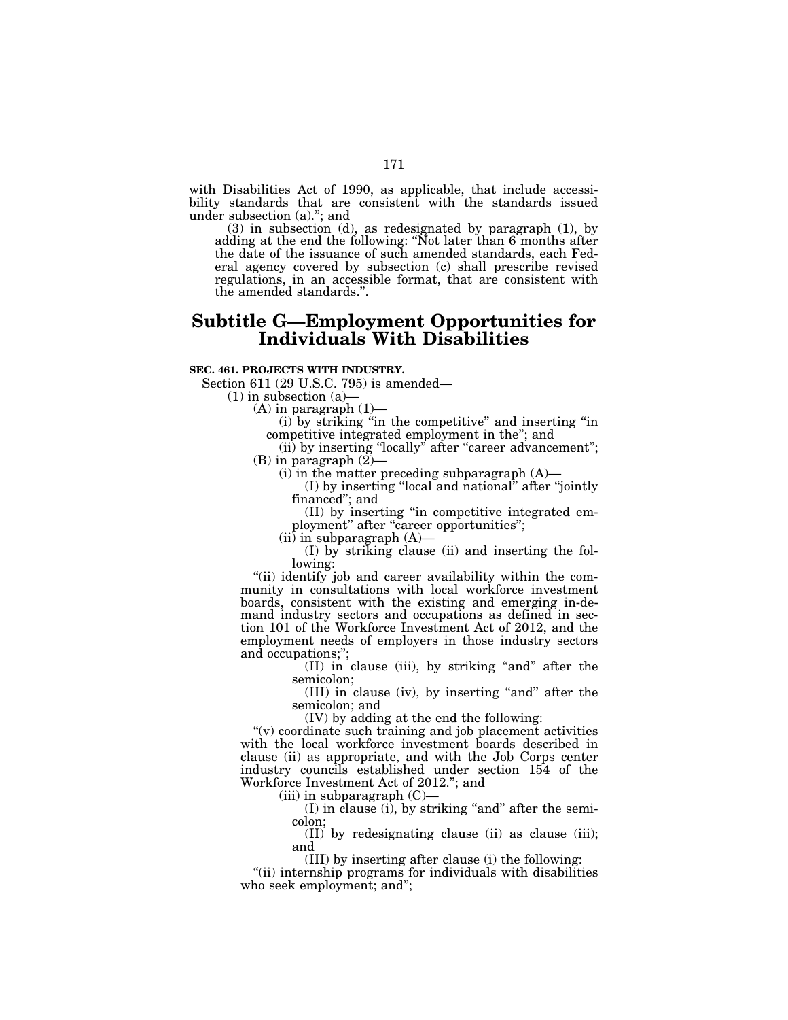with Disabilities Act of 1990, as applicable, that include accessibility standards that are consistent with the standards issued under subsection (a)."; and

(3) in subsection (d), as redesignated by paragraph (1), by adding at the end the following: ''Not later than 6 months after the date of the issuance of such amended standards, each Federal agency covered by subsection (c) shall prescribe revised regulations, in an accessible format, that are consistent with the amended standards.''.

# **Subtitle G—Employment Opportunities for Individuals With Disabilities**

## **SEC. 461. PROJECTS WITH INDUSTRY.**

Section 611 (29 U.S.C. 795) is amended—

 $(1)$  in subsection  $(a)$ 

 $(A)$  in paragraph  $(1)$ –

(i) by striking ''in the competitive'' and inserting ''in competitive integrated employment in the''; and

(ii) by inserting "locally" after "career advancement"; (B) in paragraph  $(2)$ —

 $(i)$  in the matter preceding subparagraph  $(A)$ —

(I) by inserting ''local and national'' after ''jointly financed''; and

(II) by inserting ''in competitive integrated employment" after "career opportunities";

 $(ii)$  in subparagraph  $(A)$ —

(I) by striking clause (ii) and inserting the following:

"(ii) identify job and career availability within the community in consultations with local workforce investment boards, consistent with the existing and emerging in-demand industry sectors and occupations as defined in section 101 of the Workforce Investment Act of 2012, and the employment needs of employers in those industry sectors and occupations;'';

(II) in clause (iii), by striking ''and'' after the semicolon;

(III) in clause (iv), by inserting ''and'' after the semicolon; and

(IV) by adding at the end the following:

 $''(v)$  coordinate such training and job placement activities with the local workforce investment boards described in clause (ii) as appropriate, and with the Job Corps center industry councils established under section 154 of the Workforce Investment Act of 2012.''; and

 $(iii)$  in subparagraph  $(C)$ —

 $(I)$  in clause  $(i)$ , by striking "and" after the semicolon;

(II) by redesignating clause (ii) as clause (iii); and

(III) by inserting after clause (i) the following:

''(ii) internship programs for individuals with disabilities who seek employment; and'';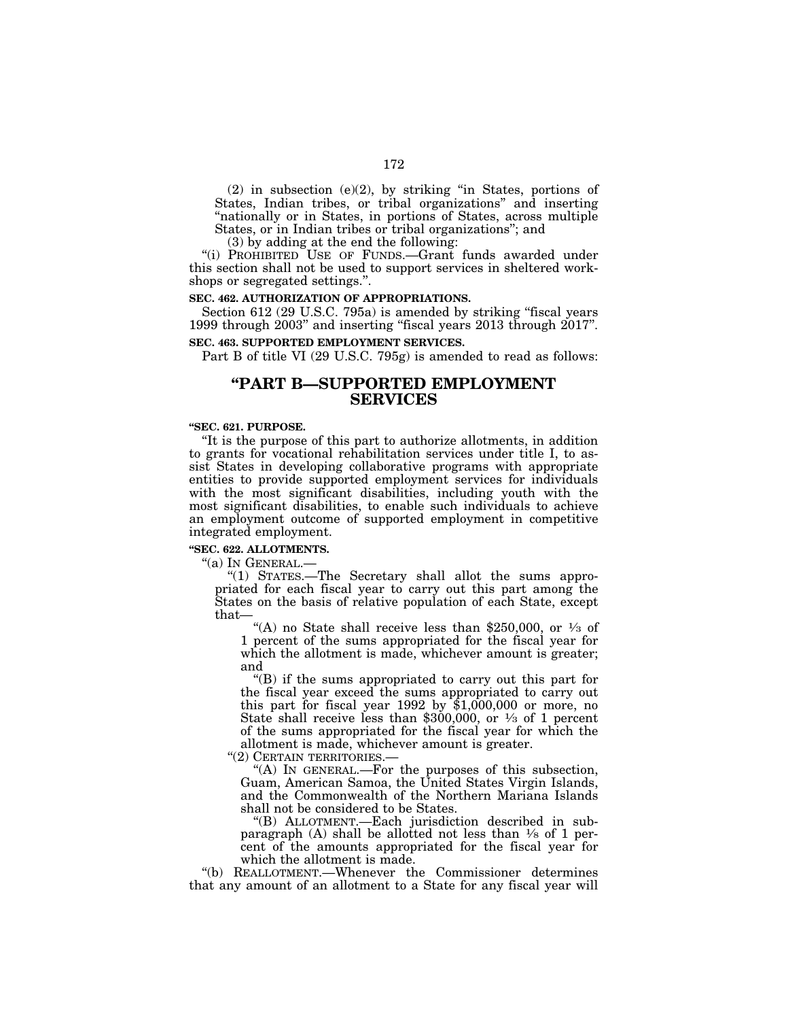(2) in subsection (e)(2), by striking ''in States, portions of States, Indian tribes, or tribal organizations'' and inserting "nationally or in States, in portions of States, across multiple States, or in Indian tribes or tribal organizations''; and

(3) by adding at the end the following:

"(i) PROHIBITED USE OF FUNDS.-Grant funds awarded under this section shall not be used to support services in sheltered workshops or segregated settings.''.

### **SEC. 462. AUTHORIZATION OF APPROPRIATIONS.**

Section 612 (29 U.S.C. 795a) is amended by striking "fiscal years 1999 through 2003'' and inserting ''fiscal years 2013 through 2017''.

## **SEC. 463. SUPPORTED EMPLOYMENT SERVICES.**

Part B of title VI (29 U.S.C. 795g) is amended to read as follows:

## **''PART B—SUPPORTED EMPLOYMENT SERVICES**

### **''SEC. 621. PURPOSE.**

''It is the purpose of this part to authorize allotments, in addition to grants for vocational rehabilitation services under title I, to assist States in developing collaborative programs with appropriate entities to provide supported employment services for individuals with the most significant disabilities, including youth with the most significant disabilities, to enable such individuals to achieve an employment outcome of supported employment in competitive integrated employment.

## **''SEC. 622. ALLOTMENTS.**

''(a) IN GENERAL.—

''(1) STATES.—The Secretary shall allot the sums appropriated for each fiscal year to carry out this part among the States on the basis of relative population of each State, except that—

"(A) no State shall receive less than \$250,000, or  $\frac{1}{3}$  of 1 percent of the sums appropriated for the fiscal year for which the allotment is made, whichever amount is greater; and

''(B) if the sums appropriated to carry out this part for the fiscal year exceed the sums appropriated to carry out this part for fiscal year  $1992$  by  $$1,000,000$  or more, no State shall receive less than \$300,000, or  $\frac{1}{3}$  of 1 percent of the sums appropriated for the fiscal year for which the allotment is made, whichever amount is greater.

''(2) CERTAIN TERRITORIES.—

''(A) IN GENERAL.—For the purposes of this subsection, Guam, American Samoa, the United States Virgin Islands, and the Commonwealth of the Northern Mariana Islands shall not be considered to be States.

''(B) ALLOTMENT.—Each jurisdiction described in subparagraph (A) shall be allotted not less than  $\frac{1}{8}$  of 1 percent of the amounts appropriated for the fiscal year for which the allotment is made.

''(b) REALLOTMENT.—Whenever the Commissioner determines that any amount of an allotment to a State for any fiscal year will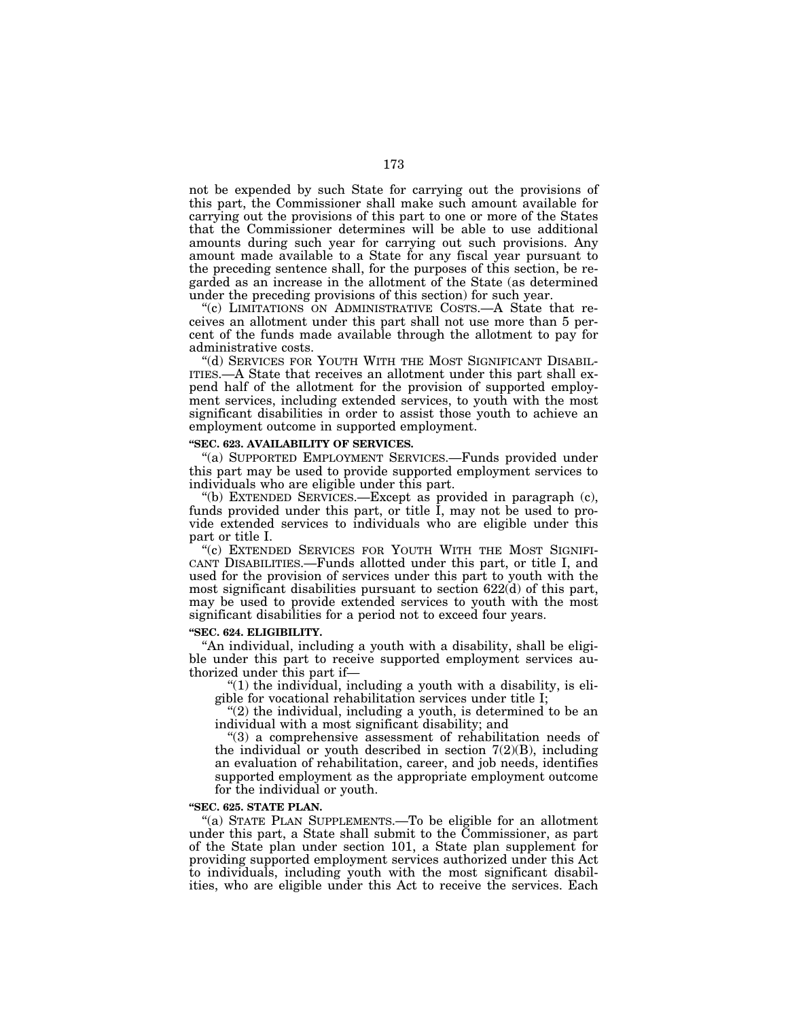not be expended by such State for carrying out the provisions of this part, the Commissioner shall make such amount available for carrying out the provisions of this part to one or more of the States that the Commissioner determines will be able to use additional amounts during such year for carrying out such provisions. Any amount made available to a State for any fiscal year pursuant to the preceding sentence shall, for the purposes of this section, be regarded as an increase in the allotment of the State (as determined under the preceding provisions of this section) for such year.

''(c) LIMITATIONS ON ADMINISTRATIVE COSTS.—A State that receives an allotment under this part shall not use more than 5 percent of the funds made available through the allotment to pay for administrative costs.

''(d) SERVICES FOR YOUTH WITH THE MOST SIGNIFICANT DISABIL-ITIES.—A State that receives an allotment under this part shall expend half of the allotment for the provision of supported employment services, including extended services, to youth with the most significant disabilities in order to assist those youth to achieve an employment outcome in supported employment.

## **''SEC. 623. AVAILABILITY OF SERVICES.**

''(a) SUPPORTED EMPLOYMENT SERVICES.—Funds provided under this part may be used to provide supported employment services to individuals who are eligible under this part.

''(b) EXTENDED SERVICES.—Except as provided in paragraph (c), funds provided under this part, or title I, may not be used to provide extended services to individuals who are eligible under this part or title I.

"(c) EXTENDED SERVICES FOR YOUTH WITH THE MOST SIGNIFI-CANT DISABILITIES.—Funds allotted under this part, or title I, and used for the provision of services under this part to youth with the most significant disabilities pursuant to section 622(d) of this part, may be used to provide extended services to youth with the most significant disabilities for a period not to exceed four years.

#### **''SEC. 624. ELIGIBILITY.**

''An individual, including a youth with a disability, shall be eligible under this part to receive supported employment services authorized under this part if—

" $(1)$  the individual, including a youth with a disability, is eligible for vocational rehabilitation services under title I;

 $''(2)$  the individual, including a youth, is determined to be an individual with a most significant disability; and

''(3) a comprehensive assessment of rehabilitation needs of the individual or youth described in section  $7(2)(B)$ , including an evaluation of rehabilitation, career, and job needs, identifies supported employment as the appropriate employment outcome for the individual or youth.

## **''SEC. 625. STATE PLAN.**

''(a) STATE PLAN SUPPLEMENTS.—To be eligible for an allotment under this part, a State shall submit to the Commissioner, as part of the State plan under section 101, a State plan supplement for providing supported employment services authorized under this Act to individuals, including youth with the most significant disabilities, who are eligible under this Act to receive the services. Each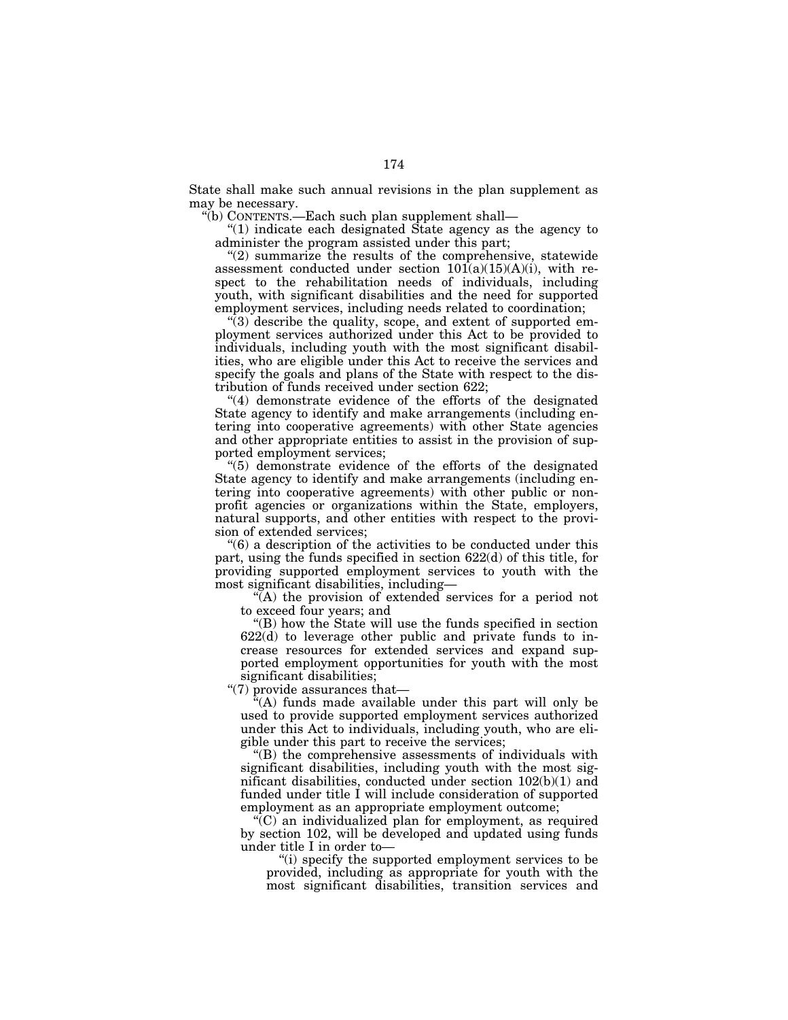State shall make such annual revisions in the plan supplement as may be necessary.

''(b) CONTENTS.—Each such plan supplement shall—

''(1) indicate each designated State agency as the agency to administer the program assisted under this part;

 $''(2)$  summarize the results of the comprehensive, statewide assessment conducted under section  $10I(a)(15)(A)(i)$ , with respect to the rehabilitation needs of individuals, including youth, with significant disabilities and the need for supported employment services, including needs related to coordination;

 $\sqrt[4]{(3)}$  describe the quality, scope, and extent of supported employment services authorized under this Act to be provided to individuals, including youth with the most significant disabilities, who are eligible under this Act to receive the services and specify the goals and plans of the State with respect to the distribution of funds received under section 622;

''(4) demonstrate evidence of the efforts of the designated State agency to identify and make arrangements (including entering into cooperative agreements) with other State agencies and other appropriate entities to assist in the provision of supported employment services;

''(5) demonstrate evidence of the efforts of the designated State agency to identify and make arrangements (including entering into cooperative agreements) with other public or nonprofit agencies or organizations within the State, employers, natural supports, and other entities with respect to the provision of extended services;

''(6) a description of the activities to be conducted under this part, using the funds specified in section 622(d) of this title, for providing supported employment services to youth with the most significant disabilities, including—

''(A) the provision of extended services for a period not to exceed four years; and

''(B) how the State will use the funds specified in section 622(d) to leverage other public and private funds to increase resources for extended services and expand supported employment opportunities for youth with the most significant disabilities;

''(7) provide assurances that—

''(A) funds made available under this part will only be used to provide supported employment services authorized under this Act to individuals, including youth, who are eligible under this part to receive the services;

''(B) the comprehensive assessments of individuals with significant disabilities, including youth with the most significant disabilities, conducted under section 102(b)(1) and funded under title I will include consideration of supported employment as an appropriate employment outcome;

 $(C)$  an individualized plan for employment, as required by section 102, will be developed and updated using funds under title I in order to—

''(i) specify the supported employment services to be provided, including as appropriate for youth with the most significant disabilities, transition services and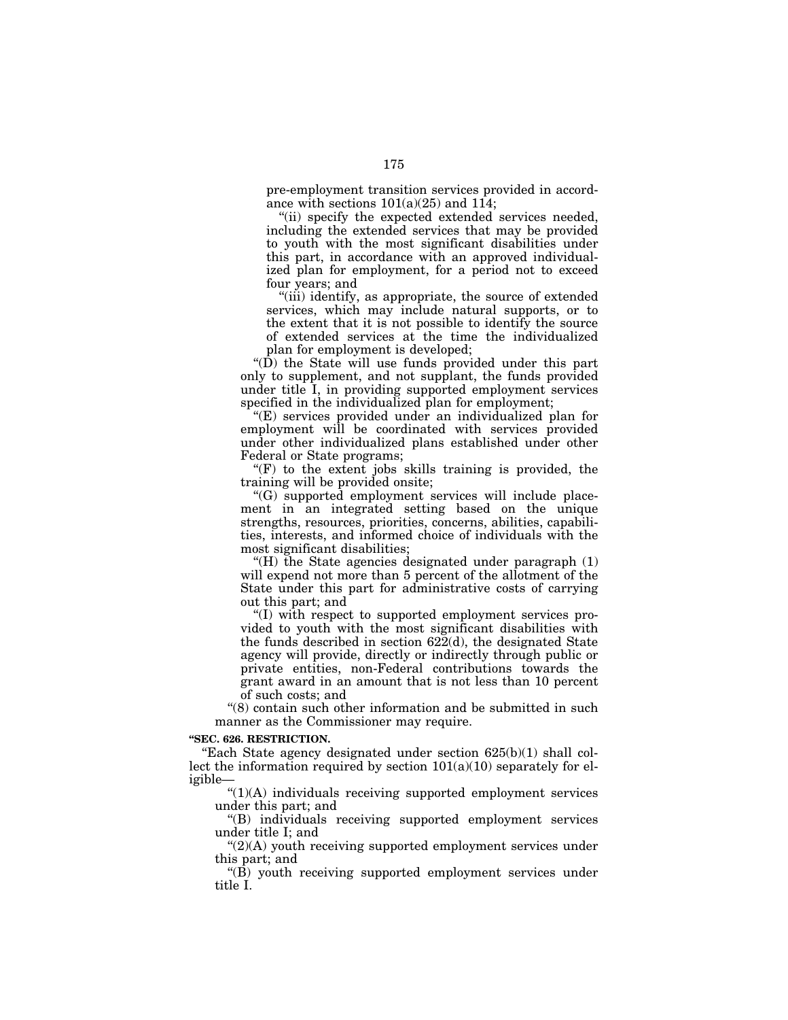pre-employment transition services provided in accordance with sections  $101(a)(25)$  and  $114$ ;

''(ii) specify the expected extended services needed, including the extended services that may be provided to youth with the most significant disabilities under this part, in accordance with an approved individualized plan for employment, for a period not to exceed four years; and

"(iii) identify, as appropriate, the source of extended services, which may include natural supports, or to the extent that it is not possible to identify the source of extended services at the time the individualized plan for employment is developed;

" $(D)$  the State will use funds provided under this part only to supplement, and not supplant, the funds provided under title I, in providing supported employment services specified in the individualized plan for employment;

''(E) services provided under an individualized plan for employment will be coordinated with services provided under other individualized plans established under other Federal or State programs;

" $(F)$  to the extent jobs skills training is provided, the training will be provided onsite;

''(G) supported employment services will include placement in an integrated setting based on the unique strengths, resources, priorities, concerns, abilities, capabilities, interests, and informed choice of individuals with the most significant disabilities;

"(H) the State agencies designated under paragraph  $(1)$ will expend not more than 5 percent of the allotment of the State under this part for administrative costs of carrying out this part; and

''(I) with respect to supported employment services provided to youth with the most significant disabilities with the funds described in section 622(d), the designated State agency will provide, directly or indirectly through public or private entities, non-Federal contributions towards the grant award in an amount that is not less than 10 percent of such costs; and

"(8) contain such other information and be submitted in such manner as the Commissioner may require.

## **''SEC. 626. RESTRICTION.**

"Each State agency designated under section  $625(b)(1)$  shall collect the information required by section  $101(a)(10)$  separately for eligible—

 $"(1)(A)$  individuals receiving supported employment services under this part; and

''(B) individuals receiving supported employment services under title I; and

 $C(2)$ (A) youth receiving supported employment services under this part; and

''(B) youth receiving supported employment services under title I.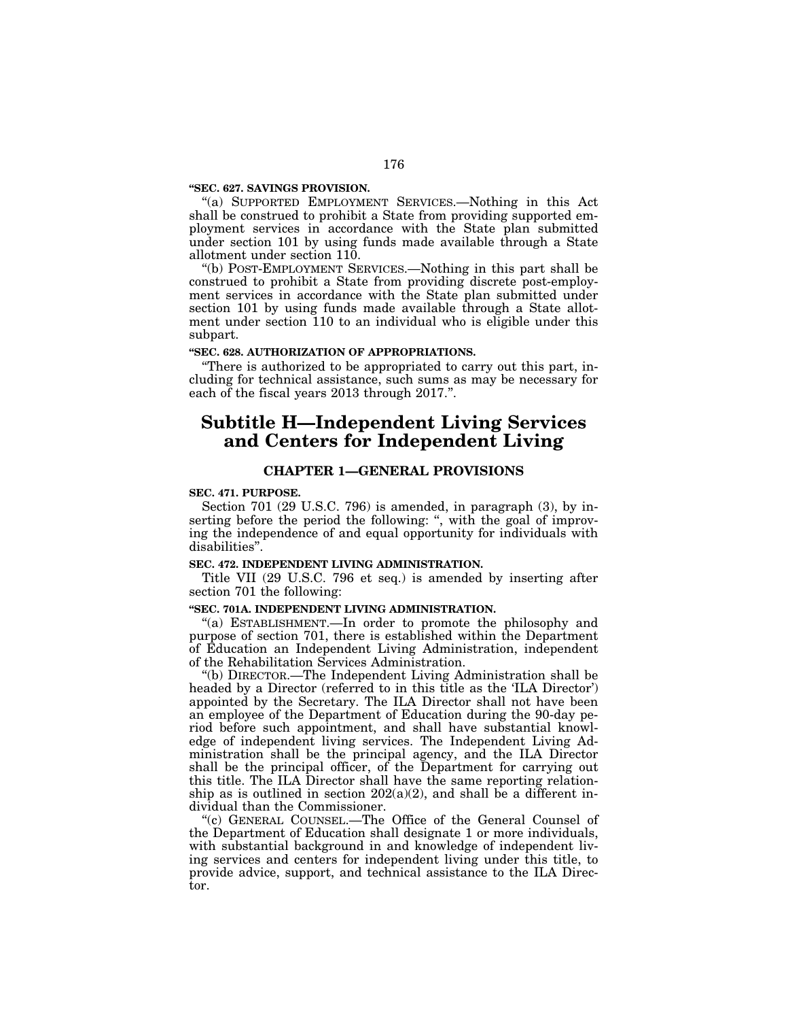### **''SEC. 627. SAVINGS PROVISION.**

"(a) SUPPORTED EMPLOYMENT SERVICES.—Nothing in this Act shall be construed to prohibit a State from providing supported employment services in accordance with the State plan submitted under section 101 by using funds made available through a State allotment under section 110.

''(b) POST-EMPLOYMENT SERVICES.—Nothing in this part shall be construed to prohibit a State from providing discrete post-employment services in accordance with the State plan submitted under section 101 by using funds made available through a State allotment under section 110 to an individual who is eligible under this subpart.

### **''SEC. 628. AUTHORIZATION OF APPROPRIATIONS.**

''There is authorized to be appropriated to carry out this part, including for technical assistance, such sums as may be necessary for each of the fiscal years 2013 through 2017.''.

# **Subtitle H—Independent Living Services and Centers for Independent Living**

### **CHAPTER 1—GENERAL PROVISIONS**

### **SEC. 471. PURPOSE.**

Section 701 (29 U.S.C. 796) is amended, in paragraph (3), by inserting before the period the following: ", with the goal of improving the independence of and equal opportunity for individuals with disabilities''.

### **SEC. 472. INDEPENDENT LIVING ADMINISTRATION.**

Title VII (29 U.S.C. 796 et seq.) is amended by inserting after section 701 the following:

### **''SEC. 701A. INDEPENDENT LIVING ADMINISTRATION.**

''(a) ESTABLISHMENT.—In order to promote the philosophy and purpose of section 701, there is established within the Department of Education an Independent Living Administration, independent of the Rehabilitation Services Administration.

''(b) DIRECTOR.—The Independent Living Administration shall be headed by a Director (referred to in this title as the 'ILA Director') appointed by the Secretary. The ILA Director shall not have been an employee of the Department of Education during the 90-day period before such appointment, and shall have substantial knowledge of independent living services. The Independent Living Administration shall be the principal agency, and the ILA Director shall be the principal officer, of the Department for carrying out this title. The ILA Director shall have the same reporting relationship as is outlined in section  $202(a)(2)$ , and shall be a different individual than the Commissioner.

''(c) GENERAL COUNSEL.—The Office of the General Counsel of the Department of Education shall designate 1 or more individuals, with substantial background in and knowledge of independent living services and centers for independent living under this title, to provide advice, support, and technical assistance to the ILA Director.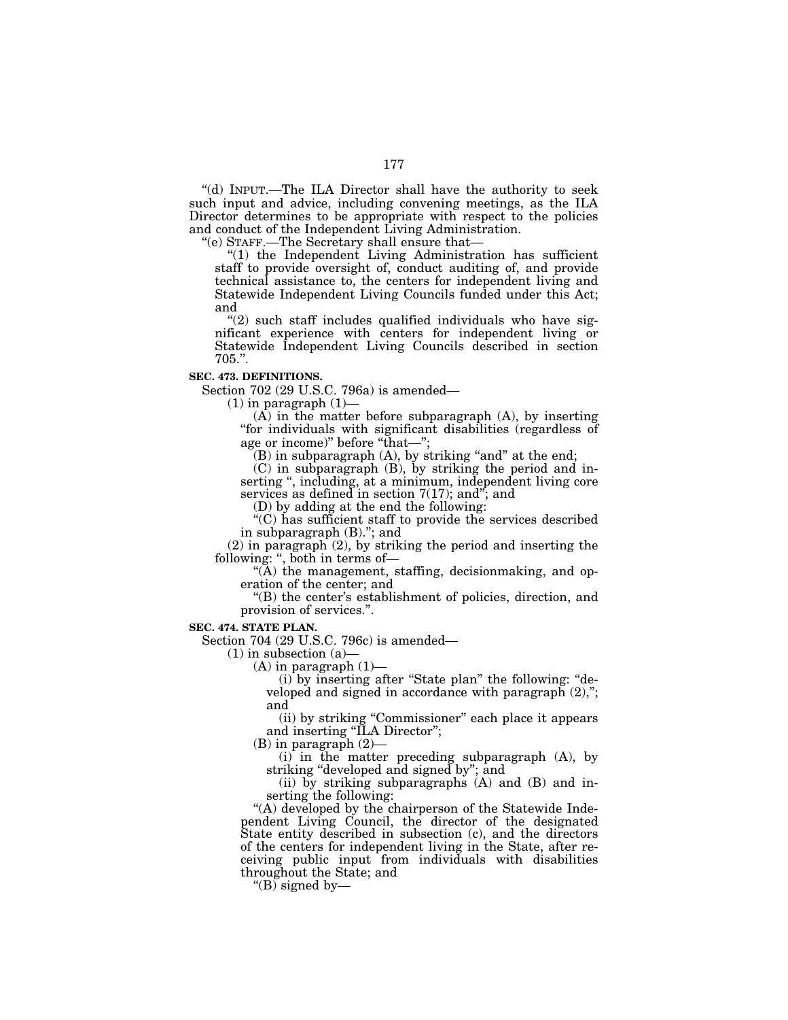''(d) INPUT.—The ILA Director shall have the authority to seek such input and advice, including convening meetings, as the ILA Director determines to be appropriate with respect to the policies and conduct of the Independent Living Administration.

''(e) STAFF.—The Secretary shall ensure that—

"(1) the Independent Living Administration has sufficient staff to provide oversight of, conduct auditing of, and provide technical assistance to, the centers for independent living and Statewide Independent Living Councils funded under this Act; and

 $''(2)$  such staff includes qualified individuals who have significant experience with centers for independent living or Statewide Independent Living Councils described in section 705.''.

### **SEC. 473. DEFINITIONS.**

Section 702 (29 U.S.C. 796a) is amended—

 $(1)$  in paragraph  $(1)$ —

(A) in the matter before subparagraph (A), by inserting ''for individuals with significant disabilities (regardless of age or income)" before "that-";

 $(B)$  in subparagraph  $(A)$ , by striking "and" at the end;

(C) in subparagraph (B), by striking the period and inserting ", including, at a minimum, independent living core services as defined in section 7(17); and''; and

(D) by adding at the end the following:

''(C) has sufficient staff to provide the services described in subparagraph (B).''; and

(2) in paragraph (2), by striking the period and inserting the following: ", both in terms of-

''(A) the management, staffing, decisionmaking, and operation of the center; and

''(B) the center's establishment of policies, direction, and provision of services.''.

**SEC. 474. STATE PLAN.** 

Section 704 (29 U.S.C. 796c) is amended—

 $(1)$  in subsection  $(a)$ 

 $(A)$  in paragraph  $(1)$ —

(i) by inserting after ''State plan'' the following: ''developed and signed in accordance with paragraph (2),"; and

(ii) by striking ''Commissioner'' each place it appears and inserting ''ILA Director'';

(B) in paragraph (2)—

(i) in the matter preceding subparagraph (A), by striking ''developed and signed by''; and

(ii) by striking subparagraphs (A) and (B) and inserting the following:

"(A) developed by the chairperson of the Statewide Independent Living Council, the director of the designated State entity described in subsection (c), and the directors of the centers for independent living in the State, after receiving public input from individuals with disabilities throughout the State; and

" $(B)$  signed by—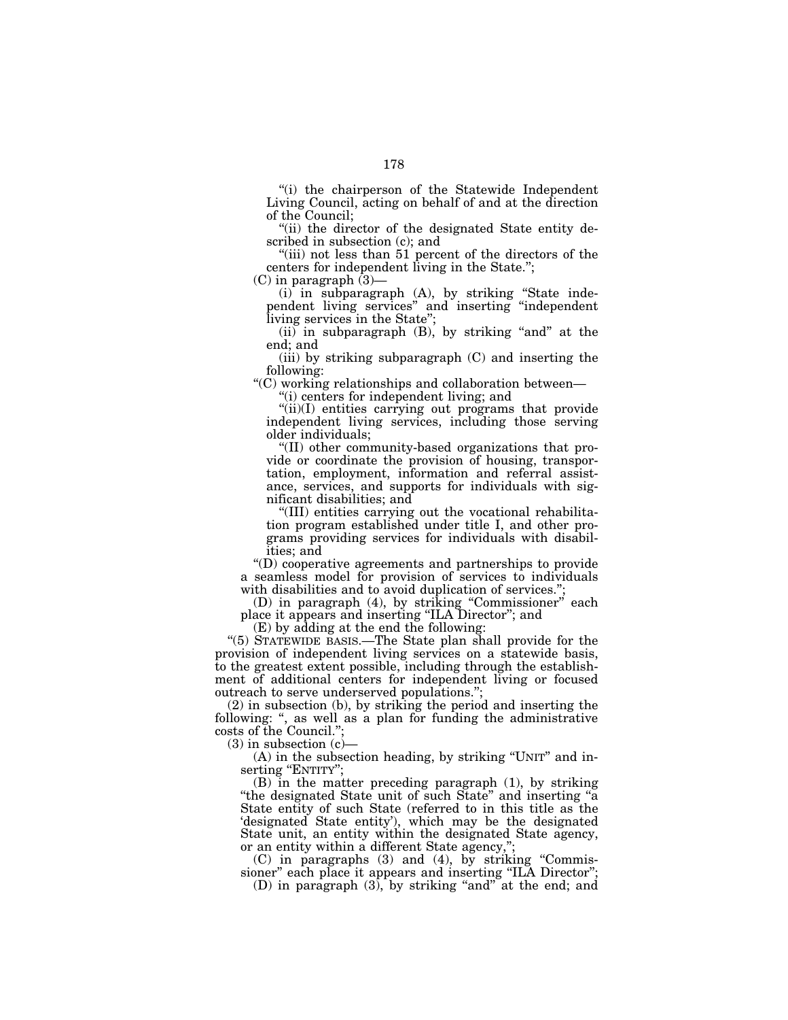''(i) the chairperson of the Statewide Independent Living Council, acting on behalf of and at the direction of the Council;

''(ii) the director of the designated State entity described in subsection (c); and

"(iii) not less than 51 percent of the directors of the centers for independent living in the State.'';

(C) in paragraph (3)—

(i) in subparagraph (A), by striking ''State independent living services'' and inserting ''independent living services in the State'';

 $(i)$  in subparagraph  $(B)$ , by striking "and" at the end; and

(iii) by striking subparagraph (C) and inserting the following:

''(C) working relationships and collaboration between—

''(i) centers for independent living; and

"(ii)(I) entities carrying out programs that provide independent living services, including those serving older individuals;

''(II) other community-based organizations that provide or coordinate the provision of housing, transportation, employment, information and referral assistance, services, and supports for individuals with significant disabilities; and

''(III) entities carrying out the vocational rehabilitation program established under title I, and other programs providing services for individuals with disabilities; and

''(D) cooperative agreements and partnerships to provide a seamless model for provision of services to individuals with disabilities and to avoid duplication of services.";

(D) in paragraph (4), by striking ''Commissioner'' each place it appears and inserting ''ILA Director''; and

(E) by adding at the end the following:

''(5) STATEWIDE BASIS.—The State plan shall provide for the provision of independent living services on a statewide basis, to the greatest extent possible, including through the establishment of additional centers for independent living or focused outreach to serve underserved populations."

(2) in subsection (b), by striking the period and inserting the following: ", as well as a plan for funding the administrative costs of the Council.'';

 $(3)$  in subsection  $(c)$ 

(A) in the subsection heading, by striking ''UNIT'' and inserting "ENTITY";

(B) in the matter preceding paragraph (1), by striking ''the designated State unit of such State'' and inserting ''a State entity of such State (referred to in this title as the 'designated State entity'), which may be the designated State unit, an entity within the designated State agency, or an entity within a different State agency,'';

(C) in paragraphs (3) and (4), by striking ''Commissioner" each place it appears and inserting "ILA Director";

(D) in paragraph  $(3)$ , by striking "and" at the end; and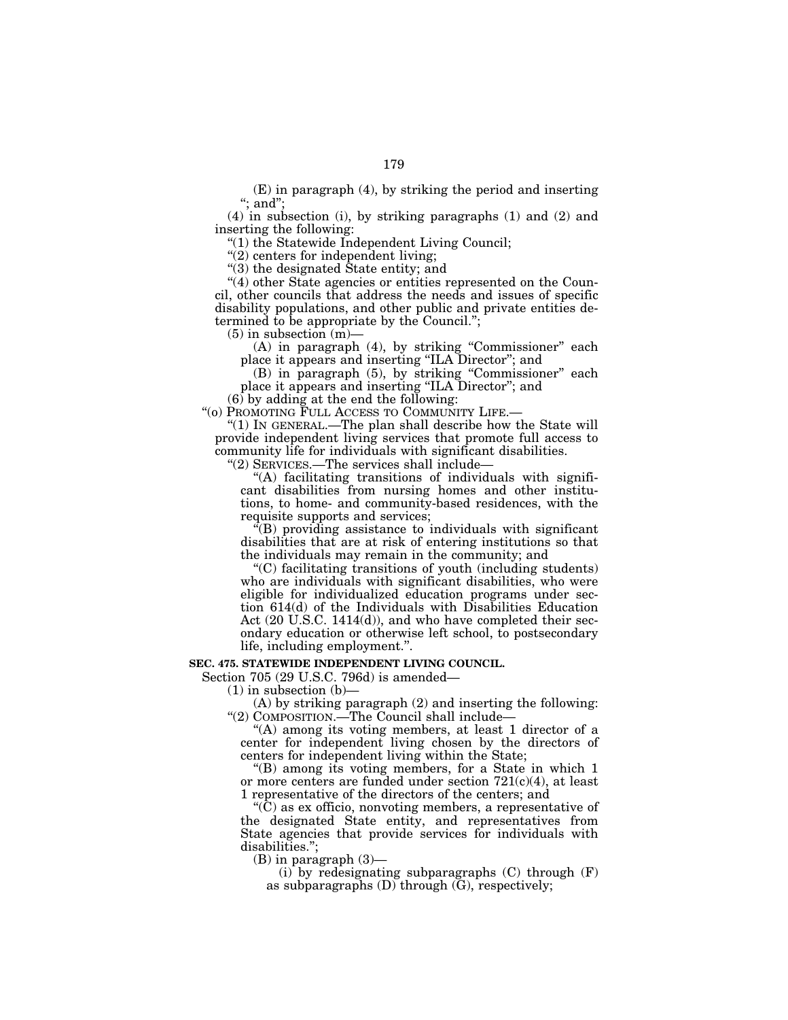(E) in paragraph (4), by striking the period and inserting ";  $\overline{and}$ ";

(4) in subsection (i), by striking paragraphs (1) and (2) and inserting the following:

''(1) the Statewide Independent Living Council;

"(2) centers for independent living;

"(3) the designated State entity; and

"(4) other State agencies or entities represented on the Council, other councils that address the needs and issues of specific disability populations, and other public and private entities determined to be appropriate by the Council.'';

 $(5)$  in subsection  $(m)$ —

(A) in paragraph (4), by striking ''Commissioner'' each place it appears and inserting ''ILA Director''; and

(B) in paragraph (5), by striking ''Commissioner'' each place it appears and inserting ''ILA Director''; and

(6) by adding at the end the following:

''(o) PROMOTING FULL ACCESS TO COMMUNITY LIFE.—

''(1) IN GENERAL.—The plan shall describe how the State will provide independent living services that promote full access to community life for individuals with significant disabilities.

''(2) SERVICES.—The services shall include—

''(A) facilitating transitions of individuals with significant disabilities from nursing homes and other institutions, to home- and community-based residences, with the requisite supports and services;

 $\sqrt{\ }$ (B) providing assistance to individuals with significant disabilities that are at risk of entering institutions so that the individuals may remain in the community; and

''(C) facilitating transitions of youth (including students) who are individuals with significant disabilities, who were eligible for individualized education programs under section 614(d) of the Individuals with Disabilities Education Act (20 U.S.C. 1414(d)), and who have completed their secondary education or otherwise left school, to postsecondary life, including employment.''.

## **SEC. 475. STATEWIDE INDEPENDENT LIVING COUNCIL.**

Section 705 (29 U.S.C. 796d) is amended—

 $(1)$  in subsection  $(b)$ —

(A) by striking paragraph (2) and inserting the following: "(2) COMPOSITION.—The Council shall include—

''(A) among its voting members, at least 1 director of a center for independent living chosen by the directors of centers for independent living within the State;

''(B) among its voting members, for a State in which 1 or more centers are funded under section  $721(c)(4)$ , at least 1 representative of the directors of the centers; and

''(C) as ex officio, nonvoting members, a representative of the designated State entity, and representatives from State agencies that provide services for individuals with disabilities.'';

(B) in paragraph (3)—

 $(i)$  by redesignating subparagraphs  $(C)$  through  $(F)$ as subparagraphs  $(D)$  through  $(G)$ , respectively;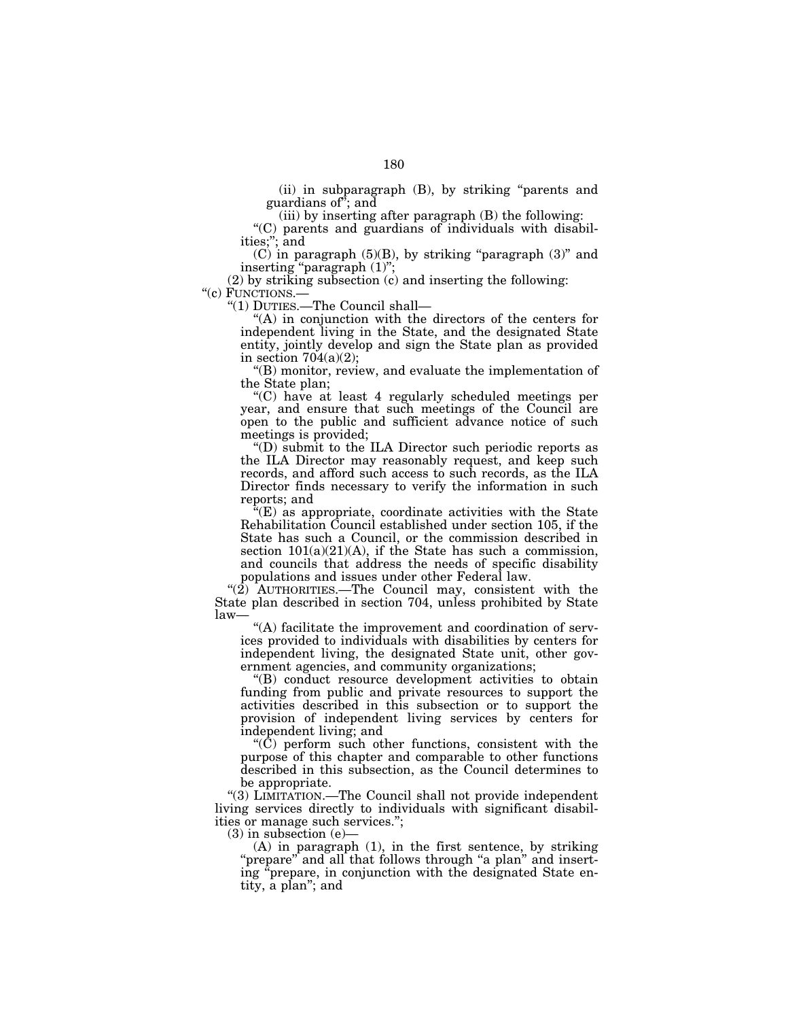(ii) in subparagraph (B), by striking ''parents and guardians of''; and

(iii) by inserting after paragraph (B) the following:

''(C) parents and guardians of individuals with disabilities;''; and

 $(C)$  in paragraph  $(5)(B)$ , by striking "paragraph  $(3)$ " and inserting "paragraph  $(1)$ ";

(2) by striking subsection (c) and inserting the following: " $(c)$  FUNCTIONS.—

"(1) DUTIES.— The Council shall—

''(A) in conjunction with the directors of the centers for independent living in the State, and the designated State entity, jointly develop and sign the State plan as provided in section  $704(a)(2)$ ;

''(B) monitor, review, and evaluate the implementation of the State plan;

''(C) have at least 4 regularly scheduled meetings per year, and ensure that such meetings of the Council are open to the public and sufficient advance notice of such meetings is provided;

''(D) submit to the ILA Director such periodic reports as the ILA Director may reasonably request, and keep such records, and afford such access to such records, as the ILA Director finds necessary to verify the information in such reports; and

''(E) as appropriate, coordinate activities with the State Rehabilitation Council established under section 105, if the State has such a Council, or the commission described in section  $101(a)(21)(A)$ , if the State has such a commission, and councils that address the needs of specific disability populations and issues under other Federal law.

" $(2)$  AUTHORITIES.—The Council may, consistent with the State plan described in section 704, unless prohibited by State law—

''(A) facilitate the improvement and coordination of services provided to individuals with disabilities by centers for independent living, the designated State unit, other government agencies, and community organizations;

''(B) conduct resource development activities to obtain funding from public and private resources to support the activities described in this subsection or to support the provision of independent living services by centers for independent living; and

''(C) perform such other functions, consistent with the purpose of this chapter and comparable to other functions described in this subsection, as the Council determines to be appropriate.

''(3) LIMITATION.—The Council shall not provide independent living services directly to individuals with significant disabilities or manage such services.'';

(3) in subsection (e)—

(A) in paragraph (1), in the first sentence, by striking "prepare" and all that follows through "a plan" and inserting ''prepare, in conjunction with the designated State entity, a plan''; and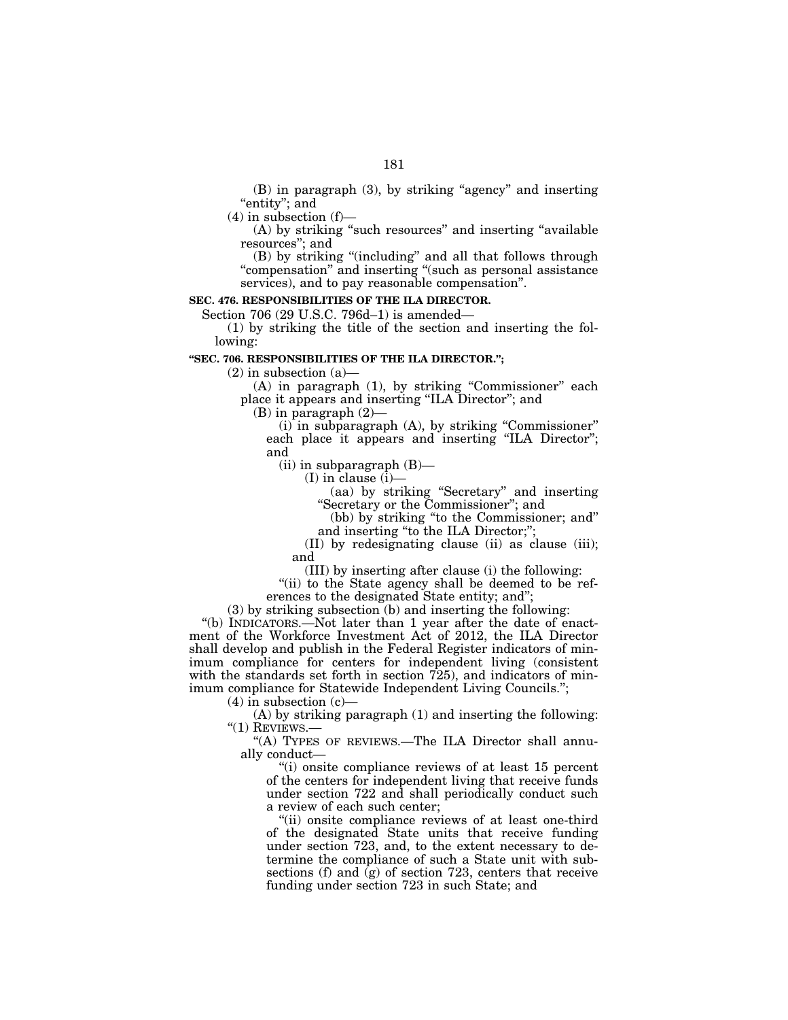(B) in paragraph (3), by striking "agency" and inserting ''entity''; and

 $(4)$  in subsection  $(f)$ —

(A) by striking "such resources" and inserting "available resources''; and

(B) by striking ''(including'' and all that follows through ''compensation'' and inserting ''(such as personal assistance services), and to pay reasonable compensation''.

# **SEC. 476. RESPONSIBILITIES OF THE ILA DIRECTOR.**

Section 706 (29 U.S.C. 796d–1) is amended—

(1) by striking the title of the section and inserting the following:

# **''SEC. 706. RESPONSIBILITIES OF THE ILA DIRECTOR.'';**

 $(2)$  in subsection  $(a)$ —

(A) in paragraph (1), by striking ''Commissioner'' each place it appears and inserting ''ILA Director''; and

(B) in paragraph (2)—

(i) in subparagraph (A), by striking ''Commissioner'' each place it appears and inserting ''ILA Director''; and

 $(ii)$  in subparagraph  $(B)$ —

(I) in clause (i)—

(aa) by striking ''Secretary'' and inserting ''Secretary or the Commissioner''; and

(bb) by striking ''to the Commissioner; and'' and inserting "to the ILA Director;";

(II) by redesignating clause (ii) as clause (iii); and

(III) by inserting after clause (i) the following:

"(ii) to the State agency shall be deemed to be references to the designated State entity; and'';

(3) by striking subsection (b) and inserting the following:

"(b) INDICATORS.—Not later than 1 year after the date of enactment of the Workforce Investment Act of 2012, the ILA Director shall develop and publish in the Federal Register indicators of minimum compliance for centers for independent living (consistent with the standards set forth in section 725), and indicators of minimum compliance for Statewide Independent Living Councils.'';

 $(4)$  in subsection  $(c)$ —

(A) by striking paragraph (1) and inserting the following: " $(1)$  REVIEWS.-

"(A) TYPES OF REVIEWS.—The ILA Director shall annually conduct—

''(i) onsite compliance reviews of at least 15 percent of the centers for independent living that receive funds under section 722 and shall periodically conduct such a review of each such center;

"(ii) onsite compliance reviews of at least one-third of the designated State units that receive funding under section 723, and, to the extent necessary to determine the compliance of such a State unit with subsections (f) and (g) of section 723, centers that receive funding under section 723 in such State; and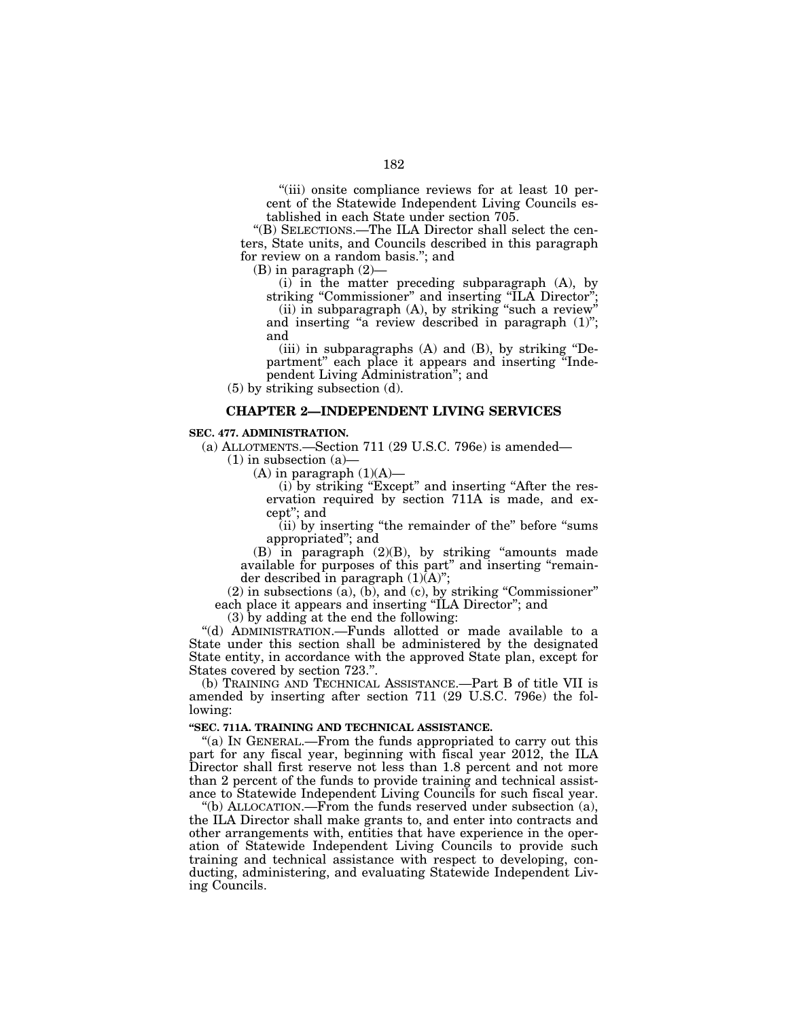''(iii) onsite compliance reviews for at least 10 percent of the Statewide Independent Living Councils established in each State under section 705.

''(B) SELECTIONS.—The ILA Director shall select the centers, State units, and Councils described in this paragraph for review on a random basis.''; and

(B) in paragraph (2)—

(i) in the matter preceding subparagraph (A), by striking "Commissioner" and inserting "ILA Director";

(ii) in subparagraph (A), by striking "such a review" and inserting "a review described in paragraph (1)"; and

(iii) in subparagraphs  $(A)$  and  $(B)$ , by striking "Department'' each place it appears and inserting ''Independent Living Administration''; and

(5) by striking subsection (d).

# **CHAPTER 2—INDEPENDENT LIVING SERVICES**

# **SEC. 477. ADMINISTRATION.**

(a) ALLOTMENTS.—Section 711 (29 U.S.C. 796e) is amended—

 $(1)$  in subsection  $(a)$ 

(A) in paragraph  $(1)(A)$ —

(i) by striking "Except" and inserting "After the reservation required by section 711A is made, and except''; and

(ii) by inserting ''the remainder of the'' before ''sums appropriated''; and

 $(B)$  in paragraph  $(2)(B)$ , by striking "amounts made available for purposes of this part" and inserting "remainder described in paragraph (1)(A)";

(2) in subsections (a), (b), and (c), by striking ''Commissioner'' each place it appears and inserting ''ILA Director''; and

(3) by adding at the end the following:

''(d) ADMINISTRATION.—Funds allotted or made available to a State under this section shall be administered by the designated State entity, in accordance with the approved State plan, except for States covered by section 723.''.

(b) TRAINING AND TECHNICAL ASSISTANCE.—Part B of title VII is amended by inserting after section 711 (29 U.S.C. 796e) the following:

## **''SEC. 711A. TRAINING AND TECHNICAL ASSISTANCE.**

"(a) IN GENERAL.—From the funds appropriated to carry out this part for any fiscal year, beginning with fiscal year 2012, the ILA Director shall first reserve not less than 1.8 percent and not more than 2 percent of the funds to provide training and technical assistance to Statewide Independent Living Councils for such fiscal year.

''(b) ALLOCATION.—From the funds reserved under subsection (a), the ILA Director shall make grants to, and enter into contracts and other arrangements with, entities that have experience in the operation of Statewide Independent Living Councils to provide such training and technical assistance with respect to developing, conducting, administering, and evaluating Statewide Independent Living Councils.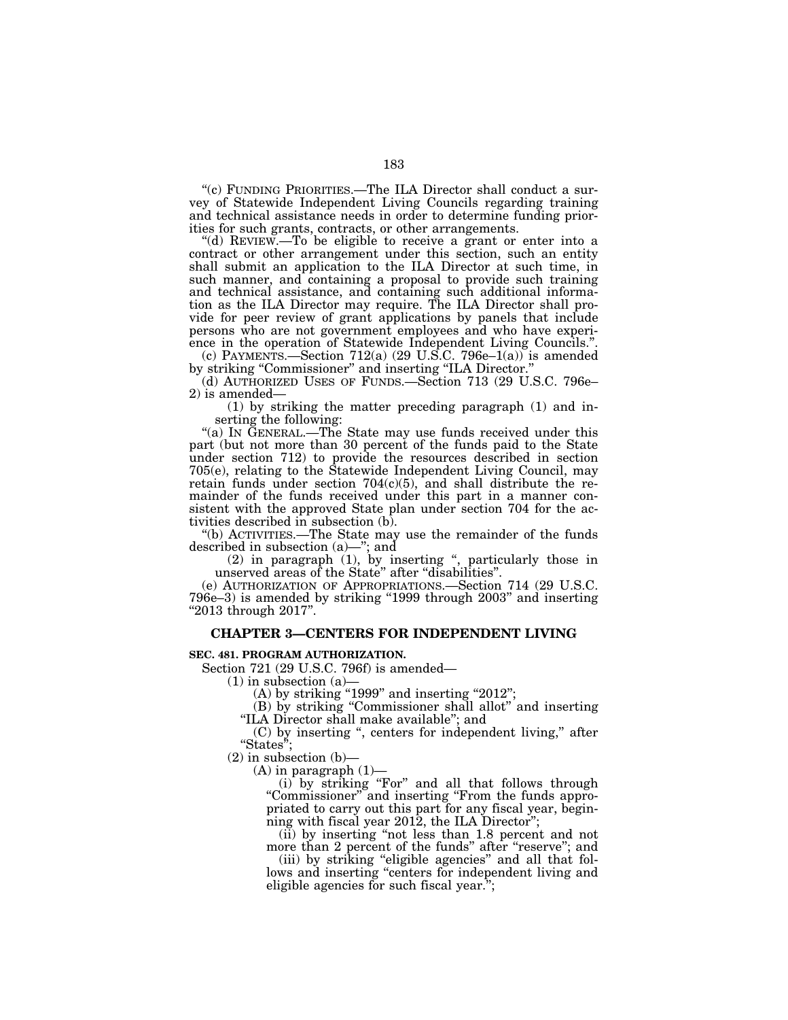''(c) FUNDING PRIORITIES.—The ILA Director shall conduct a survey of Statewide Independent Living Councils regarding training and technical assistance needs in order to determine funding priorities for such grants, contracts, or other arrangements.

''(d) REVIEW.—To be eligible to receive a grant or enter into a contract or other arrangement under this section, such an entity shall submit an application to the ILA Director at such time, in such manner, and containing a proposal to provide such training and technical assistance, and containing such additional information as the ILA Director may require. The ILA Director shall provide for peer review of grant applications by panels that include persons who are not government employees and who have experience in the operation of Statewide Independent Living Councils.''.

(c) PAYMENTS.—Section  $712(a)$  (29 U.S.C. 796e–1(a)) is amended by striking "Commissioner" and inserting "ILA Director.'

(d) AUTHORIZED USES OF FUNDS.—Section 713 (29 U.S.C. 796e– 2) is amended—

(1) by striking the matter preceding paragraph (1) and inserting the following:

"(a) IN GENERAL.—The State may use funds received under this part (but not more than 30 percent of the funds paid to the State under section 712) to provide the resources described in section 705(e), relating to the Statewide Independent Living Council, may retain funds under section  $704(c)(5)$ , and shall distribute the remainder of the funds received under this part in a manner consistent with the approved State plan under section 704 for the activities described in subsection (b).

''(b) ACTIVITIES.—The State may use the remainder of the funds described in subsection (a)—''; and

(2) in paragraph (1), by inserting '', particularly those in unserved areas of the State'' after ''disabilities''.

(e) AUTHORIZATION OF APPROPRIATIONS.—Section 714 (29 U.S.C. 796e–3) is amended by striking "1999 through 2003" and inserting ''2013 through 2017''.

## **CHAPTER 3—CENTERS FOR INDEPENDENT LIVING**

#### **SEC. 481. PROGRAM AUTHORIZATION.**

Section 721 (29 U.S.C. 796f) is amended—

 $(1)$  in subsection  $(a)$ 

 $(A)$  by striking "1999" and inserting "2012";

(B) by striking ''Commissioner shall allot'' and inserting ''ILA Director shall make available''; and

(C) by inserting '', centers for independent living,'' after "States"

 $(2)$  in subsection  $(b)$ —

 $(A)$  in paragraph  $(1)$ —

(i) by striking "For" and all that follows through ''Commissioner'' and inserting ''From the funds appropriated to carry out this part for any fiscal year, beginning with fiscal year 2012, the ILA Director'';

(ii) by inserting ''not less than 1.8 percent and not more than 2 percent of the funds" after "reserve"; and

(iii) by striking ''eligible agencies'' and all that follows and inserting "centers for independent living and eligible agencies for such fiscal year.'';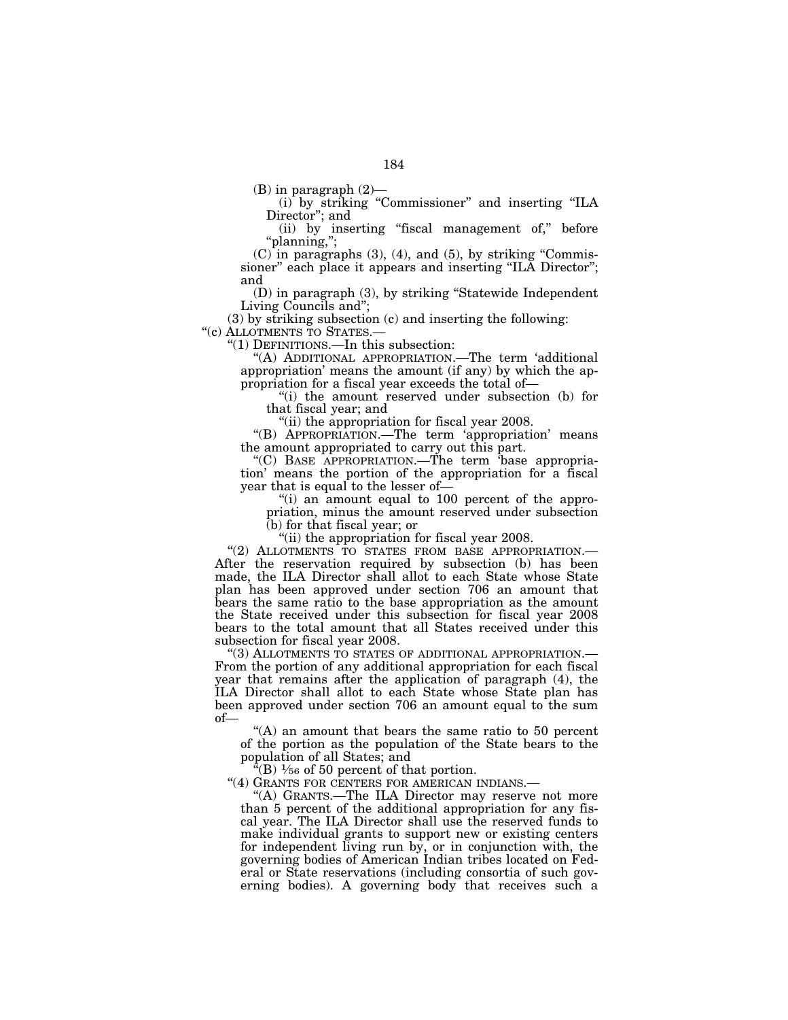(B) in paragraph (2)—

(i) by striking ''Commissioner'' and inserting ''ILA Director''; and

(ii) by inserting ''fiscal management of,'' before ''planning,'';

 $(C)$  in paragraphs  $(3)$ ,  $(4)$ , and  $(5)$ , by striking "Commissioner" each place it appears and inserting "ILA Director"; and

(D) in paragraph (3), by striking ''Statewide Independent Living Councils and'';

(3) by striking subsection (c) and inserting the following: " $(c)$  ALLOTMENTS TO STATES.—

" $(1)$  DEFINITIONS.—In this subsection:

''(A) ADDITIONAL APPROPRIATION.—The term 'additional appropriation' means the amount (if any) by which the ap-

propriation for a fiscal year exceeds the total of—

''(i) the amount reserved under subsection (b) for that fiscal year; and

''(ii) the appropriation for fiscal year 2008.

''(B) APPROPRIATION.—The term 'appropriation' means the amount appropriated to carry out this part.

''(C) BASE APPROPRIATION.—The term 'base appropriation' means the portion of the appropriation for a fiscal year that is equal to the lesser of-

''(i) an amount equal to 100 percent of the appropriation, minus the amount reserved under subsection (b) for that fiscal year; or

''(ii) the appropriation for fiscal year 2008.

''(2) ALLOTMENTS TO STATES FROM BASE APPROPRIATION.— After the reservation required by subsection (b) has been made, the ILA Director shall allot to each State whose State plan has been approved under section 706 an amount that bears the same ratio to the base appropriation as the amount the State received under this subsection for fiscal year 2008 bears to the total amount that all States received under this subsection for fiscal year 2008.<br>"(3) ALLOTMENTS TO STATES OF ADDITIONAL APPROPRIATION.—

From the portion of any additional appropriation for each fiscal year that remains after the application of paragraph (4), the ILA Director shall allot to each State whose State plan has been approved under section 706 an amount equal to the sum of—

 $(A)$  an amount that bears the same ratio to 50 percent of the portion as the population of the State bears to the population of all States; and

 $^{a}(B)$   $\frac{1}{56}$  of 50 percent of that portion.

''(4) GRANTS FOR CENTERS FOR AMERICAN INDIANS.—

''(A) GRANTS.—The ILA Director may reserve not more than 5 percent of the additional appropriation for any fiscal year. The ILA Director shall use the reserved funds to make individual grants to support new or existing centers for independent living run by, or in conjunction with, the governing bodies of American Indian tribes located on Federal or State reservations (including consortia of such governing bodies). A governing body that receives such a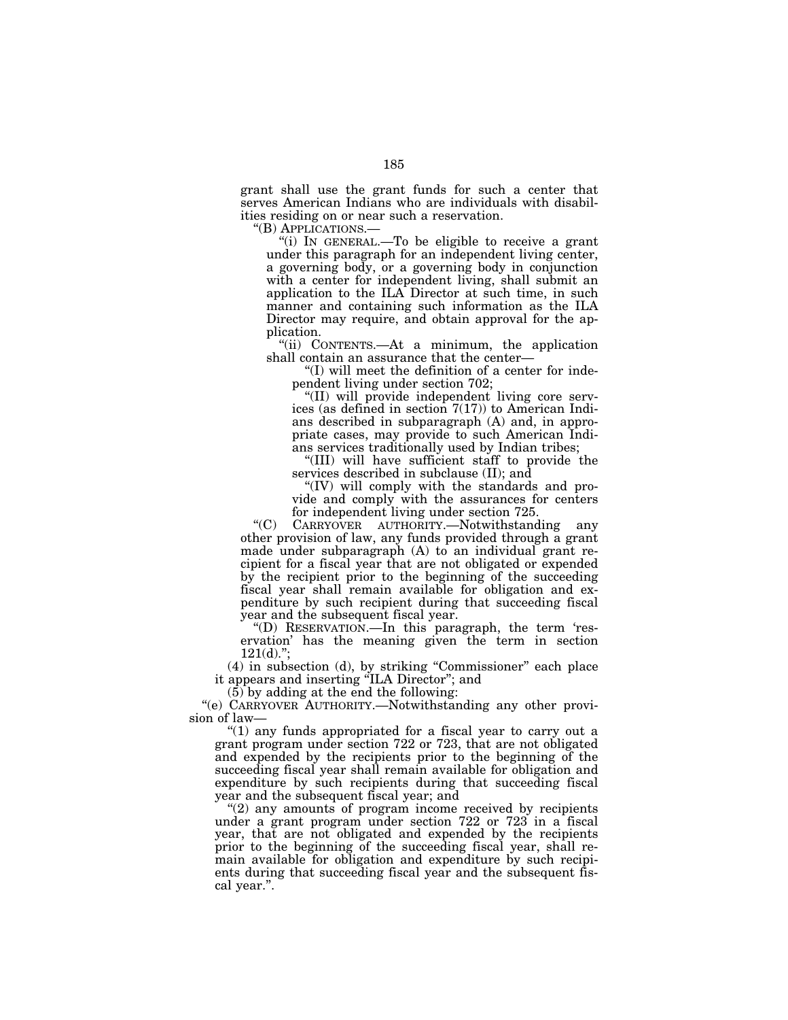grant shall use the grant funds for such a center that serves American Indians who are individuals with disabilities residing on or near such a reservation.<br>"(B) APPLICATIONS.—

"(i) IN GENERAL.—To be eligible to receive a grant under this paragraph for an independent living center, a governing body, or a governing body in conjunction with a center for independent living, shall submit an application to the ILA Director at such time, in such manner and containing such information as the ILA Director may require, and obtain approval for the application.

''(ii) CONTENTS.—At a minimum, the application shall contain an assurance that the center—

''(I) will meet the definition of a center for independent living under section 702;

''(II) will provide independent living core services (as defined in section  $7(17)$ ) to American Indians described in subparagraph (A) and, in appropriate cases, may provide to such American Indians services traditionally used by Indian tribes;

''(III) will have sufficient staff to provide the services described in subclause (II); and

''(IV) will comply with the standards and provide and comply with the assurances for centers for independent living under section 725.

''(C) CARRYOVER AUTHORITY.—Notwithstanding any other provision of law, any funds provided through a grant made under subparagraph (A) to an individual grant recipient for a fiscal year that are not obligated or expended by the recipient prior to the beginning of the succeeding fiscal year shall remain available for obligation and expenditure by such recipient during that succeeding fiscal year and the subsequent fiscal year.

''(D) RESERVATION.—In this paragraph, the term 'reservation' has the meaning given the term in section  $121(d)$ .";

(4) in subsection (d), by striking ''Commissioner'' each place it appears and inserting ''ILA Director''; and

(5) by adding at the end the following:

''(e) CARRYOVER AUTHORITY.—Notwithstanding any other provision of law—

''(1) any funds appropriated for a fiscal year to carry out a grant program under section 722 or 723, that are not obligated and expended by the recipients prior to the beginning of the succeeding fiscal year shall remain available for obligation and expenditure by such recipients during that succeeding fiscal year and the subsequent fiscal year; and

"(2) any amounts of program income received by recipients under a grant program under section 722 or 723 in a fiscal year, that are not obligated and expended by the recipients prior to the beginning of the succeeding fiscal year, shall remain available for obligation and expenditure by such recipients during that succeeding fiscal year and the subsequent fiscal year.''.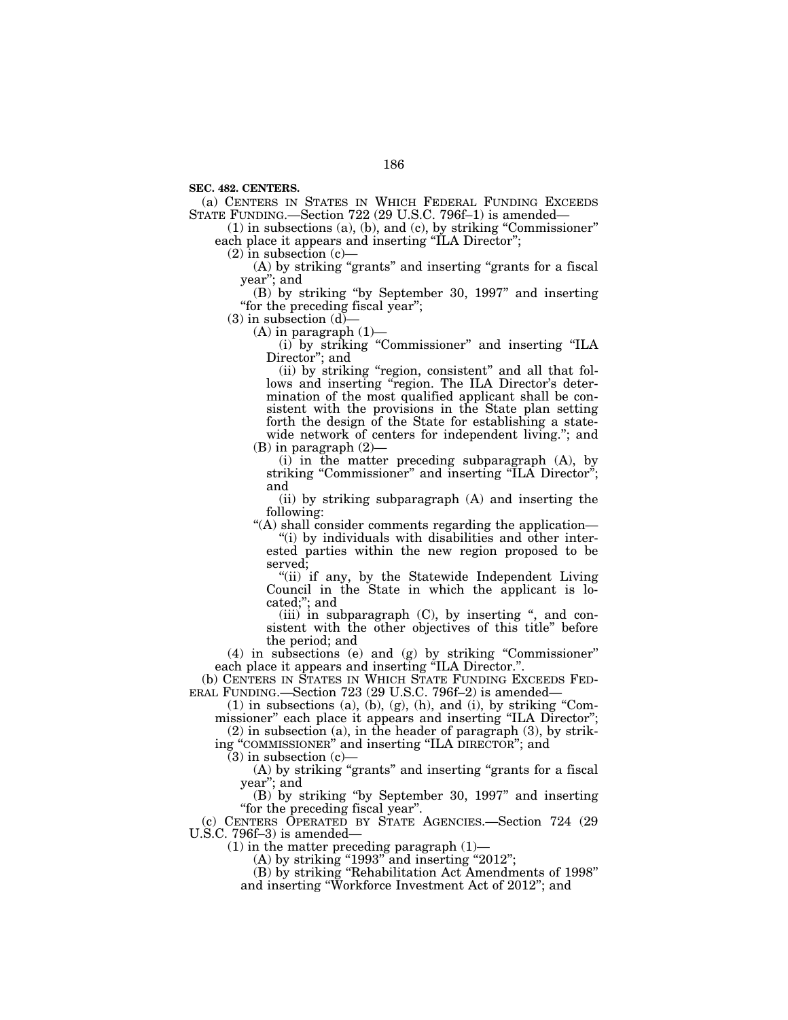**SEC. 482. CENTERS.** 

(a) CENTERS IN STATES IN WHICH FEDERAL FUNDING EXCEEDS STATE FUNDING.—Section 722 (29 U.S.C. 796f–1) is amended—

(1) in subsections (a), (b), and (c), by striking ''Commissioner'' each place it appears and inserting "ILA Director";

 $(2)$  in subsection  $(c)$ —

(A) by striking "grants" and inserting "grants for a fiscal year''; and

(B) by striking ''by September 30, 1997'' and inserting "for the preceding fiscal year";

 $(3)$  in subsection  $(d)$ –

 $(A)$  in paragraph  $(1)$ —

(i) by striking ''Commissioner'' and inserting ''ILA Director"; and

(ii) by striking ''region, consistent'' and all that follows and inserting "region. The ILA Director's determination of the most qualified applicant shall be consistent with the provisions in the State plan setting forth the design of the State for establishing a statewide network of centers for independent living."; and  $(B)$  in paragraph  $(2)$ -

(i) in the matter preceding subparagraph (A), by striking "Commissioner" and inserting "ILA Director"; and

(ii) by striking subparagraph (A) and inserting the following:

''(A) shall consider comments regarding the application—

"(i) by individuals with disabilities and other interested parties within the new region proposed to be served;

"(ii) if any, by the Statewide Independent Living" Council in the State in which the applicant is located;''; and

 $(iii)$  in subparagraph  $(C)$ , by inserting ", and consistent with the other objectives of this title'' before the period; and

(4) in subsections (e) and (g) by striking ''Commissioner'' each place it appears and inserting "ILA Director.".

(b) CENTERS IN STATES IN WHICH STATE FUNDING EXCEEDS FED- ERAL FUNDING.—Section 723 (29 U.S.C. 796f–2) is amended—

 $(1)$  in subsections  $(a)$ ,  $(b)$ ,  $(g)$ ,  $(h)$ , and  $(i)$ , by striking "Commissioner'' each place it appears and inserting ''ILA Director'';

 $(2)$  in subsection (a), in the header of paragraph  $(3)$ , by striking ''COMMISSIONER'' and inserting ''ILA DIRECTOR''; and

 $(3)$  in subsection  $(c)$ —

(A) by striking ''grants'' and inserting ''grants for a fiscal year''; and

(B) by striking ''by September 30, 1997'' and inserting ''for the preceding fiscal year''.

(c) CENTERS OPERATED BY STATE AGENCIES.—Section 724 (29 U.S.C. 796f–3) is amended—

(1) in the matter preceding paragraph (1)—

 $(A)$  by striking "1993" and inserting "2012";

(B) by striking ''Rehabilitation Act Amendments of 1998'' and inserting ''Workforce Investment Act of 2012''; and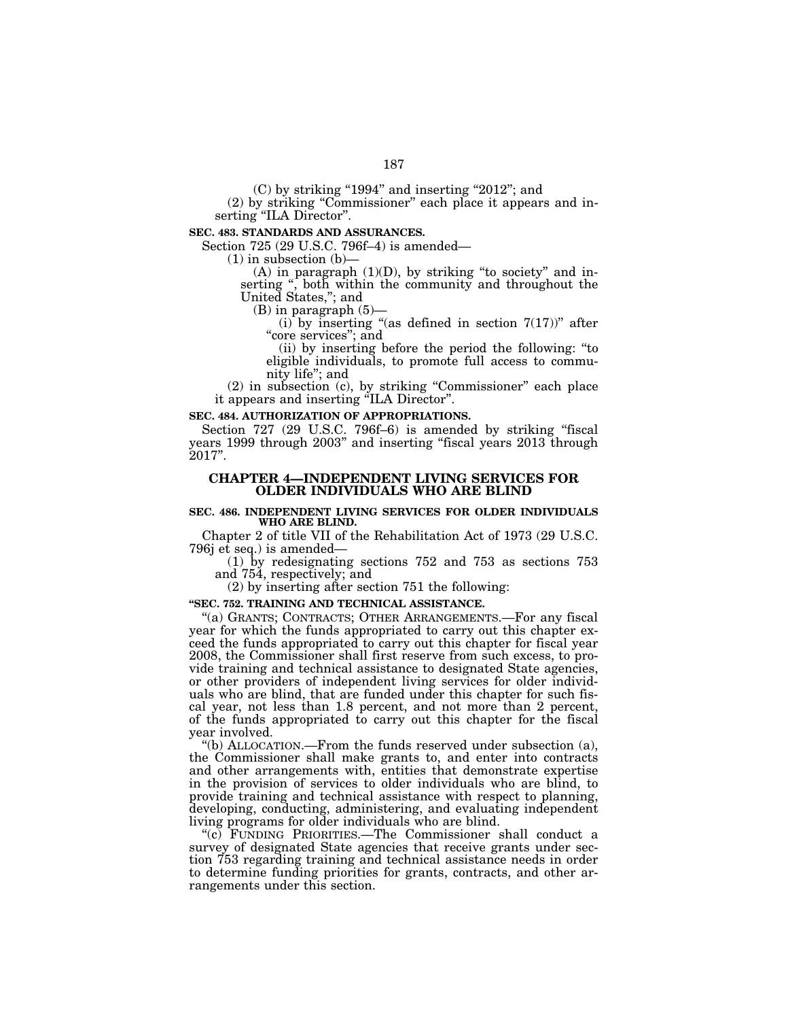(C) by striking "1994" and inserting "2012"; and

(2) by striking ''Commissioner'' each place it appears and inserting "ILA Director".

**SEC. 483. STANDARDS AND ASSURANCES.** 

Section 725 (29 U.S.C. 796f–4) is amended—

 $(1)$  in subsection  $(b)$ —

 $(A)$  in paragraph  $(1)(D)$ , by striking "to society" and inserting '', both within the community and throughout the serting ", both within the community and throughout the United States,"; and

(B) in paragraph (5)—

(i) by inserting "(as defined in section  $7(17)$ " after "core services"; and

(ii) by inserting before the period the following: ''to eligible individuals, to promote full access to community life''; and

(2) in subsection (c), by striking ''Commissioner'' each place it appears and inserting ''ILA Director''.

#### **SEC. 484. AUTHORIZATION OF APPROPRIATIONS.**

Section 727 (29 U.S.C. 796f–6) is amended by striking "fiscal years 1999 through 2003'' and inserting ''fiscal years 2013 through 2017''.

# **CHAPTER 4—INDEPENDENT LIVING SERVICES FOR OLDER INDIVIDUALS WHO ARE BLIND**

#### **SEC. 486. INDEPENDENT LIVING SERVICES FOR OLDER INDIVIDUALS WHO ARE BLIND.**

Chapter 2 of title VII of the Rehabilitation Act of 1973 (29 U.S.C. 796j et seq.) is amended—

(1) by redesignating sections 752 and 753 as sections 753 and 754, respectively; and

(2) by inserting after section 751 the following:

## **''SEC. 752. TRAINING AND TECHNICAL ASSISTANCE.**

''(a) GRANTS; CONTRACTS; OTHER ARRANGEMENTS.—For any fiscal year for which the funds appropriated to carry out this chapter exceed the funds appropriated to carry out this chapter for fiscal year 2008, the Commissioner shall first reserve from such excess, to provide training and technical assistance to designated State agencies, or other providers of independent living services for older individuals who are blind, that are funded under this chapter for such fiscal year, not less than 1.8 percent, and not more than 2 percent, of the funds appropriated to carry out this chapter for the fiscal year involved.

''(b) ALLOCATION.—From the funds reserved under subsection (a), the Commissioner shall make grants to, and enter into contracts and other arrangements with, entities that demonstrate expertise in the provision of services to older individuals who are blind, to provide training and technical assistance with respect to planning, developing, conducting, administering, and evaluating independent living programs for older individuals who are blind.

''(c) FUNDING PRIORITIES.—The Commissioner shall conduct a survey of designated State agencies that receive grants under section 753 regarding training and technical assistance needs in order to determine funding priorities for grants, contracts, and other arrangements under this section.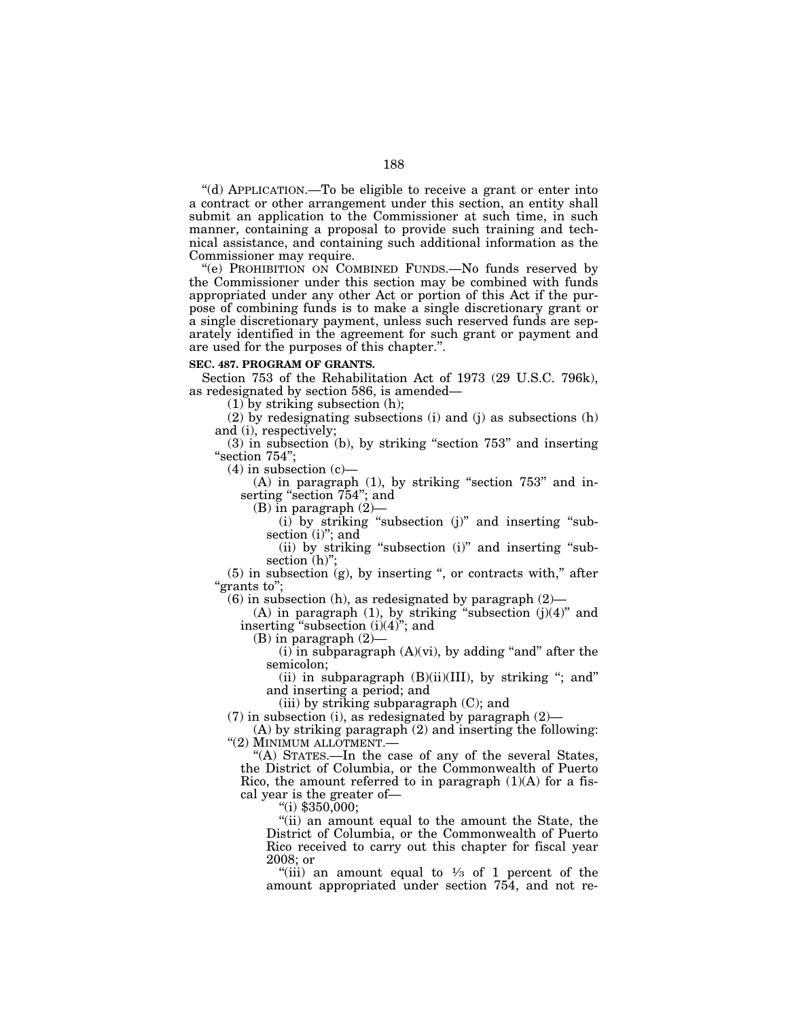''(d) APPLICATION.—To be eligible to receive a grant or enter into a contract or other arrangement under this section, an entity shall submit an application to the Commissioner at such time, in such manner, containing a proposal to provide such training and technical assistance, and containing such additional information as the Commissioner may require.

''(e) PROHIBITION ON COMBINED FUNDS.—No funds reserved by the Commissioner under this section may be combined with funds appropriated under any other Act or portion of this Act if the purpose of combining funds is to make a single discretionary grant or a single discretionary payment, unless such reserved funds are separately identified in the agreement for such grant or payment and are used for the purposes of this chapter.''.

## **SEC. 487. PROGRAM OF GRANTS.**

Section 753 of the Rehabilitation Act of 1973 (29 U.S.C. 796k), as redesignated by section 586, is amended—

(1) by striking subsection (h);

(2) by redesignating subsections (i) and (j) as subsections (h) and (i), respectively;

(3) in subsection (b), by striking ''section 753'' and inserting "section 754";

 $(4)$  in subsection  $(c)$ —

 $(A)$  in paragraph  $(1)$ , by striking "section 753" and inserting "section 754"; and

(B) in paragraph (2)—

 $(i)$  by striking "subsection  $(j)$ " and inserting "subsection (i)"; and

(ii) by striking "subsection (i)" and inserting "subsection (h)";

 $(5)$  in subsection  $(g)$ , by inserting ", or contracts with," after ''grants to'';

 $(6)$  in subsection  $(h)$ , as redesignated by paragraph  $(2)$ —

(A) in paragraph  $(1)$ , by striking "subsection  $(j)(4)$ " and inserting "subsection (i)(4)"; and

(B) in paragraph (2)—

 $(i)$  in subparagraph  $(A)(vi)$ , by adding "and" after the semicolon;

(ii) in subparagraph  $(B)(ii)(III)$ , by striking "; and" and inserting a period; and

(iii) by striking subparagraph (C); and

(7) in subsection (i), as redesignated by paragraph  $(2)$ —

(A) by striking paragraph (2) and inserting the following: ''(2) MINIMUM ALLOTMENT.—

''(A) STATES.—In the case of any of the several States, the District of Columbia, or the Commonwealth of Puerto Rico, the amount referred to in paragraph  $(1)(A)$  for a fiscal year is the greater of—

"(i)  $$350,000;$ 

''(ii) an amount equal to the amount the State, the District of Columbia, or the Commonwealth of Puerto Rico received to carry out this chapter for fiscal year 2008; or

"(iii) an amount equal to  $\frac{1}{3}$  of 1 percent of the amount appropriated under section 754, and not re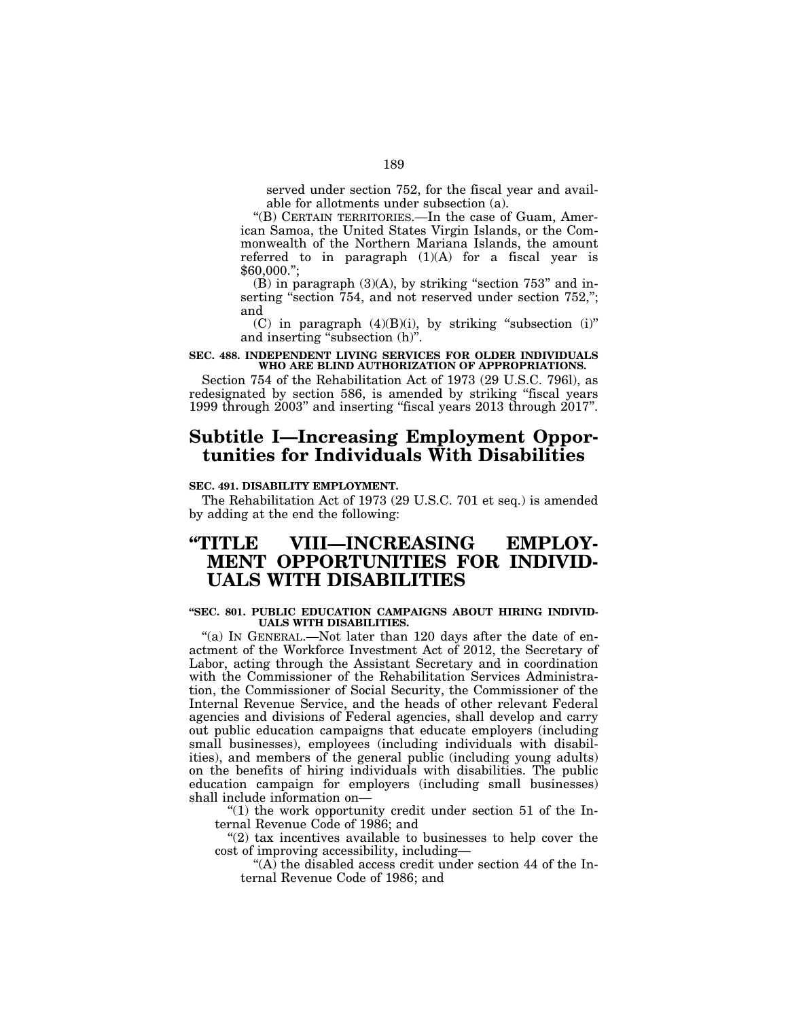served under section 752, for the fiscal year and available for allotments under subsection (a).

''(B) CERTAIN TERRITORIES.—In the case of Guam, American Samoa, the United States Virgin Islands, or the Commonwealth of the Northern Mariana Islands, the amount referred to in paragraph  $(1)(A)$  for a fiscal year is \$60,000.'';

 $(B)$  in paragraph  $(3)(A)$ , by striking "section 753" and inserting "section 754, and not reserved under section 752,"; and

(C) in paragraph  $(4)(B)(i)$ , by striking "subsection  $(i)$ " and inserting "subsection (h)".

## **SEC. 488. INDEPENDENT LIVING SERVICES FOR OLDER INDIVIDUALS WHO ARE BLIND AUTHORIZATION OF APPROPRIATIONS.**

Section 754 of the Rehabilitation Act of 1973 (29 U.S.C. 796l), as redesignated by section 586, is amended by striking "fiscal years 1999 through 2003'' and inserting ''fiscal years 2013 through 2017''.

# **Subtitle I—Increasing Employment Opportunities for Individuals With Disabilities**

## **SEC. 491. DISABILITY EMPLOYMENT.**

The Rehabilitation Act of 1973 (29 U.S.C. 701 et seq.) is amended by adding at the end the following:

# **''TITLE VIII—INCREASING EMPLOY-MENT OPPORTUNITIES FOR INDIVID-UALS WITH DISABILITIES**

## **''SEC. 801. PUBLIC EDUCATION CAMPAIGNS ABOUT HIRING INDIVID-UALS WITH DISABILITIES.**

"(a) IN GENERAL.—Not later than 120 days after the date of enactment of the Workforce Investment Act of 2012, the Secretary of Labor, acting through the Assistant Secretary and in coordination with the Commissioner of the Rehabilitation Services Administration, the Commissioner of Social Security, the Commissioner of the Internal Revenue Service, and the heads of other relevant Federal agencies and divisions of Federal agencies, shall develop and carry out public education campaigns that educate employers (including small businesses), employees (including individuals with disabilities), and members of the general public (including young adults) on the benefits of hiring individuals with disabilities. The public education campaign for employers (including small businesses) shall include information on—

" $(1)$  the work opportunity credit under section 51 of the Internal Revenue Code of 1986; and

" $(2)$  tax incentives available to businesses to help cover the cost of improving accessibility, including—

"(A) the disabled access credit under section 44 of the Internal Revenue Code of 1986; and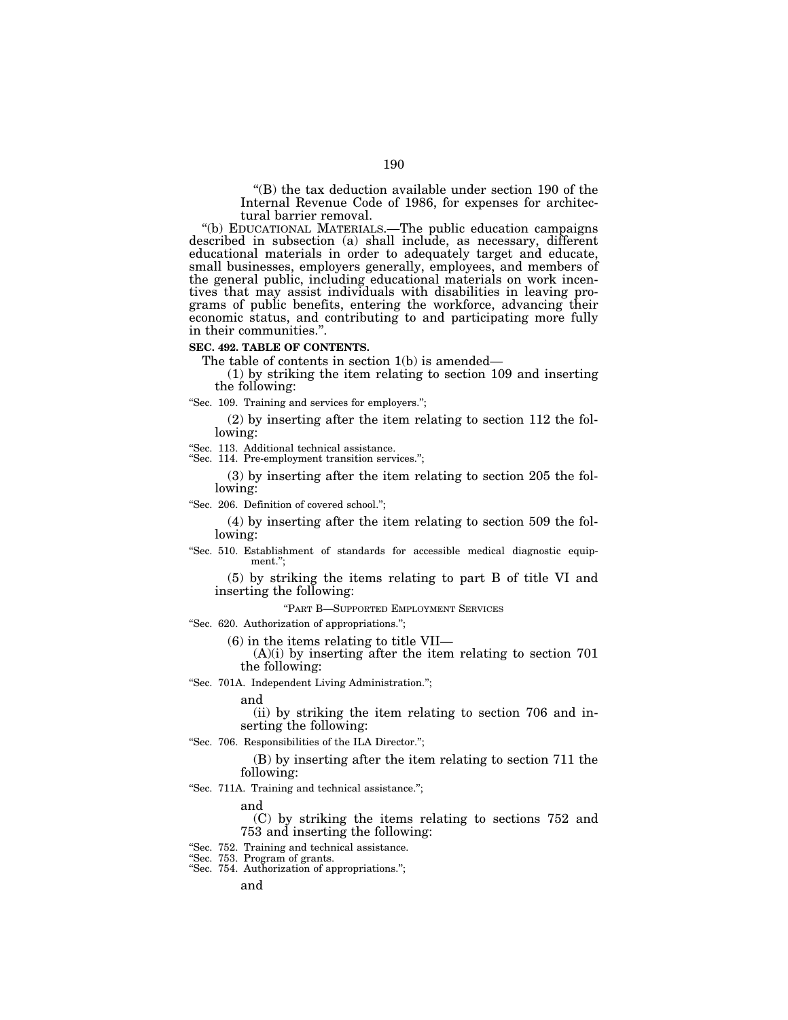''(B) the tax deduction available under section 190 of the Internal Revenue Code of 1986, for expenses for architectural barrier removal.

''(b) EDUCATIONAL MATERIALS.—The public education campaigns described in subsection (a) shall include, as necessary, different educational materials in order to adequately target and educate, small businesses, employers generally, employees, and members of the general public, including educational materials on work incentives that may assist individuals with disabilities in leaving programs of public benefits, entering the workforce, advancing their economic status, and contributing to and participating more fully in their communities.''.

### **SEC. 492. TABLE OF CONTENTS.**

The table of contents in section 1(b) is amended—

(1) by striking the item relating to section 109 and inserting the following:

"Sec. 109. Training and services for employers.";

(2) by inserting after the item relating to section 112 the following:

''Sec. 113. Additional technical assistance.

"Sec. 114. Pre-employment transition services.";

(3) by inserting after the item relating to section 205 the following:

''Sec. 206. Definition of covered school.'';

(4) by inserting after the item relating to section 509 the following:

''Sec. 510. Establishment of standards for accessible medical diagnostic equipment.'';

(5) by striking the items relating to part B of title VI and inserting the following:

''PART B—SUPPORTED EMPLOYMENT SERVICES

''Sec. 620. Authorization of appropriations.'';

(6) in the items relating to title VII—

 $(A)(i)$  by inserting after the item relating to section 701 the following:

''Sec. 701A. Independent Living Administration.'';

and

(ii) by striking the item relating to section 706 and inserting the following:

"Sec. 706. Responsibilities of the ILA Director.";

(B) by inserting after the item relating to section 711 the following:

''Sec. 711A. Training and technical assistance.'';

and

(C) by striking the items relating to sections 752 and 753 and inserting the following:

''Sec. 752. Training and technical assistance.

''Sec. 753. Program of grants.

''Sec. 754. Authorization of appropriations.'';

and